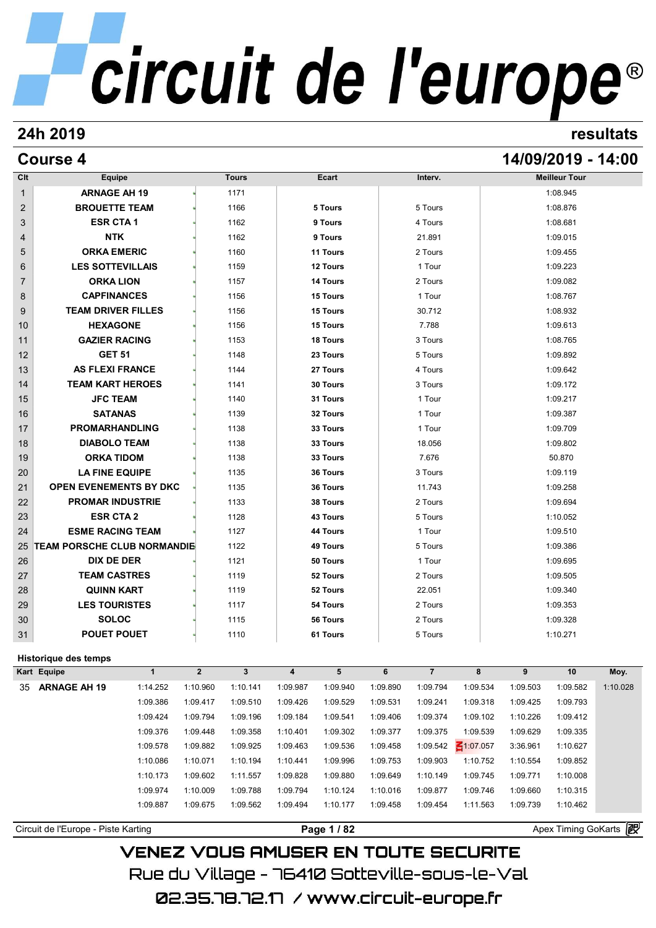### **24h 2019 resultats**

### **Course 4 14/09/2019 - 14:00**

| Clt            | Equipe                              |          |              | <b>Tours</b> |                         | Ecart     |          | Interv.        |                 |          | <b>Meilleur Tour</b> |          |
|----------------|-------------------------------------|----------|--------------|--------------|-------------------------|-----------|----------|----------------|-----------------|----------|----------------------|----------|
| $\mathbf 1$    | <b>ARNAGE AH 19</b>                 |          |              | 1171         |                         |           |          |                |                 |          | 1:08.945             |          |
| $\overline{2}$ | <b>BROUETTE TEAM</b>                |          |              | 1166         |                         | 5 Tours   |          | 5 Tours        |                 |          | 1:08.876             |          |
| 3              | <b>ESR CTA1</b>                     |          |              | 1162         |                         | 9 Tours   |          | 4 Tours        |                 |          | 1:08.681             |          |
| 4              | <b>NTK</b>                          |          |              | 1162         |                         | 9 Tours   |          | 21.891         |                 |          | 1:09.015             |          |
| 5              | <b>ORKA EMERIC</b>                  |          |              | 1160         |                         | 11 Tours  |          | 2 Tours        |                 |          | 1:09.455             |          |
| 6              | <b>LES SOTTEVILLAIS</b>             |          |              | 1159         |                         | 12 Tours  |          | 1 Tour         |                 |          | 1:09.223             |          |
| 7              | <b>ORKA LION</b>                    |          |              | 1157         |                         | 14 Tours  |          | 2 Tours        |                 |          | 1:09.082             |          |
| 8              | <b>CAPFINANCES</b>                  |          |              | 1156         |                         | 15 Tours  |          | 1 Tour         |                 |          | 1:08.767             |          |
| 9              | <b>TEAM DRIVER FILLES</b>           |          |              | 1156         |                         | 15 Tours  |          | 30.712         |                 |          | 1:08.932             |          |
| 10             | <b>HEXAGONE</b>                     |          |              | 1156         |                         | 15 Tours  |          | 7.788          |                 |          | 1:09.613             |          |
| 11             | <b>GAZIER RACING</b>                |          |              | 1153         |                         | 18 Tours  |          | 3 Tours        |                 |          | 1:08.765             |          |
| 12             | <b>GET 51</b>                       |          |              | 1148         |                         | 23 Tours  |          | 5 Tours        |                 |          | 1:09.892             |          |
| 13             | <b>AS FLEXI FRANCE</b>              |          |              | 1144         |                         | 27 Tours  |          | 4 Tours        |                 |          | 1:09.642             |          |
| 14             | <b>TEAM KART HEROES</b>             |          |              | 1141         |                         | 30 Tours  |          | 3 Tours        |                 |          | 1:09.172             |          |
| 15             | <b>JFC TEAM</b>                     |          |              | 1140         |                         | 31 Tours  |          | 1 Tour         |                 |          | 1:09.217             |          |
| 16             | <b>SATANAS</b>                      |          |              | 1139         |                         | 32 Tours  |          | 1 Tour         |                 |          | 1:09.387             |          |
| 17             | <b>PROMARHANDLING</b>               |          |              | 1138         |                         | 33 Tours  |          | 1 Tour         |                 |          | 1:09.709             |          |
| 18             | <b>DIABOLO TEAM</b>                 |          |              | 1138         |                         | 33 Tours  |          | 18.056         |                 |          | 1:09.802             |          |
| 19             | <b>ORKA TIDOM</b>                   |          |              | 1138         |                         | 33 Tours  |          | 7.676          |                 |          | 50.870               |          |
| 20             | <b>LA FINE EQUIPE</b>               |          |              | 1135         |                         | 36 Tours  |          | 3 Tours        |                 |          | 1:09.119             |          |
| 21             | <b>OPEN EVENEMENTS BY DKC</b>       |          |              | 1135         |                         | 36 Tours  |          | 11.743         |                 |          | 1:09.258             |          |
| 22             | <b>PROMAR INDUSTRIE</b>             |          |              | 1133         |                         | 38 Tours  |          | 2 Tours        |                 |          | 1:09.694             |          |
| 23             | <b>ESR CTA 2</b>                    |          |              | 1128         |                         | 43 Tours  |          | 5 Tours        |                 |          | 1:10.052             |          |
| 24             | <b>ESME RACING TEAM</b>             |          |              | 1127         |                         | 44 Tours  |          | 1 Tour         |                 |          | 1:09.510             |          |
| 25             | <b>TEAM PORSCHE CLUB NORMANDIE</b>  |          |              | 1122         |                         | 49 Tours  |          | 5 Tours        |                 |          | 1:09.386             |          |
| 26             | DIX DE DER                          |          |              | 1121         |                         | 50 Tours  |          | 1 Tour         |                 |          | 1:09.695             |          |
| 27             | <b>TEAM CASTRES</b>                 |          |              | 1119         |                         | 52 Tours  |          | 2 Tours        |                 |          | 1:09.505             |          |
| 28             | <b>QUINN KART</b>                   |          |              | 1119         |                         | 52 Tours  |          | 22.051         |                 |          | 1:09.340             |          |
| 29             | <b>LES TOURISTES</b>                |          |              | 1117         |                         | 54 Tours  |          | 2 Tours        |                 |          | 1:09.353             |          |
| 30             | <b>SOLOC</b>                        |          |              | 1115         |                         | 56 Tours  |          | 2 Tours        |                 |          | 1:09.328             |          |
| 31             | <b>POUET POUET</b>                  |          |              | 1110         |                         | 61 Tours  |          | 5 Tours        |                 |          | 1:10.271             |          |
|                |                                     |          |              |              |                         |           |          |                |                 |          |                      |          |
|                | Historique des temps<br>Kart Equipe | 1        | $\mathbf{2}$ | $\mathbf{3}$ | $\overline{\mathbf{4}}$ | ${\bf 5}$ | 6        | $\overline{7}$ | 8               | 9        | $10\,$               | Moy.     |
|                | 35 ARNAGE AH 19                     | 1:14.252 | 1:10.960     | 1:10.141     | 1:09.987                | 1:09.940  | 1:09.890 | 1:09.794       | 1:09.534        | 1:09.503 | 1:09.582             | 1:10.028 |
|                |                                     | 1:09.386 | 1:09.417     | 1:09.510     | 1:09.426                | 1:09.529  | 1:09.531 | 1:09.241       | 1:09.318        | 1:09.425 | 1:09.793             |          |
|                |                                     | 1:09.424 | 1:09.794     | 1:09.196     | 1:09.184                | 1:09.541  | 1:09.406 | 1:09.374       | 1:09.102        | 1:10.226 | 1:09.412             |          |
|                |                                     | 1:09.376 | 1:09.448     | 1:09.358     | 1:10.401                | 1:09.302  | 1:09.377 | 1:09.375       | 1:09.539        | 1:09.629 | 1:09.335             |          |
|                |                                     | 1:09.578 | 1:09.882     | 1:09.925     | 1:09.463                | 1:09.536  | 1:09.458 | 1:09.542       | $\leq 1:07.057$ | 3:36.961 | 1:10.627             |          |
|                |                                     | 1:10.086 | 1:10.071     | 1:10.194     | 1:10.441                | 1:09.996  | 1:09.753 | 1:09.903       | 1:10.752        | 1:10.554 | 1:09.852             |          |
|                |                                     | 1:10.173 | 1:09.602     | 1:11.557     | 1:09.828                | 1:09.880  | 1:09.649 | 1:10.149       | 1:09.745        | 1:09.771 | 1:10.008             |          |
|                |                                     | 1:09.974 | 1:10.009     | 1:09.788     | 1:09.794                | 1:10.124  | 1:10.016 | 1:09.877       | 1:09.746        | 1:09.660 | 1:10.315             |          |
|                |                                     |          |              |              |                         |           |          |                |                 |          |                      |          |
|                |                                     | 1:09.887 | 1:09.675     | 1:09.562     | 1:09.494                | 1:10.177  | 1:09.458 | 1:09.454       | 1:11.563        | 1:09.739 | 1:10.462             |          |

Circuit de l'Europe - Piste Karting **Page 1 / 82 Page 1 / 82** Apex Timing GoKarts **in**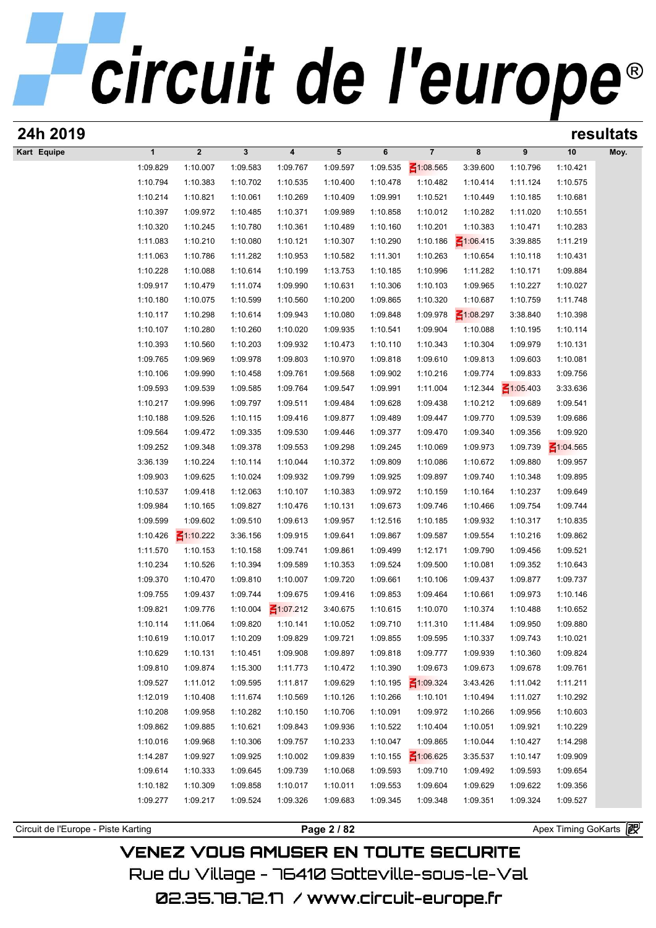| 24h 2019                            |                      |                             |                      |                         |                      |                      |                      |                      |                      |                       | resultats |
|-------------------------------------|----------------------|-----------------------------|----------------------|-------------------------|----------------------|----------------------|----------------------|----------------------|----------------------|-----------------------|-----------|
| Kart Equipe                         | $\mathbf{1}$         | $\boldsymbol{2}$            | 3                    | $\overline{\mathbf{4}}$ | 5                    | 6                    | $\overline{7}$       | 8                    | 9                    | 10                    | Moy.      |
|                                     | 1:09.829             | 1:10.007                    | 1:09.583             | 1:09.767                | 1:09.597             | 1:09.535             | $\leq 1:08.565$      | 3:39.600             | 1:10.796             | 1:10.421              |           |
|                                     | 1:10.794             | 1:10.383                    | 1:10.702             | 1:10.535                | 1:10.400             | 1:10.478             | 1:10.482             | 1:10.414             | 1:11.124             | 1:10.575              |           |
|                                     | 1:10.214             | 1:10.821                    | 1:10.061             | 1:10.269                | 1:10.409             | 1:09.991             | 1:10.521             | 1:10.449             | 1:10.185             | 1:10.681              |           |
|                                     | 1:10.397             | 1:09.972                    | 1:10.485             | 1:10.371                | 1:09.989             | 1:10.858             | 1:10.012             | 1:10.282             | 1:11.020             | 1:10.551              |           |
|                                     | 1:10.320             | 1:10.245                    | 1:10.780             | 1:10.361                | 1:10.489             | 1:10.160             | 1:10.201             | 1:10.383             | 1:10.471             | 1:10.283              |           |
|                                     | 1:11.083             | 1:10.210                    | 1:10.080             | 1:10.121                | 1:10.307             | 1:10.290             | 1:10.186             | $\leq 1:06.415$      | 3:39.885             | 1:11.219              |           |
|                                     | 1:11.063             | 1:10.786                    | 1:11.282             | 1:10.953                | 1:10.582             | 1:11.301             | 1:10.263             | 1:10.654             | 1:10.118             | 1:10.431              |           |
|                                     | 1:10.228             | 1:10.088                    | 1:10.614             | 1:10.199                | 1:13.753             | 1:10.185             | 1:10.996             | 1:11.282             | 1:10.171             | 1:09.884              |           |
|                                     | 1:09.917             | 1:10.479                    | 1:11.074             | 1:09.990                | 1:10.631             | 1:10.306             | 1:10.103             | 1:09.965             | 1:10.227             | 1:10.027              |           |
|                                     | 1:10.180             | 1:10.075                    | 1:10.599             | 1:10.560                | 1:10.200             | 1:09.865             | 1:10.320             | 1:10.687             | 1:10.759             | 1:11.748              |           |
|                                     | 1:10.117             | 1:10.298                    | 1:10.614             | 1:09.943                | 1:10.080             | 1:09.848             | 1:09.978             | $\leq 1:08.297$      | 3:38.840             | 1:10.398              |           |
|                                     | 1:10.107             | 1:10.280                    | 1:10.260             | 1:10.020                | 1:09.935             | 1:10.541             | 1:09.904             | 1:10.088             | 1:10.195             | 1:10.114              |           |
|                                     | 1:10.393             | 1:10.560                    | 1:10.203             | 1:09.932                | 1:10.473             | 1:10.110             | 1:10.343             | 1:10.304             | 1:09.979             | 1:10.131              |           |
|                                     | 1:09.765             | 1:09.969                    | 1:09.978             | 1:09.803                | 1:10.970             | 1:09.818             | 1:09.610             | 1:09.813             | 1:09.603             | 1:10.081              |           |
|                                     | 1:10.106             | 1:09.990                    | 1:10.458             | 1:09.761                | 1:09.568             | 1:09.902             | 1:10.216             | 1:09.774             | 1:09.833             | 1:09.756              |           |
|                                     | 1:09.593             | 1:09.539                    | 1:09.585             | 1:09.764                | 1:09.547             | 1:09.991             | 1:11.004             | 1:12.344             | $\leq 1:05.403$      | 3:33.636              |           |
|                                     | 1:10.217             | 1:09.996                    | 1:09.797             | 1:09.511                | 1:09.484             | 1:09.628             | 1:09.438             | 1:10.212             | 1:09.689             | 1:09.541              |           |
|                                     | 1:10.188             | 1:09.526                    | 1:10.115             | 1:09.416                | 1:09.877             | 1:09.489             | 1:09.447             | 1:09.770             | 1:09.539             | 1:09.686              |           |
|                                     | 1:09.564             | 1:09.472                    | 1:09.335             | 1:09.530                | 1:09.446             | 1:09.377             | 1:09.470             | 1:09.340             | 1:09.356             | 1:09.920              |           |
|                                     | 1:09.252             | 1:09.348                    | 1:09.378             | 1:09.553                | 1:09.298             | 1:09.245             | 1:10.069             | 1:09.973             | 1:09.739             | $\leq 1:04.565$       |           |
|                                     | 3:36.139             | 1:10.224                    | 1:10.114             | 1:10.044                | 1:10.372             | 1:09.809             | 1:10.086             | 1:10.672             | 1:09.880             | 1:09.957              |           |
|                                     | 1:09.903             | 1:09.625                    | 1:10.024             | 1:09.932                | 1:09.799             | 1:09.925             | 1:09.897             | 1:09.740             | 1:10.348             | 1:09.895              |           |
|                                     | 1:10.537             | 1:09.418                    | 1:12.063             | 1:10.107                | 1:10.383             | 1:09.972             | 1:10.159             | 1:10.164             | 1:10.237             | 1:09.649              |           |
|                                     | 1:09.984             | 1:10.165                    | 1:09.827             | 1:10.476                | 1:10.131             | 1:09.673             | 1:09.746             | 1:10.466             | 1:09.754             | 1:09.744              |           |
|                                     | 1:09.599             | 1:09.602                    | 1:09.510             | 1:09.613                | 1:09.957             | 1:12.516             | 1:10.185             | 1:09.932             | 1:10.317             | 1:10.835              |           |
|                                     | 1:10.426<br>1:11.570 | $\leq 1:10.222$<br>1:10.153 | 3:36.156             | 1:09.915<br>1:09.741    | 1:09.641<br>1:09.861 | 1:09.867<br>1:09.499 | 1:09.587<br>1:12.171 | 1:09.554<br>1:09.790 | 1:10.216<br>1:09.456 | 1:09.862<br>1:09.521  |           |
|                                     | 1:10.234             | 1:10.526                    | 1:10.158             | 1:09.589                |                      | 1:09.524             |                      | 1:10.081             | 1:09.352             | 1:10.643              |           |
|                                     | 1:09.370             | 1:10.470                    | 1:10.394<br>1:09.810 | 1:10.007                | 1:10.353<br>1:09.720 | 1:09.661             | 1:09.500<br>1:10.106 | 1:09.437             | 1:09.877             | 1:09.737              |           |
|                                     | 1:09.755             | 1:09.437                    | 1:09.744             | 1:09.675                | 1:09.416             | 1:09.853             | 1:09.464             | 1:10.661             | 1:09.973             | 1:10.146              |           |
|                                     | 1:09.821             | 1:09.776                    | 1:10.004             | $\leq 1:07.212$         | 3:40.675             | 1:10.615             | 1:10.070             | 1:10.374             | 1:10.488             | 1:10.652              |           |
|                                     | 1:10.114             | 1:11.064                    | 1:09.820             | 1:10.141                | 1:10.052             | 1:09.710             | 1:11.310             | 1:11.484             | 1:09.950             | 1:09.880              |           |
|                                     | 1:10.619             | 1:10.017                    | 1:10.209             | 1:09.829                | 1:09.721             | 1:09.855             | 1:09.595             | 1:10.337             | 1:09.743             | 1:10.021              |           |
|                                     | 1:10.629             | 1:10.131                    | 1:10.451             | 1:09.908                | 1:09.897             | 1:09.818             | 1:09.777             | 1:09.939             | 1:10.360             | 1:09.824              |           |
|                                     | 1:09.810             | 1:09.874                    | 1:15.300             | 1:11.773                | 1:10.472             | 1:10.390             | 1:09.673             | 1:09.673             | 1:09.678             | 1:09.761              |           |
|                                     | 1:09.527             | 1:11.012                    | 1:09.595             | 1:11.817                | 1:09.629             | 1:10.195             | $\leq 1:09.324$      | 3:43.426             | 1:11.042             | 1:11.211              |           |
|                                     | 1:12.019             | 1:10.408                    | 1:11.674             | 1:10.569                | 1:10.126             | 1:10.266             | 1:10.101             | 1:10.494             | 1:11.027             | 1:10.292              |           |
|                                     | 1:10.208             | 1:09.958                    | 1:10.282             | 1:10.150                | 1:10.706             | 1:10.091             | 1:09.972             | 1:10.266             | 1:09.956             | 1:10.603              |           |
|                                     | 1:09.862             | 1:09.885                    | 1:10.621             | 1:09.843                | 1:09.936             | 1:10.522             | 1:10.404             | 1:10.051             | 1:09.921             | 1:10.229              |           |
|                                     | 1:10.016             | 1:09.968                    | 1:10.306             | 1:09.757                | 1:10.233             | 1:10.047             | 1:09.865             | 1:10.044             | 1:10.427             | 1:14.298              |           |
|                                     | 1:14.287             | 1:09.927                    | 1:09.925             | 1:10.002                | 1:09.839             | 1:10.155             | $\leq 1:06.625$      | 3:35.537             | 1:10.147             | 1:09.909              |           |
|                                     | 1:09.614             | 1:10.333                    | 1:09.645             | 1:09.739                | 1:10.068             | 1:09.593             | 1:09.710             | 1:09.492             | 1:09.593             | 1:09.654              |           |
|                                     | 1:10.182             | 1:10.309                    | 1:09.858             | 1:10.017                | 1:10.011             | 1:09.553             | 1:09.604             | 1:09.629             | 1:09.622             | 1:09.356              |           |
|                                     | 1:09.277             | 1:09.217                    | 1:09.524             | 1:09.326                | 1:09.683             | 1:09.345             | 1:09.348             | 1:09.351             | 1:09.324             | 1:09.527              |           |
|                                     |                      |                             |                      |                         |                      |                      |                      |                      |                      |                       |           |
| Circuit de l'Europe - Piste Karting |                      |                             |                      |                         | Page 2 / 82          |                      |                      |                      |                      | Apex Timing GoKarts 2 |           |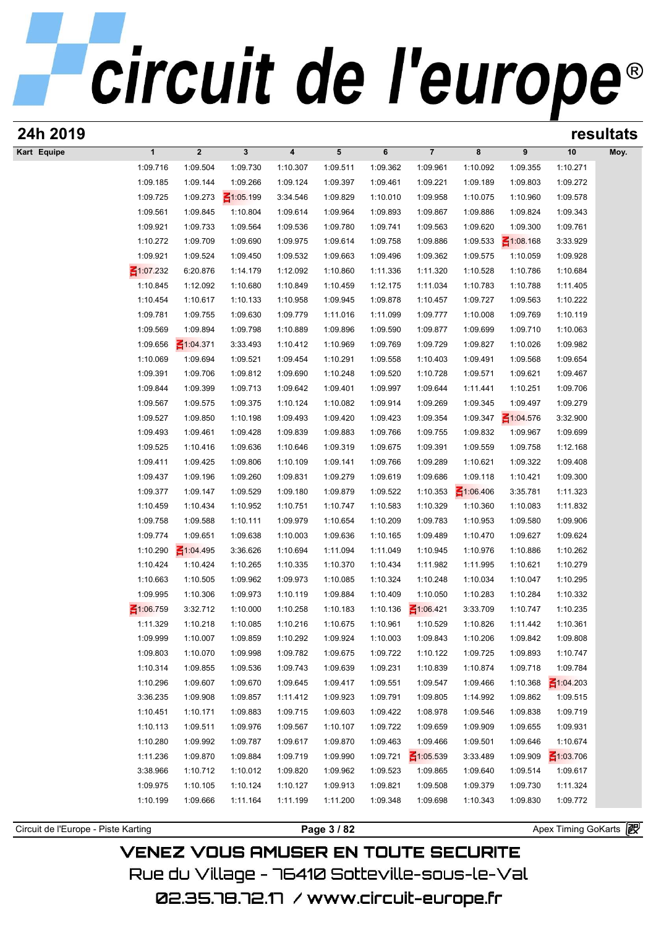| 24h 2019    |                      |                         |                      |          |                      |          |                 |                 |                      |                 | resultats |
|-------------|----------------------|-------------------------|----------------------|----------|----------------------|----------|-----------------|-----------------|----------------------|-----------------|-----------|
| Kart Equipe | $\mathbf{1}$         | $\overline{\mathbf{2}}$ | 3                    | 4        | $5\phantom{.0}$      | 6        | $\overline{7}$  | 8               | 9                    | 10              | Moy.      |
|             | 1:09.716             | 1:09.504                | 1:09.730             | 1:10.307 | 1:09.511             | 1:09.362 | 1:09.961        | 1:10.092        | 1:09.355             | 1:10.271        |           |
|             | 1:09.185             | 1:09.144                | 1:09.266             | 1:09.124 | 1:09.397             | 1:09.461 | 1:09.221        | 1:09.189        | 1:09.803             | 1:09.272        |           |
|             | 1:09.725             | 1:09.273                | $\leq 1:05.199$      | 3:34.546 | 1:09.829             | 1:10.010 | 1:09.958        | 1:10.075        | 1:10.960             | 1:09.578        |           |
|             | 1:09.561             | 1:09.845                | 1:10.804             | 1:09.614 | 1:09.964             | 1:09.893 | 1:09.867        | 1:09.886        | 1:09.824             | 1:09.343        |           |
|             | 1:09.921             | 1:09.733                | 1:09.564             | 1:09.536 | 1:09.780             | 1:09.741 | 1:09.563        | 1:09.620        | 1:09.300             | 1:09.761        |           |
|             | 1:10.272             | 1:09.709                | 1:09.690             | 1:09.975 | 1:09.614             | 1:09.758 | 1:09.886        | 1:09.533        | $\leq 1:08.168$      | 3:33.929        |           |
|             | 1:09.921             | 1:09.524                | 1:09.450             | 1:09.532 | 1:09.663             | 1:09.496 | 1:09.362        | 1:09.575        | 1:10.059             | 1:09.928        |           |
|             | $\leq 1:07.232$      | 6:20.876                | 1:14.179             | 1:12.092 | 1:10.860             | 1:11.336 | 1:11.320        | 1:10.528        | 1:10.786             | 1:10.684        |           |
|             | 1:10.845             | 1:12.092                | 1:10.680             | 1:10.849 | 1:10.459             | 1:12.175 | 1:11.034        | 1:10.783        | 1:10.788             | 1:11.405        |           |
|             | 1:10.454             | 1:10.617                | 1:10.133             | 1:10.958 | 1:09.945             | 1:09.878 | 1:10.457        | 1:09.727        | 1:09.563             | 1:10.222        |           |
|             | 1:09.781             | 1:09.755                | 1:09.630             | 1:09.779 | 1:11.016             | 1:11.099 | 1:09.777        | 1:10.008        | 1:09.769             | 1:10.119        |           |
|             | 1:09.569             | 1:09.894                | 1:09.798             | 1:10.889 | 1:09.896             | 1:09.590 | 1:09.877        | 1:09.699        | 1:09.710             | 1:10.063        |           |
|             | 1:09.656             | $\leq 1:04.371$         | 3:33.493             | 1:10.412 | 1:10.969             | 1:09.769 | 1:09.729        | 1:09.827        | 1:10.026             | 1:09.982        |           |
|             | 1:10.069             | 1:09.694                | 1:09.521             | 1:09.454 | 1:10.291             | 1:09.558 | 1:10.403        | 1:09.491        | 1:09.568             | 1:09.654        |           |
|             | 1:09.391             | 1:09.706                | 1:09.812             | 1:09.690 | 1:10.248             | 1:09.520 | 1:10.728        | 1:09.571        | 1:09.621             | 1:09.467        |           |
|             | 1:09.844             | 1:09.399                | 1:09.713             | 1:09.642 | 1:09.401             | 1:09.997 | 1:09.644        | 1:11.441        | 1:10.251             | 1:09.706        |           |
|             | 1:09.567             | 1:09.575                | 1:09.375             | 1:10.124 | 1:10.082             | 1:09.914 | 1:09.269        | 1:09.345        | 1:09.497             | 1:09.279        |           |
|             | 1:09.527             | 1:09.850                | 1:10.198             | 1:09.493 | 1:09.420             | 1:09.423 | 1:09.354        | 1:09.347        | $\leq 1:04.576$      | 3:32.900        |           |
|             | 1:09.493             | 1:09.461                | 1:09.428             | 1:09.839 | 1:09.883             | 1:09.766 | 1:09.755        | 1:09.832        | 1:09.967             | 1:09.699        |           |
|             |                      |                         |                      |          |                      |          |                 |                 |                      |                 |           |
|             | 1:09.525<br>1:09.411 | 1:10.416<br>1:09.425    | 1:09.636<br>1:09.806 | 1:10.646 | 1:09.319<br>1:09.141 | 1:09.675 | 1:09.391        | 1:09.559        | 1:09.758<br>1:09.322 | 1:12.168        |           |
|             |                      |                         |                      | 1:10.109 |                      | 1:09.766 | 1:09.289        | 1:10.621        |                      | 1:09.408        |           |
|             | 1:09.437             | 1:09.196                | 1:09.260             | 1:09.831 | 1:09.279             | 1:09.619 | 1:09.686        | 1:09.118        | 1:10.421             | 1:09.300        |           |
|             | 1:09.377             | 1:09.147                | 1:09.529             | 1:09.180 | 1:09.879             | 1:09.522 | 1:10.353        | $\leq 1:06.406$ | 3:35.781             | 1:11.323        |           |
|             | 1:10.459             | 1:10.434                | 1:10.952             | 1:10.751 | 1:10.747             | 1:10.583 | 1:10.329        | 1:10.360        | 1:10.083             | 1:11.832        |           |
|             | 1:09.758             | 1:09.588                | 1:10.111             | 1:09.979 | 1:10.654             | 1:10.209 | 1:09.783        | 1:10.953        | 1:09.580             | 1:09.906        |           |
|             | 1:09.774             | 1:09.651                | 1:09.638             | 1:10.003 | 1:09.636             | 1:10.165 | 1:09.489        | 1:10.470        | 1:09.627             | 1:09.624        |           |
|             | 1:10.290             | $\leq 1:04.495$         | 3:36.626             | 1:10.694 | 1:11.094             | 1:11.049 | 1:10.945        | 1:10.976        | 1:10.886             | 1:10.262        |           |
|             | 1:10.424             | 1:10.424                | 1:10.265             | 1:10.335 | 1:10.370             | 1:10.434 | 1:11.982        | 1:11.995        | 1:10.621             | 1:10.279        |           |
|             | 1:10.663             | 1:10.505                | 1:09.962             | 1:09.973 | 1:10.085             | 1:10.324 | 1:10.248        | 1:10.034        | 1:10.047             | 1:10.295        |           |
|             | 1:09.995             | 1:10.306                | 1:09.973             | 1:10.119 | 1:09.884             | 1:10.409 | 1:10.050        | 1:10.283        | 1:10.284             | 1:10.332        |           |
|             | ₹1:06.759            | 3:32.712                | 1:10.000             | 1:10.258 | 1:10.183             | 1:10.136 | $\leq 1:06.421$ | 3:33.709        | 1:10.747             | 1:10.235        |           |
|             | 1:11.329             | 1:10.218                | 1:10.085             | 1:10.216 | 1:10.675             | 1:10.961 | 1:10.529        | 1:10.826        | 1:11.442             | 1:10.361        |           |
|             | 1:09.999             | 1:10.007                | 1:09.859             | 1:10.292 | 1:09.924             | 1:10.003 | 1:09.843        | 1:10.206        | 1:09.842             | 1:09.808        |           |
|             | 1:09.803             | 1:10.070                | 1:09.998             | 1:09.782 | 1:09.675             | 1:09.722 | 1:10.122        | 1:09.725        | 1:09.893             | 1:10.747        |           |
|             | 1:10.314             | 1:09.855                | 1:09.536             | 1:09.743 | 1:09.639             | 1:09.231 | 1:10.839        | 1:10.874        | 1:09.718             | 1:09.784        |           |
|             | 1:10.296             | 1:09.607                | 1:09.670             | 1:09.645 | 1:09.417             | 1:09.551 | 1:09.547        | 1:09.466        | 1:10.368             | $\leq 1:04.203$ |           |
|             | 3:36.235             | 1:09.908                | 1:09.857             | 1:11.412 | 1:09.923             | 1:09.791 | 1:09.805        | 1:14.992        | 1:09.862             | 1:09.515        |           |
|             | 1:10.451             | 1:10.171                | 1:09.883             | 1:09.715 | 1:09.603             | 1:09.422 | 1:08.978        | 1:09.546        | 1:09.838             | 1:09.719        |           |
|             | 1:10.113             | 1:09.511                | 1:09.976             | 1:09.567 | 1:10.107             | 1:09.722 | 1:09.659        | 1:09.909        | 1:09.655             | 1:09.931        |           |
|             | 1:10.280             | 1:09.992                | 1:09.787             | 1:09.617 | 1:09.870             | 1:09.463 | 1:09.466        | 1:09.501        | 1:09.646             | 1:10.674        |           |
|             | 1:11.236             | 1:09.870                | 1:09.884             | 1:09.719 | 1:09.990             | 1:09.721 | $\leq 1:05.539$ | 3:33.489        | 1:09.909             | $\leq 1:03.706$ |           |
|             | 3:38.966             | 1:10.712                | 1:10.012             | 1:09.820 | 1:09.962             | 1:09.523 | 1:09.865        | 1:09.640        | 1:09.514             | 1:09.617        |           |
|             | 1:09.975             | 1:10.105                | 1:10.124             | 1:10.127 | 1:09.913             | 1:09.821 | 1:09.508        | 1:09.379        | 1:09.730             | 1:11.324        |           |
|             | 1:10.199             | 1:09.666                | 1:11.164             | 1:11.199 | 1:11.200             | 1:09.348 | 1:09.698        | 1:10.343        | 1:09.830             | 1:09.772        |           |
|             |                      |                         |                      |          |                      |          |                 |                 |                      |                 |           |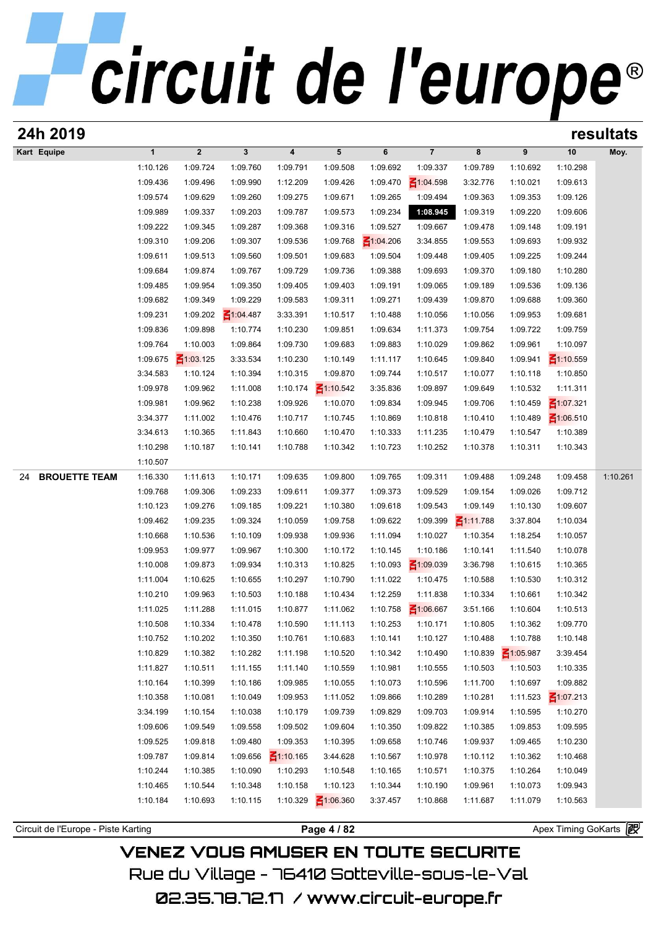|                            |                      |                      |                      |                      |                      |                      |                      |                      |                      |                                    | resultats |
|----------------------------|----------------------|----------------------|----------------------|----------------------|----------------------|----------------------|----------------------|----------------------|----------------------|------------------------------------|-----------|
| Kart Equipe                | $\mathbf{1}$         | $\boldsymbol{2}$     | $\mathbf{3}$         | 4                    | 5                    | 6                    | $\overline{7}$       | 8                    | 9                    | 10                                 | Moy.      |
|                            | 1:10.126             | 1:09.724             | 1:09.760             | 1:09.791             | 1:09.508             | 1:09.692             | 1:09.337             | 1:09.789             | 1:10.692             | 1:10.298                           |           |
|                            | 1:09.436             | 1:09.496             | 1:09.990             | 1:12.209             | 1:09.426             | 1:09.470             | 1:04.598             | 3:32.776             | 1:10.021             | 1:09.613                           |           |
|                            | 1:09.574             | 1:09.629             | 1:09.260             | 1:09.275             | 1:09.671             | 1:09.265             | 1:09.494             | 1:09.363             | 1:09.353             | 1:09.126                           |           |
|                            | 1:09.989             | 1:09.337             | 1:09.203             | 1:09.787             | 1:09.573             | 1:09.234             | 1:08.945             | 1:09.319             | 1:09.220             | 1:09.606                           |           |
|                            | 1:09.222             | 1:09.345             | 1:09.287             | 1:09.368             | 1:09.316             | 1:09.527             | 1:09.667             | 1:09.478             | 1:09.148             | 1:09.191                           |           |
|                            | 1:09.310             | 1:09.206             | 1:09.307             | 1:09.536             | 1:09.768             | $\leq 1:04.206$      | 3:34.855             | 1:09.553             | 1:09.693             | 1:09.932                           |           |
|                            | 1:09.611             | 1:09.513             | 1:09.560             | 1:09.501             | 1:09.683             | 1:09.504             | 1:09.448             | 1:09.405             | 1:09.225             | 1:09.244                           |           |
|                            | 1:09.684             | 1:09.874             | 1:09.767             | 1:09.729             | 1:09.736             | 1:09.388             | 1:09.693             | 1:09.370             | 1:09.180             | 1:10.280                           |           |
|                            | 1:09.485             | 1:09.954             | 1:09.350             | 1:09.405             | 1:09.403             | 1:09.191             | 1:09.065             | 1:09.189             | 1:09.536             | 1:09.136                           |           |
|                            | 1:09.682             | 1:09.349             | 1:09.229             | 1:09.583             | 1:09.311             | 1:09.271             | 1:09.439             | 1:09.870             | 1:09.688             | 1:09.360                           |           |
|                            | 1:09.231             | 1:09.202             | $\leq 1:04.487$      | 3:33.391             | 1:10.517             | 1:10.488             | 1:10.056             | 1:10.056             | 1:09.953             | 1:09.681                           |           |
|                            | 1:09.836             | 1:09.898             | 1:10.774             | 1:10.230             | 1:09.851             | 1:09.634             | 1:11.373             | 1:09.754             | 1:09.722             | 1:09.759                           |           |
|                            | 1:09.764             | 1:10.003             | 1:09.864             | 1:09.730             | 1:09.683             | 1:09.883             | 1:10.029             | 1:09.862             | 1:09.961             | 1:10.097                           |           |
|                            | 1:09.675             | $\leq 1:03.125$      | 3:33.534             | 1:10.230             | 1:10.149             | 1:11.117             | 1:10.645             | 1:09.840             | 1:09.941             | $\leq 1:10.559$                    |           |
|                            | 3:34.583             | 1:10.124             | 1:10.394             | 1:10.315             | 1:09.870             | 1:09.744             | 1:10.517             | 1:10.077             | 1:10.118             | 1:10.850                           |           |
|                            | 1:09.978             | 1:09.962             | 1:11.008             | 1:10.174             | $\leq 1:10.542$      | 3:35.836             | 1:09.897<br>1:09.945 | 1:09.649             | 1:10.532             | 1:11.311                           |           |
|                            | 1:09.981             | 1:09.962<br>1:11.002 | 1:10.238             | 1:09.926             | 1:10.070<br>1:10.745 | 1:09.834             | 1:10.818             | 1:09.706             | 1:10.459             | $\leq 1:07.321$<br>$\leq 1:06.510$ |           |
|                            | 3:34.377<br>3:34.613 | 1:10.365             | 1:10.476<br>1:11.843 | 1:10.717<br>1:10.660 | 1:10.470             | 1:10.869<br>1:10.333 | 1:11.235             | 1:10.410<br>1:10.479 | 1:10.489<br>1:10.547 | 1:10.389                           |           |
|                            | 1:10.298             | 1:10.187             | 1:10.141             | 1:10.788             | 1:10.342             | 1:10.723             | 1:10.252             | 1:10.378             | 1:10.311             | 1:10.343                           |           |
|                            | 1:10.507             |                      |                      |                      |                      |                      |                      |                      |                      |                                    |           |
| <b>BROUETTE TEAM</b><br>24 | 1:16.330             | 1:11.613             | 1:10.171             | 1:09.635             | 1:09.800             | 1:09.765             | 1:09.311             | 1:09.488             | 1:09.248             | 1:09.458                           | 1:10.261  |
|                            | 1:09.768             | 1:09.306             | 1:09.233             | 1:09.611             | 1:09.377             | 1:09.373             | 1:09.529             | 1:09.154             | 1:09.026             | 1:09.712                           |           |
|                            | 1:10.123             | 1:09.276             | 1:09.185             | 1:09.221             | 1:10.380             | 1:09.618             | 1:09.543             | 1:09.149             | 1:10.130             | 1:09.607                           |           |
|                            | 1:09.462             | 1:09.235             | 1:09.324             | 1:10.059             | 1:09.758             | 1:09.622             | 1:09.399             | $\leq 1:11.788$      | 3:37.804             | 1:10.034                           |           |
|                            | 1:10.668             | 1:10.536             | 1:10.109             | 1:09.938             | 1:09.936             | 1:11.094             | 1:10.027             | 1:10.354             | 1:18.254             | 1:10.057                           |           |
|                            | 1:09.953             | 1:09.977             | 1:09.967             | 1:10.300             | 1:10.172             | 1:10.145             | 1:10.186             | 1:10.141             | 1:11.540             | 1:10.078                           |           |
|                            | 1:10.008             | 1:09.873             | 1:09.934             | 1:10.313             | 1:10.825             | 1:10.093             | $\leq 1:09.039$      | 3:36.798             | 1:10.615             | 1:10.365                           |           |
|                            | 1:11.004             | 1:10.625             | 1:10.655             | 1:10.297             | 1:10.790             | 1:11.022             | 1:10.475             | 1:10.588             | 1:10.530             | 1:10.312                           |           |
|                            | 1:10.210             | 1:09.963             | 1:10.503             | 1:10.188             | 1:10.434             | 1:12.259             | 1:11.838             | 1:10.334             | 1:10.661             | 1:10.342                           |           |
|                            | 1:11.025             | 1:11.288             | 1:11.015             | 1:10.877             | 1:11.062             | 1:10.758             | $\leq 1:06.667$      | 3:51.166             | 1:10.604             | 1:10.513                           |           |
|                            | 1:10.508             | 1:10.334             | 1:10.478             | 1:10.590             | 1:11.113             | 1:10.253             | 1:10.171             | 1:10.805             | 1:10.362             | 1:09.770                           |           |
|                            | 1:10.752             | 1:10.202             | 1:10.350             | 1:10.761             | 1:10.683             | 1:10.141             | 1:10.127             | 1:10.488             | 1:10.788             | 1:10.148                           |           |
|                            | 1:10.829             | 1:10.382             | 1:10.282             | 1:11.198             | 1:10.520             | 1:10.342             | 1:10.490             | 1:10.839             | $\leq 1:05.987$      | 3:39.454                           |           |
|                            | 1:11.827             | 1:10.511             | 1:11.155             | 1:11.140             | 1:10.559             | 1:10.981             | 1:10.555             | 1:10.503             | 1:10.503             | 1:10.335                           |           |
|                            | 1:10.164             | 1:10.399             | 1:10.186             | 1:09.985             | 1:10.055             | 1:10.073             | 1:10.596             | 1:11.700             | 1:10.697             | 1:09.882                           |           |
|                            | 1:10.358             | 1:10.081             | 1:10.049             | 1:09.953             | 1:11.052             | 1:09.866             | 1:10.289             | 1:10.281             | 1:11.523             | $\leq 1:07.213$                    |           |
|                            | 3:34.199             | 1:10.154             | 1:10.038             | 1:10.179             | 1:09.739             | 1:09.829             | 1:09.703             | 1:09.914             | 1:10.595             | 1:10.270                           |           |
|                            | 1:09.606             | 1:09.549             | 1:09.558             | 1:09.502             | 1:09.604             | 1:10.350             | 1:09.822             | 1:10.385             | 1:09.853             | 1:09.595                           |           |
|                            | 1:09.525             | 1:09.818             | 1:09.480             | 1:09.353             | 1:10.395             | 1:09.658             | 1:10.746             | 1:09.937             | 1:09.465             | 1:10.230                           |           |
|                            | 1:09.787             | 1:09.814             | 1:09.656             | $\leq 1:10.165$      | 3:44.628             | 1:10.567             | 1:10.978             | 1:10.112             | 1:10.362             | 1:10.468                           |           |
|                            | 1:10.244             | 1:10.385             | 1:10.090             | 1:10.293             | 1:10.548             | 1:10.165             | 1:10.571             | 1:10.375             | 1:10.264             | 1:10.049                           |           |
|                            | 1:10.465             | 1:10.544             | 1:10.348             | 1:10.158             | 1:10.123             | 1:10.344             | 1:10.190             | 1:09.961             | 1:10.073             | 1:09.943                           |           |
|                            | 1:10.184             | 1:10.693             | 1:10.115             | 1:10.329             | $\leq 1:06.360$      | 3:37.457             | 1:10.868             | 1:11.687             | 1:11.079             | 1:10.563                           |           |
|                            |                      |                      |                      |                      |                      |                      |                      |                      |                      |                                    |           |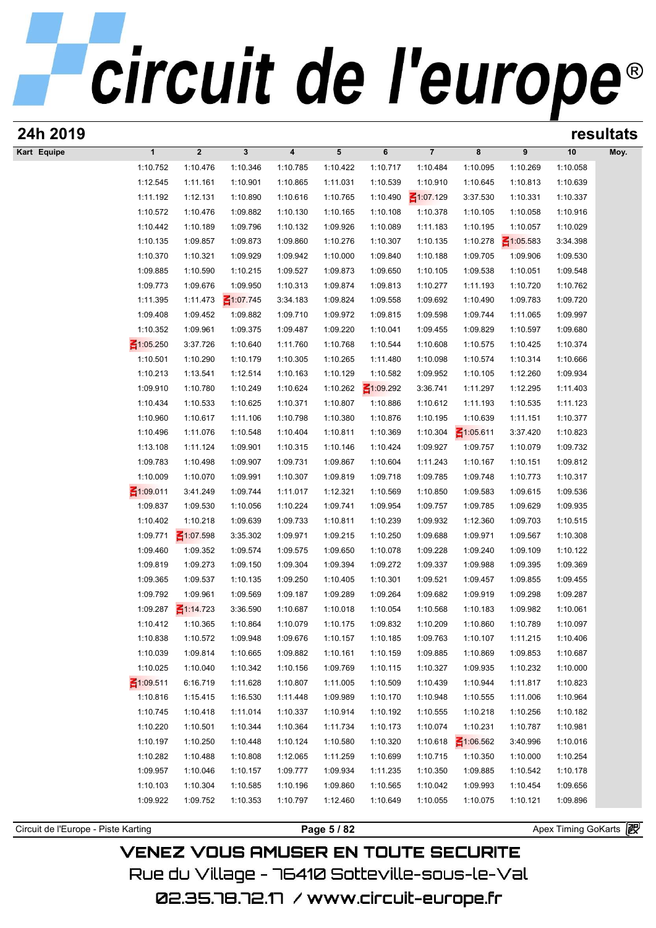| 24h 2019                            |                      |                         |                      |                      |                      |                      |                      |                      |                      |                       | resultats |
|-------------------------------------|----------------------|-------------------------|----------------------|----------------------|----------------------|----------------------|----------------------|----------------------|----------------------|-----------------------|-----------|
| Kart Equipe                         | $\mathbf{1}$         | $\overline{\mathbf{2}}$ | 3                    | $\boldsymbol{4}$     | 5                    | 6                    | $\overline{7}$       | 8                    | 9                    | 10                    | Moy.      |
|                                     | 1:10.752             | 1:10.476                | 1:10.346             | 1:10.785             | 1:10.422             | 1:10.717             | 1:10.484             | 1:10.095             | 1:10.269             | 1:10.058              |           |
|                                     | 1:12.545             | 1:11.161                | 1:10.901             | 1:10.865             | 1:11.031             | 1:10.539             | 1:10.910             | 1:10.645             | 1:10.813             | 1:10.639              |           |
|                                     | 1:11.192             | 1:12.131                | 1:10.890             | 1:10.616             | 1:10.765             | 1:10.490             | $\leq 1:07.129$      | 3:37.530             | 1:10.331             | 1:10.337              |           |
|                                     | 1:10.572             | 1:10.476                | 1:09.882             | 1:10.130             | 1:10.165             | 1:10.108             | 1:10.378             | 1:10.105             | 1:10.058             | 1:10.916              |           |
|                                     | 1:10.442             | 1:10.189                | 1:09.796             | 1:10.132             | 1:09.926             | 1:10.089             | 1:11.183             | 1:10.195             | 1:10.057             | 1:10.029              |           |
|                                     | 1:10.135             | 1:09.857                | 1:09.873             | 1:09.860             | 1:10.276             | 1:10.307             | 1:10.135             | 1:10.278             | $\leq 1:05.583$      | 3:34.398              |           |
|                                     | 1:10.370             | 1:10.321                | 1:09.929             | 1:09.942             | 1:10.000             | 1:09.840             | 1:10.188             | 1:09.705             | 1:09.906             | 1:09.530              |           |
|                                     | 1:09.885             | 1:10.590                | 1:10.215             | 1:09.527             | 1:09.873             | 1:09.650             | 1:10.105             | 1:09.538             | 1:10.051             | 1:09.548              |           |
|                                     | 1:09.773             | 1:09.676                | 1:09.950             | 1:10.313             | 1:09.874             | 1:09.813             | 1:10.277             | 1:11.193             | 1:10.720             | 1:10.762              |           |
|                                     | 1:11.395             | 1:11.473                | ₹1:07.745            | 3:34.183             | 1:09.824             | 1:09.558             | 1:09.692             | 1:10.490             | 1:09.783             | 1:09.720              |           |
|                                     | 1:09.408             | 1:09.452                | 1:09.882             | 1:09.710             | 1:09.972             | 1:09.815             | 1:09.598             | 1:09.744             | 1:11.065             | 1:09.997              |           |
|                                     | 1:10.352             | 1:09.961                | 1:09.375             | 1:09.487             | 1:09.220             | 1:10.041             | 1:09.455             | 1:09.829             | 1:10.597             | 1:09.680              |           |
|                                     | $\leq 1:05.250$      | 3:37.726                | 1:10.640             | 1:11.760             | 1:10.768             | 1:10.544             | 1:10.608             | 1:10.575             | 1:10.425             | 1:10.374              |           |
|                                     | 1:10.501             | 1:10.290                | 1:10.179             | 1:10.305             | 1:10.265             | 1:11.480             | 1:10.098             | 1:10.574             | 1:10.314             | 1:10.666              |           |
|                                     | 1:10.213             | 1:13.541                | 1:12.514             | 1:10.163             | 1:10.129             | 1:10.582             | 1:09.952             | 1:10.105             | 1:12.260             | 1:09.934              |           |
|                                     | 1:09.910             | 1:10.780                | 1:10.249             | 1:10.624             | 1:10.262             | $\leq 1:09.292$      | 3:36.741             | 1:11.297             | 1:12.295             | 1:11.403              |           |
|                                     | 1:10.434             | 1:10.533                | 1:10.625             | 1:10.371             | 1:10.807             | 1:10.886             | 1:10.612             | 1:11.193             | 1:10.535             | 1:11.123              |           |
|                                     | 1:10.960             | 1:10.617                | 1:11.106             | 1:10.798             | 1:10.380             | 1:10.876             | 1:10.195             | 1:10.639             | 1:11.151             | 1:10.377              |           |
|                                     | 1:10.496             | 1:11.076                | 1:10.548             | 1:10.404             | 1:10.811             | 1:10.369             | 1:10.304             | $\leq 1:05.611$      | 3:37.420             | 1:10.823              |           |
|                                     | 1:13.108<br>1:09.783 | 1:11.124                | 1:09.901             | 1:10.315             | 1:10.146             | 1:10.424             | 1:09.927             | 1:09.757             | 1:10.079             | 1:09.732              |           |
|                                     | 1:10.009             | 1:10.498<br>1:10.070    | 1:09.907             | 1:09.731             | 1:09.867             | 1:10.604<br>1:09.718 | 1:11.243<br>1:09.785 | 1:10.167<br>1:09.748 | 1:10.151<br>1:10.773 | 1:09.812<br>1:10.317  |           |
|                                     | ₹1:09.011            | 3:41.249                | 1:09.991<br>1:09.744 | 1:10.307<br>1:11.017 | 1:09.819<br>1:12.321 | 1:10.569             | 1:10.850             | 1:09.583             | 1:09.615             | 1:09.536              |           |
|                                     | 1:09.837             | 1:09.530                | 1:10.056             | 1:10.224             | 1:09.741             | 1:09.954             | 1:09.757             | 1:09.785             | 1:09.629             | 1:09.935              |           |
|                                     | 1:10.402             | 1:10.218                | 1:09.639             | 1:09.733             | 1:10.811             | 1:10.239             | 1:09.932             | 1:12.360             | 1:09.703             | 1:10.515              |           |
|                                     | 1:09.771             | $\leq 1:07.598$         | 3:35.302             | 1:09.971             | 1:09.215             | 1:10.250             | 1:09.688             | 1:09.971             | 1:09.567             | 1:10.308              |           |
|                                     | 1:09.460             | 1:09.352                | 1:09.574             | 1:09.575             | 1:09.650             | 1:10.078             | 1:09.228             | 1:09.240             | 1:09.109             | 1:10.122              |           |
|                                     | 1:09.819             | 1:09.273                | 1:09.150             | 1:09.304             | 1:09.394             | 1:09.272             | 1:09.337             | 1:09.988             | 1:09.395             | 1:09.369              |           |
|                                     | 1:09.365             | 1:09.537                | 1:10.135             | 1:09.250             | 1:10.405             | 1:10.301             | 1:09.521             | 1:09.457             | 1:09.855             | 1:09.455              |           |
|                                     | 1:09.792             | 1:09.961                | 1:09.569             | 1:09.187             | 1:09.289             | 1:09.264             | 1:09.682             | 1:09.919             | 1:09.298             | 1:09.287              |           |
|                                     | 1:09.287             | $\leq$ 1:14.723         | 3:36.590             | 1:10.687             | 1:10.018             | 1:10.054             | 1:10.568             | 1:10.183             | 1:09.982             | 1:10.061              |           |
|                                     | 1:10.412             | 1:10.365                | 1:10.864             | 1:10.079             | 1:10.175             | 1:09.832             | 1:10.209             | 1:10.860             | 1:10.789             | 1:10.097              |           |
|                                     | 1:10.838             | 1:10.572                | 1:09.948             | 1:09.676             | 1:10.157             | 1:10.185             | 1:09.763             | 1:10.107             | 1:11.215             | 1:10.406              |           |
|                                     | 1:10.039             | 1:09.814                | 1:10.665             | 1:09.882             | 1:10.161             | 1:10.159             | 1:09.885             | 1:10.869             | 1:09.853             | 1:10.687              |           |
|                                     | 1:10.025             | 1:10.040                | 1:10.342             | 1:10.156             | 1:09.769             | 1:10.115             | 1:10.327             | 1:09.935             | 1:10.232             | 1:10.000              |           |
|                                     | $\leq 1:09.511$      | 6:16.719                | 1:11.628             | 1:10.807             | 1:11.005             | 1:10.509             | 1:10.439             | 1:10.944             | 1:11.817             | 1:10.823              |           |
|                                     | 1:10.816             | 1:15.415                | 1:16.530             | 1:11.448             | 1:09.989             | 1:10.170             | 1:10.948             | 1:10.555             | 1:11.006             | 1:10.964              |           |
|                                     | 1:10.745             | 1:10.418                | 1:11.014             | 1:10.337             | 1:10.914             | 1:10.192             | 1:10.555             | 1:10.218             | 1:10.256             | 1:10.182              |           |
|                                     | 1:10.220             | 1:10.501                | 1:10.344             | 1:10.364             | 1:11.734             | 1:10.173             | 1:10.074             | 1:10.231             | 1:10.787             | 1:10.981              |           |
|                                     | 1:10.197             | 1:10.250                | 1:10.448             | 1:10.124             | 1:10.580             | 1:10.320             | 1:10.618             | $\leq 1:06.562$      | 3:40.996             | 1:10.016              |           |
|                                     | 1:10.282             | 1:10.488                | 1:10.808             | 1:12.065             | 1:11.259             | 1:10.699             | 1:10.715             | 1:10.350             | 1:10.000             | 1:10.254              |           |
|                                     | 1:09.957             | 1:10.046                | 1:10.157             | 1:09.777             | 1:09.934             | 1:11.235             | 1:10.350             | 1:09.885             | 1:10.542             | 1:10.178              |           |
|                                     | 1:10.103             | 1:10.304                | 1:10.585             | 1:10.196             | 1:09.860             | 1:10.565             | 1:10.042             | 1:09.993             | 1:10.454             | 1:09.656              |           |
|                                     | 1:09.922             | 1:09.752                | 1:10.353             | 1:10.797             | 1:12.460             | 1:10.649             | 1:10.055             | 1:10.075             | 1:10.121             | 1:09.896              |           |
|                                     |                      |                         |                      |                      |                      |                      |                      |                      |                      |                       |           |
| Circuit de l'Europe - Piste Karting |                      |                         |                      |                      | Page 5 / 82          |                      |                      |                      |                      | Apex Timing GoKarts 2 |           |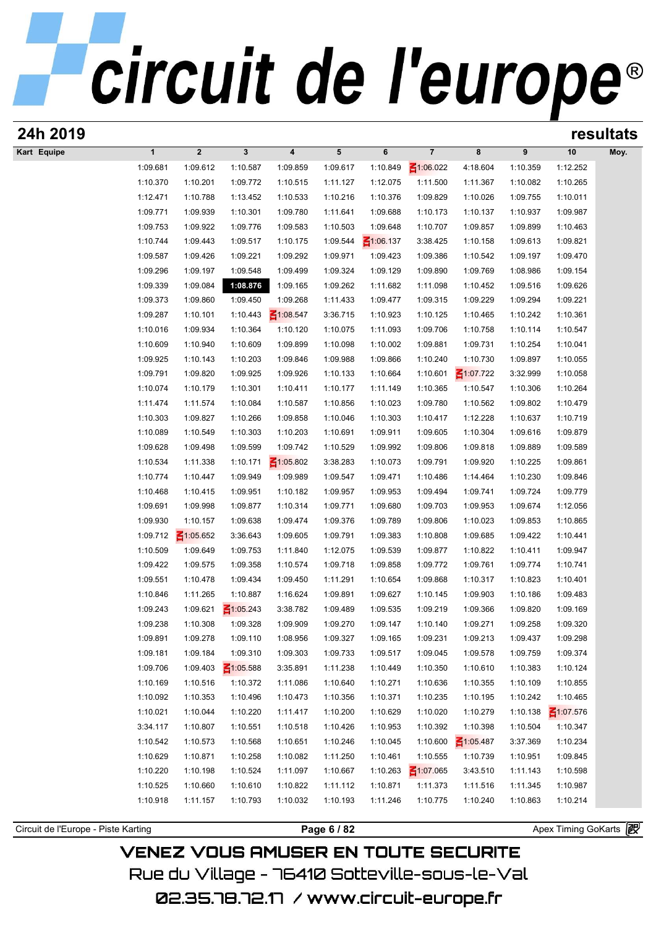| 24h 2019    |              |                 |                 |                         |          |                 |                 |                 |          |                 | resultats |
|-------------|--------------|-----------------|-----------------|-------------------------|----------|-----------------|-----------------|-----------------|----------|-----------------|-----------|
| Kart Equipe | $\mathbf{1}$ | $\overline{2}$  | 3               | $\overline{\mathbf{4}}$ | 5        | 6               | $\overline{7}$  | 8               | 9        | 10              | Moy.      |
|             | 1:09.681     | 1:09.612        | 1:10.587        | 1:09.859                | 1:09.617 | 1:10.849        | $\leq 1:06.022$ | 4:18.604        | 1:10.359 | 1:12.252        |           |
|             | 1:10.370     | 1:10.201        | 1:09.772        | 1:10.515                | 1:11.127 | 1:12.075        | 1:11.500        | 1:11.367        | 1:10.082 | 1:10.265        |           |
|             | 1:12.471     | 1:10.788        | 1:13.452        | 1:10.533                | 1:10.216 | 1:10.376        | 1:09.829        | 1:10.026        | 1:09.755 | 1:10.011        |           |
|             | 1:09.771     | 1:09.939        | 1:10.301        | 1:09.780                | 1:11.641 | 1:09.688        | 1:10.173        | 1:10.137        | 1:10.937 | 1:09.987        |           |
|             | 1:09.753     | 1:09.922        | 1:09.776        | 1:09.583                | 1:10.503 | 1:09.648        | 1:10.707        | 1:09.857        | 1:09.899 | 1:10.463        |           |
|             | 1:10.744     | 1:09.443        | 1:09.517        | 1:10.175                | 1:09.544 | $\leq 1:06.137$ | 3:38.425        | 1:10.158        | 1:09.613 | 1:09.821        |           |
|             | 1:09.587     | 1:09.426        | 1:09.221        | 1:09.292                | 1:09.971 | 1:09.423        | 1:09.386        | 1:10.542        | 1:09.197 | 1:09.470        |           |
|             | 1:09.296     | 1:09.197        | 1:09.548        | 1:09.499                | 1:09.324 | 1:09.129        | 1:09.890        | 1:09.769        | 1:08.986 | 1:09.154        |           |
|             | 1:09.339     | 1:09.084        | 1:08.876        | 1:09.165                | 1:09.262 | 1:11.682        | 1:11.098        | 1:10.452        | 1:09.516 | 1:09.626        |           |
|             | 1:09.373     | 1:09.860        | 1:09.450        | 1:09.268                | 1:11.433 | 1:09.477        | 1:09.315        | 1:09.229        | 1:09.294 | 1:09.221        |           |
|             | 1:09.287     | 1:10.101        | 1:10.443        | $\leq 1:08.547$         | 3:36.715 | 1:10.923        | 1:10.125        | 1:10.465        | 1:10.242 | 1:10.361        |           |
|             | 1:10.016     | 1:09.934        | 1:10.364        | 1:10.120                | 1:10.075 | 1:11.093        | 1:09.706        | 1:10.758        | 1:10.114 | 1:10.547        |           |
|             | 1:10.609     | 1:10.940        | 1:10.609        | 1:09.899                | 1:10.098 | 1:10.002        | 1:09.881        | 1:09.731        | 1:10.254 | 1:10.041        |           |
|             | 1:09.925     | 1:10.143        | 1:10.203        | 1:09.846                | 1:09.988 | 1:09.866        | 1:10.240        | 1:10.730        | 1:09.897 | 1:10.055        |           |
|             | 1:09.791     | 1:09.820        | 1:09.925        | 1:09.926                | 1:10.133 | 1:10.664        | 1:10.601        | $\leq 1:07.722$ | 3:32.999 | 1:10.058        |           |
|             | 1:10.074     | 1:10.179        | 1:10.301        | 1:10.411                | 1:10.177 | 1:11.149        | 1:10.365        | 1:10.547        | 1:10.306 | 1:10.264        |           |
|             | 1:11.474     | 1:11.574        | 1:10.084        | 1:10.587                | 1:10.856 | 1:10.023        | 1:09.780        | 1:10.562        | 1:09.802 | 1:10.479        |           |
|             | 1:10.303     | 1:09.827        | 1:10.266        | 1:09.858                | 1:10.046 | 1:10.303        | 1:10.417        | 1:12.228        | 1:10.637 | 1:10.719        |           |
|             | 1:10.089     | 1:10.549        | 1:10.303        | 1:10.203                | 1:10.691 | 1:09.911        | 1:09.605        | 1:10.304        | 1:09.616 | 1:09.879        |           |
|             | 1:09.628     | 1:09.498        | 1:09.599        | 1:09.742                | 1:10.529 | 1:09.992        | 1:09.806        | 1:09.818        | 1:09.889 | 1:09.589        |           |
|             | 1:10.534     | 1:11.338        | 1:10.171        | $\leq 1:05.802$         | 3:38.283 | 1:10.073        | 1:09.791        | 1:09.920        | 1:10.225 | 1:09.861        |           |
|             | 1:10.774     | 1:10.447        | 1:09.949        | 1:09.989                | 1:09.547 | 1:09.471        | 1:10.486        | 1:14.464        | 1:10.230 | 1:09.846        |           |
|             | 1:10.468     | 1:10.415        | 1:09.951        | 1:10.182                | 1:09.957 | 1:09.953        | 1:09.494        | 1:09.741        | 1:09.724 | 1:09.779        |           |
|             | 1:09.691     | 1:09.998        | 1:09.877        | 1:10.314                | 1:09.771 | 1:09.680        | 1:09.703        | 1:09.953        | 1:09.674 | 1:12.056        |           |
|             | 1:09.930     | 1:10.157        | 1:09.638        | 1:09.474                | 1:09.376 | 1:09.789        | 1:09.806        | 1:10.023        | 1:09.853 | 1:10.865        |           |
|             | 1:09.712     | $\leq 1:05.652$ | 3:36.643        | 1:09.605                | 1:09.791 | 1:09.383        | 1:10.808        | 1:09.685        | 1:09.422 | 1:10.441        |           |
|             | 1:10.509     | 1:09.649        | 1:09.753        | 1:11.840                | 1:12.075 | 1:09.539        | 1:09.877        | 1:10.822        | 1:10.411 | 1:09.947        |           |
|             | 1:09.422     | 1:09.575        | 1:09.358        | 1:10.574                | 1:09.718 | 1:09.858        | 1:09.772        | 1:09.761        | 1:09.774 | 1:10.741        |           |
|             | 1:09.551     | 1:10.478        | 1:09.434        | 1:09.450                | 1:11.291 | 1:10.654        | 1:09.868        | 1:10.317        | 1:10.823 | 1:10.401        |           |
|             | 1:10.846     | 1:11.265        | 1:10.887        | 1:16.624                | 1:09.891 | 1:09.627        | 1:10.145        | 1:09.903        | 1:10.186 | 1:09.483        |           |
|             | 1:09.243     | 1:09.621        | $\leq 1:05.243$ | 3:38.782                | 1:09.489 | 1:09.535        | 1:09.219        | 1:09.366        | 1:09.820 | 1:09.169        |           |
|             | 1:09.238     | 1:10.308        | 1:09.328        | 1:09.909                | 1:09.270 | 1:09.147        | 1:10.140        | 1:09.271        | 1:09.258 | 1:09.320        |           |
|             | 1:09.891     | 1:09.278        | 1:09.110        | 1:08.956                | 1:09.327 | 1:09.165        | 1:09.231        | 1:09.213        | 1:09.437 | 1:09.298        |           |
|             | 1:09.181     | 1:09.184        | 1:09.310        | 1:09.303                | 1:09.733 | 1:09.517        | 1:09.045        | 1:09.578        | 1:09.759 | 1:09.374        |           |
|             | 1:09.706     | 1:09.403        | $\leq 1:05.588$ | 3:35.891                | 1:11.238 | 1:10.449        | 1:10.350        | 1:10.610        | 1:10.383 | 1:10.124        |           |
|             | 1:10.169     | 1:10.516        | 1:10.372        | 1:11.086                | 1:10.640 | 1:10.271        | 1:10.636        | 1:10.355        | 1:10.109 | 1:10.855        |           |
|             | 1:10.092     | 1:10.353        | 1:10.496        | 1:10.473                | 1:10.356 | 1:10.371        | 1:10.235        | 1:10.195        | 1:10.242 | 1:10.465        |           |
|             | 1:10.021     | 1:10.044        | 1:10.220        | 1:11.417                | 1:10.200 | 1:10.629        | 1:10.020        | 1:10.279        | 1:10.138 | $\leq 1:07.576$ |           |
|             | 3:34.117     | 1:10.807        | 1:10.551        | 1:10.518                | 1:10.426 | 1:10.953        | 1:10.392        | 1:10.398        | 1:10.504 | 1:10.347        |           |
|             | 1:10.542     | 1:10.573        | 1:10.568        | 1:10.651                | 1:10.246 | 1:10.045        | 1:10.600        | $\leq 1:05.487$ | 3:37.369 | 1:10.234        |           |
|             | 1:10.629     | 1:10.871        | 1:10.258        | 1:10.082                | 1:11.250 | 1:10.461        | 1:10.555        | 1:10.739        | 1:10.951 | 1:09.845        |           |
|             | 1:10.220     | 1:10.198        | 1:10.524        | 1:11.097                | 1:10.667 | 1:10.263        | $\leq 1:07.065$ | 3:43.510        | 1:11.143 | 1:10.598        |           |
|             | 1:10.525     | 1:10.660        | 1:10.610        | 1:10.822                | 1:11.112 | 1:10.871        | 1:11.373        | 1:11.516        | 1:11.345 | 1:10.987        |           |
|             | 1:10.918     | 1:11.157        | 1:10.793        | 1:10.032                | 1:10.193 | 1:11.246        | 1:10.775        | 1:10.240        | 1:10.863 | 1:10.214        |           |
|             |              |                 |                 |                         |          |                 |                 |                 |          |                 |           |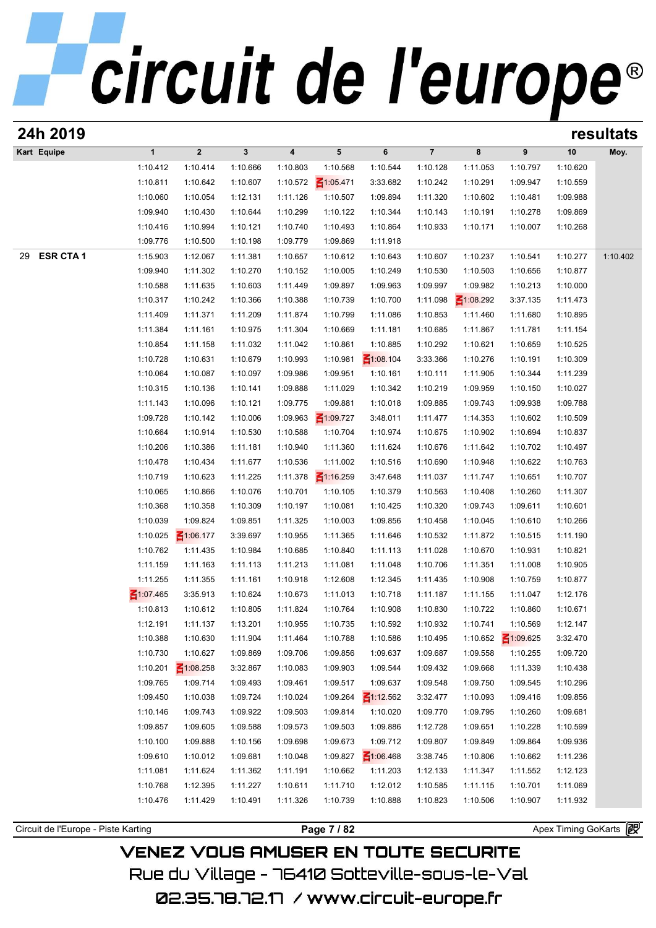| 24h 2019              |              |                 |          |          |                 |                 |                |                 |                 |          | resultats |
|-----------------------|--------------|-----------------|----------|----------|-----------------|-----------------|----------------|-----------------|-----------------|----------|-----------|
| Kart Equipe           | $\mathbf{1}$ | $\overline{2}$  | 3        | 4        | $5\phantom{.0}$ | 6               | $\overline{7}$ | 8               | 9               | 10       | Moy.      |
|                       | 1:10.412     | 1:10.414        | 1:10.666 | 1:10.803 | 1:10.568        | 1:10.544        | 1:10.128       | 1:11.053        | 1:10.797        | 1:10.620 |           |
|                       | 1:10.811     | 1:10.642        | 1:10.607 | 1:10.572 | $\leq 1:05.471$ | 3:33.682        | 1:10.242       | 1:10.291        | 1:09.947        | 1:10.559 |           |
|                       | 1:10.060     | 1:10.054        | 1:12.131 | 1:11.126 | 1:10.507        | 1:09.894        | 1:11.320       | 1:10.602        | 1:10.481        | 1:09.988 |           |
|                       | 1:09.940     | 1:10.430        | 1:10.644 | 1:10.299 | 1:10.122        | 1:10.344        | 1:10.143       | 1:10.191        | 1:10.278        | 1:09.869 |           |
|                       | 1:10.416     | 1:10.994        | 1:10.121 | 1:10.740 | 1:10.493        | 1:10.864        | 1:10.933       | 1:10.171        | 1:10.007        | 1:10.268 |           |
|                       | 1:09.776     | 1:10.500        | 1:10.198 | 1:09.779 | 1:09.869        | 1:11.918        |                |                 |                 |          |           |
| <b>ESR CTA1</b><br>29 | 1:15.903     | 1:12.067        | 1:11.381 | 1:10.657 | 1:10.612        | 1:10.643        | 1:10.607       | 1:10.237        | 1:10.541        | 1:10.277 | 1:10.402  |
|                       | 1:09.940     | 1:11.302        | 1:10.270 | 1:10.152 | 1:10.005        | 1:10.249        | 1:10.530       | 1:10.503        | 1:10.656        | 1:10.877 |           |
|                       | 1:10.588     | 1:11.635        | 1:10.603 | 1:11.449 | 1:09.897        | 1:09.963        | 1:09.997       | 1:09.982        | 1:10.213        | 1:10.000 |           |
|                       | 1:10.317     | 1:10.242        | 1:10.366 | 1:10.388 | 1:10.739        | 1:10.700        | 1:11.098       | $\leq 1:08.292$ | 3:37.135        | 1:11.473 |           |
|                       | 1:11.409     | 1:11.371        | 1:11.209 | 1:11.874 | 1:10.799        | 1:11.086        | 1:10.853       | 1:11.460        | 1:11.680        | 1:10.895 |           |
|                       | 1:11.384     | 1:11.161        | 1:10.975 | 1:11.304 | 1:10.669        | 1:11.181        | 1:10.685       | 1:11.867        | 1:11.781        | 1:11.154 |           |
|                       | 1:10.854     | 1:11.158        | 1:11.032 | 1:11.042 | 1:10.861        | 1:10.885        | 1:10.292       | 1:10.621        | 1:10.659        | 1:10.525 |           |
|                       | 1:10.728     | 1:10.631        | 1:10.679 | 1:10.993 | 1:10.981        | $\leq 1:08.104$ | 3:33.366       | 1:10.276        | 1:10.191        | 1:10.309 |           |
|                       | 1:10.064     | 1:10.087        | 1:10.097 | 1:09.986 | 1:09.951        | 1:10.161        | 1:10.111       | 1:11.905        | 1:10.344        | 1:11.239 |           |
|                       | 1:10.315     | 1:10.136        | 1:10.141 | 1:09.888 | 1:11.029        | 1:10.342        | 1:10.219       | 1:09.959        | 1:10.150        | 1:10.027 |           |
|                       | 1:11.143     | 1:10.096        | 1:10.121 | 1:09.775 | 1:09.881        | 1:10.018        | 1:09.885       | 1:09.743        | 1:09.938        | 1:09.788 |           |
|                       | 1:09.728     | 1:10.142        | 1:10.006 | 1:09.963 | $\leq 1:09.727$ | 3:48.011        | 1:11.477       | 1:14.353        | 1:10.602        | 1:10.509 |           |
|                       | 1:10.664     | 1:10.914        | 1:10.530 | 1:10.588 | 1:10.704        | 1:10.974        | 1:10.675       | 1:10.902        | 1:10.694        | 1:10.837 |           |
|                       | 1:10.206     | 1:10.386        | 1:11.181 | 1:10.940 | 1:11.360        | 1:11.624        | 1:10.676       | 1:11.642        | 1:10.702        | 1:10.497 |           |
|                       | 1:10.478     | 1:10.434        | 1:11.677 | 1:10.536 | 1:11.002        | 1:10.516        | 1:10.690       | 1:10.948        | 1:10.622        | 1:10.763 |           |
|                       | 1:10.719     | 1:10.623        | 1:11.225 | 1:11.378 | $\leq 1:16.259$ | 3:47.648        | 1:11.037       | 1:11.747        | 1:10.651        | 1:10.707 |           |
|                       | 1:10.065     | 1:10.866        | 1:10.076 | 1:10.701 | 1:10.105        | 1:10.379        | 1:10.563       | 1:10.408        | 1:10.260        | 1:11.307 |           |
|                       | 1:10.368     | 1:10.358        | 1:10.309 | 1:10.197 | 1:10.081        | 1:10.425        | 1:10.320       | 1:09.743        | 1:09.611        | 1:10.601 |           |
|                       | 1:10.039     | 1:09.824        | 1:09.851 | 1:11.325 | 1:10.003        | 1:09.856        | 1:10.458       | 1:10.045        | 1:10.610        | 1:10.266 |           |
|                       | 1:10.025     | $\leq 1:06.177$ | 3:39.697 | 1:10.955 | 1:11.365        | 1:11.646        | 1:10.532       | 1:11.872        | 1:10.515        | 1:11.190 |           |
|                       | 1:10.762     | 1:11.435        | 1:10.984 | 1:10.685 | 1:10.840        | 1:11.113        | 1:11.028       | 1:10.670        | 1:10.931        | 1:10.821 |           |
|                       | 1:11.159     | 1:11.163        | 1:11.113 | 1:11.213 | 1:11.081        | 1:11.048        | 1:10.706       | 1:11.351        | 1:11.008        | 1:10.905 |           |
|                       | 1:11.255     | 1:11.355        | 1:11.161 | 1:10.918 | 1:12.608        | 1:12.345        | 1:11.435       | 1:10.908        | 1:10.759        | 1:10.877 |           |
|                       | 1:07.465     | 3:35.913        | 1:10.624 | 1:10.673 | 1:11.013        | 1:10.718        | 1:11.187       | 1:11.155        | 1:11.047        | 1:12.176 |           |
|                       | 1:10.813     | 1:10.612        | 1:10.805 | 1:11.824 | 1:10.764        | 1:10.908        | 1:10.830       | 1:10.722        | 1:10.860        | 1:10.671 |           |
|                       | 1:12.191     | 1:11.137        | 1:13.201 | 1:10.955 | 1:10.735        | 1:10.592        | 1:10.932       | 1:10.741        | 1:10.569        | 1:12.147 |           |
|                       | 1:10.388     | 1:10.630        | 1:11.904 | 1:11.464 | 1:10.788        | 1:10.586        | 1:10.495       | 1:10.652        | $\leq 1:09.625$ | 3:32.470 |           |
|                       | 1:10.730     | 1:10.627        | 1:09.869 | 1:09.706 | 1:09.856        | 1:09.637        | 1:09.687       | 1:09.558        | 1:10.255        | 1:09.720 |           |
|                       | 1:10.201     | $\leq 1:08.258$ | 3:32.867 | 1:10.083 | 1:09.903        | 1:09.544        | 1:09.432       | 1:09.668        | 1:11.339        | 1:10.438 |           |
|                       | 1:09.765     | 1:09.714        | 1:09.493 | 1:09.461 | 1:09.517        | 1:09.637        | 1:09.548       | 1:09.750        | 1:09.545        | 1:10.296 |           |
|                       | 1:09.450     | 1:10.038        | 1:09.724 | 1:10.024 | 1:09.264        | $\leq 1:12.562$ | 3:32.477       | 1:10.093        | 1:09.416        | 1:09.856 |           |
|                       | 1:10.146     | 1:09.743        | 1:09.922 | 1:09.503 | 1:09.814        | 1:10.020        | 1:09.770       | 1:09.795        | 1:10.260        | 1:09.681 |           |
|                       | 1:09.857     | 1:09.605        | 1:09.588 | 1:09.573 | 1:09.503        | 1:09.886        | 1:12.728       | 1:09.651        | 1:10.228        | 1:10.599 |           |
|                       | 1:10.100     | 1:09.888        | 1:10.156 | 1:09.698 | 1:09.673        | 1:09.712        | 1:09.807       | 1:09.849        | 1:09.864        | 1:09.936 |           |
|                       | 1:09.610     | 1:10.012        | 1:09.681 | 1:10.048 | 1:09.827        | $\leq 1:06.468$ | 3:38.745       | 1:10.806        | 1:10.662        | 1:11.236 |           |
|                       | 1:11.081     | 1:11.624        | 1:11.362 | 1:11.191 | 1:10.662        | 1:11.203        | 1:12.133       | 1:11.347        | 1:11.552        | 1:12.123 |           |
|                       | 1:10.768     | 1:12.395        | 1:11.227 | 1:10.611 | 1:11.710        | 1:12.012        | 1:10.585       | 1:11.115        | 1:10.701        | 1:11.069 |           |
|                       | 1:10.476     | 1:11.429        | 1:10.491 | 1:11.326 | 1:10.739        | 1:10.888        | 1:10.823       | 1:10.506        | 1:10.907        | 1:11.932 |           |
|                       |              |                 |          |          |                 |                 |                |                 |                 |          |           |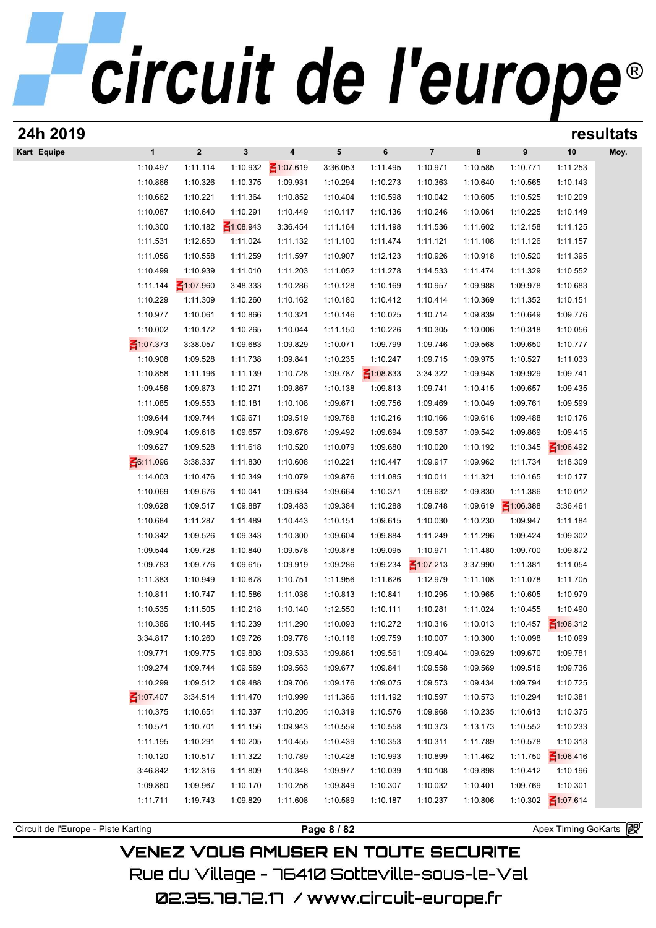| $\boldsymbol{2}$<br>$\mathbf 3$<br>$\overline{7}$<br>10<br>$\mathbf{1}$<br>4<br>5<br>6<br>8<br>9<br>Moy.<br>₹1:07.619<br>1:10.497<br>1:11.114<br>1:10.932<br>3:36.053<br>1:11.495<br>1:10.971<br>1:10.585<br>1:10.771<br>1:11.253<br>1:10.866<br>1:10.326<br>1:10.375<br>1:09.931<br>1:10.294<br>1:10.273<br>1:10.363<br>1:10.640<br>1:10.565<br>1:10.143<br>1:10.662<br>1:10.852<br>1:10.209<br>1:10.221<br>1:11.364<br>1:10.404<br>1:10.598<br>1:10.042<br>1:10.605<br>1:10.525<br>1:10.640<br>1:10.087<br>1:10.291<br>1:10.449<br>1:10.117<br>1:10.136<br>1:10.246<br>1:10.061<br>1:10.225<br>1:10.149<br>$\leq 1:08.943$<br>1:10.300<br>1:10.182<br>3:36.454<br>1:11.536<br>1:12.158<br>1:11.164<br>1:11.198<br>1:11.602<br>1:11.125<br>1:11.531<br>1:12.650<br>1:11.126<br>1:11.024<br>1:11.132<br>1:11.100<br>1:11.474<br>1:11.121<br>1:11.108<br>1:11.157<br>1:11.056<br>1:10.558<br>1:11.259<br>1:11.597<br>1:12.123<br>1:10.926<br>1:10.918<br>1:10.520<br>1:11.395<br>1:10.907<br>1:10.499<br>1:10.939<br>1:11.203<br>1:11.278<br>1:14.533<br>1:10.552<br>1:11.010<br>1:11.052<br>1:11.474<br>1:11.329<br>1:11.144<br>$\leq 1:07.960$<br>3:48.333<br>1:10.286<br>1:10.128<br>1:10.169<br>1:10.957<br>1:09.988<br>1:09.978<br>1:10.683<br>1:10.229<br>1:11.309<br>1:10.260<br>1:10.180<br>1:10.412<br>1:10.414<br>1:10.369<br>1:11.352<br>1:10.151<br>1:10.162<br>1:10.977<br>1:10.061<br>1:10.866<br>1:10.321<br>1:10.146<br>1:10.025<br>1:10.714<br>1:09.839<br>1:10.649<br>1:09.776<br>1:10.002<br>1:10.172<br>1:10.044<br>1:10.318<br>1:10.265<br>1:11.150<br>1:10.226<br>1:10.305<br>1:10.006<br>1:10.056<br>$\leq 1:07.373$<br>3:38.057<br>1:09.683<br>1:09.829<br>1:10.071<br>1:09.799<br>1:09.746<br>1:09.568<br>1:09.650<br>1:10.777<br>1:09.841<br>1:10.235<br>1:10.247<br>1:10.527<br>1:11.033<br>1:10.908<br>1:09.528<br>1:11.738<br>1:09.715<br>1:09.975<br>1:10.858<br>1:11.196<br>1:10.728<br>1:09.787<br>$\leq 1:08.833$<br>3:34.322<br>1:09.929<br>1:09.741<br>1:11.139<br>1:09.948<br>1:09.456<br>1:09.873<br>1:10.271<br>1:09.867<br>1:10.138<br>1:09.813<br>1:09.741<br>1:10.415<br>1:09.657<br>1:09.435<br>1:11.085<br>1:09.553<br>1:10.108<br>1:09.756<br>1:10.049<br>1:09.599<br>1:10.181<br>1:09.671<br>1:09.469<br>1:09.761<br>1:09.644<br>1:09.744<br>1:09.671<br>1:09.519<br>1:09.768<br>1:10.216<br>1:10.166<br>1:09.616<br>1:09.488<br>1:10.176<br>1:09.904<br>1:09.616<br>1:09.676<br>1:09.492<br>1:09.694<br>1:09.587<br>1:09.542<br>1:09.869<br>1:09.415<br>1:09.657<br>1:09.627<br>$\leq 1:06.492$<br>1:09.528<br>1:11.618<br>1:10.520<br>1:10.079<br>1:09.680<br>1:10.020<br>1:10.192<br>1:10.345<br>6:11.096<br>3:38.337<br>1:11.734<br>1:18.309<br>1:11.830<br>1:10.608<br>1:10.221<br>1:10.447<br>1:09.917<br>1:09.962<br>1:14.003<br>1:10.079<br>1:09.876<br>1:10.011<br>1:10.177<br>1:10.476<br>1:10.349<br>1:11.085<br>1:11.321<br>1:10.165<br>1:10.069<br>1:09.676<br>1:10.041<br>1:09.634<br>1:09.664<br>1:10.371<br>1:09.632<br>1:09.830<br>1:11.386<br>1:10.012<br>1:09.628<br>1:09.517<br>1:09.483<br>1:09.619<br>$\leq 1:06.388$<br>1:09.887<br>1:09.384<br>1:10.288<br>1:09.748<br>3:36.461<br>1:10.684<br>1:10.443<br>1:09.615<br>1:10.230<br>1:09.947<br>1:11.184<br>1:11.287<br>1:11.489<br>1:10.151<br>1:10.030<br>1:10.342<br>1:09.424<br>1:09.526<br>1:09.343<br>1:10.300<br>1:09.604<br>1:09.884<br>1:11.249<br>1:11.296<br>1:09.302<br>1:09.544<br>1:09.728<br>1:10.840<br>1:09.578<br>1:09.095<br>1:10.971<br>1:09.700<br>1:09.872<br>1:09.878<br>1:11.480<br>$\leq 1:07.213$<br>1:09.783<br>1:09.776<br>1:09.234<br>3:37.990<br>1:11.054<br>1:09.615<br>1:09.919<br>1:09.286<br>1:11.381<br>1:11.383<br>1:10.949<br>1:11.626<br>1:12.979<br>1:11.108<br>1:11.705<br>1:10.678<br>1:10.751<br>1:11.956<br>1:11.078<br>1:10.811<br>1:10.747<br>1:10.586<br>1:11.036<br>1:10.813<br>1:10.841<br>1:10.295<br>1:10.965<br>1:10.605<br>1:10.979<br>1:10.535<br>1:11.505<br>1:10.218<br>1:10.140<br>1:12.550<br>1:10.111<br>1:10.281<br>1:11.024<br>1:10.455<br>1:10.490<br>$\leq 1:06.312$<br>1:10.386<br>1:10.445<br>1:11.290<br>1:10.272<br>1:10.316<br>1:10.013<br>1:10.457<br>1:10.239<br>1:10.093<br>3:34.817<br>1:10.260<br>1:09.726<br>1:09.776<br>1:10.116<br>1:09.759<br>1:10.007<br>1:10.300<br>1:10.098<br>1:10.099<br>1:09.771<br>1:09.775<br>1:09.533<br>1:09.861<br>1:09.670<br>1:09.781<br>1:09.808<br>1:09.561<br>1:09.404<br>1:09.629<br>1:09.274<br>1:09.744<br>1:09.841<br>1:09.569<br>1:09.563<br>1:09.677<br>1:09.558<br>1:09.569<br>1:09.516<br>1:09.736<br>1:10.299<br>1:09.512<br>1:09.706<br>1:09.075<br>1:09.573<br>1:09.794<br>1:10.725<br>1:09.488<br>1:09.176<br>1:09.434<br>$\leq 1:07.407$<br>3:34.514<br>1:10.999<br>1:11.366<br>1:11.192<br>1:10.597<br>1:10.294<br>1:11.470<br>1:10.573<br>1:10.381<br>1:10.375<br>1:10.651<br>1:10.337<br>1:10.205<br>1:10.319<br>1:10.576<br>1:09.968<br>1:10.235<br>1:10.613<br>1:10.375<br>1:10.571<br>1:10.701<br>1:09.943<br>1:10.559<br>1:10.558<br>1:10.373<br>1:10.552<br>1:10.233<br>1:11.156<br>1:13.173<br>1:10.313<br>1:11.195<br>1:10.291<br>1:10.205<br>1:10.455<br>1:10.439<br>1:10.353<br>1:10.311<br>1:11.789<br>1:10.578<br>$\leq 1:06.416$<br>1:10.120<br>1:10.517<br>1:11.322<br>1:10.789<br>1:10.993<br>1:10.899<br>1:11.750<br>1:10.428<br>1:11.462<br>3:46.842<br>1:12.316<br>1:10.348<br>1:09.977<br>1:10.039<br>1:10.412<br>1:11.809<br>1:10.108<br>1:09.898<br>1:10.196<br>1:09.860<br>1:09.967<br>1:10.256<br>1:10.307<br>1:09.769<br>1:10.301<br>1:10.170<br>1:09.849<br>1:10.032<br>1:10.401<br>$\leq 1:07.614$<br>1:10.302<br>1:11.711<br>1:19.743<br>1:09.829<br>1:11.608<br>1:10.589<br>1:10.187<br>1:10.237<br>1:10.806<br>Circuit de l'Europe - Piste Karting<br>Page 8 / 82 | 24h 2019    |  |  |  |  |  | resultats |
|----------------------------------------------------------------------------------------------------------------------------------------------------------------------------------------------------------------------------------------------------------------------------------------------------------------------------------------------------------------------------------------------------------------------------------------------------------------------------------------------------------------------------------------------------------------------------------------------------------------------------------------------------------------------------------------------------------------------------------------------------------------------------------------------------------------------------------------------------------------------------------------------------------------------------------------------------------------------------------------------------------------------------------------------------------------------------------------------------------------------------------------------------------------------------------------------------------------------------------------------------------------------------------------------------------------------------------------------------------------------------------------------------------------------------------------------------------------------------------------------------------------------------------------------------------------------------------------------------------------------------------------------------------------------------------------------------------------------------------------------------------------------------------------------------------------------------------------------------------------------------------------------------------------------------------------------------------------------------------------------------------------------------------------------------------------------------------------------------------------------------------------------------------------------------------------------------------------------------------------------------------------------------------------------------------------------------------------------------------------------------------------------------------------------------------------------------------------------------------------------------------------------------------------------------------------------------------------------------------------------------------------------------------------------------------------------------------------------------------------------------------------------------------------------------------------------------------------------------------------------------------------------------------------------------------------------------------------------------------------------------------------------------------------------------------------------------------------------------------------------------------------------------------------------------------------------------------------------------------------------------------------------------------------------------------------------------------------------------------------------------------------------------------------------------------------------------------------------------------------------------------------------------------------------------------------------------------------------------------------------------------------------------------------------------------------------------------------------------------------------------------------------------------------------------------------------------------------------------------------------------------------------------------------------------------------------------------------------------------------------------------------------------------------------------------------------------------------------------------------------------------------------------------------------------------------------------------------------------------------------------------------------------------------------------------------------------------------------------------------------------------------------------------------------------------------------------------------------------------------------------------------------------------------------------------------------------------------------------------------------------------------------------------------------------------------------------------------------------------------------------------------------------------------------------------------------------------------------------------------------------------------------------------------------------------------------------------------------------------------------------------------------------------------------------------------------------------------------------------------------------------------------------------------------------------------------------------------------------------------------------------------------------------------------------------------------------------------------------------------------------------------------------------------------------------------------------------------------------------------------------------------------------------------------------------------------------------------------------------------------------------------------------------------------------------------------------------------------------------------------|-------------|--|--|--|--|--|-----------|
|                                                                                                                                                                                                                                                                                                                                                                                                                                                                                                                                                                                                                                                                                                                                                                                                                                                                                                                                                                                                                                                                                                                                                                                                                                                                                                                                                                                                                                                                                                                                                                                                                                                                                                                                                                                                                                                                                                                                                                                                                                                                                                                                                                                                                                                                                                                                                                                                                                                                                                                                                                                                                                                                                                                                                                                                                                                                                                                                                                                                                                                                                                                                                                                                                                                                                                                                                                                                                                                                                                                                                                                                                                                                                                                                                                                                                                                                                                                                                                                                                                                                                                                                                                                                                                                                                                                                                                                                                                                                                                                                                                                                                                                                                                                                                                                                                                                                                                                                                                                                                                                                                                                                                                                                                                                                                                                                                                                                                                                                                                                                                                                                                                                                                                                                              | Kart Equipe |  |  |  |  |  |           |
| Apex Timing GoKarts                                                                                                                                                                                                                                                                                                                                                                                                                                                                                                                                                                                                                                                                                                                                                                                                                                                                                                                                                                                                                                                                                                                                                                                                                                                                                                                                                                                                                                                                                                                                                                                                                                                                                                                                                                                                                                                                                                                                                                                                                                                                                                                                                                                                                                                                                                                                                                                                                                                                                                                                                                                                                                                                                                                                                                                                                                                                                                                                                                                                                                                                                                                                                                                                                                                                                                                                                                                                                                                                                                                                                                                                                                                                                                                                                                                                                                                                                                                                                                                                                                                                                                                                                                                                                                                                                                                                                                                                                                                                                                                                                                                                                                                                                                                                                                                                                                                                                                                                                                                                                                                                                                                                                                                                                                                                                                                                                                                                                                                                                                                                                                                                                                                                                                                          |             |  |  |  |  |  |           |
|                                                                                                                                                                                                                                                                                                                                                                                                                                                                                                                                                                                                                                                                                                                                                                                                                                                                                                                                                                                                                                                                                                                                                                                                                                                                                                                                                                                                                                                                                                                                                                                                                                                                                                                                                                                                                                                                                                                                                                                                                                                                                                                                                                                                                                                                                                                                                                                                                                                                                                                                                                                                                                                                                                                                                                                                                                                                                                                                                                                                                                                                                                                                                                                                                                                                                                                                                                                                                                                                                                                                                                                                                                                                                                                                                                                                                                                                                                                                                                                                                                                                                                                                                                                                                                                                                                                                                                                                                                                                                                                                                                                                                                                                                                                                                                                                                                                                                                                                                                                                                                                                                                                                                                                                                                                                                                                                                                                                                                                                                                                                                                                                                                                                                                                                              |             |  |  |  |  |  |           |
|                                                                                                                                                                                                                                                                                                                                                                                                                                                                                                                                                                                                                                                                                                                                                                                                                                                                                                                                                                                                                                                                                                                                                                                                                                                                                                                                                                                                                                                                                                                                                                                                                                                                                                                                                                                                                                                                                                                                                                                                                                                                                                                                                                                                                                                                                                                                                                                                                                                                                                                                                                                                                                                                                                                                                                                                                                                                                                                                                                                                                                                                                                                                                                                                                                                                                                                                                                                                                                                                                                                                                                                                                                                                                                                                                                                                                                                                                                                                                                                                                                                                                                                                                                                                                                                                                                                                                                                                                                                                                                                                                                                                                                                                                                                                                                                                                                                                                                                                                                                                                                                                                                                                                                                                                                                                                                                                                                                                                                                                                                                                                                                                                                                                                                                                              |             |  |  |  |  |  |           |
|                                                                                                                                                                                                                                                                                                                                                                                                                                                                                                                                                                                                                                                                                                                                                                                                                                                                                                                                                                                                                                                                                                                                                                                                                                                                                                                                                                                                                                                                                                                                                                                                                                                                                                                                                                                                                                                                                                                                                                                                                                                                                                                                                                                                                                                                                                                                                                                                                                                                                                                                                                                                                                                                                                                                                                                                                                                                                                                                                                                                                                                                                                                                                                                                                                                                                                                                                                                                                                                                                                                                                                                                                                                                                                                                                                                                                                                                                                                                                                                                                                                                                                                                                                                                                                                                                                                                                                                                                                                                                                                                                                                                                                                                                                                                                                                                                                                                                                                                                                                                                                                                                                                                                                                                                                                                                                                                                                                                                                                                                                                                                                                                                                                                                                                                              |             |  |  |  |  |  |           |
|                                                                                                                                                                                                                                                                                                                                                                                                                                                                                                                                                                                                                                                                                                                                                                                                                                                                                                                                                                                                                                                                                                                                                                                                                                                                                                                                                                                                                                                                                                                                                                                                                                                                                                                                                                                                                                                                                                                                                                                                                                                                                                                                                                                                                                                                                                                                                                                                                                                                                                                                                                                                                                                                                                                                                                                                                                                                                                                                                                                                                                                                                                                                                                                                                                                                                                                                                                                                                                                                                                                                                                                                                                                                                                                                                                                                                                                                                                                                                                                                                                                                                                                                                                                                                                                                                                                                                                                                                                                                                                                                                                                                                                                                                                                                                                                                                                                                                                                                                                                                                                                                                                                                                                                                                                                                                                                                                                                                                                                                                                                                                                                                                                                                                                                                              |             |  |  |  |  |  |           |
|                                                                                                                                                                                                                                                                                                                                                                                                                                                                                                                                                                                                                                                                                                                                                                                                                                                                                                                                                                                                                                                                                                                                                                                                                                                                                                                                                                                                                                                                                                                                                                                                                                                                                                                                                                                                                                                                                                                                                                                                                                                                                                                                                                                                                                                                                                                                                                                                                                                                                                                                                                                                                                                                                                                                                                                                                                                                                                                                                                                                                                                                                                                                                                                                                                                                                                                                                                                                                                                                                                                                                                                                                                                                                                                                                                                                                                                                                                                                                                                                                                                                                                                                                                                                                                                                                                                                                                                                                                                                                                                                                                                                                                                                                                                                                                                                                                                                                                                                                                                                                                                                                                                                                                                                                                                                                                                                                                                                                                                                                                                                                                                                                                                                                                                                              |             |  |  |  |  |  |           |
|                                                                                                                                                                                                                                                                                                                                                                                                                                                                                                                                                                                                                                                                                                                                                                                                                                                                                                                                                                                                                                                                                                                                                                                                                                                                                                                                                                                                                                                                                                                                                                                                                                                                                                                                                                                                                                                                                                                                                                                                                                                                                                                                                                                                                                                                                                                                                                                                                                                                                                                                                                                                                                                                                                                                                                                                                                                                                                                                                                                                                                                                                                                                                                                                                                                                                                                                                                                                                                                                                                                                                                                                                                                                                                                                                                                                                                                                                                                                                                                                                                                                                                                                                                                                                                                                                                                                                                                                                                                                                                                                                                                                                                                                                                                                                                                                                                                                                                                                                                                                                                                                                                                                                                                                                                                                                                                                                                                                                                                                                                                                                                                                                                                                                                                                              |             |  |  |  |  |  |           |
|                                                                                                                                                                                                                                                                                                                                                                                                                                                                                                                                                                                                                                                                                                                                                                                                                                                                                                                                                                                                                                                                                                                                                                                                                                                                                                                                                                                                                                                                                                                                                                                                                                                                                                                                                                                                                                                                                                                                                                                                                                                                                                                                                                                                                                                                                                                                                                                                                                                                                                                                                                                                                                                                                                                                                                                                                                                                                                                                                                                                                                                                                                                                                                                                                                                                                                                                                                                                                                                                                                                                                                                                                                                                                                                                                                                                                                                                                                                                                                                                                                                                                                                                                                                                                                                                                                                                                                                                                                                                                                                                                                                                                                                                                                                                                                                                                                                                                                                                                                                                                                                                                                                                                                                                                                                                                                                                                                                                                                                                                                                                                                                                                                                                                                                                              |             |  |  |  |  |  |           |
|                                                                                                                                                                                                                                                                                                                                                                                                                                                                                                                                                                                                                                                                                                                                                                                                                                                                                                                                                                                                                                                                                                                                                                                                                                                                                                                                                                                                                                                                                                                                                                                                                                                                                                                                                                                                                                                                                                                                                                                                                                                                                                                                                                                                                                                                                                                                                                                                                                                                                                                                                                                                                                                                                                                                                                                                                                                                                                                                                                                                                                                                                                                                                                                                                                                                                                                                                                                                                                                                                                                                                                                                                                                                                                                                                                                                                                                                                                                                                                                                                                                                                                                                                                                                                                                                                                                                                                                                                                                                                                                                                                                                                                                                                                                                                                                                                                                                                                                                                                                                                                                                                                                                                                                                                                                                                                                                                                                                                                                                                                                                                                                                                                                                                                                                              |             |  |  |  |  |  |           |
|                                                                                                                                                                                                                                                                                                                                                                                                                                                                                                                                                                                                                                                                                                                                                                                                                                                                                                                                                                                                                                                                                                                                                                                                                                                                                                                                                                                                                                                                                                                                                                                                                                                                                                                                                                                                                                                                                                                                                                                                                                                                                                                                                                                                                                                                                                                                                                                                                                                                                                                                                                                                                                                                                                                                                                                                                                                                                                                                                                                                                                                                                                                                                                                                                                                                                                                                                                                                                                                                                                                                                                                                                                                                                                                                                                                                                                                                                                                                                                                                                                                                                                                                                                                                                                                                                                                                                                                                                                                                                                                                                                                                                                                                                                                                                                                                                                                                                                                                                                                                                                                                                                                                                                                                                                                                                                                                                                                                                                                                                                                                                                                                                                                                                                                                              |             |  |  |  |  |  |           |
|                                                                                                                                                                                                                                                                                                                                                                                                                                                                                                                                                                                                                                                                                                                                                                                                                                                                                                                                                                                                                                                                                                                                                                                                                                                                                                                                                                                                                                                                                                                                                                                                                                                                                                                                                                                                                                                                                                                                                                                                                                                                                                                                                                                                                                                                                                                                                                                                                                                                                                                                                                                                                                                                                                                                                                                                                                                                                                                                                                                                                                                                                                                                                                                                                                                                                                                                                                                                                                                                                                                                                                                                                                                                                                                                                                                                                                                                                                                                                                                                                                                                                                                                                                                                                                                                                                                                                                                                                                                                                                                                                                                                                                                                                                                                                                                                                                                                                                                                                                                                                                                                                                                                                                                                                                                                                                                                                                                                                                                                                                                                                                                                                                                                                                                                              |             |  |  |  |  |  |           |
|                                                                                                                                                                                                                                                                                                                                                                                                                                                                                                                                                                                                                                                                                                                                                                                                                                                                                                                                                                                                                                                                                                                                                                                                                                                                                                                                                                                                                                                                                                                                                                                                                                                                                                                                                                                                                                                                                                                                                                                                                                                                                                                                                                                                                                                                                                                                                                                                                                                                                                                                                                                                                                                                                                                                                                                                                                                                                                                                                                                                                                                                                                                                                                                                                                                                                                                                                                                                                                                                                                                                                                                                                                                                                                                                                                                                                                                                                                                                                                                                                                                                                                                                                                                                                                                                                                                                                                                                                                                                                                                                                                                                                                                                                                                                                                                                                                                                                                                                                                                                                                                                                                                                                                                                                                                                                                                                                                                                                                                                                                                                                                                                                                                                                                                                              |             |  |  |  |  |  |           |
|                                                                                                                                                                                                                                                                                                                                                                                                                                                                                                                                                                                                                                                                                                                                                                                                                                                                                                                                                                                                                                                                                                                                                                                                                                                                                                                                                                                                                                                                                                                                                                                                                                                                                                                                                                                                                                                                                                                                                                                                                                                                                                                                                                                                                                                                                                                                                                                                                                                                                                                                                                                                                                                                                                                                                                                                                                                                                                                                                                                                                                                                                                                                                                                                                                                                                                                                                                                                                                                                                                                                                                                                                                                                                                                                                                                                                                                                                                                                                                                                                                                                                                                                                                                                                                                                                                                                                                                                                                                                                                                                                                                                                                                                                                                                                                                                                                                                                                                                                                                                                                                                                                                                                                                                                                                                                                                                                                                                                                                                                                                                                                                                                                                                                                                                              |             |  |  |  |  |  |           |
|                                                                                                                                                                                                                                                                                                                                                                                                                                                                                                                                                                                                                                                                                                                                                                                                                                                                                                                                                                                                                                                                                                                                                                                                                                                                                                                                                                                                                                                                                                                                                                                                                                                                                                                                                                                                                                                                                                                                                                                                                                                                                                                                                                                                                                                                                                                                                                                                                                                                                                                                                                                                                                                                                                                                                                                                                                                                                                                                                                                                                                                                                                                                                                                                                                                                                                                                                                                                                                                                                                                                                                                                                                                                                                                                                                                                                                                                                                                                                                                                                                                                                                                                                                                                                                                                                                                                                                                                                                                                                                                                                                                                                                                                                                                                                                                                                                                                                                                                                                                                                                                                                                                                                                                                                                                                                                                                                                                                                                                                                                                                                                                                                                                                                                                                              |             |  |  |  |  |  |           |
|                                                                                                                                                                                                                                                                                                                                                                                                                                                                                                                                                                                                                                                                                                                                                                                                                                                                                                                                                                                                                                                                                                                                                                                                                                                                                                                                                                                                                                                                                                                                                                                                                                                                                                                                                                                                                                                                                                                                                                                                                                                                                                                                                                                                                                                                                                                                                                                                                                                                                                                                                                                                                                                                                                                                                                                                                                                                                                                                                                                                                                                                                                                                                                                                                                                                                                                                                                                                                                                                                                                                                                                                                                                                                                                                                                                                                                                                                                                                                                                                                                                                                                                                                                                                                                                                                                                                                                                                                                                                                                                                                                                                                                                                                                                                                                                                                                                                                                                                                                                                                                                                                                                                                                                                                                                                                                                                                                                                                                                                                                                                                                                                                                                                                                                                              |             |  |  |  |  |  |           |
|                                                                                                                                                                                                                                                                                                                                                                                                                                                                                                                                                                                                                                                                                                                                                                                                                                                                                                                                                                                                                                                                                                                                                                                                                                                                                                                                                                                                                                                                                                                                                                                                                                                                                                                                                                                                                                                                                                                                                                                                                                                                                                                                                                                                                                                                                                                                                                                                                                                                                                                                                                                                                                                                                                                                                                                                                                                                                                                                                                                                                                                                                                                                                                                                                                                                                                                                                                                                                                                                                                                                                                                                                                                                                                                                                                                                                                                                                                                                                                                                                                                                                                                                                                                                                                                                                                                                                                                                                                                                                                                                                                                                                                                                                                                                                                                                                                                                                                                                                                                                                                                                                                                                                                                                                                                                                                                                                                                                                                                                                                                                                                                                                                                                                                                                              |             |  |  |  |  |  |           |
|                                                                                                                                                                                                                                                                                                                                                                                                                                                                                                                                                                                                                                                                                                                                                                                                                                                                                                                                                                                                                                                                                                                                                                                                                                                                                                                                                                                                                                                                                                                                                                                                                                                                                                                                                                                                                                                                                                                                                                                                                                                                                                                                                                                                                                                                                                                                                                                                                                                                                                                                                                                                                                                                                                                                                                                                                                                                                                                                                                                                                                                                                                                                                                                                                                                                                                                                                                                                                                                                                                                                                                                                                                                                                                                                                                                                                                                                                                                                                                                                                                                                                                                                                                                                                                                                                                                                                                                                                                                                                                                                                                                                                                                                                                                                                                                                                                                                                                                                                                                                                                                                                                                                                                                                                                                                                                                                                                                                                                                                                                                                                                                                                                                                                                                                              |             |  |  |  |  |  |           |
|                                                                                                                                                                                                                                                                                                                                                                                                                                                                                                                                                                                                                                                                                                                                                                                                                                                                                                                                                                                                                                                                                                                                                                                                                                                                                                                                                                                                                                                                                                                                                                                                                                                                                                                                                                                                                                                                                                                                                                                                                                                                                                                                                                                                                                                                                                                                                                                                                                                                                                                                                                                                                                                                                                                                                                                                                                                                                                                                                                                                                                                                                                                                                                                                                                                                                                                                                                                                                                                                                                                                                                                                                                                                                                                                                                                                                                                                                                                                                                                                                                                                                                                                                                                                                                                                                                                                                                                                                                                                                                                                                                                                                                                                                                                                                                                                                                                                                                                                                                                                                                                                                                                                                                                                                                                                                                                                                                                                                                                                                                                                                                                                                                                                                                                                              |             |  |  |  |  |  |           |
|                                                                                                                                                                                                                                                                                                                                                                                                                                                                                                                                                                                                                                                                                                                                                                                                                                                                                                                                                                                                                                                                                                                                                                                                                                                                                                                                                                                                                                                                                                                                                                                                                                                                                                                                                                                                                                                                                                                                                                                                                                                                                                                                                                                                                                                                                                                                                                                                                                                                                                                                                                                                                                                                                                                                                                                                                                                                                                                                                                                                                                                                                                                                                                                                                                                                                                                                                                                                                                                                                                                                                                                                                                                                                                                                                                                                                                                                                                                                                                                                                                                                                                                                                                                                                                                                                                                                                                                                                                                                                                                                                                                                                                                                                                                                                                                                                                                                                                                                                                                                                                                                                                                                                                                                                                                                                                                                                                                                                                                                                                                                                                                                                                                                                                                                              |             |  |  |  |  |  |           |
|                                                                                                                                                                                                                                                                                                                                                                                                                                                                                                                                                                                                                                                                                                                                                                                                                                                                                                                                                                                                                                                                                                                                                                                                                                                                                                                                                                                                                                                                                                                                                                                                                                                                                                                                                                                                                                                                                                                                                                                                                                                                                                                                                                                                                                                                                                                                                                                                                                                                                                                                                                                                                                                                                                                                                                                                                                                                                                                                                                                                                                                                                                                                                                                                                                                                                                                                                                                                                                                                                                                                                                                                                                                                                                                                                                                                                                                                                                                                                                                                                                                                                                                                                                                                                                                                                                                                                                                                                                                                                                                                                                                                                                                                                                                                                                                                                                                                                                                                                                                                                                                                                                                                                                                                                                                                                                                                                                                                                                                                                                                                                                                                                                                                                                                                              |             |  |  |  |  |  |           |
|                                                                                                                                                                                                                                                                                                                                                                                                                                                                                                                                                                                                                                                                                                                                                                                                                                                                                                                                                                                                                                                                                                                                                                                                                                                                                                                                                                                                                                                                                                                                                                                                                                                                                                                                                                                                                                                                                                                                                                                                                                                                                                                                                                                                                                                                                                                                                                                                                                                                                                                                                                                                                                                                                                                                                                                                                                                                                                                                                                                                                                                                                                                                                                                                                                                                                                                                                                                                                                                                                                                                                                                                                                                                                                                                                                                                                                                                                                                                                                                                                                                                                                                                                                                                                                                                                                                                                                                                                                                                                                                                                                                                                                                                                                                                                                                                                                                                                                                                                                                                                                                                                                                                                                                                                                                                                                                                                                                                                                                                                                                                                                                                                                                                                                                                              |             |  |  |  |  |  |           |
|                                                                                                                                                                                                                                                                                                                                                                                                                                                                                                                                                                                                                                                                                                                                                                                                                                                                                                                                                                                                                                                                                                                                                                                                                                                                                                                                                                                                                                                                                                                                                                                                                                                                                                                                                                                                                                                                                                                                                                                                                                                                                                                                                                                                                                                                                                                                                                                                                                                                                                                                                                                                                                                                                                                                                                                                                                                                                                                                                                                                                                                                                                                                                                                                                                                                                                                                                                                                                                                                                                                                                                                                                                                                                                                                                                                                                                                                                                                                                                                                                                                                                                                                                                                                                                                                                                                                                                                                                                                                                                                                                                                                                                                                                                                                                                                                                                                                                                                                                                                                                                                                                                                                                                                                                                                                                                                                                                                                                                                                                                                                                                                                                                                                                                                                              |             |  |  |  |  |  |           |
|                                                                                                                                                                                                                                                                                                                                                                                                                                                                                                                                                                                                                                                                                                                                                                                                                                                                                                                                                                                                                                                                                                                                                                                                                                                                                                                                                                                                                                                                                                                                                                                                                                                                                                                                                                                                                                                                                                                                                                                                                                                                                                                                                                                                                                                                                                                                                                                                                                                                                                                                                                                                                                                                                                                                                                                                                                                                                                                                                                                                                                                                                                                                                                                                                                                                                                                                                                                                                                                                                                                                                                                                                                                                                                                                                                                                                                                                                                                                                                                                                                                                                                                                                                                                                                                                                                                                                                                                                                                                                                                                                                                                                                                                                                                                                                                                                                                                                                                                                                                                                                                                                                                                                                                                                                                                                                                                                                                                                                                                                                                                                                                                                                                                                                                                              |             |  |  |  |  |  |           |
|                                                                                                                                                                                                                                                                                                                                                                                                                                                                                                                                                                                                                                                                                                                                                                                                                                                                                                                                                                                                                                                                                                                                                                                                                                                                                                                                                                                                                                                                                                                                                                                                                                                                                                                                                                                                                                                                                                                                                                                                                                                                                                                                                                                                                                                                                                                                                                                                                                                                                                                                                                                                                                                                                                                                                                                                                                                                                                                                                                                                                                                                                                                                                                                                                                                                                                                                                                                                                                                                                                                                                                                                                                                                                                                                                                                                                                                                                                                                                                                                                                                                                                                                                                                                                                                                                                                                                                                                                                                                                                                                                                                                                                                                                                                                                                                                                                                                                                                                                                                                                                                                                                                                                                                                                                                                                                                                                                                                                                                                                                                                                                                                                                                                                                                                              |             |  |  |  |  |  |           |
|                                                                                                                                                                                                                                                                                                                                                                                                                                                                                                                                                                                                                                                                                                                                                                                                                                                                                                                                                                                                                                                                                                                                                                                                                                                                                                                                                                                                                                                                                                                                                                                                                                                                                                                                                                                                                                                                                                                                                                                                                                                                                                                                                                                                                                                                                                                                                                                                                                                                                                                                                                                                                                                                                                                                                                                                                                                                                                                                                                                                                                                                                                                                                                                                                                                                                                                                                                                                                                                                                                                                                                                                                                                                                                                                                                                                                                                                                                                                                                                                                                                                                                                                                                                                                                                                                                                                                                                                                                                                                                                                                                                                                                                                                                                                                                                                                                                                                                                                                                                                                                                                                                                                                                                                                                                                                                                                                                                                                                                                                                                                                                                                                                                                                                                                              |             |  |  |  |  |  |           |
|                                                                                                                                                                                                                                                                                                                                                                                                                                                                                                                                                                                                                                                                                                                                                                                                                                                                                                                                                                                                                                                                                                                                                                                                                                                                                                                                                                                                                                                                                                                                                                                                                                                                                                                                                                                                                                                                                                                                                                                                                                                                                                                                                                                                                                                                                                                                                                                                                                                                                                                                                                                                                                                                                                                                                                                                                                                                                                                                                                                                                                                                                                                                                                                                                                                                                                                                                                                                                                                                                                                                                                                                                                                                                                                                                                                                                                                                                                                                                                                                                                                                                                                                                                                                                                                                                                                                                                                                                                                                                                                                                                                                                                                                                                                                                                                                                                                                                                                                                                                                                                                                                                                                                                                                                                                                                                                                                                                                                                                                                                                                                                                                                                                                                                                                              |             |  |  |  |  |  |           |
|                                                                                                                                                                                                                                                                                                                                                                                                                                                                                                                                                                                                                                                                                                                                                                                                                                                                                                                                                                                                                                                                                                                                                                                                                                                                                                                                                                                                                                                                                                                                                                                                                                                                                                                                                                                                                                                                                                                                                                                                                                                                                                                                                                                                                                                                                                                                                                                                                                                                                                                                                                                                                                                                                                                                                                                                                                                                                                                                                                                                                                                                                                                                                                                                                                                                                                                                                                                                                                                                                                                                                                                                                                                                                                                                                                                                                                                                                                                                                                                                                                                                                                                                                                                                                                                                                                                                                                                                                                                                                                                                                                                                                                                                                                                                                                                                                                                                                                                                                                                                                                                                                                                                                                                                                                                                                                                                                                                                                                                                                                                                                                                                                                                                                                                                              |             |  |  |  |  |  |           |
|                                                                                                                                                                                                                                                                                                                                                                                                                                                                                                                                                                                                                                                                                                                                                                                                                                                                                                                                                                                                                                                                                                                                                                                                                                                                                                                                                                                                                                                                                                                                                                                                                                                                                                                                                                                                                                                                                                                                                                                                                                                                                                                                                                                                                                                                                                                                                                                                                                                                                                                                                                                                                                                                                                                                                                                                                                                                                                                                                                                                                                                                                                                                                                                                                                                                                                                                                                                                                                                                                                                                                                                                                                                                                                                                                                                                                                                                                                                                                                                                                                                                                                                                                                                                                                                                                                                                                                                                                                                                                                                                                                                                                                                                                                                                                                                                                                                                                                                                                                                                                                                                                                                                                                                                                                                                                                                                                                                                                                                                                                                                                                                                                                                                                                                                              |             |  |  |  |  |  |           |
|                                                                                                                                                                                                                                                                                                                                                                                                                                                                                                                                                                                                                                                                                                                                                                                                                                                                                                                                                                                                                                                                                                                                                                                                                                                                                                                                                                                                                                                                                                                                                                                                                                                                                                                                                                                                                                                                                                                                                                                                                                                                                                                                                                                                                                                                                                                                                                                                                                                                                                                                                                                                                                                                                                                                                                                                                                                                                                                                                                                                                                                                                                                                                                                                                                                                                                                                                                                                                                                                                                                                                                                                                                                                                                                                                                                                                                                                                                                                                                                                                                                                                                                                                                                                                                                                                                                                                                                                                                                                                                                                                                                                                                                                                                                                                                                                                                                                                                                                                                                                                                                                                                                                                                                                                                                                                                                                                                                                                                                                                                                                                                                                                                                                                                                                              |             |  |  |  |  |  |           |
|                                                                                                                                                                                                                                                                                                                                                                                                                                                                                                                                                                                                                                                                                                                                                                                                                                                                                                                                                                                                                                                                                                                                                                                                                                                                                                                                                                                                                                                                                                                                                                                                                                                                                                                                                                                                                                                                                                                                                                                                                                                                                                                                                                                                                                                                                                                                                                                                                                                                                                                                                                                                                                                                                                                                                                                                                                                                                                                                                                                                                                                                                                                                                                                                                                                                                                                                                                                                                                                                                                                                                                                                                                                                                                                                                                                                                                                                                                                                                                                                                                                                                                                                                                                                                                                                                                                                                                                                                                                                                                                                                                                                                                                                                                                                                                                                                                                                                                                                                                                                                                                                                                                                                                                                                                                                                                                                                                                                                                                                                                                                                                                                                                                                                                                                              |             |  |  |  |  |  |           |
|                                                                                                                                                                                                                                                                                                                                                                                                                                                                                                                                                                                                                                                                                                                                                                                                                                                                                                                                                                                                                                                                                                                                                                                                                                                                                                                                                                                                                                                                                                                                                                                                                                                                                                                                                                                                                                                                                                                                                                                                                                                                                                                                                                                                                                                                                                                                                                                                                                                                                                                                                                                                                                                                                                                                                                                                                                                                                                                                                                                                                                                                                                                                                                                                                                                                                                                                                                                                                                                                                                                                                                                                                                                                                                                                                                                                                                                                                                                                                                                                                                                                                                                                                                                                                                                                                                                                                                                                                                                                                                                                                                                                                                                                                                                                                                                                                                                                                                                                                                                                                                                                                                                                                                                                                                                                                                                                                                                                                                                                                                                                                                                                                                                                                                                                              |             |  |  |  |  |  |           |
|                                                                                                                                                                                                                                                                                                                                                                                                                                                                                                                                                                                                                                                                                                                                                                                                                                                                                                                                                                                                                                                                                                                                                                                                                                                                                                                                                                                                                                                                                                                                                                                                                                                                                                                                                                                                                                                                                                                                                                                                                                                                                                                                                                                                                                                                                                                                                                                                                                                                                                                                                                                                                                                                                                                                                                                                                                                                                                                                                                                                                                                                                                                                                                                                                                                                                                                                                                                                                                                                                                                                                                                                                                                                                                                                                                                                                                                                                                                                                                                                                                                                                                                                                                                                                                                                                                                                                                                                                                                                                                                                                                                                                                                                                                                                                                                                                                                                                                                                                                                                                                                                                                                                                                                                                                                                                                                                                                                                                                                                                                                                                                                                                                                                                                                                              |             |  |  |  |  |  |           |
|                                                                                                                                                                                                                                                                                                                                                                                                                                                                                                                                                                                                                                                                                                                                                                                                                                                                                                                                                                                                                                                                                                                                                                                                                                                                                                                                                                                                                                                                                                                                                                                                                                                                                                                                                                                                                                                                                                                                                                                                                                                                                                                                                                                                                                                                                                                                                                                                                                                                                                                                                                                                                                                                                                                                                                                                                                                                                                                                                                                                                                                                                                                                                                                                                                                                                                                                                                                                                                                                                                                                                                                                                                                                                                                                                                                                                                                                                                                                                                                                                                                                                                                                                                                                                                                                                                                                                                                                                                                                                                                                                                                                                                                                                                                                                                                                                                                                                                                                                                                                                                                                                                                                                                                                                                                                                                                                                                                                                                                                                                                                                                                                                                                                                                                                              |             |  |  |  |  |  |           |
|                                                                                                                                                                                                                                                                                                                                                                                                                                                                                                                                                                                                                                                                                                                                                                                                                                                                                                                                                                                                                                                                                                                                                                                                                                                                                                                                                                                                                                                                                                                                                                                                                                                                                                                                                                                                                                                                                                                                                                                                                                                                                                                                                                                                                                                                                                                                                                                                                                                                                                                                                                                                                                                                                                                                                                                                                                                                                                                                                                                                                                                                                                                                                                                                                                                                                                                                                                                                                                                                                                                                                                                                                                                                                                                                                                                                                                                                                                                                                                                                                                                                                                                                                                                                                                                                                                                                                                                                                                                                                                                                                                                                                                                                                                                                                                                                                                                                                                                                                                                                                                                                                                                                                                                                                                                                                                                                                                                                                                                                                                                                                                                                                                                                                                                                              |             |  |  |  |  |  |           |
|                                                                                                                                                                                                                                                                                                                                                                                                                                                                                                                                                                                                                                                                                                                                                                                                                                                                                                                                                                                                                                                                                                                                                                                                                                                                                                                                                                                                                                                                                                                                                                                                                                                                                                                                                                                                                                                                                                                                                                                                                                                                                                                                                                                                                                                                                                                                                                                                                                                                                                                                                                                                                                                                                                                                                                                                                                                                                                                                                                                                                                                                                                                                                                                                                                                                                                                                                                                                                                                                                                                                                                                                                                                                                                                                                                                                                                                                                                                                                                                                                                                                                                                                                                                                                                                                                                                                                                                                                                                                                                                                                                                                                                                                                                                                                                                                                                                                                                                                                                                                                                                                                                                                                                                                                                                                                                                                                                                                                                                                                                                                                                                                                                                                                                                                              |             |  |  |  |  |  |           |
|                                                                                                                                                                                                                                                                                                                                                                                                                                                                                                                                                                                                                                                                                                                                                                                                                                                                                                                                                                                                                                                                                                                                                                                                                                                                                                                                                                                                                                                                                                                                                                                                                                                                                                                                                                                                                                                                                                                                                                                                                                                                                                                                                                                                                                                                                                                                                                                                                                                                                                                                                                                                                                                                                                                                                                                                                                                                                                                                                                                                                                                                                                                                                                                                                                                                                                                                                                                                                                                                                                                                                                                                                                                                                                                                                                                                                                                                                                                                                                                                                                                                                                                                                                                                                                                                                                                                                                                                                                                                                                                                                                                                                                                                                                                                                                                                                                                                                                                                                                                                                                                                                                                                                                                                                                                                                                                                                                                                                                                                                                                                                                                                                                                                                                                                              |             |  |  |  |  |  |           |
|                                                                                                                                                                                                                                                                                                                                                                                                                                                                                                                                                                                                                                                                                                                                                                                                                                                                                                                                                                                                                                                                                                                                                                                                                                                                                                                                                                                                                                                                                                                                                                                                                                                                                                                                                                                                                                                                                                                                                                                                                                                                                                                                                                                                                                                                                                                                                                                                                                                                                                                                                                                                                                                                                                                                                                                                                                                                                                                                                                                                                                                                                                                                                                                                                                                                                                                                                                                                                                                                                                                                                                                                                                                                                                                                                                                                                                                                                                                                                                                                                                                                                                                                                                                                                                                                                                                                                                                                                                                                                                                                                                                                                                                                                                                                                                                                                                                                                                                                                                                                                                                                                                                                                                                                                                                                                                                                                                                                                                                                                                                                                                                                                                                                                                                                              |             |  |  |  |  |  |           |
|                                                                                                                                                                                                                                                                                                                                                                                                                                                                                                                                                                                                                                                                                                                                                                                                                                                                                                                                                                                                                                                                                                                                                                                                                                                                                                                                                                                                                                                                                                                                                                                                                                                                                                                                                                                                                                                                                                                                                                                                                                                                                                                                                                                                                                                                                                                                                                                                                                                                                                                                                                                                                                                                                                                                                                                                                                                                                                                                                                                                                                                                                                                                                                                                                                                                                                                                                                                                                                                                                                                                                                                                                                                                                                                                                                                                                                                                                                                                                                                                                                                                                                                                                                                                                                                                                                                                                                                                                                                                                                                                                                                                                                                                                                                                                                                                                                                                                                                                                                                                                                                                                                                                                                                                                                                                                                                                                                                                                                                                                                                                                                                                                                                                                                                                              |             |  |  |  |  |  |           |
|                                                                                                                                                                                                                                                                                                                                                                                                                                                                                                                                                                                                                                                                                                                                                                                                                                                                                                                                                                                                                                                                                                                                                                                                                                                                                                                                                                                                                                                                                                                                                                                                                                                                                                                                                                                                                                                                                                                                                                                                                                                                                                                                                                                                                                                                                                                                                                                                                                                                                                                                                                                                                                                                                                                                                                                                                                                                                                                                                                                                                                                                                                                                                                                                                                                                                                                                                                                                                                                                                                                                                                                                                                                                                                                                                                                                                                                                                                                                                                                                                                                                                                                                                                                                                                                                                                                                                                                                                                                                                                                                                                                                                                                                                                                                                                                                                                                                                                                                                                                                                                                                                                                                                                                                                                                                                                                                                                                                                                                                                                                                                                                                                                                                                                                                              |             |  |  |  |  |  |           |
|                                                                                                                                                                                                                                                                                                                                                                                                                                                                                                                                                                                                                                                                                                                                                                                                                                                                                                                                                                                                                                                                                                                                                                                                                                                                                                                                                                                                                                                                                                                                                                                                                                                                                                                                                                                                                                                                                                                                                                                                                                                                                                                                                                                                                                                                                                                                                                                                                                                                                                                                                                                                                                                                                                                                                                                                                                                                                                                                                                                                                                                                                                                                                                                                                                                                                                                                                                                                                                                                                                                                                                                                                                                                                                                                                                                                                                                                                                                                                                                                                                                                                                                                                                                                                                                                                                                                                                                                                                                                                                                                                                                                                                                                                                                                                                                                                                                                                                                                                                                                                                                                                                                                                                                                                                                                                                                                                                                                                                                                                                                                                                                                                                                                                                                                              |             |  |  |  |  |  |           |
|                                                                                                                                                                                                                                                                                                                                                                                                                                                                                                                                                                                                                                                                                                                                                                                                                                                                                                                                                                                                                                                                                                                                                                                                                                                                                                                                                                                                                                                                                                                                                                                                                                                                                                                                                                                                                                                                                                                                                                                                                                                                                                                                                                                                                                                                                                                                                                                                                                                                                                                                                                                                                                                                                                                                                                                                                                                                                                                                                                                                                                                                                                                                                                                                                                                                                                                                                                                                                                                                                                                                                                                                                                                                                                                                                                                                                                                                                                                                                                                                                                                                                                                                                                                                                                                                                                                                                                                                                                                                                                                                                                                                                                                                                                                                                                                                                                                                                                                                                                                                                                                                                                                                                                                                                                                                                                                                                                                                                                                                                                                                                                                                                                                                                                                                              |             |  |  |  |  |  |           |
|                                                                                                                                                                                                                                                                                                                                                                                                                                                                                                                                                                                                                                                                                                                                                                                                                                                                                                                                                                                                                                                                                                                                                                                                                                                                                                                                                                                                                                                                                                                                                                                                                                                                                                                                                                                                                                                                                                                                                                                                                                                                                                                                                                                                                                                                                                                                                                                                                                                                                                                                                                                                                                                                                                                                                                                                                                                                                                                                                                                                                                                                                                                                                                                                                                                                                                                                                                                                                                                                                                                                                                                                                                                                                                                                                                                                                                                                                                                                                                                                                                                                                                                                                                                                                                                                                                                                                                                                                                                                                                                                                                                                                                                                                                                                                                                                                                                                                                                                                                                                                                                                                                                                                                                                                                                                                                                                                                                                                                                                                                                                                                                                                                                                                                                                              |             |  |  |  |  |  |           |
|                                                                                                                                                                                                                                                                                                                                                                                                                                                                                                                                                                                                                                                                                                                                                                                                                                                                                                                                                                                                                                                                                                                                                                                                                                                                                                                                                                                                                                                                                                                                                                                                                                                                                                                                                                                                                                                                                                                                                                                                                                                                                                                                                                                                                                                                                                                                                                                                                                                                                                                                                                                                                                                                                                                                                                                                                                                                                                                                                                                                                                                                                                                                                                                                                                                                                                                                                                                                                                                                                                                                                                                                                                                                                                                                                                                                                                                                                                                                                                                                                                                                                                                                                                                                                                                                                                                                                                                                                                                                                                                                                                                                                                                                                                                                                                                                                                                                                                                                                                                                                                                                                                                                                                                                                                                                                                                                                                                                                                                                                                                                                                                                                                                                                                                                              |             |  |  |  |  |  |           |
|                                                                                                                                                                                                                                                                                                                                                                                                                                                                                                                                                                                                                                                                                                                                                                                                                                                                                                                                                                                                                                                                                                                                                                                                                                                                                                                                                                                                                                                                                                                                                                                                                                                                                                                                                                                                                                                                                                                                                                                                                                                                                                                                                                                                                                                                                                                                                                                                                                                                                                                                                                                                                                                                                                                                                                                                                                                                                                                                                                                                                                                                                                                                                                                                                                                                                                                                                                                                                                                                                                                                                                                                                                                                                                                                                                                                                                                                                                                                                                                                                                                                                                                                                                                                                                                                                                                                                                                                                                                                                                                                                                                                                                                                                                                                                                                                                                                                                                                                                                                                                                                                                                                                                                                                                                                                                                                                                                                                                                                                                                                                                                                                                                                                                                                                              |             |  |  |  |  |  |           |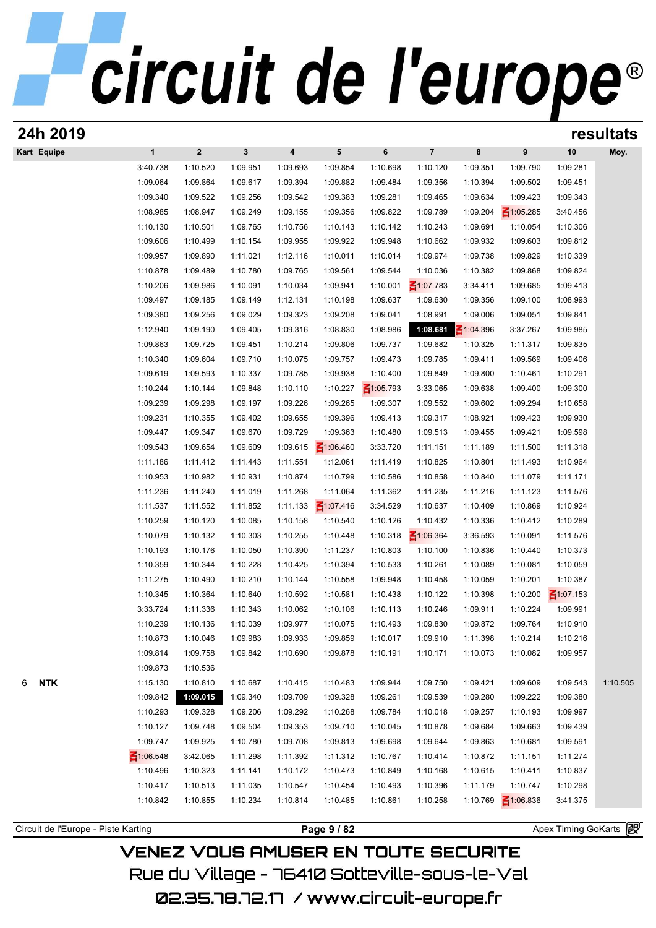| 24h 2019                            |                 |                |              |          |                 |                 |                 |                 |                 |                     | resultats |
|-------------------------------------|-----------------|----------------|--------------|----------|-----------------|-----------------|-----------------|-----------------|-----------------|---------------------|-----------|
| Kart Equipe                         | $\mathbf{1}$    | $\overline{2}$ | $\mathbf{3}$ | 4        | 5               | 6               | $\overline{7}$  | 8               | 9               | 10                  | Moy.      |
|                                     | 3:40.738        | 1:10.520       | 1:09.951     | 1:09.693 | 1:09.854        | 1:10.698        | 1:10.120        | 1:09.351        | 1:09.790        | 1:09.281            |           |
|                                     | 1:09.064        | 1:09.864       | 1:09.617     | 1:09.394 | 1:09.882        | 1:09.484        | 1:09.356        | 1:10.394        | 1:09.502        | 1:09.451            |           |
|                                     | 1:09.340        | 1:09.522       | 1:09.256     | 1:09.542 | 1:09.383        | 1:09.281        | 1:09.465        | 1:09.634        | 1:09.423        | 1:09.343            |           |
|                                     | 1:08.985        | 1:08.947       | 1:09.249     | 1:09.155 | 1:09.356        | 1:09.822        | 1:09.789        | 1:09.204        | $\leq 1:05.285$ | 3:40.456            |           |
|                                     | 1:10.130        | 1:10.501       | 1:09.765     | 1:10.756 | 1:10.143        | 1:10.142        | 1:10.243        | 1:09.691        | 1:10.054        | 1:10.306            |           |
|                                     | 1:09.606        | 1:10.499       | 1:10.154     | 1:09.955 | 1:09.922        | 1:09.948        | 1:10.662        | 1:09.932        | 1:09.603        | 1:09.812            |           |
|                                     | 1:09.957        | 1:09.890       | 1:11.021     | 1:12.116 | 1:10.011        | 1:10.014        | 1:09.974        | 1:09.738        | 1:09.829        | 1:10.339            |           |
|                                     | 1:10.878        | 1:09.489       | 1:10.780     | 1:09.765 | 1:09.561        | 1:09.544        | 1:10.036        | 1:10.382        | 1:09.868        | 1:09.824            |           |
|                                     | 1:10.206        | 1:09.986       | 1:10.091     | 1:10.034 | 1:09.941        | 1:10.001        | $\leq 1:07.783$ | 3:34.411        | 1:09.685        | 1:09.413            |           |
|                                     | 1:09.497        | 1:09.185       | 1:09.149     | 1:12.131 | 1:10.198        | 1:09.637        | 1:09.630        | 1:09.356        | 1:09.100        | 1:08.993            |           |
|                                     | 1:09.380        | 1:09.256       | 1:09.029     | 1:09.323 | 1:09.208        | 1:09.041        | 1:08.991        | 1:09.006        | 1:09.051        | 1:09.841            |           |
|                                     | 1:12.940        | 1:09.190       | 1:09.405     | 1:09.316 | 1:08.830        | 1:08.986        | 1:08.681        | $\leq 1:04.396$ | 3:37.267        | 1:09.985            |           |
|                                     | 1:09.863        | 1:09.725       | 1:09.451     | 1:10.214 | 1:09.806        | 1:09.737        | 1:09.682        | 1:10.325        | 1:11.317        | 1:09.835            |           |
|                                     | 1:10.340        | 1:09.604       | 1:09.710     | 1:10.075 | 1:09.757        | 1:09.473        | 1:09.785        | 1:09.411        | 1:09.569        | 1:09.406            |           |
|                                     | 1:09.619        | 1:09.593       | 1:10.337     | 1:09.785 | 1:09.938        | 1:10.400        | 1:09.849        | 1:09.800        | 1:10.461        | 1:10.291            |           |
|                                     | 1:10.244        | 1:10.144       | 1:09.848     | 1:10.110 | 1:10.227        | $\leq 1:05.793$ | 3:33.065        | 1:09.638        | 1:09.400        | 1:09.300            |           |
|                                     | 1:09.239        | 1:09.298       | 1:09.197     | 1:09.226 | 1:09.265        | 1:09.307        | 1:09.552        | 1:09.602        | 1:09.294        | 1:10.658            |           |
|                                     | 1:09.231        | 1:10.355       | 1:09.402     | 1:09.655 | 1:09.396        | 1:09.413        | 1:09.317        | 1:08.921        | 1:09.423        | 1:09.930            |           |
|                                     | 1:09.447        | 1:09.347       | 1:09.670     | 1:09.729 | 1:09.363        | 1:10.480        | 1:09.513        | 1:09.455        | 1:09.421        | 1:09.598            |           |
|                                     | 1:09.543        | 1:09.654       | 1:09.609     | 1:09.615 | $\leq 1:06.460$ | 3:33.720        | 1:11.151        | 1:11.189        | 1:11.500        | 1:11.318            |           |
|                                     | 1:11.186        | 1:11.412       | 1:11.443     | 1:11.551 | 1:12.061        | 1:11.419        | 1:10.825        | 1:10.801        | 1:11.493        | 1:10.964            |           |
|                                     | 1:10.953        | 1:10.982       | 1:10.931     | 1:10.874 | 1:10.799        | 1:10.586        | 1:10.858        | 1:10.840        | 1:11.079        | 1:11.171            |           |
|                                     | 1:11.236        | 1:11.240       | 1:11.019     | 1:11.268 | 1:11.064        | 1:11.362        | 1:11.235        | 1:11.216        | 1:11.123        | 1:11.576            |           |
|                                     | 1:11.537        | 1:11.552       | 1:11.852     | 1:11.133 | $\leq 1:07.416$ | 3:34.529        | 1:10.637        | 1:10.409        | 1:10.869        | 1:10.924            |           |
|                                     | 1:10.259        | 1:10.120       | 1:10.085     | 1:10.158 | 1:10.540        | 1:10.126        | 1:10.432        | 1:10.336        | 1:10.412        | 1:10.289            |           |
|                                     | 1:10.079        | 1:10.132       | 1:10.303     | 1:10.255 | 1:10.448        | 1:10.318        | $\leq 1:06.364$ | 3:36.593        | 1:10.091        | 1:11.576            |           |
|                                     | 1:10.193        | 1:10.176       | 1:10.050     | 1:10.390 | 1:11.237        | 1:10.803        | 1:10.100        | 1:10.836        | 1:10.440        | 1:10.373            |           |
|                                     | 1:10.359        | 1:10.344       | 1:10.228     | 1:10.425 | 1:10.394        | 1:10.533        | 1:10.261        | 1:10.089        | 1:10.081        | 1:10.059            |           |
|                                     | 1:11.275        | 1:10.490       | 1:10.210     | 1:10.144 | 1:10.558        | 1:09.948        | 1:10.458        | 1:10.059        | 1:10.201        | 1:10.387            |           |
|                                     | 1:10.345        | 1:10.364       | 1:10.640     | 1:10.592 | 1:10.581        | 1:10.438        | 1:10.122        | 1:10.398        | 1:10.200        | $\leq 1:07.153$     |           |
|                                     | 3:33.724        | 1:11.336       | 1:10.343     | 1:10.062 | 1:10.106        | 1:10.113        | 1:10.246        | 1:09.911        | 1:10.224        | 1:09.991            |           |
|                                     | 1:10.239        | 1:10.136       | 1:10.039     | 1:09.977 | 1:10.075        | 1:10.493        | 1:09.830        | 1:09.872        | 1:09.764        | 1:10.910            |           |
|                                     | 1:10.873        | 1:10.046       | 1:09.983     | 1:09.933 | 1:09.859        | 1:10.017        | 1:09.910        | 1:11.398        | 1:10.214        | 1:10.216            |           |
|                                     | 1:09.814        | 1:09.758       | 1:09.842     | 1:10.690 | 1:09.878        | 1:10.191        | 1:10.171        | 1:10.073        | 1:10.082        | 1:09.957            |           |
|                                     | 1:09.873        | 1:10.536       |              |          |                 |                 |                 |                 |                 |                     |           |
|                                     | 1:15.130        | 1:10.810       | 1:10.687     | 1:10.415 | 1:10.483        | 1:09.944        | 1:09.750        | 1:09.421        | 1:09.609        | 1:09.543            | 1:10.505  |
| <b>NTK</b><br>6                     | 1:09.842        | 1:09.015       | 1:09.340     | 1:09.709 | 1:09.328        | 1:09.261        | 1:09.539        | 1:09.280        | 1:09.222        | 1:09.380            |           |
|                                     |                 |                |              |          |                 |                 |                 |                 |                 |                     |           |
|                                     | 1:10.293        | 1:09.328       | 1:09.206     | 1:09.292 | 1:10.268        | 1:09.784        | 1:10.018        | 1:09.257        | 1:10.193        | 1:09.997            |           |
|                                     | 1:10.127        | 1:09.748       | 1:09.504     | 1:09.353 | 1:09.710        | 1:10.045        | 1:10.878        | 1:09.684        | 1:09.663        | 1:09.439            |           |
|                                     | 1:09.747        | 1:09.925       | 1:10.780     | 1:09.708 | 1:09.813        | 1:09.698        | 1:09.644        | 1:09.863        | 1:10.681        | 1:09.591            |           |
|                                     | $\leq 1:06.548$ | 3:42.065       | 1:11.298     | 1:11.392 | 1:11.312        | 1:10.767        | 1:10.414        | 1:10.872        | 1:11.151        | 1:11.274            |           |
|                                     | 1:10.496        | 1:10.323       | 1:11.141     | 1:10.172 | 1:10.473        | 1:10.849        | 1:10.168        | 1:10.615        | 1:10.411        | 1:10.837            |           |
|                                     | 1:10.417        | 1:10.513       | 1:11.035     | 1:10.547 | 1:10.454        | 1:10.493        | 1:10.396        | 1:11.179        | 1:10.747        | 1:10.298            |           |
|                                     | 1:10.842        | 1:10.855       | 1:10.234     | 1:10.814 | 1:10.485        | 1:10.861        | 1:10.258        | 1:10.769        | $\leq 1:06.836$ | 3:41.375            |           |
| Circuit de l'Europe - Piste Karting |                 |                |              |          | Page 9 / 82     |                 |                 |                 |                 | Apex Timing GoKarts |           |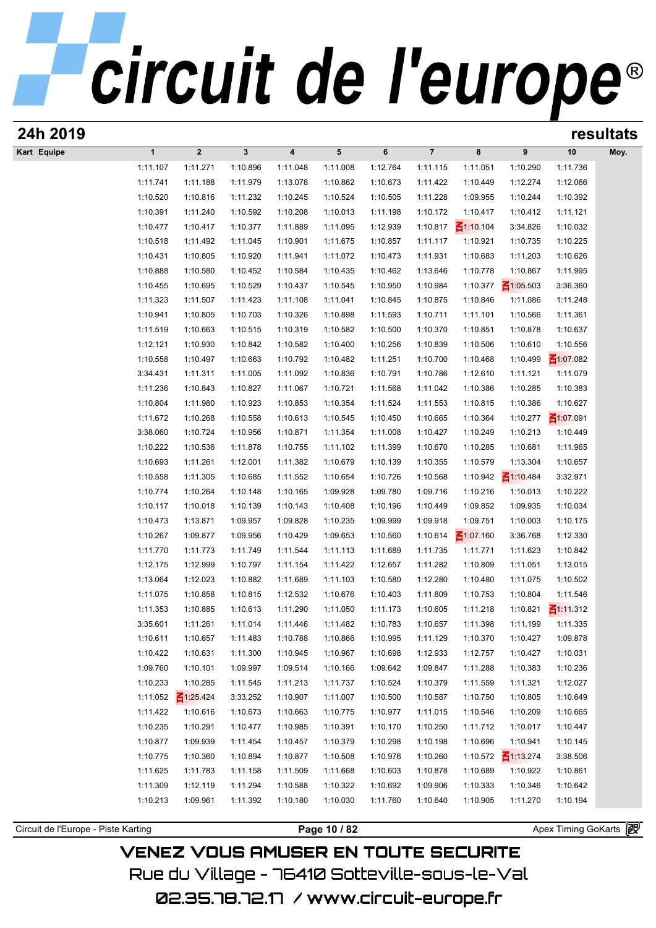| 24h 2019                            |                      |                 |             |                      |              |          |                      |                 |                 |                     | resultats |
|-------------------------------------|----------------------|-----------------|-------------|----------------------|--------------|----------|----------------------|-----------------|-----------------|---------------------|-----------|
| Kart Equipe                         | $\mathbf{1}$         | $\overline{2}$  | $\mathbf 3$ | 4                    | 5            | 6        | $\overline{7}$       | 8               | 9               | 10                  | Moy.      |
|                                     | 1:11.107             | 1:11.271        | 1:10.896    | 1:11.048             | 1:11.008     | 1:12.764 | 1:11.115             | 1:11.051        | 1:10.290        | 1:11.736            |           |
|                                     | 1:11.741             | 1:11.188        | 1:11.979    | 1:13.078             | 1:10.862     | 1:10.673 | 1:11.422             | 1:10.449        | 1:12.274        | 1:12.066            |           |
|                                     | 1:10.520             | 1:10.816        | 1:11.232    | 1:10.245             | 1:10.524     | 1:10.505 | 1:11.228             | 1:09.955        | 1:10.244        | 1:10.392            |           |
|                                     | 1:10.391             | 1:11.240        | 1:10.592    | 1:10.208             | 1:10.013     | 1:11.198 | 1:10.172             | 1:10.417        | 1:10.412        | 1:11.121            |           |
|                                     | 1:10.477             | 1:10.417        | 1:10.377    | 1:11.889             | 1:11.095     | 1:12.939 | 1:10.817             | $\leq 1:10.104$ | 3:34.826        | 1:10.032            |           |
|                                     | 1:10.518             | 1:11.492        | 1:11.045    | 1:10.901             | 1:11.675     | 1:10.857 | 1:11.117             | 1:10.921        | 1:10.735        | 1:10.225            |           |
|                                     | 1:10.431             | 1:10.805        | 1:10.920    | 1:11.941             | 1:11.072     | 1:10.473 | 1:11.931             | 1:10.683        | 1:11.203        | 1:10.626            |           |
|                                     | 1:10.888             | 1:10.580        | 1:10.452    | 1:10.584             | 1:10.435     | 1:10.462 | 1:13.646             | 1:10.778        | 1:10.867        | 1:11.995            |           |
|                                     | 1:10.455             | 1:10.695        | 1:10.529    | 1:10.437             | 1:10.545     | 1:10.950 | 1:10.984             | 1:10.377        | $\leq 1:05.503$ | 3:36.360            |           |
|                                     | 1:11.323             | 1:11.507        | 1:11.423    | 1:11.108             | 1:11.041     | 1:10.845 | 1:10.875             | 1:10.846        | 1:11.086        | 1:11.248            |           |
|                                     | 1:10.941             | 1:10.805        | 1:10.703    | 1:10.326             | 1:10.898     | 1:11.593 | 1:10.711             | 1:11.101        | 1:10.566        | 1:11.361            |           |
|                                     | 1:11.519             | 1:10.663        | 1:10.515    | 1:10.319             | 1:10.582     | 1:10.500 | 1:10.370             | 1:10.851        | 1:10.878        | 1:10.637            |           |
|                                     | 1:12.121             | 1:10.930        | 1:10.842    | 1:10.582             | 1:10.400     | 1:10.256 | 1:10.839             | 1:10.506        | 1:10.610        | 1:10.556            |           |
|                                     | 1:10.558             | 1:10.497        | 1:10.663    | 1:10.792             | 1:10.482     | 1:11.251 | 1:10.700             | 1:10.468        | 1:10.499        | $\leq 1:07.082$     |           |
|                                     | 3:34.431             | 1:11.311        | 1:11.005    | 1:11.092             | 1:10.836     | 1:10.791 | 1:10.786             | 1:12.610        | 1:11.121        | 1:11.079            |           |
|                                     | 1:11.236             | 1:10.843        | 1:10.827    | 1:11.067             | 1:10.721     | 1:11.568 | 1:11.042             | 1:10.386        | 1:10.285        | 1:10.383            |           |
|                                     | 1:10.804             | 1:11.980        | 1:10.923    | 1:10.853             | 1:10.354     | 1:11.524 | 1:11.553             | 1:10.815        | 1:10.386        | 1:10.627            |           |
|                                     | 1:11.672             | 1:10.268        | 1:10.558    | 1:10.613             | 1:10.545     | 1:10.450 | 1:10.665             | 1:10.364        | 1:10.277        | $\leq 1:07.091$     |           |
|                                     | 3:38.060             | 1:10.724        | 1:10.956    | 1:10.871             | 1:11.354     | 1:11.008 | 1:10.427             | 1:10.249        | 1:10.213        | 1:10.449            |           |
|                                     | 1:10.222             | 1:10.536        | 1:11.878    | 1:10.755             | 1:11.102     | 1:11.399 | 1:10.670             | 1:10.285        | 1:10.681        | 1:11.965            |           |
|                                     | 1:10.693             | 1:11.261        | 1:12.001    | 1:11.382             | 1:10.679     | 1:10.139 | 1:10.355             | 1:10.579        | 1:13.304        | 1:10.657            |           |
|                                     | 1:10.558             | 1:11.305        | 1:10.685    | 1:11.552             | 1:10.654     | 1:10.726 | 1:10.568             | 1:10.942        | $\leq 1:10.484$ | 3:32.971            |           |
|                                     | 1:10.774             | 1:10.264        | 1:10.148    | 1:10.165             | 1:09.928     | 1:09.780 | 1:09.716             | 1:10.216        | 1:10.013        | 1:10.222            |           |
|                                     | 1:10.117             | 1:10.018        | 1:10.139    | 1:10.143             | 1:10.408     | 1:10.196 | 1:10.449             | 1:09.852        | 1:09.935        | 1:10.034            |           |
|                                     | 1:10.473             | 1:13.871        | 1:09.957    | 1:09.828             | 1:10.235     | 1:09.999 | 1:09.918             | 1:09.751        | 1:10.003        | 1:10.175            |           |
|                                     | 1:10.267             | 1:09.877        | 1:09.956    | 1:10.429             | 1:09.653     | 1:10.560 | 1:10.614             | $\leq 1:07.160$ | 3:36.768        | 1:12.330            |           |
|                                     | 1:11.770             | 1:11.773        | 1:11.749    | 1:11.544             | 1:11.113     | 1:11.689 | 1:11.735             | 1:11.771        | 1:11.623        | 1:10.842            |           |
|                                     | 1:12.175             | 1:12.999        | 1:10.797    | 1:11.154             | 1:11.422     | 1:12.657 | 1:11.282             | 1:10.809        | 1:11.051        | 1:13.015            |           |
|                                     | 1:13.064             | 1:12.023        | 1:10.882    | 1:11.689             | 1:11.103     | 1:10.580 | 1:12.280             | 1:10.480        | 1:11.075        | 1:10.502            |           |
|                                     | 1:11.075             | 1:10.858        | 1:10.815    | 1:12.532             | 1:10.676     | 1:10.403 | 1:11.809             | 1:10.753        | 1:10.804        | 1:11.546            |           |
|                                     | 1:11.353             | 1:10.885        | 1:10.613    | 1:11.290             | 1:11.050     | 1:11.173 | 1:10.605             | 1:11.218        |                 | 1:10.821 1:11.312   |           |
|                                     | 3:35.601             | 1:11.261        | 1:11.014    | 1:11.446             | 1:11.482     | 1:10.783 | 1:10.657             | 1:11.398        | 1:11.199        | 1:11.335            |           |
|                                     | 1:10.611             | 1:10.657        | 1:11.483    | 1:10.788             | 1:10.866     | 1:10.995 | 1:11.129             | 1:10.370        | 1:10.427        | 1:09.878            |           |
|                                     | 1:10.422             | 1:10.631        | 1:11.300    | 1:10.945             | 1:10.967     | 1:10.698 | 1:12.933             | 1:12.757        | 1:10.427        | 1:10.031            |           |
|                                     | 1:09.760             | 1:10.101        | 1:09.997    | 1:09.514             | 1:10.166     | 1:09.642 | 1:09.847             | 1:11.288        | 1:10.383        | 1:10.236            |           |
|                                     | 1:10.233             | 1:10.285        | 1:11.545    | 1:11.213             | 1:11.737     | 1:10.524 | 1:10.379             | 1:11.559        | 1:11.321        | 1:12.027            |           |
|                                     | 1:11.052             | $\leq 1:25.424$ | 3:33.252    | 1:10.907             | 1:11.007     | 1:10.500 | 1:10.587             | 1:10.750        | 1:10.805        | 1:10.649            |           |
|                                     | 1:11.422             | 1:10.616        | 1:10.673    | 1:10.663             | 1:10.775     | 1:10.977 | 1:11.015             |                 | 1:10.209        | 1:10.665            |           |
|                                     |                      |                 |             |                      |              |          |                      | 1:10.546        |                 |                     |           |
|                                     | 1:10.235             | 1:10.291        | 1:10.477    | 1:10.985             | 1:10.391     | 1:10.170 | 1:10.250             | 1:11.712        | 1:10.017        | 1:10.447            |           |
|                                     | 1:10.877<br>1:10.775 | 1:09.939        | 1:11.454    | 1:10.457<br>1:10.877 | 1:10.379     | 1:10.298 | 1:10.198<br>1:10.260 | 1:10.696        | 1:10.941        | 1:10.145            |           |
|                                     |                      | 1:10.360        | 1:10.894    |                      | 1:10.508     | 1:10.976 |                      | 1:10.572        | $\leq 1:13.274$ | 3:38.506            |           |
|                                     | 1:11.625             | 1:11.783        | 1:11.158    | 1:11.509             | 1:11.668     | 1:10.603 | 1:10.878             | 1:10.689        | 1:10.922        | 1:10.861            |           |
|                                     | 1:11.309             | 1:12.119        | 1:11.294    | 1:10.588             | 1:10.322     | 1:10.692 | 1:09.906             | 1:10.333        | 1:10.346        | 1:10.642            |           |
|                                     | 1:10.213             | 1:09.961        | 1:11.392    | 1:10.180             | 1:10.030     | 1:11.760 | 1:10.640             | 1:10.905        | 1:11.270        | 1:10.194            |           |
| Circuit de l'Europe - Piste Karting |                      |                 |             |                      |              |          |                      |                 |                 | Apex Timing GoKarts |           |
|                                     |                      |                 |             |                      | Page 10 / 82 |          |                      |                 |                 |                     |           |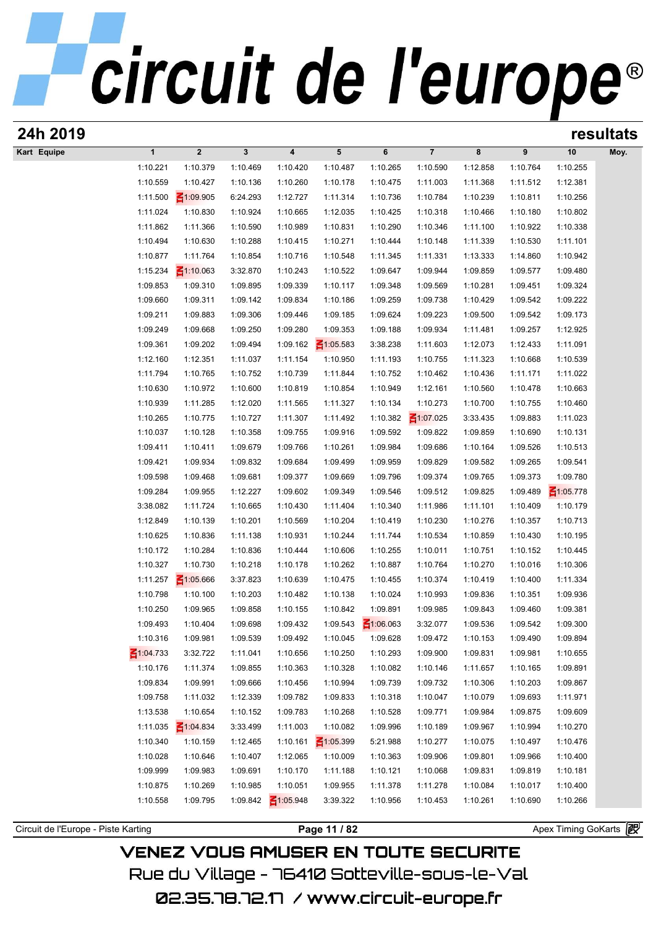| 24h 2019                            |                             |                      |                      |                             |                      |                      |                      |                      |                       | resultats |
|-------------------------------------|-----------------------------|----------------------|----------------------|-----------------------------|----------------------|----------------------|----------------------|----------------------|-----------------------|-----------|
| Kart Equipe<br>$\mathbf{1}$         | $\boldsymbol{2}$            | $\mathbf{3}$         | 4                    | 5                           | 6                    | $\overline{7}$       | 8                    | 9                    | 10                    | Moy.      |
| 1:10.221                            | 1:10.379                    | 1:10.469             | 1:10.420             | 1:10.487                    | 1:10.265             | 1:10.590             | 1:12.858             | 1:10.764             | 1:10.255              |           |
| 1:10.559                            | 1:10.427                    | 1:10.136             | 1:10.260             | 1:10.178                    | 1:10.475             | 1:11.003             | 1:11.368             | 1:11.512             | 1:12.381              |           |
| 1:11.500                            | $\leq 1:09.905$             | 6:24.293             | 1:12.727             | 1:11.314                    | 1:10.736             | 1:10.784             | 1:10.239             | 1:10.811             | 1:10.256              |           |
| 1:11.024                            | 1:10.830                    | 1:10.924             | 1:10.665             | 1:12.035                    | 1:10.425             | 1:10.318             | 1:10.466             | 1:10.180             | 1:10.802              |           |
| 1:11.862                            | 1:11.366                    | 1:10.590             | 1:10.989             | 1:10.831                    | 1:10.290             | 1:10.346             | 1:11.100             | 1:10.922             | 1:10.338              |           |
| 1:10.494                            | 1:10.630                    | 1:10.288             | 1:10.415             | 1:10.271                    | 1:10.444             | 1:10.148             | 1:11.339             | 1:10.530             | 1:11.101              |           |
| 1:10.877                            | 1:11.764                    | 1:10.854             | 1:10.716             | 1:10.548                    | 1:11.345             | 1:11.331             | 1:13.333             | 1:14.860             | 1:10.942              |           |
| 1:15.234                            | $\leq 1:10.063$             | 3:32.870             | 1:10.243             | 1:10.522                    | 1:09.647             | 1:09.944             | 1:09.859             | 1:09.577             | 1:09.480              |           |
| 1:09.853                            | 1:09.310                    | 1:09.895             | 1:09.339             | 1:10.117                    | 1:09.348             | 1:09.569             | 1:10.281             | 1:09.451             | 1:09.324              |           |
| 1:09.660                            | 1:09.311                    | 1:09.142             | 1:09.834             | 1:10.186                    | 1:09.259             | 1:09.738             | 1:10.429             | 1:09.542             | 1:09.222              |           |
| 1:09.211                            | 1:09.883                    | 1:09.306             | 1:09.446             | 1:09.185                    | 1:09.624             | 1:09.223             | 1:09.500             | 1:09.542             | 1:09.173              |           |
| 1:09.249                            | 1:09.668                    | 1:09.250             | 1:09.280             | 1:09.353                    | 1:09.188             | 1:09.934             | 1:11.481             | 1:09.257             | 1:12.925              |           |
| 1:09.361                            | 1:09.202                    | 1:09.494             | 1:09.162             | $\leq 1:05.583$             | 3:38.238             | 1:11.603             | 1:12.073             | 1:12.433             | 1:11.091              |           |
| 1:12.160                            | 1:12.351                    | 1:11.037             | 1:11.154             | 1:10.950                    | 1:11.193             | 1:10.755             | 1:11.323             | 1:10.668             | 1:10.539              |           |
| 1:11.794                            | 1:10.765                    | 1:10.752             | 1:10.739             | 1:11.844                    | 1:10.752             | 1:10.462             | 1:10.436             | 1:11.171             | 1:11.022              |           |
| 1:10.630                            | 1:10.972                    | 1:10.600             | 1:10.819             | 1:10.854                    | 1:10.949             | 1:12.161             | 1:10.560             | 1:10.478             | 1:10.663              |           |
| 1:10.939                            | 1:11.285                    | 1:12.020             | 1:11.565             | 1:11.327                    | 1:10.134             | 1:10.273             | 1:10.700             | 1:10.755             | 1:10.460              |           |
| 1:10.265                            | 1:10.775                    | 1:10.727             | 1:11.307             | 1:11.492                    | 1:10.382             | $\leq 1:07.025$      | 3:33.435             | 1:09.883             | 1:11.023              |           |
| 1:10.037                            | 1:10.128                    | 1:10.358             | 1:09.755             | 1:09.916                    | 1:09.592             | 1:09.822             | 1:09.859             | 1:10.690             | 1:10.131              |           |
| 1:09.411                            | 1:10.411                    | 1:09.679             | 1:09.766             | 1:10.261                    | 1:09.984             | 1:09.686             | 1:10.164             | 1:09.526             | 1:10.513              |           |
| 1:09.421                            | 1:09.934                    | 1:09.832             | 1:09.684             | 1:09.499                    | 1:09.959             | 1:09.829             | 1:09.582             | 1:09.265             | 1:09.541              |           |
| 1:09.598                            | 1:09.468                    | 1:09.681             | 1:09.377             | 1:09.669                    | 1:09.796             | 1:09.374             | 1:09.765             | 1:09.373             | 1:09.780              |           |
| 1:09.284                            | 1:09.955                    | 1:12.227             | 1:09.602             | 1:09.349                    | 1:09.546             | 1:09.512             | 1:09.825             | 1:09.489             | $\leq 1:05.778$       |           |
| 3:38.082                            | 1:11.724                    | 1:10.665             | 1:10.430             | 1:11.404                    | 1:10.340             | 1:11.986             | 1:11.101             | 1:10.409             | 1:10.179              |           |
| 1:12.849                            | 1:10.139                    | 1:10.201             | 1:10.569             | 1:10.204                    | 1:10.419             | 1:10.230             | 1:10.276             | 1:10.357             | 1:10.713              |           |
| 1:10.625                            | 1:10.836                    | 1:11.138             | 1:10.931             | 1:10.244                    | 1:11.744             | 1:10.534             | 1:10.859             | 1:10.430             | 1:10.195              |           |
| 1:10.172                            | 1:10.284                    | 1:10.836             | 1:10.444             | 1:10.606                    | 1:10.255             | 1:10.011             | 1:10.751             | 1:10.152             | 1:10.445              |           |
| 1:10.327                            | 1:10.730                    | 1:10.218             | 1:10.178             | 1:10.262                    | 1:10.887             | 1:10.764             | 1:10.270             | 1:10.016             | 1:10.306              |           |
| 1:11.257                            | $\leq 1:05.666$             | 3:37.823             | 1:10.639             | 1:10.475                    | 1:10.455             | 1:10.374             | 1:10.419             | 1:10.400             | 1:11.334              |           |
| 1:10.798                            | 1:10.100                    | 1:10.203             | 1:10.482             | 1:10.138                    | 1:10.024             | 1:10.993             | 1:09.836             | 1:10.351             | 1:09.936              |           |
| 1:10.250                            | 1:09.965                    | 1:09.858             | 1:10.155             | 1:10.842                    | 1:09.891             | 1:09.985             | 1:09.843             | 1:09.460             | 1:09.381              |           |
| 1:09.493<br>1:10.316                | 1:10.404                    | 1:09.698             | 1:09.432             | 1:09.543                    | $\leq 1:06.063$      | 3:32.077             | 1:09.536             | 1:09.542             | 1:09.300              |           |
| $\leq 1:04.733$                     | 1:09.981<br>3:32.722        | 1:09.539             | 1:09.492             | 1:10.045                    | 1:09.628             | 1:09.472<br>1:09.900 | 1:10.153             | 1:09.490             | 1:09.894              |           |
|                                     |                             | 1:11.041             | 1:10.656             | 1:10.250                    | 1:10.293             |                      | 1:09.831             | 1:09.981             | 1:10.655              |           |
| 1:10.176                            | 1:11.374                    | 1:09.855             | 1:10.363             | 1:10.328                    | 1:10.082             | 1:10.146             | 1:11.657             | 1:10.165             | 1:09.891              |           |
| 1:09.834<br>1:09.758                | 1:09.991<br>1:11.032        | 1:09.666             | 1:10.456<br>1:09.782 | 1:10.994                    | 1:09.739             | 1:09.732<br>1:10.047 | 1:10.306             | 1:10.203<br>1:09.693 | 1:09.867              |           |
|                                     |                             | 1:12.339             |                      | 1:09.833                    | 1:10.318<br>1:10.528 |                      | 1:10.079             |                      | 1:11.971              |           |
| 1:13.538<br>1:11.035                | 1:10.654<br>$\leq 1:04.834$ | 1:10.152<br>3:33.499 | 1:09.783<br>1:11.003 | 1:10.268<br>1:10.082        | 1:09.996             | 1:09.771<br>1:10.189 | 1:09.984<br>1:09.967 | 1:09.875<br>1:10.994 | 1:09.609<br>1:10.270  |           |
| 1:10.340                            | 1:10.159                    | 1:12.465             |                      |                             |                      | 1:10.277             |                      | 1:10.497             |                       |           |
| 1:10.028                            |                             |                      | 1:10.161             | $\leq 1:05.399$<br>1:10.009 | 5:21.988             | 1:09.906             | 1:10.075             | 1:09.966             | 1:10.476              |           |
| 1:09.999                            | 1:10.646<br>1:09.983        | 1:10.407             | 1:12.065<br>1:10.170 |                             | 1:10.363             |                      | 1:09.801             | 1:09.819             | 1:10.400              |           |
| 1:10.875                            | 1:10.269                    | 1:09.691<br>1:10.985 | 1:10.051             | 1:11.188                    | 1:10.121<br>1:11.378 | 1:10.068             | 1:09.831             | 1:10.017             | 1:10.181              |           |
| 1:10.558                            | 1:09.795                    | 1:09.842             | $\leq 1:05.948$      | 1:09.955<br>3:39.322        | 1:10.956             | 1:11.278<br>1:10.453 | 1:10.084<br>1:10.261 | 1:10.690             | 1:10.400<br>1:10.266  |           |
|                                     |                             |                      |                      |                             |                      |                      |                      |                      |                       |           |
| Circuit de l'Europe - Piste Karting |                             |                      |                      | Page 11 / 82                |                      |                      |                      |                      | Apex Timing GoKarts 图 |           |
|                                     |                             |                      |                      |                             |                      |                      |                      |                      |                       |           |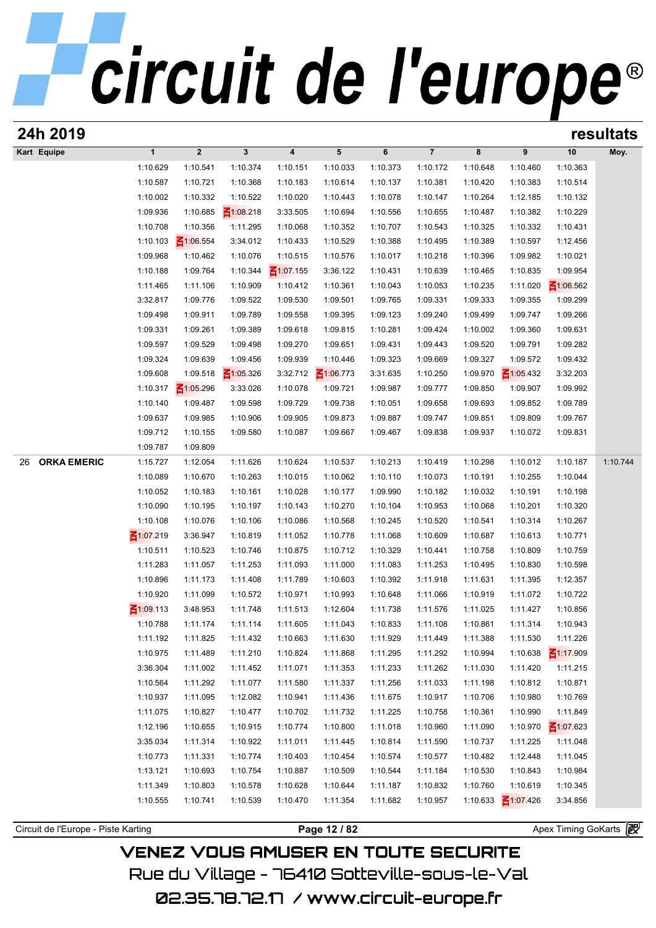| 24h 2019                            |                 |                 |                 |                 |                 |          |                |          |                 |                       | resultats |
|-------------------------------------|-----------------|-----------------|-----------------|-----------------|-----------------|----------|----------------|----------|-----------------|-----------------------|-----------|
| Kart Equipe                         | $\mathbf{1}$    | $\overline{2}$  | $\mathbf{3}$    | 4               | 5               | 6        | $\overline{7}$ | 8        | 9               | 10                    | Moy.      |
|                                     | 1:10.629        | 1:10.541        | 1:10.374        | 1:10.151        | 1:10.033        | 1:10.373 | 1:10.172       | 1:10.648 | 1:10.460        | 1:10.363              |           |
|                                     | 1:10.587        | 1:10.721        | 1:10.368        | 1:10.183        | 1:10.614        | 1:10.137 | 1:10.381       | 1:10.420 | 1:10.383        | 1:10.514              |           |
|                                     | 1:10.002        | 1:10.332        | 1:10.522        | 1:10.020        | 1:10.443        | 1:10.078 | 1:10.147       | 1:10.264 | 1:12.185        | 1:10.132              |           |
|                                     | 1:09.936        | 1:10.685        | $\leq 1:08.218$ | 3:33.505        | 1:10.694        | 1:10.556 | 1:10.655       | 1:10.487 | 1:10.382        | 1:10.229              |           |
|                                     | 1:10.708        | 1:10.356        | 1:11.295        | 1:10.068        | 1:10.352        | 1:10.707 | 1:10.543       | 1:10.325 | 1:10.332        | 1:10.431              |           |
|                                     | 1:10.103        | $\leq 1:06.554$ | 3:34.012        | 1:10.433        | 1:10.529        | 1:10.388 | 1:10.495       | 1:10.389 | 1:10.597        | 1:12.456              |           |
|                                     | 1:09.968        | 1:10.462        | 1:10.076        | 1:10.515        | 1:10.576        | 1:10.017 | 1:10.218       | 1:10.396 | 1:09.982        | 1:10.021              |           |
|                                     | 1:10.188        | 1:09.764        | 1:10.344        | $\leq 1:07.155$ | 3:36.122        | 1:10.431 | 1:10.639       | 1:10.465 | 1:10.835        | 1:09.954              |           |
|                                     | 1:11.465        | 1:11.106        | 1:10.909        | 1:10.412        | 1:10.361        | 1:10.043 | 1:10.053       | 1:10.235 | 1:11.020        | $\leq 1:06.562$       |           |
|                                     | 3:32.817        | 1:09.776        | 1:09.522        | 1:09.530        | 1:09.501        | 1:09.765 | 1:09.331       | 1:09.333 | 1:09.355        | 1:09.299              |           |
|                                     | 1:09.498        | 1:09.911        | 1:09.789        | 1:09.558        | 1:09.395        | 1:09.123 | 1:09.240       | 1:09.499 | 1:09.747        | 1:09.266              |           |
|                                     | 1:09.331        | 1:09.261        | 1:09.389        | 1:09.618        | 1:09.815        | 1:10.281 | 1:09.424       | 1:10.002 | 1:09.360        | 1:09.631              |           |
|                                     | 1:09.597        | 1:09.529        | 1:09.498        | 1:09.270        | 1:09.651        | 1:09.431 | 1:09.443       | 1:09.520 | 1:09.791        | 1:09.282              |           |
|                                     | 1:09.324        | 1:09.639        | 1:09.456        | 1:09.939        | 1:10.446        | 1:09.323 | 1:09.669       | 1:09.327 | 1:09.572        | 1:09.432              |           |
|                                     | 1:09.608        | 1:09.518        | $\leq 1:05.326$ | 3:32.712        | $\leq 1:06.773$ | 3:31.635 | 1:10.250       | 1:09.970 | $\leq 1:05.432$ | 3:32.203              |           |
|                                     | 1:10.317        | $\leq 1:05.296$ | 3:33.026        | 1:10.078        | 1:09.721        | 1:09.987 | 1:09.777       | 1:09.850 | 1:09.907        | 1:09.992              |           |
|                                     | 1:10.140        | 1:09.487        | 1:09.598        | 1:09.729        | 1:09.738        | 1:10.051 | 1:09.658       | 1:09.693 | 1:09.852        | 1:09.789              |           |
|                                     | 1:09.637        | 1:09.985        | 1:10.906        | 1:09.905        | 1:09.873        | 1:09.887 | 1:09.747       | 1:09.851 | 1:09.809        | 1:09.767              |           |
|                                     | 1:09.712        | 1:10.155        | 1:09.580        | 1:10.087        | 1:09.667        | 1:09.467 | 1:09.838       | 1:09.937 | 1:10.072        | 1:09.831              |           |
|                                     | 1:09.787        | 1:09.809        |                 |                 |                 |          |                |          |                 |                       |           |
| <b>ORKA EMERIC</b><br>26            | 1:15.727        | 1:12.054        | 1:11.626        | 1:10.624        | 1:10.537        | 1:10.213 | 1:10.419       | 1:10.298 | 1:10.012        | 1:10.187              | 1:10.744  |
|                                     | 1:10.089        | 1:10.670        | 1:10.263        | 1:10.015        | 1:10.062        | 1:10.110 | 1:10.073       | 1:10.191 | 1:10.255        | 1:10.044              |           |
|                                     | 1:10.052        | 1:10.183        | 1:10.161        | 1:10.028        | 1:10.177        | 1:09.990 | 1:10.182       | 1:10.032 | 1:10.191        | 1:10.198              |           |
|                                     | 1:10.090        | 1:10.195        | 1:10.197        | 1:10.143        | 1:10.270        | 1:10.104 | 1:10.953       | 1:10.068 | 1:10.201        | 1:10.320              |           |
|                                     | 1:10.108        | 1:10.076        | 1:10.106        | 1:10.086        | 1:10.568        | 1:10.245 | 1:10.520       | 1:10.541 | 1:10.314        | 1:10.267              |           |
|                                     | $\leq 1:07.219$ | 3:36.947        | 1:10.819        | 1:11.052        | 1:10.778        | 1:11.068 | 1:10.609       | 1:10.687 | 1:10.613        | 1:10.771              |           |
|                                     | 1:10.511        | 1:10.523        | 1:10.746        | 1:10.875        | 1:10.712        | 1:10.329 | 1:10.441       | 1:10.758 | 1:10.809        | 1:10.759              |           |
|                                     | 1:11.283        | 1:11.057        | 1:11.253        | 1:11.093        | 1:11.000        | 1:11.083 | 1:11.253       | 1:10.495 | 1:10.830        | 1:10.598              |           |
|                                     | 1:10.896        | 1:11.173        | 1:11.408        | 1:11.789        | 1:10.603        | 1:10.392 | 1:11.918       | 1:11.631 | 1:11.395        | 1:12.357              |           |
|                                     | 1:10.920        | 1:11.099        | 1:10.572        | 1:10.971        | 1:10.993        | 1:10.648 | 1:11.066       | 1:10.919 | 1:11.072        | 1:10.722              |           |
|                                     | $\leq 1:09.113$ | 3:48.953        | 1:11.748        | 1:11.513        | 1:12.604        | 1:11.738 | 1:11.576       | 1:11.025 | 1:11.427        | 1:10.856              |           |
|                                     | 1:10.788        | 1:11.174        | 1:11.114        | 1:11.605        | 1:11.043        | 1:10.833 | 1:11.108       | 1:10.861 | 1:11.314        | 1:10.943              |           |
|                                     | 1:11.192        | 1:11.825        | 1:11.432        | 1:10.663        | 1:11.630        | 1:11.929 | 1:11.449       | 1:11.388 | 1:11.530        | 1:11.226              |           |
|                                     | 1:10.975        | 1:11.489        | 1:11.210        | 1:10.824        | 1:11.868        | 1:11.295 | 1:11.292       | 1:10.994 | 1:10.638        | $\leq 1:17.909$       |           |
|                                     | 3:36.304        | 1:11.002        | 1:11.452        | 1:11.071        | 1:11.353        | 1:11.233 | 1:11.262       | 1:11.030 | 1:11.420        | 1:11.215              |           |
|                                     | 1:10.564        | 1:11.292        | 1:11.077        | 1:11.580        | 1:11.337        | 1:11.256 | 1:11.033       | 1:11.198 | 1:10.812        | 1:10.871              |           |
|                                     | 1:10.937        | 1:11.095        | 1:12.082        | 1:10.941        | 1:11.436        | 1:11.675 | 1:10.917       | 1:10.706 | 1:10.980        | 1:10.769              |           |
|                                     | 1:11.075        | 1:10.827        | 1:10.477        | 1:10.702        | 1:11.732        | 1:11.225 | 1:10.758       | 1:10.361 | 1:10.990        | 1:11.849              |           |
|                                     | 1:12.196        | 1:10.655        | 1:10.915        | 1:10.774        | 1:10.800        | 1:11.018 | 1:10.960       | 1:11.090 | 1:10.970        | $\leq 1:07.623$       |           |
|                                     | 3:35.034        | 1:11.314        | 1:10.922        | 1:11.011        | 1:11.445        | 1:10.814 | 1:11.590       | 1:10.737 | 1:11.225        | 1:11.048              |           |
|                                     | 1:10.773        | 1:11.331        | 1:10.774        | 1:10.403        | 1:10.454        | 1:10.574 | 1:10.577       | 1:10.482 | 1:12.448        | 1:11.045              |           |
|                                     | 1:13.121        | 1:10.693        | 1:10.754        | 1:10.887        | 1:10.509        | 1:10.544 | 1:11.184       | 1:10.530 | 1:10.843        | 1:10.984              |           |
|                                     | 1:11.349        | 1:10.803        | 1:10.578        | 1:10.628        | 1:10.644        | 1:11.187 | 1:10.832       | 1:10.760 | 1:10.619        | 1:10.345              |           |
|                                     | 1:10.555        | 1:10.741        | 1:10.539        | 1:10.470        | 1:11.354        | 1:11.682 | 1:10.957       | 1:10.633 | $\leq 1:07.426$ | 3:34.856              |           |
|                                     |                 |                 |                 |                 |                 |          |                |          |                 |                       |           |
| Circuit de l'Europe - Piste Karting |                 |                 |                 |                 | Page 12 / 82    |          |                |          |                 | Apex Timing GoKarts 图 |           |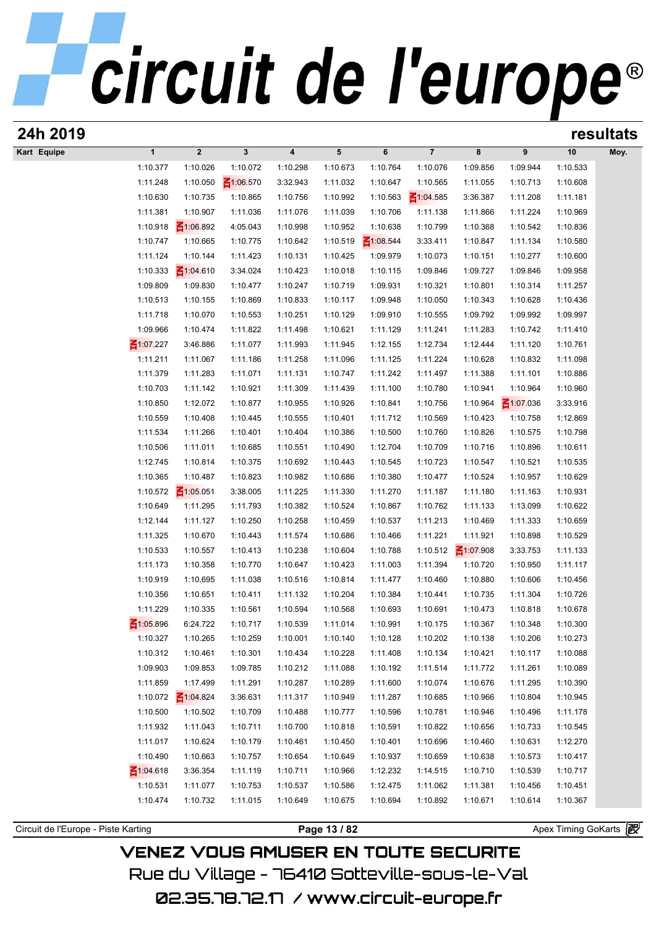| 24h 2019    |                 |                         |                 |                         |                 |                 |                 |                 |                 |          | resultats |
|-------------|-----------------|-------------------------|-----------------|-------------------------|-----------------|-----------------|-----------------|-----------------|-----------------|----------|-----------|
| Kart Equipe | $\mathbf{1}$    | $\overline{\mathbf{2}}$ | 3               | $\overline{\mathbf{4}}$ | $5\phantom{.0}$ | 6               | $\overline{7}$  | 8               | 9               | 10       | Moy.      |
|             | 1:10.377        | 1:10.026                | 1:10.072        | 1:10.298                | 1:10.673        | 1:10.764        | 1:10.076        | 1:09.856        | 1:09.944        | 1:10.533 |           |
|             | 1:11.248        | 1:10.050                | $\leq 1:06.570$ | 3:32.943                | 1:11.032        | 1:10.647        | 1:10.565        | 1:11.055        | 1:10.713        | 1:10.608 |           |
|             | 1:10.630        | 1:10.735                | 1:10.865        | 1:10.756                | 1:10.992        | 1:10.563        | $\leq 1:04.585$ | 3:36.387        | 1:11.208        | 1:11.181 |           |
|             | 1:11.381        | 1:10.907                | 1:11.036        | 1:11.076                | 1:11.039        | 1:10.706        | 1:11.138        | 1:11.866        | 1:11.224        | 1:10.969 |           |
|             | 1:10.918        | $\leq 1:06.892$         | 4:05.043        | 1:10.998                | 1:10.952        | 1:10.638        | 1:10.799        | 1:10.368        | 1:10.542        | 1:10.836 |           |
|             | 1:10.747        | 1:10.665                | 1:10.775        | 1:10.642                | 1:10.519        | $\leq 1:08.544$ | 3:33.411        | 1:10.847        | 1:11.134        | 1:10.580 |           |
|             | 1:11.124        | 1:10.144                | 1:11.423        | 1:10.131                | 1:10.425        | 1:09.979        | 1:10.073        | 1:10.151        | 1:10.277        | 1:10.600 |           |
|             | 1:10.333        | $\leq 1:04.610$         | 3:34.024        | 1:10.423                | 1:10.018        | 1:10.115        | 1:09.846        | 1:09.727        | 1:09.846        | 1:09.958 |           |
|             | 1:09.809        | 1:09.830                | 1:10.477        | 1:10.247                | 1:10.719        | 1:09.931        | 1:10.321        | 1:10.801        | 1:10.314        | 1:11.257 |           |
|             | 1:10.513        | 1:10.155                | 1:10.869        | 1:10.833                | 1:10.117        | 1:09.948        | 1:10.050        | 1:10.343        | 1:10.628        | 1:10.436 |           |
|             | 1:11.718        | 1:10.070                | 1:10.553        | 1:10.251                | 1:10.129        | 1:09.910        | 1:10.555        | 1:09.792        | 1:09.992        | 1:09.997 |           |
|             | 1:09.966        | 1:10.474                | 1:11.822        | 1:11.498                | 1:10.621        | 1:11.129        | 1:11.241        | 1:11.283        | 1:10.742        | 1:11.410 |           |
|             | $\leq 1:07.227$ | 3:46.886                | 1:11.077        | 1:11.993                | 1:11.945        | 1:12.155        | 1:12.734        | 1:12.444        | 1:11.120        | 1:10.761 |           |
|             | 1:11.211        | 1:11.067                | 1:11.186        | 1:11.258                | 1:11.096        | 1:11.125        | 1:11.224        | 1:10.628        | 1:10.832        | 1:11.098 |           |
|             | 1:11.379        | 1:11.283                | 1:11.071        | 1:11.131                | 1:10.747        | 1:11.242        | 1:11.497        | 1:11.388        | 1:11.101        | 1:10.886 |           |
|             | 1:10.703        | 1:11.142                | 1:10.921        | 1:11.309                | 1:11.439        | 1:11.100        | 1:10.780        | 1:10.941        | 1:10.964        | 1:10.960 |           |
|             | 1:10.850        | 1:12.072                | 1:10.877        | 1:10.955                | 1:10.926        | 1:10.841        | 1:10.756        | 1:10.964        | $\leq 1:07.036$ | 3:33.916 |           |
|             | 1:10.559        | 1:10.408                | 1:10.445        | 1:10.555                | 1:10.401        | 1:11.712        | 1:10.569        | 1:10.423        | 1:10.758        | 1:12.869 |           |
|             | 1:11.534        | 1:11.266                | 1:10.401        | 1:10.404                | 1:10.386        | 1:10.500        | 1:10.760        | 1:10.826        | 1:10.575        | 1:10.798 |           |
|             | 1:10.506        | 1:11.011                | 1:10.685        | 1:10.551                | 1:10.490        | 1:12.704        | 1:10.709        | 1:10.716        | 1:10.896        | 1:10.611 |           |
|             | 1:12.745        | 1:10.814                | 1:10.375        | 1:10.692                | 1:10.443        | 1:10.545        | 1:10.723        | 1:10.547        | 1:10.521        | 1:10.535 |           |
|             | 1:10.365        | 1:10.487                | 1:10.823        | 1:10.982                | 1:10.686        | 1:10.380        | 1:10.477        | 1:10.524        | 1:10.957        | 1:10.629 |           |
|             | 1:10.572        | $\leq 1:05.051$         | 3:38.005        | 1:11.225                | 1:11.330        | 1:11.270        | 1:11.187        | 1:11.180        | 1:11.163        | 1:10.931 |           |
|             | 1:10.649        | 1:11.295                | 1:11.793        | 1:10.382                | 1:10.524        | 1:10.867        | 1:10.762        | 1:11.133        | 1:13.099        | 1:10.622 |           |
|             | 1:12.144        | 1:11.127                | 1:10.250        | 1:10.258                | 1:10.459        | 1:10.537        | 1:11.213        | 1:10.469        | 1:11.333        | 1:10.659 |           |
|             | 1:11.325        | 1:10.670                | 1:10.443        | 1:11.574                | 1:10.686        | 1:10.466        | 1:11.221        | 1:11.921        | 1:10.898        | 1:10.529 |           |
|             | 1:10.533        | 1:10.557                | 1:10.413        | 1:10.238                | 1:10.604        | 1:10.788        | 1:10.512        | $\leq 1:07.908$ | 3:33.753        | 1:11.133 |           |
|             | 1:11.173        | 1:10.358                |                 | 1:10.647                | 1:10.423        | 1:11.003        | 1:11.394        | 1:10.720        | 1:10.950        | 1:11.117 |           |
|             |                 |                         | 1:10.770        |                         |                 |                 | 1:10.460        |                 | 1:10.606        |          |           |
|             | 1:10.919        | 1:10.695                | 1:11.038        | 1:10.516                | 1:10.814        | 1:11.477        |                 | 1:10.880        |                 | 1:10.456 |           |
|             | 1:10.356        | 1:10.651                | 1:10.411        | 1:11.132                | 1:10.204        | 1:10.384        | 1:10.441        | 1:10.735        | 1:11.304        | 1:10.726 |           |
|             | 1:11.229        | 1:10.335                | 1:10.561        | 1:10.594                | 1:10.568        | 1:10.693        | 1:10.691        | 1:10.473        | 1:10.818        | 1:10.678 |           |
|             | $\leq 1:05.896$ | 6:24.722                | 1:10.717        | 1:10.539                | 1:11.014        | 1:10.991        | 1:10.175        | 1:10.367        | 1:10.348        | 1:10.300 |           |
|             | 1:10.327        | 1:10.265                | 1:10.259        | 1:10.001                | 1:10.140        | 1:10.128        | 1:10.202        | 1:10.138        | 1:10.206        | 1:10.273 |           |
|             | 1:10.312        | 1:10.461                | 1:10.301        | 1:10.434                | 1:10.228        | 1:11.408        | 1:10.134        | 1:10.421        | 1:10.117        | 1:10.088 |           |
|             | 1:09.903        | 1:09.853                | 1:09.785        | 1:10.212                | 1:11.088        | 1:10.192        | 1:11.514        | 1:11.772        | 1:11.261        | 1:10.089 |           |
|             | 1:11.859        | 1:17.499                | 1:11.291        | 1:10.287                | 1:10.289        | 1:11.600        | 1:10.074        | 1:10.676        | 1:11.295        | 1:10.390 |           |
|             | 1:10.072        | $\leq 1:04.824$         | 3:36.631        | 1:11.317                | 1:10.949        | 1:11.287        | 1:10.685        | 1:10.966        | 1:10.804        | 1:10.945 |           |
|             | 1:10.500        | 1:10.502                | 1:10.709        | 1:10.488                | 1:10.777        | 1:10.596        | 1:10.781        | 1:10.946        | 1:10.496        | 1:11.178 |           |
|             | 1:11.932        | 1:11.043                | 1:10.711        | 1:10.700                | 1:10.818        | 1:10.591        | 1:10.822        | 1:10.656        | 1:10.733        | 1:10.545 |           |
|             | 1:11.017        | 1:10.624                | 1:10.179        | 1:10.461                | 1:10.450        | 1:10.401        | 1:10.696        | 1:10.460        | 1:10.631        | 1:12.270 |           |
|             | 1:10.490        | 1:10.663                | 1:10.757        | 1:10.654                | 1:10.649        | 1:10.937        | 1:10.659        | 1:10.638        | 1:10.573        | 1:10.417 |           |
|             | $\leq 1:04.618$ | 3:36.354                | 1:11.119        | 1:10.711                | 1:10.966        | 1:12.232        | 1:14.515        | 1:10.710        | 1:10.539        | 1:10.717 |           |
|             | 1:10.531        | 1:11.077                | 1:10.753        | 1:10.537                | 1:10.586        | 1:12.475        | 1:11.062        | 1:11.381        | 1:10.456        | 1:10.451 |           |
|             | 1:10.474        | 1:10.732                | 1:11.015        | 1:10.649                | 1:10.675        | 1:10.694        | 1:10.892        | 1:10.671        | 1:10.614        | 1:10.367 |           |
|             |                 |                         |                 |                         |                 |                 |                 |                 |                 |          |           |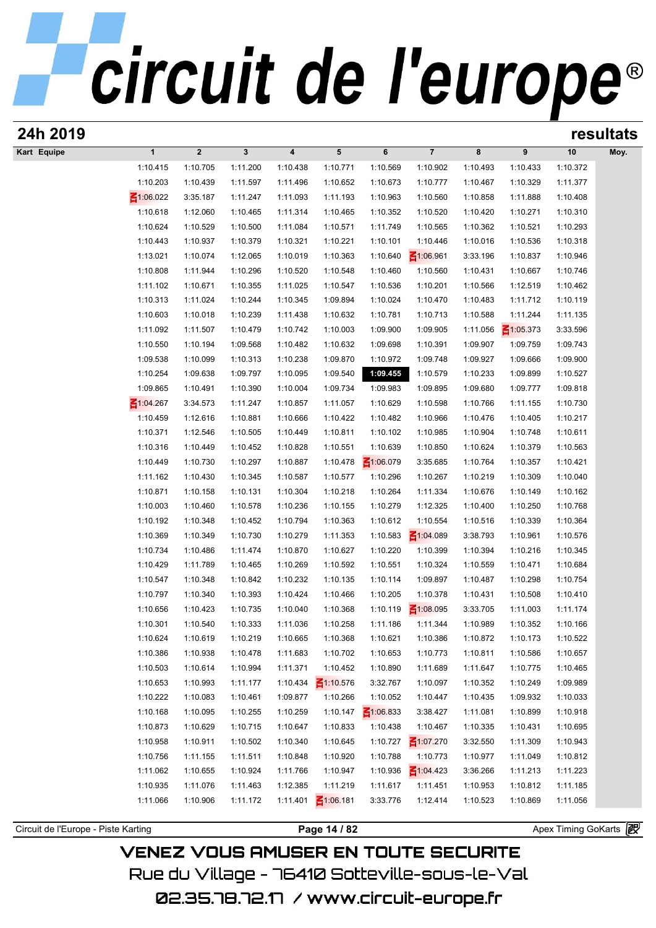| 24h 2019                            |                      |                      |                      |                      |                                 |                      |                          |                      |                      |                                          | resultats |
|-------------------------------------|----------------------|----------------------|----------------------|----------------------|---------------------------------|----------------------|--------------------------|----------------------|----------------------|------------------------------------------|-----------|
| Kart Equipe                         | $\mathbf{1}$         | $\overline{2}$       | $\mathbf{3}$         | 4                    | 5                               | 6                    | $\overline{7}$           | 8                    | 9                    | 10                                       | Moy.      |
|                                     | 1:10.415             | 1:10.705             | 1:11.200             | 1:10.438             | 1:10.771                        | 1:10.569             | 1:10.902                 | 1:10.493             | 1:10.433             | 1:10.372                                 |           |
|                                     | 1:10.203             | 1:10.439             | 1:11.597             | 1:11.496             | 1:10.652                        | 1:10.673             | 1:10.777                 | 1:10.467             | 1:10.329             | 1:11.377                                 |           |
|                                     | $\leq 1:06.022$      | 3:35.187             | 1:11.247             | 1:11.093             | 1:11.193                        | 1:10.963             | 1:10.560                 | 1:10.858             | 1:11.888             | 1:10.408                                 |           |
|                                     | 1:10.618             | 1:12.060             | 1:10.465             | 1:11.314             | 1:10.465                        | 1:10.352             | 1:10.520                 | 1:10.420             | 1:10.271             | 1:10.310                                 |           |
|                                     | 1:10.624             | 1:10.529             | 1:10.500             | 1:11.084             | 1:10.571                        | 1:11.749             | 1:10.565                 | 1:10.362             | 1:10.521             | 1:10.293                                 |           |
|                                     | 1:10.443             | 1:10.937             | 1:10.379             | 1:10.321             | 1:10.221                        | 1:10.101             | 1:10.446                 | 1:10.016             | 1:10.536             | 1:10.318                                 |           |
|                                     | 1:13.021             | 1:10.074             | 1:12.065             | 1:10.019             | 1:10.363                        | 1:10.640             | $\leq 1:06.961$          | 3:33.196             | 1:10.837             | 1:10.946                                 |           |
|                                     | 1:10.808             | 1:11.944             | 1:10.296             | 1:10.520             | 1:10.548                        | 1:10.460             | 1:10.560                 | 1:10.431             | 1:10.667             | 1:10.746                                 |           |
|                                     | 1:11.102             | 1:10.671             | 1:10.355             | 1:11.025             | 1:10.547                        | 1:10.536             | 1:10.201                 | 1:10.566             | 1:12.519             | 1:10.462                                 |           |
|                                     | 1:10.313             | 1:11.024             | 1:10.244             | 1:10.345             | 1:09.894                        | 1:10.024             | 1:10.470                 | 1:10.483             | 1:11.712             | 1:10.119                                 |           |
|                                     | 1:10.603             | 1:10.018             | 1:10.239             | 1:11.438             | 1:10.632                        | 1:10.781             | 1:10.713                 | 1:10.588             | 1:11.244             | 1:11.135                                 |           |
|                                     | 1:11.092             | 1:11.507             | 1:10.479             | 1:10.742             | 1:10.003                        | 1:09.900             | 1:09.905                 | 1:11.056             | $\leq 1:05.373$      | 3:33.596                                 |           |
|                                     | 1:10.550             | 1:10.194             | 1:09.568             | 1:10.482             | 1:10.632                        | 1:09.698             | 1:10.391                 | 1:09.907             | 1:09.759             | 1:09.743                                 |           |
|                                     | 1:09.538             | 1:10.099             | 1:10.313             | 1:10.238             | 1:09.870                        | 1:10.972             | 1:09.748                 | 1:09.927             | 1:09.666             | 1:09.900                                 |           |
|                                     | 1:10.254             | 1:09.638             | 1:09.797             | 1:10.095             | 1:09.540                        | 1:09.455             | 1:10.579                 | 1:10.233             | 1:09.899             | 1:10.527                                 |           |
|                                     | 1:09.865             | 1:10.491             | 1:10.390             | 1:10.004             | 1:09.734                        | 1:09.983             | 1:09.895                 | 1:09.680             | 1:09.777             | 1:09.818                                 |           |
|                                     | $\leq 1:04.267$      | 3:34.573             | 1:11.247             | 1:10.857             | 1:11.057                        | 1:10.629             | 1:10.598                 | 1:10.766             | 1:11.155             | 1:10.730                                 |           |
|                                     | 1:10.459             | 1:12.616             | 1:10.881             | 1:10.666             | 1:10.422                        | 1:10.482             | 1:10.966                 | 1:10.476             | 1:10.405             | 1:10.217                                 |           |
|                                     | 1:10.371             | 1:12.546             | 1:10.505             | 1:10.449             | 1:10.811                        | 1:10.102             | 1:10.985                 | 1:10.904             | 1:10.748             | 1:10.611                                 |           |
|                                     | 1:10.316             | 1:10.449             | 1:10.452             | 1:10.828             | 1:10.551                        | 1:10.639             | 1:10.850                 | 1:10.624             | 1:10.379             | 1:10.563                                 |           |
|                                     | 1:10.449             | 1:10.730             | 1:10.297             | 1:10.887             | 1:10.478                        | $\leq 1:06.079$      | 3:35.685                 | 1:10.764             | 1:10.357             | 1:10.421                                 |           |
|                                     | 1:11.162             | 1:10.430             | 1:10.345             | 1:10.587             | 1:10.577                        | 1:10.296             | 1:10.267                 | 1:10.219             | 1:10.309             | 1:10.040                                 |           |
|                                     | 1:10.871             | 1:10.158             | 1:10.131             | 1:10.304             | 1:10.218                        | 1:10.264             | 1:11.334                 | 1:10.676             | 1:10.149             | 1:10.162                                 |           |
|                                     | 1:10.003             | 1:10.460             | 1:10.578             | 1:10.236             | 1:10.155                        | 1:10.279             | 1:12.325                 | 1:10.400             | 1:10.250             | 1:10.768                                 |           |
|                                     | 1:10.192             | 1:10.348             | 1:10.452             | 1:10.794             | 1:10.363                        | 1:10.612             | 1:10.554                 | 1:10.516             | 1:10.339             | 1:10.364                                 |           |
|                                     | 1:10.369             | 1:10.349             | 1:10.730             | 1:10.279             | 1:11.353                        | 1:10.583             | $\leq 1:04.089$          | 3:38.793             | 1:10.961             | 1:10.576                                 |           |
|                                     | 1:10.734             | 1:10.486             | 1:11.474             | 1:10.870             | 1:10.627                        | 1:10.220             | 1:10.399                 | 1:10.394             | 1:10.216             | 1:10.345                                 |           |
|                                     |                      | 1:11.789             |                      |                      | 1:10.592                        |                      |                          |                      | 1:10.471             |                                          |           |
|                                     | 1:10.429<br>1:10.547 | 1:10.348             | 1:10.465<br>1:10.842 | 1:10.269<br>1:10.232 | 1:10.135                        | 1:10.551<br>1:10.114 | 1:10.324<br>1:09.897     | 1:10.559<br>1:10.487 | 1:10.298             | 1:10.684<br>1:10.754                     |           |
|                                     | 1:10.797             | 1:10.340             | 1:10.393             | 1:10.424             | 1:10.466                        | 1:10.205             | 1:10.378                 | 1:10.431             | 1:10.508             | 1:10.410                                 |           |
|                                     | 1:10.656             | 1:10.423             | 1:10.735             | 1:10.040             | 1:10.368                        |                      | 1:10.119 $\leq 1:08.095$ | 3:33.705             | 1:11.003             | 1:11.174                                 |           |
|                                     |                      |                      |                      |                      |                                 |                      |                          |                      |                      |                                          |           |
|                                     | 1:10.301             | 1:10.540             | 1:10.333             | 1:11.036             | 1:10.258                        | 1:11.186             | 1:11.344                 | 1:10.989             | 1:10.352             | 1:10.166                                 |           |
|                                     | 1:10.624<br>1:10.386 | 1:10.619<br>1:10.938 | 1:10.219<br>1:10.478 | 1:10.665<br>1:11.683 | 1:10.368<br>1:10.702            | 1:10.621<br>1:10.653 | 1:10.386<br>1:10.773     | 1:10.872<br>1:10.811 | 1:10.173<br>1:10.586 | 1:10.522<br>1:10.657                     |           |
|                                     |                      |                      | 1:10.994             |                      |                                 |                      |                          |                      |                      |                                          |           |
|                                     | 1:10.503             | 1:10.614             |                      | 1:11.371             | 1:10.452                        | 1:10.890             | 1:11.689                 | 1:11.647             | 1:10.775             | 1:10.465                                 |           |
|                                     | 1:10.653             | 1:10.993             | 1:11.177             | 1:10.434             | $\leq 1:10.576$                 | 3:32.767             | 1:10.097                 | 1:10.352             | 1:10.249             | 1:09.989                                 |           |
|                                     | 1:10.222             | 1:10.083             | 1:10.461             | 1:09.877             | 1:10.266                        | 1:10.052             | 1:10.447                 | 1:10.435             | 1:09.932             | 1:10.033                                 |           |
|                                     | 1:10.168             | 1:10.095             | 1:10.255             | 1:10.259             | 1:10.147                        | $\leq 1:06.833$      | 3:38.427                 | 1:11.081             | 1:10.899             | 1:10.918                                 |           |
|                                     | 1:10.873             | 1:10.629             | 1:10.715             | 1:10.647             | 1:10.833                        | 1:10.438             | 1:10.467                 | 1:10.335             | 1:10.431             | 1:10.695                                 |           |
|                                     | 1:10.958             | 1:10.911             | 1:10.502             | 1:10.340             | 1:10.645                        | 1:10.727             | $\leq 1:07.270$          | 3:32.550             | 1:11.309             | 1:10.943                                 |           |
|                                     | 1:10.756             | 1:11.155             | 1:11.511             | 1:10.848             | 1:10.920                        | 1:10.788             | 1:10.773                 | 1:10.977             | 1:11.049             | 1:10.812                                 |           |
|                                     | 1:11.062             | 1:10.655             | 1:10.924             | 1:11.766             | 1:10.947                        | 1:10.936             | $\leq 1:04.423$          | 3:36.266             | 1:11.213             | 1:11.223                                 |           |
|                                     | 1:10.935             | 1:11.076             | 1:11.463             | 1:12.385             | 1:11.219                        | 1:11.617             | 1:11.451                 | 1:10.953             | 1:10.812             | 1:11.185                                 |           |
|                                     |                      |                      |                      |                      |                                 |                      |                          |                      |                      |                                          |           |
|                                     |                      |                      |                      |                      |                                 |                      |                          |                      |                      |                                          |           |
| Circuit de l'Europe - Piste Karting | 1:11.066             | 1:10.906             | 1:11.172             | 1:11.401             | $\leq 1:06.181$<br>Page 14 / 82 | 3:33.776             | 1:12.414                 | 1:10.523             | 1:10.869             | 1:11.056<br>Apex Timing GoKarts <b>段</b> |           |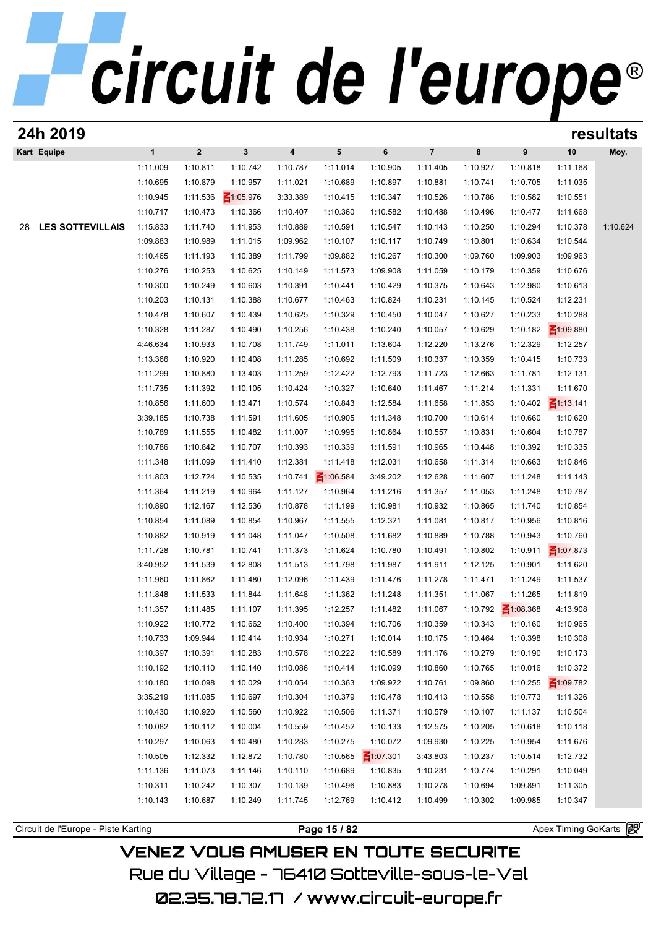## circuit de l'europe<sup>®</sup>

| 24h 2019                      |              |                |                 |                         |                 |                 |                |          |                                             |                 | resultats |
|-------------------------------|--------------|----------------|-----------------|-------------------------|-----------------|-----------------|----------------|----------|---------------------------------------------|-----------------|-----------|
| Kart Equipe                   | $\mathbf{1}$ | $\overline{2}$ | $\mathbf{3}$    | $\overline{\mathbf{4}}$ | $5\phantom{.0}$ | 6               | $\overline{7}$ | 8        | 9                                           | 10              | Moy.      |
|                               | 1:11.009     | 1:10.811       | 1:10.742        | 1:10.787                | 1:11.014        | 1:10.905        | 1:11.405       | 1:10.927 | 1:10.818                                    | 1:11.168        |           |
|                               | 1:10.695     | 1:10.879       | 1:10.957        | 1:11.021                | 1:10.689        | 1:10.897        | 1:10.881       | 1:10.741 | 1:10.705                                    | 1:11.035        |           |
|                               | 1:10.945     | 1:11.536       | $\leq 1:05.976$ | 3:33.389                | 1:10.415        | 1:10.347        | 1:10.526       | 1:10.786 | 1:10.582                                    | 1:10.551        |           |
|                               | 1:10.717     | 1:10.473       | 1:10.366        | 1:10.407                | 1:10.360        | 1:10.582        | 1:10.488       | 1:10.496 | 1:10.477                                    | 1:11.668        |           |
| <b>LES SOTTEVILLAIS</b><br>28 | 1:15.833     | 1:11.740       | 1:11.953        | 1:10.889                | 1:10.591        | 1:10.547        | 1:10.143       | 1:10.250 | 1:10.294                                    | 1:10.378        | 1:10.624  |
|                               | 1:09.883     | 1:10.989       | 1:11.015        | 1:09.962                | 1:10.107        | 1:10.117        | 1:10.749       | 1:10.801 | 1:10.634                                    | 1:10.544        |           |
|                               | 1:10.465     | 1:11.193       | 1:10.389        | 1:11.799                | 1:09.882        | 1:10.267        | 1:10.300       | 1:09.760 | 1:09.903                                    | 1:09.963        |           |
|                               | 1:10.276     | 1:10.253       | 1:10.625        | 1:10.149                | 1:11.573        | 1:09.908        | 1:11.059       | 1:10.179 | 1:10.359                                    | 1:10.676        |           |
|                               | 1:10.300     | 1:10.249       | 1:10.603        | 1:10.391                | 1:10.441        | 1:10.429        | 1:10.375       | 1:10.643 | 1:12.980                                    | 1:10.613        |           |
|                               | 1:10.203     | 1:10.131       | 1:10.388        | 1:10.677                | 1:10.463        | 1:10.824        | 1:10.231       | 1:10.145 | 1:10.524                                    | 1:12.231        |           |
|                               | 1:10.478     | 1:10.607       | 1:10.439        | 1:10.625                | 1:10.329        | 1:10.450        | 1:10.047       | 1:10.627 | 1:10.233                                    | 1:10.288        |           |
|                               | 1:10.328     | 1:11.287       | 1:10.490        | 1:10.256                | 1:10.438        | 1:10.240        | 1:10.057       | 1:10.629 | 1:10.182                                    | $\leq 1:09.880$ |           |
|                               | 4:46.634     | 1:10.933       | 1:10.708        | 1:11.749                | 1:11.011        | 1:13.604        | 1:12.220       | 1:13.276 | 1:12.329                                    | 1:12.257        |           |
|                               | 1:13.366     | 1:10.920       | 1:10.408        | 1:11.285                | 1:10.692        | 1:11.509        | 1:10.337       | 1:10.359 | 1:10.415                                    | 1:10.733        |           |
|                               | 1:11.299     | 1:10.880       | 1:13.403        | 1:11.259                | 1:12.422        | 1:12.793        | 1:11.723       | 1:12.663 | 1:11.781                                    | 1:12.131        |           |
|                               | 1:11.735     | 1:11.392       | 1:10.105        | 1:10.424                | 1:10.327        | 1:10.640        | 1:11.467       | 1:11.214 | 1:11.331                                    | 1:11.670        |           |
|                               | 1:10.856     | 1:11.600       | 1:13.471        | 1:10.574                | 1:10.843        | 1:12.584        | 1:11.658       | 1:11.853 | 1:10.402                                    | $\leq 1:13.141$ |           |
|                               | 3:39.185     | 1:10.738       | 1:11.591        | 1:11.605                | 1:10.905        | 1:11.348        | 1:10.700       | 1:10.614 | 1:10.660                                    | 1:10.620        |           |
|                               | 1:10.789     | 1:11.555       | 1:10.482        | 1:11.007                | 1:10.995        | 1:10.864        | 1:10.557       | 1:10.831 | 1:10.604                                    | 1:10.787        |           |
|                               | 1:10.786     | 1:10.842       | 1:10.707        | 1:10.393                | 1:10.339        | 1:11.591        | 1:10.965       | 1:10.448 | 1:10.392                                    | 1:10.335        |           |
|                               | 1:11.348     | 1:11.099       | 1:11.410        | 1:12.381                | 1:11.418        | 1:12.031        | 1:10.658       | 1:11.314 | 1:10.663                                    | 1:10.846        |           |
|                               | 1:11.803     | 1:12.724       | 1:10.535        | 1:10.741                | $\leq 1:06.584$ | 3:49.202        | 1:12.628       | 1:11.607 | 1:11.248                                    | 1:11.143        |           |
|                               | 1:11.364     | 1:11.219       | 1:10.964        | 1:11.127                | 1:10.964        | 1:11.216        | 1:11.357       | 1:11.053 | 1:11.248                                    | 1:10.787        |           |
|                               | 1:10.890     | 1:12.167       | 1:12.536        | 1:10.878                | 1:11.199        | 1:10.981        | 1:10.932       | 1:10.865 | 1:11.740                                    | 1:10.854        |           |
|                               | 1:10.854     | 1:11.089       | 1:10.854        | 1:10.967                | 1:11.555        | 1:12.321        | 1:11.081       | 1:10.817 | 1:10.956                                    | 1:10.816        |           |
|                               | 1:10.882     | 1:10.919       | 1:11.048        | 1:11.047                | 1:10.508        | 1:11.682        | 1:10.889       | 1:10.788 | 1:10.943                                    | 1:10.760        |           |
|                               | 1:11.728     | 1:10.781       | 1:10.741        | 1:11.373                | 1:11.624        | 1:10.780        | 1:10.491       | 1:10.802 | 1:10.911                                    | $\leq 1:07.873$ |           |
|                               | 3:40.952     | 1:11.539       | 1:12.808        | 1:11.513                | 1:11.798        | 1:11.987        | 1:11.911       | 1:12.125 | 1:10.901                                    | 1:11.620        |           |
|                               | 1:11.960     | 1:11.862       | 1:11.480        | 1:12.096                | 1:11.439        | 1:11.476        | 1:11.278       | 1:11.471 | 1:11.249                                    | 1:11.537        |           |
|                               | 1:11.848     | 1:11.533       | 1:11.844        | 1:11.648                | 1:11.362        | 1:11.248        | 1:11.351       | 1:11.067 | 1:11.265                                    | 1:11.819        |           |
|                               | 1:11.357     | 1:11.485       | 1:11.107        | 1:11.395                | 1:12.257        | 1:11.482        | 1:11.067       |          | 1:10.792 $\overline{\phantom{0}2}$ 1:08.368 | 4:13.908        |           |
|                               | 1:10.922     | 1:10.772       | 1:10.662        | 1:10.400                | 1:10.394        | 1:10.706        | 1:10.359       | 1:10.343 | 1:10.160                                    | 1:10.965        |           |
|                               | 1:10.733     | 1:09.944       | 1:10.414        | 1:10.934                | 1:10.271        | 1:10.014        | 1:10.175       | 1:10.464 | 1:10.398                                    | 1:10.308        |           |
|                               | 1:10.397     | 1:10.391       | 1:10.283        | 1:10.578                | 1:10.222        | 1:10.589        | 1:11.176       | 1:10.279 | 1:10.190                                    | 1:10.173        |           |
|                               | 1:10.192     | 1:10.110       | 1:10.140        | 1:10.086                | 1:10.414        | 1:10.099        | 1:10.860       | 1:10.765 | 1:10.016                                    | 1:10.372        |           |
|                               | 1:10.180     | 1:10.098       | 1:10.029        | 1:10.054                | 1:10.363        | 1:09.922        | 1:10.761       | 1:09.860 | 1:10.255                                    | $\leq 1:09.782$ |           |
|                               | 3:35.219     | 1:11.085       | 1:10.697        | 1:10.304                | 1:10.379        | 1:10.478        | 1:10.413       | 1:10.558 | 1:10.773                                    | 1:11.326        |           |
|                               | 1:10.430     | 1:10.920       | 1:10.560        | 1:10.922                | 1:10.506        | 1:11.371        | 1:10.579       | 1:10.107 | 1:11.137                                    | 1:10.504        |           |
|                               | 1:10.082     | 1:10.112       | 1:10.004        | 1:10.559                | 1:10.452        | 1:10.133        | 1:12.575       | 1:10.205 | 1:10.618                                    | 1:10.118        |           |
|                               | 1:10.297     | 1:10.063       | 1:10.480        | 1:10.283                | 1:10.275        | 1:10.072        | 1:09.930       | 1:10.225 | 1:10.954                                    | 1:11.676        |           |
|                               | 1:10.505     | 1:12.332       | 1:12.872        | 1:10.780                | 1:10.565        | $\leq 1:07.301$ | 3:43.803       | 1:10.237 | 1:10.514                                    | 1:12.732        |           |
|                               | 1:11.136     | 1:11.073       | 1:11.146        | 1:10.110                | 1:10.689        | 1:10.835        | 1:10.231       | 1:10.774 | 1:10.291                                    | 1:10.049        |           |
|                               | 1:10.311     | 1:10.242       | 1:10.307        | 1:10.139                | 1:10.496        | 1:10.883        | 1:10.278       | 1:10.694 | 1:09.891                                    | 1:11.305        |           |
|                               |              |                |                 |                         |                 |                 |                |          |                                             |                 |           |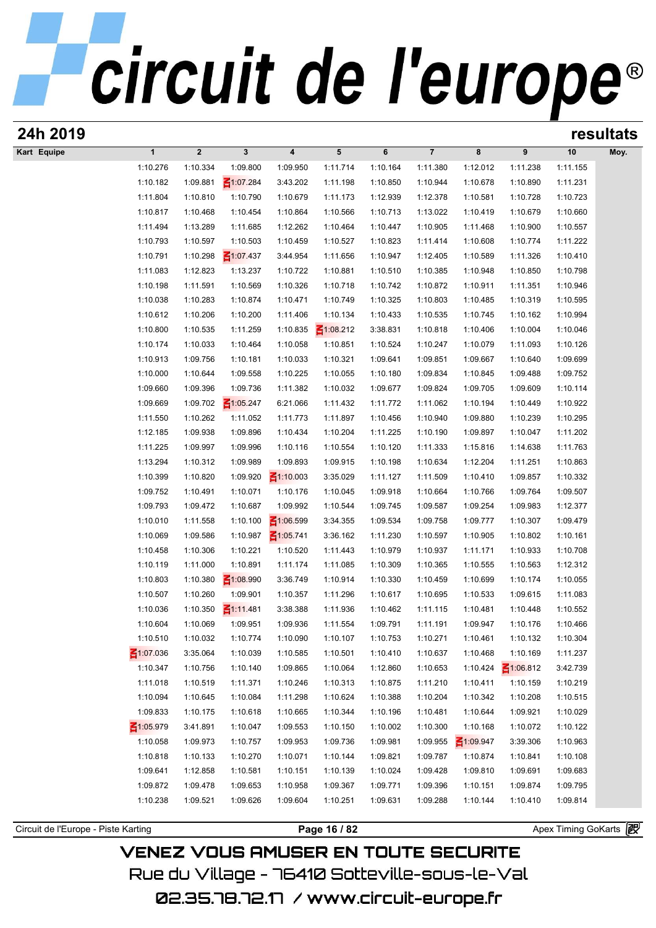| 24h 2019                            |                      |                      |                             |                         |                      |                      |                      |                      |                      |                       | resultats |
|-------------------------------------|----------------------|----------------------|-----------------------------|-------------------------|----------------------|----------------------|----------------------|----------------------|----------------------|-----------------------|-----------|
| Kart Equipe                         | $\mathbf{1}$         | $\boldsymbol{2}$     | $\mathbf{3}$                | $\overline{\mathbf{4}}$ | 5                    | 6                    | $\overline{7}$       | 8                    | 9                    | 10                    | Moy.      |
|                                     | 1:10.276             | 1:10.334             | 1:09.800                    | 1:09.950                | 1:11.714             | 1:10.164             | 1:11.380             | 1:12.012             | 1:11.238             | 1:11.155              |           |
|                                     | 1:10.182             | 1:09.881             | $\leq 1:07.284$             | 3:43.202                | 1:11.198             | 1:10.850             | 1:10.944             | 1:10.678             | 1:10.890             | 1:11.231              |           |
|                                     | 1:11.804             | 1:10.810             | 1:10.790                    | 1:10.679                | 1:11.173             | 1:12.939             | 1:12.378             | 1:10.581             | 1:10.728             | 1:10.723              |           |
|                                     | 1:10.817             | 1:10.468             | 1:10.454                    | 1:10.864                | 1:10.566             | 1:10.713             | 1:13.022             | 1:10.419             | 1:10.679             | 1:10.660              |           |
|                                     | 1:11.494             | 1:13.289             | 1:11.685                    | 1:12.262                | 1:10.464             | 1:10.447             | 1:10.905             | 1:11.468             | 1:10.900             | 1:10.557              |           |
|                                     | 1:10.793             | 1:10.597             | 1:10.503                    | 1:10.459                | 1:10.527             | 1:10.823             | 1:11.414             | 1:10.608             | 1:10.774             | 1:11.222              |           |
|                                     | 1:10.791             | 1:10.298             | $\leq 1:07.437$             | 3:44.954                | 1:11.656             | 1:10.947             | 1:12.405             | 1:10.589             | 1:11.326             | 1:10.410              |           |
|                                     | 1:11.083             | 1:12.823             | 1:13.237                    | 1:10.722                | 1:10.881             | 1:10.510             | 1:10.385             | 1:10.948             | 1:10.850             | 1:10.798              |           |
|                                     | 1:10.198             | 1:11.591             | 1:10.569                    | 1:10.326                | 1:10.718             | 1:10.742             | 1:10.872             | 1:10.911             | 1:11.351             | 1:10.946              |           |
|                                     | 1:10.038             | 1:10.283             | 1:10.874                    | 1:10.471                | 1:10.749             | 1:10.325             | 1:10.803             | 1:10.485             | 1:10.319             | 1:10.595              |           |
|                                     | 1:10.612             | 1:10.206             | 1:10.200                    | 1:11.406                | 1:10.134             | 1:10.433             | 1:10.535             | 1:10.745             | 1:10.162             | 1:10.994              |           |
|                                     | 1:10.800             | 1:10.535             | 1:11.259                    | 1:10.835                | $\leq 1:08.212$      | 3:38.831             | 1:10.818             | 1:10.406             | 1:10.004             | 1:10.046              |           |
|                                     | 1:10.174             | 1:10.033             | 1:10.464                    | 1:10.058                | 1:10.851             | 1:10.524             | 1:10.247             | 1:10.079             | 1:11.093             | 1:10.126              |           |
|                                     | 1:10.913             | 1:09.756             | 1:10.181                    | 1:10.033                | 1:10.321             | 1:09.641             | 1:09.851             | 1:09.667             | 1:10.640             | 1:09.699              |           |
|                                     | 1:10.000             | 1:10.644             | 1:09.558                    | 1:10.225                | 1:10.055             | 1:10.180             | 1:09.834             | 1:10.845             | 1:09.488             | 1:09.752              |           |
|                                     | 1:09.660             | 1:09.396             | 1:09.736                    | 1:11.382                | 1:10.032             | 1:09.677             | 1:09.824             | 1:09.705             | 1:09.609             | 1:10.114              |           |
|                                     | 1:09.669<br>1:11.550 | 1:09.702<br>1:10.262 | $\leq 1:05.247$<br>1:11.052 | 6:21.066<br>1:11.773    | 1:11.432<br>1:11.897 | 1:11.772<br>1:10.456 | 1:11.062<br>1:10.940 | 1:10.194<br>1:09.880 | 1:10.449<br>1:10.239 | 1:10.922<br>1:10.295  |           |
|                                     | 1:12.185             | 1:09.938             | 1:09.896                    | 1:10.434                | 1:10.204             | 1:11.225             | 1:10.190             | 1:09.897             | 1:10.047             | 1:11.202              |           |
|                                     | 1:11.225             | 1:09.997             | 1:09.996                    | 1:10.116                | 1:10.554             | 1:10.120             | 1:11.333             | 1:15.816             | 1:14.638             | 1:11.763              |           |
|                                     | 1:13.294             | 1:10.312             | 1:09.989                    | 1:09.893                | 1:09.915             | 1:10.198             | 1:10.634             | 1:12.204             | 1:11.251             | 1:10.863              |           |
|                                     | 1:10.399             | 1:10.820             | 1:09.920                    | $\leq 1:10.003$         | 3:35.029             | 1:11.127             | 1:11.509             | 1:10.410             | 1:09.857             | 1:10.332              |           |
|                                     | 1:09.752             | 1:10.491             | 1:10.071                    | 1:10.176                | 1:10.045             | 1:09.918             | 1:10.664             | 1:10.766             | 1:09.764             | 1:09.507              |           |
|                                     | 1:09.793             | 1:09.472             | 1:10.687                    | 1:09.992                | 1:10.544             | 1:09.745             | 1:09.587             | 1:09.254             | 1:09.983             | 1:12.377              |           |
|                                     | 1:10.010             | 1:11.558             | 1:10.100                    | $\leq 1:06.599$         | 3:34.355             | 1:09.534             | 1:09.758             | 1:09.777             | 1:10.307             | 1:09.479              |           |
|                                     | 1:10.069             | 1:09.586             | 1:10.987                    | $\leq 1:05.741$         | 3:36.162             | 1:11.230             | 1:10.597             | 1:10.905             | 1:10.802             | 1:10.161              |           |
|                                     | 1:10.458             | 1:10.306             | 1:10.221                    | 1:10.520                | 1:11.443             | 1:10.979             | 1:10.937             | 1:11.171             | 1:10.933             | 1:10.708              |           |
|                                     | 1:10.119             | 1:11.000             | 1:10.891                    | 1:11.174                | 1:11.085             | 1:10.309             | 1:10.365             | 1:10.555             | 1:10.563             | 1:12.312              |           |
|                                     | 1:10.803             | 1:10.380             | $\leq 1:08.990$             | 3:36.749                | 1:10.914             | 1:10.330             | 1:10.459             | 1:10.699             | 1:10.174             | 1:10.055              |           |
|                                     | 1:10.507             | 1:10.260             | 1:09.901                    | 1:10.357                | 1:11.296             | 1:10.617             | 1:10.695             | 1:10.533             | 1:09.615             | 1:11.083              |           |
|                                     | 1:10.036             | 1:10.350             | $\leq$ 1:11.481             | 3:38.388                | 1:11.936             | 1:10.462             | 1:11.115             | 1:10.481             | 1:10.448             | 1:10.552              |           |
|                                     | 1:10.604             | 1:10.069             | 1:09.951                    | 1:09.936                | 1:11.554             | 1:09.791             | 1:11.191             | 1:09.947             | 1:10.176             | 1:10.466              |           |
|                                     | 1:10.510             | 1:10.032             | 1:10.774                    | 1:10.090                | 1:10.107             | 1:10.753             | 1:10.271             | 1:10.461             | 1:10.132             | 1:10.304              |           |
|                                     | 41:07.036            | 3:35.064             | 1:10.039                    | 1:10.585                | 1:10.501             | 1:10.410             | 1:10.637             | 1:10.468             | 1:10.169             | 1:11.237              |           |
|                                     | 1:10.347             | 1:10.756             | 1:10.140                    | 1:09.865                | 1:10.064             | 1:12.860             | 1:10.653             | 1:10.424             | $\leq 1:06.812$      | 3:42.739              |           |
|                                     | 1:11.018             | 1:10.519             | 1:11.371                    | 1:10.246                | 1:10.313             | 1:10.875             | 1:11.210             | 1:10.411             | 1:10.159             | 1:10.219              |           |
|                                     | 1:10.094             | 1:10.645             | 1:10.084                    | 1:11.298                | 1:10.624             | 1:10.388             | 1:10.204             | 1:10.342             | 1:10.208             | 1:10.515              |           |
|                                     | 1:09.833             | 1:10.175             | 1:10.618                    | 1:10.665                | 1:10.344             | 1:10.196             | 1:10.481             | 1:10.644             | 1:09.921             | 1:10.029              |           |
|                                     | $\leq 1:05.979$      | 3:41.891             | 1:10.047                    | 1:09.553                | 1:10.150             | 1:10.002             | 1:10.300             | 1:10.168             | 1:10.072             | 1:10.122              |           |
|                                     | 1:10.058             | 1:09.973             | 1:10.757                    | 1:09.953                | 1:09.736             | 1:09.981             | 1:09.955             | $\leq 1:09.947$      | 3:39.306             | 1:10.963              |           |
|                                     | 1:10.818             | 1:10.133             | 1:10.270                    | 1:10.071                | 1:10.144             | 1:09.821             | 1:09.787             | 1:10.874             | 1:10.841             | 1:10.108              |           |
|                                     | 1:09.641             | 1:12.858             | 1:10.581                    | 1:10.151                | 1:10.139             | 1:10.024             | 1:09.428             | 1:09.810             | 1:09.691             | 1:09.683              |           |
|                                     | 1:09.872             | 1:09.478             | 1:09.653                    | 1:10.958                | 1:09.367             | 1:09.771             | 1:09.396             | 1:10.151             | 1:09.874             | 1:09.795              |           |
|                                     | 1:10.238             | 1:09.521             | 1:09.626                    | 1:09.604                | 1:10.251             | 1:09.631             | 1:09.288             | 1:10.144             | 1:10.410             | 1:09.814              |           |
|                                     |                      |                      |                             |                         |                      |                      |                      |                      |                      |                       |           |
| Circuit de l'Europe - Piste Karting |                      |                      |                             |                         | Page 16 / 82         |                      |                      |                      |                      | Apex Timing GoKarts 图 |           |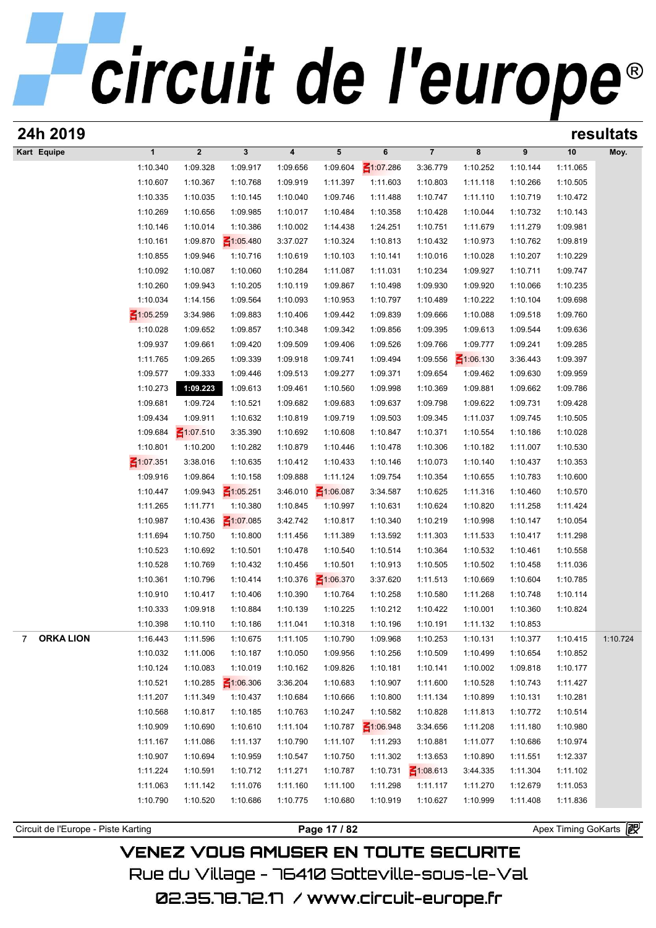## circuit de l'europe<sup>®</sup>

| 24h 2019                            |                 |                         |                 |                         |                 |                 |                 |                 |          | resultats             |          |
|-------------------------------------|-----------------|-------------------------|-----------------|-------------------------|-----------------|-----------------|-----------------|-----------------|----------|-----------------------|----------|
| Kart Equipe                         | $\mathbf{1}$    | $\overline{\mathbf{2}}$ | 3               | $\overline{\mathbf{4}}$ | 5               | 6               | $\overline{7}$  | 8               | 9        | 10                    | Moy.     |
|                                     | 1:10.340        | 1:09.328                | 1:09.917        | 1:09.656                | 1:09.604        | $\leq 1:07.286$ | 3:36.779        | 1:10.252        | 1:10.144 | 1:11.065              |          |
|                                     | 1:10.607        | 1:10.367                | 1:10.768        | 1:09.919                | 1:11.397        | 1:11.603        | 1:10.803        | 1:11.118        | 1:10.266 | 1:10.505              |          |
|                                     | 1:10.335        | 1:10.035                | 1:10.145        | 1:10.040                | 1:09.746        | 1:11.488        | 1:10.747        | 1:11.110        | 1:10.719 | 1:10.472              |          |
|                                     | 1:10.269        | 1:10.656                | 1:09.985        | 1:10.017                | 1:10.484        | 1:10.358        | 1:10.428        | 1:10.044        | 1:10.732 | 1:10.143              |          |
|                                     | 1:10.146        | 1:10.014                | 1:10.386        | 1:10.002                | 1:14.438        | 1:24.251        | 1:10.751        | 1:11.679        | 1:11.279 | 1:09.981              |          |
|                                     | 1:10.161        | 1:09.870                | $\leq 1:05.480$ | 3:37.027                | 1:10.324        | 1:10.813        | 1:10.432        | 1:10.973        | 1:10.762 | 1:09.819              |          |
|                                     | 1:10.855        | 1:09.946                | 1:10.716        | 1:10.619                | 1:10.103        | 1:10.141        | 1:10.016        | 1:10.028        | 1:10.207 | 1:10.229              |          |
|                                     | 1:10.092        | 1:10.087                | 1:10.060        | 1:10.284                | 1:11.087        | 1:11.031        | 1:10.234        | 1:09.927        | 1:10.711 | 1:09.747              |          |
|                                     | 1:10.260        | 1:09.943                | 1:10.205        | 1:10.119                | 1:09.867        | 1:10.498        | 1:09.930        | 1:09.920        | 1:10.066 | 1:10.235              |          |
|                                     | 1:10.034        | 1:14.156                | 1:09.564        | 1:10.093                | 1:10.953        | 1:10.797        | 1:10.489        | 1:10.222        | 1:10.104 | 1:09.698              |          |
|                                     | $\leq 1:05.259$ | 3:34.986                | 1:09.883        | 1:10.406                | 1:09.442        | 1:09.839        | 1:09.666        | 1:10.088        | 1:09.518 | 1:09.760              |          |
|                                     | 1:10.028        | 1:09.652                | 1:09.857        | 1:10.348                | 1:09.342        | 1:09.856        | 1:09.395        | 1:09.613        | 1:09.544 | 1:09.636              |          |
|                                     | 1:09.937        | 1:09.661                | 1:09.420        | 1:09.509                | 1:09.406        | 1:09.526        | 1:09.766        | 1:09.777        | 1:09.241 | 1:09.285              |          |
|                                     | 1:11.765        | 1:09.265                | 1:09.339        | 1:09.918                | 1:09.741        | 1:09.494        | 1:09.556        | $\leq 1:06.130$ | 3:36.443 | 1:09.397              |          |
|                                     | 1:09.577        | 1:09.333                | 1:09.446        | 1:09.513                | 1:09.277        | 1:09.371        | 1:09.654        | 1:09.462        | 1:09.630 | 1:09.959              |          |
|                                     | 1:10.273        | 1:09.223                | 1:09.613        | 1:09.461                | 1:10.560        | 1:09.998        | 1:10.369        | 1:09.881        | 1:09.662 | 1:09.786              |          |
|                                     |                 |                         |                 |                         |                 |                 |                 |                 |          |                       |          |
|                                     | 1:09.681        | 1:09.724                | 1:10.521        | 1:09.682                | 1:09.683        | 1:09.637        | 1:09.798        | 1:09.622        | 1:09.731 | 1:09.428              |          |
|                                     | 1:09.434        | 1:09.911                | 1:10.632        | 1:10.819                | 1:09.719        | 1:09.503        | 1:09.345        | 1:11.037        | 1:09.745 | 1:10.505              |          |
|                                     | 1:09.684        | $\leq 1:07.510$         | 3:35.390        | 1:10.692                | 1:10.608        | 1:10.847        | 1:10.371        | 1:10.554        | 1:10.186 | 1:10.028              |          |
|                                     | 1:10.801        | 1:10.200                | 1:10.282        | 1:10.879                | 1:10.446        | 1:10.478        | 1:10.306        | 1:10.182        | 1:11.007 | 1:10.530              |          |
|                                     | ₹1:07.351       | 3:38.016                | 1:10.635        | 1:10.412                | 1:10.433        | 1:10.146        | 1:10.073        | 1:10.140        | 1:10.437 | 1:10.353              |          |
|                                     | 1:09.916        | 1:09.864                | 1:10.158        | 1:09.888                | 1:11.124        | 1:09.754        | 1:10.354        | 1:10.655        | 1:10.783 | 1:10.600              |          |
|                                     | 1:10.447        | 1:09.943                | $\leq 1:05.251$ | 3:46.010                | $\leq 1:06.087$ | 3:34.587        | 1:10.625        | 1:11.316        | 1:10.460 | 1:10.570              |          |
|                                     | 1:11.265        | 1:11.771                | 1:10.380        | 1:10.845                | 1:10.997        | 1:10.631        | 1:10.624        | 1:10.820        | 1:11.258 | 1:11.424              |          |
|                                     | 1:10.987        | 1:10.436                | $\leq 1:07.085$ | 3:42.742                | 1:10.817        | 1:10.340        | 1:10.219        | 1:10.998        | 1:10.147 | 1:10.054              |          |
|                                     | 1:11.694        | 1:10.750                | 1:10.800        | 1:11.456                | 1:11.389        | 1:13.592        | 1:11.303        | 1:11.533        | 1:10.417 | 1:11.298              |          |
|                                     | 1:10.523        | 1:10.692                | 1:10.501        | 1:10.478                | 1:10.540        | 1:10.514        | 1:10.364        | 1:10.532        | 1:10.461 | 1:10.558              |          |
|                                     | 1:10.528        | 1:10.769                | 1:10.432        | 1:10.456                | 1:10.501        | 1:10.913        | 1:10.505        | 1:10.502        | 1:10.458 | 1:11.036              |          |
|                                     | 1:10.361        | 1:10.796                | 1:10.414        | 1:10.376                | $\leq 1:06.370$ | 3:37.620        | 1:11.513        | 1:10.669        | 1:10.604 | 1:10.785              |          |
|                                     | 1:10.910        | 1:10.417                | 1:10.406        | 1:10.390                | 1:10.764        | 1:10.258        | 1:10.580        | 1:11.268        | 1:10.748 | 1:10.114              |          |
|                                     | 1:10.333        | 1:09.918                | 1:10.884        | 1:10.139                | 1:10.225        | 1:10.212        | 1:10.422        | 1:10.001        | 1:10.360 | 1:10.824              |          |
|                                     | 1:10.398        | 1:10.110                | 1:10.186        | 1:11.041                | 1:10.318        | 1:10.196        | 1:10.191        | 1:11.132        | 1:10.853 |                       |          |
| <b>ORKA LION</b><br>7               | 1:16.443        | 1:11.596                | 1:10.675        | 1:11.105                | 1:10.790        | 1:09.968        | 1:10.253        | 1:10.131        | 1:10.377 | 1:10.415              | 1:10.724 |
|                                     | 1:10.032        | 1:11.006                | 1:10.187        | 1:10.050                | 1:09.956        | 1:10.256        | 1:10.509        | 1:10.499        | 1:10.654 | 1:10.852              |          |
|                                     | 1:10.124        | 1:10.083                | 1:10.019        | 1:10.162                | 1:09.826        | 1:10.181        | 1:10.141        | 1:10.002        | 1:09.818 | 1:10.177              |          |
|                                     | 1:10.521        | 1:10.285                | $\leq 1:06.306$ | 3:36.204                | 1:10.683        | 1:10.907        | 1:11.600        | 1:10.528        | 1:10.743 | 1:11.427              |          |
|                                     | 1:11.207        | 1:11.349                | 1:10.437        | 1:10.684                | 1:10.666        | 1:10.800        | 1:11.134        | 1:10.899        | 1:10.131 | 1:10.281              |          |
|                                     | 1:10.568        | 1:10.817                | 1:10.185        | 1:10.763                | 1:10.247        | 1:10.582        | 1:10.828        | 1:11.813        | 1:10.772 | 1:10.514              |          |
|                                     | 1:10.909        | 1:10.690                | 1:10.610        | 1:11.104                | 1:10.787        | $\leq 1:06.948$ | 3:34.656        | 1:11.208        | 1:11.180 | 1:10.980              |          |
|                                     | 1:11.167        | 1:11.086                | 1:11.137        | 1:10.790                | 1:11.107        | 1:11.293        | 1:10.881        | 1:11.077        | 1:10.686 | 1:10.974              |          |
|                                     | 1:10.907        | 1:10.694                | 1:10.959        | 1:10.547                | 1:10.750        | 1:11.302        | 1:13.653        | 1:10.890        | 1:11.551 | 1:12.337              |          |
|                                     | 1:11.224        | 1:10.591                | 1:10.712        | 1:11.271                | 1:10.787        | 1:10.731        | $\leq 1:08.613$ | 3:44.335        | 1:11.304 | 1:11.102              |          |
|                                     | 1:11.063        | 1:11.142                | 1:11.076        | 1:11.160                | 1:11.100        | 1:11.298        | 1:11.117        | 1:11.270        | 1:12.679 | 1:11.053              |          |
|                                     | 1:10.790        | 1:10.520                | 1:10.686        | 1:10.775                | 1:10.680        | 1:10.919        | 1:10.627        | 1:10.999        | 1:11.408 | 1:11.836              |          |
|                                     |                 |                         |                 |                         |                 |                 |                 |                 |          |                       |          |
| Circuit de l'Europe - Piste Karting |                 |                         |                 |                         | Page 17 / 82    |                 |                 |                 |          | Apex Timing GoKarts 图 |          |
|                                     |                 |                         |                 |                         |                 |                 |                 |                 |          |                       |          |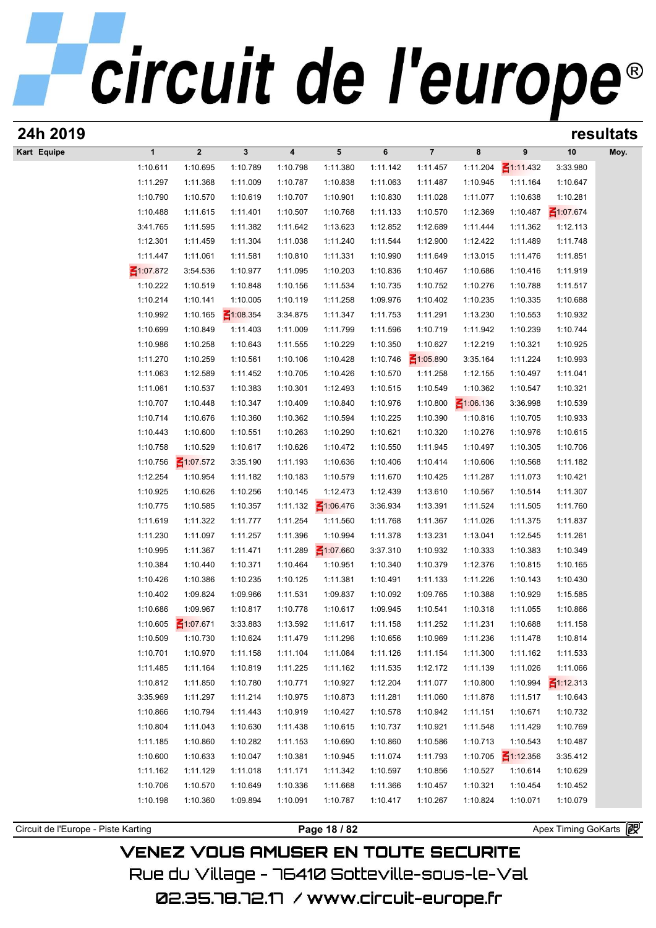| 24h 2019                            |                      |                      |                      |                      |                      |                      |                             |                      |                      |                      | resultats |
|-------------------------------------|----------------------|----------------------|----------------------|----------------------|----------------------|----------------------|-----------------------------|----------------------|----------------------|----------------------|-----------|
| Kart Equipe                         | $\mathbf{1}$         | $\boldsymbol{2}$     | $\mathbf{3}$         | 4                    | 5                    | 6                    | $\overline{7}$              | 8                    | 9                    | 10                   | Moy.      |
|                                     | 1:10.611             | 1:10.695             | 1:10.789             | 1:10.798             | 1:11.380             | 1:11.142             | 1:11.457                    | 1:11.204             | $\leq 1:11.432$      | 3:33.980             |           |
|                                     | 1:11.297             | 1:11.368             | 1:11.009             | 1:10.787             | 1:10.838             | 1:11.063             | 1:11.487                    | 1:10.945             | 1:11.164             | 1:10.647             |           |
|                                     | 1:10.790             | 1:10.570             | 1:10.619             | 1:10.707             | 1:10.901             | 1:10.830             | 1:11.028                    | 1:11.077             | 1:10.638             | 1:10.281             |           |
|                                     | 1:10.488             | 1:11.615             | 1:11.401             | 1:10.507             | 1:10.768             | 1:11.133             | 1:10.570                    | 1:12.369             | 1:10.487             | $\leq 1:07.674$      |           |
|                                     | 3:41.765             | 1:11.595             | 1:11.382             | 1:11.642             | 1:13.623             | 1:12.852             | 1:12.689                    | 1:11.444             | 1:11.362             | 1:12.113             |           |
|                                     | 1:12.301             | 1:11.459             | 1:11.304             | 1:11.038             | 1:11.240             | 1:11.544             | 1:12.900                    | 1:12.422             | 1:11.489             | 1:11.748             |           |
|                                     | 1:11.447             | 1:11.061             | 1:11.581             | 1:10.810             | 1:11.331             | 1:10.990             | 1:11.649                    | 1:13.015             | 1:11.476             | 1:11.851             |           |
|                                     | $\leq 1:07.872$      | 3:54.536             | 1:10.977             | 1:11.095             | 1:10.203             | 1:10.836             | 1:10.467                    | 1:10.686             | 1:10.416             | 1:11.919             |           |
|                                     | 1:10.222             | 1:10.519             | 1:10.848             | 1:10.156             | 1:11.534             | 1:10.735             | 1:10.752                    | 1:10.276             | 1:10.788             | 1:11.517             |           |
|                                     | 1:10.214             | 1:10.141             | 1:10.005             | 1:10.119             | 1:11.258             | 1:09.976             | 1:10.402                    | 1:10.235             | 1:10.335             | 1:10.688             |           |
|                                     | 1:10.992             | 1:10.165             | $\leq 1:08.354$      | 3:34.875             | 1:11.347             | 1:11.753             | 1:11.291                    | 1:13.230             | 1:10.553             | 1:10.932             |           |
|                                     | 1:10.699             | 1:10.849             | 1:11.403             | 1:11.009             | 1:11.799             | 1:11.596             | 1:10.719                    | 1:11.942             | 1:10.239             | 1:10.744             |           |
|                                     | 1:10.986<br>1:11.270 | 1:10.258<br>1:10.259 | 1:10.643<br>1:10.561 | 1:11.555<br>1:10.106 | 1:10.229<br>1:10.428 | 1:10.350<br>1:10.746 | 1:10.627<br>$\leq 1:05.890$ | 1:12.219<br>3:35.164 | 1:10.321<br>1:11.224 | 1:10.925<br>1:10.993 |           |
|                                     | 1:11.063             | 1:12.589             | 1:11.452             | 1:10.705             | 1:10.426             | 1:10.570             | 1:11.258                    | 1:12.155             | 1:10.497             | 1:11.041             |           |
|                                     | 1:11.061             | 1:10.537             | 1:10.383             | 1:10.301             | 1:12.493             | 1:10.515             | 1:10.549                    | 1:10.362             | 1:10.547             | 1:10.321             |           |
|                                     | 1:10.707             | 1:10.448             | 1:10.347             | 1:10.409             | 1:10.840             | 1:10.976             | 1:10.800                    | $\leq 1:06.136$      | 3:36.998             | 1:10.539             |           |
|                                     | 1:10.714             | 1:10.676             | 1:10.360             | 1:10.362             | 1:10.594             | 1:10.225             | 1:10.390                    | 1:10.816             | 1:10.705             | 1:10.933             |           |
|                                     | 1:10.443             | 1:10.600             | 1:10.551             | 1:10.263             | 1:10.290             | 1:10.621             | 1:10.320                    | 1:10.276             | 1:10.976             | 1:10.615             |           |
|                                     | 1:10.758             | 1:10.529             | 1:10.617             | 1:10.626             | 1:10.472             | 1:10.550             | 1:11.945                    | 1:10.497             | 1:10.305             | 1:10.706             |           |
|                                     | 1:10.756             | $\leq 1:07.572$      | 3:35.190             | 1:11.193             | 1:10.636             | 1:10.406             | 1:10.414                    | 1:10.606             | 1:10.568             | 1:11.182             |           |
|                                     | 1:12.254             | 1:10.954             | 1:11.182             | 1:10.183             | 1:10.579             | 1:11.670             | 1:10.425                    | 1:11.287             | 1:11.073             | 1:10.421             |           |
|                                     | 1:10.925             | 1:10.626             | 1:10.256             | 1:10.145             | 1:12.473             | 1:12.439             | 1:13.610                    | 1:10.567             | 1:10.514             | 1:11.307             |           |
|                                     | 1:10.775             | 1:10.585             | 1:10.357             | 1:11.132             | $\leq 1:06.476$      | 3:36.934             | 1:13.391                    | 1:11.524             | 1:11.505             | 1:11.760             |           |
|                                     | 1:11.619             | 1:11.322             | 1:11.777             | 1:11.254             | 1:11.560             | 1:11.768             | 1:11.367                    | 1:11.026             | 1:11.375             | 1:11.837             |           |
|                                     | 1:11.230             | 1:11.097             | 1:11.257             | 1:11.396             | 1:10.994             | 1:11.378             | 1:13.231                    | 1:13.041             | 1:12.545             | 1:11.261             |           |
|                                     | 1:10.995             | 1:11.367             | 1:11.471             | 1:11.289             | $\leq 1:07.660$      | 3:37.310             | 1:10.932                    | 1:10.333             | 1:10.383             | 1:10.349             |           |
|                                     | 1:10.384             | 1:10.440             | 1:10.371             | 1:10.464             | 1:10.951             | 1:10.340             | 1:10.379                    | 1:12.376             | 1:10.815             | 1:10.165             |           |
|                                     | 1:10.426             | 1:10.386             | 1:10.235             | 1:10.125             | 1:11.381             | 1:10.491             | 1:11.133                    | 1:11.226             | 1:10.143             | 1:10.430             |           |
|                                     | 1:10.402             | 1:09.824             | 1:09.966             | 1:11.531             | 1:09.837             | 1:10.092             | 1:09.765                    | 1:10.388             | 1:10.929             | 1:15.585             |           |
|                                     | 1:10.686             | 1:09.967             | 1:10.817             | 1:10.778             | 1:10.617             | 1:09.945             | 1:10.541                    | 1:10.318             | 1:11.055             | 1:10.866             |           |
|                                     | 1:10.605             | ₹1:07.671            | 3:33.883             | 1:13.592             | 1:11.617             | 1:11.158             | 1:11.252                    | 1:11.231             | 1:10.688             | 1:11.158             |           |
|                                     | 1:10.509             | 1:10.730             | 1:10.624             | 1:11.479             | 1:11.296             | 1:10.656             | 1:10.969                    | 1:11.236             | 1:11.478             | 1:10.814             |           |
|                                     | 1:10.701             | 1:10.970             | 1:11.158             | 1:11.104             | 1:11.084             | 1:11.126             | 1:11.154                    | 1:11.300             | 1:11.162             | 1:11.533             |           |
|                                     | 1:11.485             | 1:11.164             | 1:10.819             | 1:11.225             | 1:11.162             | 1:11.535             | 1:12.172                    | 1:11.139             | 1:11.026             | 1:11.066             |           |
|                                     | 1:10.812             | 1:11.850             | 1:10.780             | 1:10.771             | 1:10.927             | 1:12.204             | 1:11.077                    | 1:10.800             | 1:10.994             | $\leq 1:12.313$      |           |
|                                     | 3:35.969             | 1:11.297             | 1:11.214             | 1:10.975             | 1:10.873             | 1:11.281             | 1:11.060                    | 1:11.878             | 1:11.517             | 1:10.643             |           |
|                                     | 1:10.866             | 1:10.794             | 1:11.443             | 1:10.919             | 1:10.427             | 1:10.578             | 1:10.942                    | 1:11.151             | 1:10.671             | 1:10.732             |           |
|                                     | 1:10.804             | 1:11.043             | 1:10.630             | 1:11.438             | 1:10.615             | 1:10.737             | 1:10.921                    | 1:11.548             | 1:11.429             | 1:10.769             |           |
|                                     | 1:11.185             | 1:10.860             | 1:10.282             | 1:11.153             | 1:10.690             | 1:10.860             | 1:10.586                    | 1:10.713             | 1:10.543             | 1:10.487             |           |
|                                     | 1:10.600             | 1:10.633             | 1:10.047             | 1:10.381             | 1:10.945             | 1:11.074             | 1:11.793                    | 1:10.705             | $\leq 1:12.356$      | 3:35.412             |           |
|                                     | 1:11.162             | 1:11.129             | 1:11.018             | 1:11.171             | 1:11.342             | 1:10.597             | 1:10.856                    | 1:10.527             | 1:10.614             | 1:10.629             |           |
|                                     | 1:10.706             | 1:10.570             | 1:10.649             | 1:10.336             | 1:11.668             | 1:11.366             | 1:10.457                    | 1:10.321             | 1:10.454             | 1:10.452             |           |
|                                     | 1:10.198             | 1:10.360             | 1:09.894             | 1:10.091             | 1:10.787             | 1:10.417             | 1:10.267                    | 1:10.824             | 1:10.071             | 1:10.079             |           |
| Circuit de l'Europe - Piste Karting |                      |                      |                      |                      | Page 18 / 82         |                      |                             |                      |                      | Apex Timing GoKarts  |           |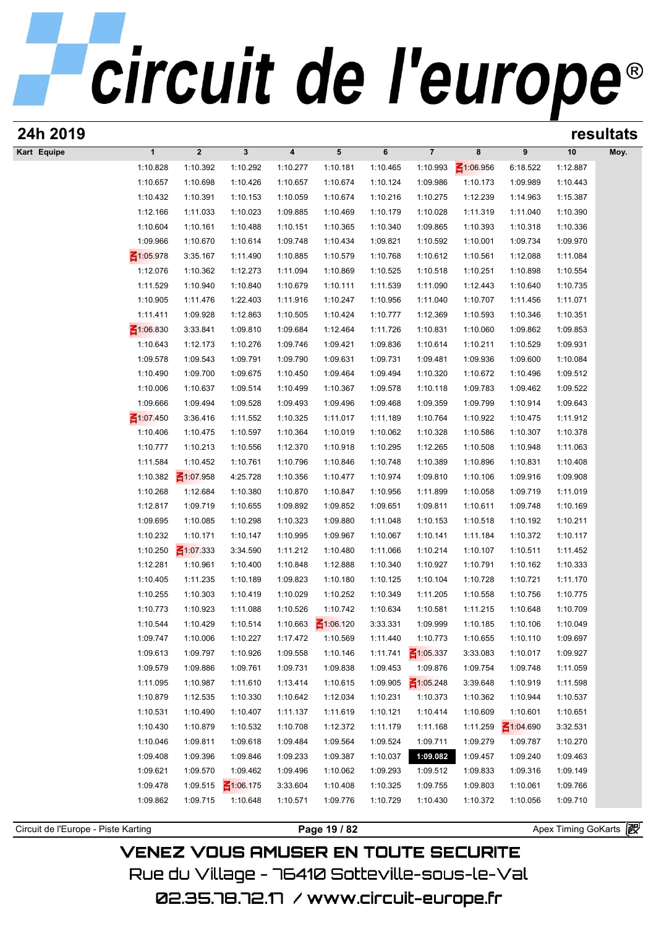| $\boldsymbol{2}$<br>$\overline{7}$<br>10<br>$\mathbf{1}$<br>$\mathbf{3}$<br>4<br>5<br>6<br>8<br>9<br>Moy.<br>$\leq 1:06.956$<br>1:10.828<br>1:10.392<br>1:10.292<br>1:10.277<br>1:10.181<br>1:10.465<br>1:10.993<br>6:18.522<br>1:12.887<br>1:10.657<br>1:10.698<br>1:10.426<br>1:10.657<br>1:10.674<br>1:10.124<br>1:09.986<br>1:10.173<br>1:09.989<br>1:10.443<br>1:10.432<br>1:10.391<br>1:12.239<br>1:10.153<br>1:10.059<br>1:10.674<br>1:10.216<br>1:10.275<br>1:14.963<br>1:15.387<br>1:12.166<br>1:11.033<br>1:10.023<br>1:09.885<br>1:10.469<br>1:10.179<br>1:10.028<br>1:11.319<br>1:11.040<br>1:10.390<br>1:10.161<br>1:10.151<br>1:10.340<br>1:09.865<br>1:10.318<br>1:10.336<br>1:10.604<br>1:10.488<br>1:10.365<br>1:10.393<br>1:09.966<br>1:10.670<br>1:09.748<br>1:09.821<br>1:10.592<br>1:09.734<br>1:09.970<br>1:10.614<br>1:10.434<br>1:10.001<br>$\leq 1:05.978$<br>3:35.167<br>1:10.885<br>1:10.768<br>1:10.612<br>1:12.088<br>1:11.084<br>1:11.490<br>1:10.579<br>1:10.561<br>1:12.076<br>1:10.362<br>1:11.094<br>1:10.525<br>1:10.251<br>1:10.898<br>1:10.554<br>1:12.273<br>1:10.869<br>1:10.518<br>1:11.529<br>1:10.940<br>1:10.840<br>1:10.679<br>1:10.111<br>1:11.539<br>1:11.090<br>1:12.443<br>1:10.640<br>1:10.735<br>1:10.905<br>1:11.476<br>1:22.403<br>1:11.916<br>1:10.247<br>1:10.956<br>1:11.040<br>1:10.707<br>1:11.456<br>1:11.071<br>1:11.411<br>1:09.928<br>1:12.863<br>1:10.505<br>1:10.424<br>1:10.777<br>1:12.369<br>1:10.593<br>1:10.346<br>1:10.351<br>₹1:06.830<br>3:33.841<br>1:09.810<br>1:09.684<br>1:11.726<br>1:10.831<br>1:10.060<br>1:09.862<br>1:09.853<br>1:12.464<br>1:10.643<br>1:09.746<br>1:12.173<br>1:10.276<br>1:09.421<br>1:09.836<br>1:10.614<br>1:10.211<br>1:10.529<br>1:09.931<br>1:09.578<br>1:09.543<br>1:09.790<br>1:09.731<br>1:09.481<br>1:09.936<br>1:09.600<br>1:10.084<br>1:09.791<br>1:09.631<br>1:10.490<br>1:09.700<br>1:10.450<br>1:09.494<br>1:10.320<br>1:10.672<br>1:10.496<br>1:09.512<br>1:09.675<br>1:09.464<br>1:10.006<br>1:10.637<br>1:09.514<br>1:10.499<br>1:09.578<br>1:10.118<br>1:09.783<br>1:09.462<br>1:09.522<br>1:10.367<br>1:09.666<br>1:09.494<br>1:09.528<br>1:09.493<br>1:09.468<br>1:09.359<br>1:09.799<br>1:10.914<br>1:09.643<br>1:09.496<br>$\leq 1:07.450$<br>3:36.416<br>1:10.325<br>1:11.017<br>1:11.189<br>1:10.764<br>1:10.922<br>1:10.475<br>1:11.912<br>1:11.552<br>1:10.406<br>1:10.475<br>1:10.597<br>1:10.364<br>1:10.019<br>1:10.062<br>1:10.328<br>1:10.586<br>1:10.307<br>1:10.378<br>1:10.777<br>1:10.213<br>1:10.556<br>1:12.370<br>1:10.918<br>1:10.295<br>1:12.265<br>1:10.508<br>1:10.948<br>1:11.063<br>1:11.584<br>1:10.452<br>1:10.796<br>1:10.748<br>1:10.389<br>1:10.896<br>1:10.831<br>1:10.408<br>1:10.761<br>1:10.846<br>1:10.382<br>$\leq 1:07.958$<br>4:25.728<br>1:10.356<br>1:10.974<br>1:09.810<br>1:09.916<br>1:09.908<br>1:10.477<br>1:10.106<br>1:10.268<br>1:12.684<br>1:10.870<br>1:10.847<br>1:10.956<br>1:11.899<br>1:10.058<br>1:09.719<br>1:11.019<br>1:10.380<br>1:12.817<br>1:09.719<br>1:09.892<br>1:09.651<br>1:09.811<br>1:09.748<br>1:10.655<br>1:09.852<br>1:10.611<br>1:10.169<br>1:09.695<br>1:10.085<br>1:10.323<br>1:11.048<br>1:10.192<br>1:10.211<br>1:10.298<br>1:09.880<br>1:10.153<br>1:10.518<br>1:10.232<br>1:10.171<br>1:10.995<br>1:10.141<br>1:10.372<br>1:10.117<br>1:10.147<br>1:09.967<br>1:10.067<br>1:11.184<br>1:10.250<br>$\leq 1:07.333$<br>1:11.212<br>1:10.480<br>1:11.066<br>1:10.214<br>1:10.107<br>1:10.511<br>1:11.452<br>3:34.590<br>1:12.281<br>1:10.961<br>1:10.848<br>1:10.340<br>1:10.927<br>1:10.333<br>1:10.400<br>1:12.888<br>1:10.791<br>1:10.162<br>1:10.405<br>1:11.235<br>1:10.125<br>1:10.721<br>1:11.170<br>1:10.189<br>1:09.823<br>1:10.180<br>1:10.104<br>1:10.728<br>1:10.349<br>1:10.255<br>1:10.303<br>1:10.419<br>1:10.029<br>1:10.252<br>1:11.205<br>1:10.558<br>1:10.756<br>1:10.775<br>1:10.773<br>1:10.923<br>1:11.088<br>1:10.526<br>1:10.742<br>1:10.634<br>1:10.581<br>1:11.215<br>1:10.648<br>1:10.709<br>$\leq 1:06.120$<br>1:10.544<br>1:10.429<br>1:10.514<br>1:10.663<br>3:33.331<br>1:09.999<br>1:10.049<br>1:10.185<br>1:10.106<br>1:09.747<br>1:10.006<br>1:10.227<br>1:17.472<br>1:10.569<br>1:11.440<br>1:10.773<br>1:10.655<br>1:10.110<br>1:09.697<br>1:09.613<br>1:09.797<br>1:11.741<br>$\leq 1:05.337$<br>1:10.926<br>1:09.558<br>1:10.146<br>3:33.083<br>1:10.017<br>1:09.927<br>1:09.886<br>1:09.731<br>1:09.453<br>1:09.876<br>1:09.579<br>1:09.761<br>1:09.838<br>1:09.754<br>1:09.748<br>1:11.059<br>1:10.987<br>1:13.414<br>1:09.905<br>$\leq 1:05.248$<br>3:39.648<br>1:10.919<br>1:11.598<br>1:11.095<br>1:11.610<br>1:10.615<br>1:10.879<br>1:12.535<br>1:10.642<br>1:10.231<br>1:10.373<br>1:10.944<br>1:10.330<br>1:12.034<br>1:10.362<br>1:10.537<br>1:10.531<br>1:10.490<br>1:10.407<br>1:11.137<br>1:10.121<br>1:10.414<br>1:10.609<br>1:10.601<br>1:10.651<br>1:11.619<br>1:10.430<br>1:10.879<br>1:10.708<br>1:12.372<br>1:11.179<br>1:11.168<br>1:11.259<br>$\leq 1:04.690$<br>3:32.531<br>1:10.532<br>1:10.046<br>1:09.811<br>1:09.618<br>1:09.484<br>1:09.564<br>1:09.524<br>1:09.711<br>1:09.279<br>1:09.787<br>1:10.270<br>1:09.408<br>1:09.396<br>1:09.233<br>1:10.037<br>1:09.082<br>1:09.457<br>1:09.240<br>1:09.463<br>1:09.846<br>1:09.387<br>1:09.621<br>1:09.570<br>1:09.462<br>1:09.496<br>1:09.293<br>1:09.833<br>1:09.316<br>1:09.149<br>1:10.062<br>1:09.512<br>1:09.478<br>1:09.515<br>$\leq 1:06.175$<br>3:33.604<br>1:10.325<br>1:09.755<br>1:09.803<br>1:10.061<br>1:10.408<br>1:09.766<br>1:09.862<br>1:09.715<br>1:10.648<br>1:10.571<br>1:09.776<br>1:10.729<br>1:10.430<br>1:10.372<br>1:10.056<br>1:09.710 | 24h 2019    |  |  |  |  |  | resultats |
|----------------------------------------------------------------------------------------------------------------------------------------------------------------------------------------------------------------------------------------------------------------------------------------------------------------------------------------------------------------------------------------------------------------------------------------------------------------------------------------------------------------------------------------------------------------------------------------------------------------------------------------------------------------------------------------------------------------------------------------------------------------------------------------------------------------------------------------------------------------------------------------------------------------------------------------------------------------------------------------------------------------------------------------------------------------------------------------------------------------------------------------------------------------------------------------------------------------------------------------------------------------------------------------------------------------------------------------------------------------------------------------------------------------------------------------------------------------------------------------------------------------------------------------------------------------------------------------------------------------------------------------------------------------------------------------------------------------------------------------------------------------------------------------------------------------------------------------------------------------------------------------------------------------------------------------------------------------------------------------------------------------------------------------------------------------------------------------------------------------------------------------------------------------------------------------------------------------------------------------------------------------------------------------------------------------------------------------------------------------------------------------------------------------------------------------------------------------------------------------------------------------------------------------------------------------------------------------------------------------------------------------------------------------------------------------------------------------------------------------------------------------------------------------------------------------------------------------------------------------------------------------------------------------------------------------------------------------------------------------------------------------------------------------------------------------------------------------------------------------------------------------------------------------------------------------------------------------------------------------------------------------------------------------------------------------------------------------------------------------------------------------------------------------------------------------------------------------------------------------------------------------------------------------------------------------------------------------------------------------------------------------------------------------------------------------------------------------------------------------------------------------------------------------------------------------------------------------------------------------------------------------------------------------------------------------------------------------------------------------------------------------------------------------------------------------------------------------------------------------------------------------------------------------------------------------------------------------------------------------------------------------------------------------------------------------------------------------------------------------------------------------------------------------------------------------------------------------------------------------------------------------------------------------------------------------------------------------------------------------------------------------------------------------------------------------------------------------------------------------------------------------------------------------------------------------------------------------------------------------------------------------------------------------------------------------------------------------------------------------------------------------------------------------------------------------------------------------------------------------------------------------------------------------------------------------------------------------------------------------------------------------------------------------------------------------------------------------------------------------------------------------------------------------------------------------------------------------------------------------------------------------------------------------------------------------------------------------------------------------------------------------------------------------------------------|-------------|--|--|--|--|--|-----------|
|                                                                                                                                                                                                                                                                                                                                                                                                                                                                                                                                                                                                                                                                                                                                                                                                                                                                                                                                                                                                                                                                                                                                                                                                                                                                                                                                                                                                                                                                                                                                                                                                                                                                                                                                                                                                                                                                                                                                                                                                                                                                                                                                                                                                                                                                                                                                                                                                                                                                                                                                                                                                                                                                                                                                                                                                                                                                                                                                                                                                                                                                                                                                                                                                                                                                                                                                                                                                                                                                                                                                                                                                                                                                                                                                                                                                                                                                                                                                                                                                                                                                                                                                                                                                                                                                                                                                                                                                                                                                                                                                                                                                                                                                                                                                                                                                                                                                                                                                                                                                                                                                                                                                                                                                                                                                                                                                                                                                                                                                                                                                                                                                                                                                                  | Kart Equipe |  |  |  |  |  |           |
|                                                                                                                                                                                                                                                                                                                                                                                                                                                                                                                                                                                                                                                                                                                                                                                                                                                                                                                                                                                                                                                                                                                                                                                                                                                                                                                                                                                                                                                                                                                                                                                                                                                                                                                                                                                                                                                                                                                                                                                                                                                                                                                                                                                                                                                                                                                                                                                                                                                                                                                                                                                                                                                                                                                                                                                                                                                                                                                                                                                                                                                                                                                                                                                                                                                                                                                                                                                                                                                                                                                                                                                                                                                                                                                                                                                                                                                                                                                                                                                                                                                                                                                                                                                                                                                                                                                                                                                                                                                                                                                                                                                                                                                                                                                                                                                                                                                                                                                                                                                                                                                                                                                                                                                                                                                                                                                                                                                                                                                                                                                                                                                                                                                                                  |             |  |  |  |  |  |           |
|                                                                                                                                                                                                                                                                                                                                                                                                                                                                                                                                                                                                                                                                                                                                                                                                                                                                                                                                                                                                                                                                                                                                                                                                                                                                                                                                                                                                                                                                                                                                                                                                                                                                                                                                                                                                                                                                                                                                                                                                                                                                                                                                                                                                                                                                                                                                                                                                                                                                                                                                                                                                                                                                                                                                                                                                                                                                                                                                                                                                                                                                                                                                                                                                                                                                                                                                                                                                                                                                                                                                                                                                                                                                                                                                                                                                                                                                                                                                                                                                                                                                                                                                                                                                                                                                                                                                                                                                                                                                                                                                                                                                                                                                                                                                                                                                                                                                                                                                                                                                                                                                                                                                                                                                                                                                                                                                                                                                                                                                                                                                                                                                                                                                                  |             |  |  |  |  |  |           |
|                                                                                                                                                                                                                                                                                                                                                                                                                                                                                                                                                                                                                                                                                                                                                                                                                                                                                                                                                                                                                                                                                                                                                                                                                                                                                                                                                                                                                                                                                                                                                                                                                                                                                                                                                                                                                                                                                                                                                                                                                                                                                                                                                                                                                                                                                                                                                                                                                                                                                                                                                                                                                                                                                                                                                                                                                                                                                                                                                                                                                                                                                                                                                                                                                                                                                                                                                                                                                                                                                                                                                                                                                                                                                                                                                                                                                                                                                                                                                                                                                                                                                                                                                                                                                                                                                                                                                                                                                                                                                                                                                                                                                                                                                                                                                                                                                                                                                                                                                                                                                                                                                                                                                                                                                                                                                                                                                                                                                                                                                                                                                                                                                                                                                  |             |  |  |  |  |  |           |
|                                                                                                                                                                                                                                                                                                                                                                                                                                                                                                                                                                                                                                                                                                                                                                                                                                                                                                                                                                                                                                                                                                                                                                                                                                                                                                                                                                                                                                                                                                                                                                                                                                                                                                                                                                                                                                                                                                                                                                                                                                                                                                                                                                                                                                                                                                                                                                                                                                                                                                                                                                                                                                                                                                                                                                                                                                                                                                                                                                                                                                                                                                                                                                                                                                                                                                                                                                                                                                                                                                                                                                                                                                                                                                                                                                                                                                                                                                                                                                                                                                                                                                                                                                                                                                                                                                                                                                                                                                                                                                                                                                                                                                                                                                                                                                                                                                                                                                                                                                                                                                                                                                                                                                                                                                                                                                                                                                                                                                                                                                                                                                                                                                                                                  |             |  |  |  |  |  |           |
|                                                                                                                                                                                                                                                                                                                                                                                                                                                                                                                                                                                                                                                                                                                                                                                                                                                                                                                                                                                                                                                                                                                                                                                                                                                                                                                                                                                                                                                                                                                                                                                                                                                                                                                                                                                                                                                                                                                                                                                                                                                                                                                                                                                                                                                                                                                                                                                                                                                                                                                                                                                                                                                                                                                                                                                                                                                                                                                                                                                                                                                                                                                                                                                                                                                                                                                                                                                                                                                                                                                                                                                                                                                                                                                                                                                                                                                                                                                                                                                                                                                                                                                                                                                                                                                                                                                                                                                                                                                                                                                                                                                                                                                                                                                                                                                                                                                                                                                                                                                                                                                                                                                                                                                                                                                                                                                                                                                                                                                                                                                                                                                                                                                                                  |             |  |  |  |  |  |           |
|                                                                                                                                                                                                                                                                                                                                                                                                                                                                                                                                                                                                                                                                                                                                                                                                                                                                                                                                                                                                                                                                                                                                                                                                                                                                                                                                                                                                                                                                                                                                                                                                                                                                                                                                                                                                                                                                                                                                                                                                                                                                                                                                                                                                                                                                                                                                                                                                                                                                                                                                                                                                                                                                                                                                                                                                                                                                                                                                                                                                                                                                                                                                                                                                                                                                                                                                                                                                                                                                                                                                                                                                                                                                                                                                                                                                                                                                                                                                                                                                                                                                                                                                                                                                                                                                                                                                                                                                                                                                                                                                                                                                                                                                                                                                                                                                                                                                                                                                                                                                                                                                                                                                                                                                                                                                                                                                                                                                                                                                                                                                                                                                                                                                                  |             |  |  |  |  |  |           |
|                                                                                                                                                                                                                                                                                                                                                                                                                                                                                                                                                                                                                                                                                                                                                                                                                                                                                                                                                                                                                                                                                                                                                                                                                                                                                                                                                                                                                                                                                                                                                                                                                                                                                                                                                                                                                                                                                                                                                                                                                                                                                                                                                                                                                                                                                                                                                                                                                                                                                                                                                                                                                                                                                                                                                                                                                                                                                                                                                                                                                                                                                                                                                                                                                                                                                                                                                                                                                                                                                                                                                                                                                                                                                                                                                                                                                                                                                                                                                                                                                                                                                                                                                                                                                                                                                                                                                                                                                                                                                                                                                                                                                                                                                                                                                                                                                                                                                                                                                                                                                                                                                                                                                                                                                                                                                                                                                                                                                                                                                                                                                                                                                                                                                  |             |  |  |  |  |  |           |
|                                                                                                                                                                                                                                                                                                                                                                                                                                                                                                                                                                                                                                                                                                                                                                                                                                                                                                                                                                                                                                                                                                                                                                                                                                                                                                                                                                                                                                                                                                                                                                                                                                                                                                                                                                                                                                                                                                                                                                                                                                                                                                                                                                                                                                                                                                                                                                                                                                                                                                                                                                                                                                                                                                                                                                                                                                                                                                                                                                                                                                                                                                                                                                                                                                                                                                                                                                                                                                                                                                                                                                                                                                                                                                                                                                                                                                                                                                                                                                                                                                                                                                                                                                                                                                                                                                                                                                                                                                                                                                                                                                                                                                                                                                                                                                                                                                                                                                                                                                                                                                                                                                                                                                                                                                                                                                                                                                                                                                                                                                                                                                                                                                                                                  |             |  |  |  |  |  |           |
|                                                                                                                                                                                                                                                                                                                                                                                                                                                                                                                                                                                                                                                                                                                                                                                                                                                                                                                                                                                                                                                                                                                                                                                                                                                                                                                                                                                                                                                                                                                                                                                                                                                                                                                                                                                                                                                                                                                                                                                                                                                                                                                                                                                                                                                                                                                                                                                                                                                                                                                                                                                                                                                                                                                                                                                                                                                                                                                                                                                                                                                                                                                                                                                                                                                                                                                                                                                                                                                                                                                                                                                                                                                                                                                                                                                                                                                                                                                                                                                                                                                                                                                                                                                                                                                                                                                                                                                                                                                                                                                                                                                                                                                                                                                                                                                                                                                                                                                                                                                                                                                                                                                                                                                                                                                                                                                                                                                                                                                                                                                                                                                                                                                                                  |             |  |  |  |  |  |           |
|                                                                                                                                                                                                                                                                                                                                                                                                                                                                                                                                                                                                                                                                                                                                                                                                                                                                                                                                                                                                                                                                                                                                                                                                                                                                                                                                                                                                                                                                                                                                                                                                                                                                                                                                                                                                                                                                                                                                                                                                                                                                                                                                                                                                                                                                                                                                                                                                                                                                                                                                                                                                                                                                                                                                                                                                                                                                                                                                                                                                                                                                                                                                                                                                                                                                                                                                                                                                                                                                                                                                                                                                                                                                                                                                                                                                                                                                                                                                                                                                                                                                                                                                                                                                                                                                                                                                                                                                                                                                                                                                                                                                                                                                                                                                                                                                                                                                                                                                                                                                                                                                                                                                                                                                                                                                                                                                                                                                                                                                                                                                                                                                                                                                                  |             |  |  |  |  |  |           |
|                                                                                                                                                                                                                                                                                                                                                                                                                                                                                                                                                                                                                                                                                                                                                                                                                                                                                                                                                                                                                                                                                                                                                                                                                                                                                                                                                                                                                                                                                                                                                                                                                                                                                                                                                                                                                                                                                                                                                                                                                                                                                                                                                                                                                                                                                                                                                                                                                                                                                                                                                                                                                                                                                                                                                                                                                                                                                                                                                                                                                                                                                                                                                                                                                                                                                                                                                                                                                                                                                                                                                                                                                                                                                                                                                                                                                                                                                                                                                                                                                                                                                                                                                                                                                                                                                                                                                                                                                                                                                                                                                                                                                                                                                                                                                                                                                                                                                                                                                                                                                                                                                                                                                                                                                                                                                                                                                                                                                                                                                                                                                                                                                                                                                  |             |  |  |  |  |  |           |
|                                                                                                                                                                                                                                                                                                                                                                                                                                                                                                                                                                                                                                                                                                                                                                                                                                                                                                                                                                                                                                                                                                                                                                                                                                                                                                                                                                                                                                                                                                                                                                                                                                                                                                                                                                                                                                                                                                                                                                                                                                                                                                                                                                                                                                                                                                                                                                                                                                                                                                                                                                                                                                                                                                                                                                                                                                                                                                                                                                                                                                                                                                                                                                                                                                                                                                                                                                                                                                                                                                                                                                                                                                                                                                                                                                                                                                                                                                                                                                                                                                                                                                                                                                                                                                                                                                                                                                                                                                                                                                                                                                                                                                                                                                                                                                                                                                                                                                                                                                                                                                                                                                                                                                                                                                                                                                                                                                                                                                                                                                                                                                                                                                                                                  |             |  |  |  |  |  |           |
|                                                                                                                                                                                                                                                                                                                                                                                                                                                                                                                                                                                                                                                                                                                                                                                                                                                                                                                                                                                                                                                                                                                                                                                                                                                                                                                                                                                                                                                                                                                                                                                                                                                                                                                                                                                                                                                                                                                                                                                                                                                                                                                                                                                                                                                                                                                                                                                                                                                                                                                                                                                                                                                                                                                                                                                                                                                                                                                                                                                                                                                                                                                                                                                                                                                                                                                                                                                                                                                                                                                                                                                                                                                                                                                                                                                                                                                                                                                                                                                                                                                                                                                                                                                                                                                                                                                                                                                                                                                                                                                                                                                                                                                                                                                                                                                                                                                                                                                                                                                                                                                                                                                                                                                                                                                                                                                                                                                                                                                                                                                                                                                                                                                                                  |             |  |  |  |  |  |           |
|                                                                                                                                                                                                                                                                                                                                                                                                                                                                                                                                                                                                                                                                                                                                                                                                                                                                                                                                                                                                                                                                                                                                                                                                                                                                                                                                                                                                                                                                                                                                                                                                                                                                                                                                                                                                                                                                                                                                                                                                                                                                                                                                                                                                                                                                                                                                                                                                                                                                                                                                                                                                                                                                                                                                                                                                                                                                                                                                                                                                                                                                                                                                                                                                                                                                                                                                                                                                                                                                                                                                                                                                                                                                                                                                                                                                                                                                                                                                                                                                                                                                                                                                                                                                                                                                                                                                                                                                                                                                                                                                                                                                                                                                                                                                                                                                                                                                                                                                                                                                                                                                                                                                                                                                                                                                                                                                                                                                                                                                                                                                                                                                                                                                                  |             |  |  |  |  |  |           |
|                                                                                                                                                                                                                                                                                                                                                                                                                                                                                                                                                                                                                                                                                                                                                                                                                                                                                                                                                                                                                                                                                                                                                                                                                                                                                                                                                                                                                                                                                                                                                                                                                                                                                                                                                                                                                                                                                                                                                                                                                                                                                                                                                                                                                                                                                                                                                                                                                                                                                                                                                                                                                                                                                                                                                                                                                                                                                                                                                                                                                                                                                                                                                                                                                                                                                                                                                                                                                                                                                                                                                                                                                                                                                                                                                                                                                                                                                                                                                                                                                                                                                                                                                                                                                                                                                                                                                                                                                                                                                                                                                                                                                                                                                                                                                                                                                                                                                                                                                                                                                                                                                                                                                                                                                                                                                                                                                                                                                                                                                                                                                                                                                                                                                  |             |  |  |  |  |  |           |
|                                                                                                                                                                                                                                                                                                                                                                                                                                                                                                                                                                                                                                                                                                                                                                                                                                                                                                                                                                                                                                                                                                                                                                                                                                                                                                                                                                                                                                                                                                                                                                                                                                                                                                                                                                                                                                                                                                                                                                                                                                                                                                                                                                                                                                                                                                                                                                                                                                                                                                                                                                                                                                                                                                                                                                                                                                                                                                                                                                                                                                                                                                                                                                                                                                                                                                                                                                                                                                                                                                                                                                                                                                                                                                                                                                                                                                                                                                                                                                                                                                                                                                                                                                                                                                                                                                                                                                                                                                                                                                                                                                                                                                                                                                                                                                                                                                                                                                                                                                                                                                                                                                                                                                                                                                                                                                                                                                                                                                                                                                                                                                                                                                                                                  |             |  |  |  |  |  |           |
|                                                                                                                                                                                                                                                                                                                                                                                                                                                                                                                                                                                                                                                                                                                                                                                                                                                                                                                                                                                                                                                                                                                                                                                                                                                                                                                                                                                                                                                                                                                                                                                                                                                                                                                                                                                                                                                                                                                                                                                                                                                                                                                                                                                                                                                                                                                                                                                                                                                                                                                                                                                                                                                                                                                                                                                                                                                                                                                                                                                                                                                                                                                                                                                                                                                                                                                                                                                                                                                                                                                                                                                                                                                                                                                                                                                                                                                                                                                                                                                                                                                                                                                                                                                                                                                                                                                                                                                                                                                                                                                                                                                                                                                                                                                                                                                                                                                                                                                                                                                                                                                                                                                                                                                                                                                                                                                                                                                                                                                                                                                                                                                                                                                                                  |             |  |  |  |  |  |           |
|                                                                                                                                                                                                                                                                                                                                                                                                                                                                                                                                                                                                                                                                                                                                                                                                                                                                                                                                                                                                                                                                                                                                                                                                                                                                                                                                                                                                                                                                                                                                                                                                                                                                                                                                                                                                                                                                                                                                                                                                                                                                                                                                                                                                                                                                                                                                                                                                                                                                                                                                                                                                                                                                                                                                                                                                                                                                                                                                                                                                                                                                                                                                                                                                                                                                                                                                                                                                                                                                                                                                                                                                                                                                                                                                                                                                                                                                                                                                                                                                                                                                                                                                                                                                                                                                                                                                                                                                                                                                                                                                                                                                                                                                                                                                                                                                                                                                                                                                                                                                                                                                                                                                                                                                                                                                                                                                                                                                                                                                                                                                                                                                                                                                                  |             |  |  |  |  |  |           |
|                                                                                                                                                                                                                                                                                                                                                                                                                                                                                                                                                                                                                                                                                                                                                                                                                                                                                                                                                                                                                                                                                                                                                                                                                                                                                                                                                                                                                                                                                                                                                                                                                                                                                                                                                                                                                                                                                                                                                                                                                                                                                                                                                                                                                                                                                                                                                                                                                                                                                                                                                                                                                                                                                                                                                                                                                                                                                                                                                                                                                                                                                                                                                                                                                                                                                                                                                                                                                                                                                                                                                                                                                                                                                                                                                                                                                                                                                                                                                                                                                                                                                                                                                                                                                                                                                                                                                                                                                                                                                                                                                                                                                                                                                                                                                                                                                                                                                                                                                                                                                                                                                                                                                                                                                                                                                                                                                                                                                                                                                                                                                                                                                                                                                  |             |  |  |  |  |  |           |
|                                                                                                                                                                                                                                                                                                                                                                                                                                                                                                                                                                                                                                                                                                                                                                                                                                                                                                                                                                                                                                                                                                                                                                                                                                                                                                                                                                                                                                                                                                                                                                                                                                                                                                                                                                                                                                                                                                                                                                                                                                                                                                                                                                                                                                                                                                                                                                                                                                                                                                                                                                                                                                                                                                                                                                                                                                                                                                                                                                                                                                                                                                                                                                                                                                                                                                                                                                                                                                                                                                                                                                                                                                                                                                                                                                                                                                                                                                                                                                                                                                                                                                                                                                                                                                                                                                                                                                                                                                                                                                                                                                                                                                                                                                                                                                                                                                                                                                                                                                                                                                                                                                                                                                                                                                                                                                                                                                                                                                                                                                                                                                                                                                                                                  |             |  |  |  |  |  |           |
|                                                                                                                                                                                                                                                                                                                                                                                                                                                                                                                                                                                                                                                                                                                                                                                                                                                                                                                                                                                                                                                                                                                                                                                                                                                                                                                                                                                                                                                                                                                                                                                                                                                                                                                                                                                                                                                                                                                                                                                                                                                                                                                                                                                                                                                                                                                                                                                                                                                                                                                                                                                                                                                                                                                                                                                                                                                                                                                                                                                                                                                                                                                                                                                                                                                                                                                                                                                                                                                                                                                                                                                                                                                                                                                                                                                                                                                                                                                                                                                                                                                                                                                                                                                                                                                                                                                                                                                                                                                                                                                                                                                                                                                                                                                                                                                                                                                                                                                                                                                                                                                                                                                                                                                                                                                                                                                                                                                                                                                                                                                                                                                                                                                                                  |             |  |  |  |  |  |           |
|                                                                                                                                                                                                                                                                                                                                                                                                                                                                                                                                                                                                                                                                                                                                                                                                                                                                                                                                                                                                                                                                                                                                                                                                                                                                                                                                                                                                                                                                                                                                                                                                                                                                                                                                                                                                                                                                                                                                                                                                                                                                                                                                                                                                                                                                                                                                                                                                                                                                                                                                                                                                                                                                                                                                                                                                                                                                                                                                                                                                                                                                                                                                                                                                                                                                                                                                                                                                                                                                                                                                                                                                                                                                                                                                                                                                                                                                                                                                                                                                                                                                                                                                                                                                                                                                                                                                                                                                                                                                                                                                                                                                                                                                                                                                                                                                                                                                                                                                                                                                                                                                                                                                                                                                                                                                                                                                                                                                                                                                                                                                                                                                                                                                                  |             |  |  |  |  |  |           |
|                                                                                                                                                                                                                                                                                                                                                                                                                                                                                                                                                                                                                                                                                                                                                                                                                                                                                                                                                                                                                                                                                                                                                                                                                                                                                                                                                                                                                                                                                                                                                                                                                                                                                                                                                                                                                                                                                                                                                                                                                                                                                                                                                                                                                                                                                                                                                                                                                                                                                                                                                                                                                                                                                                                                                                                                                                                                                                                                                                                                                                                                                                                                                                                                                                                                                                                                                                                                                                                                                                                                                                                                                                                                                                                                                                                                                                                                                                                                                                                                                                                                                                                                                                                                                                                                                                                                                                                                                                                                                                                                                                                                                                                                                                                                                                                                                                                                                                                                                                                                                                                                                                                                                                                                                                                                                                                                                                                                                                                                                                                                                                                                                                                                                  |             |  |  |  |  |  |           |
|                                                                                                                                                                                                                                                                                                                                                                                                                                                                                                                                                                                                                                                                                                                                                                                                                                                                                                                                                                                                                                                                                                                                                                                                                                                                                                                                                                                                                                                                                                                                                                                                                                                                                                                                                                                                                                                                                                                                                                                                                                                                                                                                                                                                                                                                                                                                                                                                                                                                                                                                                                                                                                                                                                                                                                                                                                                                                                                                                                                                                                                                                                                                                                                                                                                                                                                                                                                                                                                                                                                                                                                                                                                                                                                                                                                                                                                                                                                                                                                                                                                                                                                                                                                                                                                                                                                                                                                                                                                                                                                                                                                                                                                                                                                                                                                                                                                                                                                                                                                                                                                                                                                                                                                                                                                                                                                                                                                                                                                                                                                                                                                                                                                                                  |             |  |  |  |  |  |           |
|                                                                                                                                                                                                                                                                                                                                                                                                                                                                                                                                                                                                                                                                                                                                                                                                                                                                                                                                                                                                                                                                                                                                                                                                                                                                                                                                                                                                                                                                                                                                                                                                                                                                                                                                                                                                                                                                                                                                                                                                                                                                                                                                                                                                                                                                                                                                                                                                                                                                                                                                                                                                                                                                                                                                                                                                                                                                                                                                                                                                                                                                                                                                                                                                                                                                                                                                                                                                                                                                                                                                                                                                                                                                                                                                                                                                                                                                                                                                                                                                                                                                                                                                                                                                                                                                                                                                                                                                                                                                                                                                                                                                                                                                                                                                                                                                                                                                                                                                                                                                                                                                                                                                                                                                                                                                                                                                                                                                                                                                                                                                                                                                                                                                                  |             |  |  |  |  |  |           |
|                                                                                                                                                                                                                                                                                                                                                                                                                                                                                                                                                                                                                                                                                                                                                                                                                                                                                                                                                                                                                                                                                                                                                                                                                                                                                                                                                                                                                                                                                                                                                                                                                                                                                                                                                                                                                                                                                                                                                                                                                                                                                                                                                                                                                                                                                                                                                                                                                                                                                                                                                                                                                                                                                                                                                                                                                                                                                                                                                                                                                                                                                                                                                                                                                                                                                                                                                                                                                                                                                                                                                                                                                                                                                                                                                                                                                                                                                                                                                                                                                                                                                                                                                                                                                                                                                                                                                                                                                                                                                                                                                                                                                                                                                                                                                                                                                                                                                                                                                                                                                                                                                                                                                                                                                                                                                                                                                                                                                                                                                                                                                                                                                                                                                  |             |  |  |  |  |  |           |
|                                                                                                                                                                                                                                                                                                                                                                                                                                                                                                                                                                                                                                                                                                                                                                                                                                                                                                                                                                                                                                                                                                                                                                                                                                                                                                                                                                                                                                                                                                                                                                                                                                                                                                                                                                                                                                                                                                                                                                                                                                                                                                                                                                                                                                                                                                                                                                                                                                                                                                                                                                                                                                                                                                                                                                                                                                                                                                                                                                                                                                                                                                                                                                                                                                                                                                                                                                                                                                                                                                                                                                                                                                                                                                                                                                                                                                                                                                                                                                                                                                                                                                                                                                                                                                                                                                                                                                                                                                                                                                                                                                                                                                                                                                                                                                                                                                                                                                                                                                                                                                                                                                                                                                                                                                                                                                                                                                                                                                                                                                                                                                                                                                                                                  |             |  |  |  |  |  |           |
|                                                                                                                                                                                                                                                                                                                                                                                                                                                                                                                                                                                                                                                                                                                                                                                                                                                                                                                                                                                                                                                                                                                                                                                                                                                                                                                                                                                                                                                                                                                                                                                                                                                                                                                                                                                                                                                                                                                                                                                                                                                                                                                                                                                                                                                                                                                                                                                                                                                                                                                                                                                                                                                                                                                                                                                                                                                                                                                                                                                                                                                                                                                                                                                                                                                                                                                                                                                                                                                                                                                                                                                                                                                                                                                                                                                                                                                                                                                                                                                                                                                                                                                                                                                                                                                                                                                                                                                                                                                                                                                                                                                                                                                                                                                                                                                                                                                                                                                                                                                                                                                                                                                                                                                                                                                                                                                                                                                                                                                                                                                                                                                                                                                                                  |             |  |  |  |  |  |           |
|                                                                                                                                                                                                                                                                                                                                                                                                                                                                                                                                                                                                                                                                                                                                                                                                                                                                                                                                                                                                                                                                                                                                                                                                                                                                                                                                                                                                                                                                                                                                                                                                                                                                                                                                                                                                                                                                                                                                                                                                                                                                                                                                                                                                                                                                                                                                                                                                                                                                                                                                                                                                                                                                                                                                                                                                                                                                                                                                                                                                                                                                                                                                                                                                                                                                                                                                                                                                                                                                                                                                                                                                                                                                                                                                                                                                                                                                                                                                                                                                                                                                                                                                                                                                                                                                                                                                                                                                                                                                                                                                                                                                                                                                                                                                                                                                                                                                                                                                                                                                                                                                                                                                                                                                                                                                                                                                                                                                                                                                                                                                                                                                                                                                                  |             |  |  |  |  |  |           |
|                                                                                                                                                                                                                                                                                                                                                                                                                                                                                                                                                                                                                                                                                                                                                                                                                                                                                                                                                                                                                                                                                                                                                                                                                                                                                                                                                                                                                                                                                                                                                                                                                                                                                                                                                                                                                                                                                                                                                                                                                                                                                                                                                                                                                                                                                                                                                                                                                                                                                                                                                                                                                                                                                                                                                                                                                                                                                                                                                                                                                                                                                                                                                                                                                                                                                                                                                                                                                                                                                                                                                                                                                                                                                                                                                                                                                                                                                                                                                                                                                                                                                                                                                                                                                                                                                                                                                                                                                                                                                                                                                                                                                                                                                                                                                                                                                                                                                                                                                                                                                                                                                                                                                                                                                                                                                                                                                                                                                                                                                                                                                                                                                                                                                  |             |  |  |  |  |  |           |
|                                                                                                                                                                                                                                                                                                                                                                                                                                                                                                                                                                                                                                                                                                                                                                                                                                                                                                                                                                                                                                                                                                                                                                                                                                                                                                                                                                                                                                                                                                                                                                                                                                                                                                                                                                                                                                                                                                                                                                                                                                                                                                                                                                                                                                                                                                                                                                                                                                                                                                                                                                                                                                                                                                                                                                                                                                                                                                                                                                                                                                                                                                                                                                                                                                                                                                                                                                                                                                                                                                                                                                                                                                                                                                                                                                                                                                                                                                                                                                                                                                                                                                                                                                                                                                                                                                                                                                                                                                                                                                                                                                                                                                                                                                                                                                                                                                                                                                                                                                                                                                                                                                                                                                                                                                                                                                                                                                                                                                                                                                                                                                                                                                                                                  |             |  |  |  |  |  |           |
|                                                                                                                                                                                                                                                                                                                                                                                                                                                                                                                                                                                                                                                                                                                                                                                                                                                                                                                                                                                                                                                                                                                                                                                                                                                                                                                                                                                                                                                                                                                                                                                                                                                                                                                                                                                                                                                                                                                                                                                                                                                                                                                                                                                                                                                                                                                                                                                                                                                                                                                                                                                                                                                                                                                                                                                                                                                                                                                                                                                                                                                                                                                                                                                                                                                                                                                                                                                                                                                                                                                                                                                                                                                                                                                                                                                                                                                                                                                                                                                                                                                                                                                                                                                                                                                                                                                                                                                                                                                                                                                                                                                                                                                                                                                                                                                                                                                                                                                                                                                                                                                                                                                                                                                                                                                                                                                                                                                                                                                                                                                                                                                                                                                                                  |             |  |  |  |  |  |           |
|                                                                                                                                                                                                                                                                                                                                                                                                                                                                                                                                                                                                                                                                                                                                                                                                                                                                                                                                                                                                                                                                                                                                                                                                                                                                                                                                                                                                                                                                                                                                                                                                                                                                                                                                                                                                                                                                                                                                                                                                                                                                                                                                                                                                                                                                                                                                                                                                                                                                                                                                                                                                                                                                                                                                                                                                                                                                                                                                                                                                                                                                                                                                                                                                                                                                                                                                                                                                                                                                                                                                                                                                                                                                                                                                                                                                                                                                                                                                                                                                                                                                                                                                                                                                                                                                                                                                                                                                                                                                                                                                                                                                                                                                                                                                                                                                                                                                                                                                                                                                                                                                                                                                                                                                                                                                                                                                                                                                                                                                                                                                                                                                                                                                                  |             |  |  |  |  |  |           |
|                                                                                                                                                                                                                                                                                                                                                                                                                                                                                                                                                                                                                                                                                                                                                                                                                                                                                                                                                                                                                                                                                                                                                                                                                                                                                                                                                                                                                                                                                                                                                                                                                                                                                                                                                                                                                                                                                                                                                                                                                                                                                                                                                                                                                                                                                                                                                                                                                                                                                                                                                                                                                                                                                                                                                                                                                                                                                                                                                                                                                                                                                                                                                                                                                                                                                                                                                                                                                                                                                                                                                                                                                                                                                                                                                                                                                                                                                                                                                                                                                                                                                                                                                                                                                                                                                                                                                                                                                                                                                                                                                                                                                                                                                                                                                                                                                                                                                                                                                                                                                                                                                                                                                                                                                                                                                                                                                                                                                                                                                                                                                                                                                                                                                  |             |  |  |  |  |  |           |
|                                                                                                                                                                                                                                                                                                                                                                                                                                                                                                                                                                                                                                                                                                                                                                                                                                                                                                                                                                                                                                                                                                                                                                                                                                                                                                                                                                                                                                                                                                                                                                                                                                                                                                                                                                                                                                                                                                                                                                                                                                                                                                                                                                                                                                                                                                                                                                                                                                                                                                                                                                                                                                                                                                                                                                                                                                                                                                                                                                                                                                                                                                                                                                                                                                                                                                                                                                                                                                                                                                                                                                                                                                                                                                                                                                                                                                                                                                                                                                                                                                                                                                                                                                                                                                                                                                                                                                                                                                                                                                                                                                                                                                                                                                                                                                                                                                                                                                                                                                                                                                                                                                                                                                                                                                                                                                                                                                                                                                                                                                                                                                                                                                                                                  |             |  |  |  |  |  |           |
|                                                                                                                                                                                                                                                                                                                                                                                                                                                                                                                                                                                                                                                                                                                                                                                                                                                                                                                                                                                                                                                                                                                                                                                                                                                                                                                                                                                                                                                                                                                                                                                                                                                                                                                                                                                                                                                                                                                                                                                                                                                                                                                                                                                                                                                                                                                                                                                                                                                                                                                                                                                                                                                                                                                                                                                                                                                                                                                                                                                                                                                                                                                                                                                                                                                                                                                                                                                                                                                                                                                                                                                                                                                                                                                                                                                                                                                                                                                                                                                                                                                                                                                                                                                                                                                                                                                                                                                                                                                                                                                                                                                                                                                                                                                                                                                                                                                                                                                                                                                                                                                                                                                                                                                                                                                                                                                                                                                                                                                                                                                                                                                                                                                                                  |             |  |  |  |  |  |           |
|                                                                                                                                                                                                                                                                                                                                                                                                                                                                                                                                                                                                                                                                                                                                                                                                                                                                                                                                                                                                                                                                                                                                                                                                                                                                                                                                                                                                                                                                                                                                                                                                                                                                                                                                                                                                                                                                                                                                                                                                                                                                                                                                                                                                                                                                                                                                                                                                                                                                                                                                                                                                                                                                                                                                                                                                                                                                                                                                                                                                                                                                                                                                                                                                                                                                                                                                                                                                                                                                                                                                                                                                                                                                                                                                                                                                                                                                                                                                                                                                                                                                                                                                                                                                                                                                                                                                                                                                                                                                                                                                                                                                                                                                                                                                                                                                                                                                                                                                                                                                                                                                                                                                                                                                                                                                                                                                                                                                                                                                                                                                                                                                                                                                                  |             |  |  |  |  |  |           |
|                                                                                                                                                                                                                                                                                                                                                                                                                                                                                                                                                                                                                                                                                                                                                                                                                                                                                                                                                                                                                                                                                                                                                                                                                                                                                                                                                                                                                                                                                                                                                                                                                                                                                                                                                                                                                                                                                                                                                                                                                                                                                                                                                                                                                                                                                                                                                                                                                                                                                                                                                                                                                                                                                                                                                                                                                                                                                                                                                                                                                                                                                                                                                                                                                                                                                                                                                                                                                                                                                                                                                                                                                                                                                                                                                                                                                                                                                                                                                                                                                                                                                                                                                                                                                                                                                                                                                                                                                                                                                                                                                                                                                                                                                                                                                                                                                                                                                                                                                                                                                                                                                                                                                                                                                                                                                                                                                                                                                                                                                                                                                                                                                                                                                  |             |  |  |  |  |  |           |
|                                                                                                                                                                                                                                                                                                                                                                                                                                                                                                                                                                                                                                                                                                                                                                                                                                                                                                                                                                                                                                                                                                                                                                                                                                                                                                                                                                                                                                                                                                                                                                                                                                                                                                                                                                                                                                                                                                                                                                                                                                                                                                                                                                                                                                                                                                                                                                                                                                                                                                                                                                                                                                                                                                                                                                                                                                                                                                                                                                                                                                                                                                                                                                                                                                                                                                                                                                                                                                                                                                                                                                                                                                                                                                                                                                                                                                                                                                                                                                                                                                                                                                                                                                                                                                                                                                                                                                                                                                                                                                                                                                                                                                                                                                                                                                                                                                                                                                                                                                                                                                                                                                                                                                                                                                                                                                                                                                                                                                                                                                                                                                                                                                                                                  |             |  |  |  |  |  |           |
|                                                                                                                                                                                                                                                                                                                                                                                                                                                                                                                                                                                                                                                                                                                                                                                                                                                                                                                                                                                                                                                                                                                                                                                                                                                                                                                                                                                                                                                                                                                                                                                                                                                                                                                                                                                                                                                                                                                                                                                                                                                                                                                                                                                                                                                                                                                                                                                                                                                                                                                                                                                                                                                                                                                                                                                                                                                                                                                                                                                                                                                                                                                                                                                                                                                                                                                                                                                                                                                                                                                                                                                                                                                                                                                                                                                                                                                                                                                                                                                                                                                                                                                                                                                                                                                                                                                                                                                                                                                                                                                                                                                                                                                                                                                                                                                                                                                                                                                                                                                                                                                                                                                                                                                                                                                                                                                                                                                                                                                                                                                                                                                                                                                                                  |             |  |  |  |  |  |           |
|                                                                                                                                                                                                                                                                                                                                                                                                                                                                                                                                                                                                                                                                                                                                                                                                                                                                                                                                                                                                                                                                                                                                                                                                                                                                                                                                                                                                                                                                                                                                                                                                                                                                                                                                                                                                                                                                                                                                                                                                                                                                                                                                                                                                                                                                                                                                                                                                                                                                                                                                                                                                                                                                                                                                                                                                                                                                                                                                                                                                                                                                                                                                                                                                                                                                                                                                                                                                                                                                                                                                                                                                                                                                                                                                                                                                                                                                                                                                                                                                                                                                                                                                                                                                                                                                                                                                                                                                                                                                                                                                                                                                                                                                                                                                                                                                                                                                                                                                                                                                                                                                                                                                                                                                                                                                                                                                                                                                                                                                                                                                                                                                                                                                                  |             |  |  |  |  |  |           |
|                                                                                                                                                                                                                                                                                                                                                                                                                                                                                                                                                                                                                                                                                                                                                                                                                                                                                                                                                                                                                                                                                                                                                                                                                                                                                                                                                                                                                                                                                                                                                                                                                                                                                                                                                                                                                                                                                                                                                                                                                                                                                                                                                                                                                                                                                                                                                                                                                                                                                                                                                                                                                                                                                                                                                                                                                                                                                                                                                                                                                                                                                                                                                                                                                                                                                                                                                                                                                                                                                                                                                                                                                                                                                                                                                                                                                                                                                                                                                                                                                                                                                                                                                                                                                                                                                                                                                                                                                                                                                                                                                                                                                                                                                                                                                                                                                                                                                                                                                                                                                                                                                                                                                                                                                                                                                                                                                                                                                                                                                                                                                                                                                                                                                  |             |  |  |  |  |  |           |
|                                                                                                                                                                                                                                                                                                                                                                                                                                                                                                                                                                                                                                                                                                                                                                                                                                                                                                                                                                                                                                                                                                                                                                                                                                                                                                                                                                                                                                                                                                                                                                                                                                                                                                                                                                                                                                                                                                                                                                                                                                                                                                                                                                                                                                                                                                                                                                                                                                                                                                                                                                                                                                                                                                                                                                                                                                                                                                                                                                                                                                                                                                                                                                                                                                                                                                                                                                                                                                                                                                                                                                                                                                                                                                                                                                                                                                                                                                                                                                                                                                                                                                                                                                                                                                                                                                                                                                                                                                                                                                                                                                                                                                                                                                                                                                                                                                                                                                                                                                                                                                                                                                                                                                                                                                                                                                                                                                                                                                                                                                                                                                                                                                                                                  |             |  |  |  |  |  |           |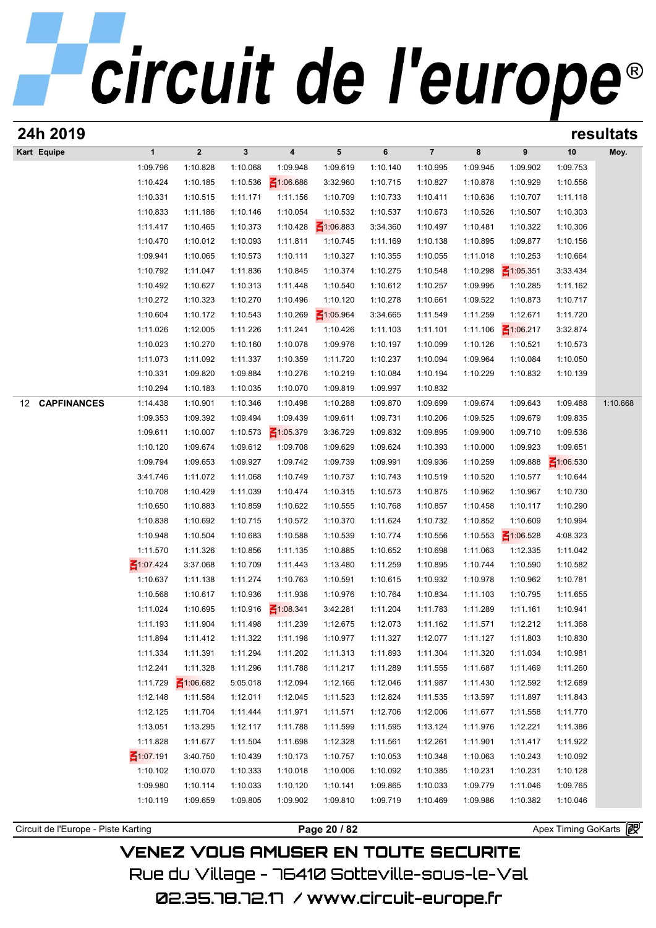| 24h 2019                            |                 |                  |              |                         |                 |          |                |          |                 |                       | resultats |
|-------------------------------------|-----------------|------------------|--------------|-------------------------|-----------------|----------|----------------|----------|-----------------|-----------------------|-----------|
| Kart Equipe                         | $\mathbf{1}$    | $\boldsymbol{2}$ | $\mathbf{3}$ | $\overline{\mathbf{4}}$ | $5\phantom{.0}$ | 6        | $\overline{7}$ | 8        | 9               | 10                    | Moy.      |
|                                     | 1:09.796        | 1:10.828         | 1:10.068     | 1:09.948                | 1:09.619        | 1:10.140 | 1:10.995       | 1:09.945 | 1:09.902        | 1:09.753              |           |
|                                     | 1:10.424        | 1:10.185         | 1:10.536     | $\leq 1:06.686$         | 3:32.960        | 1:10.715 | 1:10.827       | 1:10.878 | 1:10.929        | 1:10.556              |           |
|                                     | 1:10.331        | 1:10.515         | 1:11.171     | 1:11.156                | 1:10.709        | 1:10.733 | 1:10.411       | 1:10.636 | 1:10.707        | 1:11.118              |           |
|                                     | 1:10.833        | 1:11.186         | 1:10.146     | 1:10.054                | 1:10.532        | 1:10.537 | 1:10.673       | 1:10.526 | 1:10.507        | 1:10.303              |           |
|                                     | 1:11.417        | 1:10.465         | 1:10.373     | 1:10.428                | $\leq 1:06.883$ | 3:34.360 | 1:10.497       | 1:10.481 | 1:10.322        | 1:10.306              |           |
|                                     | 1:10.470        | 1:10.012         | 1:10.093     | 1:11.811                | 1:10.745        | 1:11.169 | 1:10.138       | 1:10.895 | 1:09.877        | 1:10.156              |           |
|                                     | 1:09.941        | 1:10.065         | 1:10.573     | 1:10.111                | 1:10.327        | 1:10.355 | 1:10.055       | 1:11.018 | 1:10.253        | 1:10.664              |           |
|                                     | 1:10.792        | 1:11.047         | 1:11.836     | 1:10.845                | 1:10.374        | 1:10.275 | 1:10.548       | 1:10.298 | $\leq 1:05.351$ | 3:33.434              |           |
|                                     | 1:10.492        | 1:10.627         | 1:10.313     | 1:11.448                | 1:10.540        | 1:10.612 | 1:10.257       | 1:09.995 | 1:10.285        | 1:11.162              |           |
|                                     | 1:10.272        | 1:10.323         | 1:10.270     | 1:10.496                | 1:10.120        | 1:10.278 | 1:10.661       | 1:09.522 | 1:10.873        | 1:10.717              |           |
|                                     | 1:10.604        | 1:10.172         | 1:10.543     | 1:10.269                | $\leq 1:05.964$ | 3:34.665 | 1:11.549       | 1:11.259 | 1:12.671        | 1:11.720              |           |
|                                     | 1:11.026        | 1:12.005         | 1:11.226     | 1:11.241                | 1:10.426        | 1:11.103 | 1:11.101       | 1:11.106 | $\leq 1:06.217$ | 3:32.874              |           |
|                                     | 1:10.023        | 1:10.270         | 1:10.160     | 1:10.078                | 1:09.976        | 1:10.197 | 1:10.099       | 1:10.126 | 1:10.521        | 1:10.573              |           |
|                                     | 1:11.073        | 1:11.092         | 1:11.337     | 1:10.359                | 1:11.720        | 1:10.237 | 1:10.094       | 1:09.964 | 1:10.084        | 1:10.050              |           |
|                                     | 1:10.331        | 1:09.820         | 1:09.884     | 1:10.276                | 1:10.219        | 1:10.084 | 1:10.194       | 1:10.229 | 1:10.832        | 1:10.139              |           |
|                                     | 1:10.294        | 1:10.183         | 1:10.035     | 1:10.070                | 1:09.819        | 1:09.997 | 1:10.832       |          |                 |                       |           |
| <b>CAPFINANCES</b><br>12            | 1:14.438        | 1:10.901         | 1:10.346     | 1:10.498                | 1:10.288        | 1:09.870 | 1:09.699       | 1:09.674 | 1:09.643        | 1:09.488              | 1:10.668  |
|                                     | 1:09.353        | 1:09.392         | 1:09.494     | 1:09.439                | 1:09.611        | 1:09.731 | 1:10.206       | 1:09.525 | 1:09.679        | 1:09.835              |           |
|                                     | 1:09.611        | 1:10.007         | 1:10.573     | $\leq 1:05.379$         | 3:36.729        | 1:09.832 | 1:09.895       | 1:09.900 | 1:09.710        | 1:09.536              |           |
|                                     | 1:10.120        | 1:09.674         | 1:09.612     | 1:09.708                | 1:09.629        | 1:09.624 | 1:10.393       | 1:10.000 | 1:09.923        | 1:09.651              |           |
|                                     | 1:09.794        | 1:09.653         | 1:09.927     | 1:09.742                | 1:09.739        | 1:09.991 | 1:09.936       | 1:10.259 | 1:09.888        | $\leq 1:06.530$       |           |
|                                     | 3:41.746        | 1:11.072         | 1:11.068     | 1:10.749                | 1:10.737        | 1:10.743 | 1:10.519       | 1:10.520 | 1:10.577        | 1:10.644              |           |
|                                     | 1:10.708        | 1:10.429         | 1:11.039     | 1:10.474                | 1:10.315        | 1:10.573 | 1:10.875       | 1:10.962 | 1:10.967        | 1:10.730              |           |
|                                     | 1:10.650        | 1:10.883         | 1:10.859     | 1:10.622                | 1:10.555        | 1:10.768 | 1:10.857       | 1:10.458 | 1:10.117        | 1:10.290              |           |
|                                     | 1:10.838        | 1:10.692         | 1:10.715     | 1:10.572                | 1:10.370        | 1:11.624 | 1:10.732       | 1:10.852 | 1:10.609        | 1:10.994              |           |
|                                     | 1:10.948        | 1:10.504         | 1:10.683     | 1:10.588                | 1:10.539        | 1:10.774 | 1:10.556       | 1:10.553 | $\leq 1:06.528$ | 4:08.323              |           |
|                                     | 1:11.570        | 1:11.326         | 1:10.856     | 1:11.135                | 1:10.885        | 1:10.652 | 1:10.698       | 1:11.063 | 1:12.335        | 1:11.042              |           |
|                                     | ₹1:07.424       | 3:37.068         | 1:10.709     | 1:11.443                | 1:13.480        | 1:11.259 | 1:10.895       | 1:10.744 | 1:10.590        | 1:10.582              |           |
|                                     | 1:10.637        | 1:11.138         | 1:11.274     | 1:10.763                | 1:10.591        | 1:10.615 | 1:10.932       | 1:10.978 | 1:10.962        | 1:10.781              |           |
|                                     | 1:10.568        | 1:10.617         | 1:10.936     | 1:11.938                | 1:10.976        | 1:10.764 | 1:10.834       | 1:11.103 | 1:10.795        | 1:11.655              |           |
|                                     | 1:11.024        | 1:10.695         | 1:10.916     | $\leq 1:08.341$         | 3:42.281        | 1:11.204 | 1:11.783       | 1:11.289 | 1:11.161        | 1:10.941              |           |
|                                     | 1:11.193        | 1:11.904         | 1:11.498     | 1:11.239                | 1:12.675        | 1:12.073 | 1:11.162       | 1:11.571 | 1:12.212        | 1:11.368              |           |
|                                     | 1:11.894        | 1:11.412         | 1:11.322     | 1:11.198                | 1:10.977        | 1:11.327 | 1:12.077       | 1:11.127 | 1:11.803        | 1:10.830              |           |
|                                     | 1:11.334        | 1:11.391         | 1:11.294     | 1:11.202                | 1:11.313        | 1:11.893 | 1:11.304       | 1:11.320 | 1:11.034        | 1:10.981              |           |
|                                     | 1:12.241        | 1:11.328         | 1:11.296     | 1:11.788                | 1:11.217        | 1:11.289 | 1:11.555       | 1:11.687 | 1:11.469        | 1:11.260              |           |
|                                     | 1:11.729        | $\leq 1:06.682$  | 5:05.018     | 1:12.094                | 1:12.166        | 1:12.046 | 1:11.987       | 1:11.430 | 1:12.592        | 1:12.689              |           |
|                                     | 1:12.148        | 1:11.584         | 1:12.011     | 1:12.045                | 1:11.523        | 1:12.824 | 1:11.535       | 1:13.597 | 1:11.897        | 1:11.843              |           |
|                                     | 1:12.125        | 1:11.704         | 1:11.444     | 1:11.971                | 1:11.571        | 1:12.706 | 1:12.006       | 1:11.677 | 1:11.558        | 1:11.770              |           |
|                                     | 1:13.051        | 1:13.295         | 1:12.117     | 1:11.788                | 1:11.599        | 1:11.595 | 1:13.124       | 1:11.976 | 1:12.221        | 1:11.386              |           |
|                                     | 1:11.828        | 1:11.677         | 1:11.504     | 1:11.698                | 1:12.328        | 1:11.561 | 1:12.261       | 1:11.901 | 1:11.417        | 1:11.922              |           |
|                                     | $\leq 1:07.191$ | 3:40.750         | 1:10.439     | 1:10.173                | 1:10.757        | 1:10.053 | 1:10.348       | 1:10.063 | 1:10.243        | 1:10.092              |           |
|                                     | 1:10.102        | 1:10.070         | 1:10.333     | 1:10.018                | 1:10.006        | 1:10.092 | 1:10.385       | 1:10.231 | 1:10.231        | 1:10.128              |           |
|                                     | 1:09.980        | 1:10.114         | 1:10.033     | 1:10.120                | 1:10.141        | 1:09.865 | 1:10.033       | 1:09.779 | 1:11.046        | 1:09.765              |           |
|                                     | 1:10.119        | 1:09.659         | 1:09.805     | 1:09.902                | 1:09.810        | 1:09.719 | 1:10.469       | 1:09.986 | 1:10.382        | 1:10.046              |           |
|                                     |                 |                  |              |                         |                 |          |                |          |                 |                       |           |
| Circuit de l'Europe - Piste Karting |                 |                  |              |                         | Page 20 / 82    |          |                |          |                 | Apex Timing GoKarts 图 |           |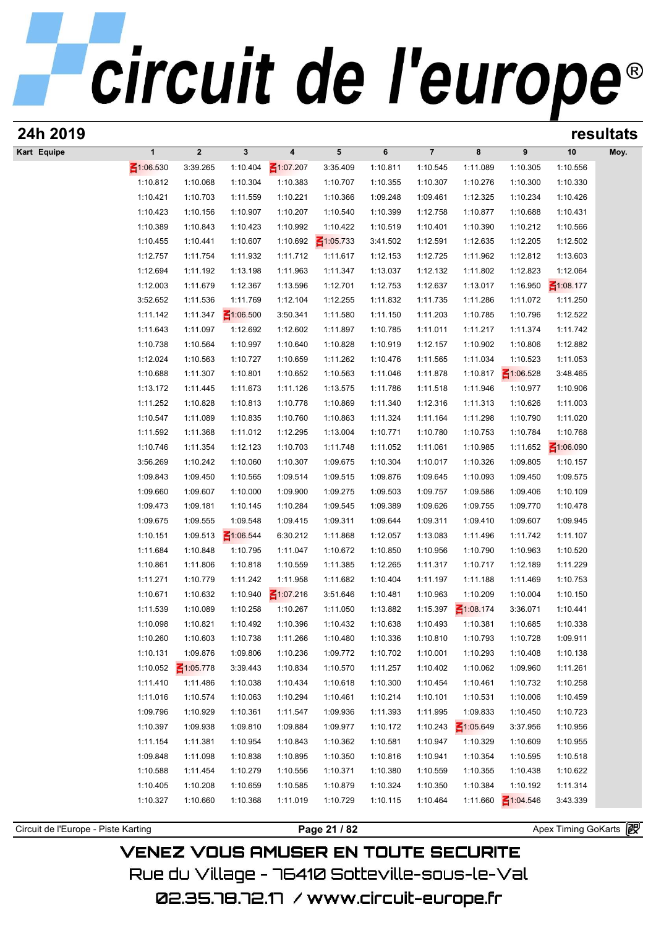| 24h 2019                            |                      |                             |                             |                      |                      |                      |                      |                      |                      |                      | resultats |
|-------------------------------------|----------------------|-----------------------------|-----------------------------|----------------------|----------------------|----------------------|----------------------|----------------------|----------------------|----------------------|-----------|
| Kart Equipe                         | $\mathbf{1}$         | $\mathbf 2$                 | $\mathbf{3}$                | $\boldsymbol{4}$     | 5                    | 6                    | $\overline{7}$       | 8                    | 9                    | 10                   | Moy.      |
|                                     | $\leq 1:06.530$      | 3:39.265                    | 1:10.404                    | ₹1:07.207            | 3:35.409             | 1:10.811             | 1:10.545             | 1:11.089             | 1:10.305             | 1:10.556             |           |
|                                     | 1:10.812             | 1:10.068                    | 1:10.304                    | 1:10.383             | 1:10.707             | 1:10.355             | 1:10.307             | 1:10.276             | 1:10.300             | 1:10.330             |           |
|                                     | 1:10.421             | 1:10.703                    | 1:11.559                    | 1:10.221             | 1:10.366             | 1:09.248             | 1:09.461             | 1:12.325             | 1:10.234             | 1:10.426             |           |
|                                     | 1:10.423             | 1:10.156                    | 1:10.907                    | 1:10.207             | 1:10.540             | 1:10.399             | 1:12.758             | 1:10.877             | 1:10.688             | 1:10.431             |           |
|                                     | 1:10.389             | 1:10.843                    | 1:10.423                    | 1:10.992             | 1:10.422             | 1:10.519             | 1:10.401             | 1:10.390             | 1:10.212             | 1:10.566             |           |
|                                     | 1:10.455             | 1:10.441                    | 1:10.607                    | 1:10.692             | $\leq 1:05.733$      | 3:41.502             | 1:12.591             | 1:12.635             | 1:12.205             | 1:12.502             |           |
|                                     | 1:12.757             | 1:11.754                    | 1:11.932                    | 1:11.712             | 1:11.617             | 1:12.153             | 1:12.725             | 1:11.962             | 1:12.812             | 1:13.603             |           |
|                                     | 1:12.694             | 1:11.192                    | 1:13.198                    | 1:11.963             | 1:11.347             | 1:13.037             | 1:12.132             | 1:11.802             | 1:12.823             | 1:12.064             |           |
|                                     | 1:12.003             | 1:11.679                    | 1:12.367                    | 1:13.596             | 1:12.701             | 1:12.753             | 1:12.637             | 1:13.017             | 1:16.950             | ₹1:08.177            |           |
|                                     | 3:52.652<br>1:11.142 | 1:11.536<br>1:11.347        | 1:11.769                    | 1:12.104<br>3:50.341 | 1:12.255<br>1:11.580 | 1:11.832<br>1:11.150 | 1:11.735<br>1:11.203 | 1:11.286<br>1:10.785 | 1:11.072<br>1:10.796 | 1:11.250<br>1:12.522 |           |
|                                     | 1:11.643             | 1:11.097                    | $\leq 1:06.500$<br>1:12.692 | 1:12.602             | 1:11.897             | 1:10.785             | 1:11.011             | 1:11.217             | 1:11.374             | 1:11.742             |           |
|                                     | 1:10.738             | 1:10.564                    | 1:10.997                    | 1:10.640             | 1:10.828             | 1:10.919             | 1:12.157             | 1:10.902             | 1:10.806             | 1:12.882             |           |
|                                     | 1:12.024             | 1:10.563                    | 1:10.727                    | 1:10.659             | 1:11.262             | 1:10.476             | 1:11.565             | 1:11.034             | 1:10.523             | 1:11.053             |           |
|                                     | 1:10.688             | 1:11.307                    | 1:10.801                    | 1:10.652             | 1:10.563             | 1:11.046             | 1:11.878             | 1:10.817             | $\leq 1:06.528$      | 3:48.465             |           |
|                                     | 1:13.172             | 1:11.445                    | 1:11.673                    | 1:11.126             | 1:13.575             | 1:11.786             | 1:11.518             | 1:11.946             | 1:10.977             | 1:10.906             |           |
|                                     | 1:11.252             | 1:10.828                    | 1:10.813                    | 1:10.778             | 1:10.869             | 1:11.340             | 1:12.316             | 1:11.313             | 1:10.626             | 1:11.003             |           |
|                                     | 1:10.547             | 1:11.089                    | 1:10.835                    | 1:10.760             | 1:10.863             | 1:11.324             | 1:11.164             | 1:11.298             | 1:10.790             | 1:11.020             |           |
|                                     | 1:11.592             | 1:11.368                    | 1:11.012                    | 1:12.295             | 1:13.004             | 1:10.771             | 1:10.780             | 1:10.753             | 1:10.784             | 1:10.768             |           |
|                                     | 1:10.746             | 1:11.354                    | 1:12.123                    | 1:10.703             | 1:11.748             | 1:11.052             | 1:11.061             | 1:10.985             | 1:11.652             | $\leq 1:06.090$      |           |
|                                     | 3:56.269             | 1:10.242                    | 1:10.060                    | 1:10.307             | 1:09.675             | 1:10.304             | 1:10.017             | 1:10.326             | 1:09.805             | 1:10.157             |           |
|                                     | 1:09.843             | 1:09.450                    | 1:10.565                    | 1:09.514             | 1:09.515             | 1:09.876             | 1:09.645             | 1:10.093             | 1:09.450             | 1:09.575             |           |
|                                     | 1:09.660             | 1:09.607                    | 1:10.000                    | 1:09.900             | 1:09.275             | 1:09.503             | 1:09.757             | 1:09.586             | 1:09.406             | 1:10.109             |           |
|                                     | 1:09.473             | 1:09.181                    | 1:10.145                    | 1:10.284             | 1:09.545             | 1:09.389             | 1:09.626             | 1:09.755             | 1:09.770             | 1:10.478             |           |
|                                     | 1:09.675             | 1:09.555                    | 1:09.548                    | 1:09.415             | 1:09.311             | 1:09.644             | 1:09.311             | 1:09.410             | 1:09.607             | 1:09.945             |           |
|                                     | 1:10.151             | 1:09.513                    | $\leq 1:06.544$             | 6:30.212             | 1:11.868             | 1:12.057             | 1:13.083             | 1:11.496             | 1:11.742             | 1:11.107             |           |
|                                     | 1:11.684             | 1:10.848                    | 1:10.795                    | 1:11.047             | 1:10.672             | 1:10.850             | 1:10.956             | 1:10.790             | 1:10.963             | 1:10.520             |           |
|                                     | 1:10.861             | 1:11.806                    | 1:10.818                    | 1:10.559             | 1:11.385             | 1:12.265             | 1:11.317             | 1:10.717             | 1:12.189             | 1:11.229             |           |
|                                     | 1:11.271             | 1:10.779                    | 1:11.242                    | 1:11.958             | 1:11.682             | 1:10.404             | 1:11.197             | 1:11.188             | 1:11.469             | 1:10.753             |           |
|                                     | 1:10.671             | 1:10.632                    | 1:10.940                    | $\leq 1:07.216$      | 3:51.646             | 1:10.481             | 1:10.963             | 1:10.209             | 1:10.004             | 1:10.150             |           |
|                                     | 1:11.539             | 1:10.089                    | 1:10.258                    | 1:10.267             | 1:11.050             | 1:13.882             | 1:15.397             | $\leq 1:08.174$      | 3:36.071             | 1:10.441             |           |
|                                     | 1:10.098             | 1:10.821                    | 1:10.492                    | 1:10.396             | 1:10.432             | 1:10.638             | 1:10.493             | 1:10.381             | 1:10.685             | 1:10.338             |           |
|                                     | 1:10.260             | 1:10.603                    | 1:10.738                    | 1:11.266             | 1:10.480             | 1:10.336             | 1:10.810             | 1:10.793             | 1:10.728             | 1:09.911             |           |
|                                     | 1:10.131<br>1:10.052 | 1:09.876<br>$\leq 1:05.778$ | 1:09.806                    | 1:10.236             | 1:09.772             | 1:10.702             | 1:10.001             | 1:10.293             | 1:10.408             | 1:10.138             |           |
|                                     | 1:11.410             | 1:11.486                    | 3:39.443<br>1:10.038        | 1:10.834<br>1:10.434 | 1:10.570<br>1:10.618 | 1:11.257<br>1:10.300 | 1:10.402<br>1:10.454 | 1:10.062<br>1:10.461 | 1:09.960<br>1:10.732 | 1:11.261<br>1:10.258 |           |
|                                     | 1:11.016             | 1:10.574                    | 1:10.063                    | 1:10.294             | 1:10.461             | 1:10.214             | 1:10.101             | 1:10.531             | 1:10.006             | 1:10.459             |           |
|                                     | 1:09.796             | 1:10.929                    | 1:10.361                    | 1:11.547             | 1:09.936             | 1:11.393             | 1:11.995             | 1:09.833             | 1:10.450             | 1:10.723             |           |
|                                     | 1:10.397             | 1:09.938                    | 1:09.810                    | 1:09.884             | 1:09.977             | 1:10.172             | 1:10.243             | $\leq 1:05.649$      | 3:37.956             | 1:10.956             |           |
|                                     | 1:11.154             | 1:11.381                    | 1:10.954                    | 1:10.843             | 1:10.362             | 1:10.581             | 1:10.947             | 1:10.329             | 1:10.609             | 1:10.955             |           |
|                                     | 1:09.848             | 1:11.098                    | 1:10.838                    | 1:10.895             | 1:10.350             | 1:10.816             | 1:10.941             | 1:10.354             | 1:10.595             | 1:10.518             |           |
|                                     | 1:10.588             | 1:11.454                    | 1:10.279                    | 1:10.556             | 1:10.371             | 1:10.380             | 1:10.559             | 1:10.355             | 1:10.438             | 1:10.622             |           |
|                                     | 1:10.405             | 1:10.208                    | 1:10.659                    | 1:10.585             | 1:10.879             | 1:10.324             | 1:10.350             | 1:10.384             | 1:10.192             | 1:11.314             |           |
|                                     | 1:10.327             | 1:10.660                    | 1:10.368                    | 1:11.019             | 1:10.729             | 1:10.115             | 1:10.464             | 1:11.660             | $\leq 1:04.546$      | 3:43.339             |           |
|                                     |                      |                             |                             |                      |                      |                      |                      |                      |                      |                      |           |
| Circuit de l'Europe - Piste Karting |                      |                             |                             |                      | Page 21 / 82         |                      |                      |                      |                      | Apex Timing GoKarts  |           |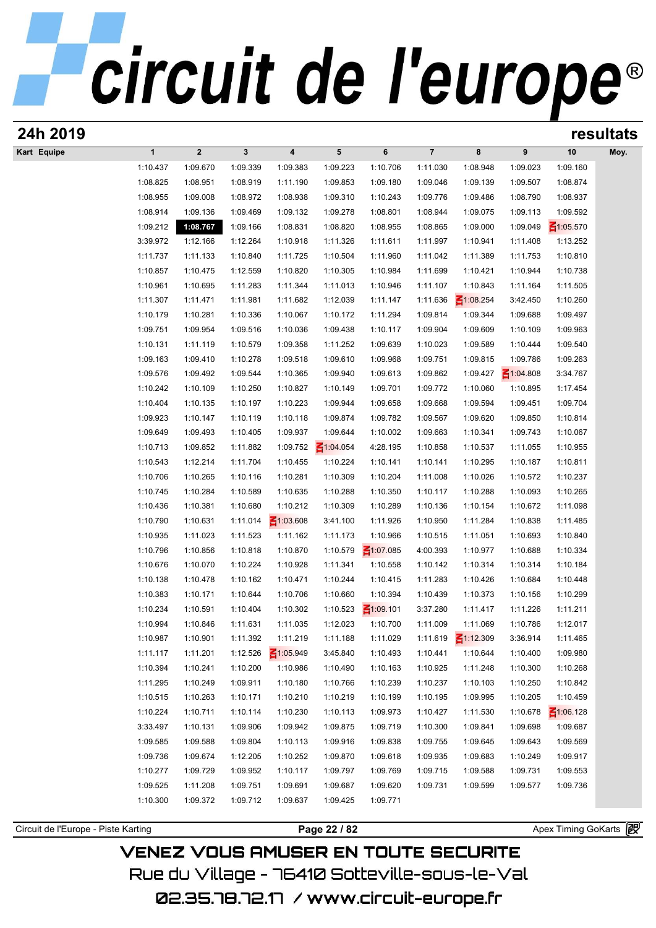| 24h 2019    |              |                      |              |                 |                      |                             |                |                 |                       |                 | resultats |
|-------------|--------------|----------------------|--------------|-----------------|----------------------|-----------------------------|----------------|-----------------|-----------------------|-----------------|-----------|
| Kart Equipe | $\mathbf{1}$ | $\overline{2}$       | $\mathbf{3}$ | 4               | 5                    | 6                           | $\overline{7}$ | 8               | 9                     | 10              | Moy.      |
|             | 1:10.437     | 1:09.670             | 1:09.339     | 1:09.383        | 1:09.223             | 1:10.706                    | 1:11.030       | 1:08.948        | 1:09.023              | 1:09.160        |           |
|             | 1:08.825     | 1:08.951             | 1:08.919     | 1:11.190        | 1:09.853             | 1:09.180                    | 1:09.046       | 1:09.139        | 1:09.507              | 1:08.874        |           |
|             | 1:08.955     | 1:09.008             | 1:08.972     | 1:08.938        | 1:09.310             | 1:10.243                    | 1:09.776       | 1:09.486        | 1:08.790              | 1:08.937        |           |
|             | 1:08.914     | 1:09.136             | 1:09.469     | 1:09.132        | 1:09.278             | 1:08.801                    | 1:08.944       | 1:09.075        | 1:09.113              | 1:09.592        |           |
|             | 1:09.212     | 1:08.767             | 1:09.166     | 1:08.831        | 1:08.820             | 1:08.955                    | 1:08.865       | 1:09.000        | 1:09.049              | $\leq 1:05.570$ |           |
|             | 3:39.972     | 1:12.166             | 1:12.264     | 1:10.918        | 1:11.326             | 1:11.611                    | 1:11.997       | 1:10.941        | 1:11.408              | 1:13.252        |           |
|             | 1:11.737     | 1:11.133             | 1:10.840     | 1:11.725        | 1:10.504             | 1:11.960                    | 1:11.042       | 1:11.389        | 1:11.753              | 1:10.810        |           |
|             | 1:10.857     | 1:10.475             | 1:12.559     | 1:10.820        | 1:10.305             | 1:10.984                    | 1:11.699       | 1:10.421        | 1:10.944              | 1:10.738        |           |
|             | 1:10.961     | 1:10.695             | 1:11.283     | 1:11.344        | 1:11.013             | 1:10.946                    | 1:11.107       | 1:10.843        | 1:11.164              | 1:11.505        |           |
|             | 1:11.307     | 1:11.471             | 1:11.981     | 1:11.682        | 1:12.039             | 1:11.147                    | 1:11.636       | $\leq 1:08.254$ | 3:42.450              | 1:10.260        |           |
|             | 1:10.179     | 1:10.281             | 1:10.336     | 1:10.067        | 1:10.172             | 1:11.294                    | 1:09.814       | 1:09.344        | 1:09.688              | 1:09.497        |           |
|             | 1:09.751     | 1:09.954             | 1:09.516     | 1:10.036        | 1:09.438             | 1:10.117                    | 1:09.904       | 1:09.609        | 1:10.109              | 1:09.963        |           |
|             | 1:10.131     | 1:11.119             | 1:10.579     | 1:09.358        | 1:11.252             | 1:09.639                    | 1:10.023       | 1:09.589        | 1:10.444              | 1:09.540        |           |
|             | 1:09.163     | 1:09.410             | 1:10.278     | 1:09.518        | 1:09.610             | 1:09.968                    | 1:09.751       | 1:09.815        | 1:09.786              | 1:09.263        |           |
|             | 1:09.576     | 1:09.492             | 1:09.544     | 1:10.365        | 1:09.940             | 1:09.613                    | 1:09.862       | 1:09.427        | $\leq 1:04.808$       | 3:34.767        |           |
|             | 1:10.242     | 1:10.109             | 1:10.250     | 1:10.827        | 1:10.149             | 1:09.701                    | 1:09.772       | 1:10.060        | 1:10.895              | 1:17.454        |           |
|             | 1:10.404     | 1:10.135             | 1:10.197     | 1:10.223        | 1:09.944             | 1:09.658                    | 1:09.668       | 1:09.594        | 1:09.451              | 1:09.704        |           |
|             | 1:09.923     | 1:10.147             | 1:10.119     | 1:10.118        | 1:09.874             | 1:09.782                    | 1:09.567       | 1:09.620        | 1:09.850              | 1:10.814        |           |
|             | 1:09.649     | 1:09.493             | 1:10.405     | 1:09.937        | 1:09.644             | 1:10.002                    | 1:09.663       | 1:10.341        | 1:09.743              | 1:10.067        |           |
|             | 1:10.713     | 1:09.852             | 1:11.882     | 1:09.752        | $\leq 1:04.054$      | 4:28.195                    | 1:10.858       | 1:10.537        | 1:11.055              | 1:10.955        |           |
|             | 1:10.543     | 1:12.214             | 1:11.704     | 1:10.455        | 1:10.224             | 1:10.141                    | 1:10.141       | 1:10.295        | 1:10.187              | 1:10.811        |           |
|             | 1:10.706     | 1:10.265             | 1:10.116     | 1:10.281        | 1:10.309             | 1:10.204                    | 1:11.008       | 1:10.026        | 1:10.572              | 1:10.237        |           |
|             | 1:10.745     | 1:10.284             | 1:10.589     | 1:10.635        | 1:10.288             | 1:10.350                    | 1:10.117       | 1:10.288        | 1:10.093              | 1:10.265        |           |
|             | 1:10.436     | 1:10.381             | 1:10.680     | 1:10.212        | 1:10.309             | 1:10.289                    | 1:10.136       | 1:10.154        | 1:10.672              | 1:11.098        |           |
|             | 1:10.790     | 1:10.631             | 1:11.014     | $\leq 1:03.608$ | 3:41.100             | 1:11.926                    | 1:10.950       | 1:11.284        | 1:10.838              | 1:11.485        |           |
|             | 1:10.935     | 1:11.023             | 1:11.523     | 1:11.162        | 1:11.173             | 1:10.966                    | 1:10.515       | 1:11.051        | 1:10.693              | 1:10.840        |           |
|             |              |                      |              | 1:10.870        | 1:10.579             |                             | 4:00.393       |                 | 1:10.688              |                 |           |
|             | 1:10.796     | 1:10.856<br>1:10.070 | 1:10.818     |                 | 1:11.341             | $\leq 1:07.085$<br>1:10.558 |                | 1:10.977        | 1:10.314              | 1:10.334        |           |
|             | 1:10.676     |                      | 1:10.224     | 1:10.928        |                      |                             | 1:10.142       | 1:10.314        | 1:10.684              | 1:10.184        |           |
|             | 1:10.138     | 1:10.478<br>1:10.171 | 1:10.162     | 1:10.471        | 1:10.244<br>1:10.660 | 1:10.415                    | 1:11.283       | 1:10.426        |                       | 1:10.448        |           |
|             | 1:10.383     |                      | 1:10.644     | 1:10.706        |                      | 1:10.394<br>$\leq 1:09.101$ | 1:10.439       | 1:10.373        | 1:10.156              | 1:10.299        |           |
|             | 1:10.234     | 1:10.591             | 1:10.404     | 1:10.302        | 1:10.523             |                             | 3:37.280       | 1:11.417        | 1:11.226              | 1:11.211        |           |
|             | 1:10.994     | 1:10.846             | 1:11.631     | 1:11.035        | 1:12.023             | 1:10.700                    | 1:11.009       | 1:11.069        | 1:10.786              | 1:12.017        |           |
|             | 1:10.987     | 1:10.901             | 1:11.392     | 1:11.219        | 1:11.188             | 1:11.029                    | 1:11.619       | $\leq 1:12.309$ | 3:36.914              | 1:11.465        |           |
|             | 1:11.117     | 1:11.201             | 1:12.526     | $\leq 1:05.949$ | 3:45.840             | 1:10.493                    | 1:10.441       | 1:10.644        | 1:10.400              | 1:09.980        |           |
|             | 1:10.394     | 1:10.241             | 1:10.200     | 1:10.986        | 1:10.490             | 1:10.163                    | 1:10.925       | 1:11.248        | 1:10.300              | 1:10.268        |           |
|             | 1:11.295     | 1:10.249             | 1:09.911     | 1:10.180        | 1:10.766             | 1:10.239                    | 1:10.237       | 1:10.103        | 1:10.250              | 1:10.842        |           |
|             | 1:10.515     | 1:10.263             | 1:10.171     | 1:10.210        | 1:10.219             | 1:10.199                    | 1:10.195       | 1:09.995        | 1:10.205              | 1:10.459        |           |
|             | 1:10.224     | 1:10.711             | 1:10.114     | 1:10.230        | 1:10.113             | 1:09.973                    | 1:10.427       | 1:11.530        | 1:10.678              | $\leq 1:06.128$ |           |
|             | 3:33.497     | 1:10.131             | 1:09.906     | 1:09.942        | 1:09.875             | 1:09.719                    | 1:10.300       | 1:09.841        | 1:09.698              | 1:09.687        |           |
|             | 1:09.585     | 1:09.588             | 1:09.804     | 1:10.113        | 1:09.916             | 1:09.838                    | 1:09.755       | 1:09.645        | 1:09.643              | 1:09.569        |           |
|             | 1:09.736     | 1:09.674             | 1:12.205     | 1:10.252        | 1:09.870             | 1:09.618                    | 1:09.935       | 1:09.683        | 1:10.249              | 1:09.917        |           |
|             | 1:10.277     | 1:09.729             | 1:09.952     | 1:10.117        | 1:09.797             | 1:09.769                    | 1:09.715       | 1:09.588        | 1:09.731              | 1:09.553        |           |
|             | 1:09.525     | 1:11.208             | 1:09.751     | 1:09.691        | 1:09.687             | 1:09.620                    | 1:09.731       | 1:09.599        | 1:09.577              | 1:09.736        |           |
|             | 1:10.300     | 1:09.372             | 1:09.712     | 1:09.637        | 1:09.425             | 1:09.771                    |                |                 |                       |                 |           |
|             |              |                      |              |                 |                      |                             |                |                 | Apex Timing GoKarts 图 |                 |           |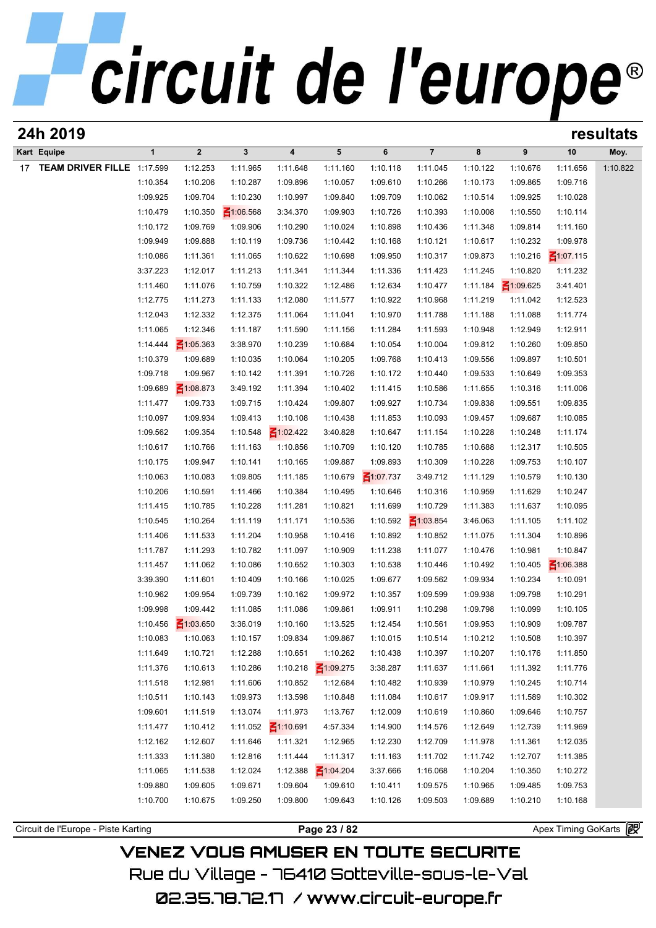| 24h 2019                      |              |                 |                 |                 |                 |                 |                 |          |                 |                 | resultats |
|-------------------------------|--------------|-----------------|-----------------|-----------------|-----------------|-----------------|-----------------|----------|-----------------|-----------------|-----------|
| Kart Equipe                   | $\mathbf{1}$ | $\overline{2}$  | $\mathbf{3}$    | 4               | 5               | 6               | $\overline{7}$  | 8        | 9               | 10              | Moy.      |
| 17 TEAM DRIVER FILLE 1:17.599 |              | 1:12.253        | 1:11.965        | 1:11.648        | 1:11.160        | 1:10.118        | 1:11.045        | 1:10.122 | 1:10.676        | 1:11.656        | 1:10.822  |
|                               | 1:10.354     | 1:10.206        | 1:10.287        | 1:09.896        | 1:10.057        | 1:09.610        | 1:10.266        | 1:10.173 | 1:09.865        | 1:09.716        |           |
|                               | 1:09.925     | 1:09.704        | 1:10.230        | 1:10.997        | 1:09.840        | 1:09.709        | 1:10.062        | 1:10.514 | 1:09.925        | 1:10.028        |           |
|                               | 1:10.479     | 1:10.350        | $\leq 1:06.568$ | 3:34.370        | 1:09.903        | 1:10.726        | 1:10.393        | 1:10.008 | 1:10.550        | 1:10.114        |           |
|                               | 1:10.172     | 1:09.769        | 1:09.906        | 1:10.290        | 1:10.024        | 1:10.898        | 1:10.436        | 1:11.348 | 1:09.814        | 1:11.160        |           |
|                               | 1:09.949     | 1:09.888        | 1:10.119        | 1:09.736        | 1:10.442        | 1:10.168        | 1:10.121        | 1:10.617 | 1:10.232        | 1:09.978        |           |
|                               | 1:10.086     | 1:11.361        | 1:11.065        | 1:10.622        | 1:10.698        | 1:09.950        | 1:10.317        | 1:09.873 | 1:10.216        | $\leq 1:07.115$ |           |
|                               | 3:37.223     | 1:12.017        | 1:11.213        | 1:11.341        | 1:11.344        | 1:11.336        | 1:11.423        | 1:11.245 | 1:10.820        | 1:11.232        |           |
|                               | 1:11.460     | 1:11.076        | 1:10.759        | 1:10.322        | 1:12.486        | 1:12.634        | 1:10.477        | 1:11.184 | $\leq 1:09.625$ | 3:41.401        |           |
|                               | 1:12.775     | 1:11.273        | 1:11.133        | 1:12.080        | 1:11.577        | 1:10.922        | 1:10.968        | 1:11.219 | 1:11.042        | 1:12.523        |           |
|                               | 1:12.043     | 1:12.332        | 1:12.375        | 1:11.064        | 1:11.041        | 1:10.970        | 1:11.788        | 1:11.188 | 1:11.088        | 1:11.774        |           |
|                               | 1:11.065     | 1:12.346        | 1:11.187        | 1:11.590        | 1:11.156        | 1:11.284        | 1:11.593        | 1:10.948 | 1:12.949        | 1:12.911        |           |
|                               | 1:14.444     | $\leq 1:05.363$ | 3:38.970        | 1:10.239        | 1:10.684        | 1:10.054        | 1:10.004        | 1:09.812 | 1:10.260        | 1:09.850        |           |
|                               | 1:10.379     | 1:09.689        | 1:10.035        | 1:10.064        | 1:10.205        | 1:09.768        | 1:10.413        | 1:09.556 | 1:09.897        | 1:10.501        |           |
|                               | 1:09.718     | 1:09.967        | 1:10.142        | 1:11.391        | 1:10.726        | 1:10.172        | 1:10.440        | 1:09.533 | 1:10.649        | 1:09.353        |           |
|                               | 1:09.689     | $\leq 1:08.873$ | 3:49.192        | 1:11.394        | 1:10.402        | 1:11.415        | 1:10.586        | 1:11.655 | 1:10.316        | 1:11.006        |           |
|                               | 1:11.477     | 1:09.733        | 1:09.715        | 1:10.424        | 1:09.807        | 1:09.927        | 1:10.734        | 1:09.838 | 1:09.551        | 1:09.835        |           |
|                               | 1:10.097     | 1:09.934        | 1:09.413        | 1:10.108        | 1:10.438        | 1:11.853        | 1:10.093        | 1:09.457 | 1:09.687        | 1:10.085        |           |
|                               | 1:09.562     | 1:09.354        | 1:10.548        | $\leq 1:02.422$ | 3:40.828        | 1:10.647        | 1:11.154        | 1:10.228 | 1:10.248        | 1:11.174        |           |
|                               | 1:10.617     | 1:10.766        | 1:11.163        | 1:10.856        | 1:10.709        | 1:10.120        | 1:10.785        | 1:10.688 | 1:12.317        | 1:10.505        |           |
|                               | 1:10.175     | 1:09.947        | 1:10.141        | 1:10.165        | 1:09.887        | 1:09.893        | 1:10.309        | 1:10.228 | 1:09.753        | 1:10.107        |           |
|                               | 1:10.063     | 1:10.083        | 1:09.805        | 1:11.185        | 1:10.679        | $\leq 1:07.737$ | 3:49.712        | 1:11.129 | 1:10.579        | 1:10.130        |           |
|                               | 1:10.206     | 1:10.591        | 1:11.466        | 1:10.384        | 1:10.495        | 1:10.646        | 1:10.316        | 1:10.959 | 1:11.629        | 1:10.247        |           |
|                               | 1:11.415     | 1:10.785        | 1:10.228        | 1:11.281        | 1:10.821        | 1:11.699        | 1:10.729        | 1:11.383 | 1:11.637        | 1:10.095        |           |
|                               | 1:10.545     | 1:10.264        | 1:11.119        | 1:11.171        | 1:10.536        | 1:10.592        | $\leq 1:03.854$ | 3:46.063 | 1:11.105        | 1:11.102        |           |
|                               | 1:11.406     | 1:11.533        | 1:11.204        | 1:10.958        | 1:10.416        | 1:10.892        | 1:10.852        | 1:11.075 | 1:11.304        | 1:10.896        |           |
|                               | 1:11.787     | 1:11.293        | 1:10.782        | 1:11.097        | 1:10.909        | 1:11.238        | 1:11.077        | 1:10.476 | 1:10.981        | 1:10.847        |           |
|                               | 1:11.457     | 1:11.062        | 1:10.086        | 1:10.652        | 1:10.303        | 1:10.538        | 1:10.446        | 1:10.492 | 1:10.405        | $\leq 1:06.388$ |           |
|                               | 3:39.390     | 1:11.601        | 1:10.409        | 1:10.166        | 1:10.025        | 1:09.677        | 1:09.562        | 1:09.934 | 1:10.234        | 1:10.091        |           |
|                               | 1:10.962     | 1:09.954        | 1:09.739        | 1:10.162        | 1:09.972        | 1:10.357        | 1:09.599        | 1:09.938 | 1:09.798        | 1:10.291        |           |
|                               | 1:09.998     | 1:09.442        | 1:11.085        | 1:11.086        | 1:09.861        | 1:09.911        | 1:10.298        | 1:09.798 | 1:10.099        | 1:10.105        |           |
|                               | 1:10.456     | $\leq 1:03.650$ | 3:36.019        | 1:10.160        | 1:13.525        | 1:12.454        | 1:10.561        | 1:09.953 | 1:10.909        | 1:09.787        |           |
|                               | 1:10.083     | 1:10.063        | 1:10.157        | 1:09.834        | 1:09.867        | 1:10.015        | 1:10.514        | 1:10.212 | 1:10.508        | 1:10.397        |           |
|                               | 1:11.649     | 1:10.721        | 1:12.288        | 1:10.651        | 1:10.262        | 1:10.438        | 1:10.397        | 1:10.207 | 1:10.176        | 1:11.850        |           |
|                               | 1:11.376     | 1:10.613        | 1:10.286        | 1:10.218        | $\leq 1:09.275$ | 3:38.287        | 1:11.637        | 1:11.661 | 1:11.392        | 1:11.776        |           |
|                               | 1:11.518     | 1:12.981        | 1:11.606        | 1:10.852        | 1:12.684        | 1:10.482        | 1:10.939        | 1:10.979 | 1:10.245        | 1:10.714        |           |
|                               | 1:10.511     | 1:10.143        | 1:09.973        | 1:13.598        | 1:10.848        | 1:11.084        | 1:10.617        | 1:09.917 | 1:11.589        | 1:10.302        |           |
|                               | 1:09.601     | 1:11.519        | 1:13.074        | 1:11.973        | 1:13.767        | 1:12.009        | 1:10.619        | 1:10.860 | 1:09.646        | 1:10.757        |           |
|                               | 1:11.477     | 1:10.412        | 1:11.052        | $\leq 1:10.691$ | 4:57.334        | 1:14.900        | 1:14.576        | 1:12.649 | 1:12.739        | 1:11.969        |           |
|                               | 1:12.162     | 1:12.607        | 1:11.646        | 1:11.321        | 1:12.965        | 1:12.230        | 1:12.709        | 1:11.978 | 1:11.361        | 1:12.035        |           |
|                               | 1:11.333     | 1:11.380        | 1:12.816        | 1:11.444        | 1:11.317        | 1:11.163        | 1:11.702        | 1:11.742 | 1:12.707        | 1:11.385        |           |
|                               | 1:11.065     | 1:11.538        | 1:12.024        | 1:12.388        | $\leq 1:04.204$ | 3:37.666        | 1:16.068        | 1:10.204 | 1:10.350        | 1:10.272        |           |
|                               | 1:09.880     | 1:09.605        | 1:09.671        | 1:09.604        | 1:09.610        | 1:10.411        | 1:09.575        | 1:10.965 | 1:09.485        | 1:09.753        |           |
|                               | 1:10.700     | 1:10.675        | 1:09.250        | 1:09.800        | 1:09.643        | 1:10.126        | 1:09.503        | 1:09.689 | 1:10.210        | 1:10.168        |           |
|                               |              |                 |                 |                 |                 |                 |                 |          |                 |                 |           |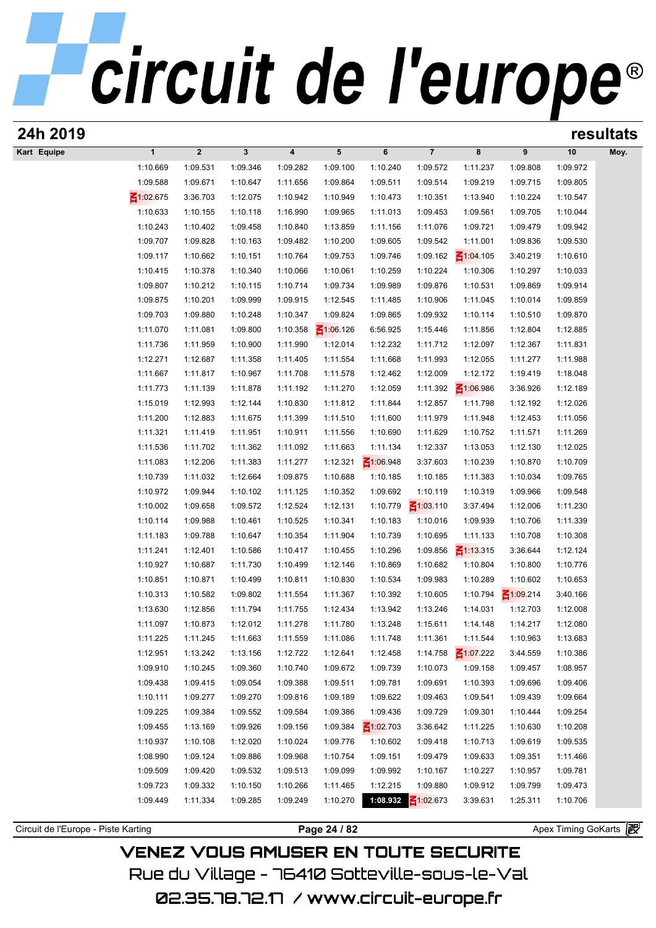## circuit de l'europe<sup>®</sup>

| Kart Equipe | $\mathbf{1}$<br>1:10.669 | $\overline{2}$ | $\mathbf{3}$ | 4        | 5               | 6               | $\overline{7}$       | 8               | 9               | 10                    |      |
|-------------|--------------------------|----------------|--------------|----------|-----------------|-----------------|----------------------|-----------------|-----------------|-----------------------|------|
|             |                          |                |              |          |                 |                 |                      |                 |                 |                       | Moy. |
|             |                          | 1:09.531       | 1:09.346     | 1:09.282 | 1:09.100        | 1:10.240        | 1:09.572             | 1:11.237        | 1:09.808        | 1:09.972              |      |
|             | 1:09.588                 | 1:09.671       | 1:10.647     | 1:11.656 | 1:09.864        | 1:09.511        | 1:09.514             | 1:09.219        | 1:09.715        | 1:09.805              |      |
|             | $\leq 1:02.675$          | 3:36.703       | 1:12.075     | 1:10.942 | 1:10.949        | 1:10.473        | 1:10.351             | 1:13.940        | 1:10.224        | 1:10.547              |      |
|             | 1:10.633                 | 1:10.155       | 1:10.118     | 1:16.990 | 1:09.965        | 1:11.013        | 1:09.453             | 1:09.561        | 1:09.705        | 1:10.044              |      |
|             | 1:10.243                 | 1:10.402       | 1:09.458     | 1:10.840 | 1:13.859        | 1:11.156        | 1:11.076             | 1:09.721        | 1:09.479        | 1:09.942              |      |
|             | 1:09.707                 | 1:09.828       | 1:10.163     | 1:09.482 | 1:10.200        | 1:09.605        | 1:09.542             | 1:11.001        | 1:09.836        | 1:09.530              |      |
|             | 1:09.117                 | 1:10.662       | 1:10.151     | 1:10.764 | 1:09.753        | 1:09.746        | 1:09.162             | $\leq 1:04.105$ | 3:40.219        | 1:10.610              |      |
|             | 1:10.415                 | 1:10.378       | 1:10.340     | 1:10.066 | 1:10.061        | 1:10.259        | 1:10.224             | 1:10.306        | 1:10.297        | 1:10.033              |      |
|             | 1:09.807                 | 1:10.212       | 1:10.115     | 1:10.714 | 1:09.734        | 1:09.989        | 1:09.876             | 1:10.531        | 1:09.869        | 1:09.914              |      |
|             | 1:09.875                 | 1:10.201       | 1:09.999     | 1:09.915 | 1:12.545        | 1:11.485        | 1:10.906             | 1:11.045        | 1:10.014        | 1:09.859              |      |
|             | 1:09.703                 | 1:09.880       | 1:10.248     | 1:10.347 | 1:09.824        | 1:09.865        | 1:09.932             | 1:10.114        | 1:10.510        | 1:09.870              |      |
|             | 1:11.070                 | 1:11.081       | 1:09.800     | 1:10.358 | $\leq 1:06.126$ | 6:56.925        | 1:15.446             | 1:11.856        | 1:12.804        | 1:12.885              |      |
|             | 1:11.736                 | 1:11.959       | 1:10.900     | 1:11.990 | 1:12.014        | 1:12.232        | 1:11.712             | 1:12.097        | 1:12.367        | 1:11.831              |      |
|             | 1:12.271                 | 1:12.687       | 1:11.358     | 1:11.405 | 1:11.554        | 1:11.668        | 1:11.993             | 1:12.055        | 1:11.277        | 1:11.988              |      |
|             | 1:11.667                 | 1:11.817       | 1:10.967     | 1:11.708 | 1:11.578        | 1:12.462        | 1:12.009             | 1:12.172        | 1:19.419        | 1:18.048              |      |
|             | 1:11.773                 | 1:11.139       | 1:11.878     | 1:11.192 | 1:11.270        | 1:12.059        | 1:11.392             | $\leq 1:06.986$ | 3:36.926        | 1:12.189              |      |
|             | 1:15.019                 | 1:12.993       | 1:12.144     | 1:10.830 | 1:11.812        | 1:11.844        | 1:12.857             | 1:11.798        | 1:12.192        | 1:12.026              |      |
|             | 1:11.200                 | 1:12.883       | 1:11.675     | 1:11.399 | 1:11.510        | 1:11.600        | 1:11.979             | 1:11.948        | 1:12.453        | 1:11.056              |      |
|             | 1:11.321                 | 1:11.419       | 1:11.951     | 1:10.911 | 1:11.556        | 1:10.690        | 1:11.629             | 1:10.752        | 1:11.571        | 1:11.269              |      |
|             | 1:11.536                 | 1:11.702       | 1:11.362     | 1:11.092 | 1:11.663        | 1:11.134        | 1:12.337             | 1:13.053        | 1:12.130        | 1:12.025              |      |
|             | 1:11.083                 | 1:12.206       | 1:11.383     | 1:11.277 | 1:12.321        | $\leq 1:06.948$ | 3:37.603             | 1:10.239        | 1:10.870        | 1:10.709              |      |
|             | 1:10.739                 | 1:11.032       | 1:12.664     | 1:09.875 | 1:10.688        | 1:10.185        | 1:10.185             | 1:11.383        | 1:10.034        | 1:09.765              |      |
|             | 1:10.972                 | 1:09.944       | 1:10.102     | 1:11.125 | 1:10.352        | 1:09.692        | 1:10.119             | 1:10.319        | 1:09.966        | 1:09.548              |      |
|             | 1:10.002                 | 1:09.658       | 1:09.572     | 1:12.524 | 1:12.131        | 1:10.779        | $\leq 1:03.110$      | 3:37.494        | 1:12.006        | 1:11.230              |      |
|             | 1:10.114                 | 1:09.988       |              |          |                 | 1:10.183        |                      |                 | 1:10.706        | 1:11.339              |      |
|             | 1:11.183                 |                | 1:10.461     | 1:10.525 | 1:10.341        |                 | 1:10.016<br>1:10.695 | 1:09.939        |                 |                       |      |
|             |                          | 1:09.788       | 1:10.647     | 1:10.354 | 1:11.904        | 1:10.739        |                      | 1:11.133        | 1:10.708        | 1:10.308              |      |
|             | 1:11.241                 | 1:12.401       | 1:10.586     | 1:10.417 | 1:10.455        | 1:10.296        | 1:09.856             | $\leq 1:13.315$ | 3:36.644        | 1:12.124              |      |
|             | 1:10.927                 | 1:10.687       | 1:11.730     | 1:10.499 | 1:12.146        | 1:10.869        | 1:10.682             | 1:10.804        | 1:10.800        | 1:10.776              |      |
|             | 1:10.851                 | 1:10.871       | 1:10.499     | 1:10.811 | 1:10.830        | 1:10.534        | 1:09.983             | 1:10.289        | 1:10.602        | 1:10.653              |      |
|             | 1:10.313                 | 1:10.582       | 1:09.802     | 1:11.554 | 1:11.367        | 1:10.392        | 1:10.605             | 1:10.794        | $\leq 1:09.214$ | 3:40.166              |      |
|             | 1:13.630                 | 1:12.856       | 1:11.794     | 1:11.755 | 1:12.434        | 1:13.942        | 1:13.246             | 1:14.031        | 1:12.703        | 1:12.008              |      |
|             | 1:11.097                 | 1:10.873       | 1:12.012     | 1:11.278 | 1:11.780        | 1:13.248        | 1:15.611             | 1:14.148        | 1:14.217        | 1:12.080              |      |
|             | 1:11.225                 | 1:11.245       | 1:11.663     | 1:11.559 | 1:11.086        | 1:11.748        | 1:11.361             | 1:11.544        | 1:10.963        | 1:13.683              |      |
|             | 1:12.951                 | 1:13.242       | 1:13.156     | 1:12.722 | 1:12.641        | 1:12.458        | 1:14.758             | $\leq 1:07.222$ | 3:44.559        | 1:10.386              |      |
|             | 1:09.910                 | 1:10.245       | 1:09.360     | 1:10.740 | 1:09.672        | 1:09.739        | 1:10.073             | 1:09.158        | 1:09.457        | 1:08.957              |      |
|             | 1:09.438                 | 1:09.415       | 1:09.054     | 1:09.388 | 1:09.511        | 1:09.781        | 1:09.691             | 1:10.393        | 1:09.696        | 1:09.406              |      |
|             | 1:10.111                 | 1:09.277       | 1:09.270     | 1:09.816 | 1:09.189        | 1:09.622        | 1:09.463             | 1:09.541        | 1:09.439        | 1:09.664              |      |
|             | 1:09.225                 | 1:09.384       | 1:09.552     | 1:09.584 | 1:09.386        | 1:09.436        | 1:09.729             | 1:09.301        | 1:10.444        | 1:09.254              |      |
|             | 1:09.455                 | 1:13.169       | 1:09.926     | 1:09.156 | 1:09.384        | $\leq 1:02.703$ | 3:36.642             | 1:11.225        | 1:10.630        | 1:10.208              |      |
|             | 1:10.937                 | 1:10.108       | 1:12.020     | 1:10.024 | 1:09.776        | 1:10.602        | 1:09.418             | 1:10.713        | 1:09.619        | 1:09.535              |      |
|             | 1:08.990                 | 1:09.124       | 1:09.886     | 1:09.968 | 1:10.754        | 1:09.151        | 1:09.479             | 1:09.633        | 1:09.351        | 1:11.466              |      |
|             | 1:09.509                 | 1:09.420       | 1:09.532     | 1:09.513 | 1:09.099        | 1:09.992        | 1:10.167             | 1:10.227        | 1:10.957        | 1:09.781              |      |
|             | 1:09.723                 | 1:09.332       | 1:10.150     | 1:10.266 | 1:11.465        | 1:12.215        | 1:09.880             | 1:09.912        | 1:09.799        | 1:09.473              |      |
|             | 1:09.449                 | 1:11.334       | 1:09.285     | 1:09.249 | 1:10.270        | 1:08.932        | $\leq 1:02.673$      | 3:39.631        | 1:25.311        | 1:10.706              |      |
|             |                          |                |              |          |                 |                 |                      |                 |                 | Apex Timing GoKarts 图 |      |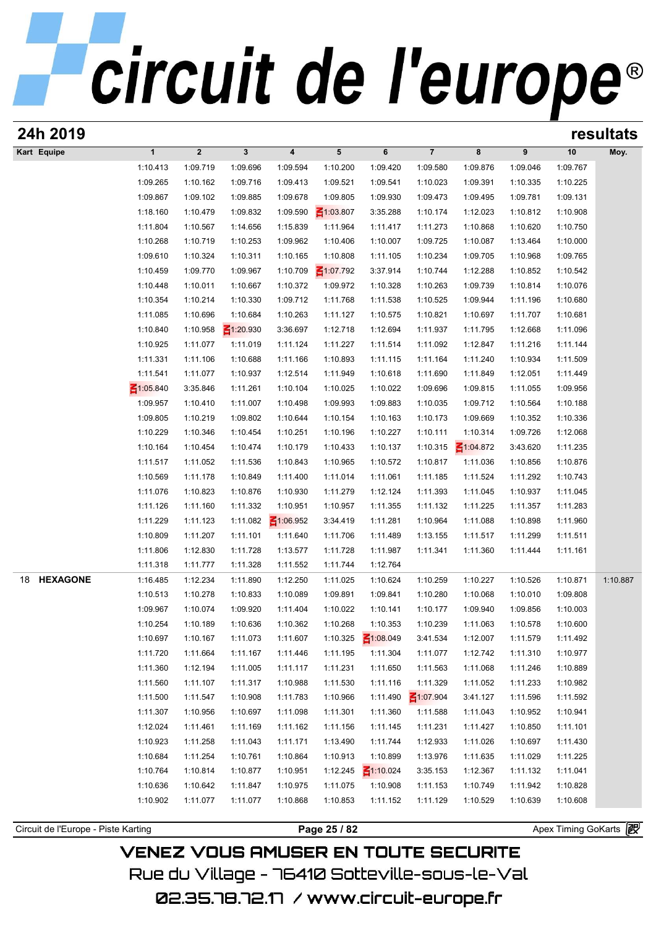| 24h 2019                            |                 |             |                 |                         |                 |                 |                 |                 |          |          | resultats |
|-------------------------------------|-----------------|-------------|-----------------|-------------------------|-----------------|-----------------|-----------------|-----------------|----------|----------|-----------|
| Kart Equipe                         | $\mathbf{1}$    | $\mathbf 2$ | $\mathbf{3}$    | $\overline{\mathbf{4}}$ | $5\phantom{.0}$ | 6               | $\overline{7}$  | 8               | 9        | 10       | Moy.      |
|                                     | 1:10.413        | 1:09.719    | 1:09.696        | 1:09.594                | 1:10.200        | 1:09.420        | 1:09.580        | 1:09.876        | 1:09.046 | 1:09.767 |           |
|                                     | 1:09.265        | 1:10.162    | 1:09.716        | 1:09.413                | 1:09.521        | 1:09.541        | 1:10.023        | 1:09.391        | 1:10.335 | 1:10.225 |           |
|                                     | 1:09.867        | 1:09.102    | 1:09.885        | 1:09.678                | 1:09.805        | 1:09.930        | 1:09.473        | 1:09.495        | 1:09.781 | 1:09.131 |           |
|                                     | 1:18.160        | 1:10.479    | 1:09.832        | 1:09.590                | $\leq 1:03.807$ | 3:35.288        | 1:10.174        | 1:12.023        | 1:10.812 | 1:10.908 |           |
|                                     | 1:11.804        | 1:10.567    | 1:14.656        | 1:15.839                | 1:11.964        | 1:11.417        | 1:11.273        | 1:10.868        | 1:10.620 | 1:10.750 |           |
|                                     | 1:10.268        | 1:10.719    | 1:10.253        | 1:09.962                | 1:10.406        | 1:10.007        | 1:09.725        | 1:10.087        | 1:13.464 | 1:10.000 |           |
|                                     | 1:09.610        | 1:10.324    | 1:10.311        | 1:10.165                | 1:10.808        | 1:11.105        | 1:10.234        | 1:09.705        | 1:10.968 | 1:09.765 |           |
|                                     | 1:10.459        | 1:09.770    | 1:09.967        | 1:10.709                | $\leq 1:07.792$ | 3:37.914        | 1:10.744        | 1:12.288        | 1:10.852 | 1:10.542 |           |
|                                     | 1:10.448        | 1:10.011    | 1:10.667        | 1:10.372                | 1:09.972        | 1:10.328        | 1:10.263        | 1:09.739        | 1:10.814 | 1:10.076 |           |
|                                     | 1:10.354        | 1:10.214    | 1:10.330        | 1:09.712                | 1:11.768        | 1:11.538        | 1:10.525        | 1:09.944        | 1:11.196 | 1:10.680 |           |
|                                     | 1:11.085        | 1:10.696    | 1:10.684        | 1:10.263                | 1:11.127        | 1:10.575        | 1:10.821        | 1:10.697        | 1:11.707 | 1:10.681 |           |
|                                     | 1:10.840        | 1:10.958    | $\leq 1:20.930$ | 3:36.697                | 1:12.718        | 1:12.694        | 1:11.937        | 1:11.795        | 1:12.668 | 1:11.096 |           |
|                                     | 1:10.925        | 1:11.077    | 1:11.019        | 1:11.124                | 1:11.227        | 1:11.514        | 1:11.092        | 1:12.847        | 1:11.216 | 1:11.144 |           |
|                                     | 1:11.331        | 1:11.106    | 1:10.688        | 1:11.166                | 1:10.893        | 1:11.115        | 1:11.164        | 1:11.240        | 1:10.934 | 1:11.509 |           |
|                                     | 1:11.541        | 1:11.077    | 1:10.937        | 1:12.514                | 1:11.949        | 1:10.618        | 1:11.690        | 1:11.849        | 1:12.051 | 1:11.449 |           |
|                                     | $\leq 1:05.840$ | 3:35.846    | 1:11.261        | 1:10.104                | 1:10.025        | 1:10.022        | 1:09.696        | 1:09.815        | 1:11.055 | 1:09.956 |           |
|                                     | 1:09.957        | 1:10.410    | 1:11.007        | 1:10.498                | 1:09.993        | 1:09.883        | 1:10.035        | 1:09.712        | 1:10.564 | 1:10.188 |           |
|                                     | 1:09.805        | 1:10.219    | 1:09.802        | 1:10.644                | 1:10.154        | 1:10.163        | 1:10.173        | 1:09.669        | 1:10.352 | 1:10.336 |           |
|                                     | 1:10.229        | 1:10.346    | 1:10.454        | 1:10.251                | 1:10.196        | 1:10.227        | 1:10.111        | 1:10.314        | 1:09.726 | 1:12.068 |           |
|                                     | 1:10.164        | 1:10.454    | 1:10.474        | 1:10.179                | 1:10.433        | 1:10.137        | 1:10.315        | $\leq 1:04.872$ | 3:43.620 | 1:11.235 |           |
|                                     | 1:11.517        | 1:11.052    | 1:11.536        | 1:10.843                | 1:10.965        | 1:10.572        | 1:10.817        | 1:11.036        | 1:10.856 | 1:10.876 |           |
|                                     | 1:10.569        | 1:11.178    | 1:10.849        | 1:11.400                | 1:11.014        | 1:11.061        | 1:11.185        | 1:11.524        | 1:11.292 | 1:10.743 |           |
|                                     | 1:11.076        | 1:10.823    | 1:10.876        | 1:10.930                | 1:11.279        | 1:12.124        | 1:11.393        | 1:11.045        | 1:10.937 | 1:11.045 |           |
|                                     | 1:11.126        | 1:11.160    | 1:11.332        | 1:10.951                | 1:10.957        | 1:11.355        | 1:11.132        | 1:11.225        | 1:11.357 | 1:11.283 |           |
|                                     | 1:11.229        | 1:11.123    | 1:11.082        | $\leq 1:06.952$         | 3:34.419        | 1:11.281        | 1:10.964        | 1:11.088        | 1:10.898 | 1:11.960 |           |
|                                     | 1:10.809        | 1:11.207    | 1:11.101        | 1:11.640                | 1:11.706        | 1:11.489        | 1:13.155        | 1:11.517        | 1:11.299 | 1:11.511 |           |
|                                     | 1:11.806        | 1:12.830    | 1:11.728        | 1:13.577                | 1:11.728        | 1:11.987        | 1:11.341        | 1:11.360        | 1:11.444 | 1:11.161 |           |
|                                     | 1:11.318        | 1:11.777    | 1:11.328        | 1:11.552                | 1:11.744        | 1:12.764        |                 |                 |          |          |           |
| <b>HEXAGONE</b><br>18               | 1:16.485        | 1:12.234    | 1:11.890        | 1:12.250                | 1:11.025        | 1:10.624        | 1:10.259        | 1:10.227        | 1:10.526 | 1:10.871 | 1:10.887  |
|                                     | 1:10.513        | 1:10.278    | 1:10.833        | 1:10.089                | 1:09.891        | 1:09.841        | 1:10.280        | 1:10.068        | 1:10.010 | 1:09.808 |           |
|                                     | 1:09.967        | 1:10.074    | 1:09.920        | 1:11.404                | 1:10.022        | 1:10.141        | 1:10.177        | 1:09.940        | 1:09.856 | 1:10.003 |           |
|                                     | 1:10.254        | 1:10.189    | 1:10.636        | 1:10.362                | 1:10.268        | 1:10.353        | 1:10.239        | 1:11.063        | 1:10.578 | 1:10.600 |           |
|                                     | 1:10.697        | 1:10.167    | 1:11.073        | 1:11.607                | 1:10.325        | $\leq 1:08.049$ | 3:41.534        | 1:12.007        | 1:11.579 | 1:11.492 |           |
|                                     | 1:11.720        | 1:11.664    | 1:11.167        | 1:11.446                | 1:11.195        | 1:11.304        | 1:11.077        | 1:12.742        | 1:11.310 | 1:10.977 |           |
|                                     | 1:11.360        | 1:12.194    | 1:11.005        | 1:11.117                | 1:11.231        | 1:11.650        | 1:11.563        | 1:11.068        | 1:11.246 | 1:10.889 |           |
|                                     | 1:11.560        | 1:11.107    | 1:11.317        | 1:10.988                | 1:11.530        | 1:11.116        | 1:11.329        | 1:11.052        | 1:11.233 | 1:10.982 |           |
|                                     | 1:11.500        | 1:11.547    | 1:10.908        | 1:11.783                | 1:10.966        | 1:11.490        | $\leq 1:07.904$ | 3:41.127        | 1:11.596 | 1:11.592 |           |
|                                     | 1:11.307        | 1:10.956    | 1:10.697        | 1:11.098                | 1:11.301        | 1:11.360        | 1:11.588        | 1:11.043        | 1:10.952 | 1:10.941 |           |
|                                     | 1:12.024        | 1:11.461    | 1:11.169        | 1:11.162                | 1:11.156        | 1:11.145        | 1:11.231        | 1:11.427        | 1:10.850 | 1:11.101 |           |
|                                     | 1:10.923        | 1:11.258    | 1:11.043        | 1:11.171                | 1:13.490        | 1:11.744        | 1:12.933        | 1:11.026        | 1:10.697 | 1:11.430 |           |
|                                     | 1:10.684        | 1:11.254    | 1:10.761        | 1:10.864                | 1:10.913        | 1:10.899        | 1:13.976        | 1:11.635        | 1:11.029 | 1:11.225 |           |
|                                     | 1:10.764        | 1:10.814    | 1:10.877        | 1:10.951                | 1:12.245        | $\leq 1:10.024$ | 3:35.153        | 1:12.367        | 1:11.132 | 1:11.041 |           |
|                                     | 1:10.636        | 1:10.642    | 1:11.847        | 1:10.975                | 1:11.075        | 1:10.908        | 1:11.153        | 1:10.749        | 1:11.942 | 1:10.828 |           |
|                                     | 1:10.902        | 1:11.077    | 1:11.077        | 1:10.868                | 1:10.853        | 1:11.152        | 1:11.129        | 1:10.529        | 1:10.639 | 1:10.608 |           |
|                                     |                 |             |                 |                         | Page 25 / 82    |                 |                 |                 |          |          |           |
| Circuit de l'Europe - Piste Karting |                 |             |                 | Apex Timing GoKarts     | 霞               |                 |                 |                 |          |          |           |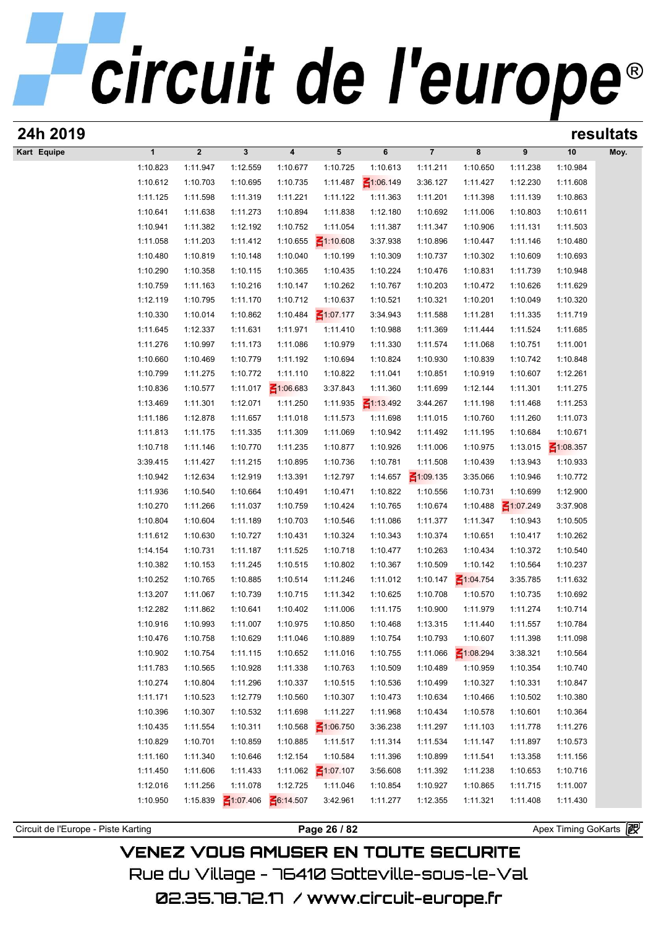| 24h 2019                            |              |                |                 |                 |                 |                 |                 |                 |                      |                     | resultats |
|-------------------------------------|--------------|----------------|-----------------|-----------------|-----------------|-----------------|-----------------|-----------------|----------------------|---------------------|-----------|
| Kart Equipe                         | $\mathbf{1}$ | $\overline{2}$ | $\mathbf{3}$    | 4               | ${\bf 5}$       | 6               | $\overline{7}$  | 8               | 9                    | 10                  | Moy.      |
|                                     | 1:10.823     | 1:11.947       | 1:12.559        | 1:10.677        | 1:10.725        | 1:10.613        | 1:11.211        | 1:10.650        | 1:11.238             | 1:10.984            |           |
|                                     | 1:10.612     | 1:10.703       | 1:10.695        | 1:10.735        | 1:11.487        | $\leq 1:06.149$ | 3:36.127        | 1:11.427        | 1:12.230             | 1:11.608            |           |
|                                     | 1:11.125     | 1:11.598       | 1:11.319        | 1:11.221        | 1:11.122        | 1:11.363        | 1:11.201        | 1:11.398        | 1:11.139             | 1:10.863            |           |
|                                     | 1:10.641     | 1:11.638       | 1:11.273        | 1:10.894        | 1:11.838        | 1:12.180        | 1:10.692        | 1:11.006        | 1:10.803             | 1:10.611            |           |
|                                     | 1:10.941     | 1:11.382       | 1:12.192        | 1:10.752        | 1:11.054        | 1:11.387        | 1:11.347        | 1:10.906        | 1:11.131             | 1:11.503            |           |
|                                     | 1:11.058     | 1:11.203       | 1:11.412        | 1:10.655        | $\leq 1:10.608$ | 3:37.938        | 1:10.896        | 1:10.447        | 1:11.146             | 1:10.480            |           |
|                                     | 1:10.480     | 1:10.819       | 1:10.148        | 1:10.040        | 1:10.199        | 1:10.309        | 1:10.737        | 1:10.302        | 1:10.609             | 1:10.693            |           |
|                                     | 1:10.290     | 1:10.358       | 1:10.115        | 1:10.365        | 1:10.435        | 1:10.224        | 1:10.476        | 1:10.831        | 1:11.739             | 1:10.948            |           |
|                                     | 1:10.759     | 1:11.163       | 1:10.216        | 1:10.147        | 1:10.262        | 1:10.767        | 1:10.203        | 1:10.472        | 1:10.626             | 1:11.629            |           |
|                                     | 1:12.119     | 1:10.795       | 1:11.170        | 1:10.712        | 1:10.637        | 1:10.521        | 1:10.321        | 1:10.201        | 1:10.049             | 1:10.320            |           |
|                                     | 1:10.330     | 1:10.014       | 1:10.862        | 1:10.484        | $\leq 1:07.177$ | 3:34.943        | 1:11.588        | 1:11.281        | 1:11.335             | 1:11.719            |           |
|                                     | 1:11.645     | 1:12.337       | 1:11.631        | 1:11.971        | 1:11.410        | 1:10.988        | 1:11.369        | 1:11.444        | 1:11.524             | 1:11.685            |           |
|                                     | 1:11.276     | 1:10.997       | 1:11.173        | 1:11.086        | 1:10.979        | 1:11.330        | 1:11.574        | 1:11.068        | 1:10.751             | 1:11.001            |           |
|                                     | 1:10.660     | 1:10.469       | 1:10.779        | 1:11.192        | 1:10.694        | 1:10.824        | 1:10.930        | 1:10.839        | 1:10.742             | 1:10.848            |           |
|                                     | 1:10.799     | 1:11.275       | 1:10.772        | 1:11.110        | 1:10.822        | 1:11.041        | 1:10.851        | 1:10.919        | 1:10.607             | 1:12.261            |           |
|                                     | 1:10.836     | 1:10.577       | 1:11.017        | $\leq 1:06.683$ | 3:37.843        | 1:11.360        | 1:11.699        | 1:12.144        | 1:11.301             | 1:11.275            |           |
|                                     | 1:13.469     | 1:11.301       | 1:12.071        | 1:11.250        | 1:11.935        | $\leq 1:13.492$ | 3:44.267        | 1:11.198        | 1:11.468             | 1:11.253            |           |
|                                     | 1:11.186     | 1:12.878       | 1:11.657        | 1:11.018        | 1:11.573        | 1:11.698        | 1:11.015        | 1:10.760        | 1:11.260             | 1:11.073            |           |
|                                     | 1:11.813     | 1:11.175       | 1:11.335        | 1:11.309        | 1:11.069        | 1:10.942        | 1:11.492        | 1:11.195        | 1:10.684             | 1:10.671            |           |
|                                     | 1:10.718     | 1:11.146       | 1:10.770        | 1:11.235        | 1:10.877        | 1:10.926        | 1:11.006        | 1:10.975        | 1:13.015             | $\leq 1:08.357$     |           |
|                                     | 3:39.415     | 1:11.427       | 1:11.215        | 1:10.895        | 1:10.736        | 1:10.781        | 1:11.508        | 1:10.439        | 1:13.943             | 1:10.933            |           |
|                                     | 1:10.942     | 1:12.634       | 1:12.919        | 1:13.391        | 1:12.797        | 1:14.657        | $\leq 1:09.135$ | 3:35.066        | 1:10.946             | 1:10.772            |           |
|                                     | 1:11.936     | 1:10.540       | 1:10.664        | 1:10.491        | 1:10.471        | 1:10.822        | 1:10.556        | 1:10.731        | 1:10.699             | 1:12.900            |           |
|                                     | 1:10.270     | 1:11.266       | 1:11.037        | 1:10.759        | 1:10.424        | 1:10.765        | 1:10.674        | 1:10.488        | $\leq 1:07.249$      | 3:37.908            |           |
|                                     | 1:10.804     | 1:10.604       | 1:11.189        | 1:10.703        | 1:10.546        | 1:11.086        | 1:11.377        | 1:11.347        | 1:10.943             | 1:10.505            |           |
|                                     | 1:11.612     | 1:10.630       | 1:10.727        | 1:10.431        | 1:10.324        | 1:10.343        | 1:10.374        | 1:10.651        | 1:10.417             | 1:10.262            |           |
|                                     |              |                |                 |                 |                 |                 |                 |                 |                      |                     |           |
|                                     | 1:14.154     | 1:10.731       | 1:11.187        | 1:11.525        | 1:10.718        | 1:10.477        | 1:10.263        | 1:10.434        | 1:10.372             | 1:10.540            |           |
|                                     | 1:10.382     | 1:10.153       | 1:11.245        | 1:10.515        | 1:10.802        | 1:10.367        | 1:10.509        | 1:10.142        | 1:10.564             | 1:10.237            |           |
|                                     | 1:10.252     | 1:10.765       | 1:10.885        | 1:10.514        | 1:11.246        | 1:11.012        | 1:10.147        | $\leq 1:04.754$ | 3:35.785             | 1:11.632            |           |
|                                     | 1:13.207     | 1:11.067       | 1:10.739        | 1:10.715        | 1:11.342        | 1:10.625        | 1:10.708        | 1:10.570        | 1:10.735<br>1:11.274 | 1:10.692            |           |
|                                     | 1:12.282     | 1:11.862       | 1:10.641        | 1:10.402        | 1:11.006        | 1:11.175        | 1:10.900        | 1:11.979        |                      | 1:10.714            |           |
|                                     | 1:10.916     | 1:10.993       | 1:11.007        | 1:10.975        | 1:10.850        | 1:10.468        | 1:13.315        | 1:11.440        | 1:11.557             | 1:10.784            |           |
|                                     | 1:10.476     | 1:10.758       | 1:10.629        | 1:11.046        | 1:10.889        | 1:10.754        | 1:10.793        | 1:10.607        | 1:11.398             | 1:11.098            |           |
|                                     | 1:10.902     | 1:10.754       | 1:11.115        | 1:10.652        | 1:11.016        | 1:10.755        | 1:11.066        | $\leq 1:08.294$ | 3:38.321             | 1:10.564            |           |
|                                     | 1:11.783     | 1:10.565       | 1:10.928        | 1:11.338        | 1:10.763        | 1:10.509        | 1:10.489        | 1:10.959        | 1:10.354             | 1:10.740            |           |
|                                     | 1:10.274     | 1:10.804       | 1:11.296        | 1:10.337        | 1:10.515        | 1:10.536        | 1:10.499        | 1:10.327        | 1:10.331             | 1:10.847            |           |
|                                     | 1:11.171     | 1:10.523       | 1:12.779        | 1:10.560        | 1:10.307        | 1:10.473        | 1:10.634        | 1:10.466        | 1:10.502             | 1:10.380            |           |
|                                     | 1:10.396     | 1:10.307       | 1:10.532        | 1:11.698        | 1:11.227        | 1:11.968        | 1:10.434        | 1:10.578        | 1:10.601             | 1:10.364            |           |
|                                     | 1:10.435     | 1:11.554       | 1:10.311        | 1:10.568        | $\leq 1:06.750$ | 3:36.238        | 1:11.297        | 1:11.103        | 1:11.778             | 1:11.276            |           |
|                                     | 1:10.829     | 1:10.701       | 1:10.859        | 1:10.885        | 1:11.517        | 1:11.314        | 1:11.534        | 1:11.147        | 1:11.897             | 1:10.573            |           |
|                                     | 1:11.160     | 1:11.340       | 1:10.646        | 1:12.154        | 1:10.584        | 1:11.396        | 1:10.899        | 1:11.541        | 1:13.358             | 1:11.156            |           |
|                                     | 1:11.450     | 1:11.606       | 1:11.433        | 1:11.062        | $\leq 1:07.107$ | 3:56.608        | 1:11.392        | 1:11.238        | 1:10.653             | 1:10.716            |           |
|                                     | 1:12.016     | 1:11.256       | 1:11.078        | 1:12.725        | 1:11.046        | 1:10.854        | 1:10.927        | 1:10.865        | 1:11.715             | 1:11.007            |           |
|                                     | 1:10.950     | 1:15.839       | $\leq 1:07.406$ | 6:14.507        | 3:42.961        | 1:11.277        | 1:12.355        | 1:11.321        | 1:11.408             | 1:11.430            |           |
|                                     |              |                |                 |                 |                 |                 |                 |                 |                      |                     |           |
| Circuit de l'Europe - Piste Karting |              |                |                 |                 | Page 26 / 82    |                 |                 |                 |                      | Apex Timing GoKarts |           |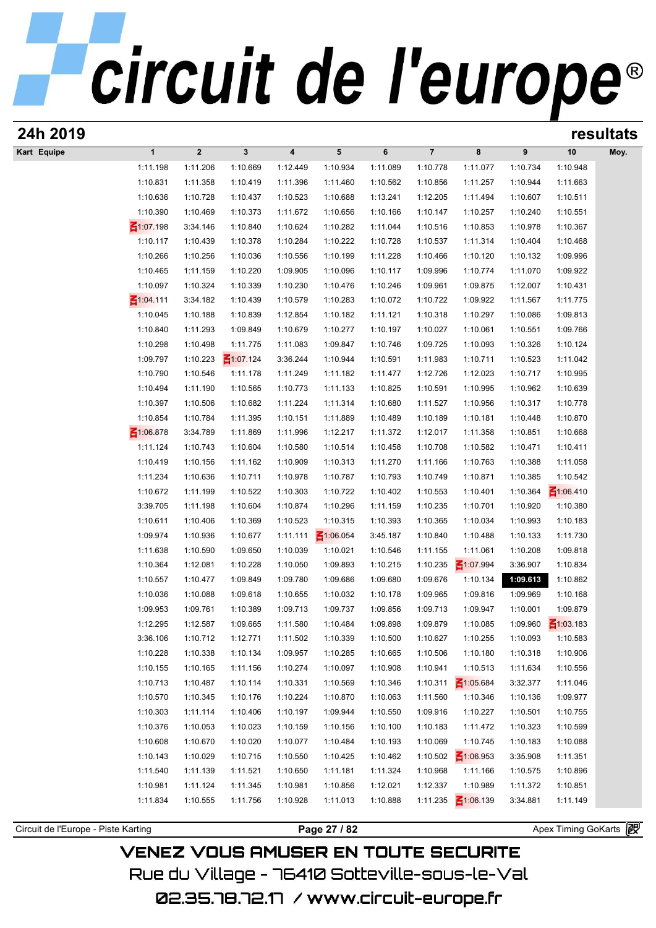| 24h 2019                            |                       |                      |                      |                      |                      |                      |                      |                             |                      |                      | resultats |
|-------------------------------------|-----------------------|----------------------|----------------------|----------------------|----------------------|----------------------|----------------------|-----------------------------|----------------------|----------------------|-----------|
| Kart Equipe                         | $\mathbf{1}$          | $\boldsymbol{2}$     | $\mathbf{3}$         | 4                    | 5                    | 6                    | $\overline{7}$       | 8                           | 9                    | 10                   | Moy.      |
|                                     | 1:11.198              | 1:11.206             | 1:10.669             | 1:12.449             | 1:10.934             | 1:11.089             | 1:10.778             | 1:11.077                    | 1:10.734             | 1:10.948             |           |
|                                     | 1:10.831              | 1:11.358             | 1:10.419             | 1:11.396             | 1:11.460             | 1:10.562             | 1:10.856             | 1:11.257                    | 1:10.944             | 1:11.663             |           |
|                                     | 1:10.636              | 1:10.728             | 1:10.437             | 1:10.523             | 1:10.688             | 1:13.241             | 1:12.205             | 1:11.494                    | 1:10.607             | 1:10.511             |           |
|                                     | 1:10.390              | 1:10.469             | 1:10.373             | 1:11.672             | 1:10.656             | 1:10.166             | 1:10.147             | 1:10.257                    | 1:10.240             | 1:10.551             |           |
|                                     | $\leq 1:07.198$       | 3:34.146             | 1:10.840             | 1:10.624             | 1:10.282             | 1:11.044             | 1:10.516             | 1:10.853                    | 1:10.978             | 1:10.367             |           |
|                                     | 1:10.117              | 1:10.439             | 1:10.378             | 1:10.284             | 1:10.222             | 1:10.728             | 1:10.537             | 1:11.314                    | 1:10.404             | 1:10.468             |           |
|                                     | 1:10.266              | 1:10.256             | 1:10.036             | 1:10.556             | 1:10.199             | 1:11.228             | 1:10.466             | 1:10.120                    | 1:10.132             | 1:09.996             |           |
|                                     | 1:10.465              | 1:11.159             | 1:10.220             | 1:09.905             | 1:10.096             | 1:10.117             | 1:09.996             | 1:10.774                    | 1:11.070             | 1:09.922             |           |
|                                     | 1:10.097              | 1:10.324             | 1:10.339             | 1:10.230             | 1:10.476             | 1:10.246             | 1:09.961             | 1:09.875                    | 1:12.007             | 1:10.431             |           |
|                                     | ₹1:04.111<br>1:10.045 | 3:34.182<br>1:10.188 | 1:10.439<br>1:10.839 | 1:10.579<br>1:12.854 | 1:10.283<br>1:10.182 | 1:10.072<br>1:11.121 | 1:10.722<br>1:10.318 | 1:09.922<br>1:10.297        | 1:11.567<br>1:10.086 | 1:11.775<br>1:09.813 |           |
|                                     | 1:10.840              | 1:11.293             | 1:09.849             | 1:10.679             | 1:10.277             | 1:10.197             | 1:10.027             | 1:10.061                    | 1:10.551             | 1:09.766             |           |
|                                     | 1:10.298              | 1:10.498             | 1:11.775             | 1:11.083             | 1:09.847             | 1:10.746             | 1:09.725             | 1:10.093                    | 1:10.326             | 1:10.124             |           |
|                                     | 1:09.797              | 1:10.223             | $\leq 1:07.124$      | 3:36.244             | 1:10.944             | 1:10.591             | 1:11.983             | 1:10.711                    | 1:10.523             | 1:11.042             |           |
|                                     | 1:10.790              | 1:10.546             | 1:11.178             | 1:11.249             | 1:11.182             | 1:11.477             | 1:12.726             | 1:12.023                    | 1:10.717             | 1:10.995             |           |
|                                     | 1:10.494              | 1:11.190             | 1:10.565             | 1:10.773             | 1:11.133             | 1:10.825             | 1:10.591             | 1:10.995                    | 1:10.962             | 1:10.639             |           |
|                                     | 1:10.397              | 1:10.506             | 1:10.682             | 1:11.224             | 1:11.314             | 1:10.680             | 1:11.527             | 1:10.956                    | 1:10.317             | 1:10.778             |           |
|                                     | 1:10.854              | 1:10.784             | 1:11.395             | 1:10.151             | 1:11.889             | 1:10.489             | 1:10.189             | 1:10.181                    | 1:10.448             | 1:10.870             |           |
|                                     | $\leq 1:06.878$       | 3:34.789             | 1:11.869             | 1:11.996             | 1:12.217             | 1:11.372             | 1:12.017             | 1:11.358                    | 1:10.851             | 1:10.668             |           |
|                                     | 1:11.124              | 1:10.743             | 1:10.604             | 1:10.580             | 1:10.514             | 1:10.458             | 1:10.708             | 1:10.582                    | 1:10.471             | 1:10.411             |           |
|                                     | 1:10.419              | 1:10.156             | 1:11.162             | 1:10.909             | 1:10.313             | 1:11.270             | 1:11.166             | 1:10.763                    | 1:10.388             | 1:11.058             |           |
|                                     | 1:11.234              | 1:10.636             | 1:10.711             | 1:10.978             | 1:10.787             | 1:10.793             | 1:10.749             | 1:10.871                    | 1:10.385             | 1:10.542             |           |
|                                     | 1:10.672              | 1:11.199             | 1:10.522             | 1:10.303             | 1:10.722             | 1:10.402             | 1:10.553             | 1:10.401                    | 1:10.364             | $\leq 1:06.410$      |           |
|                                     | 3:39.705              | 1:11.198             | 1:10.604             | 1:10.874             | 1:10.296             | 1:11.159             | 1:10.235             | 1:10.701                    | 1:10.920             | 1:10.380             |           |
|                                     | 1:10.611              | 1:10.406             | 1:10.369             | 1:10.523             | 1:10.315             | 1:10.393             | 1:10.365             | 1:10.034                    | 1:10.993             | 1:10.183             |           |
|                                     | 1:09.974              | 1:10.936             | 1:10.677             | 1:11.111             | $\leq 1:06.054$      | 3:45.187             | 1:10.840             | 1:10.488                    | 1:10.133             | 1:11.730             |           |
|                                     | 1:11.638              | 1:10.590             | 1:09.650             | 1:10.039             | 1:10.021             | 1:10.546             | 1:11.155             | 1:11.061                    | 1:10.208             | 1:09.818             |           |
|                                     | 1:10.364              | 1:12.081             | 1:10.228             | 1:10.050             | 1:09.893             | 1:10.215             | 1:10.235             | ₹1:07.994                   | 3:36.907             | 1:10.834             |           |
|                                     | 1:10.557              | 1:10.477             | 1:09.849             | 1:09.780             | 1:09.686             | 1:09.680             | 1:09.676             | 1:10.134                    | 1:09.613             | 1:10.862             |           |
|                                     | 1:10.036              | 1:10.088             | 1:09.618             | 1:10.655             | 1:10.032             | 1:10.178             | 1:09.965             | 1:09.816                    | 1:09.969             | 1:10.168             |           |
|                                     | 1:09.953              | 1:09.761             | 1:10.389             | 1:09.713             | 1:09.737             | 1:09.856             | 1:09.713             | 1:09.947                    | 1:10.001             | 1:09.879             |           |
|                                     | 1:12.295              | 1:12.587             | 1:09.665             | 1:11.580             | 1:10.484             | 1:09.898             | 1:09.879             | 1:10.085                    | 1:09.960             | $\leq 1:03.183$      |           |
|                                     | 3:36.106              | 1:10.712             | 1:12.771             | 1:11.502             | 1:10.339             | 1:10.500             | 1:10.627             | 1:10.255                    | 1:10.093             | 1:10.583             |           |
|                                     | 1:10.228              | 1:10.338             | 1:10.134             | 1:09.957             | 1:10.285             | 1:10.665             | 1:10.506             | 1:10.180                    | 1:10.318             | 1:10.906             |           |
|                                     | 1:10.155<br>1:10.713  | 1:10.165             | 1:11.156             | 1:10.274             | 1:10.097             | 1:10.908             | 1:10.941<br>1:10.311 | 1:10.513<br>$\leq 1:05.684$ | 1:11.634             | 1:10.556             |           |
|                                     | 1:10.570              | 1:10.487<br>1:10.345 | 1:10.114<br>1:10.176 | 1:10.331<br>1:10.224 | 1:10.569<br>1:10.870 | 1:10.346<br>1:10.063 | 1:11.560             | 1:10.346                    | 3:32.377<br>1:10.136 | 1:11.046<br>1:09.977 |           |
|                                     | 1:10.303              | 1:11.114             | 1:10.406             | 1:10.197             | 1:09.944             | 1:10.550             | 1:09.916             | 1:10.227                    | 1:10.501             | 1:10.755             |           |
|                                     | 1:10.376              | 1:10.053             | 1:10.023             | 1:10.159             | 1:10.156             | 1:10.100             | 1:10.183             | 1:11.472                    | 1:10.323             | 1:10.599             |           |
|                                     | 1:10.608              | 1:10.670             | 1:10.020             | 1:10.077             | 1:10.484             | 1:10.193             | 1:10.069             | 1:10.745                    | 1:10.183             | 1:10.088             |           |
|                                     | 1:10.143              | 1:10.029             | 1:10.715             | 1:10.550             | 1:10.425             | 1:10.462             | 1:10.502             | $\frac{2}{100}$ 1:06.953    | 3:35.908             | 1:11.351             |           |
|                                     | 1:11.540              | 1:11.139             | 1:11.521             | 1:10.650             | 1:11.181             | 1:11.324             | 1:10.968             | 1:11.166                    | 1:10.575             | 1:10.896             |           |
|                                     | 1:10.981              | 1:11.124             | 1:11.345             | 1:10.981             | 1:10.856             | 1:12.021             | 1:12.337             | 1:10.989                    | 1:11.372             | 1:10.851             |           |
|                                     | 1:11.834              | 1:10.555             | 1:11.756             | 1:10.928             | 1:11.013             | 1:10.888             | 1:11.235             | $\leq 1:06.139$             | 3:34.881             | 1:11.149             |           |
|                                     |                       |                      |                      |                      |                      |                      |                      |                             |                      |                      |           |
| Circuit de l'Europe - Piste Karting |                       |                      |                      |                      | Page 27 / 82         |                      |                      |                             |                      | Apex Timing GoKarts  |           |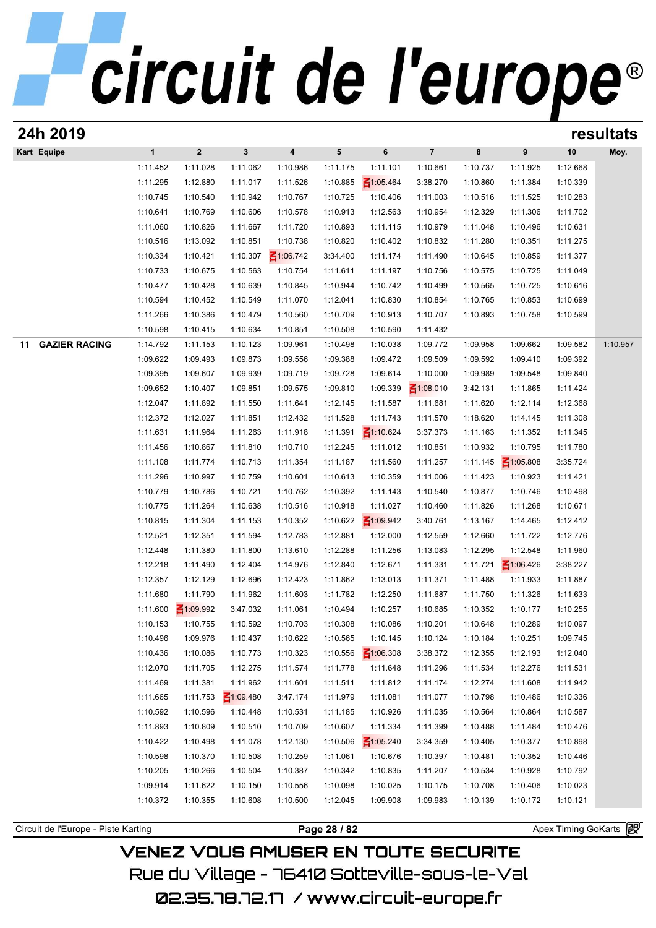| 24h 2019                            |                      |                      |                      |                         |                      |                      |                      |                      |                      |                      | resultats |
|-------------------------------------|----------------------|----------------------|----------------------|-------------------------|----------------------|----------------------|----------------------|----------------------|----------------------|----------------------|-----------|
| Kart Equipe                         | $\mathbf{1}$         | $\boldsymbol{2}$     | $\mathbf 3$          | $\overline{\mathbf{4}}$ | $5\phantom{.0}$      | 6                    | $\overline{7}$       | 8                    | 9                    | 10                   | Moy.      |
|                                     | 1:11.452             | 1:11.028             | 1:11.062             | 1:10.986                | 1:11.175             | 1:11.101             | 1:10.661             | 1:10.737             | 1:11.925             | 1:12.668             |           |
|                                     | 1:11.295             | 1:12.880             | 1:11.017             | 1:11.526                | 1:10.885             | $\leq 1:05.464$      | 3:38.270             | 1:10.860             | 1:11.384             | 1:10.339             |           |
|                                     | 1:10.745             | 1:10.540             | 1:10.942             | 1:10.767                | 1:10.725             | 1:10.406             | 1:11.003             | 1:10.516             | 1:11.525             | 1:10.283             |           |
|                                     | 1:10.641             | 1:10.769             | 1:10.606             | 1:10.578                | 1:10.913             | 1:12.563             | 1:10.954             | 1:12.329             | 1:11.306             | 1:11.702             |           |
|                                     | 1:11.060             | 1:10.826             | 1:11.667             | 1:11.720                | 1:10.893             | 1:11.115             | 1:10.979             | 1:11.048             | 1:10.496             | 1:10.631             |           |
|                                     | 1:10.516             | 1:13.092             | 1:10.851             | 1:10.738                | 1:10.820             | 1:10.402             | 1:10.832             | 1:11.280             | 1:10.351             | 1:11.275             |           |
|                                     | 1:10.334             | 1:10.421             | 1:10.307             | $\leq 1:06.742$         | 3:34.400             | 1:11.174             | 1:11.490             | 1:10.645             | 1:10.859             | 1:11.377             |           |
|                                     | 1:10.733             | 1:10.675             | 1:10.563             | 1:10.754                | 1:11.611             | 1:11.197             | 1:10.756             | 1:10.575             | 1:10.725             | 1:11.049             |           |
|                                     | 1:10.477             | 1:10.428             | 1:10.639             | 1:10.845                | 1:10.944             | 1:10.742             | 1:10.499             | 1:10.565             | 1:10.725             | 1:10.616             |           |
|                                     | 1:10.594             | 1:10.452             | 1:10.549             | 1:11.070                | 1:12.041             | 1:10.830             | 1:10.854             | 1:10.765             | 1:10.853             | 1:10.699             |           |
|                                     | 1:11.266             | 1:10.386             | 1:10.479             | 1:10.560                | 1:10.709             | 1:10.913             | 1:10.707             | 1:10.893             | 1:10.758             | 1:10.599             |           |
|                                     | 1:10.598             | 1:10.415             | 1:10.634             | 1:10.851                | 1:10.508             | 1:10.590             | 1:11.432             |                      |                      |                      |           |
| <b>GAZIER RACING</b><br>11          | 1:14.792             | 1:11.153             | 1:10.123             | 1:09.961                | 1:10.498             | 1:10.038             | 1:09.772             | 1:09.958             | 1:09.662             | 1:09.582             | 1:10.957  |
|                                     | 1:09.622             | 1:09.493             | 1:09.873             | 1:09.556                | 1:09.388             | 1:09.472             | 1:09.509             | 1:09.592             | 1:09.410             | 1:09.392             |           |
|                                     | 1:09.395             | 1:09.607             | 1:09.939             | 1:09.719                | 1:09.728             | 1:09.614             | 1:10.000             | 1:09.989             | 1:09.548             | 1:09.840             |           |
|                                     | 1:09.652             | 1:10.407             | 1:09.851             | 1:09.575                | 1:09.810             | 1:09.339             | $\leq 1:08.010$      | 3:42.131             | 1:11.865             | 1:11.424             |           |
|                                     | 1:12.047             | 1:11.892             | 1:11.550             | 1:11.641                | 1:12.145             | 1:11.587             | 1:11.681             | 1:11.620             | 1:12.114             | 1:12.368             |           |
|                                     | 1:12.372             | 1:12.027             | 1:11.851             | 1:12.432                | 1:11.528             | 1:11.743             | 1:11.570             | 1:18.620             | 1:14.145             | 1:11.308             |           |
|                                     | 1:11.631             | 1:11.964             | 1:11.263             | 1:11.918                | 1:11.391             | $\leq 1:10.624$      | 3:37.373             | 1:11.163             | 1:11.352             | 1:11.345             |           |
|                                     | 1:11.456             | 1:10.867             | 1:11.810             | 1:10.710                | 1:12.245             | 1:11.012             | 1:10.851             | 1:10.932             | 1:10.795             | 1:11.780             |           |
|                                     | 1:11.108             | 1:11.774             | 1:10.713             | 1:11.354                | 1:11.187             | 1:11.560             | 1:11.257             | 1:11.145             | $\leq 1:05.808$      | 3:35.724             |           |
|                                     | 1:11.296             | 1:10.997             | 1:10.759             | 1:10.601                | 1:10.613             | 1:10.359             | 1:11.006             | 1:11.423             | 1:10.923             | 1:11.421             |           |
|                                     | 1:10.779<br>1:10.775 | 1:10.786<br>1:11.264 | 1:10.721<br>1:10.638 | 1:10.762<br>1:10.516    | 1:10.392<br>1:10.918 | 1:11.143<br>1:11.027 | 1:10.540<br>1:10.460 | 1:10.877<br>1:11.826 | 1:10.746<br>1:11.268 | 1:10.498<br>1:10.671 |           |
|                                     | 1:10.815             | 1:11.304             | 1:11.153             | 1:10.352                | 1:10.622             | $\leq 1:09.942$      | 3:40.761             | 1:13.167             | 1:14.465             | 1:12.412             |           |
|                                     | 1:12.521             | 1:12.351             | 1:11.594             | 1:12.783                | 1:12.881             | 1:12.000             | 1:12.559             | 1:12.660             | 1:11.722             | 1:12.776             |           |
|                                     | 1:12.448             | 1:11.380             | 1:11.800             | 1:13.610                | 1:12.288             | 1:11.256             | 1:13.083             | 1:12.295             | 1:12.548             | 1:11.960             |           |
|                                     | 1:12.218             | 1:11.490             | 1:12.404             | 1:14.976                | 1:12.840             | 1:12.671             | 1:11.331             | 1:11.721             | $\leq 1:06.426$      | 3:38.227             |           |
|                                     | 1:12.357             | 1:12.129             | 1:12.696             | 1:12.423                | 1:11.862             | 1:13.013             | 1:11.371             | 1:11.488             | 1:11.933             | 1:11.887             |           |
|                                     | 1:11.680             | 1:11.790             | 1:11.962             | 1:11.603                | 1:11.782             | 1:12.250             | 1:11.687             | 1:11.750             | 1:11.326             | 1:11.633             |           |
|                                     | 1:11.600             | $\leq 1:09.992$      | 3:47.032             | 1:11.061                | 1:10.494             | 1:10.257             | 1:10.685             | 1:10.352             | 1:10.177             | 1:10.255             |           |
|                                     | 1:10.153             | 1:10.755             | 1:10.592             | 1:10.703                | 1:10.308             | 1:10.086             | 1:10.201             | 1:10.648             | 1:10.289             | 1:10.097             |           |
|                                     | 1:10.496             | 1:09.976             | 1:10.437             | 1:10.622                | 1:10.565             | 1:10.145             | 1:10.124             | 1:10.184             | 1:10.251             | 1:09.745             |           |
|                                     | 1:10.436             | 1:10.086             | 1:10.773             | 1:10.323                | 1:10.556             | $\leq 1:06.308$      | 3:38.372             | 1:12.355             | 1:12.193             | 1:12.040             |           |
|                                     | 1:12.070             | 1:11.705             | 1:12.275             | 1:11.574                | 1:11.778             | 1:11.648             | 1:11.296             | 1:11.534             | 1:12.276             | 1:11.531             |           |
|                                     | 1:11.469             | 1:11.381             | 1:11.962             | 1:11.601                | 1:11.511             | 1:11.812             | 1:11.174             | 1:12.274             | 1:11.608             | 1:11.942             |           |
|                                     | 1:11.665             | 1:11.753             | $\leq 1:09.480$      | 3:47.174                | 1:11.979             | 1:11.081             | 1:11.077             | 1:10.798             | 1:10.486             | 1:10.336             |           |
|                                     | 1:10.592             | 1:10.596             | 1:10.448             | 1:10.531                | 1:11.185             | 1:10.926             | 1:11.035             | 1:10.564             | 1:10.864             | 1:10.587             |           |
|                                     | 1:11.893             | 1:10.809             | 1:10.510             | 1:10.709                | 1:10.607             | 1:11.334             | 1:11.399             | 1:10.488             | 1:11.484             | 1:10.476             |           |
|                                     | 1:10.422             | 1:10.498             | 1:11.078             | 1:12.130                | 1:10.506             | $\leq 1:05.240$      | 3:34.359             | 1:10.405             | 1:10.377             | 1:10.898             |           |
|                                     | 1:10.598             | 1:10.370             | 1:10.508             | 1:10.259                | 1:11.061             | 1:10.676             | 1:10.397             | 1:10.481             | 1:10.352             | 1:10.446             |           |
|                                     | 1:10.205             | 1:10.266             | 1:10.504             | 1:10.387                | 1:10.342             | 1:10.835             | 1:11.207             | 1:10.534             | 1:10.928             | 1:10.792             |           |
|                                     | 1:09.914             | 1:11.622             | 1:10.150             | 1:10.556                | 1:10.098             | 1:10.025             | 1:10.175             | 1:10.708             | 1:10.406             | 1:10.023             |           |
|                                     | 1:10.372             | 1:10.355             | 1:10.608             | 1:10.500                | 1:12.045             | 1:09.908             | 1:09.983             | 1:10.139             | 1:10.172             | 1:10.121             |           |
|                                     |                      |                      |                      |                         |                      |                      |                      |                      |                      |                      |           |
| Circuit de l'Europe - Piste Karting |                      |                      |                      |                         | Page 28 / 82         |                      |                      |                      |                      | Apex Timing GoKarts  |           |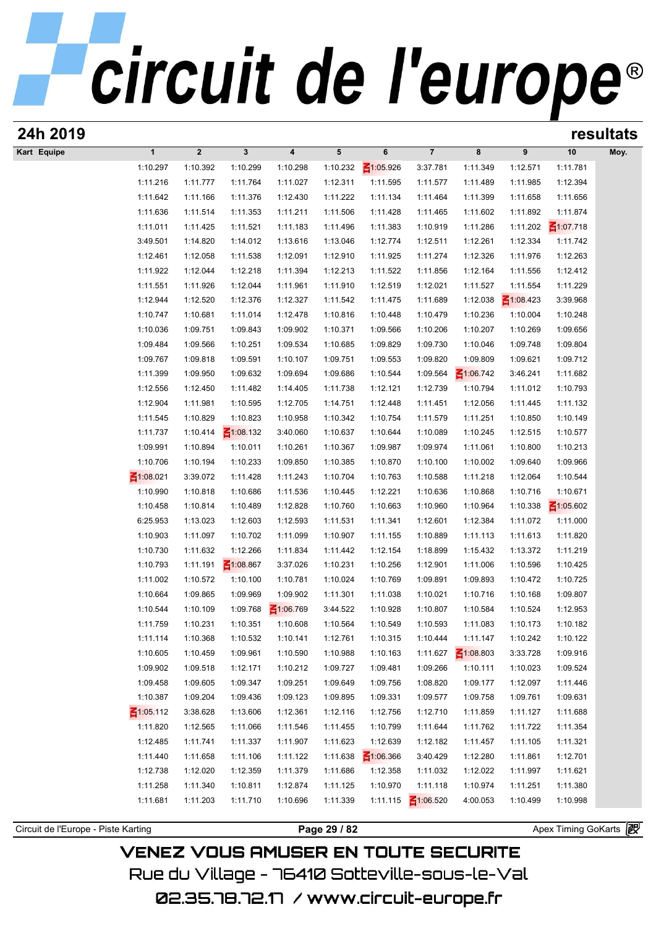| 24h 2019                            |                      |                      |                      |                         |                      |                      |                      |                      |                      |                      | resultats |
|-------------------------------------|----------------------|----------------------|----------------------|-------------------------|----------------------|----------------------|----------------------|----------------------|----------------------|----------------------|-----------|
| Kart Equipe                         | $\mathbf{1}$         | $\boldsymbol{2}$     | $\mathbf{3}$         | $\overline{\mathbf{4}}$ | 5                    | 6                    | $\overline{7}$       | 8                    | 9                    | 10                   | Moy.      |
|                                     | 1:10.297             | 1:10.392             | 1:10.299             | 1:10.298                | 1:10.232             | ₹1:05.926            | 3:37.781             | 1:11.349             | 1:12.571             | 1:11.781             |           |
|                                     | 1:11.216             | 1:11.777             | 1:11.764             | 1:11.027                | 1:12.311             | 1:11.595             | 1:11.577             | 1:11.489             | 1:11.985             | 1:12.394             |           |
|                                     | 1:11.642             | 1:11.166             | 1:11.376             | 1:12.430                | 1:11.222             | 1:11.134             | 1:11.464             | 1:11.399             | 1:11.658             | 1:11.656             |           |
|                                     | 1:11.636             | 1:11.514             | 1:11.353             | 1:11.211                | 1:11.506             | 1:11.428             | 1:11.465             | 1:11.602             | 1:11.892             | 1:11.874             |           |
|                                     | 1:11.011             | 1:11.425             | 1:11.521             | 1:11.183                | 1:11.496             | 1:11.383             | 1:10.919             | 1:11.286             | 1:11.202             | $\leq 1:07.718$      |           |
|                                     | 3:49.501             | 1:14.820             | 1:14.012             | 1:13.616                | 1:13.046             | 1:12.774             | 1:12.511             | 1:12.261             | 1:12.334             | 1:11.742             |           |
|                                     | 1:12.461             | 1:12.058             | 1:11.538             | 1:12.091                | 1:12.910             | 1:11.925             | 1:11.274             | 1:12.326             | 1:11.976             | 1:12.263             |           |
|                                     | 1:11.922             | 1:12.044             | 1:12.218             | 1:11.394                | 1:12.213             | 1:11.522             | 1:11.856             | 1:12.164             | 1:11.556             | 1:12.412             |           |
|                                     | 1:11.551             | 1:11.926             | 1:12.044             | 1:11.961                | 1:11.910             | 1:12.519             | 1:12.021             | 1:11.527             | 1:11.554             | 1:11.229             |           |
|                                     | 1:12.944             | 1:12.520             | 1:12.376             | 1:12.327                | 1:11.542             | 1:11.475             | 1:11.689             | 1:12.038             | $\leq 1:08.423$      | 3:39.968             |           |
|                                     | 1:10.747<br>1:10.036 | 1:10.681<br>1:09.751 | 1:11.014<br>1:09.843 | 1:12.478<br>1:09.902    | 1:10.816             | 1:10.448             | 1:10.479             | 1:10.236<br>1:10.207 | 1:10.004<br>1:10.269 | 1:10.248<br>1:09.656 |           |
|                                     | 1:09.484             | 1:09.566             | 1:10.251             | 1:09.534                | 1:10.371<br>1:10.685 | 1:09.566<br>1:09.829 | 1:10.206<br>1:09.730 | 1:10.046             | 1:09.748             | 1:09.804             |           |
|                                     | 1:09.767             | 1:09.818             | 1:09.591             | 1:10.107                | 1:09.751             | 1:09.553             | 1:09.820             | 1:09.809             | 1:09.621             | 1:09.712             |           |
|                                     | 1:11.399             | 1:09.950             | 1:09.632             | 1:09.694                | 1:09.686             | 1:10.544             | 1:09.564             | $\leq 1:06.742$      | 3:46.241             | 1:11.682             |           |
|                                     | 1:12.556             | 1:12.450             | 1:11.482             | 1:14.405                | 1:11.738             | 1:12.121             | 1:12.739             | 1:10.794             | 1:11.012             | 1:10.793             |           |
|                                     | 1:12.904             | 1:11.981             | 1:10.595             | 1:12.705                | 1:14.751             | 1:12.448             | 1:11.451             | 1:12.056             | 1:11.445             | 1:11.132             |           |
|                                     | 1:11.545             | 1:10.829             | 1:10.823             | 1:10.958                | 1:10.342             | 1:10.754             | 1:11.579             | 1:11.251             | 1:10.850             | 1:10.149             |           |
|                                     | 1:11.737             | 1:10.414             | $\leq 1:08.132$      | 3:40.060                | 1:10.637             | 1:10.644             | 1:10.089             | 1:10.245             | 1:12.515             | 1:10.577             |           |
|                                     | 1:09.991             | 1:10.894             | 1:10.011             | 1:10.261                | 1:10.367             | 1:09.987             | 1:09.974             | 1:11.061             | 1:10.800             | 1:10.213             |           |
|                                     | 1:10.706             | 1:10.194             | 1:10.233             | 1:09.850                | 1:10.385             | 1:10.870             | 1:10.100             | 1:10.002             | 1:09.640             | 1:09.966             |           |
|                                     | $\leq 1:08.021$      | 3:39.072             | 1:11.428             | 1:11.243                | 1:10.704             | 1:10.763             | 1:10.588             | 1:11.218             | 1:12.064             | 1:10.544             |           |
|                                     | 1:10.990             | 1:10.818             | 1:10.686             | 1:11.536                | 1:10.445             | 1:12.221             | 1:10.636             | 1:10.868             | 1:10.716             | 1:10.671             |           |
|                                     | 1:10.458             | 1:10.814             | 1:10.489             | 1:12.828                | 1:10.760             | 1:10.663             | 1:10.960             | 1:10.964             | 1:10.338             | $\leq 1:05.602$      |           |
|                                     | 6:25.953             | 1:13.023             | 1:12.603             | 1:12.593                | 1:11.531             | 1:11.341             | 1:12.601             | 1:12.384             | 1:11.072             | 1:11.000             |           |
|                                     | 1:10.903             | 1:11.097             | 1:10.702             | 1:11.099                | 1:10.907             | 1:11.155             | 1:10.889             | 1:11.113             | 1:11.613             | 1:11.820             |           |
|                                     | 1:10.730             | 1:11.632             | 1:12.266             | 1:11.834                | 1:11.442             | 1:12.154             | 1:18.899             | 1:15.432             | 1:13.372             | 1:11.219             |           |
|                                     | 1:10.793             | 1:11.191             | $\leq 1:08.867$      | 3:37.026                | 1:10.231             | 1:10.256             | 1:12.901             | 1:11.006             | 1:10.596             | 1:10.425             |           |
|                                     | 1:11.002             | 1:10.572             | 1:10.100             | 1:10.781                | 1:10.024             | 1:10.769             | 1:09.891             | 1:09.893             | 1:10.472             | 1:10.725             |           |
|                                     | 1:10.664             | 1:09.865             | 1:09.969             | 1:09.902                | 1:11.301             | 1:11.038             | 1:10.021             | 1:10.716             | 1:10.168             | 1:09.807             |           |
|                                     | 1:10.544             | 1:10.109             | 1:09.768             | $\leq 1:06.769$         | 3:44.522             | 1:10.928             | 1:10.807             | 1:10.584             | 1:10.524             | 1:12.953             |           |
|                                     | 1:11.759             | 1:10.231             | 1:10.351             | 1:10.608                | 1:10.564             | 1:10.549             | 1:10.593             | 1:11.083             | 1:10.173             | 1:10.182             |           |
|                                     | 1:11.114             | 1:10.368             | 1:10.532             | 1:10.141                | 1:12.761             | 1:10.315             | 1:10.444             | 1:11.147             | 1:10.242             | 1:10.122             |           |
|                                     | 1:10.605             | 1:10.459             | 1:09.961             | 1:10.590                | 1:10.988             | 1:10.163             | 1:11.627             | $\leq 1:08.803$      | 3:33.728             | 1:09.916             |           |
|                                     | 1:09.902<br>1:09.458 | 1:09.518<br>1:09.605 | 1:12.171<br>1:09.347 | 1:10.212<br>1:09.251    | 1:09.727<br>1:09.649 | 1:09.481<br>1:09.756 | 1:09.266<br>1:08.820 | 1:10.111<br>1:09.177 | 1:10.023<br>1:12.097 | 1:09.524<br>1:11.446 |           |
|                                     | 1:10.387             | 1:09.204             | 1:09.436             | 1:09.123                | 1:09.895             | 1:09.331             | 1:09.577             | 1:09.758             | 1:09.761             | 1:09.631             |           |
|                                     | $\leq 1:05.112$      | 3:38.628             | 1:13.606             | 1:12.361                | 1:12.116             | 1:12.756             | 1:12.710             | 1:11.859             | 1:11.127             | 1:11.688             |           |
|                                     | 1:11.820             | 1:12.565             | 1:11.066             | 1:11.546                | 1:11.455             | 1:10.799             | 1:11.644             | 1:11.762             | 1:11.722             | 1:11.354             |           |
|                                     | 1:12.485             | 1:11.741             | 1:11.337             | 1:11.907                | 1:11.623             | 1:12.639             | 1:12.182             | 1:11.457             | 1:11.105             | 1:11.321             |           |
|                                     | 1:11.440             | 1:11.658             | 1:11.106             | 1:11.122                | 1:11.638             | $\leq 1:06.366$      | 3:40.429             | 1:12.280             | 1:11.861             | 1:12.701             |           |
|                                     | 1:12.738             | 1:12.020             | 1:12.359             | 1:11.379                | 1:11.686             | 1:12.358             | 1:11.032             | 1:12.022             | 1:11.997             | 1:11.621             |           |
|                                     | 1:11.258             | 1:11.340             | 1:10.811             | 1:12.874                | 1:11.125             | 1:10.970             | 1:11.118             | 1:10.974             | 1:11.251             | 1:11.380             |           |
|                                     | 1:11.681             | 1:11.203             | 1:11.710             | 1:10.696                | 1:11.339             | 1:11.115             | $\leq 1:06.520$      | 4:00.053             | 1:10.499             | 1:10.998             |           |
|                                     |                      |                      |                      |                         |                      |                      |                      |                      |                      |                      |           |
| Circuit de l'Europe - Piste Karting |                      |                      |                      |                         | Page 29 / 82         |                      |                      |                      |                      | Apex Timing GoKarts  |           |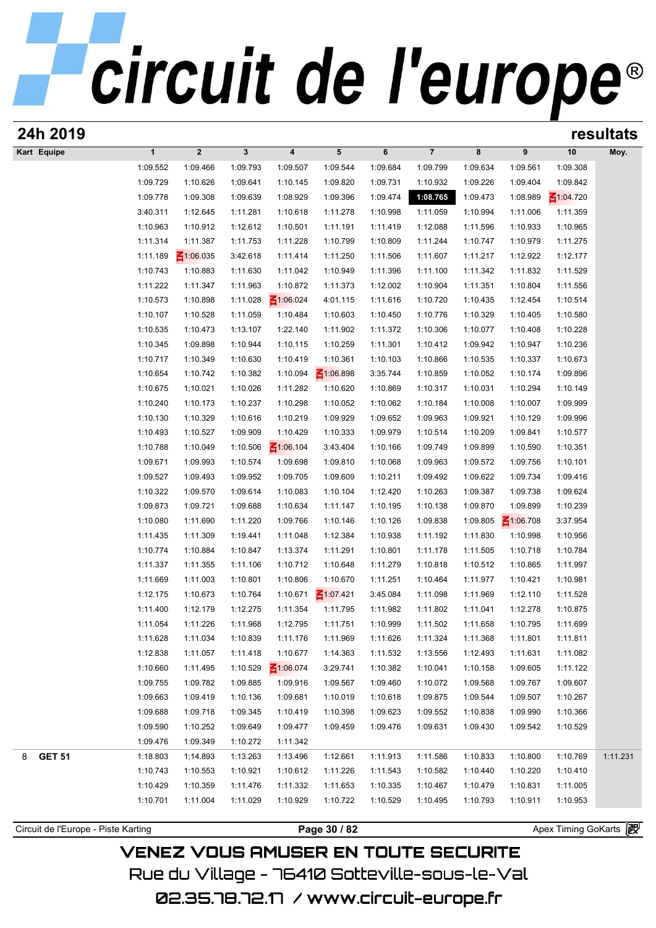### circuit de l'europe<sup>®</sup>

| 24h 2019           |                      |                      |                      |                      |                 |          |                | resultats |                 |                 |          |  |
|--------------------|----------------------|----------------------|----------------------|----------------------|-----------------|----------|----------------|-----------|-----------------|-----------------|----------|--|
| Kart Equipe        | $\mathbf{1}$         | $\mathbf{2}$         | $\mathbf{3}$         | 4                    | 5               | 6        | $\overline{7}$ | 8         | 9               | 10              | Moy.     |  |
|                    | 1:09.552             | 1:09.466             | 1:09.793             | 1:09.507             | 1:09.544        | 1:09.684 | 1:09.799       | 1:09.634  | 1:09.561        | 1:09.308        |          |  |
|                    | 1:09.729             | 1:10.626             | 1:09.641             | 1:10.145             | 1:09.820        | 1:09.731 | 1:10.932       | 1:09.226  | 1:09.404        | 1:09.842        |          |  |
|                    | 1:09.778             | 1:09.308             | 1:09.639             | 1:08.929             | 1:09.396        | 1:09.474 | 1:08.765       | 1:09.473  | 1:08.989        | $\leq 1:04.720$ |          |  |
|                    | 3:40.311             | 1:12.645             | 1:11.281             | 1:10.618             | 1:11.278        | 1:10.998 | 1:11.059       | 1:10.994  | 1:11.006        | 1:11.359        |          |  |
|                    | 1:10.963             | 1:10.912             | 1:12.612             | 1:10.501             | 1:11.191        | 1:11.419 | 1:12.088       | 1:11.596  | 1:10.933        | 1:10.965        |          |  |
|                    | 1:11.314             | 1:11.387             | 1:11.753             | 1:11.228             | 1:10.799        | 1:10.809 | 1:11.244       | 1:10.747  | 1:10.979        | 1:11.275        |          |  |
|                    | 1:11.189             | $\leq 1:06.035$      | 3:42.618             | 1:11.414             | 1:11.250        | 1:11.506 | 1:11.607       | 1:11.217  | 1:12.922        | 1:12.177        |          |  |
|                    | 1:10.743             | 1:10.883             | 1:11.630             | 1:11.042             | 1:10.949        | 1:11.396 | 1:11.100       | 1:11.342  | 1:11.832        | 1:11.529        |          |  |
|                    | 1:11.222             | 1:11.347             | 1:11.963             | 1:10.872             | 1:11.373        | 1:12.002 | 1:10.904       | 1:11.351  | 1:10.804        | 1:11.556        |          |  |
|                    | 1:10.573             | 1:10.898             | 1:11.028             | $\leq 1:06.024$      | 4:01.115        | 1:11.616 | 1:10.720       | 1:10.435  | 1:12.454        | 1:10.514        |          |  |
|                    | 1:10.107             | 1:10.528             | 1:11.059             | 1:10.484             | 1:10.603        | 1:10.450 | 1:10.776       | 1:10.329  | 1:10.405        | 1:10.580        |          |  |
|                    | 1:10.535             | 1:10.473             | 1:13.107             | 1:22.140             | 1:11.902        | 1:11.372 | 1:10.306       | 1:10.077  | 1:10.408        | 1:10.228        |          |  |
|                    | 1:10.345             | 1:09.898             | 1:10.944             | 1:10.115             | 1:10.259        | 1:11.301 | 1:10.412       | 1:09.942  | 1:10.947        | 1:10.236        |          |  |
|                    | 1:10.717             | 1:10.349             | 1:10.630             | 1:10.419             | 1:10.361        | 1:10.103 | 1:10.866       | 1:10.535  | 1:10.337        | 1:10.673        |          |  |
|                    | 1:10.654             | 1:10.742             | 1:10.382             | 1:10.094             | $-1:06.898$     | 3:35.744 | 1:10.859       | 1:10.052  | 1:10.174        | 1:09.896        |          |  |
|                    | 1:10.675             | 1:10.021             | 1:10.026             | 1:11.282             | 1:10.620        | 1:10.869 | 1:10.317       | 1:10.031  | 1:10.294        | 1:10.149        |          |  |
|                    | 1:10.240             | 1:10.173             | 1:10.237             | 1:10.298             | 1:10.052        | 1:10.062 | 1:10.184       | 1:10.008  | 1:10.007        | 1:09.999        |          |  |
|                    | 1:10.130             | 1:10.329             | 1:10.616             | 1:10.219             | 1:09.929        | 1:09.652 | 1:09.963       | 1:09.921  | 1:10.129        | 1:09.996        |          |  |
|                    | 1:10.493             | 1:10.527             | 1:09.909             | 1:10.429             | 1:10.333        | 1:09.979 | 1:10.514       | 1:10.209  | 1:09.841        | 1:10.577        |          |  |
|                    | 1:10.788             | 1:10.049             | 1:10.506             | $\leq 1:06.104$      | 3:43.404        | 1:10.166 | 1:09.749       | 1:09.899  | 1:10.590        | 1:10.351        |          |  |
|                    | 1:09.671             | 1:09.993             | 1:10.574             | 1:09.698             | 1:09.810        | 1:10.068 | 1:09.963       | 1:09.572  | 1:09.756        | 1:10.101        |          |  |
|                    | 1:09.527             | 1:09.493             | 1:09.952             | 1:09.705             | 1:09.609        | 1:10.211 | 1:09.492       | 1:09.622  | 1:09.734        | 1:09.416        |          |  |
|                    | 1:10.322             | 1:09.570             | 1:09.614             | 1:10.083             | 1:10.104        | 1:12.420 | 1:10.263       | 1:09.387  | 1:09.738        | 1:09.624        |          |  |
|                    | 1:09.873             | 1:09.721             | 1:09.688             | 1:10.634             | 1:11.147        | 1:10.195 | 1:10.138       | 1:09.870  | 1:09.899        | 1:10.239        |          |  |
|                    | 1:10.080             | 1:11.690             | 1:11.220             | 1:09.766             | 1:10.146        | 1:10.126 | 1:09.838       | 1:09.805  | $\leq 1:06.708$ | 3:37.954        |          |  |
|                    | 1:11.435             | 1:11.309             | 1:19.441             | 1:11.048             | 1:12.384        | 1:10.938 | 1:11.192       | 1:11.830  | 1:10.998        | 1:10.956        |          |  |
|                    | 1:10.774             | 1:10.884             | 1:10.847             | 1:13.374             | 1:11.291        | 1:10.801 | 1:11.178       | 1:11.505  | 1:10.718        | 1:10.784        |          |  |
|                    | 1:11.337             | 1:11.355             | 1:11.106             | 1:10.712             | 1:10.648        | 1:11.279 | 1:10.818       | 1:10.512  | 1:10.865        | 1:11.997        |          |  |
|                    | 1:11.669             | 1:11.003             | 1:10.801             | 1:10.806             | 1:10.670        | 1:11.251 | 1:10.464       | 1:11.977  | 1:10.421        | 1:10.981        |          |  |
|                    | 1:12.175             | 1:10.673             | 1:10.764             | 1:10.671             | $\leq 1:07.421$ | 3:45.084 | 1:11.098       | 1:11.969  | 1:12.110        | 1:11.528        |          |  |
|                    | 1:11.400             | 1:12.179             | 1:12.275             | 1:11.354             | 1:11.795        | 1:11.982 | 1:11.802       | 1:11.041  | 1:12.278        | 1:10.875        |          |  |
|                    | 1:11.054             | 1:11.226             | 1:11.968             | 1:12.795             | 1:11.751        | 1:10.999 | 1:11.502       | 1:11.658  | 1:10.795        | 1:11.699        |          |  |
|                    | 1:11.628             | 1:11.034             | 1:10.839             | 1:11.176             | 1:11.969        | 1:11.626 | 1:11.324       | 1:11.368  | 1:11.801        | 1:11.811        |          |  |
|                    | 1:12.838             | 1:11.057             | 1:11.418             | 1:10.677             | 1:14.363        | 1:11.532 | 1:13.556       | 1:12.493  | 1:11.631        | 1:11.082        |          |  |
|                    | 1:10.660             | 1:11.495             | 1:10.529             | $\leq 1:06.074$      | 3:29.741        | 1:10.382 | 1:10.041       | 1:10.158  | 1:09.605        | 1:11.122        |          |  |
|                    | 1:09.755             | 1:09.782             | 1:09.885             | 1:09.916             | 1:09.567        | 1:09.460 | 1:10.072       | 1:09.568  | 1:09.767        | 1:09.607        |          |  |
|                    | 1:09.663             | 1:09.419             | 1:10.136             | 1:09.681             | 1:10.019        | 1:10.618 | 1:09.875       | 1:09.544  | 1:09.507        | 1:10.267        |          |  |
|                    | 1:09.688             | 1:09.718             | 1:09.345             | 1:10.419             | 1:10.398        | 1:09.623 | 1:09.552       | 1:10.838  | 1:09.990        | 1:10.366        |          |  |
|                    | 1:09.590             | 1:10.252             | 1:09.649             | 1:09.477             | 1:09.459        | 1:09.476 | 1:09.631       | 1:09.430  | 1:09.542        | 1:10.529        |          |  |
|                    | 1:09.476             | 1:09.349             | 1:10.272             | 1:11.342             |                 |          |                |           |                 |                 |          |  |
| <b>GET 51</b><br>8 | 1:18.803             | 1:14.893             | 1:13.263             | 1:13.496             | 1:12.661        | 1:11.913 | 1:11.586       | 1:10.833  | 1:10.800        | 1:10.769        | 1:11.231 |  |
|                    | 1:10.743             | 1:10.553             | 1:10.921             | 1:10.612             | 1:11.226        | 1:11.543 | 1:10.582       | 1:10.440  | 1:10.220        | 1:10.410        |          |  |
|                    |                      |                      |                      |                      | 1:11.653        | 1:10.335 | 1:10.467       | 1:10.479  | 1:10.831        | 1:11.005        |          |  |
|                    |                      |                      |                      |                      |                 |          |                |           |                 |                 |          |  |
|                    | 1:10.429<br>1:10.701 | 1:10.359<br>1:11.004 | 1:11.476<br>1:11.029 | 1:11.332<br>1:10.929 | 1:10.722        | 1:10.529 | 1:10.495       | 1:10.793  | 1:10.911        | 1:10.953        |          |  |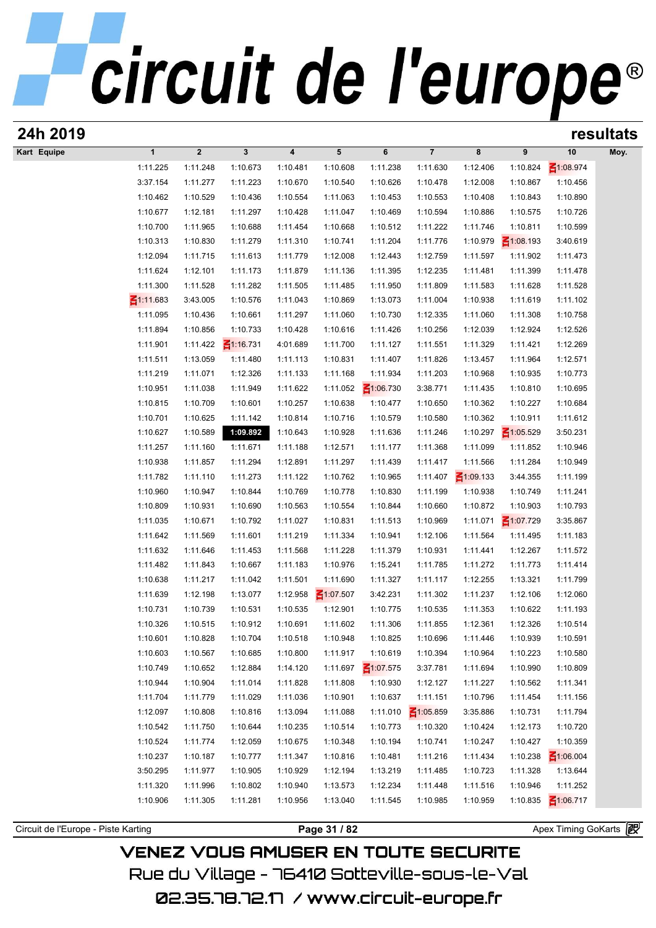| 24h 2019                            |                 |                      |                      |                      |                 |                      |                      |                      |                 |                       | resultats |
|-------------------------------------|-----------------|----------------------|----------------------|----------------------|-----------------|----------------------|----------------------|----------------------|-----------------|-----------------------|-----------|
| Kart Equipe                         | $\mathbf{1}$    | $\mathbf{2}$         | $\mathbf{3}$         | 4                    | 5               | 6                    | $\overline{7}$       | 8                    | 9               | 10                    | Moy.      |
|                                     | 1:11.225        | 1:11.248             | 1:10.673             | 1:10.481             | 1:10.608        | 1:11.238             | 1:11.630             | 1:12.406             | 1:10.824        | $\leq 1:08.974$       |           |
|                                     | 3:37.154        | 1:11.277             | 1:11.223             | 1:10.670             | 1:10.540        | 1:10.626             | 1:10.478             | 1:12.008             | 1:10.867        | 1:10.456              |           |
|                                     | 1:10.462        | 1:10.529             | 1:10.436             | 1:10.554             | 1:11.063        | 1:10.453             | 1:10.553             | 1:10.408             | 1:10.843        | 1:10.890              |           |
|                                     | 1:10.677        | 1:12.181             | 1:11.297             | 1:10.428             | 1:11.047        | 1:10.469             | 1:10.594             | 1:10.886             | 1:10.575        | 1:10.726              |           |
|                                     | 1:10.700        | 1:11.965             | 1:10.688             | 1:11.454             | 1:10.668        | 1:10.512             | 1:11.222             | 1:11.746             | 1:10.811        | 1:10.599              |           |
|                                     | 1:10.313        | 1:10.830             | 1:11.279             | 1:11.310             | 1:10.741        | 1:11.204             | 1:11.776             | 1:10.979             | $\leq 1:08.193$ | 3:40.619              |           |
|                                     | 1:12.094        | 1:11.715             | 1:11.613             | 1:11.779             | 1:12.008        | 1:12.443             | 1:12.759             | 1:11.597             | 1:11.902        | 1:11.473              |           |
|                                     | 1:11.624        | 1:12.101             | 1:11.173             | 1:11.879             | 1:11.136        | 1:11.395             | 1:12.235             | 1:11.481             | 1:11.399        | 1:11.478              |           |
|                                     | 1:11.300        | 1:11.528             | 1:11.282             | 1:11.505             | 1:11.485        | 1:11.950             | 1:11.809             | 1:11.583             | 1:11.628        | 1:11.528              |           |
|                                     | $\leq 1:11.683$ | 3:43.005             | 1:10.576             | 1:11.043             | 1:10.869        | 1:13.073             | 1:11.004             | 1:10.938             | 1:11.619        | 1:11.102              |           |
|                                     | 1:11.095        | 1:10.436             | 1:10.661             | 1:11.297             | 1:11.060        | 1:10.730             | 1:12.335             | 1:11.060             | 1:11.308        | 1:10.758              |           |
|                                     | 1:11.894        | 1:10.856             | 1:10.733             | 1:10.428             | 1:10.616        | 1:11.426             | 1:10.256             | 1:12.039             | 1:12.924        | 1:12.526              |           |
|                                     | 1:11.901        | 1:11.422             | $\leq 1:16.731$      | 4:01.689             | 1:11.700        | 1:11.127             | 1:11.551             | 1:11.329             | 1:11.421        | 1:12.269              |           |
|                                     | 1:11.511        | 1:13.059             | 1:11.480             | 1:11.113             | 1:10.831        | 1:11.407             | 1:11.826             | 1:13.457             | 1:11.964        | 1:12.571              |           |
|                                     | 1:11.219        | 1:11.071             | 1:12.326             | 1:11.133             | 1:11.168        | 1:11.934             | 1:11.203             | 1:10.968             | 1:10.935        | 1:10.773              |           |
|                                     | 1:10.951        | 1:11.038             | 1:11.949             | 1:11.622             | 1:11.052        | $\leq 1:06.730$      | 3:38.771             | 1:11.435             | 1:10.810        | 1:10.695              |           |
|                                     | 1:10.815        | 1:10.709             | 1:10.601             | 1:10.257             | 1:10.638        | 1:10.477             | 1:10.650             | 1:10.362             | 1:10.227        | 1:10.684              |           |
|                                     | 1:10.701        | 1:10.625             | 1:11.142             | 1:10.814             | 1:10.716        | 1:10.579             | 1:10.580             | 1:10.362             | 1:10.911        | 1:11.612              |           |
|                                     | 1:10.627        | 1:10.589             | 1:09.892             | 1:10.643             | 1:10.928        | 1:11.636             | 1:11.246             | 1:10.297             | $\leq 1:05.529$ | 3:50.231              |           |
|                                     | 1:11.257        | 1:11.160             | 1:11.671             | 1:11.188             | 1:12.571        | 1:11.177             | 1:11.368             | 1:11.099             | 1:11.852        | 1:10.946              |           |
|                                     | 1:10.938        | 1:11.857             | 1:11.294             | 1:12.891             | 1:11.297        | 1:11.439             | 1:11.417             | 1:11.566             | 1:11.284        | 1:10.949              |           |
|                                     | 1:11.782        | 1:11.110             | 1:11.273             | 1:11.122             | 1:10.762        | 1:10.965             | 1:11.407             | $\leq 1:09.133$      | 3:44.355        | 1:11.199              |           |
|                                     | 1:10.960        | 1:10.947             | 1:10.844             | 1:10.769             | 1:10.778        | 1:10.830             | 1:11.199             | 1:10.938             | 1:10.749        | 1:11.241              |           |
|                                     | 1:10.809        | 1:10.931             | 1:10.690             | 1:10.563             | 1:10.554        | 1:10.844             | 1:10.660             | 1:10.872             | 1:10.903        | 1:10.793              |           |
|                                     | 1:11.035        | 1:10.671             | 1:10.792             | 1:11.027             | 1:10.831        | 1:11.513             | 1:10.969             | 1:11.071             | $\leq 1:07.729$ | 3:35.867              |           |
|                                     | 1:11.642        | 1:11.569             | 1:11.601             | 1:11.219             | 1:11.334        | 1:10.941             | 1:12.106             | 1:11.564             | 1:11.495        | 1:11.183              |           |
|                                     | 1:11.632        | 1:11.646             | 1:11.453             | 1:11.568             | 1:11.228        | 1:11.379             | 1:10.931             | 1:11.441             | 1:12.267        | 1:11.572              |           |
|                                     | 1:11.482        |                      |                      |                      | 1:10.976        |                      | 1:11.785             |                      | 1:11.773        |                       |           |
|                                     | 1:10.638        | 1:11.843<br>1:11.217 | 1:10.667<br>1:11.042 | 1:11.183<br>1:11.501 | 1:11.690        | 1:15.241<br>1:11.327 | 1:11.117             | 1:11.272<br>1:12.255 | 1:13.321        | 1:11.414<br>1:11.799  |           |
|                                     | 1:11.639        | 1:12.198             |                      |                      | $\leq 1:07.507$ | 3:42.231             |                      |                      | 1:12.106        |                       |           |
|                                     | 1:10.731        | 1:10.739             | 1:13.077<br>1:10.531 | 1:12.958<br>1:10.535 | 1:12.901        | 1:10.775             | 1:11.302<br>1:10.535 | 1:11.237<br>1:11.353 | 1:10.622        | 1:12.060<br>1:11.193  |           |
|                                     |                 |                      |                      |                      |                 |                      |                      |                      |                 |                       |           |
|                                     | 1:10.326        | 1:10.515             | 1:10.912             | 1:10.691             | 1:11.602        | 1:11.306             | 1:11.855             | 1:12.361             | 1:12.326        | 1:10.514              |           |
|                                     | 1:10.601        | 1:10.828             | 1:10.704             | 1:10.518             | 1:10.948        | 1:10.825             | 1:10.696             | 1:11.446             | 1:10.939        | 1:10.591              |           |
|                                     | 1:10.603        | 1:10.567             | 1:10.685             | 1:10.800             | 1:11.917        | 1:10.619             | 1:10.394             | 1:10.964             | 1:10.223        | 1:10.580              |           |
|                                     | 1:10.749        | 1:10.652             | 1:12.884             | 1:14.120             | 1:11.697        | $\leq 1:07.575$      | 3:37.781             | 1:11.694             | 1:10.990        | 1:10.809              |           |
|                                     | 1:10.944        | 1:10.904             | 1:11.014             | 1:11.828             | 1:11.808        | 1:10.930             | 1:12.127             | 1:11.227             | 1:10.562        | 1:11.341              |           |
|                                     | 1:11.704        | 1:11.779             | 1:11.029             | 1:11.036             | 1:10.901        | 1:10.637             | 1:11.151             | 1:10.796             | 1:11.454        | 1:11.156              |           |
|                                     | 1:12.097        | 1:10.808             | 1:10.816             | 1:13.094             | 1:11.088        | 1:11.010             | $\leq 1:05.859$      | 3:35.886             | 1:10.731        | 1:11.794              |           |
|                                     | 1:10.542        | 1:11.750             | 1:10.644             | 1:10.235             | 1:10.514        | 1:10.773             | 1:10.320             | 1:10.424             | 1:12.173        | 1:10.720              |           |
|                                     | 1:10.524        | 1:11.774             | 1:12.059             | 1:10.675             | 1:10.348        | 1:10.194             | 1:10.741             | 1:10.247             | 1:10.427        | 1:10.359              |           |
|                                     | 1:10.237        | 1:10.187             | 1:10.777             | 1:11.347             | 1:10.816        | 1:10.481             | 1:11.216             | 1:11.434             | 1:10.238        | $\leq 1:06.004$       |           |
|                                     | 3:50.295        | 1:11.977             | 1:10.905             | 1:10.929             | 1:12.194        | 1:13.219             | 1:11.485             | 1:10.723             | 1:11.328        | 1:13.644              |           |
|                                     | 1:11.320        | 1:11.996             | 1:10.802             | 1:10.940             | 1:13.573        | 1:12.234             | 1:11.448             | 1:11.516             | 1:10.946        | 1:11.252              |           |
|                                     | 1:10.906        | 1:11.305             | 1:11.281             | 1:10.956             | 1:13.040        | 1:11.545             | 1:10.985             | 1:10.959             | 1:10.835        | $\leq 1:06.717$       |           |
|                                     |                 |                      |                      |                      |                 |                      |                      |                      |                 |                       |           |
| Circuit de l'Europe - Piste Karting |                 |                      |                      |                      | Page 31 / 82    |                      |                      |                      |                 | Apex Timing GoKarts 图 |           |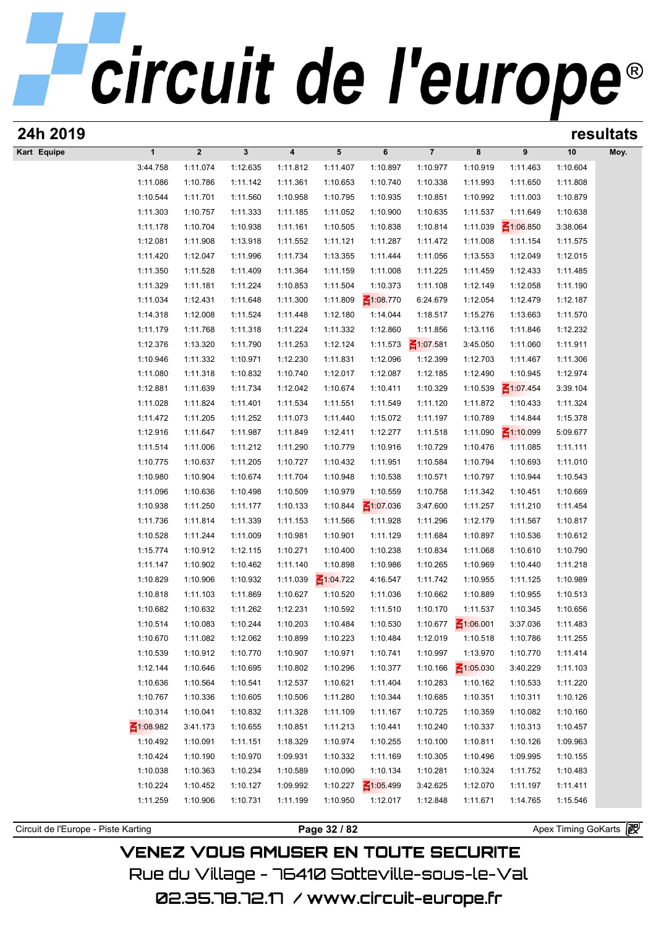| 24h 2019                            |                 |                         |          |                         |                 |                 |                 |                 |                 |                     | resultats |
|-------------------------------------|-----------------|-------------------------|----------|-------------------------|-----------------|-----------------|-----------------|-----------------|-----------------|---------------------|-----------|
| Kart Equipe                         | $\mathbf{1}$    | $\overline{\mathbf{2}}$ | 3        | $\overline{\mathbf{4}}$ | 5               | 6               | $\overline{7}$  | 8               | 9               | 10                  | Moy.      |
|                                     | 3:44.758        | 1:11.074                | 1:12.635 | 1:11.812                | 1:11.407        | 1:10.897        | 1:10.977        | 1:10.919        | 1:11.463        | 1:10.604            |           |
|                                     | 1:11.086        | 1:10.786                | 1:11.142 | 1:11.361                | 1:10.653        | 1:10.740        | 1:10.338        | 1:11.993        | 1:11.650        | 1:11.808            |           |
|                                     | 1:10.544        | 1:11.701                | 1:11.560 | 1:10.958                | 1:10.795        | 1:10.935        | 1:10.851        | 1:10.992        | 1:11.003        | 1:10.879            |           |
|                                     | 1:11.303        | 1:10.757                | 1:11.333 | 1:11.185                | 1:11.052        | 1:10.900        | 1:10.635        | 1:11.537        | 1:11.649        | 1:10.638            |           |
|                                     | 1:11.178        | 1:10.704                | 1:10.938 | 1:11.161                | 1:10.505        | 1:10.838        | 1:10.814        | 1:11.039        | $\leq 1:06.850$ | 3:38.064            |           |
|                                     | 1:12.081        | 1:11.908                | 1:13.918 | 1:11.552                | 1:11.121        | 1:11.287        | 1:11.472        | 1:11.008        | 1:11.154        | 1:11.575            |           |
|                                     | 1:11.420        | 1:12.047                | 1:11.996 | 1:11.734                | 1:13.355        | 1:11.444        | 1:11.056        | 1:13.553        | 1:12.049        | 1:12.015            |           |
|                                     | 1:11.350        | 1:11.528                | 1:11.409 | 1:11.364                | 1:11.159        | 1:11.008        | 1:11.225        | 1:11.459        | 1:12.433        | 1:11.485            |           |
|                                     | 1:11.329        | 1:11.181                | 1:11.224 | 1:10.853                | 1:11.504        | 1:10.373        | 1:11.108        | 1:12.149        | 1:12.058        | 1:11.190            |           |
|                                     | 1:11.034        | 1:12.431                | 1:11.648 | 1:11.300                | 1:11.809        | $\leq 1:08.770$ | 6:24.679        | 1:12.054        | 1:12.479        | 1:12.187            |           |
|                                     | 1:14.318        | 1:12.008                | 1:11.524 | 1:11.448                | 1:12.180        | 1:14.044        | 1:18.517        | 1:15.276        | 1:13.663        | 1:11.570            |           |
|                                     | 1:11.179        | 1:11.768                | 1:11.318 | 1:11.224                | 1:11.332        | 1:12.860        | 1:11.856        | 1:13.116        | 1:11.846        | 1:12.232            |           |
|                                     | 1:12.376        | 1:13.320                | 1:11.790 | 1:11.253                | 1:12.124        | 1:11.573        | $\leq 1:07.581$ | 3:45.050        | 1:11.060        | 1:11.911            |           |
|                                     | 1:10.946        | 1:11.332                | 1:10.971 | 1:12.230                | 1:11.831        | 1:12.096        | 1:12.399        | 1:12.703        | 1:11.467        | 1:11.306            |           |
|                                     | 1:11.080        | 1:11.318                | 1:10.832 | 1:10.740                | 1:12.017        | 1:12.087        | 1:12.185        | 1:12.490        | 1:10.945        | 1:12.974            |           |
|                                     | 1:12.881        | 1:11.639                | 1:11.734 | 1:12.042                | 1:10.674        | 1:10.411        | 1:10.329        | 1:10.539        | $\leq 1:07.454$ | 3:39.104            |           |
|                                     | 1:11.028        | 1:11.824                | 1:11.401 | 1:11.534                | 1:11.551        | 1:11.549        | 1:11.120        | 1:11.872        | 1:10.433        | 1:11.324            |           |
|                                     | 1:11.472        | 1:11.205                | 1:11.252 | 1:11.073                | 1:11.440        | 1:15.072        | 1:11.197        | 1:10.789        | 1:14.844        | 1:15.378            |           |
|                                     | 1:12.916        | 1:11.647                | 1:11.987 | 1:11.849                | 1:12.411        | 1:12.277        | 1:11.518        | 1:11.090        | $\leq 1:10.099$ | 5:09.677            |           |
|                                     | 1:11.514        | 1:11.006                | 1:11.212 | 1:11.290                | 1:10.779        | 1:10.916        | 1:10.729        | 1:10.476        | 1:11.085        | 1:11.111            |           |
|                                     | 1:10.775        | 1:10.637                | 1:11.205 | 1:10.727                | 1:10.432        | 1:11.951        | 1:10.584        | 1:10.794        | 1:10.693        | 1:11.010            |           |
|                                     | 1:10.980        | 1:10.904                | 1:10.674 | 1:11.704                | 1:10.948        | 1:10.538        | 1:10.571        | 1:10.797        | 1:10.944        | 1:10.543            |           |
|                                     | 1:11.096        | 1:10.636                | 1:10.498 | 1:10.509                | 1:10.979        | 1:10.559        | 1:10.758        | 1:11.342        | 1:10.451        | 1:10.669            |           |
|                                     | 1:10.938        | 1:11.250                | 1:11.177 | 1:10.133                | 1:10.844        | $\leq 1:07.036$ | 3:47.600        | 1:11.257        | 1:11.210        | 1:11.454            |           |
|                                     | 1:11.736        | 1:11.814                | 1:11.339 | 1:11.153                | 1:11.566        | 1:11.928        | 1:11.296        | 1:12.179        | 1:11.567        | 1:10.817            |           |
|                                     | 1:10.528        | 1:11.244                | 1:11.009 | 1:10.981                | 1:10.901        | 1:11.129        | 1:11.684        | 1:10.897        | 1:10.536        | 1:10.612            |           |
|                                     | 1:15.774        | 1:10.912                | 1:12.115 | 1:10.271                | 1:10.400        | 1:10.238        | 1:10.834        | 1:11.068        | 1:10.610        | 1:10.790            |           |
|                                     | 1:11.147        | 1:10.902                | 1:10.462 | 1:11.140                | 1:10.898        | 1:10.986        | 1:10.265        | 1:10.969        | 1:10.440        | 1:11.218            |           |
|                                     | 1:10.829        | 1:10.906                | 1:10.932 | 1:11.039                | $\leq 1:04.722$ | 4:16.547        | 1:11.742        | 1:10.955        | 1:11.125        | 1:10.989            |           |
|                                     | 1:10.818        | 1:11.103                | 1:11.869 | 1:10.627                | 1:10.520        | 1:11.036        | 1:10.662        | 1:10.889        | 1:10.955        | 1:10.513            |           |
|                                     | 1:10.682        | 1:10.632                | 1:11.262 | 1:12.231                | 1:10.592        | 1:11.510        | 1:10.170        | 1:11.537        | 1:10.345        | 1:10.656            |           |
|                                     | 1:10.514        | 1:10.083                | 1:10.244 | 1:10.203                | 1:10.484        | 1:10.530        | 1:10.677        | $\leq 1:06.001$ | 3:37.036        | 1:11.483            |           |
|                                     | 1:10.670        | 1:11.082                | 1:12.062 | 1:10.899                | 1:10.223        | 1:10.484        | 1:12.019        | 1:10.518        | 1:10.786        | 1:11.255            |           |
|                                     | 1:10.539        | 1:10.912                | 1:10.770 | 1:10.907                | 1:10.971        | 1:10.741        | 1:10.997        | 1:13.970        | 1:10.770        | 1:11.414            |           |
|                                     | 1:12.144        | 1:10.646                | 1:10.695 | 1:10.802                | 1:10.296        | 1:10.377        | 1:10.166        | $\leq 1:05.030$ | 3:40.229        | 1:11.103            |           |
|                                     | 1:10.636        | 1:10.564                | 1:10.541 | 1:12.537                | 1:10.621        | 1:11.404        | 1:10.283        | 1:10.162        | 1:10.533        | 1:11.220            |           |
|                                     | 1:10.767        | 1:10.336                | 1:10.605 | 1:10.506                | 1:11.280        | 1:10.344        | 1:10.685        | 1:10.351        | 1:10.311        | 1:10.126            |           |
|                                     | 1:10.314        | 1:10.041                | 1:10.832 | 1:11.328                | 1:11.109        | 1:11.167        | 1:10.725        | 1:10.359        | 1:10.082        | 1:10.160            |           |
|                                     | $\leq 1:08.982$ | 3:41.173                | 1:10.655 | 1:10.851                | 1:11.213        | 1:10.441        | 1:10.240        | 1:10.337        | 1:10.313        | 1:10.457            |           |
|                                     | 1:10.492        | 1:10.091                | 1:11.151 | 1:18.329                | 1:10.974        | 1:10.255        | 1:10.100        | 1:10.811        | 1:10.126        | 1:09.963            |           |
|                                     | 1:10.424        | 1:10.190                | 1:10.970 | 1:09.931                | 1:10.332        | 1:11.169        | 1:10.305        | 1:10.496        | 1:09.995        | 1:10.155            |           |
|                                     | 1:10.038        | 1:10.363                | 1:10.234 | 1:10.589                | 1:10.090        | 1:10.134        | 1:10.281        | 1:10.324        | 1:11.752        | 1:10.483            |           |
|                                     | 1:10.224        | 1:10.452                | 1:10.127 | 1:09.992                | 1:10.227        | $\leq 1:05.499$ | 3:42.625        | 1:12.070        | 1:11.197        | 1:11.411            |           |
|                                     | 1:11.259        | 1:10.906                | 1:10.731 | 1:11.199                | 1:10.950        | 1:12.017        | 1:12.848        | 1:11.671        | 1:14.765        | 1:15.546            |           |
|                                     |                 |                         |          |                         |                 |                 |                 |                 |                 |                     |           |
| Circuit de l'Europe - Piste Karting |                 |                         |          |                         | Page 32 / 82    |                 |                 |                 |                 | Apex Timing GoKarts |           |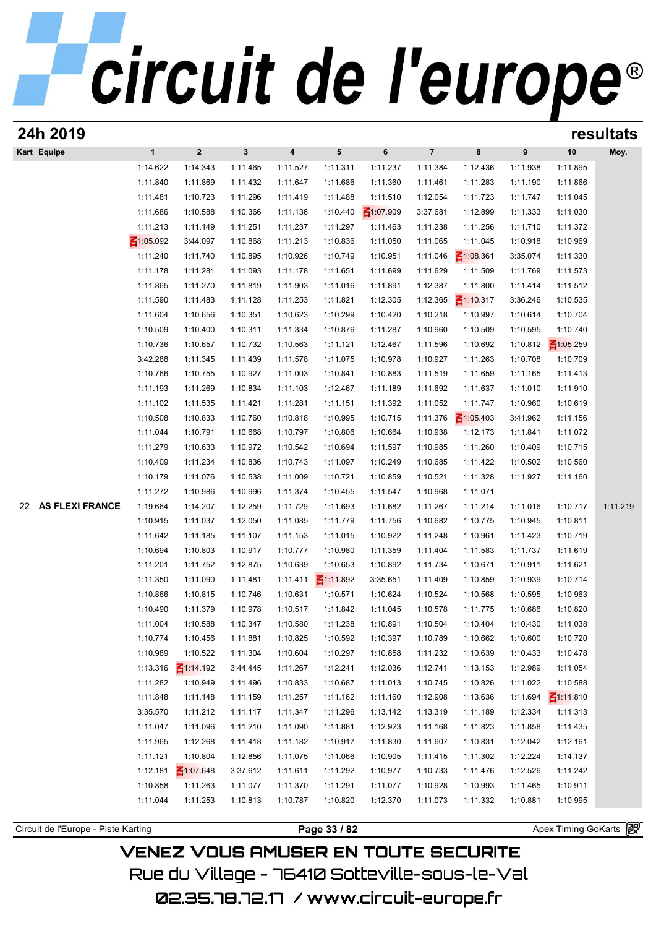| 24h 2019                            |                      |                      |                      |                      |                      |                      |                      |                      |                      |                       | resultats |
|-------------------------------------|----------------------|----------------------|----------------------|----------------------|----------------------|----------------------|----------------------|----------------------|----------------------|-----------------------|-----------|
| Kart Equipe                         | $\mathbf{1}$         | $\mathbf{2}$         | $\mathbf{3}$         | 4                    | 5                    | 6                    | $\overline{7}$       | 8                    | 9                    | 10                    | Moy.      |
|                                     | 1:14.622             | 1:14.343             | 1:11.465             | 1:11.527             | 1:11.311             | 1:11.237             | 1:11.384             | 1:12.436             | 1:11.938             | 1:11.895              |           |
|                                     | 1:11.840             | 1:11.869             | 1:11.432             | 1:11.647             | 1:11.686             | 1:11.360             | 1:11.461             | 1:11.283             | 1:11.190             | 1:11.866              |           |
|                                     | 1:11.481             | 1:10.723             | 1:11.296             | 1:11.419             | 1:11.488             | 1:11.510             | 1:12.054             | 1:11.723             | 1:11.747             | 1:11.045              |           |
|                                     | 1:11.686             | 1:10.588             | 1:10.366             | 1:11.136             | 1:10.440             | $\leq 1:07.909$      | 3:37.681             | 1:12.899             | 1:11.333             | 1:11.030              |           |
|                                     | 1:11.213             | 1:11.149             | 1:11.251             | 1:11.237             | 1:11.297             | 1:11.463             | 1:11.238             | 1:11.256             | 1:11.710             | 1:11.372              |           |
|                                     | $\leq 1:05.092$      | 3:44.097             | 1:10.868             | 1:11.213             | 1:10.836             | 1:11.050             | 1:11.065             | 1:11.045             | 1:10.918             | 1:10.969              |           |
|                                     | 1:11.240             | 1:11.740             | 1:10.895             | 1:10.926             | 1:10.749             | 1:10.951             | 1:11.046             | $\leq 1:08.361$      | 3:35.074             | 1:11.330              |           |
|                                     | 1:11.178             | 1:11.281             | 1:11.093             | 1:11.178             | 1:11.651             | 1:11.699             | 1:11.629             | 1:11.509             | 1:11.769             | 1:11.573              |           |
|                                     | 1:11.865             | 1:11.270             | 1:11.819             | 1:11.903             | 1:11.016             | 1:11.891             | 1:12.387             | 1:11.800             | 1:11.414             | 1:11.512              |           |
|                                     | 1:11.590             | 1:11.483             | 1:11.128             | 1:11.253             | 1:11.821             | 1:12.305             | 1:12.365             | $\leq 1:10.317$      | 3:36.246             | 1:10.535              |           |
|                                     | 1:11.604             | 1:10.656             | 1:10.351             | 1:10.623             | 1:10.299             | 1:10.420             | 1:10.218             | 1:10.997             | 1:10.614             | 1:10.704              |           |
|                                     | 1:10.509             | 1:10.400             | 1:10.311             | 1:11.334             | 1:10.876             | 1:11.287             | 1:10.960             | 1:10.509             | 1:10.595             | 1:10.740              |           |
|                                     | 1:10.736             | 1:10.657             | 1:10.732             | 1:10.563             | 1:11.121             | 1:12.467             | 1:11.596             | 1:10.692             | 1:10.812             | $\leq 1:05.259$       |           |
|                                     | 3:42.288             | 1:11.345             | 1:11.439<br>1:10.927 | 1:11.578             | 1:11.075             | 1:10.978             | 1:10.927<br>1:11.519 | 1:11.263             | 1:10.708<br>1:11.165 | 1:10.709              |           |
|                                     | 1:10.766<br>1:11.193 | 1:10.755<br>1:11.269 | 1:10.834             | 1:11.003<br>1:11.103 | 1:10.841<br>1:12.467 | 1:10.883<br>1:11.189 | 1:11.692             | 1:11.659<br>1:11.637 | 1:11.010             | 1:11.413<br>1:11.910  |           |
|                                     | 1:11.102             | 1:11.535             | 1:11.421             | 1:11.281             | 1:11.151             | 1:11.392             | 1:11.052             | 1:11.747             | 1:10.960             | 1:10.619              |           |
|                                     | 1:10.508             | 1:10.833             | 1:10.760             | 1:10.818             | 1:10.995             | 1:10.715             | 1:11.376             | $\leq 1:05.403$      | 3:41.962             | 1:11.156              |           |
|                                     | 1:11.044             | 1:10.791             | 1:10.668             | 1:10.797             | 1:10.806             | 1:10.664             | 1:10.938             | 1:12.173             | 1:11.841             | 1:11.072              |           |
|                                     | 1:11.279             | 1:10.633             | 1:10.972             | 1:10.542             | 1:10.694             | 1:11.597             | 1:10.985             | 1:11.260             | 1:10.409             | 1:10.715              |           |
|                                     | 1:10.409             | 1:11.234             | 1:10.836             | 1:10.743             | 1:11.097             | 1:10.249             | 1:10.685             | 1:11.422             | 1:10.502             | 1:10.560              |           |
|                                     | 1:10.179             | 1:11.076             | 1:10.538             | 1:11.009             | 1:10.721             | 1:10.859             | 1:10.521             | 1:11.328             | 1:11.927             | 1:11.160              |           |
|                                     | 1:11.272             | 1:10.986             | 1:10.996             | 1:11.374             | 1:10.455             | 1:11.547             | 1:10.968             | 1:11.071             |                      |                       |           |
| <b>AS FLEXI FRANCE</b><br>22        | 1:19.664             | 1:14.207             | 1:12.259             | 1:11.729             | 1:11.693             | 1:11.682             | 1:11.267             | 1:11.214             | 1:11.016             | 1:10.717              | 1:11.219  |
|                                     | 1:10.915             | 1:11.037             | 1:12.050             | 1:11.085             | 1:11.779             | 1:11.756             | 1:10.682             | 1:10.775             | 1:10.945             | 1:10.811              |           |
|                                     | 1:11.642             | 1:11.185             | 1:11.107             | 1:11.153             | 1:11.015             | 1:10.922             | 1:11.248             | 1:10.961             | 1:11.423             | 1:10.719              |           |
|                                     | 1:10.694             | 1:10.803             | 1:10.917             | 1:10.777             | 1:10.980             | 1:11.359             | 1:11.404             | 1:11.583             | 1:11.737             | 1:11.619              |           |
|                                     | 1:11.201             | 1:11.752             | 1:12.875             | 1:10.639             | 1:10.653             | 1:10.892             | 1:11.734             | 1:10.671             | 1:10.911             | 1:11.621              |           |
|                                     | 1:11.350             | 1:11.090             | 1:11.481             | 1:11.411             | $\leq 1:11.892$      | 3:35.651             | 1:11.409             | 1:10.859             | 1:10.939             | 1:10.714              |           |
|                                     | 1:10.866             | 1:10.815             | 1:10.746             | 1:10.631             | 1:10.571             | 1:10.624             | 1:10.524             | 1:10.568             | 1:10.595             | 1:10.963              |           |
|                                     | 1:10.490             | 1:11.379             | 1:10.978             | 1:10.517             | 1:11.842             | 1:11.045             | 1:10.578             | 1:11.775             | 1:10.686             | 1:10.820              |           |
|                                     | 1:11.004             | 1:10.588             | 1:10.347             | 1:10.580             | 1:11.238             | 1:10.891             | 1:10.504             | 1:10.404             | 1:10.430             | 1:11.038              |           |
|                                     | 1:10.774             | 1:10.456             | 1:11.881             | 1:10.825             | 1:10.592             | 1:10.397             | 1:10.789             | 1:10.662             | 1:10.600             | 1:10.720              |           |
|                                     | 1:10.989             | 1:10.522             | 1:11.304             | 1:10.604             | 1:10.297             | 1:10.858             | 1:11.232             | 1:10.639             | 1:10.433             | 1:10.478              |           |
|                                     | 1:13.316             | $\leq 1:14.192$      | 3:44.445             | 1:11.267             | 1:12.241             | 1:12.036             | 1:12.741             | 1:13.153             | 1:12.989             | 1:11.054              |           |
|                                     | 1:11.282             | 1:10.949             | 1:11.496             | 1:10.833             | 1:10.687             | 1:11.013             | 1:10.745             | 1:10.826             | 1:11.022             | 1:10.588              |           |
|                                     | 1:11.848             | 1:11.148             | 1:11.159             | 1:11.257             | 1:11.162             | 1:11.160             | 1:12.908             | 1:13.636             | 1:11.694             | $\leq 1:11.810$       |           |
|                                     | 3:35.570             | 1:11.212             | 1:11.117             | 1:11.347             | 1:11.296             | 1:13.142             | 1:13.319             | 1:11.189             | 1:12.334             | 1:11.313              |           |
|                                     | 1:11.047             | 1:11.096             | 1:11.210             | 1:11.090             | 1:11.881             | 1:12.923             | 1:11.168             | 1:11.823             | 1:11.858             | 1:11.435              |           |
|                                     | 1:11.965             | 1:12.268             | 1:11.418             | 1:11.182             | 1:10.917             | 1:11.830             | 1:11.607             | 1:10.831             | 1:12.042             | 1:12.161              |           |
|                                     | 1:11.121             | 1:10.804             | 1:12.856             | 1:11.075             | 1:11.066             | 1:10.905             | 1:11.415             | 1:11.302             | 1:12.224             | 1:14.137              |           |
|                                     | 1:12.181             | $\leq 1:07.648$      | 3:37.612             | 1:11.611             | 1:11.292             | 1:10.977             | 1:10.733             | 1:11.476             | 1:12.526             | 1:11.242              |           |
|                                     | 1:10.858             | 1:11.263             | 1:11.077             | 1:11.370             | 1:11.291             | 1:11.077             | 1:10.928             | 1:10.993             | 1:11.465             | 1:10.911              |           |
|                                     | 1:11.044             | 1:11.253             | 1:10.813             | 1:10.787             | 1:10.820             | 1:12.370             | 1:11.073             | 1:11.332             | 1:10.881             | 1:10.995              |           |
| Circuit de l'Europe - Piste Karting |                      |                      |                      |                      | Page 33 / 82         |                      |                      |                      |                      | Apex Timing GoKarts 图 |           |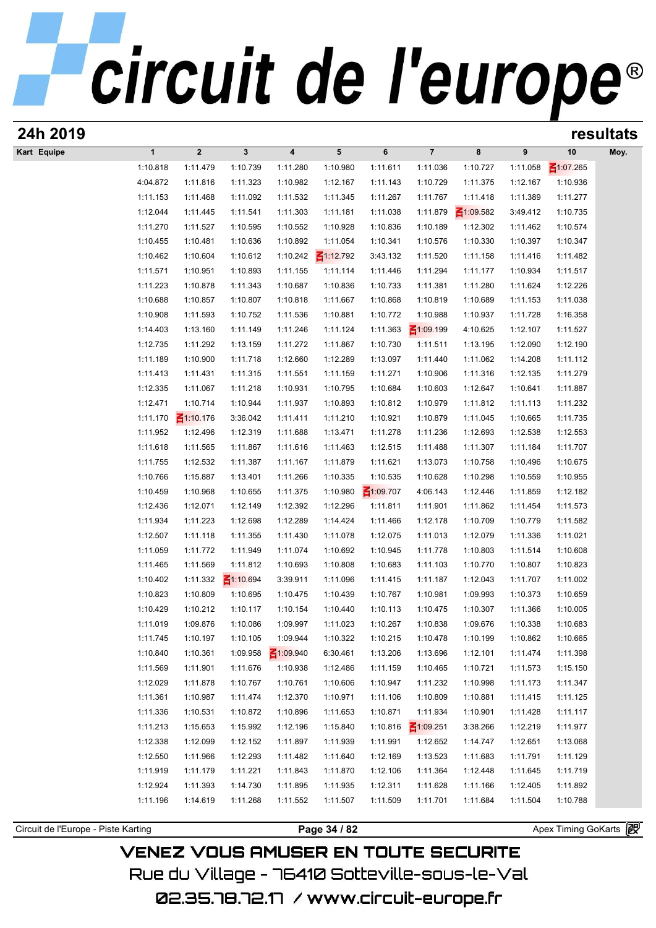| 24h 2019                            |                      |                      |                      |                         |                      |                      |                      |                      |                      |                      | resultats |
|-------------------------------------|----------------------|----------------------|----------------------|-------------------------|----------------------|----------------------|----------------------|----------------------|----------------------|----------------------|-----------|
| Kart Equipe                         | $\mathbf{1}$         | $\boldsymbol{2}$     | $\mathbf{3}$         | $\overline{\mathbf{4}}$ | 5                    | 6                    | $\overline{7}$       | 8                    | 9                    | 10                   | Moy.      |
|                                     | 1:10.818             | 1:11.479             | 1:10.739             | 1:11.280                | 1:10.980             | 1:11.611             | 1:11.036             | 1:10.727             | 1:11.058             | $\leq 1:07.265$      |           |
|                                     | 4:04.872             | 1:11.816             | 1:11.323             | 1:10.982                | 1:12.167             | 1:11.143             | 1:10.729             | 1:11.375             | 1:12.167             | 1:10.936             |           |
|                                     | 1:11.153             | 1:11.468             | 1:11.092             | 1:11.532                | 1:11.345             | 1:11.267             | 1:11.767             | 1:11.418             | 1:11.389             | 1:11.277             |           |
|                                     | 1:12.044             | 1:11.445             | 1:11.541             | 1:11.303                | 1:11.181             | 1:11.038             | 1:11.879             | $\leq 1:09.582$      | 3:49.412             | 1:10.735             |           |
|                                     | 1:11.270             | 1:11.527             | 1:10.595             | 1:10.552                | 1:10.928             | 1:10.836             | 1:10.189             | 1:12.302             | 1:11.462             | 1:10.574             |           |
|                                     | 1:10.455             | 1:10.481             | 1:10.636             | 1:10.892                | 1:11.054             | 1:10.341             | 1:10.576             | 1:10.330             | 1:10.397             | 1:10.347             |           |
|                                     | 1:10.462             | 1:10.604             | 1:10.612             | 1:10.242                | $\leq 1:12.792$      | 3:43.132             | 1:11.520             | 1:11.158             | 1:11.416             | 1:11.482             |           |
|                                     | 1:11.571             | 1:10.951             | 1:10.893             | 1:11.155                | 1:11.114             | 1:11.446             | 1:11.294             | 1:11.177             | 1:10.934             | 1:11.517             |           |
|                                     | 1:11.223             | 1:10.878             | 1:11.343             | 1:10.687                | 1:10.836             | 1:10.733             | 1:11.381             | 1:11.280             | 1:11.624             | 1:12.226             |           |
|                                     | 1:10.688             | 1:10.857             | 1:10.807             | 1:10.818                | 1:11.667             | 1:10.868             | 1:10.819             | 1:10.689             | 1:11.153             | 1:11.038             |           |
|                                     | 1:10.908             | 1:11.593             | 1:10.752             | 1:11.536                | 1:10.881             | 1:10.772             | 1:10.988             | 1:10.937             | 1:11.728             | 1:16.358             |           |
|                                     | 1:14.403             | 1:13.160             | 1:11.149             | 1:11.246                | 1:11.124             | 1:11.363             | $\leq 1:09.199$      | 4:10.625             | 1:12.107             | 1:11.527             |           |
|                                     | 1:12.735             | 1:11.292             | 1:13.159             | 1:11.272                | 1:11.867             | 1:10.730             | 1:11.511             | 1:13.195             | 1:12.090             | 1:12.190             |           |
|                                     | 1:11.189             | 1:10.900             | 1:11.718             | 1:12.660                | 1:12.289             | 1:13.097             | 1:11.440             | 1:11.062             | 1:14.208             | 1:11.112             |           |
|                                     | 1:11.413             | 1:11.431             | 1:11.315             | 1:11.551                | 1:11.159             | 1:11.271             | 1:10.906             | 1:11.316             | 1:12.135             | 1:11.279             |           |
|                                     | 1:12.335             | 1:11.067             | 1:11.218             | 1:10.931                | 1:10.795             | 1:10.684             | 1:10.603             | 1:12.647             | 1:10.641             | 1:11.887             |           |
|                                     | 1:12.471             | 1:10.714             | 1:10.944             | 1:11.937                | 1:10.893             | 1:10.812             | 1:10.979             | 1:11.812             | 1:11.113             | 1:11.232             |           |
|                                     | 1:11.170             | $\leq 1:10.176$      | 3:36.042             | 1:11.411                | 1:11.210             | 1:10.921             | 1:10.879             | 1:11.045             | 1:10.665             | 1:11.735             |           |
|                                     | 1:11.952<br>1:11.618 | 1:12.496<br>1:11.565 | 1:12.319<br>1:11.867 | 1:11.688<br>1:11.616    | 1:13.471             | 1:11.278<br>1:12.515 | 1:11.236<br>1:11.488 | 1:12.693<br>1:11.307 | 1:12.538<br>1:11.184 | 1:12.553<br>1:11.707 |           |
|                                     | 1:11.755             | 1:12.532             | 1:11.387             | 1:11.167                | 1:11.463<br>1:11.879 | 1:11.621             | 1:13.073             | 1:10.758             | 1:10.496             | 1:10.675             |           |
|                                     | 1:10.766             | 1:15.887             | 1:13.401             | 1:11.266                | 1:10.335             | 1:10.535             | 1:10.628             | 1:10.298             | 1:10.559             | 1:10.955             |           |
|                                     | 1:10.459             | 1:10.968             | 1:10.655             | 1:11.375                | 1:10.980             | ₹1:09.707            | 4:06.143             | 1:12.446             | 1:11.859             | 1:12.182             |           |
|                                     | 1:12.436             | 1:12.071             | 1:12.149             | 1:12.392                | 1:12.296             | 1:11.811             | 1:11.901             | 1:11.862             | 1:11.454             | 1:11.573             |           |
|                                     | 1:11.934             | 1:11.223             | 1:12.698             | 1:12.289                | 1:14.424             | 1:11.466             | 1:12.178             | 1:10.709             | 1:10.779             | 1:11.582             |           |
|                                     | 1:12.507             | 1:11.118             | 1:11.355             | 1:11.430                | 1:11.078             | 1:12.075             | 1:11.013             | 1:12.079             | 1:11.336             | 1:11.021             |           |
|                                     | 1:11.059             | 1:11.772             | 1:11.949             | 1:11.074                | 1:10.692             | 1:10.945             | 1:11.778             | 1:10.803             | 1:11.514             | 1:10.608             |           |
|                                     | 1:11.465             | 1:11.569             | 1:11.812             | 1:10.693                | 1:10.808             | 1:10.683             | 1:11.103             | 1:10.770             | 1:10.807             | 1:10.823             |           |
|                                     | 1:10.402             | 1:11.332             | $\leq 1:10.694$      | 3:39.911                | 1:11.096             | 1:11.415             | 1:11.187             | 1:12.043             | 1:11.707             | 1:11.002             |           |
|                                     | 1:10.823             | 1:10.809             | 1:10.695             | 1:10.475                | 1:10.439             | 1:10.767             | 1:10.981             | 1:09.993             | 1:10.373             | 1:10.659             |           |
|                                     | 1:10.429             | 1:10.212             | 1:10.117             | 1:10.154                | 1:10.440             | 1:10.113             | 1:10.475             | 1:10.307             | 1:11.366             | 1:10.005             |           |
|                                     | 1:11.019             | 1:09.876             | 1:10.086             | 1:09.997                | 1:11.023             | 1:10.267             | 1:10.838             | 1:09.676             | 1:10.338             | 1:10.683             |           |
|                                     | 1:11.745             | 1:10.197             | 1:10.105             | 1:09.944                | 1:10.322             | 1:10.215             | 1:10.478             | 1:10.199             | 1:10.862             | 1:10.665             |           |
|                                     | 1:10.840             | 1:10.361             | 1:09.958             | $\leq 1:09.940$         | 6:30.461             | 1:13.206             | 1:13.696             | 1:12.101             | 1:11.474             | 1:11.398             |           |
|                                     | 1:11.569             | 1:11.901             | 1:11.676             | 1:10.938                | 1:12.486             | 1:11.159             | 1:10.465             | 1:10.721             | 1:11.573             | 1:15.150             |           |
|                                     | 1:12.029             | 1:11.878             | 1:10.767             | 1:10.761                | 1:10.606             | 1:10.947             | 1:11.232             | 1:10.998             | 1:11.173             | 1:11.347             |           |
|                                     | 1:11.361             | 1:10.987             | 1:11.474             | 1:12.370                | 1:10.971             | 1:11.106             | 1:10.809             | 1:10.881             | 1:11.415             | 1:11.125             |           |
|                                     | 1:11.336             | 1:10.531             | 1:10.872             | 1:10.896                | 1:11.653             | 1:10.871             | 1:11.934             | 1:10.901             | 1:11.428             | 1:11.117             |           |
|                                     | 1:11.213             | 1:15.653             | 1:15.992             | 1:12.196                | 1:15.840             | 1:10.816             | $\leq 1:09.251$      | 3:38.266             | 1:12.219             | 1:11.977             |           |
|                                     | 1:12.338             | 1:12.099             | 1:12.152             | 1:11.897                | 1:11.939             | 1:11.991             | 1:12.652             | 1:14.747             | 1:12.651             | 1:13.068             |           |
|                                     | 1:12.550             | 1:11.966             | 1:12.293             | 1:11.482                | 1:11.640             | 1:12.169             | 1:13.523             | 1:11.683             | 1:11.791             | 1:11.129             |           |
|                                     | 1:11.919             | 1:11.179             | 1:11.221             | 1:11.843                | 1:11.870             | 1:12.106             | 1:11.364             | 1:12.448             | 1:11.645             | 1:11.719             |           |
|                                     | 1:12.924             | 1:11.393             | 1:14.730             | 1:11.895                | 1:11.935             | 1:12.311             | 1:11.628             | 1:11.166             | 1:12.405             | 1:11.892             |           |
|                                     | 1:11.196             | 1:14.619             | 1:11.268             | 1:11.552                | 1:11.507             | 1:11.509             | 1:11.701             | 1:11.684             | 1:11.504             | 1:10.788             |           |
|                                     |                      |                      |                      |                         |                      |                      |                      |                      |                      |                      |           |
| Circuit de l'Europe - Piste Karting |                      |                      |                      |                         | Page 34 / 82         |                      |                      |                      |                      | Apex Timing GoKarts  |           |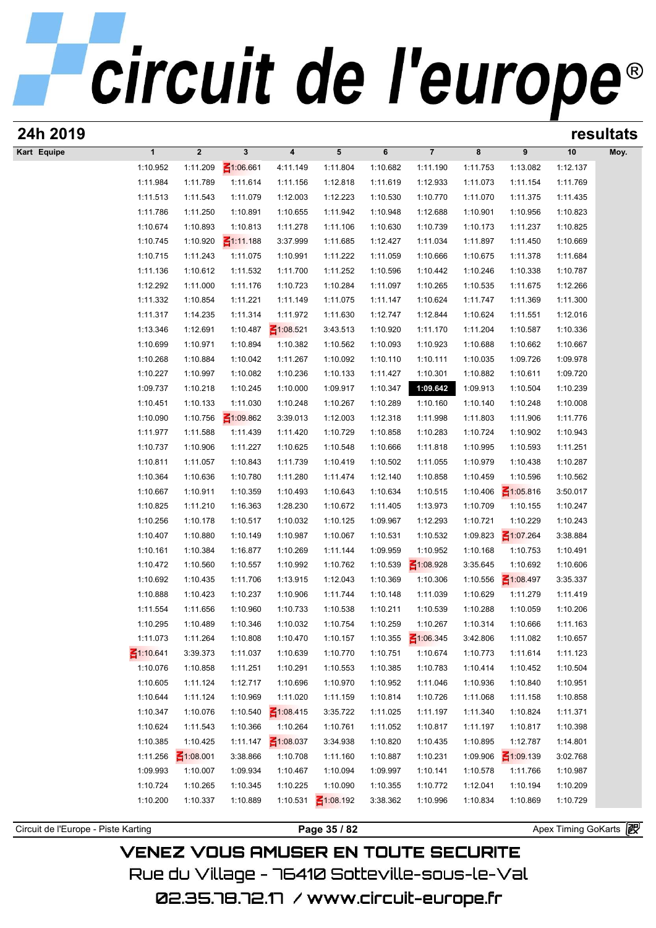| 24h 2019                            |              |                 |                 |                         |                 |          |                 |          |                 |                       | resultats |
|-------------------------------------|--------------|-----------------|-----------------|-------------------------|-----------------|----------|-----------------|----------|-----------------|-----------------------|-----------|
| Kart Equipe                         | $\mathbf{1}$ | $\mathbf 2$     | $\mathbf{3}$    | $\overline{\mathbf{4}}$ | $5\phantom{.0}$ | 6        | $\overline{7}$  | 8        | 9               | 10                    | Moy.      |
|                                     | 1:10.952     | 1:11.209        | ₹1:06.661       | 4:11.149                | 1:11.804        | 1:10.682 | 1:11.190        | 1:11.753 | 1:13.082        | 1:12.137              |           |
|                                     | 1:11.984     | 1:11.789        | 1:11.614        | 1:11.156                | 1:12.818        | 1:11.619 | 1:12.933        | 1:11.073 | 1:11.154        | 1:11.769              |           |
|                                     | 1:11.513     | 1:11.543        | 1:11.079        | 1:12.003                | 1:12.223        | 1:10.530 | 1:10.770        | 1:11.070 | 1:11.375        | 1:11.435              |           |
|                                     | 1:11.786     | 1:11.250        | 1:10.891        | 1:10.655                | 1:11.942        | 1:10.948 | 1:12.688        | 1:10.901 | 1:10.956        | 1:10.823              |           |
|                                     | 1:10.674     | 1:10.893        | 1:10.813        | 1:11.278                | 1:11.106        | 1:10.630 | 1:10.739        | 1:10.173 | 1:11.237        | 1:10.825              |           |
|                                     | 1:10.745     | 1:10.920        | $\leq 1:11.188$ | 3:37.999                | 1:11.685        | 1:12.427 | 1:11.034        | 1:11.897 | 1:11.450        | 1:10.669              |           |
|                                     | 1:10.715     | 1:11.243        | 1:11.075        | 1:10.991                | 1:11.222        | 1:11.059 | 1:10.666        | 1:10.675 | 1:11.378        | 1:11.684              |           |
|                                     | 1:11.136     | 1:10.612        | 1:11.532        | 1:11.700                | 1:11.252        | 1:10.596 | 1:10.442        | 1:10.246 | 1:10.338        | 1:10.787              |           |
|                                     | 1:12.292     | 1:11.000        | 1:11.176        | 1:10.723                | 1:10.284        | 1:11.097 | 1:10.265        | 1:10.535 | 1:11.675        | 1:12.266              |           |
|                                     | 1:11.332     | 1:10.854        | 1:11.221        | 1:11.149                | 1:11.075        | 1:11.147 | 1:10.624        | 1:11.747 | 1:11.369        | 1:11.300              |           |
|                                     | 1:11.317     | 1:14.235        | 1:11.314        | 1:11.972                | 1:11.630        | 1:12.747 | 1:12.844        | 1:10.624 | 1:11.551        | 1:12.016              |           |
|                                     | 1:13.346     | 1:12.691        | 1:10.487        | $\leq 1:08.521$         | 3:43.513        | 1:10.920 | 1:11.170        | 1:11.204 | 1:10.587        | 1:10.336              |           |
|                                     | 1:10.699     | 1:10.971        | 1:10.894        | 1:10.382                | 1:10.562        | 1:10.093 | 1:10.923        | 1:10.688 | 1:10.662        | 1:10.667              |           |
|                                     | 1:10.268     | 1:10.884        | 1:10.042        | 1:11.267                | 1:10.092        | 1:10.110 | 1:10.111        | 1:10.035 | 1:09.726        | 1:09.978              |           |
|                                     | 1:10.227     | 1:10.997        | 1:10.082        | 1:10.236                | 1:10.133        | 1:11.427 | 1:10.301        | 1:10.882 | 1:10.611        | 1:09.720              |           |
|                                     | 1:09.737     | 1:10.218        | 1:10.245        | 1:10.000                | 1:09.917        | 1:10.347 | 1:09.642        | 1:09.913 | 1:10.504        | 1:10.239              |           |
|                                     | 1:10.451     | 1:10.133        | 1:11.030        | 1:10.248                | 1:10.267        | 1:10.289 | 1:10.160        | 1:10.140 | 1:10.248        | 1:10.008              |           |
|                                     | 1:10.090     | 1:10.756        | $\leq 1:09.862$ | 3:39.013                | 1:12.003        | 1:12.318 | 1:11.998        | 1:11.803 | 1:11.906        | 1:11.776              |           |
|                                     | 1:11.977     | 1:11.588        | 1:11.439        | 1:11.420                | 1:10.729        | 1:10.858 | 1:10.283        | 1:10.724 | 1:10.902        | 1:10.943              |           |
|                                     | 1:10.737     | 1:10.906        | 1:11.227        | 1:10.625                | 1:10.548        | 1:10.666 | 1:11.818        | 1:10.995 | 1:10.593        | 1:11.251              |           |
|                                     | 1:10.811     | 1:11.057        | 1:10.843        | 1:11.739                | 1:10.419        | 1:10.502 | 1:11.055        | 1:10.979 | 1:10.438        | 1:10.287              |           |
|                                     | 1:10.364     | 1:10.636        | 1:10.780        | 1:11.280                | 1:11.474        | 1:12.140 | 1:10.858        | 1:10.459 | 1:10.596        | 1:10.562              |           |
|                                     | 1:10.667     | 1:10.911        | 1:10.359        | 1:10.493                | 1:10.643        | 1:10.634 | 1:10.515        | 1:10.406 | $\leq 1:05.816$ | 3:50.017              |           |
|                                     | 1:10.825     | 1:11.210        | 1:16.363        | 1:28.230                | 1:10.672        | 1:11.405 | 1:13.973        | 1:10.709 | 1:10.155        | 1:10.247              |           |
|                                     | 1:10.256     | 1:10.178        | 1:10.517        | 1:10.032                | 1:10.125        | 1:09.967 | 1:12.293        | 1:10.721 | 1:10.229        | 1:10.243              |           |
|                                     | 1:10.407     | 1:10.880        | 1:10.149        | 1:10.987                | 1:10.067        | 1:10.531 | 1:10.532        | 1:09.823 | $\leq 1:07.264$ | 3:38.884              |           |
|                                     | 1:10.161     | 1:10.384        | 1:16.877        | 1:10.269                | 1:11.144        | 1:09.959 | 1:10.952        | 1:10.168 | 1:10.753        | 1:10.491              |           |
|                                     | 1:10.472     | 1:10.560        | 1:10.557        | 1:10.992                | 1:10.762        | 1:10.539 | $\leq 1:08.928$ | 3:35.645 | 1:10.692        | 1:10.606              |           |
|                                     | 1:10.692     | 1:10.435        | 1:11.706        | 1:13.915                | 1:12.043        | 1:10.369 | 1:10.306        | 1:10.556 | $\leq 1:08.497$ | 3:35.337              |           |
|                                     | 1:10.888     | 1:10.423        | 1:10.237        | 1:10.906                | 1:11.744        | 1:10.148 | 1:11.039        | 1:10.629 | 1:11.279        | 1:11.419              |           |
|                                     | 1:11.554     | 1:11.656        | 1:10.960        | 1:10.733                | 1:10.538        | 1:10.211 | 1:10.539        | 1:10.288 | 1:10.059        | 1:10.206              |           |
|                                     | 1:10.295     | 1:10.489        | 1:10.346        | 1:10.032                | 1:10.754        | 1:10.259 | 1:10.267        | 1:10.314 | 1:10.666        | 1:11.163              |           |
|                                     | 1:11.073     | 1:11.264        | 1:10.808        | 1:10.470                | 1:10.157        | 1:10.355 | $\leq 1:06.345$ | 3:42.806 | 1:11.082        | 1:10.657              |           |
| $\leq 1:10.641$                     |              | 3:39.373        | 1:11.037        | 1:10.639                | 1:10.770        | 1:10.751 | 1:10.674        | 1:10.773 | 1:11.614        | 1:11.123              |           |
|                                     | 1:10.076     | 1:10.858        | 1:11.251        | 1:10.291                | 1:10.553        | 1:10.385 | 1:10.783        | 1:10.414 | 1:10.452        | 1:10.504              |           |
|                                     | 1:10.605     | 1:11.124        | 1:12.717        | 1:10.696                | 1:10.970        | 1:10.952 | 1:11.046        | 1:10.936 | 1:10.840        | 1:10.951              |           |
|                                     | 1:10.644     | 1:11.124        | 1:10.969        | 1:11.020                | 1:11.159        | 1:10.814 | 1:10.726        | 1:11.068 | 1:11.158        | 1:10.858              |           |
|                                     | 1:10.347     | 1:10.076        | 1:10.540        | $\leq 1:08.415$         | 3:35.722        | 1:11.025 | 1:11.197        | 1:11.340 | 1:10.824        | 1:11.371              |           |
|                                     | 1:10.624     | 1:11.543        | 1:10.366        | 1:10.264                | 1:10.761        | 1:11.052 | 1:10.817        | 1:11.197 | 1:10.817        | 1:10.398              |           |
|                                     | 1:10.385     | 1:10.425        | 1:11.147        | $\leq 1:08.037$         | 3:34.938        | 1:10.820 | 1:10.435        | 1:10.895 | 1:12.787        | 1:14.801              |           |
|                                     | 1:11.256     | $\leq 1:08.001$ | 3:38.866        | 1:10.708                | 1:11.160        | 1:10.887 | 1:10.231        | 1:09.906 | $\leq 1:09.139$ | 3:02.768              |           |
|                                     | 1:09.993     | 1:10.007        | 1:09.934        | 1:10.467                | 1:10.094        | 1:09.997 | 1:10.141        | 1:10.578 | 1:11.766        | 1:10.987              |           |
|                                     | 1:10.724     | 1:10.265        | 1:10.345        | 1:10.225                | 1:10.090        | 1:10.355 | 1:10.772        | 1:12.041 | 1:10.194        | 1:10.209              |           |
|                                     | 1:10.200     | 1:10.337        | 1:10.889        | 1:10.531                | $\leq 1:08.192$ | 3:38.362 | 1:10.996        | 1:10.834 | 1:10.869        | 1:10.729              |           |
|                                     |              |                 |                 |                         |                 |          |                 |          |                 |                       |           |
| Circuit de l'Europe - Piste Karting |              |                 |                 |                         | Page 35 / 82    |          |                 |          |                 | Apex Timing GoKarts 图 |           |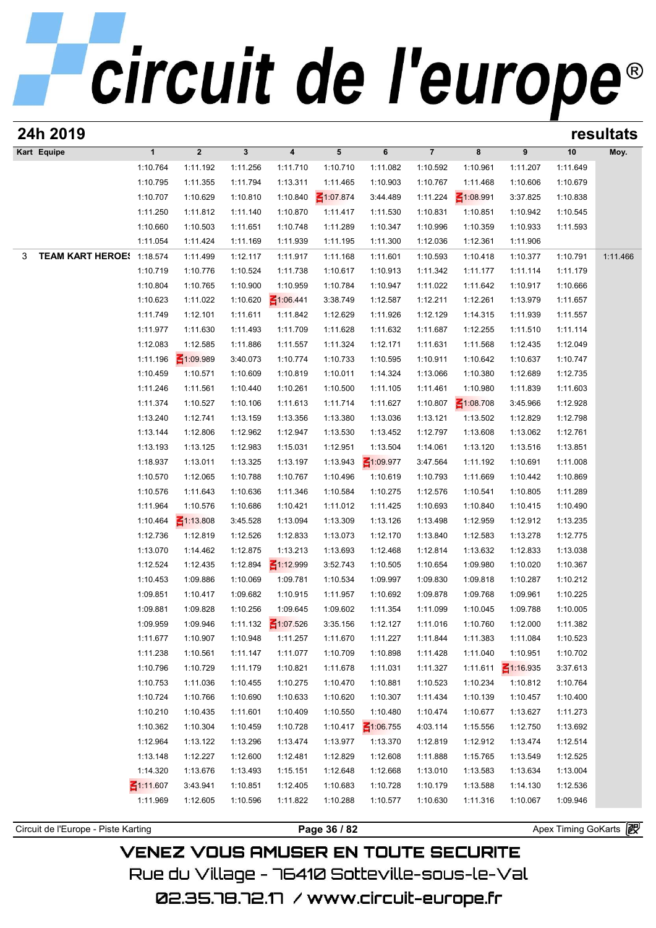| 24h 2019                            |                      |                      |                      |                         |                      |                          |                      |                      |                      |                      | resultats |
|-------------------------------------|----------------------|----------------------|----------------------|-------------------------|----------------------|--------------------------|----------------------|----------------------|----------------------|----------------------|-----------|
| Kart Equipe                         | $\mathbf{1}$         | $\boldsymbol{2}$     | $\mathbf{3}$         | $\overline{\mathbf{4}}$ | $5\phantom{.0}$      | 6                        | $\overline{7}$       | 8                    | 9                    | 10                   | Moy.      |
|                                     | 1:10.764             | 1:11.192             | 1:11.256             | 1:11.710                | 1:10.710             | 1:11.082                 | 1:10.592             | 1:10.961             | 1:11.207             | 1:11.649             |           |
|                                     | 1:10.795             | 1:11.355             | 1:11.794             | 1:13.311                | 1:11.465             | 1:10.903                 | 1:10.767             | 1:11.468             | 1:10.606             | 1:10.679             |           |
|                                     | 1:10.707             | 1:10.629             | 1:10.810             | 1:10.840                | $\leq 1:07.874$      | 3:44.489                 | 1:11.224             | $\leq 1:08.991$      | 3:37.825             | 1:10.838             |           |
|                                     | 1:11.250             | 1:11.812             | 1:11.140             | 1:10.870                | 1:11.417             | 1:11.530                 | 1:10.831             | 1:10.851             | 1:10.942             | 1:10.545             |           |
|                                     | 1:10.660             | 1:10.503             | 1:11.651             | 1:10.748                | 1:11.289             | 1:10.347                 | 1:10.996             | 1:10.359             | 1:10.933             | 1:11.593             |           |
|                                     | 1:11.054             | 1:11.424             | 1:11.169             | 1:11.939                | 1:11.195             | 1:11.300                 | 1:12.036             | 1:12.361             | 1:11.906             |                      |           |
| TEAM KART HEROE! 1:18.574<br>3      |                      | 1:11.499             | 1:12.117             | 1:11.917                | 1:11.168             | 1:11.601                 | 1:10.593             | 1:10.418             | 1:10.377             | 1:10.791             | 1:11.466  |
|                                     | 1:10.719             | 1:10.776             | 1:10.524             | 1:11.738                | 1:10.617             | 1:10.913                 | 1:11.342             | 1:11.177             | 1:11.114             | 1:11.179             |           |
|                                     | 1:10.804             | 1:10.765             | 1:10.900             | 1:10.959                | 1:10.784             | 1:10.947                 | 1:11.022             | 1:11.642             | 1:10.917             | 1:10.666             |           |
|                                     | 1:10.623             | 1:11.022             | 1:10.620             | $\leq 1:06.441$         | 3:38.749             | 1:12.587                 | 1:12.211             | 1:12.261             | 1:13.979             | 1:11.657             |           |
|                                     | 1:11.749             | 1:12.101             | 1:11.611             | 1:11.842                | 1:12.629             | 1:11.926                 | 1:12.129             | 1:14.315             | 1:11.939             | 1:11.557             |           |
|                                     | 1:11.977             | 1:11.630             | 1:11.493             | 1:11.709                | 1:11.628             | 1:11.632                 | 1:11.687             | 1:12.255             | 1:11.510             | 1:11.114             |           |
|                                     | 1:12.083             | 1:12.585             | 1:11.886             | 1:11.557                | 1:11.324             | 1:12.171                 | 1:11.631             | 1:11.568             | 1:12.435             | 1:12.049             |           |
|                                     | 1:11.196             | $\leq 1:09.989$      | 3:40.073             | 1:10.774                | 1:10.733             | 1:10.595                 | 1:10.911             | 1:10.642             | 1:10.637             | 1:10.747             |           |
|                                     | 1:10.459             | 1:10.571             | 1:10.609             | 1:10.819                | 1:10.011             | 1:14.324                 | 1:13.066             | 1:10.380             | 1:12.689             | 1:12.735             |           |
|                                     | 1:11.246             | 1:11.561             | 1:10.440             | 1:10.261                | 1:10.500             | 1:11.105                 | 1:11.461             | 1:10.980             | 1:11.839             | 1:11.603             |           |
|                                     | 1:11.374             | 1:10.527             | 1:10.106             | 1:11.613                | 1:11.714             | 1:11.627                 | 1:10.807             | $\leq 1:08.708$      | 3:45.966             | 1:12.928             |           |
|                                     | 1:13.240             | 1:12.741             | 1:13.159             | 1:13.356                | 1:13.380             | 1:13.036                 | 1:13.121             | 1:13.502             | 1:12.829             | 1:12.798             |           |
|                                     | 1:13.144             | 1:12.806             | 1:12.962             | 1:12.947                | 1:13.530             | 1:13.452                 | 1:12.797             | 1:13.608             | 1:13.062             | 1:12.761             |           |
|                                     | 1:13.193             | 1:13.125             | 1:12.983             | 1:15.031                | 1:12.951             | 1:13.504                 | 1:14.061             | 1:13.120             | 1:13.516             | 1:13.851             |           |
|                                     | 1:18.937             | 1:13.011             | 1:13.325             | 1:13.197                | 1:13.943             | ₹1:09.977                | 3:47.564             | 1:11.192             | 1:10.691             | 1:11.008             |           |
|                                     | 1:10.570             | 1:12.065             | 1:10.788             | 1:10.767                | 1:10.496             | 1:10.619                 | 1:10.793             | 1:11.669             | 1:10.442             | 1:10.869             |           |
|                                     | 1:10.576<br>1:11.964 | 1:11.643<br>1:10.576 | 1:10.636<br>1:10.686 | 1:11.346<br>1:10.421    | 1:10.584<br>1:11.012 | 1:10.275<br>1:11.425     | 1:12.576<br>1:10.693 | 1:10.541<br>1:10.840 | 1:10.805<br>1:10.415 | 1:11.289<br>1:10.490 |           |
|                                     | 1:10.464             | $\leq 1:13.808$      | 3:45.528             | 1:13.094                | 1:13.309             | 1:13.126                 | 1:13.498             | 1:12.959             | 1:12.912             | 1:13.235             |           |
|                                     | 1:12.736             | 1:12.819             | 1:12.526             | 1:12.833                | 1:13.073             | 1:12.170                 | 1:13.840             | 1:12.583             | 1:13.278             | 1:12.775             |           |
|                                     | 1:13.070             | 1:14.462             | 1:12.875             | 1:13.213                | 1:13.693             | 1:12.468                 | 1:12.814             | 1:13.632             | 1:12.833             | 1:13.038             |           |
|                                     | 1:12.524             | 1:12.435             | 1:12.894             | $\leq 1:12.999$         | 3:52.743             | 1:10.505                 | 1:10.654             | 1:09.980             | 1:10.020             | 1:10.367             |           |
|                                     | 1:10.453             | 1:09.886             | 1:10.069             | 1:09.781                | 1:10.534             | 1:09.997                 | 1:09.830             | 1:09.818             | 1:10.287             | 1:10.212             |           |
|                                     | 1:09.851             | 1:10.417             | 1:09.682             | 1:10.915                | 1:11.957             | 1:10.692                 | 1:09.878             | 1:09.768             | 1:09.961             | 1:10.225             |           |
|                                     | 1:09.881             | 1:09.828             | 1:10.256             | 1:09.645                | 1:09.602             | 1:11.354                 | 1:11.099             | 1:10.045             | 1:09.788             | 1:10.005             |           |
|                                     | 1:09.959             | 1:09.946             | 1:11.132             | $\leq 1:07.526$         | 3:35.156             | 1:12.127                 | 1:11.016             | 1:10.760             | 1:12.000             | 1:11.382             |           |
|                                     | 1:11.677             | 1:10.907             | 1:10.948             | 1:11.257                | 1:11.670             | 1:11.227                 | 1:11.844             | 1:11.383             | 1:11.084             | 1:10.523             |           |
|                                     | 1:11.238             | 1:10.561             | 1:11.147             | 1:11.077                | 1:10.709             | 1:10.898                 | 1:11.428             | 1:11.040             | 1:10.951             | 1:10.702             |           |
|                                     | 1:10.796             | 1:10.729             | 1:11.179             | 1:10.821                | 1:11.678             | 1:11.031                 | 1:11.327             | 1:11.611             | $\leq 1:16.935$      | 3:37.613             |           |
|                                     | 1:10.753             | 1:11.036             | 1:10.455             | 1:10.275                | 1:10.470             | 1:10.881                 | 1:10.523             | 1:10.234             | 1:10.812             | 1:10.764             |           |
|                                     | 1:10.724             | 1:10.766             | 1:10.690             | 1:10.633                | 1:10.620             | 1:10.307                 | 1:11.434             | 1:10.139             | 1:10.457             | 1:10.400             |           |
|                                     | 1:10.210             | 1:10.435             | 1:11.601             | 1:10.409                | 1:10.550             | 1:10.480                 | 1:10.474             | 1:10.677             | 1:13.627             | 1:11.273             |           |
|                                     | 1:10.362             | 1:10.304             | 1:10.459             | 1:10.728                | 1:10.417             | $\frac{2}{100}$ 1:06.755 | 4:03.114             | 1:15.556             | 1:12.750             | 1:13.692             |           |
|                                     | 1:12.964             | 1:13.122             | 1:13.296             | 1:13.474                | 1:13.977             | 1:13.370                 | 1:12.819             | 1:12.912             | 1:13.474             | 1:12.514             |           |
|                                     | 1:13.148             | 1:12.227             | 1:12.600             | 1:12.481                | 1:12.829             | 1:12.608                 | 1:11.888             | 1:15.765             | 1:13.549             | 1:12.525             |           |
|                                     | 1:14.320             | 1:13.676             | 1:13.493             | 1:15.151                | 1:12.648             | 1:12.668                 | 1:13.010             | 1:13.583             | 1:13.634             | 1:13.004             |           |
|                                     | ₹1:11.607            | 3:43.941             | 1:10.851             | 1:12.405                | 1:10.683             | 1:10.728                 | 1:10.179             | 1:13.588             | 1:14.130             | 1:12.536             |           |
|                                     | 1:11.969             | 1:12.605             | 1:10.596             | 1:11.822                | 1:10.288             | 1:10.577                 | 1:10.630             | 1:11.316             | 1:10.067             | 1:09.946             |           |
|                                     |                      |                      |                      |                         |                      |                          |                      |                      |                      |                      |           |
| Circuit de l'Europe - Piste Karting |                      |                      |                      |                         | Page 36 / 82         |                          |                      |                      |                      | Apex Timing GoKarts  |           |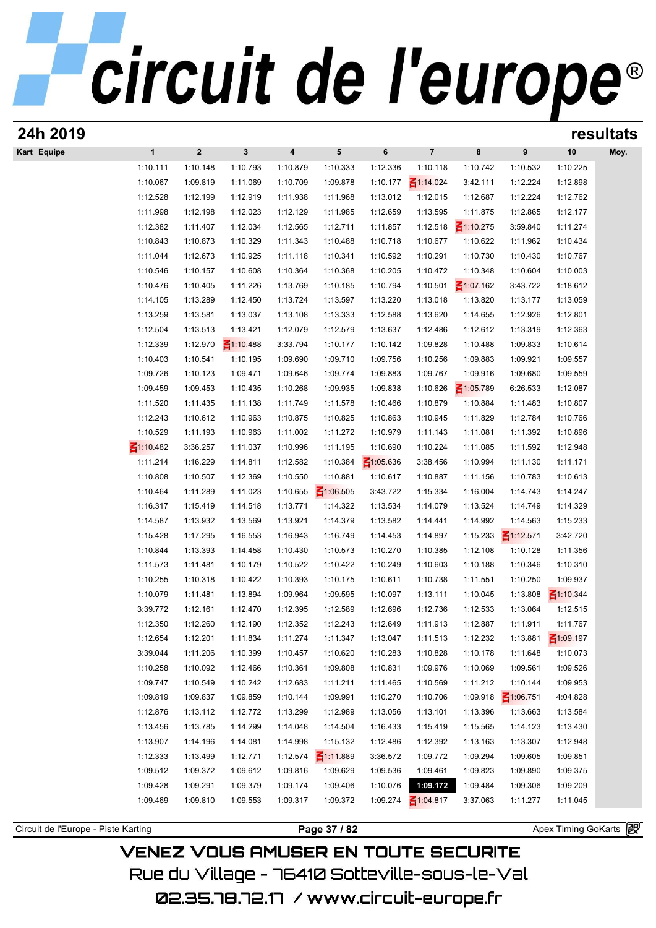# circuit de l'europe®

| 24h 2019                            |                      |                      |                 |          |                 |                      |                      |                      |                 |                              | resultats |
|-------------------------------------|----------------------|----------------------|-----------------|----------|-----------------|----------------------|----------------------|----------------------|-----------------|------------------------------|-----------|
| Kart Equipe                         | $\mathbf{1}$         | $\overline{2}$       | $\mathbf{3}$    | 4        | 5               | 6                    | $7\overline{ }$      | 8                    | 9               | 10                           | Moy.      |
|                                     | 1:10.111             | 1:10.148             | 1:10.793        | 1:10.879 | 1:10.333        | 1:12.336             | 1:10.118             | 1:10.742             | 1:10.532        | 1:10.225                     |           |
|                                     | 1:10.067             | 1:09.819             | 1:11.069        | 1:10.709 | 1:09.878        | 1:10.177             | $\leq 1:14.024$      | 3:42.111             | 1:12.224        | 1:12.898                     |           |
|                                     | 1:12.528             | 1:12.199             | 1:12.919        | 1:11.938 | 1:11.968        | 1:13.012             | 1:12.015             | 1:12.687             | 1:12.224        | 1:12.762                     |           |
|                                     | 1:11.998             | 1:12.198             | 1:12.023        | 1:12.129 | 1:11.985        | 1:12.659             | 1:13.595             | 1:11.875             | 1:12.865        | 1:12.177                     |           |
|                                     | 1:12.382             | 1:11.407             | 1:12.034        | 1:12.565 | 1:12.711        | 1:11.857             | 1:12.518             | $\leq 1:10.275$      | 3:59.840        | 1:11.274                     |           |
|                                     | 1:10.843             | 1:10.873             | 1:10.329        | 1:11.343 | 1:10.488        | 1:10.718             | 1:10.677             | 1:10.622             | 1:11.962        | 1:10.434                     |           |
|                                     | 1:11.044             | 1:12.673             | 1:10.925        | 1:11.118 | 1:10.341        | 1:10.592             | 1:10.291             | 1:10.730             | 1:10.430        | 1:10.767                     |           |
|                                     | 1:10.546             | 1:10.157             | 1:10.608        | 1:10.364 | 1:10.368        | 1:10.205             | 1:10.472             | 1:10.348             | 1:10.604        | 1:10.003                     |           |
|                                     | 1:10.476             | 1:10.405             | 1:11.226        | 1:13.769 | 1:10.185        | 1:10.794             | 1:10.501             | $\leq 1:07.162$      | 3:43.722        | 1:18.612                     |           |
|                                     | 1:14.105             | 1:13.289             | 1:12.450        | 1:13.724 | 1:13.597        | 1:13.220             | 1:13.018             | 1:13.820             | 1:13.177        | 1:13.059                     |           |
|                                     | 1:13.259             | 1:13.581             | 1:13.037        | 1:13.108 | 1:13.333        | 1:12.588             | 1:13.620             | 1:14.655             | 1:12.926        | 1:12.801                     |           |
|                                     | 1:12.504             | 1:13.513             | 1:13.421        | 1:12.079 | 1:12.579        | 1:13.637             | 1:12.486             | 1:12.612             | 1:13.319        | 1:12.363                     |           |
|                                     | 1:12.339             | 1:12.970             | $\leq 1:10.488$ | 3:33.794 | 1:10.177        | 1:10.142             | 1:09.828             | 1:10.488             | 1:09.833        | 1:10.614                     |           |
|                                     | 1:10.403             | 1:10.541             | 1:10.195        | 1:09.690 | 1:09.710        | 1:09.756             | 1:10.256             | 1:09.883             | 1:09.921        | 1:09.557                     |           |
|                                     | 1:09.726             | 1:10.123             | 1:09.471        | 1:09.646 | 1:09.774        | 1:09.883             | 1:09.767             | 1:09.916             | 1:09.680        | 1:09.559                     |           |
|                                     | 1:09.459             | 1:09.453             | 1:10.435        | 1:10.268 | 1:09.935        | 1:09.838             | 1:10.626             | $\leq 1:05.789$      | 6:26.533        | 1:12.087                     |           |
|                                     | 1:11.520             | 1:11.435             | 1:11.138        | 1:11.749 | 1:11.578        | 1:10.466             | 1:10.879             | 1:10.884             | 1:11.483        | 1:10.807                     |           |
|                                     | 1:12.243             | 1:10.612             | 1:10.963        | 1:10.875 | 1:10.825        | 1:10.863             | 1:10.945             | 1:11.829             | 1:12.784        | 1:10.766                     |           |
|                                     | 1:10.529             | 1:11.193             | 1:10.963        | 1:11.002 | 1:11.272        | 1:10.979             | 1:11.143             | 1:11.081             | 1:11.392        | 1:10.896                     |           |
|                                     | $\leq 1:10.482$      | 3:36.257             | 1:11.037        | 1:10.996 | 1:11.195        | 1:10.690             | 1:10.224             | 1:11.085             | 1:11.592        | 1:12.948                     |           |
|                                     | 1:11.214             | 1:16.229             | 1:14.811        | 1:12.582 | 1:10.384        | $\leq 1:05.636$      | 3:38.456             | 1:10.994             | 1:11.130        | 1:11.171                     |           |
|                                     | 1:10.808             | 1:10.507             | 1:12.369        | 1:10.550 | 1:10.881        | 1:10.617             | 1:10.887             | 1:11.156             | 1:10.783        | 1:10.613                     |           |
|                                     | 1:10.464             | 1:11.289             | 1:11.023        | 1:10.655 | $\leq 1:06.505$ | 3:43.722             | 1:15.334             | 1:16.004             | 1:14.743        | 1:14.247                     |           |
|                                     | 1:16.317             | 1:15.419             | 1:14.518        | 1:13.771 | 1:14.322        | 1:13.534             | 1:14.079             | 1:13.524             | 1:14.749        | 1:14.329                     |           |
|                                     | 1:14.587             | 1:13.932             | 1:13.569        | 1:13.921 | 1:14.379        | 1:13.582             | 1:14.441             | 1:14.992             | 1:14.563        | 1:15.233                     |           |
|                                     | 1:15.428             | 1:17.295             | 1:16.553        | 1:16.943 | 1:16.749        | 1:14.453             | 1:14.897             | 1:15.233             | $\leq$ 1:12.571 | 3:42.720                     |           |
|                                     | 1:10.844             | 1:13.393             | 1:14.458        | 1:10.430 | 1:10.573        | 1:10.270             | 1:10.385             | 1:12.108             | 1:10.128        | 1:11.356                     |           |
|                                     |                      |                      | 1:10.179        | 1:10.522 | 1:10.422        |                      |                      |                      | 1:10.346        |                              |           |
|                                     | 1:11.573<br>1:10.255 | 1:11.481<br>1:10.318 | 1:10.422        | 1:10.393 | 1:10.175        | 1:10.249<br>1:10.611 | 1:10.603<br>1:10.738 | 1:10.188<br>1:11.551 | 1:10.250        | 1:10.310<br>1:09.937         |           |
|                                     | 1:10.079             |                      |                 |          |                 |                      |                      |                      |                 |                              |           |
|                                     |                      | 1:11.481             | 1:13.894        | 1:09.964 | 1:09.595        | 1:10.097             | 1:13.111             | 1:10.045             | 1:13.808        | $\leq 1:10.344$              |           |
|                                     | 3:39.772             | 1:12.161             | 1:12.470        | 1:12.395 | 1:12.589        | 1:12.696             | 1:12.736             | 1:12.533             | 1:13.064        | 1:12.515                     |           |
|                                     | 1:12.350             | 1:12.260             | 1:12.190        | 1:12.352 | 1:12.243        | 1:12.649             | 1:11.913             | 1:12.887             | 1:11.911        | 1:11.767                     |           |
|                                     | 1:12.654             | 1:12.201             | 1:11.834        | 1:11.274 | 1:11.347        | 1:13.047             | 1:11.513             | 1:12.232             | 1:13.881        | $\leq 1:09.197$              |           |
|                                     | 3:39.044             | 1:11.206             | 1:10.399        | 1:10.457 | 1:10.620        | 1:10.283             | 1:10.828             | 1:10.178             | 1:11.648        | 1:10.073                     |           |
|                                     | 1:10.258             | 1:10.092             | 1:12.466        | 1:10.361 | 1:09.808        | 1:10.831             | 1:09.976             | 1:10.069             | 1:09.561        | 1:09.526                     |           |
|                                     | 1:09.747             | 1:10.549             | 1:10.242        | 1:12.683 | 1:11.211        | 1:11.465             | 1:10.569             | 1:11.212             | 1:10.144        | 1:09.953                     |           |
|                                     | 1:09.819             | 1:09.837             | 1:09.859        | 1:10.144 | 1:09.991        | 1:10.270             | 1:10.706             | 1:09.918             | $\leq 1:06.751$ | 4:04.828                     |           |
|                                     | 1:12.876             | 1:13.112             | 1:12.772        | 1:13.299 | 1:12.989        | 1:13.056             | 1:13.101             | 1:13.396             | 1:13.663        | 1:13.584                     |           |
|                                     | 1:13.456             | 1:13.785             | 1:14.299        | 1:14.048 | 1:14.504        | 1:16.433             | 1:15.419             | 1:15.565             | 1:14.123        | 1:13.430                     |           |
|                                     | 1:13.907             | 1:14.196             | 1:14.081        | 1:14.998 | 1:15.132        | 1:12.486             | 1:12.392             | 1:13.163             | 1:13.307        | 1:12.948                     |           |
|                                     | 1:12.333             | 1:13.499             | 1:12.771        | 1:12.574 | $\leq 1:11.889$ | 3:36.572             | 1:09.772             | 1:09.294             | 1:09.605        | 1:09.851                     |           |
|                                     | 1:09.512             | 1:09.372             | 1:09.612        | 1:09.816 | 1:09.629        | 1:09.536             | 1:09.461             | 1:09.823             | 1:09.890        | 1:09.375                     |           |
|                                     | 1:09.428             | 1:09.291             | 1:09.379        | 1:09.174 | 1:09.406        | 1:10.076             | 1:09.172             | 1:09.484             | 1:09.306        | 1:09.209                     |           |
|                                     | 1:09.469             | 1:09.810             | 1:09.553        | 1:09.317 | 1:09.372        | 1:09.274             | $\leq 1:04.817$      | 3:37.063             | 1:11.277        | 1:11.045                     |           |
|                                     |                      |                      |                 |          |                 |                      |                      |                      |                 |                              |           |
| Circuit de l'Europe - Piste Karting |                      |                      |                 |          | Page 37 / 82    |                      |                      |                      |                 | Apex Timing GoKarts <b>段</b> |           |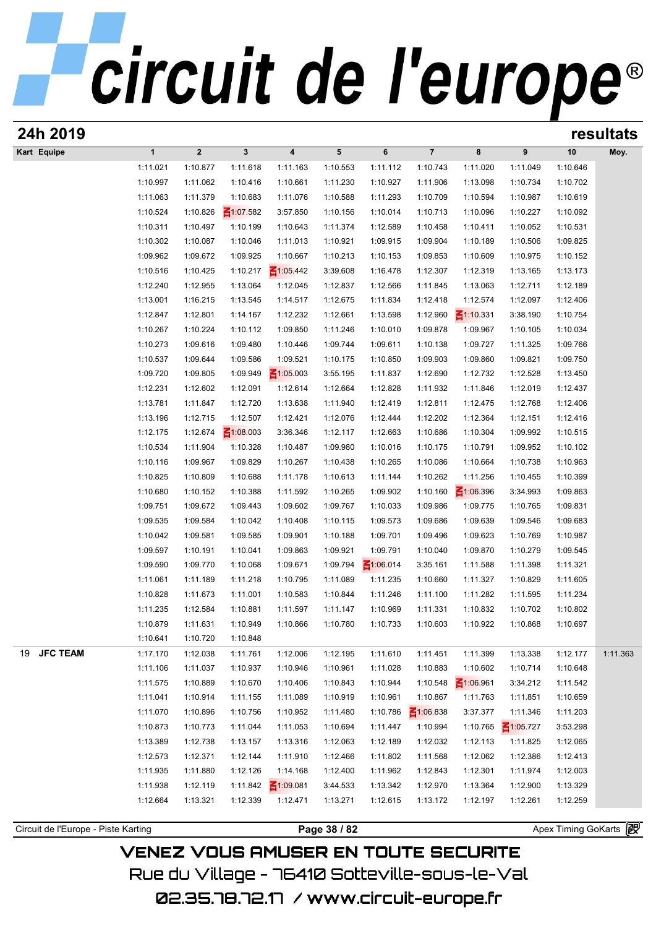| 24h 2019              |                      |                      |                      |                      |                      |                      |                             |                      |                             |                      | resultats |
|-----------------------|----------------------|----------------------|----------------------|----------------------|----------------------|----------------------|-----------------------------|----------------------|-----------------------------|----------------------|-----------|
| Kart Equipe           | $\mathbf{1}$         | $\mathbf 2$          | $\mathbf{3}$         | 4                    | $5\phantom{.0}$      | 6                    | $\overline{7}$              | 8                    | 9                           | 10                   | Moy.      |
|                       | 1:11.021             | 1:10.877             | 1:11.618             | 1:11.163             | 1:10.553             | 1:11.112             | 1:10.743                    | 1:11.020             | 1:11.049                    | 1:10.646             |           |
|                       | 1:10.997             | 1:11.062             | 1:10.416             | 1:10.661             | 1:11.230             | 1:10.927             | 1:11.906                    | 1:13.098             | 1:10.734                    | 1:10.702             |           |
|                       | 1:11.063             | 1:11.379             | 1:10.683             | 1:11.076             | 1:10.588             | 1:11.293             | 1:10.709                    | 1:10.594             | 1:10.987                    | 1:10.619             |           |
|                       | 1:10.524             | 1:10.826             | $\leq 1:07.582$      | 3:57.850             | 1:10.156             | 1:10.014             | 1:10.713                    | 1:10.096             | 1:10.227                    | 1:10.092             |           |
|                       | 1:10.311             | 1:10.497             | 1:10.199             | 1:10.643             | 1:11.374             | 1:12.589             | 1:10.458                    | 1:10.411             | 1:10.052                    | 1:10.531             |           |
|                       | 1:10.302             | 1:10.087             | 1:10.046             | 1:11.013             | 1:10.921             | 1:09.915             | 1:09.904                    | 1:10.189             | 1:10.506                    | 1:09.825             |           |
|                       | 1:09.962             | 1:09.672             | 1:09.925             | 1:10.667             | 1:10.213             | 1:10.153             | 1:09.853                    | 1:10.609             | 1:10.975                    | 1:10.152             |           |
|                       | 1:10.516             | 1:10.425             | 1:10.217             | $\leq 1:05.442$      | 3:39.608             | 1:16.478             | 1:12.307                    | 1:12.319             | 1:13.165                    | 1:13.173             |           |
|                       | 1:12.240             | 1:12.955             | 1:13.064             | 1:12.045             | 1:12.837             | 1:12.566             | 1:11.845                    | 1:13.063             | 1:12.711                    | 1:12.189             |           |
|                       | 1:13.001             | 1:16.215             | 1:13.545             | 1:14.517             | 1:12.675             | 1:11.834             | 1:12.418                    | 1:12.574             | 1:12.097                    | 1:12.406             |           |
|                       | 1:12.847             | 1:12.801             | 1:14.167             | 1:12.232             | 1:12.661             | 1:13.598             | 1:12.960                    | $\leq 1:10.331$      | 3:38.190                    | 1:10.754             |           |
|                       | 1:10.267             | 1:10.224             | 1:10.112             | 1:09.850             | 1:11.246             | 1:10.010             | 1:09.878                    | 1:09.967             | 1:10.105                    | 1:10.034             |           |
|                       | 1:10.273             | 1:09.616             | 1:09.480             | 1:10.446             | 1:09.744             | 1:09.611             | 1:10.138                    | 1:09.727             | 1:11.325                    | 1:09.766             |           |
|                       | 1:10.537             | 1:09.644             | 1:09.586             | 1:09.521             | 1:10.175             | 1:10.850             | 1:09.903                    | 1:09.860             | 1:09.821                    | 1:09.750             |           |
|                       | 1:09.720             | 1:09.805             | 1:09.949             | $\leq 1:05.003$      | 3:55.195             | 1:11.837             | 1:12.690                    | 1:12.732             | 1:12.528                    | 1:13.450             |           |
|                       | 1:12.231             | 1:12.602             | 1:12.091             | 1:12.614             | 1:12.664             | 1:12.828             | 1:11.932                    | 1:11.846             | 1:12.019                    | 1:12.437             |           |
|                       | 1:13.781             | 1:11.847             | 1:12.720             | 1:13.638             | 1:11.940             | 1:12.419             | 1:12.811                    | 1:12.475             | 1:12.768                    | 1:12.406             |           |
|                       | 1:13.196             | 1:12.715             | 1:12.507             | 1:12.421             | 1:12.076             | 1:12.444             | 1:12.202                    | 1:12.364             | 1:12.151                    | 1:12.416             |           |
|                       | 1:12.175             | 1:12.674             | $\leq 1:08.003$      | 3:36.346             | 1:12.117             | 1:12.663             | 1:10.686                    | 1:10.304             | 1:09.992                    | 1:10.515             |           |
|                       | 1:10.534             | 1:11.904             | 1:10.328             | 1:10.487             | 1:09.980             | 1:10.016             | 1:10.175                    | 1:10.791             | 1:09.952                    | 1:10.102             |           |
|                       | 1:10.116             | 1:09.967             | 1:09.829             | 1:10.267             | 1:10.438             | 1:10.265             | 1:10.086                    | 1:10.664             | 1:10.738                    | 1:10.963             |           |
|                       | 1:10.825             | 1:10.809             | 1:10.688             | 1:11.178             | 1:10.613             | 1:11.144             | 1:10.262                    | 1:11.256             | 1:10.455                    | 1:10.399             |           |
|                       | 1:10.680             | 1:10.152             | 1:10.388             | 1:11.592             | 1:10.265             | 1:09.902             | 1:10.160                    | $\leq 1:06.396$      | 3:34.993                    | 1:09.863             |           |
|                       | 1:09.751             | 1:09.672             | 1:09.443             | 1:09.602             | 1:09.767             | 1:10.033             | 1:09.986                    | 1:09.775             | 1:10.765                    | 1:09.831             |           |
|                       | 1:09.535             | 1:09.584             | 1:10.042             | 1:10.408             | 1:10.115             | 1:09.573             | 1:09.686                    | 1:09.639             | 1:09.546                    | 1:09.683             |           |
|                       | 1:10.042             | 1:09.581             | 1:09.585             | 1:09.901             | 1:10.188             | 1:09.701             | 1:09.496                    | 1:09.623             | 1:10.769                    | 1:10.987             |           |
|                       | 1:09.597             | 1:10.191             | 1:10.041             | 1:09.863             | 1:09.921             | 1:09.791             | 1:10.040                    | 1:09.870             | 1:10.279                    | 1:09.545             |           |
|                       | 1:09.590             | 1:09.770             | 1:10.068             | 1:09.671             | 1:09.794             | ₹1:06.014            | 3:35.161                    | 1:11.588             | 1:11.398                    | 1:11.321             |           |
|                       | 1:11.061             | 1:11.189             | 1:11.218             | 1:10.795             | 1:11.089             | 1:11.235             | 1:10.660                    | 1:11.327             | 1:10.829                    | 1:11.605             |           |
|                       | 1:10.828             | 1:11.673             | 1:11.001             | 1:10.583             | 1:10.844             | 1:11.246             | 1:11.100                    | 1:11.282             | 1:11.595                    | 1:11.234             |           |
|                       | 1:11.235             | 1:12.584             | 1:10.881             | 1:11.597             | 1:11.147             | 1:10.969             | 1:11.331                    | 1:10.832             | 1:10.702                    | 1:10.802             |           |
|                       | 1:10.879             | 1:11.631             | 1:10.949             | 1:10.866             | 1:10.780             | 1:10.733             | 1:10.603                    | 1:10.922             | 1:10.868                    | 1:10.697             |           |
|                       | 1:10.641             | 1:10.720             | 1:10.848             |                      |                      |                      |                             |                      |                             |                      |           |
| <b>JFC TEAM</b><br>19 | 1:17.170             | 1:12.038             | 1:11.761             | 1:12.006             | 1:12.195             | 1:11.610             | 1:11.451                    | 1:11.399             | 1:13.338                    | 1:12.177             | 1:11.363  |
|                       | 1:11.106             | 1:11.037             | 1:10.937             | 1:10.946             | 1:10.961             | 1:11.028             | 1:10.883<br>1:10.548        | 1:10.602             | 1:10.714                    | 1:10.648             |           |
|                       | 1:11.575<br>1:11.041 | 1:10.889<br>1:10.914 | 1:10.670             | 1:10.406<br>1:11.089 | 1:10.843<br>1:10.919 | 1:10.944             | 1:10.867                    | $\leq 1:06.961$      | 3:34.212<br>1:11.851        | 1:11.542             |           |
|                       |                      |                      | 1:11.155             |                      |                      | 1:10.961             |                             | 1:11.763             | 1:11.346                    | 1:10.659             |           |
|                       | 1:11.070<br>1:10.873 | 1:10.896<br>1:10.773 | 1:10.756<br>1:11.044 | 1:10.952<br>1:11.053 | 1:11.480<br>1:10.694 | 1:10.786<br>1:11.447 | $\leq 1:06.838$<br>1:10.994 | 3:37.377             |                             | 1:11.203             |           |
|                       | 1:13.389             |                      |                      |                      |                      |                      | 1:12.032                    | 1:10.765             | $\leq 1:05.727$<br>1:11.825 | 3:53.298             |           |
|                       | 1:12.573             | 1:12.738             | 1:13.157             | 1:13.316             | 1:12.063             | 1:12.189             |                             | 1:12.113             |                             | 1:12.065             |           |
|                       | 1:11.935             | 1:12.371<br>1:11.880 | 1:12.144<br>1:12.126 | 1:11.910<br>1:14.168 | 1:12.466             | 1:11.802             | 1:11.568<br>1:12.843        | 1:12.062             | 1:12.386<br>1:11.974        | 1:12.413             |           |
|                       | 1:11.938             | 1:12.119             | 1:11.842             | $\leq 1:09.081$      | 1:12.400<br>3:44.533 | 1:11.962<br>1:13.342 | 1:12.970                    | 1:12.301<br>1:13.364 | 1:12.900                    | 1:12.003<br>1:13.329 |           |
|                       |                      |                      |                      |                      |                      |                      |                             |                      |                             |                      |           |
|                       | 1:12.664             | 1:13.321             | 1:12.339             | 1:12.471             | 1:13.271             | 1:12.615             | 1:13.172                    | 1:12.197             | 1:12.261                    | 1:12.259             |           |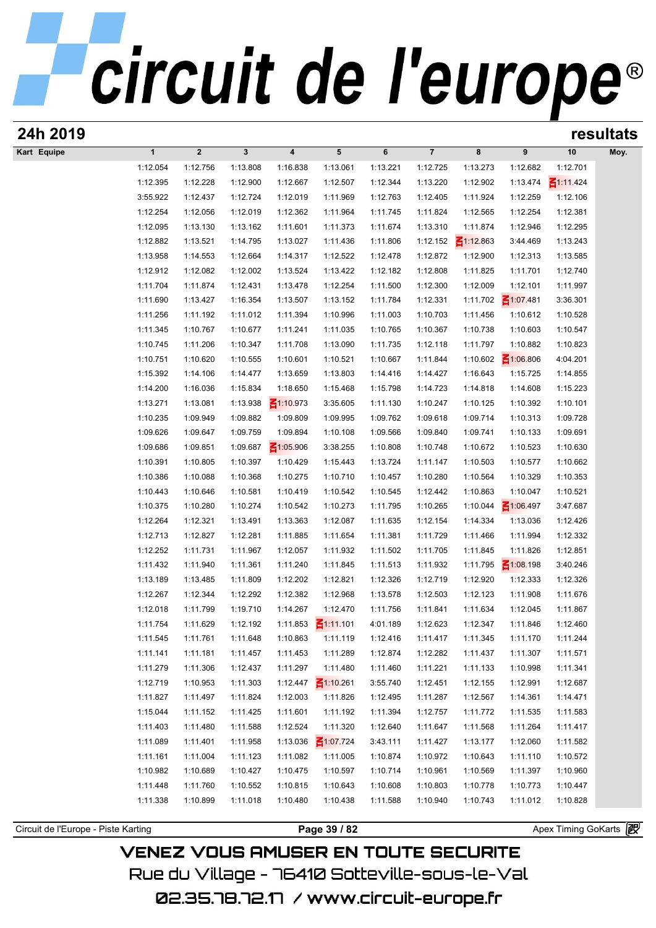# circuit de l'europe®

| 24h 2019                            |              |              |              |                 |                                 |          |                |                 |                 |                     | resultats |
|-------------------------------------|--------------|--------------|--------------|-----------------|---------------------------------|----------|----------------|-----------------|-----------------|---------------------|-----------|
| Kart Equipe                         | $\mathbf{1}$ | $\mathbf{2}$ | $\mathbf{3}$ | 4               | $5\phantom{.0}$                 | 6        | $\overline{7}$ | 8               | 9               | 10                  | Moy.      |
|                                     | 1:12.054     | 1:12.756     | 1:13.808     | 1:16.838        | 1:13.061                        | 1:13.221 | 1:12.725       | 1:13.273        | 1:12.682        | 1:12.701            |           |
|                                     | 1:12.395     | 1:12.228     | 1:12.900     | 1:12.667        | 1:12.507                        | 1:12.344 | 1:13.220       | 1:12.902        | 1:13.474        | $\leq 1:11.424$     |           |
|                                     | 3:55.922     | 1:12.437     | 1:12.724     | 1:12.019        | 1:11.969                        | 1:12.763 | 1:12.405       | 1:11.924        | 1:12.259        | 1:12.106            |           |
|                                     | 1:12.254     | 1:12.056     | 1:12.019     | 1:12.362        | 1:11.964                        | 1:11.745 | 1:11.824       | 1:12.565        | 1:12.254        | 1:12.381            |           |
|                                     | 1:12.095     | 1:13.130     | 1:13.162     | 1:11.601        | 1:11.373                        | 1:11.674 | 1:13.310       | 1:11.874        | 1:12.946        | 1:12.295            |           |
|                                     | 1:12.882     | 1:13.521     | 1:14.795     | 1:13.027        | 1:11.436                        | 1:11.806 | 1:12.152       | $\leq 1:12.863$ | 3:44.469        | 1:13.243            |           |
|                                     | 1:13.958     | 1:14.553     | 1:12.664     | 1:14.317        | 1:12.522                        | 1:12.478 | 1:12.872       | 1:12.900        | 1:12.313        | 1:13.585            |           |
|                                     | 1:12.912     | 1:12.082     | 1:12.002     | 1:13.524        | 1:13.422                        | 1:12.182 | 1:12.808       | 1:11.825        | 1:11.701        | 1:12.740            |           |
|                                     | 1:11.704     | 1:11.874     | 1:12.431     | 1:13.478        | 1:12.254                        | 1:11.500 | 1:12.300       | 1:12.009        | 1:12.101        | 1:11.997            |           |
|                                     | 1:11.690     | 1:13.427     | 1:16.354     | 1:13.507        | 1:13.152                        | 1:11.784 | 1:12.331       | 1:11.702        | 51:07.481       | 3:36.301            |           |
|                                     | 1:11.256     | 1:11.192     | 1:11.012     | 1:11.394        | 1:10.996                        | 1:11.003 | 1:10.703       | 1:11.456        | 1:10.612        | 1:10.528            |           |
|                                     | 1:11.345     | 1:10.767     | 1:10.677     | 1:11.241        | 1:11.035                        | 1:10.765 | 1:10.367       | 1:10.738        | 1:10.603        | 1:10.547            |           |
|                                     | 1:10.745     | 1:11.206     | 1:10.347     | 1:11.708        | 1:13.090                        | 1:11.735 | 1:12.118       | 1:11.797        | 1:10.882        | 1:10.823            |           |
|                                     | 1:10.751     | 1:10.620     | 1:10.555     | 1:10.601        | 1:10.521                        | 1:10.667 | 1:11.844       | 1:10.602        | $-1.06.806$     | 4:04.201            |           |
|                                     | 1:15.392     | 1:14.106     | 1:14.477     | 1:13.659        | 1:13.803                        | 1:14.416 | 1:14.427       | 1:16.643        | 1:15.725        | 1:14.855            |           |
|                                     | 1:14.200     | 1:16.036     | 1:15.834     | 1:18.650        | 1:15.468                        | 1:15.798 | 1:14.723       | 1:14.818        | 1:14.608        | 1:15.223            |           |
|                                     | 1:13.271     | 1:13.081     | 1:13.938     | $\leq 1:10.973$ | 3:35.605                        | 1:11.130 | 1:10.247       | 1:10.125        | 1:10.392        | 1:10.101            |           |
|                                     | 1:10.235     | 1:09.949     | 1:09.882     | 1:09.809        | 1:09.995                        | 1:09.762 | 1:09.618       | 1:09.714        | 1:10.313        | 1:09.728            |           |
|                                     | 1:09.626     | 1:09.647     | 1:09.759     | 1:09.894        | 1:10.108                        | 1:09.566 | 1:09.840       | 1:09.741        | 1:10.133        | 1:09.691            |           |
|                                     | 1:09.686     | 1:09.851     | 1:09.687     | $\leq 1:05.906$ | 3:38.255                        | 1:10.808 | 1:10.748       | 1:10.672        | 1:10.523        | 1:10.630            |           |
|                                     | 1:10.391     | 1:10.805     | 1:10.397     | 1:10.429        | 1:15.443                        | 1:13.724 | 1:11.147       | 1:10.503        | 1:10.577        | 1:10.662            |           |
|                                     | 1:10.386     | 1:10.088     | 1:10.368     | 1:10.275        | 1:10.710                        | 1:10.457 | 1:10.280       | 1:10.564        | 1:10.329        | 1:10.353            |           |
|                                     | 1:10.443     | 1:10.646     | 1:10.581     | 1:10.419        | 1:10.542                        | 1:10.545 | 1:12.442       | 1:10.863        | 1:10.047        | 1:10.521            |           |
|                                     | 1:10.375     | 1:10.280     | 1:10.274     | 1:10.542        | 1:10.273                        | 1:11.795 | 1:10.265       | 1:10.044        | $\leq 1:06.497$ | 3:47.687            |           |
|                                     | 1:12.264     | 1:12.321     | 1:13.491     | 1:13.363        | 1:12.087                        | 1:11.635 | 1:12.154       | 1:14.334        | 1:13.036        | 1:12.426            |           |
|                                     | 1:12.713     | 1:12.827     | 1:12.281     | 1:11.885        | 1:11.654                        | 1:11.381 | 1:11.729       | 1:11.466        | 1:11.994        | 1:12.332            |           |
|                                     | 1:12.252     | 1:11.731     | 1:11.967     | 1:12.057        | 1:11.932                        | 1:11.502 | 1:11.705       | 1:11.845        | 1:11.826        | 1:12.851            |           |
|                                     | 1:11.432     | 1:11.940     | 1:11.361     | 1:11.240        | 1:11.845                        | 1:11.513 | 1:11.932       | 1:11.795        | $\leq 1:08.198$ | 3:40.246            |           |
|                                     | 1:13.189     | 1:13.485     | 1:11.809     | 1:12.202        | 1:12.821                        | 1:12.326 | 1:12.719       | 1:12.920        | 1:12.333        | 1:12.326            |           |
|                                     | 1:12.267     | 1:12.344     | 1:12.292     | 1:12.382        | 1:12.968                        | 1:13.578 | 1:12.503       | 1:12.123        | 1:11.908        | 1:11.676            |           |
|                                     | 1:12.018     | 1:11.799     | 1:19.710     | 1:14.267        | 1:12.470                        | 1:11.756 | 1:11.841       | 1:11.634        | 1:12.045        | 1:11.867            |           |
|                                     | 1:11.754     | 1:11.629     | 1:12.192     |                 | 1:11.853 $\frac{2}{1}$ 1:11.101 | 4:01.189 | 1:12.623       | 1:12.347        | 1:11.846        | 1:12.460            |           |
|                                     | 1:11.545     | 1:11.761     | 1:11.648     | 1:10.863        | 1:11.119                        | 1:12.416 | 1:11.417       | 1:11.345        | 1:11.170        | 1:11.244            |           |
|                                     | 1:11.141     | 1:11.181     | 1:11.457     | 1:11.453        | 1:11.289                        | 1:12.874 | 1:12.282       | 1:11.437        | 1:11.307        | 1:11.571            |           |
|                                     | 1:11.279     | 1:11.306     | 1:12.437     | 1:11.297        | 1:11.480                        | 1:11.460 | 1:11.221       | 1:11.133        | 1:10.998        | 1:11.341            |           |
|                                     | 1:12.719     | 1:10.953     | 1:11.303     | 1:12.447        | $\leq 1:10.261$                 | 3:55.740 | 1:12.451       | 1:12.155        | 1:12.991        | 1:12.687            |           |
|                                     | 1:11.827     | 1:11.497     | 1:11.824     | 1:12.003        | 1:11.826                        | 1:12.495 | 1:11.287       | 1:12.567        | 1:14.361        | 1:14.471            |           |
|                                     | 1:15.044     | 1:11.152     | 1:11.425     | 1:11.601        | 1:11.192                        | 1:11.394 | 1:12.757       | 1:11.772        | 1:11.535        | 1:11.583            |           |
|                                     | 1:11.403     | 1:11.480     | 1:11.588     | 1:12.524        | 1:11.320                        | 1:12.640 | 1:11.647       | 1:11.568        | 1:11.264        | 1:11.417            |           |
|                                     | 1:11.089     | 1:11.401     | 1:11.958     | 1:13.036        | $\leq 1:07.724$                 | 3:43.111 | 1:11.427       | 1:13.177        | 1:12.060        | 1:11.582            |           |
|                                     | 1:11.161     | 1:11.004     | 1:11.123     | 1:11.082        | 1:11.005                        | 1:10.874 | 1:10.972       | 1:10.643        | 1:11.110        | 1:10.572            |           |
|                                     | 1:10.982     | 1:10.689     | 1:10.427     | 1:10.475        | 1:10.597                        | 1:10.714 | 1:10.961       | 1:10.569        | 1:11.397        | 1:10.960            |           |
|                                     | 1:11.448     | 1:11.760     | 1:10.552     | 1:10.815        | 1:10.643                        | 1:10.608 | 1:10.803       | 1:10.778        | 1:10.773        | 1:10.447            |           |
|                                     | 1:11.338     | 1:10.899     | 1:11.018     | 1:10.480        | 1:10.438                        | 1:11.588 | 1:10.940       | 1:10.743        | 1:11.012        | 1:10.828            |           |
|                                     |              |              |              |                 |                                 |          |                |                 |                 |                     |           |
| Circuit de l'Europe - Piste Karting |              |              |              |                 | Page 39 / 82                    |          |                |                 |                 | Apex Timing GoKarts |           |
|                                     |              |              |              |                 |                                 |          |                |                 |                 |                     |           |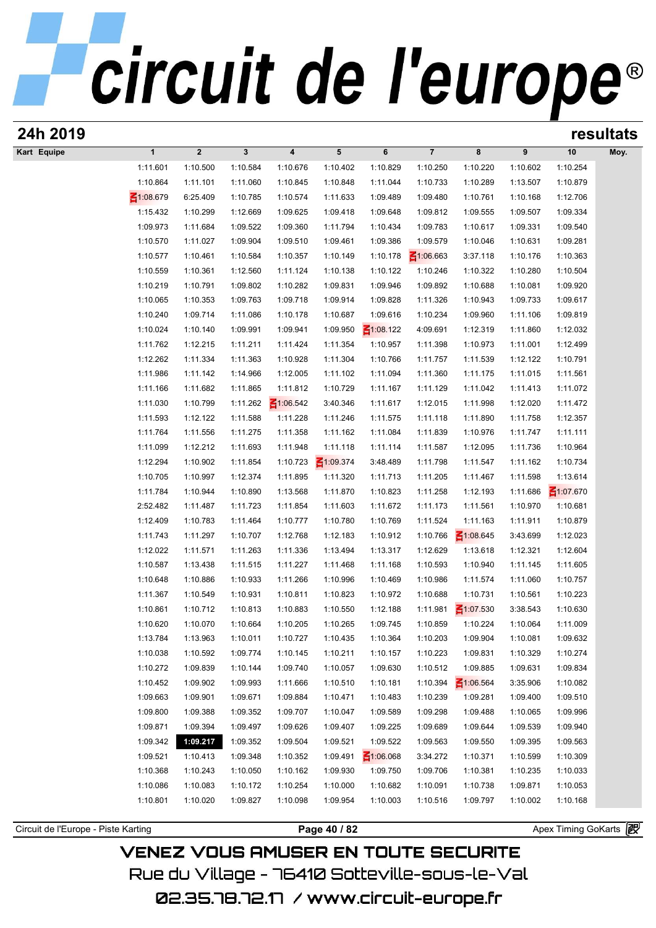| 24h 2019                            |                      |                      |                      |                         |                      |                             |                      |                      |                      |                      | resultats |
|-------------------------------------|----------------------|----------------------|----------------------|-------------------------|----------------------|-----------------------------|----------------------|----------------------|----------------------|----------------------|-----------|
| Kart Equipe                         | $\mathbf{1}$         | $\boldsymbol{2}$     | $\mathbf{3}$         | $\overline{\mathbf{4}}$ | 5                    | 6                           | $\overline{7}$       | 8                    | 9                    | 10                   | Moy.      |
|                                     | 1:11.601             | 1:10.500             | 1:10.584             | 1:10.676                | 1:10.402             | 1:10.829                    | 1:10.250             | 1:10.220             | 1:10.602             | 1:10.254             |           |
|                                     | 1:10.864             | 1:11.101             | 1:11.060             | 1:10.845                | 1:10.848             | 1:11.044                    | 1:10.733             | 1:10.289             | 1:13.507             | 1:10.879             |           |
|                                     | ₹1:08.679            | 6:25.409             | 1:10.785             | 1:10.574                | 1:11.633             | 1:09.489                    | 1:09.480             | 1:10.761             | 1:10.168             | 1:12.706             |           |
|                                     | 1:15.432             | 1:10.299             | 1:12.669             | 1:09.625                | 1:09.418             | 1:09.648                    | 1:09.812             | 1:09.555             | 1:09.507             | 1:09.334             |           |
|                                     | 1:09.973             | 1:11.684             | 1:09.522             | 1:09.360                | 1:11.794             | 1:10.434                    | 1:09.783             | 1:10.617             | 1:09.331             | 1:09.540             |           |
|                                     | 1:10.570             | 1:11.027             | 1:09.904             | 1:09.510                | 1:09.461             | 1:09.386                    | 1:09.579             | 1:10.046             | 1:10.631             | 1:09.281             |           |
|                                     | 1:10.577             | 1:10.461             | 1:10.584             | 1:10.357                | 1:10.149             | 1:10.178                    | $\leq 1:06.663$      | 3:37.118             | 1:10.176             | 1:10.363             |           |
|                                     | 1:10.559             | 1:10.361             | 1:12.560             | 1:11.124                | 1:10.138             | 1:10.122                    | 1:10.246             | 1:10.322             | 1:10.280             | 1:10.504             |           |
|                                     | 1:10.219             | 1:10.791             | 1:09.802             | 1:10.282                | 1:09.831             | 1:09.946                    | 1:09.892             | 1:10.688             | 1:10.081             | 1:09.920             |           |
|                                     | 1:10.065             | 1:10.353             | 1:09.763             | 1:09.718                | 1:09.914             | 1:09.828                    | 1:11.326             | 1:10.943             | 1:09.733             | 1:09.617             |           |
|                                     | 1:10.240             | 1:09.714             | 1:11.086             | 1:10.178                | 1:10.687             | 1:09.616                    | 1:10.234             | 1:09.960             | 1:11.106             | 1:09.819             |           |
|                                     | 1:10.024<br>1:11.762 | 1:10.140<br>1:12.215 | 1:09.991<br>1:11.211 | 1:09.941<br>1:11.424    | 1:09.950<br>1:11.354 | $\leq 1:08.122$<br>1:10.957 | 4:09.691<br>1:11.398 | 1:12.319<br>1:10.973 | 1:11.860<br>1:11.001 | 1:12.032<br>1:12.499 |           |
|                                     | 1:12.262             | 1:11.334             | 1:11.363             | 1:10.928                | 1:11.304             | 1:10.766                    | 1:11.757             | 1:11.539             | 1:12.122             | 1:10.791             |           |
|                                     | 1:11.986             | 1:11.142             | 1:14.966             | 1:12.005                | 1:11.102             | 1:11.094                    | 1:11.360             | 1:11.175             | 1:11.015             | 1:11.561             |           |
|                                     | 1:11.166             | 1:11.682             | 1:11.865             | 1:11.812                | 1:10.729             | 1:11.167                    | 1:11.129             | 1:11.042             | 1:11.413             | 1:11.072             |           |
|                                     | 1:11.030             | 1:10.799             | 1:11.262             | $\leq 1:06.542$         | 3:40.346             | 1:11.617                    | 1:12.015             | 1:11.998             | 1:12.020             | 1:11.472             |           |
|                                     | 1:11.593             | 1:12.122             | 1:11.588             | 1:11.228                | 1:11.246             | 1:11.575                    | 1:11.118             | 1:11.890             | 1:11.758             | 1:12.357             |           |
|                                     | 1:11.764             | 1:11.556             | 1:11.275             | 1:11.358                | 1:11.162             | 1:11.084                    | 1:11.839             | 1:10.976             | 1:11.747             | 1:11.111             |           |
|                                     | 1:11.099             | 1:12.212             | 1:11.693             | 1:11.948                | 1:11.118             | 1:11.114                    | 1:11.587             | 1:12.095             | 1:11.736             | 1:10.964             |           |
|                                     | 1:12.294             | 1:10.902             | 1:11.854             | 1:10.723                | $\leq 1:09.374$      | 3:48.489                    | 1:11.798             | 1:11.547             | 1:11.162             | 1:10.734             |           |
|                                     | 1:10.705             | 1:10.997             | 1:12.374             | 1:11.895                | 1:11.320             | 1:11.713                    | 1:11.205             | 1:11.467             | 1:11.598             | 1:13.614             |           |
|                                     | 1:11.784             | 1:10.944             | 1:10.890             | 1:13.568                | 1:11.870             | 1:10.823                    | 1:11.258             | 1:12.193             | 1:11.686             | $\leq 1:07.670$      |           |
|                                     | 2:52.482             | 1:11.487             | 1:11.723             | 1:11.854                | 1:11.603             | 1:11.672                    | 1:11.173             | 1:11.561             | 1:10.970             | 1:10.681             |           |
|                                     | 1:12.409             | 1:10.783             | 1:11.464             | 1:10.777                | 1:10.780             | 1:10.769                    | 1:11.524             | 1:11.163             | 1:11.911             | 1:10.879             |           |
|                                     | 1:11.743             | 1:11.297             | 1:10.707             | 1:12.768                | 1:12.183             | 1:10.912                    | 1:10.766             | $\leq 1:08.645$      | 3:43.699             | 1:12.023             |           |
|                                     | 1:12.022             | 1:11.571             | 1:11.263             | 1:11.336                | 1:13.494             | 1:13.317                    | 1:12.629             | 1:13.618             | 1:12.321             | 1:12.604             |           |
|                                     | 1:10.587             | 1:13.438             | 1:11.515             | 1:11.227                | 1:11.468             | 1:11.168                    | 1:10.593             | 1:10.940             | 1:11.145             | 1:11.605             |           |
|                                     | 1:10.648             | 1:10.886             | 1:10.933             | 1:11.266                | 1:10.996             | 1:10.469                    | 1:10.986             | 1:11.574             | 1:11.060             | 1:10.757             |           |
|                                     | 1:11.367             | 1:10.549             | 1:10.931             | 1:10.811                | 1:10.823             | 1:10.972                    | 1:10.688             | 1:10.731             | 1:10.561             | 1:10.223             |           |
|                                     | 1:10.861             | 1:10.712             | 1:10.813             | 1:10.883                | 1:10.550             | 1:12.188                    | 1:11.981             | $\leq 1:07.530$      | 3:38.543             | 1:10.630             |           |
|                                     | 1:10.620             | 1:10.070             | 1:10.664             | 1:10.205                | 1:10.265             | 1:09.745                    | 1:10.859             | 1:10.224             | 1:10.064             | 1:11.009             |           |
|                                     | 1:13.784             | 1:13.963             | 1:10.011             | 1:10.727                | 1:10.435             | 1:10.364                    | 1:10.203             | 1:09.904             | 1:10.081             | 1:09.632             |           |
|                                     | 1:10.038             | 1:10.592             | 1:09.774             | 1:10.145                | 1:10.211             | 1:10.157                    | 1:10.223             | 1:09.831             | 1:10.329             | 1:10.274             |           |
|                                     | 1:10.272             | 1:09.839             | 1:10.144             | 1:09.740                | 1:10.057             | 1:09.630                    | 1:10.512             | 1:09.885             | 1:09.631             | 1:09.834             |           |
|                                     | 1:10.452             | 1:09.902             | 1:09.993             | 1:11.666                | 1:10.510             | 1:10.181                    | 1:10.394             | $\leq 1:06.564$      | 3:35.906             | 1:10.082             |           |
|                                     | 1:09.663             | 1:09.901             | 1:09.671             | 1:09.884                | 1:10.471             | 1:10.483                    | 1:10.239             | 1:09.281             | 1:09.400             | 1:09.510             |           |
|                                     | 1:09.800             | 1:09.388             | 1:09.352             | 1:09.707                | 1:10.047             | 1:09.589                    | 1:09.298             | 1:09.488             | 1:10.065             | 1:09.996             |           |
|                                     | 1:09.871             | 1:09.394             | 1:09.497             | 1:09.626                | 1:09.407             | 1:09.225<br>1:09.522        | 1:09.689             | 1:09.644             | 1:09.539             | 1:09.940             |           |
|                                     | 1:09.342<br>1:09.521 | 1:09.217<br>1:10.413 | 1:09.352<br>1:09.348 | 1:09.504<br>1:10.352    | 1:09.521<br>1:09.491 | $\leq 1:06.068$             | 1:09.563<br>3:34.272 | 1:09.550<br>1:10.371 | 1:09.395<br>1:10.599 | 1:09.563<br>1:10.309 |           |
|                                     | 1:10.368             | 1:10.243             | 1:10.050             | 1:10.162                | 1:09.930             | 1:09.750                    | 1:09.706             | 1:10.381             | 1:10.235             | 1:10.033             |           |
|                                     | 1:10.086             | 1:10.083             | 1:10.172             | 1:10.254                | 1:10.000             | 1:10.682                    | 1:10.091             | 1:10.738             | 1:09.871             | 1:10.053             |           |
|                                     | 1:10.801             | 1:10.020             | 1:09.827             | 1:10.098                | 1:09.954             | 1:10.003                    | 1:10.516             | 1:09.797             | 1:10.002             | 1:10.168             |           |
|                                     |                      |                      |                      |                         |                      |                             |                      |                      |                      |                      |           |
| Circuit de l'Europe - Piste Karting |                      |                      |                      |                         | Page 40 / 82         |                             |                      |                      |                      | Apex Timing GoKarts  |           |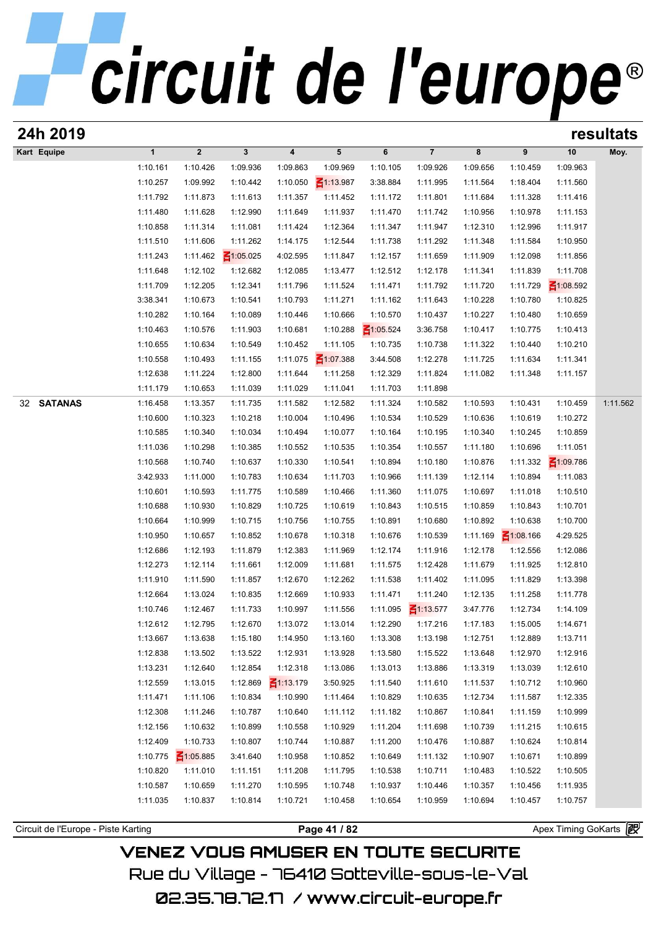|                      |              |                     |                 |                 |                 |                 |                 |          |                 |                 | resultats |
|----------------------|--------------|---------------------|-----------------|-----------------|-----------------|-----------------|-----------------|----------|-----------------|-----------------|-----------|
| Kart Equipe          | $\mathbf{1}$ | $\mathbf 2$         | $\mathbf{3}$    | 4               | 5               | 6               | $\overline{7}$  | 8        | 9               | 10              | Moy.      |
|                      | 1:10.161     | 1:10.426            | 1:09.936        | 1:09.863        | 1:09.969        | 1:10.105        | 1:09.926        | 1:09.656 | 1:10.459        | 1:09.963        |           |
|                      | 1:10.257     | 1:09.992            | 1:10.442        | 1:10.050        | $\leq 1:13.987$ | 3:38.884        | 1:11.995        | 1:11.564 | 1:18.404        | 1:11.560        |           |
|                      | 1:11.792     | 1:11.873            | 1:11.613        | 1:11.357        | 1:11.452        | 1:11.172        | 1:11.801        | 1:11.684 | 1:11.328        | 1:11.416        |           |
|                      | 1:11.480     | 1:11.628            | 1:12.990        | 1:11.649        | 1:11.937        | 1:11.470        | 1:11.742        | 1:10.956 | 1:10.978        | 1:11.153        |           |
|                      | 1:10.858     | 1:11.314            | 1:11.081        | 1:11.424        | 1:12.364        | 1:11.347        | 1:11.947        | 1:12.310 | 1:12.996        | 1:11.917        |           |
|                      | 1:11.510     | 1:11.606            | 1:11.262        | 1:14.175        | 1:12.544        | 1:11.738        | 1:11.292        | 1:11.348 | 1:11.584        | 1:10.950        |           |
|                      | 1:11.243     | 1:11.462            | $\leq 1:05.025$ | 4:02.595        | 1:11.847        | 1:12.157        | 1:11.659        | 1:11.909 | 1:12.098        | 1:11.856        |           |
|                      | 1:11.648     | 1:12.102            | 1:12.682        | 1:12.085        | 1:13.477        | 1:12.512        | 1:12.178        | 1:11.341 | 1:11.839        | 1:11.708        |           |
|                      | 1:11.709     | 1:12.205            | 1:12.341        | 1:11.796        | 1:11.524        | 1:11.471        | 1:11.792        | 1:11.720 | 1:11.729        | $\leq 1:08.592$ |           |
|                      | 3:38.341     | 1:10.673            | 1:10.541        | 1:10.793        | 1:11.271        | 1:11.162        | 1:11.643        | 1:10.228 | 1:10.780        | 1:10.825        |           |
|                      | 1:10.282     | 1:10.164            | 1:10.089        | 1:10.446        | 1:10.666        | 1:10.570        | 1:10.437        | 1:10.227 | 1:10.480        | 1:10.659        |           |
|                      | 1:10.463     | 1:10.576            | 1:11.903        | 1:10.681        | 1:10.288        | $\leq 1:05.524$ | 3:36.758        | 1:10.417 | 1:10.775        | 1:10.413        |           |
|                      | 1:10.655     | 1:10.634            | 1:10.549        | 1:10.452        | 1:11.105        | 1:10.735        | 1:10.738        | 1:11.322 | 1:10.440        | 1:10.210        |           |
|                      | 1:10.558     | 1:10.493            | 1:11.155        | 1:11.075        | $\leq 1:07.388$ | 3:44.508        | 1:12.278        | 1:11.725 | 1:11.634        | 1:11.341        |           |
|                      | 1:12.638     | 1:11.224            | 1:12.800        | 1:11.644        | 1:11.258        | 1:12.329        | 1:11.824        | 1:11.082 | 1:11.348        | 1:11.157        |           |
|                      | 1:11.179     | 1:10.653            | 1:11.039        | 1:11.029        | 1:11.041        | 1:11.703        | 1:11.898        |          |                 |                 |           |
| <b>SATANAS</b><br>32 | 1:16.458     | 1:13.357            | 1:11.735        | 1:11.582        | 1:12.582        | 1:11.324        | 1:10.582        | 1:10.593 | 1:10.431        | 1:10.459        | 1:11.562  |
|                      | 1:10.600     | 1:10.323            | 1:10.218        | 1:10.004        | 1:10.496        | 1:10.534        | 1:10.529        | 1:10.636 | 1:10.619        | 1:10.272        |           |
|                      | 1:10.585     | 1:10.340            | 1:10.034        | 1:10.494        | 1:10.077        | 1:10.164        | 1:10.195        | 1:10.340 | 1:10.245        | 1:10.859        |           |
|                      | 1:11.036     | 1:10.298            | 1:10.385        | 1:10.552        | 1:10.535        | 1:10.354        | 1:10.557        | 1:11.180 | 1:10.696        | 1:11.051        |           |
|                      | 1:10.568     | 1:10.740            | 1:10.637        | 1:10.330        | 1:10.541        | 1:10.894        | 1:10.180        | 1:10.876 | 1:11.332        | $\leq 1:09.786$ |           |
|                      | 3:42.933     | 1:11.000            | 1:10.783        | 1:10.634        | 1:11.703        | 1:10.966        | 1:11.139        | 1:12.114 | 1:10.894        | 1:11.083        |           |
|                      | 1:10.601     | 1:10.593            | 1:11.775        | 1:10.589        | 1:10.466        | 1:11.360        | 1:11.075        | 1:10.697 | 1:11.018        | 1:10.510        |           |
|                      | 1:10.688     | 1:10.930            | 1:10.829        | 1:10.725        | 1:10.619        | 1:10.843        | 1:10.515        | 1:10.859 | 1:10.843        | 1:10.701        |           |
|                      | 1:10.664     | 1:10.999            | 1:10.715        | 1:10.756        | 1:10.755        | 1:10.891        | 1:10.680        | 1:10.892 | 1:10.638        | 1:10.700        |           |
|                      | 1:10.950     | 1:10.657            | 1:10.852        | 1:10.678        | 1:10.318        | 1:10.676        | 1:10.539        | 1:11.169 | $\leq 1:08.166$ | 4:29.525        |           |
|                      | 1:12.686     | 1:12.193            | 1:11.879        | 1:12.383        | 1:11.969        | 1:12.174        | 1:11.916        | 1:12.178 | 1:12.556        | 1:12.086        |           |
|                      | 1:12.273     | 1:12.114            | 1:11.661        | 1:12.009        | 1:11.681        | 1:11.575        | 1:12.428        | 1:11.679 | 1:11.925        | 1:12.810        |           |
|                      | 1:11.910     | 1:11.590            | 1:11.857        | 1:12.670        | 1:12.262        | 1:11.538        | 1:11.402        | 1:11.095 | 1:11.829        | 1:13.398        |           |
|                      | 1:12.664     | 1:13.024            | 1:10.835        | 1:12.669        | 1:10.933        | 1:11.471        | 1:11.240        | 1:12.135 | 1:11.258        | 1:11.778        |           |
|                      | 1:10.746     | 1:12.467            | 1:11.733        | 1:10.997        | 1:11.556        | 1:11.095        | $\leq 1:13.577$ | 3:47.776 | 1:12.734        | 1:14.109        |           |
|                      | 1:12.612     | 1:12.795            | 1:12.670        | 1:13.072        | 1:13.014        | 1:12.290        | 1:17.216        | 1:17.183 | 1:15.005        | 1:14.671        |           |
|                      | 1:13.667     | 1:13.638            | 1:15.180        | 1:14.950        | 1:13.160        | 1:13.308        | 1:13.198        | 1:12.751 | 1:12.889        | 1:13.711        |           |
|                      | 1:12.838     | 1:13.502            | 1:13.522        | 1:12.931        | 1:13.928        | 1:13.580        | 1:15.522        | 1:13.648 | 1:12.970        | 1:12.916        |           |
|                      | 1:13.231     | 1:12.640            | 1:12.854        | 1:12.318        | 1:13.086        | 1:13.013        | 1:13.886        | 1:13.319 | 1:13.039        | 1:12.610        |           |
|                      | 1:12.559     | 1:13.015            | 1:12.869        | $\leq$ 1:13.179 | 3:50.925        | 1:11.540        | 1:11.610        | 1:11.537 | 1:10.712        | 1:10.960        |           |
|                      | 1:11.471     | 1:11.106            | 1:10.834        | 1:10.990        | 1:11.464        | 1:10.829        | 1:10.635        | 1:12.734 | 1:11.587        | 1:12.335        |           |
|                      | 1:12.308     | 1:11.246            | 1:10.787        | 1:10.640        | 1:11.112        | 1:11.182        | 1:10.867        | 1:10.841 | 1:11.159        | 1:10.999        |           |
|                      | 1:12.156     | 1:10.632            | 1:10.899        | 1:10.558        | 1:10.929        | 1:11.204        | 1:11.698        | 1:10.739 | 1:11.215        | 1:10.615        |           |
|                      | 1:12.409     | 1:10.733            | 1:10.807        | 1:10.744        | 1:10.887        | 1:11.200        | 1:10.476        | 1:10.887 | 1:10.624        | 1:10.814        |           |
|                      | 1:10.775     | $\frac{2}{105.885}$ | 3:41.640        | 1:10.958        | 1:10.852        | 1:10.649        | 1:11.132        | 1:10.907 | 1:10.671        | 1:10.899        |           |
|                      | 1:10.820     | 1:11.010            | 1:11.151        | 1:11.208        | 1:11.795        | 1:10.538        | 1:10.711        | 1:10.483 | 1:10.522        | 1:10.505        |           |
|                      | 1:10.587     | 1:10.659            | 1:11.270        | 1:10.595        | 1:10.748        | 1:10.937        | 1:10.446        | 1:10.357 | 1:10.456        | 1:11.935        |           |
|                      | 1:11.035     | 1:10.837            | 1:10.814        | 1:10.721        | 1:10.458        | 1:10.654        | 1:10.959        | 1:10.694 | 1:10.457        | 1:10.757        |           |
|                      |              |                     |                 |                 |                 |                 |                 |          |                 |                 |           |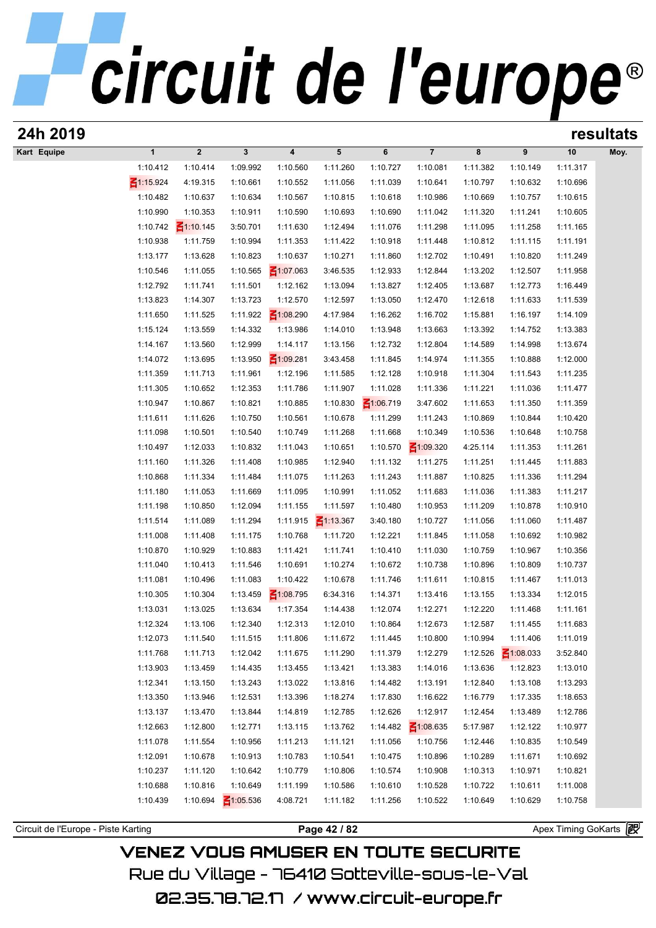| 24h 2019                            |                      |                         |                      |                         |                      |                      |                      |                      |                             |                       | resultats |
|-------------------------------------|----------------------|-------------------------|----------------------|-------------------------|----------------------|----------------------|----------------------|----------------------|-----------------------------|-----------------------|-----------|
| Kart Equipe                         | $\mathbf{1}$         | $\overline{\mathbf{2}}$ | 3                    | $\overline{\mathbf{4}}$ | 5                    | 6                    | $\overline{7}$       | 8                    | 9                           | 10                    | Moy.      |
|                                     | 1:10.412             | 1:10.414                | 1:09.992             | 1:10.560                | 1:11.260             | 1:10.727             | 1:10.081             | 1:11.382             | 1:10.149                    | 1:11.317              |           |
|                                     | 31:15.924            | 4:19.315                | 1:10.661             | 1:10.552                | 1:11.056             | 1:11.039             | 1:10.641             | 1:10.797             | 1:10.632                    | 1:10.696              |           |
|                                     | 1:10.482             | 1:10.637                | 1:10.634             | 1:10.567                | 1:10.815             | 1:10.618             | 1:10.986             | 1:10.669             | 1:10.757                    | 1:10.615              |           |
|                                     | 1:10.990             | 1:10.353                | 1:10.911             | 1:10.590                | 1:10.693             | 1:10.690             | 1:11.042             | 1:11.320             | 1:11.241                    | 1:10.605              |           |
|                                     | 1:10.742             | $\leq 1:10.145$         | 3:50.701             | 1:11.630                | 1:12.494             | 1:11.076             | 1:11.298             | 1:11.095             | 1:11.258                    | 1:11.165              |           |
|                                     | 1:10.938             | 1:11.759                | 1:10.994             | 1:11.353                | 1:11.422             | 1:10.918             | 1:11.448             | 1:10.812             | 1:11.115                    | 1:11.191              |           |
|                                     | 1:13.177             | 1:13.628                | 1:10.823             | 1:10.637                | 1:10.271             | 1:11.860             | 1:12.702             | 1:10.491             | 1:10.820                    | 1:11.249              |           |
|                                     | 1:10.546             | 1:11.055                | 1:10.565             | $\leq 1:07.063$         | 3:46.535             | 1:12.933             | 1:12.844             | 1:13.202             | 1:12.507                    | 1:11.958              |           |
|                                     | 1:12.792             | 1:11.741                | 1:11.501             | 1:12.162                | 1:13.094             | 1:13.827             | 1:12.405             | 1:13.687             | 1:12.773                    | 1:16.449              |           |
|                                     | 1:13.823             | 1:14.307                | 1:13.723             | 1:12.570                | 1:12.597             | 1:13.050             | 1:12.470             | 1:12.618             | 1:11.633                    | 1:11.539              |           |
|                                     | 1:11.650             | 1:11.525                | 1:11.922             | $\leq 1:08.290$         | 4:17.984             | 1:16.262             | 1:16.702             | 1:15.881             | 1:16.197                    | 1:14.109              |           |
|                                     | 1:15.124             | 1:13.559                | 1:14.332             | 1:13.986                | 1:14.010             | 1:13.948             | 1:13.663             | 1:13.392             | 1:14.752                    | 1:13.383              |           |
|                                     | 1:14.167             | 1:13.560                | 1:12.999             | 1:14.117                | 1:13.156             | 1:12.732             | 1:12.804             | 1:14.589             | 1:14.998                    | 1:13.674              |           |
|                                     | 1:14.072             | 1:13.695                | 1:13.950             | $\leq 1:09.281$         | 3:43.458             | 1:11.845             | 1:14.974             | 1:11.355             | 1:10.888                    | 1:12.000              |           |
|                                     | 1:11.359             | 1:11.713                | 1:11.961             | 1:12.196                | 1:11.585             | 1:12.128             | 1:10.918             | 1:11.304             | 1:11.543                    | 1:11.235              |           |
|                                     | 1:11.305             | 1:10.652                | 1:12.353             | 1:11.786                | 1:11.907             | 1:11.028             | 1:11.336             | 1:11.221             | 1:11.036                    | 1:11.477              |           |
|                                     | 1:10.947             | 1:10.867                | 1:10.821             | 1:10.885                | 1:10.830             | $\leq 1:06.719$      | 3:47.602             | 1:11.653             | 1:11.350                    | 1:11.359              |           |
|                                     | 1:11.611             | 1:11.626                | 1:10.750             | 1:10.561                | 1:10.678             | 1:11.299             | 1:11.243             | 1:10.869             | 1:10.844                    | 1:10.420              |           |
|                                     | 1:11.098             | 1:10.501                | 1:10.540             | 1:10.749                | 1:11.268             | 1:11.668             | 1:10.349             | 1:10.536             | 1:10.648                    | 1:10.758              |           |
|                                     | 1:10.497             | 1:12.033                | 1:10.832             | 1:11.043                | 1:10.651             | 1:10.570             | $\leq 1:09.320$      | 4:25.114             | 1:11.353                    | 1:11.261              |           |
|                                     | 1:11.160             | 1:11.326                | 1:11.408             | 1:10.985                | 1:12.940             | 1:11.132             | 1:11.275             | 1:11.251             | 1:11.445                    | 1:11.883              |           |
|                                     | 1:10.868             | 1:11.334                | 1:11.484             | 1:11.075                | 1:11.263             | 1:11.243             | 1:11.887             | 1:10.825             | 1:11.336                    | 1:11.294              |           |
|                                     | 1:11.180             | 1:11.053                | 1:11.669             | 1:11.095                | 1:10.991             | 1:11.052             | 1:11.683             | 1:11.036             | 1:11.383                    | 1:11.217              |           |
|                                     | 1:11.198             | 1:10.850                | 1:12.094             | 1:11.155                | 1:11.597             | 1:10.480             | 1:10.953             | 1:11.209             | 1:10.878                    | 1:10.910              |           |
|                                     | 1:11.514             | 1:11.089                | 1:11.294             | 1:11.915                | $\leq 1:13.367$      | 3:40.180             | 1:10.727             | 1:11.056             | 1:11.060                    | 1:11.487              |           |
|                                     | 1:11.008             | 1:11.408                | 1:11.175             | 1:10.768                | 1:11.720             | 1:12.221             | 1:11.845             | 1:11.058             | 1:10.692                    | 1:10.982              |           |
|                                     | 1:10.870             | 1:10.929                | 1:10.883             | 1:11.421                | 1:11.741             | 1:10.410             | 1:11.030             | 1:10.759             | 1:10.967                    | 1:10.356              |           |
|                                     | 1:11.040             | 1:10.413                | 1:11.546             | 1:10.691                | 1:10.274             | 1:10.672             | 1:10.738             | 1:10.896             | 1:10.809                    | 1:10.737              |           |
|                                     | 1:11.081             | 1:10.496                | 1:11.083             | 1:10.422                | 1:10.678             | 1:11.746             | 1:11.611             | 1:10.815             | 1:11.467                    | 1:11.013              |           |
|                                     | 1:10.305             | 1:10.304                | 1:13.459             | $\leq 1:08.795$         | 6:34.316             | 1:14.371             | 1:13.416             | 1:13.155             | 1:13.334                    | 1:12.015              |           |
|                                     | 1:13.031             | 1:13.025                | 1:13.634             | 1:17.354                | 1:14.438             | 1:12.074             | 1:12.271             | 1:12.220             | 1:11.468                    | 1:11.161              |           |
|                                     | 1:12.324             | 1:13.106                | 1:12.340             | 1:12.313<br>1:11.806    | 1:12.010             | 1:10.864             | 1:12.673             | 1:12.587             | 1:11.455                    | 1:11.683              |           |
|                                     | 1:12.073<br>1:11.768 | 1:11.540<br>1:11.713    | 1:11.515<br>1:12.042 | 1:11.675                | 1:11.672<br>1:11.290 | 1:11.445<br>1:11.379 | 1:10.800<br>1:12.279 | 1:10.994<br>1:12.526 | 1:11.406<br>$\leq 1:08.033$ | 1:11.019<br>3:52.840  |           |
|                                     | 1:13.903             | 1:13.459                | 1:14.435             | 1:13.455                | 1:13.421             | 1:13.383             | 1:14.016             | 1:13.636             | 1:12.823                    | 1:13.010              |           |
|                                     | 1:12.341             | 1:13.150                | 1:13.243             | 1:13.022                | 1:13.816             | 1:14.482             | 1:13.191             | 1:12.840             | 1:13.108                    | 1:13.293              |           |
|                                     | 1:13.350             | 1:13.946                | 1:12.531             | 1:13.396                | 1:18.274             | 1:17.830             | 1:16.622             | 1:16.779             | 1:17.335                    | 1:18.653              |           |
|                                     | 1:13.137             | 1:13.470                | 1:13.844             | 1:14.819                | 1:12.785             | 1:12.626             | 1:12.917             | 1:12.454             | 1:13.489                    | 1:12.786              |           |
|                                     | 1:12.663             | 1:12.800                | 1:12.771             | 1:13.115                | 1:13.762             | 1:14.482             | $\leq 1:08.635$      | 5:17.987             | 1:12.122                    | 1:10.977              |           |
|                                     | 1:11.078             | 1:11.554                | 1:10.956             | 1:11.213                | 1:11.121             | 1:11.056             | 1:10.756             | 1:12.446             | 1:10.835                    | 1:10.549              |           |
|                                     | 1:12.091             | 1:10.678                | 1:10.913             | 1:10.783                | 1:10.541             | 1:10.475             | 1:10.896             | 1:10.289             | 1:11.671                    | 1:10.692              |           |
|                                     | 1:10.237             | 1:11.120                | 1:10.642             | 1:10.779                | 1:10.806             | 1:10.574             | 1:10.908             | 1:10.313             | 1:10.971                    | 1:10.821              |           |
|                                     | 1:10.688             | 1:10.816                | 1:10.649             | 1:11.199                | 1:10.586             | 1:10.610             | 1:10.528             | 1:10.722             | 1:10.611                    | 1:11.008              |           |
|                                     | 1:10.439             | 1:10.694                | $\leq 1:05.536$      | 4:08.721                | 1:11.182             | 1:11.256             | 1:10.522             | 1:10.649             | 1:10.629                    | 1:10.758              |           |
|                                     |                      |                         |                      |                         |                      |                      |                      |                      |                             |                       |           |
| Circuit de l'Europe - Piste Karting |                      |                         |                      |                         | Page 42 / 82         |                      |                      |                      |                             | Apex Timing GoKarts 图 |           |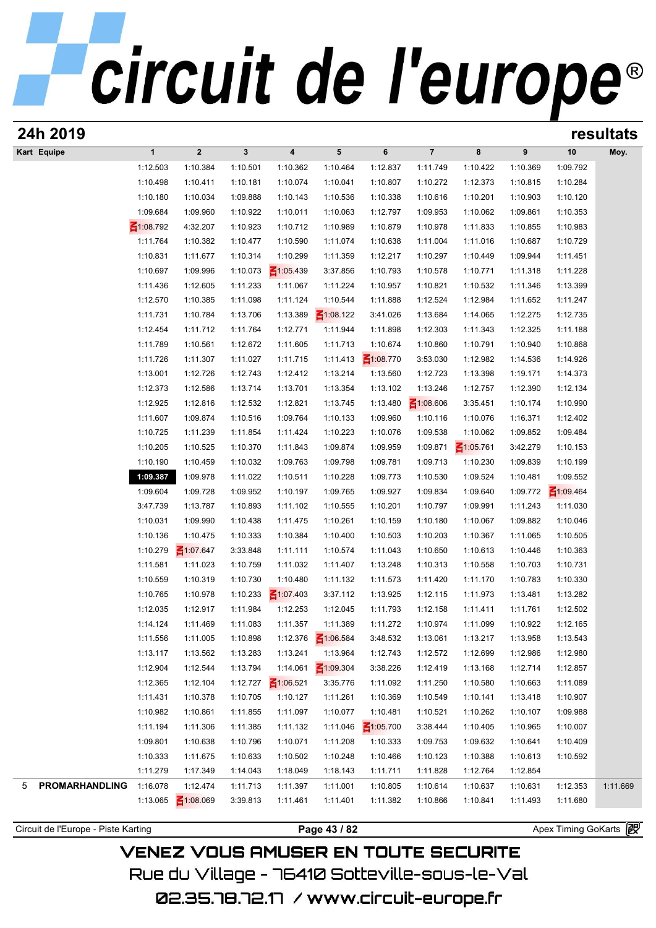# circuit de l'europe<sup>®</sup>

| 24h 2019                   |                 |                 |          |                         |                 |                 |                 |                 |          |                 | resultats |
|----------------------------|-----------------|-----------------|----------|-------------------------|-----------------|-----------------|-----------------|-----------------|----------|-----------------|-----------|
| Kart Equipe                | $\mathbf{1}$    | $\mathbf{2}$    | 3        | $\overline{\mathbf{4}}$ | 5               | 6               | $\overline{7}$  | 8               | 9        | 10              | Moy.      |
|                            | 1:12.503        | 1:10.384        | 1:10.501 | 1:10.362                | 1:10.464        | 1:12.837        | 1:11.749        | 1:10.422        | 1:10.369 | 1:09.792        |           |
|                            | 1:10.498        | 1:10.411        | 1:10.181 | 1:10.074                | 1:10.041        | 1:10.807        | 1:10.272        | 1:12.373        | 1:10.815 | 1:10.284        |           |
|                            | 1:10.180        | 1:10.034        | 1:09.888 | 1:10.143                | 1:10.536        | 1:10.338        | 1:10.616        | 1:10.201        | 1:10.903 | 1:10.120        |           |
|                            | 1:09.684        | 1:09.960        | 1:10.922 | 1:10.011                | 1:10.063        | 1:12.797        | 1:09.953        | 1:10.062        | 1:09.861 | 1:10.353        |           |
|                            | $\leq 1:08.792$ | 4:32.207        | 1:10.923 | 1:10.712                | 1:10.989        | 1:10.879        | 1:10.978        | 1:11.833        | 1:10.855 | 1:10.983        |           |
|                            | 1:11.764        | 1:10.382        | 1:10.477 | 1:10.590                | 1:11.074        | 1:10.638        | 1:11.004        | 1:11.016        | 1:10.687 | 1:10.729        |           |
|                            | 1:10.831        | 1:11.677        | 1:10.314 | 1:10.299                | 1:11.359        | 1:12.217        | 1:10.297        | 1:10.449        | 1:09.944 | 1:11.451        |           |
|                            | 1:10.697        | 1:09.996        | 1:10.073 | $\leq 1:05.439$         | 3:37.856        | 1:10.793        | 1:10.578        | 1:10.771        | 1:11.318 | 1:11.228        |           |
|                            | 1:11.436        | 1:12.605        | 1:11.233 | 1:11.067                | 1:11.224        | 1:10.957        | 1:10.821        | 1:10.532        | 1:11.346 | 1:13.399        |           |
|                            | 1:12.570        | 1:10.385        | 1:11.098 | 1:11.124                | 1:10.544        | 1:11.888        | 1:12.524        | 1:12.984        | 1:11.652 | 1:11.247        |           |
|                            | 1:11.731        | 1:10.784        | 1:13.706 | 1:13.389                | $\leq 1:08.122$ | 3:41.026        | 1:13.684        | 1:14.065        | 1:12.275 | 1:12.735        |           |
|                            | 1:12.454        | 1:11.712        | 1:11.764 | 1:12.771                | 1:11.944        | 1:11.898        | 1:12.303        | 1:11.343        | 1:12.325 | 1:11.188        |           |
|                            | 1:11.789        | 1:10.561        | 1:12.672 | 1:11.605                | 1:11.713        | 1:10.674        | 1:10.860        | 1:10.791        | 1:10.940 | 1:10.868        |           |
|                            | 1:11.726        | 1:11.307        | 1:11.027 | 1:11.715                | 1:11.413        | $\leq 1:08.770$ | 3:53.030        | 1:12.982        | 1:14.536 | 1:14.926        |           |
|                            | 1:13.001        | 1:12.726        | 1:12.743 | 1:12.412                | 1:13.214        | 1:13.560        | 1:12.723        | 1:13.398        | 1:19.171 | 1:14.373        |           |
|                            | 1:12.373        | 1:12.586        | 1:13.714 | 1:13.701                | 1:13.354        | 1:13.102        | 1:13.246        | 1:12.757        | 1:12.390 | 1:12.134        |           |
|                            | 1:12.925        | 1:12.816        | 1:12.532 | 1:12.821                | 1:13.745        | 1:13.480        | $\leq 1:08.606$ | 3:35.451        | 1:10.174 | 1:10.990        |           |
|                            | 1:11.607        | 1:09.874        | 1:10.516 | 1:09.764                | 1:10.133        | 1:09.960        | 1:10.116        | 1:10.076        | 1:16.371 | 1:12.402        |           |
|                            | 1:10.725        | 1:11.239        | 1:11.854 | 1:11.424                | 1:10.223        | 1:10.076        | 1:09.538        | 1:10.062        | 1:09.852 | 1:09.484        |           |
|                            | 1:10.205        | 1:10.525        | 1:10.370 | 1:11.843                | 1:09.874        | 1:09.959        | 1:09.871        | $\leq 1:05.761$ | 3:42.279 | 1:10.153        |           |
|                            | 1:10.190        | 1:10.459        | 1:10.032 | 1:09.763                | 1:09.798        | 1:09.781        | 1:09.713        | 1:10.230        | 1:09.839 | 1:10.199        |           |
|                            | 1:09.387        | 1:09.978        | 1:11.022 | 1:10.511                | 1:10.228        | 1:09.773        | 1:10.530        | 1:09.524        | 1:10.481 | 1:09.552        |           |
|                            | 1:09.604        | 1:09.728        | 1:09.952 | 1:10.197                | 1:09.765        | 1:09.927        | 1:09.834        | 1:09.640        | 1:09.772 | $\leq 1:09.464$ |           |
|                            | 3:47.739        | 1:13.787        | 1:10.893 | 1:11.102                | 1:10.555        | 1:10.201        | 1:10.797        | 1:09.991        | 1:11.243 | 1:11.030        |           |
|                            | 1:10.031        | 1:09.990        | 1:10.438 | 1:11.475                | 1:10.261        | 1:10.159        | 1:10.180        | 1:10.067        | 1:09.882 | 1:10.046        |           |
|                            | 1:10.136        | 1:10.475        | 1:10.333 | 1:10.384                | 1:10.400        | 1:10.503        | 1:10.203        | 1:10.367        | 1:11.065 | 1:10.505        |           |
|                            | 1:10.279        | $\leq 1:07.647$ | 3:33.848 | 1:11.111                | 1:10.574        | 1:11.043        | 1:10.650        | 1:10.613        | 1:10.446 | 1:10.363        |           |
|                            | 1:11.581        | 1:11.023        | 1:10.759 | 1:11.032                | 1:11.407        | 1:13.248        | 1:10.313        | 1:10.558        | 1:10.703 | 1:10.731        |           |
|                            | 1:10.559        | 1:10.319        | 1:10.730 | 1:10.480                | 1:11.132        | 1:11.573        | 1:11.420        | 1:11.170        | 1:10.783 | 1:10.330        |           |
|                            | 1:10.765        | 1:10.978        | 1:10.233 | $\leq 1:07.403$         | 3:37.112        | 1:13.925        | 1:12.115        | 1:11.973        | 1:13.481 | 1:13.282        |           |
|                            | 1:12.035        | 1:12.917        | 1:11.984 | 1:12.253                | 1:12.045        | 1:11.793        | 1:12.158        | 1:11.411        | 1:11.761 | 1:12.502        |           |
|                            | 1:14.124        | 1:11.469        | 1:11.083 | 1:11.357                | 1:11.389        | 1:11.272        | 1:10.974        | 1:11.099        | 1:10.922 | 1:12.165        |           |
|                            | 1:11.556        | 1:11.005        | 1:10.898 | 1:12.376                | $\leq 1:06.584$ | 3:48.532        | 1:13.061        | 1:13.217        | 1:13.958 | 1:13.543        |           |
|                            | 1:13.117        | 1:13.562        | 1:13.283 | 1:13.241                | 1:13.964        | 1:12.743        | 1:12.572        | 1:12.699        | 1:12.986 | 1:12.980        |           |
|                            | 1:12.904        | 1:12.544        | 1:13.794 | 1:14.061                | $\leq 1:09.304$ | 3:38.226        | 1:12.419        | 1:13.168        | 1:12.714 | 1:12.857        |           |
|                            | 1:12.365        | 1:12.104        | 1:12.727 | $\leq 1:06.521$         | 3:35.776        | 1:11.092        | 1:11.250        | 1:10.580        | 1:10.663 | 1:11.089        |           |
|                            | 1:11.431        | 1:10.378        | 1:10.705 | 1:10.127                | 1:11.261        | 1:10.369        | 1:10.549        | 1:10.141        | 1:13.418 | 1:10.907        |           |
|                            | 1:10.982        | 1:10.861        | 1:11.855 | 1:11.097                | 1:10.077        | 1:10.481        | 1:10.521        | 1:10.262        | 1:10.107 | 1:09.988        |           |
|                            | 1:11.194        | 1:11.306        | 1:11.385 | 1:11.132                | 1:11.046        | $\leq 1:05.700$ | 3:38.444        | 1:10.405        | 1:10.965 | 1:10.007        |           |
|                            | 1:09.801        | 1:10.638        | 1:10.796 | 1:10.071                | 1:11.208        | 1:10.333        | 1:09.753        | 1:09.632        | 1:10.641 | 1:10.409        |           |
|                            | 1:10.333        | 1:11.675        | 1:10.633 | 1:10.502                | 1:10.248        | 1:10.466        | 1:10.123        | 1:10.388        | 1:10.613 | 1:10.592        |           |
|                            | 1:11.279        | 1:17.349        | 1:14.043 | 1:18.049                | 1:18.143        | 1:11.711        | 1:11.828        | 1:12.764        | 1:12.854 |                 |           |
| <b>PROMARHANDLING</b><br>5 | 1:16.078        | 1:12.474        | 1:11.713 | 1:11.397                | 1:11.001        | 1:10.805        | 1:10.614        | 1:10.637        | 1:10.631 | 1:12.353        | 1:11.669  |
|                            |                 | $\leq 1:08.069$ | 3:39.813 | 1:11.461                | 1:11.401        | 1:11.382        | 1:10.866        | 1:10.841        | 1:11.493 | 1:11.680        |           |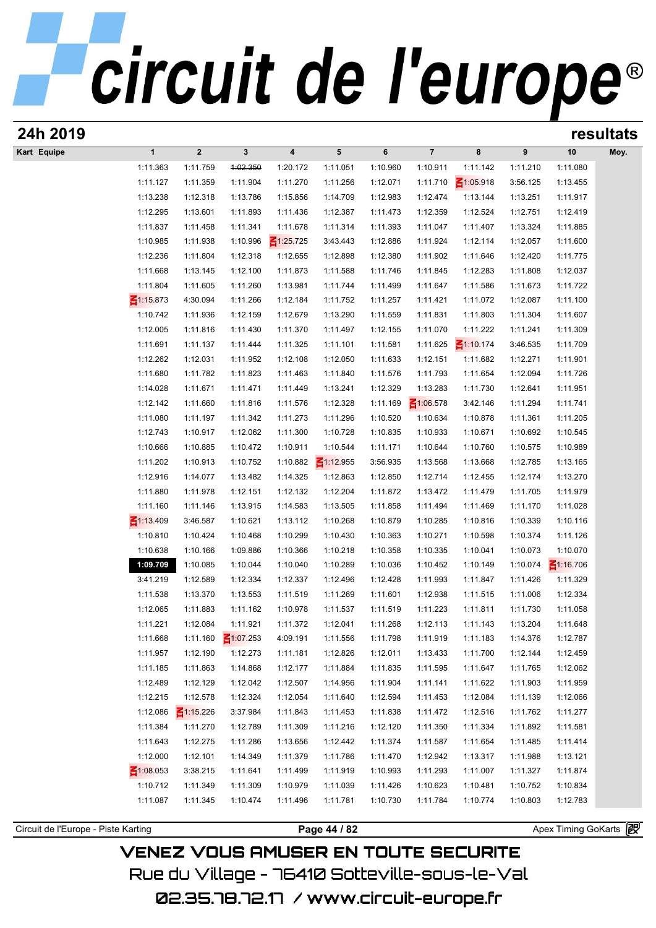# circuit de l'europe<sup>®</sup>

| 24h 2019                            |                 |                 |                 |                 |                 |                      |                 |                 |          |                     | resultats |
|-------------------------------------|-----------------|-----------------|-----------------|-----------------|-----------------|----------------------|-----------------|-----------------|----------|---------------------|-----------|
| Kart Equipe                         | $\mathbf{1}$    | $\mathbf{2}$    | $\mathbf{3}$    | 4               | $5\phantom{.0}$ | 6                    | $\overline{7}$  | 8               | 9        | 10                  | Moy.      |
|                                     | 1:11.363        | 1:11.759        | 1:02.350        | 1:20.172        | 1:11.051        | 1:10.960             | 1:10.911        | 1:11.142        | 1:11.210 | 1:11.080            |           |
|                                     | 1:11.127        | 1:11.359        | 1:11.904        | 1:11.270        | 1:11.256        | 1:12.071             | 1:11.710        | $\leq 1:05.918$ | 3:56.125 | 1:13.455            |           |
|                                     | 1:13.238        | 1:12.318        | 1:13.786        | 1:15.856        | 1:14.709        | 1:12.983             | 1:12.474        | 1:13.144        | 1:13.251 | 1:11.917            |           |
|                                     | 1:12.295        | 1:13.601        | 1:11.893        | 1:11.436        | 1:12.387        | 1:11.473             | 1:12.359        | 1:12.524        | 1:12.751 | 1:12.419            |           |
|                                     | 1:11.837        | 1:11.458        | 1:11.341        | 1:11.678        | 1:11.314        | 1:11.393             | 1:11.047        | 1:11.407        | 1:13.324 | 1:11.885            |           |
|                                     | 1:10.985        | 1:11.938        | 1:10.996        | $\leq 1:25.725$ | 3:43.443        | 1:12.886             | 1:11.924        | 1:12.114        | 1:12.057 | 1:11.600            |           |
|                                     | 1:12.236        | 1:11.804        | 1:12.318        | 1:12.655        | 1:12.898        | 1:12.380             | 1:11.902        | 1:11.646        | 1:12.420 | 1:11.775            |           |
|                                     | 1:11.668        | 1:13.145        | 1:12.100        | 1:11.873        | 1:11.588        | 1:11.746             | 1:11.845        | 1:12.283        | 1:11.808 | 1:12.037            |           |
|                                     | 1:11.804        | 1:11.605        | 1:11.260        | 1:13.981        | 1:11.744        | 1:11.499             | 1:11.647        | 1:11.586        | 1:11.673 | 1:11.722            |           |
|                                     | $\leq 1:15.873$ | 4:30.094        | 1:11.266        | 1:12.184        | 1:11.752        | 1:11.257             | 1:11.421        | 1:11.072        | 1:12.087 | 1:11.100            |           |
|                                     | 1:10.742        | 1:11.936        | 1:12.159        | 1:12.679        | 1:13.290        | 1:11.559             | 1:11.831        | 1:11.803        | 1:11.304 | 1:11.607            |           |
|                                     | 1:12.005        | 1:11.816        | 1:11.430        | 1:11.370        | 1:11.497        | 1:12.155             | 1:11.070        | 1:11.222        | 1:11.241 | 1:11.309            |           |
|                                     | 1:11.691        | 1:11.137        | 1:11.444        | 1:11.325        | 1:11.101        | 1:11.581             | 1:11.625        | $\leq 1:10.174$ | 3:46.535 | 1:11.709            |           |
|                                     | 1:12.262        | 1:12.031        | 1:11.952        | 1:12.108        | 1:12.050        | 1:11.633             | 1:12.151        | 1:11.682        | 1:12.271 | 1:11.901            |           |
|                                     | 1:11.680        | 1:11.782        | 1:11.823        |                 |                 |                      | 1:11.793        | 1:11.654        | 1:12.094 | 1:11.726            |           |
|                                     | 1:14.028        | 1:11.671        |                 | 1:11.463        | 1:11.840        | 1:11.576<br>1:12.329 |                 |                 |          |                     |           |
|                                     |                 |                 | 1:11.471        | 1:11.449        | 1:13.241        |                      | 1:13.283        | 1:11.730        | 1:12.641 | 1:11.951            |           |
|                                     | 1:12.142        | 1:11.660        | 1:11.816        | 1:11.576        | 1:12.328        | 1:11.169             | $\leq 1:06.578$ | 3:42.146        | 1:11.294 | 1:11.741            |           |
|                                     | 1:11.080        | 1:11.197        | 1:11.342        | 1:11.273        | 1:11.296        | 1:10.520             | 1:10.634        | 1:10.878        | 1:11.361 | 1:11.205            |           |
|                                     | 1:12.743        | 1:10.917        | 1:12.062        | 1:11.300        | 1:10.728        | 1:10.835             | 1:10.933        | 1:10.671        | 1:10.692 | 1:10.545            |           |
|                                     | 1:10.666        | 1:10.885        | 1:10.472        | 1:10.911        | 1:10.544        | 1:11.171             | 1:10.644        | 1:10.760        | 1:10.575 | 1:10.989            |           |
|                                     | 1:11.202        | 1:10.913        | 1:10.752        | 1:10.882        | $\leq 1:12.955$ | 3:56.935             | 1:13.568        | 1:13.668        | 1:12.785 | 1:13.165            |           |
|                                     | 1:12.916        | 1:14.077        | 1:13.482        | 1:14.325        | 1:12.863        | 1:12.850             | 1:12.714        | 1:12.455        | 1:12.174 | 1:13.270            |           |
|                                     | 1:11.880        | 1:11.978        | 1:12.151        | 1:12.132        | 1:12.204        | 1:11.872             | 1:13.472        | 1:11.479        | 1:11.705 | 1:11.979            |           |
|                                     | 1:11.160        | 1:11.146        | 1:13.915        | 1:14.583        | 1:13.505        | 1:11.858             | 1:11.494        | 1:11.469        | 1:11.170 | 1:11.028            |           |
|                                     | $\leq 1:13.409$ | 3:46.587        | 1:10.621        | 1:13.112        | 1:10.268        | 1:10.879             | 1:10.285        | 1:10.816        | 1:10.339 | 1:10.116            |           |
|                                     | 1:10.810        | 1:10.424        | 1:10.468        | 1:10.299        | 1:10.430        | 1:10.363             | 1:10.271        | 1:10.598        | 1:10.374 | 1:11.126            |           |
|                                     | 1:10.638        | 1:10.166        | 1:09.886        | 1:10.366        | 1:10.218        | 1:10.358             | 1:10.335        | 1:10.041        | 1:10.073 | 1:10.070            |           |
|                                     | 1:09.709        | 1:10.085        | 1:10.044        | 1:10.040        | 1:10.289        | 1:10.036             | 1:10.452        | 1:10.149        | 1:10.074 | $\leq 1:16.706$     |           |
|                                     | 3:41.219        | 1:12.589        | 1:12.334        | 1:12.337        | 1:12.496        | 1:12.428             | 1:11.993        | 1:11.847        | 1:11.426 | 1:11.329            |           |
|                                     | 1:11.538        | 1:13.370        | 1:13.553        | 1:11.519        | 1:11.269        | 1:11.601             | 1:12.938        | 1:11.515        | 1:11.006 | 1:12.334            |           |
|                                     | 1:12.065        | 1:11.883        | 1:11.162        | 1:10.978        | 1:11.537        | 1:11.519             | 1:11.223        | 1:11.811        | 1:11.730 | 1:11.058            |           |
|                                     | 1:11.221        | 1:12.084        | 1:11.921        | 1:11.372        | 1:12.041        | 1:11.268             | 1:12.113        | 1:11.143        | 1:13.204 | 1:11.648            |           |
|                                     | 1:11.668        | 1:11.160        | $\leq 1:07.253$ | 4:09.191        | 1:11.556        | 1:11.798             | 1:11.919        | 1:11.183        | 1:14.376 | 1:12.787            |           |
|                                     | 1:11.957        | 1:12.190        | 1:12.273        | 1:11.181        | 1:12.826        | 1:12.011             | 1:13.433        | 1:11.700        | 1:12.144 | 1:12.459            |           |
|                                     | 1:11.185        | 1:11.863        | 1:14.868        | 1:12.177        | 1:11.884        | 1:11.835             | 1:11.595        | 1:11.647        | 1:11.765 | 1:12.062            |           |
|                                     | 1:12.489        | 1:12.129        | 1:12.042        | 1:12.507        | 1:14.956        | 1:11.904             | 1:11.141        | 1:11.622        | 1:11.903 | 1:11.959            |           |
|                                     | 1:12.215        | 1:12.578        | 1:12.324        | 1:12.054        | 1:11.640        | 1:12.594             | 1:11.453        | 1:12.084        | 1:11.139 | 1:12.066            |           |
|                                     | 1:12.086        | $\leq 1:15.226$ | 3:37.984        | 1:11.843        | 1:11.453        | 1:11.838             | 1:11.472        | 1:12.516        | 1:11.762 | 1:11.277            |           |
|                                     | 1:11.384        | 1:11.270        | 1:12.789        | 1:11.309        | 1:11.216        | 1:12.120             | 1:11.350        | 1:11.334        | 1:11.892 | 1:11.581            |           |
|                                     | 1:11.643        | 1:12.275        | 1:11.286        | 1:13.656        | 1:12.442        | 1:11.374             | 1:11.587        | 1:11.654        | 1:11.485 | 1:11.414            |           |
|                                     | 1:12.000        | 1:12.101        | 1:14.349        | 1:11.379        | 1:11.786        | 1:11.470             | 1:12.942        | 1:13.317        | 1:11.988 | 1:13.121            |           |
|                                     | $\leq 1:08.053$ | 3:38.215        | 1:11.641        | 1:11.499        | 1:11.919        | 1:10.993             | 1:11.293        | 1:11.007        | 1:11.327 | 1:11.874            |           |
|                                     | 1:10.712        | 1:11.349        | 1:11.309        | 1:10.979        | 1:11.039        | 1:11.426             | 1:10.623        | 1:10.481        | 1:10.752 | 1:10.834            |           |
|                                     | 1:11.087        | 1:11.345        | 1:10.474        | 1:11.496        | 1:11.781        | 1:10.730             | 1:11.784        | 1:10.774        | 1:10.803 | 1:12.783            |           |
|                                     |                 |                 |                 |                 |                 |                      |                 |                 |          |                     |           |
| Circuit de l'Europe - Piste Karting |                 |                 |                 |                 | Page 44 / 82    |                      |                 |                 |          | Apex Timing GoKarts |           |
|                                     |                 |                 |                 |                 |                 |                      |                 |                 |          |                     |           |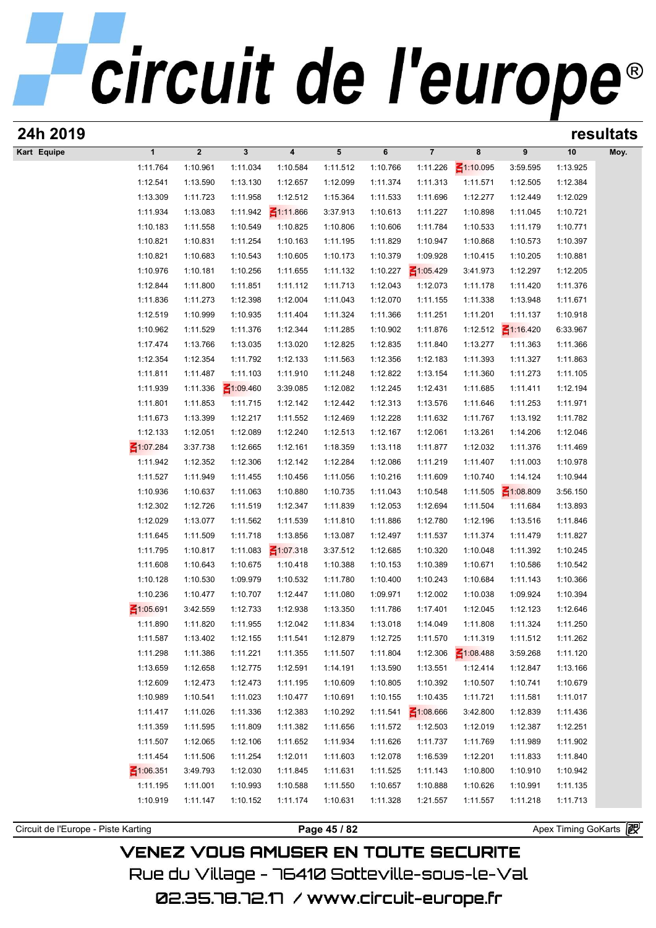| 24h 2019                            |                 |                  |                 |                         |              |          |                 |                 |                 |                       | resultats |
|-------------------------------------|-----------------|------------------|-----------------|-------------------------|--------------|----------|-----------------|-----------------|-----------------|-----------------------|-----------|
| Kart Equipe                         | $\mathbf{1}$    | $\boldsymbol{2}$ | $\mathbf{3}$    | $\overline{\mathbf{4}}$ | 5            | 6        | $\overline{7}$  | 8               | 9               | 10                    | Moy.      |
|                                     | 1:11.764        | 1:10.961         | 1:11.034        | 1:10.584                | 1:11.512     | 1:10.766 | 1:11.226        | $\leq 1:10.095$ | 3:59.595        | 1:13.925              |           |
|                                     | 1:12.541        | 1:13.590         | 1:13.130        | 1:12.657                | 1:12.099     | 1:11.374 | 1:11.313        | 1:11.571        | 1:12.505        | 1:12.384              |           |
|                                     | 1:13.309        | 1:11.723         | 1:11.958        | 1:12.512                | 1:15.364     | 1:11.533 | 1:11.696        | 1:12.277        | 1:12.449        | 1:12.029              |           |
|                                     | 1:11.934        | 1:13.083         | 1:11.942        | $\leq 1:11.866$         | 3:37.913     | 1:10.613 | 1:11.227        | 1:10.898        | 1:11.045        | 1:10.721              |           |
|                                     | 1:10.183        | 1:11.558         | 1:10.549        | 1:10.825                | 1:10.806     | 1:10.606 | 1:11.784        | 1:10.533        | 1:11.179        | 1:10.771              |           |
|                                     | 1:10.821        | 1:10.831         | 1:11.254        | 1:10.163                | 1:11.195     | 1:11.829 | 1:10.947        | 1:10.868        | 1:10.573        | 1:10.397              |           |
|                                     | 1:10.821        | 1:10.683         | 1:10.543        | 1:10.605                | 1:10.173     | 1:10.379 | 1:09.928        | 1:10.415        | 1:10.205        | 1:10.881              |           |
|                                     | 1:10.976        | 1:10.181         | 1:10.256        | 1:11.655                | 1:11.132     | 1:10.227 | $\leq 1:05.429$ | 3:41.973        | 1:12.297        | 1:12.205              |           |
|                                     | 1:12.844        | 1:11.800         | 1:11.851        | 1:11.112                | 1:11.713     | 1:12.043 | 1:12.073        | 1:11.178        | 1:11.420        | 1:11.376              |           |
|                                     | 1:11.836        | 1:11.273         | 1:12.398        | 1:12.004                | 1:11.043     | 1:12.070 | 1:11.155        | 1:11.338        | 1:13.948        | 1:11.671              |           |
|                                     | 1:12.519        | 1:10.999         | 1:10.935        | 1:11.404                | 1:11.324     | 1:11.366 | 1:11.251        | 1:11.201        | 1:11.137        | 1:10.918              |           |
|                                     | 1:10.962        | 1:11.529         | 1:11.376        | 1:12.344                | 1:11.285     | 1:10.902 | 1:11.876        | 1:12.512        | $\leq 1:16.420$ | 6:33.967              |           |
|                                     | 1:17.474        | 1:13.766         | 1:13.035        | 1:13.020                | 1:12.825     | 1:12.835 | 1:11.840        | 1:13.277        | 1:11.363        | 1:11.366              |           |
|                                     | 1:12.354        | 1:12.354         | 1:11.792        | 1:12.133                | 1:11.563     | 1:12.356 | 1:12.183        | 1:11.393        | 1:11.327        | 1:11.863              |           |
|                                     | 1:11.811        | 1:11.487         | 1:11.103        | 1:11.910                | 1:11.248     | 1:12.822 | 1:13.154        | 1:11.360        | 1:11.273        | 1:11.105              |           |
|                                     | 1:11.939        | 1:11.336         | $\leq 1:09.460$ | 3:39.085                | 1:12.082     | 1:12.245 | 1:12.431        | 1:11.685        | 1:11.411        | 1:12.194              |           |
|                                     | 1:11.801        | 1:11.853         | 1:11.715        | 1:12.142                | 1:12.442     | 1:12.313 | 1:13.576        | 1:11.646        | 1:11.253        | 1:11.971              |           |
|                                     | 1:11.673        | 1:13.399         | 1:12.217        | 1:11.552                | 1:12.469     | 1:12.228 | 1:11.632        | 1:11.767        | 1:13.192        | 1:11.782              |           |
|                                     | 1:12.133        | 1:12.051         | 1:12.089        | 1:12.240                | 1:12.513     | 1:12.167 | 1:12.061        | 1:13.261        | 1:14.206        | 1:12.046              |           |
|                                     | $\leq 1:07.284$ | 3:37.738         | 1:12.665        | 1:12.161                | 1:18.359     | 1:13.118 | 1:11.877        | 1:12.032        | 1:11.376        | 1:11.469              |           |
|                                     | 1:11.942        | 1:12.352         | 1:12.306        | 1:12.142                | 1:12.284     | 1:12.086 | 1:11.219        | 1:11.407        | 1:11.003        | 1:10.978              |           |
|                                     | 1:11.527        | 1:11.949         | 1:11.455        | 1:10.456                | 1:11.056     | 1:10.216 | 1:11.609        | 1:10.740        | 1:14.124        | 1:10.944              |           |
|                                     | 1:10.936        | 1:10.637         | 1:11.063        | 1:10.880                | 1:10.735     | 1:11.043 | 1:10.548        | 1:11.505        | $\leq 1:08.809$ | 3:56.150              |           |
|                                     | 1:12.302        | 1:12.726         | 1:11.519        | 1:12.347                | 1:11.839     | 1:12.053 | 1:12.694        | 1:11.504        | 1:11.684        | 1:13.893              |           |
|                                     | 1:12.029        | 1:13.077         | 1:11.562        | 1:11.539                | 1:11.810     | 1:11.886 | 1:12.780        | 1:12.196        | 1:13.516        | 1:11.846              |           |
|                                     | 1:11.645        | 1:11.509         | 1:11.718        | 1:13.856                | 1:13.087     | 1:12.497 | 1:11.537        | 1:11.374        | 1:11.479        | 1:11.827              |           |
|                                     | 1:11.795        | 1:10.817         | 1:11.083        | $\leq 1:07.318$         | 3:37.512     | 1:12.685 | 1:10.320        | 1:10.048        | 1:11.392        | 1:10.245              |           |
|                                     | 1:11.608        | 1:10.643         | 1:10.675        | 1:10.418                | 1:10.388     | 1:10.153 | 1:10.389        | 1:10.671        | 1:10.586        | 1:10.542              |           |
|                                     | 1:10.128        | 1:10.530         | 1:09.979        | 1:10.532                | 1:11.780     | 1:10.400 | 1:10.243        | 1:10.684        | 1:11.143        | 1:10.366              |           |
|                                     | 1:10.236        | 1:10.477         | 1:10.707        | 1:12.447                | 1:11.080     | 1:09.971 | 1:12.002        | 1:10.038        | 1:09.924        | 1:10.394              |           |
|                                     | $\leq 1:05.691$ | 3:42.559         | 1:12.733        | 1:12.938                | 1:13.350     | 1:11.786 | 1:17.401        | 1:12.045        | 1:12.123        | 1:12.646              |           |
|                                     | 1:11.890        | 1:11.820         | 1:11.955        | 1:12.042                | 1:11.834     | 1:13.018 | 1:14.049        | 1:11.808        | 1:11.324        | 1:11.250              |           |
|                                     | 1:11.587        | 1:13.402         | 1:12.155        | 1:11.541                | 1:12.879     | 1:12.725 | 1:11.570        | 1:11.319        | 1:11.512        | 1:11.262              |           |
|                                     | 1:11.298        | 1:11.386         | 1:11.221        | 1:11.355                | 1:11.507     | 1:11.804 | 1:12.306        | $\leq 1:08.488$ | 3:59.268        | 1:11.120              |           |
|                                     | 1:13.659        | 1:12.658         | 1:12.775        | 1:12.591                | 1:14.191     | 1:13.590 | 1:13.551        | 1:12.414        | 1:12.847        | 1:13.166              |           |
|                                     | 1:12.609        | 1:12.473         | 1:12.473        | 1:11.195                | 1:10.609     | 1:10.805 | 1:10.392        | 1:10.507        | 1:10.741        | 1:10.679              |           |
|                                     | 1:10.989        | 1:10.541         | 1:11.023        | 1:10.477                | 1:10.691     | 1:10.155 | 1:10.435        | 1:11.721        | 1:11.581        | 1:11.017              |           |
|                                     | 1:11.417        | 1:11.026         | 1:11.336        | 1:12.383                | 1:10.292     | 1:11.541 | $\leq 1:08.666$ | 3:42.800        | 1:12.839        | 1:11.436              |           |
|                                     | 1:11.359        | 1:11.595         | 1:11.809        | 1:11.382                | 1:11.656     | 1:11.572 | 1:12.503        | 1:12.019        | 1:12.387        | 1:12.251              |           |
|                                     | 1:11.507        | 1:12.065         | 1:12.106        | 1:11.652                | 1:11.934     | 1:11.626 | 1:11.737        | 1:11.769        | 1:11.989        | 1:11.902              |           |
|                                     | 1:11.454        | 1:11.506         | 1:11.254        | 1:12.011                | 1:11.603     | 1:12.078 | 1:16.539        | 1:12.201        | 1:11.833        | 1:11.840              |           |
|                                     | $\leq 1:06.351$ | 3:49.793         | 1:12.030        | 1:11.845                | 1:11.631     | 1:11.525 | 1:11.143        | 1:10.800        | 1:10.910        | 1:10.942              |           |
|                                     | 1:11.195        | 1:11.001         | 1:10.993        | 1:10.588                | 1:11.550     | 1:10.657 | 1:10.888        | 1:10.626        | 1:10.991        | 1:11.135              |           |
|                                     | 1:10.919        | 1:11.147         | 1:10.152        | 1:11.174                | 1:10.631     | 1:11.328 | 1:21.557        | 1:11.557        | 1:11.218        | 1:11.713              |           |
|                                     |                 |                  |                 |                         |              |          |                 |                 |                 | Apex Timing GoKarts 图 |           |
| Circuit de l'Europe - Piste Karting |                 |                  |                 |                         | Page 45 / 82 |          |                 |                 |                 |                       |           |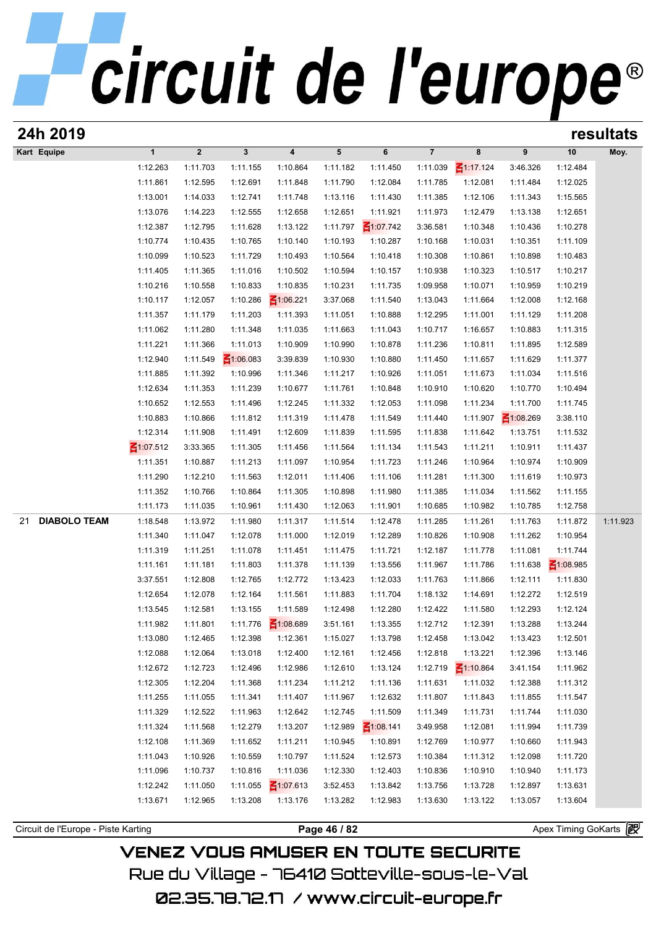| 24h 2019                            |                      |                      |                      |                         |                      |                      |                      |                      |                      |                      | resultats |
|-------------------------------------|----------------------|----------------------|----------------------|-------------------------|----------------------|----------------------|----------------------|----------------------|----------------------|----------------------|-----------|
| Kart Equipe                         | $\mathbf{1}$         | $\boldsymbol{2}$     | $\mathbf 3$          | $\overline{\mathbf{4}}$ | $5\phantom{.0}$      | 6                    | $\overline{7}$       | 8                    | 9                    | 10                   | Moy.      |
|                                     | 1:12.263             | 1:11.703             | 1:11.155             | 1:10.864                | 1:11.182             | 1:11.450             | 1:11.039             | $\leq 1:17.124$      | 3:46.326             | 1:12.484             |           |
|                                     | 1:11.861             | 1:12.595             | 1:12.691             | 1:11.848                | 1:11.790             | 1:12.084             | 1:11.785             | 1:12.081             | 1:11.484             | 1:12.025             |           |
|                                     | 1:13.001             | 1:14.033             | 1:12.741             | 1:11.748                | 1:13.116             | 1:11.430             | 1:11.385             | 1:12.106             | 1:11.343             | 1:15.565             |           |
|                                     | 1:13.076             | 1:14.223             | 1:12.555             | 1:12.658                | 1:12.651             | 1:11.921             | 1:11.973             | 1:12.479             | 1:13.138             | 1:12.651             |           |
|                                     | 1:12.387             | 1:12.795             | 1:11.628             | 1:13.122                | 1:11.797             | $\leq 1:07.742$      | 3:36.581             | 1:10.348             | 1:10.436             | 1:10.278             |           |
|                                     | 1:10.774             | 1:10.435             | 1:10.765             | 1:10.140                | 1:10.193             | 1:10.287             | 1:10.168             | 1:10.031             | 1:10.351             | 1:11.109             |           |
|                                     | 1:10.099             | 1:10.523             | 1:11.729             | 1:10.493                | 1:10.564             | 1:10.418             | 1:10.308             | 1:10.861             | 1:10.898             | 1:10.483             |           |
|                                     | 1:11.405             | 1:11.365             | 1:11.016             | 1:10.502                | 1:10.594             | 1:10.157             | 1:10.938             | 1:10.323             | 1:10.517             | 1:10.217             |           |
|                                     | 1:10.216             | 1:10.558             | 1:10.833             | 1:10.835                | 1:10.231             | 1:11.735             | 1:09.958             | 1:10.071             | 1:10.959             | 1:10.219             |           |
|                                     | 1:10.117             | 1:12.057             | 1:10.286             | $\leq 1:06.221$         | 3:37.068             | 1:11.540             | 1:13.043             | 1:11.664             | 1:12.008             | 1:12.168             |           |
|                                     | 1:11.357             | 1:11.179             | 1:11.203             | 1:11.393                | 1:11.051             | 1:10.888             | 1:12.295             | 1:11.001             | 1:11.129             | 1:11.208             |           |
|                                     | 1:11.062             | 1:11.280             | 1:11.348             | 1:11.035                | 1:11.663             | 1:11.043             | 1:10.717             | 1:16.657             | 1:10.883             | 1:11.315             |           |
|                                     | 1:11.221             | 1:11.366             | 1:11.013             | 1:10.909                | 1:10.990             | 1:10.878             | 1:11.236             | 1:10.811             | 1:11.895             | 1:12.589             |           |
|                                     | 1:12.940             | 1:11.549             | $\leq 1:06.083$      | 3:39.839                | 1:10.930             | 1:10.880             | 1:11.450             | 1:11.657             | 1:11.629             | 1:11.377             |           |
|                                     | 1:11.885             | 1:11.392             | 1:10.996             | 1:11.346                | 1:11.217             | 1:10.926             | 1:11.051             | 1:11.673             | 1:11.034             | 1:11.516             |           |
|                                     | 1:12.634             | 1:11.353             | 1:11.239             | 1:10.677                | 1:11.761             | 1:10.848             | 1:10.910             | 1:10.620             | 1:10.770             | 1:10.494             |           |
|                                     | 1:10.652             | 1:12.553             | 1:11.496             | 1:12.245                | 1:11.332             | 1:12.053             | 1:11.098             | 1:11.234             | 1:11.700             | 1:11.745             |           |
|                                     | 1:10.883             | 1:10.866             | 1:11.812             | 1:11.319                | 1:11.478             | 1:11.549             | 1:11.440             | 1:11.907             | $\leq 1:08.269$      | 3:38.110             |           |
|                                     | 1:12.314             | 1:11.908             | 1:11.491             | 1:12.609                | 1:11.839             | 1:11.595             | 1:11.838             | 1:11.642             | 1:13.751             | 1:11.532             |           |
|                                     | $\leq 1:07.512$      | 3:33.365             | 1:11.305             | 1:11.456                | 1:11.564             | 1:11.134             | 1:11.543             | 1:11.211             | 1:10.911             | 1:11.437             |           |
|                                     | 1:11.351             | 1:10.887             | 1:11.213             | 1:11.097                | 1:10.954             | 1:11.723             | 1:11.246             | 1:10.964             | 1:10.974             | 1:10.909             |           |
|                                     | 1:11.290             | 1:12.210             | 1:11.563             | 1:12.011                | 1:11.406             | 1:11.106             | 1:11.281             | 1:11.300             | 1:11.619             | 1:10.973             |           |
|                                     | 1:11.352             | 1:10.766             | 1:10.864             | 1:11.305                | 1:10.898             | 1:11.980             | 1:11.385             | 1:11.034             | 1:11.562             | 1:11.155             |           |
|                                     | 1:11.173             | 1:11.035             | 1:10.961             | 1:11.430                | 1:12.063             | 1:11.901             | 1:10.685             | 1:10.982             | 1:10.785             | 1:12.758             |           |
| <b>DIABOLO TEAM</b><br>21           | 1:18.548<br>1:11.340 | 1:13.972<br>1:11.047 | 1:11.980<br>1:12.078 | 1:11.317<br>1:11.000    | 1:11.514<br>1:12.019 | 1:12.478<br>1:12.289 | 1:11.285<br>1:10.826 | 1:11.261             | 1:11.763<br>1:11.262 | 1:11.872<br>1:10.954 | 1:11.923  |
|                                     | 1:11.319             | 1:11.251             | 1:11.078             | 1:11.451                | 1:11.475             | 1:11.721             | 1:12.187             | 1:10.908<br>1:11.778 | 1:11.081             | 1:11.744             |           |
|                                     | 1:11.161             | 1:11.181             | 1:11.803             | 1:11.378                | 1:11.139             | 1:13.556             | 1:11.967             | 1:11.786             | 1:11.638             | $\leq 1:08.985$      |           |
|                                     | 3:37.551             | 1:12.808             | 1:12.765             | 1:12.772                | 1:13.423             | 1:12.033             | 1:11.763             | 1:11.866             | 1:12.111             | 1:11.830             |           |
|                                     | 1:12.654             | 1:12.078             | 1:12.164             | 1:11.561                | 1:11.883             | 1:11.704             | 1:18.132             | 1:14.691             | 1:12.272             | 1:12.519             |           |
|                                     | 1:13.545             | 1:12.581             | 1:13.155             | 1:11.589                | 1:12.498             | 1:12.280             | 1:12.422             | 1:11.580             | 1:12.293             | 1:12.124             |           |
|                                     | 1:11.982             | 1:11.801             | 1:11.776             | $\leq 1:08.689$         | 3:51.161             | 1:13.355             | 1:12.712             | 1:12.391             | 1:13.288             | 1:13.244             |           |
|                                     | 1:13.080             | 1:12.465             | 1:12.398             | 1:12.361                | 1:15.027             | 1:13.798             | 1:12.458             | 1:13.042             | 1:13.423             | 1:12.501             |           |
|                                     | 1:12.088             | 1:12.064             | 1:13.018             | 1:12.400                | 1:12.161             | 1:12.456             | 1:12.818             | 1:13.221             | 1:12.396             | 1:13.146             |           |
|                                     | 1:12.672             | 1:12.723             | 1:12.496             | 1:12.986                | 1:12.610             | 1:13.124             | 1:12.719             | $\leq 1:10.864$      | 3:41.154             | 1:11.962             |           |
|                                     | 1:12.305             | 1:12.204             | 1:11.368             | 1:11.234                | 1:11.212             | 1:11.136             | 1:11.631             | 1:11.032             | 1:12.388             | 1:11.312             |           |
|                                     | 1:11.255             | 1:11.055             | 1:11.341             | 1:11.407                | 1:11.967             | 1:12.632             | 1:11.807             | 1:11.843             | 1:11.855             | 1:11.547             |           |
|                                     | 1:11.329             | 1:12.522             | 1:11.963             | 1:12.642                | 1:12.745             | 1:11.509             | 1:11.349             | 1:11.731             | 1:11.744             | 1:11.030             |           |
|                                     | 1:11.324             | 1:11.568             | 1:12.279             | 1:13.207                | 1:12.989             | $\leq 1:08.141$      | 3:49.958             | 1:12.081             | 1:11.994             | 1:11.739             |           |
|                                     | 1:12.108             | 1:11.369             | 1:11.652             | 1:11.211                | 1:10.945             | 1:10.891             | 1:12.769             | 1:10.977             | 1:10.660             | 1:11.943             |           |
|                                     | 1:11.043             | 1:10.926             | 1:10.559             | 1:10.797                | 1:11.524             | 1:12.573             | 1:10.384             | 1:11.312             | 1:12.098             | 1:11.720             |           |
|                                     | 1:11.096             | 1:10.737             | 1:10.816             | 1:11.036                | 1:12.330             | 1:12.403             | 1:10.836             | 1:10.910             | 1:10.940             | 1:11.173             |           |
|                                     | 1:12.242             | 1:11.050             | 1:11.055             | $\leq 1:07.613$         | 3:52.453             | 1:13.842             | 1:13.756             | 1:13.728             | 1:12.897             | 1:13.631             |           |
|                                     | 1:13.671             | 1:12.965             | 1:13.208             | 1:13.176                | 1:13.282             | 1:12.983             | 1:13.630             | 1:13.122             | 1:13.057             | 1:13.604             |           |
|                                     |                      |                      |                      |                         |                      |                      |                      |                      |                      |                      |           |
| Circuit de l'Europe - Piste Karting |                      |                      |                      |                         | Page 46 / 82         |                      |                      |                      |                      | Apex Timing GoKarts  |           |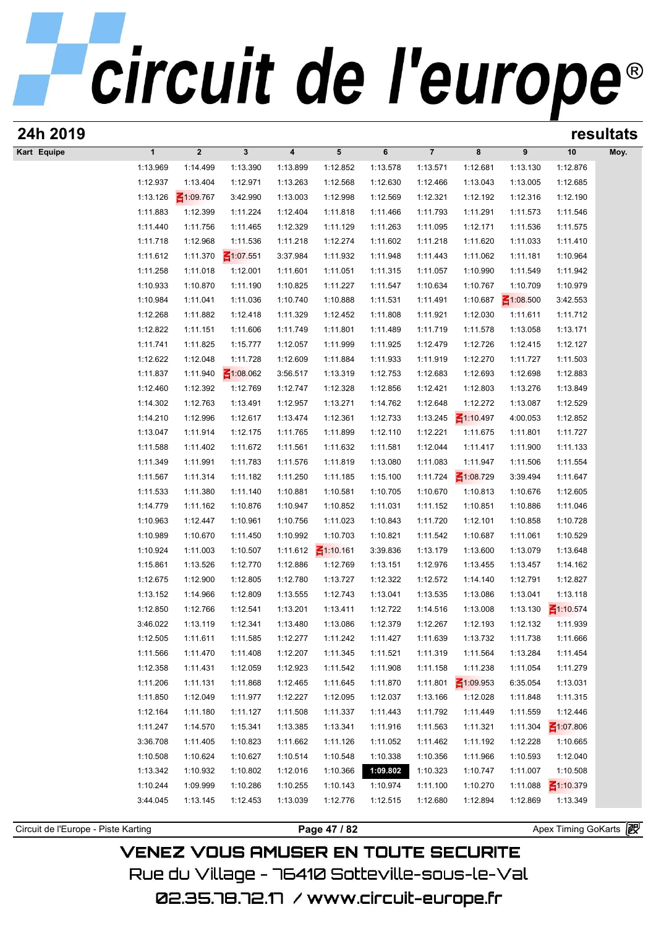| 24h 2019                            |                      |                      |                      |                      |                          |                      |                      |                             |                      |                       | resultats |
|-------------------------------------|----------------------|----------------------|----------------------|----------------------|--------------------------|----------------------|----------------------|-----------------------------|----------------------|-----------------------|-----------|
| Kart Equipe                         | $\mathbf{1}$         | $\boldsymbol{2}$     | $\mathbf{3}$         | 4                    | 5                        | 6                    | $\overline{7}$       | 8                           | 9                    | 10                    | Moy.      |
|                                     | 1:13.969             | 1:14.499             | 1:13.390             | 1:13.899             | 1:12.852                 | 1:13.578             | 1:13.571             | 1:12.681                    | 1:13.130             | 1:12.876              |           |
|                                     | 1:12.937             | 1:13.404             | 1:12.971             | 1:13.263             | 1:12.568                 | 1:12.630             | 1:12.466             | 1:13.043                    | 1:13.005             | 1:12.685              |           |
|                                     | 1:13.126             | $\leq 1:09.767$      | 3:42.990             | 1:13.003             | 1:12.998                 | 1:12.569             | 1:12.321             | 1:12.192                    | 1:12.316             | 1:12.190              |           |
|                                     | 1:11.883             | 1:12.399             | 1:11.224             | 1:12.404             | 1:11.818                 | 1:11.466             | 1:11.793             | 1:11.291                    | 1:11.573             | 1:11.546              |           |
|                                     | 1:11.440             | 1:11.756             | 1:11.465             | 1:12.329             | 1:11.129                 | 1:11.263             | 1:11.095             | 1:12.171                    | 1:11.536             | 1:11.575              |           |
|                                     | 1:11.718             | 1:12.968             | 1:11.536             | 1:11.218             | 1:12.274                 | 1:11.602             | 1:11.218             | 1:11.620                    | 1:11.033             | 1:11.410              |           |
|                                     | 1:11.612             | 1:11.370             | $\leq 1:07.551$      | 3:37.984             | 1:11.932                 | 1:11.948             | 1:11.443             | 1:11.062                    | 1:11.181             | 1:10.964              |           |
|                                     | 1:11.258             | 1:11.018             | 1:12.001             | 1:11.601             | 1:11.051                 | 1:11.315             | 1:11.057             | 1:10.990                    | 1:11.549             | 1:11.942              |           |
|                                     | 1:10.933             | 1:10.870             | 1:11.190             | 1:10.825             | 1:11.227                 | 1:11.547             | 1:10.634             | 1:10.767                    | 1:10.709             | 1:10.979              |           |
|                                     | 1:10.984             | 1:11.041             | 1:11.036             | 1:10.740             | 1:10.888                 | 1:11.531             | 1:11.491             | 1:10.687                    | $\leq 1:08.500$      | 3:42.553              |           |
|                                     | 1:12.268             | 1:11.882             | 1:12.418             | 1:11.329             | 1:12.452                 | 1:11.808             | 1:11.921             | 1:12.030                    | 1:11.611             | 1:11.712              |           |
|                                     | 1:12.822             | 1:11.151             | 1:11.606             | 1:11.749             | 1:11.801                 | 1:11.489             | 1:11.719             | 1:11.578                    | 1:13.058             | 1:13.171              |           |
|                                     | 1:11.741             | 1:11.825             | 1:15.777             | 1:12.057             | 1:11.999                 | 1:11.925             | 1:12.479             | 1:12.726                    | 1:12.415             | 1:12.127              |           |
|                                     | 1:12.622             | 1:12.048             | 1:11.728             | 1:12.609             | 1:11.884                 | 1:11.933             | 1:11.919             | 1:12.270                    | 1:11.727             | 1:11.503              |           |
|                                     | 1:11.837             | 1:11.940             | $\leq 1:08.062$      | 3:56.517             | 1:13.319                 | 1:12.753             | 1:12.683             | 1:12.693                    | 1:12.698             | 1:12.883              |           |
|                                     | 1:12.460             | 1:12.392             | 1:12.769             | 1:12.747             | 1:12.328                 | 1:12.856             | 1:12.421             | 1:12.803                    | 1:13.276             | 1:13.849              |           |
|                                     | 1:14.302             | 1:12.763             | 1:13.491<br>1:12.617 | 1:12.957             | 1:13.271<br>1:12.361     | 1:14.762             | 1:12.648             | 1:12.272<br>$\leq 1:10.497$ | 1:13.087<br>4:00.053 | 1:12.529              |           |
|                                     | 1:14.210<br>1:13.047 | 1:12.996<br>1:11.914 | 1:12.175             | 1:13.474<br>1:11.765 | 1:11.899                 | 1:12.733             | 1:13.245<br>1:12.221 | 1:11.675                    | 1:11.801             | 1:12.852<br>1:11.727  |           |
|                                     | 1:11.588             | 1:11.402             | 1:11.672             | 1:11.561             | 1:11.632                 | 1:12.110<br>1:11.581 | 1:12.044             | 1:11.417                    | 1:11.900             | 1:11.133              |           |
|                                     | 1:11.349             | 1:11.991             | 1:11.783             | 1:11.576             | 1:11.819                 | 1:13.080             | 1:11.083             | 1:11.947                    | 1:11.506             | 1:11.554              |           |
|                                     | 1:11.567             | 1:11.314             | 1:11.182             | 1:11.250             | 1:11.185                 | 1:15.100             | 1:11.724             | $\leq 1:08.729$             | 3:39.494             | 1:11.647              |           |
|                                     | 1:11.533             | 1:11.380             | 1:11.140             | 1:10.881             | 1:10.581                 | 1:10.705             | 1:10.670             | 1:10.813                    | 1:10.676             | 1:12.605              |           |
|                                     | 1:14.779             | 1:11.162             | 1:10.876             | 1:10.947             | 1:10.852                 | 1:11.031             | 1:11.152             | 1:10.851                    | 1:10.886             | 1:11.046              |           |
|                                     | 1:10.963             | 1:12.447             | 1:10.961             | 1:10.756             | 1:11.023                 | 1:10.843             | 1:11.720             | 1:12.101                    | 1:10.858             | 1:10.728              |           |
|                                     | 1:10.989             | 1:10.670             | 1:11.450             | 1:10.992             | 1:10.703                 | 1:10.821             | 1:11.542             | 1:10.687                    | 1:11.061             | 1:10.529              |           |
|                                     | 1:10.924             | 1:11.003             | 1:10.507             |                      | 1:11.612 $\leq$ 1:10.161 | 3:39.836             | 1:13.179             | 1:13.600                    | 1:13.079             | 1:13.648              |           |
|                                     | 1:15.861             | 1:13.526             | 1:12.770             | 1:12.886             | 1:12.769                 | 1:13.151             | 1:12.976             | 1:13.455                    | 1:13.457             | 1:14.162              |           |
|                                     | 1:12.675             | 1:12.900             | 1:12.805             | 1:12.780             | 1:13.727                 | 1:12.322             | 1:12.572             | 1:14.140                    | 1:12.791             | 1:12.827              |           |
|                                     | 1:13.152             | 1:14.966             | 1:12.809             | 1:13.555             | 1:12.743                 | 1:13.041             | 1:13.535             | 1:13.086                    | 1:13.041             | 1:13.118              |           |
|                                     | 1:12.850             | 1:12.766             | 1:12.541             | 1:13.201             | 1:13.411                 | 1:12.722             | 1:14.516             | 1:13.008                    | 1:13.130             | $\leq 1:10.574$       |           |
|                                     | 3:46.022             | 1:13.119             | 1:12.341             | 1:13.480             | 1:13.086                 | 1:12.379             | 1:12.267             | 1:12.193                    | 1:12.132             | 1:11.939              |           |
|                                     | 1:12.505             | 1:11.611             | 1:11.585             | 1:12.277             | 1:11.242                 | 1:11.427             | 1:11.639             | 1:13.732                    | 1:11.738             | 1:11.666              |           |
|                                     | 1:11.566             | 1:11.470             | 1:11.408             | 1:12.207             | 1:11.345                 | 1:11.521             | 1:11.319             | 1:11.564                    | 1:13.284             | 1:11.454              |           |
|                                     | 1:12.358             | 1:11.431             | 1:12.059             | 1:12.923             | 1:11.542                 | 1:11.908             | 1:11.158             | 1:11.238                    | 1:11.054             | 1:11.279              |           |
|                                     | 1:11.206             | 1:11.131             | 1:11.868             | 1:12.465             | 1:11.645                 | 1:11.870             | 1:11.801             | $\leq 1:09.953$             | 6:35.054             | 1:13.031              |           |
|                                     | 1:11.850             | 1:12.049             | 1:11.977             | 1:12.227             | 1:12.095                 | 1:12.037             | 1:13.166             | 1:12.028                    | 1:11.848             | 1:11.315              |           |
|                                     | 1:12.164             | 1:11.180             | 1:11.127             | 1:11.508             | 1:11.337                 | 1:11.443             | 1:11.792             | 1:11.449                    | 1:11.559             | 1:12.446              |           |
|                                     | 1:11.247             | 1:14.570             | 1:15.341             | 1:13.385             | 1:13.341                 | 1:11.916             | 1:11.563             | 1:11.321                    | 1:11.304             | $\leq 1:07.806$       |           |
|                                     | 3:36.708             | 1:11.405             | 1:10.823             | 1:11.662             | 1:11.126                 | 1:11.052             | 1:11.462             | 1:11.192                    | 1:12.228             | 1:10.665              |           |
|                                     | 1:10.508             | 1:10.624             | 1:10.627             | 1:10.514             | 1:10.548                 | 1:10.338             | 1:10.356             | 1:11.966                    | 1:10.593             | 1:12.040              |           |
|                                     | 1:13.342             | 1:10.932             | 1:10.802             | 1:12.016             | 1:10.366                 | 1:09.802             | 1:10.323             | 1:10.747                    | 1:11.007             | 1:10.508              |           |
|                                     | 1:10.244             | 1:09.999             | 1:10.286             | 1:10.255             | 1:10.143                 | 1:10.974             | 1:11.100             | 1:10.270                    | 1:11.088             | ₹1:10.379             |           |
|                                     | 3:44.045             | 1:13.145             | 1:12.453             | 1:13.039             | 1:12.776                 | 1:12.515             | 1:12.680             | 1:12.894                    | 1:12.869             | 1:13.349              |           |
|                                     |                      |                      |                      |                      |                          |                      |                      |                             |                      |                       |           |
| Circuit de l'Europe - Piste Karting |                      |                      |                      |                      | Page 47 / 82             |                      |                      |                             |                      | Apex Timing GoKarts 图 |           |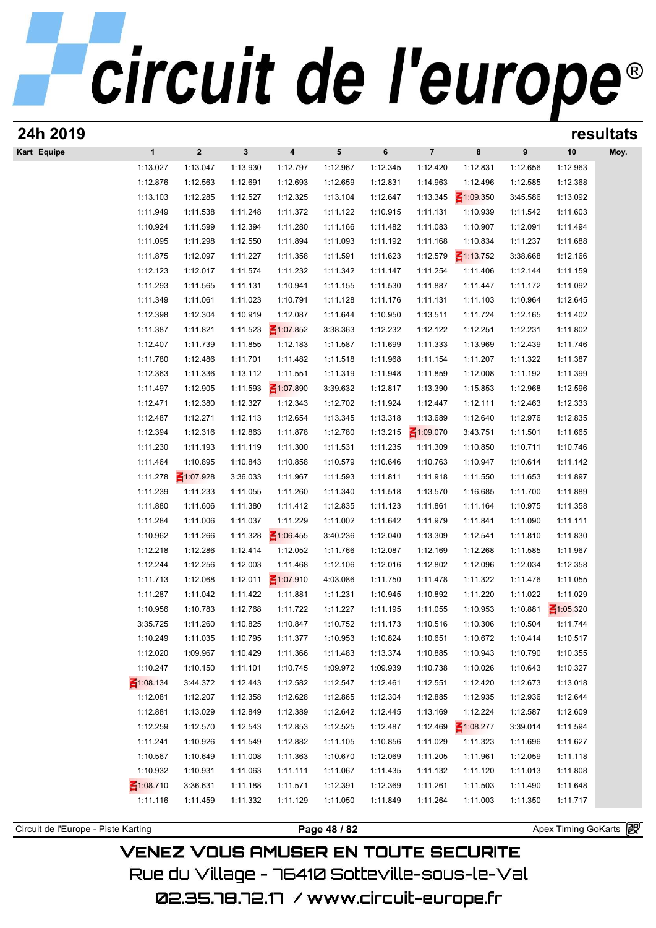| 24h 2019                            |                             |                         |                      |                         |                      |                      |                      |                      |                      |                       | resultats |
|-------------------------------------|-----------------------------|-------------------------|----------------------|-------------------------|----------------------|----------------------|----------------------|----------------------|----------------------|-----------------------|-----------|
| Kart Equipe                         | $\mathbf{1}$                | $\overline{\mathbf{2}}$ | $\mathbf{3}$         | $\overline{\mathbf{4}}$ | 5                    | 6                    | $\overline{7}$       | 8                    | 9                    | 10                    | Moy.      |
|                                     | 1:13.027                    | 1:13.047                | 1:13.930             | 1:12.797                | 1:12.967             | 1:12.345             | 1:12.420             | 1:12.831             | 1:12.656             | 1:12.963              |           |
|                                     | 1:12.876                    | 1:12.563                | 1:12.691             | 1:12.693                | 1:12.659             | 1:12.831             | 1:14.963             | 1:12.496             | 1:12.585             | 1:12.368              |           |
|                                     | 1:13.103                    | 1:12.285                | 1:12.527             | 1:12.325                | 1:13.104             | 1:12.647             | 1:13.345             | $\leq 1:09.350$      | 3:45.586             | 1:13.092              |           |
|                                     | 1:11.949                    | 1:11.538                | 1:11.248             | 1:11.372                | 1:11.122             | 1:10.915             | 1:11.131             | 1:10.939             | 1:11.542             | 1:11.603              |           |
|                                     | 1:10.924                    | 1:11.599                | 1:12.394             | 1:11.280                | 1:11.166             | 1:11.482             | 1:11.083             | 1:10.907             | 1:12.091             | 1:11.494              |           |
|                                     | 1:11.095                    | 1:11.298                | 1:12.550             | 1:11.894                | 1:11.093             | 1:11.192             | 1:11.168             | 1:10.834             | 1:11.237             | 1:11.688              |           |
|                                     | 1:11.875                    | 1:12.097                | 1:11.227             | 1:11.358                | 1:11.591             | 1:11.623             | 1:12.579             | $\leq 1:13.752$      | 3:38.668             | 1:12.166              |           |
|                                     | 1:12.123                    | 1:12.017                | 1:11.574             | 1:11.232                | 1:11.342             | 1:11.147             | 1:11.254             | 1:11.406             | 1:12.144             | 1:11.159              |           |
|                                     | 1:11.293                    | 1:11.565                | 1:11.131             | 1:10.941                | 1:11.155             | 1:11.530             | 1:11.887             | 1:11.447             | 1:11.172             | 1:11.092              |           |
|                                     | 1:11.349                    | 1:11.061                | 1:11.023             | 1:10.791                | 1:11.128             | 1:11.176             | 1:11.131             | 1:11.103             | 1:10.964             | 1:12.645              |           |
|                                     | 1:12.398                    | 1:12.304                | 1:10.919             | 1:12.087                | 1:11.644             | 1:10.950             | 1:13.511             | 1:11.724             | 1:12.165             | 1:11.402              |           |
|                                     | 1:11.387                    | 1:11.821                | 1:11.523             | $\leq 1:07.852$         | 3:38.363             | 1:12.232             | 1:12.122             | 1:12.251             | 1:12.231             | 1:11.802              |           |
|                                     | 1:12.407<br>1:11.780        | 1:11.739<br>1:12.486    | 1:11.855             | 1:12.183<br>1:11.482    | 1:11.587             | 1:11.699             | 1:11.333             | 1:13.969             | 1:12.439<br>1:11.322 | 1:11.746<br>1:11.387  |           |
|                                     | 1:12.363                    | 1:11.336                | 1:11.701<br>1:13.112 | 1:11.551                | 1:11.518<br>1:11.319 | 1:11.968<br>1:11.948 | 1:11.154<br>1:11.859 | 1:11.207<br>1:12.008 | 1:11.192             | 1:11.399              |           |
|                                     | 1:11.497                    | 1:12.905                | 1:11.593             | $\leq 1:07.890$         | 3:39.632             | 1:12.817             | 1:13.390             | 1:15.853             | 1:12.968             | 1:12.596              |           |
|                                     | 1:12.471                    | 1:12.380                | 1:12.327             | 1:12.343                | 1:12.702             | 1:11.924             | 1:12.447             | 1:12.111             | 1:12.463             | 1:12.333              |           |
|                                     | 1:12.487                    | 1:12.271                | 1:12.113             | 1:12.654                | 1:13.345             | 1:13.318             | 1:13.689             | 1:12.640             | 1:12.976             | 1:12.835              |           |
|                                     | 1:12.394                    | 1:12.316                | 1:12.863             | 1:11.878                | 1:12.780             | 1:13.215             | $\leq 1:09.070$      | 3:43.751             | 1:11.501             | 1:11.665              |           |
|                                     | 1:11.230                    | 1:11.193                | 1:11.119             | 1:11.300                | 1:11.531             | 1:11.235             | 1:11.309             | 1:10.850             | 1:10.711             | 1:10.746              |           |
|                                     | 1:11.464                    | 1:10.895                | 1:10.843             | 1:10.858                | 1:10.579             | 1:10.646             | 1:10.763             | 1:10.947             | 1:10.614             | 1:11.142              |           |
|                                     | 1:11.278                    | $\leq 1:07.928$         | 3:36.033             | 1:11.967                | 1:11.593             | 1:11.811             | 1:11.918             | 1:11.550             | 1:11.653             | 1:11.897              |           |
|                                     | 1:11.239                    | 1:11.233                | 1:11.055             | 1:11.260                | 1:11.340             | 1:11.518             | 1:13.570             | 1:16.685             | 1:11.700             | 1:11.889              |           |
|                                     | 1:11.880                    | 1:11.606                | 1:11.380             | 1:11.412                | 1:12.835             | 1:11.123             | 1:11.861             | 1:11.164             | 1:10.975             | 1:11.358              |           |
|                                     | 1:11.284                    | 1:11.006                | 1:11.037             | 1:11.229                | 1:11.002             | 1:11.642             | 1:11.979             | 1:11.841             | 1:11.090             | 1:11.111              |           |
|                                     | 1:10.962                    | 1:11.266                | 1:11.328             | $\leq 1:06.455$         | 3:40.236             | 1:12.040             | 1:13.309             | 1:12.541             | 1:11.810             | 1:11.830              |           |
|                                     | 1:12.218                    | 1:12.286                | 1:12.414             | 1:12.052                | 1:11.766             | 1:12.087             | 1:12.169             | 1:12.268             | 1:11.585             | 1:11.967              |           |
|                                     | 1:12.244                    | 1:12.256                | 1:12.003             | 1:11.468                | 1:12.106             | 1:12.016             | 1:12.802             | 1:12.096             | 1:12.034             | 1:12.358              |           |
|                                     | 1:11.713                    | 1:12.068                | 1:12.011             | $\leq 1:07.910$         | 4:03.086             | 1:11.750             | 1:11.478             | 1:11.322             | 1:11.476             | 1:11.055              |           |
|                                     | 1:11.287                    | 1:11.042                | 1:11.422             | 1:11.881                | 1:11.231             | 1:10.945             | 1:10.892             | 1:11.220             | 1:11.022             | 1:11.029              |           |
|                                     | 1:10.956                    | 1:10.783                | 1:12.768             | 1:11.722                | 1:11.227             | 1:11.195             | 1:11.055             | 1:10.953             | 1:10.881             | $\leq 1:05.320$       |           |
|                                     | 3:35.725                    | 1:11.260                | 1:10.825             | 1:10.847                | 1:10.752             | 1:11.173             | 1:10.516             | 1:10.306             | 1:10.504             | 1:11.744              |           |
|                                     | 1:10.249                    | 1:11.035                | 1:10.795             | 1:11.377                | 1:10.953             | 1:10.824             | 1:10.651             | 1:10.672             | 1:10.414             | 1:10.517              |           |
|                                     | 1:12.020                    | 1:09.967                | 1:10.429             | 1:11.366                | 1:11.483             | 1:13.374             | 1:10.885             | 1:10.943             | 1:10.790             | 1:10.355              |           |
|                                     | 1:10.247                    | 1:10.150                | 1:11.101             | 1:10.745                | 1:09.972             | 1:09.939             | 1:10.738             | 1:10.026             | 1:10.643             | 1:10.327              |           |
|                                     | ₹1:08.134                   | 3:44.372                | 1:12.443             | 1:12.582                | 1:12.547             | 1:12.461             | 1:12.551             | 1:12.420             | 1:12.673             | 1:13.018              |           |
|                                     | 1:12.081                    | 1:12.207                | 1:12.358             | 1:12.628                | 1:12.865             | 1:12.304             | 1:12.885             | 1:12.935             | 1:12.936             | 1:12.644              |           |
|                                     | 1:12.881                    | 1:13.029                | 1:12.849             | 1:12.389                | 1:12.642             | 1:12.445             | 1:13.169             | 1:12.224             | 1:12.587             | 1:12.609              |           |
|                                     | 1:12.259                    | 1:12.570                | 1:12.543             | 1:12.853                | 1:12.525             | 1:12.487             | 1:12.469             | $\leq 1:08.277$      | 3:39.014             | 1:11.594              |           |
|                                     | 1:11.241                    | 1:10.926                | 1:11.549             | 1:12.882                | 1:11.105             | 1:10.856             | 1:11.029             | 1:11.323             | 1:11.696             | 1:11.627              |           |
|                                     | 1:10.567                    | 1:10.649                | 1:11.008             | 1:11.363                | 1:10.670             | 1:12.069             | 1:11.205             | 1:11.961             | 1:12.059             | 1:11.118              |           |
|                                     | 1:10.932<br>$\leq 1:08.710$ | 1:10.931                | 1:11.063             | 1:11.111                | 1:11.067             | 1:11.435             | 1:11.132             | 1:11.120             | 1:11.013             | 1:11.808              |           |
|                                     | 1:11.116                    | 3:36.631<br>1:11.459    | 1:11.188<br>1:11.332 | 1:11.571<br>1:11.129    | 1:12.391<br>1:11.050 | 1:12.369<br>1:11.849 | 1:11.261<br>1:11.264 | 1:11.503<br>1:11.003 | 1:11.490<br>1:11.350 | 1:11.648<br>1:11.717  |           |
|                                     |                             |                         |                      |                         |                      |                      |                      |                      |                      |                       |           |
| Circuit de l'Europe - Piste Karting |                             |                         |                      |                         | Page 48 / 82         |                      |                      |                      |                      | Apex Timing GoKarts 图 |           |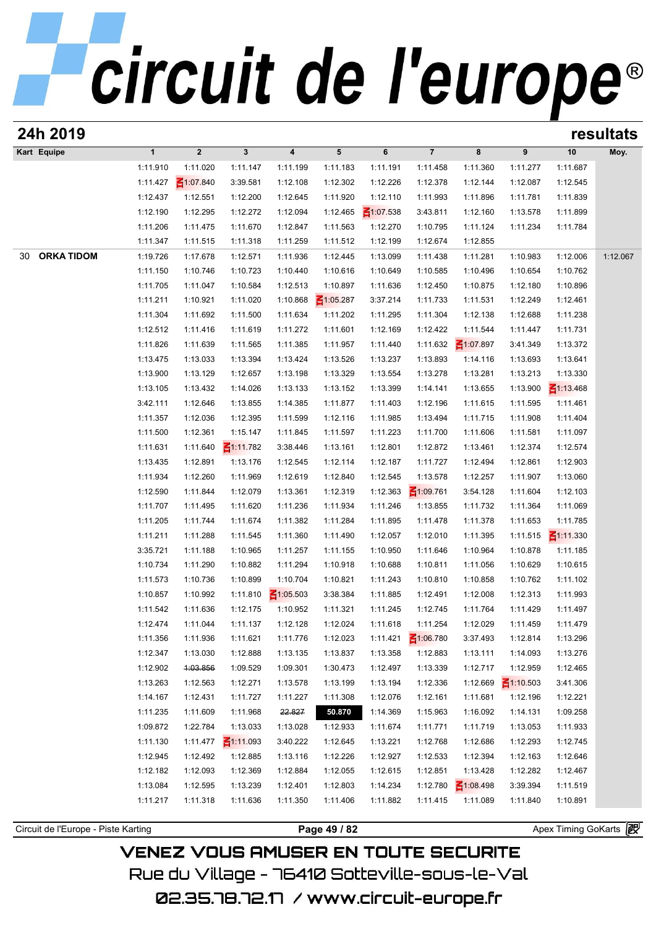| 24h 2019                            |                      |                      |                      |                         |                      |                      |                      |                             |                      |                       | resultats |
|-------------------------------------|----------------------|----------------------|----------------------|-------------------------|----------------------|----------------------|----------------------|-----------------------------|----------------------|-----------------------|-----------|
| Kart Equipe                         | $\mathbf{1}$         | $\boldsymbol{2}$     | $\mathbf{3}$         | $\overline{\mathbf{4}}$ | 5                    | 6                    | $\overline{7}$       | 8                           | 9                    | 10                    | Moy.      |
|                                     | 1:11.910             | 1:11.020             | 1:11.147             | 1:11.199                | 1:11.183             | 1:11.191             | 1:11.458             | 1:11.360                    | 1:11.277             | 1:11.687              |           |
|                                     | 1:11.427             | $\leq 1:07.840$      | 3:39.581             | 1:12.108                | 1:12.302             | 1:12.226             | 1:12.378             | 1:12.144                    | 1:12.087             | 1:12.545              |           |
|                                     | 1:12.437             | 1:12.551             | 1:12.200             | 1:12.645                | 1:11.920             | 1:12.110             | 1:11.993             | 1:11.896                    | 1:11.781             | 1:11.839              |           |
|                                     | 1:12.190             | 1:12.295             | 1:12.272             | 1:12.094                | 1:12.465             | $\leq 1:07.538$      | 3:43.811             | 1:12.160                    | 1:13.578             | 1:11.899              |           |
|                                     | 1:11.206             | 1:11.475             | 1:11.670             | 1:12.847                | 1:11.563             | 1:12.270             | 1:10.795             | 1:11.124                    | 1:11.234             | 1:11.784              |           |
|                                     | 1:11.347             | 1:11.515             | 1:11.318             | 1:11.259                | 1:11.512             | 1:12.199             | 1:12.674             | 1:12.855                    |                      |                       |           |
| <b>ORKA TIDOM</b><br>30             | 1:19.726             | 1:17.678             | 1:12.571             | 1:11.936                | 1:12.445             | 1:13.099             | 1:11.438             | 1:11.281                    | 1:10.983             | 1:12.006              | 1:12.067  |
|                                     | 1:11.150             | 1:10.746             | 1:10.723             | 1:10.440                | 1:10.616             | 1:10.649             | 1:10.585             | 1:10.496                    | 1:10.654             | 1:10.762              |           |
|                                     | 1:11.705             | 1:11.047             | 1:10.584             | 1:12.513                | 1:10.897             | 1:11.636             | 1:12.450             | 1:10.875                    | 1:12.180             | 1:10.896              |           |
|                                     | 1:11.211             | 1:10.921             | 1:11.020             | 1:10.868                | $\leq 1:05.287$      | 3:37.214             | 1:11.733             | 1:11.531                    | 1:12.249             | 1:12.461              |           |
|                                     | 1:11.304             | 1:11.692             | 1:11.500             | 1:11.634                | 1:11.202             | 1:11.295             | 1:11.304             | 1:12.138                    | 1:12.688             | 1:11.238              |           |
|                                     | 1:12.512<br>1:11.826 | 1:11.416<br>1:11.639 | 1:11.619<br>1:11.565 | 1:11.272<br>1:11.385    | 1:11.601<br>1:11.957 | 1:12.169<br>1:11.440 | 1:12.422<br>1:11.632 | 1:11.544<br>$\leq 1:07.897$ | 1:11.447<br>3:41.349 | 1:11.731<br>1:13.372  |           |
|                                     | 1:13.475             | 1:13.033             | 1:13.394             | 1:13.424                | 1:13.526             | 1:13.237             | 1:13.893             | 1:14.116                    | 1:13.693             | 1:13.641              |           |
|                                     | 1:13.900             | 1:13.129             | 1:12.657             | 1:13.198                | 1:13.329             | 1:13.554             | 1:13.278             | 1:13.281                    | 1:13.213             | 1:13.330              |           |
|                                     | 1:13.105             | 1:13.432             | 1:14.026             | 1:13.133                | 1:13.152             | 1:13.399             | 1:14.141             | 1:13.655                    | 1:13.900             | $\leq 1:13.468$       |           |
|                                     | 3:42.111             | 1:12.646             | 1:13.855             | 1:14.385                | 1:11.877             | 1:11.403             | 1:12.196             | 1:11.615                    | 1:11.595             | 1:11.461              |           |
|                                     | 1:11.357             | 1:12.036             | 1:12.395             | 1:11.599                | 1:12.116             | 1:11.985             | 1:13.494             | 1:11.715                    | 1:11.908             | 1:11.404              |           |
|                                     | 1:11.500             | 1:12.361             | 1:15.147             | 1:11.845                | 1:11.597             | 1:11.223             | 1:11.700             | 1:11.606                    | 1:11.581             | 1:11.097              |           |
|                                     | 1:11.631             | 1:11.640             | $\leq 1:11.782$      | 3:38.446                | 1:13.161             | 1:12.801             | 1:12.872             | 1:13.461                    | 1:12.374             | 1:12.574              |           |
|                                     | 1:13.435             | 1:12.891             | 1:13.176             | 1:12.545                | 1:12.114             | 1:12.187             | 1:11.727             | 1:12.494                    | 1:12.861             | 1:12.903              |           |
|                                     | 1:11.934             | 1:12.260             | 1:11.969             | 1:12.619                | 1:12.840             | 1:12.545             | 1:13.578             | 1:12.257                    | 1:11.907             | 1:13.060              |           |
|                                     | 1:12.590             | 1:11.844             | 1:12.079             | 1:13.361                | 1:12.319             | 1:12.363             | $\leq 1:09.761$      | 3:54.128                    | 1:11.604             | 1:12.103              |           |
|                                     | 1:11.707             | 1:11.495             | 1:11.620             | 1:11.236                | 1:11.934             | 1:11.246             | 1:13.855             | 1:11.732                    | 1:11.364             | 1:11.069              |           |
|                                     | 1:11.205             | 1:11.744             | 1:11.674             | 1:11.382                | 1:11.284             | 1:11.895             | 1:11.478             | 1:11.378                    | 1:11.653             | 1:11.785              |           |
|                                     | 1:11.211             | 1:11.288             | 1:11.545             | 1:11.360                | 1:11.490             | 1:12.057             | 1:12.010             | 1:11.395                    | 1:11.515             | $\leq 1:11.330$       |           |
|                                     | 3:35.721             | 1:11.188             | 1:10.965             | 1:11.257                | 1:11.155             | 1:10.950             | 1:11.646             | 1:10.964                    | 1:10.878             | 1:11.185              |           |
|                                     | 1:10.734             | 1:11.290             | 1:10.882             | 1:11.294                | 1:10.918             | 1:10.688             | 1:10.811             | 1:11.056                    | 1:10.629             | 1:10.615              |           |
|                                     | 1:11.573             | 1:10.736             | 1:10.899             | 1:10.704                | 1:10.821             | 1:11.243             | 1:10.810             | 1:10.858                    | 1:10.762             | 1:11.102              |           |
|                                     | 1:10.857             | 1:10.992             | 1:11.810             | $\leq 1:05.503$         | 3:38.384             | 1:11.885             | 1:12.491             | 1:12.008                    | 1:12.313             | 1:11.993              |           |
|                                     | 1:11.542             | 1:11.636             | 1:12.175             | 1:10.952                | 1:11.321             | 1:11.245             | 1:12.745             | 1:11.764                    | 1:11.429             | 1:11.497              |           |
|                                     | 1:12.474             | 1:11.044             | 1:11.137             | 1:12.128                | 1:12.024             | 1:11.618             | 1:11.254             | 1:12.029                    | 1:11.459             | 1:11.479              |           |
|                                     | 1:11.356             | 1:11.936             | 1:11.621             | 1:11.776                | 1:12.023             | 1:11.421             | $\leq 1:06.780$      | 3:37.493                    | 1:12.814             | 1:13.296              |           |
|                                     | 1:12.347             | 1:13.030             | 1:12.888             | 1:13.135                | 1:13.837             | 1:13.358             | 1:12.883             | 1:13.111                    | 1:14.093             | 1:13.276              |           |
|                                     | 1:12.902             | 4:03.856             | 1:09.529             | 1:09.301                | 1:30.473             | 1:12.497             | 1:13.339             | 1:12.717                    | 1:12.959             | 1:12.465              |           |
|                                     | 1:13.263             | 1:12.563             | 1:12.271             | 1:13.578                | 1:13.199             | 1:13.194             | 1:12.336             | 1:12.669                    | $\leq 1:10.503$      | 3:41.306              |           |
|                                     | 1:14.167             | 1:12.431             | 1:11.727             | 1:11.227                | 1:11.308             | 1:12.076             | 1:12.161             | 1:11.681                    | 1:12.196             | 1:12.221              |           |
|                                     | 1:11.235             | 1:11.609             | 1:11.968             | 22.827                  | 50.870               | 1:14.369             | 1:15.963             | 1:16.092                    | 1:14.131             | 1:09.258              |           |
|                                     | 1:09.872             | 1:22.784             | 1:13.033             | 1:13.028                | 1:12.933             | 1:11.674             | 1:11.771             | 1:11.719                    | 1:13.053             | 1:11.933              |           |
|                                     | 1:11.130             | 1:11.477             | $\leq 1:11.093$      | 3:40.222                | 1:12.645             | 1:13.221             | 1:12.768             | 1:12.686                    | 1:12.293             | 1:12.745              |           |
|                                     | 1:12.945<br>1:12.182 | 1:12.492             | 1:12.885             | 1:13.116                | 1:12.226             | 1:12.927             | 1:12.533<br>1:12.851 | 1:12.394                    | 1:12.163<br>1:12.282 | 1:12.646              |           |
|                                     | 1:13.084             | 1:12.093<br>1:12.595 | 1:12.369<br>1:13.239 | 1:12.884<br>1:12.401    | 1:12.055<br>1:12.803 | 1:12.615<br>1:14.234 | 1:12.780             | 1:13.428<br>$\leq 1:08.498$ | 3:39.394             | 1:12.467<br>1:11.519  |           |
|                                     | 1:11.217             | 1:11.318             | 1:11.636             | 1:11.350                | 1:11.406             | 1:11.882             | 1:11.415             | 1:11.089                    | 1:11.840             | 1:10.891              |           |
|                                     |                      |                      |                      |                         |                      |                      |                      |                             |                      |                       |           |
| Circuit de l'Europe - Piste Karting |                      |                      |                      |                         | Page 49 / 82         |                      |                      |                             |                      | Apex Timing GoKarts 图 |           |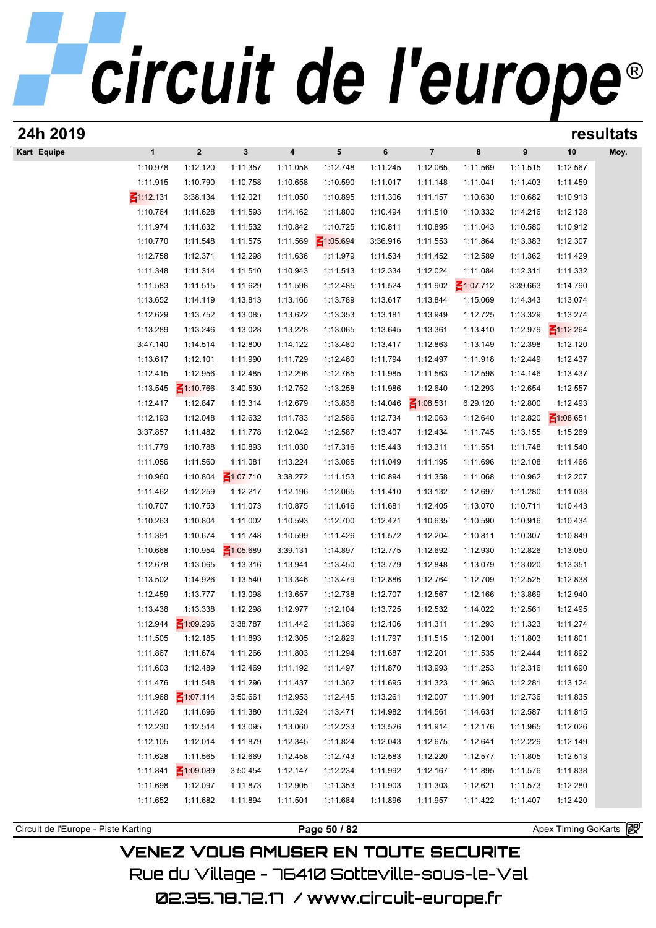| 24h 2019                            |                      |                      |                      |                         |                      |                      |                      |                      |                      |                       | resultats |
|-------------------------------------|----------------------|----------------------|----------------------|-------------------------|----------------------|----------------------|----------------------|----------------------|----------------------|-----------------------|-----------|
| Kart Equipe                         | $\mathbf{1}$         | $\boldsymbol{2}$     | $\mathbf{3}$         | $\overline{\mathbf{4}}$ | 5                    | 6                    | $\overline{7}$       | 8                    | 9                    | 10                    | Moy.      |
|                                     | 1:10.978             | 1:12.120             | 1:11.357             | 1:11.058                | 1:12.748             | 1:11.245             | 1:12.065             | 1:11.569             | 1:11.515             | 1:12.567              |           |
|                                     | 1:11.915             | 1:10.790             | 1:10.758             | 1:10.658                | 1:10.590             | 1:11.017             | 1:11.148             | 1:11.041             | 1:11.403             | 1:11.459              |           |
|                                     | $\leq 1:12.131$      | 3:38.134             | 1:12.021             | 1:11.050                | 1:10.895             | 1:11.306             | 1:11.157             | 1:10.630             | 1:10.682             | 1:10.913              |           |
|                                     | 1:10.764             | 1:11.628             | 1:11.593             | 1:14.162                | 1:11.800             | 1:10.494             | 1:11.510             | 1:10.332             | 1:14.216             | 1:12.128              |           |
|                                     | 1:11.974             | 1:11.632             | 1:11.532             | 1:10.842                | 1:10.725             | 1:10.811             | 1:10.895             | 1:11.043             | 1:10.580             | 1:10.912              |           |
|                                     | 1:10.770             | 1:11.548             | 1:11.575             | 1:11.569                | $\leq 1:05.694$      | 3:36.916             | 1:11.553             | 1:11.864             | 1:13.383             | 1:12.307              |           |
|                                     | 1:12.758             | 1:12.371             | 1:12.298             | 1:11.636                | 1:11.979             | 1:11.534             | 1:11.452             | 1:12.589             | 1:11.362             | 1:11.429              |           |
|                                     | 1:11.348             | 1:11.314             | 1:11.510             | 1:10.943                | 1:11.513             | 1:12.334             | 1:12.024             | 1:11.084             | 1:12.311             | 1:11.332              |           |
|                                     | 1:11.583             | 1:11.515             | 1:11.629             | 1:11.598                | 1:12.485             | 1:11.524             | 1:11.902             | $\leq 1:07.712$      | 3:39.663             | 1:14.790              |           |
|                                     | 1:13.652<br>1:12.629 | 1:14.119<br>1:13.752 | 1:13.813<br>1:13.085 | 1:13.166<br>1:13.622    | 1:13.789<br>1:13.353 | 1:13.617<br>1:13.181 | 1:13.844<br>1:13.949 | 1:15.069             | 1:14.343<br>1:13.329 | 1:13.074<br>1:13.274  |           |
|                                     | 1:13.289             | 1:13.246             | 1:13.028             | 1:13.228                | 1:13.065             | 1:13.645             | 1:13.361             | 1:12.725<br>1:13.410 | 1:12.979             | $\leq 1:12.264$       |           |
|                                     | 3:47.140             | 1:14.514             | 1:12.800             | 1:14.122                | 1:13.480             | 1:13.417             | 1:12.863             | 1:13.149             | 1:12.398             | 1:12.120              |           |
|                                     | 1:13.617             | 1:12.101             | 1:11.990             | 1:11.729                | 1:12.460             | 1:11.794             | 1:12.497             | 1:11.918             | 1:12.449             | 1:12.437              |           |
|                                     | 1:12.415             | 1:12.956             | 1:12.485             | 1:12.296                | 1:12.765             | 1:11.985             | 1:11.563             | 1:12.598             | 1:14.146             | 1:13.437              |           |
|                                     | 1:13.545             | $\leq 1:10.766$      | 3:40.530             | 1:12.752                | 1:13.258             | 1:11.986             | 1:12.640             | 1:12.293             | 1:12.654             | 1:12.557              |           |
|                                     | 1:12.417             | 1:12.847             | 1:13.314             | 1:12.679                | 1:13.836             | 1:14.046             | $\leq 1:08.531$      | 6:29.120             | 1:12.800             | 1:12.493              |           |
|                                     | 1:12.193             | 1:12.048             | 1:12.632             | 1:11.783                | 1:12.586             | 1:12.734             | 1:12.063             | 1:12.640             | 1:12.820             | $\leq 1:08.651$       |           |
|                                     | 3:37.857             | 1:11.482             | 1:11.778             | 1:12.042                | 1:12.587             | 1:13.407             | 1:12.434             | 1:11.745             | 1:13.155             | 1:15.269              |           |
|                                     | 1:11.779             | 1:10.788             | 1:10.893             | 1:11.030                | 1:17.316             | 1:15.443             | 1:13.311             | 1:11.551             | 1:11.748             | 1:11.540              |           |
|                                     | 1:11.056             | 1:11.560             | 1:11.081             | 1:13.224                | 1:13.085             | 1:11.049             | 1:11.195             | 1:11.696             | 1:12.108             | 1:11.466              |           |
|                                     | 1:10.960             | 1:10.804             | $\leq 1:07.710$      | 3:38.272                | 1:11.153             | 1:10.894             | 1:11.358             | 1:11.068             | 1:10.962             | 1:12.207              |           |
|                                     | 1:11.462             | 1:12.259             | 1:12.217             | 1:12.196                | 1:12.065             | 1:11.410             | 1:13.132             | 1:12.697             | 1:11.280             | 1:11.033              |           |
|                                     | 1:10.707             | 1:10.753             | 1:11.073             | 1:10.875                | 1:11.616             | 1:11.681             | 1:12.405             | 1:13.070             | 1:10.711             | 1:10.443              |           |
|                                     | 1:10.263             | 1:10.804             | 1:11.002             | 1:10.593                | 1:12.700             | 1:12.421             | 1:10.635             | 1:10.590             | 1:10.916             | 1:10.434              |           |
|                                     | 1:11.391             | 1:10.674             | 1:11.748             | 1:10.599                | 1:11.426             | 1:11.572             | 1:12.204             | 1:10.811             | 1:10.307             | 1:10.849              |           |
|                                     | 1:10.668             | 1:10.954             | $\leq 1:05.689$      | 3:39.131                | 1:14.897             | 1:12.775             | 1:12.692             | 1:12.930             | 1:12.826             | 1:13.050              |           |
|                                     | 1:12.678             | 1:13.065             | 1:13.316             | 1:13.941                | 1:13.450             | 1:13.779             | 1:12.848             | 1:13.079             | 1:13.020             | 1:13.351              |           |
|                                     | 1:13.502             | 1:14.926             | 1:13.540             | 1:13.346                | 1:13.479             | 1:12.886             | 1:12.764             | 1:12.709             | 1:12.525             | 1:12.838              |           |
|                                     | 1:12.459             | 1:13.777             | 1:13.098             | 1:13.657                | 1:12.738             | 1:12.707             | 1:12.567             | 1:12.166             | 1:13.869             | 1:12.940              |           |
|                                     | 1:13.438             | 1:13.338             | 1:12.298             | 1:12.977                | 1:12.104             | 1:13.725             | 1:12.532             | 1:14.022             | 1:12.561             | 1:12.495              |           |
|                                     | 1:12.944             | ₹1:09.296            | 3:38.787             | 1:11.442                | 1:11.389             | 1:12.106             | 1:11.311             | 1:11.293             | 1:11.323             | 1:11.274              |           |
|                                     | 1:11.505             | 1:12.185             | 1:11.893             | 1:12.305<br>1:11.803    | 1:12.829             | 1:11.797             | 1:11.515             | 1:12.001             | 1:11.803             | 1:11.801              |           |
|                                     | 1:11.867             | 1:11.674<br>1:12.489 | 1:11.266             |                         | 1:11.294             | 1:11.687             | 1:12.201             | 1:11.535             | 1:12.444<br>1:12.316 | 1:11.892              |           |
|                                     | 1:11.603<br>1:11.476 | 1:11.548             | 1:12.469<br>1:11.296 | 1:11.192<br>1:11.437    | 1:11.497<br>1:11.362 | 1:11.870<br>1:11.695 | 1:13.993<br>1:11.323 | 1:11.253<br>1:11.963 | 1:12.281             | 1:11.690<br>1:13.124  |           |
|                                     | 1:11.968             | $\leq 1:07.114$      | 3:50.661             | 1:12.953                | 1:12.445             | 1:13.261             | 1:12.007             | 1:11.901             | 1:12.736             | 1:11.835              |           |
|                                     | 1:11.420             | 1:11.696             | 1:11.380             | 1:11.524                | 1:13.471             | 1:14.982             | 1:14.561             | 1:14.631             | 1:12.587             | 1:11.815              |           |
|                                     | 1:12.230             | 1:12.514             | 1:13.095             | 1:13.060                | 1:12.233             | 1:13.526             | 1:11.914             | 1:12.176             | 1:11.965             | 1:12.026              |           |
|                                     | 1:12.105             | 1:12.014             | 1:11.879             | 1:12.345                | 1:11.824             | 1:12.043             | 1:12.675             | 1:12.641             | 1:12.229             | 1:12.149              |           |
|                                     | 1:11.628             | 1:11.565             | 1:12.669             | 1:12.458                | 1:12.743             | 1:12.583             | 1:12.220             | 1:12.577             | 1:11.805             | 1:12.513              |           |
|                                     | 1:11.841             | $\leq 1:09.089$      | 3:50.454             | 1:12.147                | 1:12.234             | 1:11.992             | 1:12.167             | 1:11.895             | 1:11.576             | 1:11.838              |           |
|                                     | 1:11.698             | 1:12.097             | 1:11.873             | 1:12.905                | 1:11.353             | 1:11.903             | 1:11.303             | 1:12.621             | 1:11.573             | 1:12.280              |           |
|                                     | 1:11.652             | 1:11.682             | 1:11.894             | 1:11.501                | 1:11.684             | 1:11.896             | 1:11.957             | 1:11.422             | 1:11.407             | 1:12.420              |           |
|                                     |                      |                      |                      |                         |                      |                      |                      |                      |                      |                       |           |
| Circuit de l'Europe - Piste Karting |                      |                      |                      |                         | Page 50 / 82         |                      |                      |                      |                      | Apex Timing GoKarts 图 |           |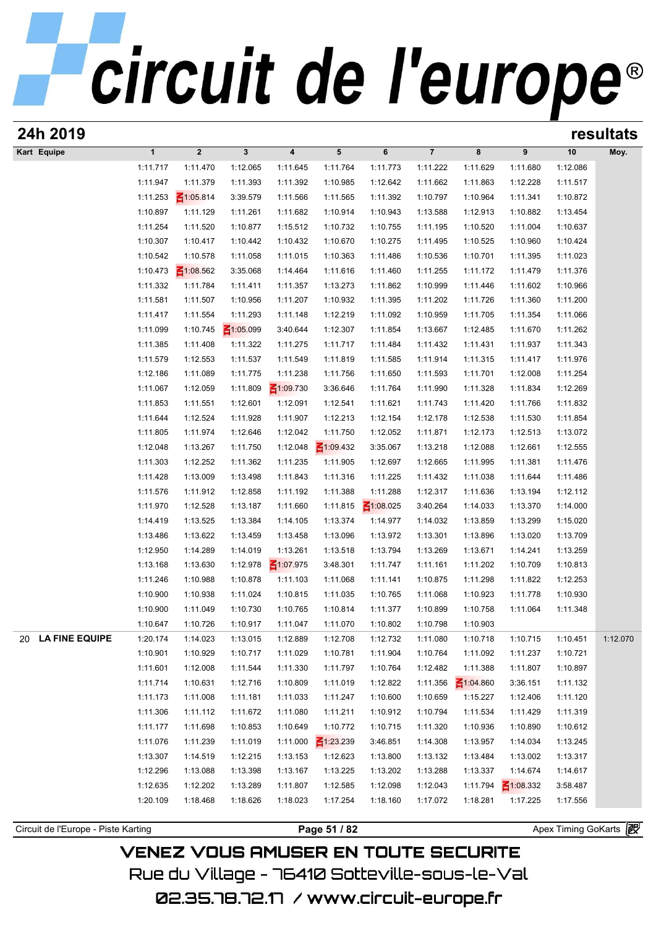| 24h 2019                            |                      |                         |                      |                         |                             |                      |                      |                      |                      |                       | resultats |
|-------------------------------------|----------------------|-------------------------|----------------------|-------------------------|-----------------------------|----------------------|----------------------|----------------------|----------------------|-----------------------|-----------|
| Kart Equipe                         | $\mathbf{1}$         | $\overline{\mathbf{2}}$ | 3                    | $\overline{\mathbf{4}}$ | 5                           | 6                    | $\overline{7}$       | 8                    | 9                    | 10                    | Moy.      |
|                                     | 1:11.717             | 1:11.470                | 1:12.065             | 1:11.645                | 1:11.764                    | 1:11.773             | 1:11.222             | 1:11.629             | 1:11.680             | 1:12.086              |           |
|                                     | 1:11.947             | 1:11.379                | 1:11.393             | 1:11.392                | 1:10.985                    | 1:12.642             | 1:11.662             | 1:11.863             | 1:12.228             | 1:11.517              |           |
|                                     | 1:11.253             | $\leq 1:05.814$         | 3:39.579             | 1:11.566                | 1:11.565                    | 1:11.392             | 1:10.797             | 1:10.964             | 1:11.341             | 1:10.872              |           |
|                                     | 1:10.897             | 1:11.129                | 1:11.261             | 1:11.682                | 1:10.914                    | 1:10.943             | 1:13.588             | 1:12.913             | 1:10.882             | 1:13.454              |           |
|                                     | 1:11.254             | 1:11.520                | 1:10.877             | 1:15.512                | 1:10.732                    | 1:10.755             | 1:11.195             | 1:10.520             | 1:11.004             | 1:10.637              |           |
|                                     | 1:10.307             | 1:10.417                | 1:10.442             | 1:10.432                | 1:10.670                    | 1:10.275             | 1:11.495             | 1:10.525             | 1:10.960             | 1:10.424              |           |
|                                     | 1:10.542             | 1:10.578                | 1:11.058             | 1:11.015                | 1:10.363                    | 1:11.486             | 1:10.536             | 1:10.701             | 1:11.395             | 1:11.023              |           |
|                                     | 1:10.473             | $\leq 1:08.562$         | 3:35.068             | 1:14.464                | 1:11.616                    | 1:11.460             | 1:11.255             | 1:11.172             | 1:11.479             | 1:11.376              |           |
|                                     | 1:11.332             | 1:11.784                | 1:11.411             | 1:11.357                | 1:13.273                    | 1:11.862             | 1:10.999             | 1:11.446             | 1:11.602             | 1:10.966              |           |
|                                     | 1:11.581             | 1:11.507                | 1:10.956             | 1:11.207                | 1:10.932                    | 1:11.395             | 1:11.202             | 1:11.726             | 1:11.360             | 1:11.200              |           |
|                                     | 1:11.417             | 1:11.554                | 1:11.293             | 1:11.148                | 1:12.219                    | 1:11.092             | 1:10.959             | 1:11.705             | 1:11.354             | 1:11.066              |           |
|                                     | 1:11.099             | 1:10.745                | $\leq 1:05.099$      | 3:40.644                | 1:12.307                    | 1:11.854             | 1:13.667             | 1:12.485             | 1:11.670             | 1:11.262              |           |
|                                     | 1:11.385             | 1:11.408                | 1:11.322             | 1:11.275                | 1:11.717                    | 1:11.484             | 1:11.432             | 1:11.431             | 1:11.937             | 1:11.343              |           |
|                                     | 1:11.579             | 1:12.553                | 1:11.537             | 1:11.549                | 1:11.819                    | 1:11.585             | 1:11.914             | 1:11.315             | 1:11.417             | 1:11.976              |           |
|                                     | 1:12.186             | 1:11.089                | 1:11.775             | 1:11.238                | 1:11.756                    | 1:11.650             | 1:11.593             | 1:11.701             | 1:12.008             | 1:11.254              |           |
|                                     | 1:11.067             | 1:12.059                | 1:11.809             | $\leq 1:09.730$         | 3:36.646                    | 1:11.764             | 1:11.990             | 1:11.328             | 1:11.834             | 1:12.269              |           |
|                                     | 1:11.853             | 1:11.551                | 1:12.601             | 1:12.091                | 1:12.541                    | 1:11.621             | 1:11.743             | 1:11.420             | 1:11.766             | 1:11.832              |           |
|                                     | 1:11.644             | 1:12.524                | 1:11.928             | 1:11.907                | 1:12.213                    | 1:12.154             | 1:12.178             | 1:12.538             | 1:11.530             | 1:11.854              |           |
|                                     | 1:11.805<br>1:12.048 | 1:11.974<br>1:13.267    | 1:12.646<br>1:11.750 | 1:12.042<br>1:12.048    | 1:11.750<br>$\leq 1:09.432$ | 1:12.052<br>3:35.067 | 1:11.871<br>1:13.218 | 1:12.173<br>1:12.088 | 1:12.513<br>1:12.661 | 1:13.072<br>1:12.555  |           |
|                                     | 1:11.303             | 1:12.252                | 1:11.362             | 1:11.235                | 1:11.905                    | 1:12.697             | 1:12.665             | 1:11.995             | 1:11.381             | 1:11.476              |           |
|                                     | 1:11.428             | 1:13.009                | 1:13.498             | 1:11.843                | 1:11.316                    | 1:11.225             | 1:11.432             | 1:11.038             | 1:11.644             | 1:11.486              |           |
|                                     | 1:11.576             | 1:11.912                | 1:12.858             | 1:11.192                | 1:11.388                    | 1:11.288             | 1:12.317             | 1:11.636             | 1:13.194             | 1:12.112              |           |
|                                     | 1:11.970             | 1:12.528                | 1:13.187             | 1:11.660                | 1:11.815                    | $\leq 1:08.025$      | 3:40.264             | 1:14.033             | 1:13.370             | 1:14.000              |           |
|                                     | 1:14.419             | 1:13.525                | 1:13.384             | 1:14.105                | 1:13.374                    | 1:14.977             | 1:14.032             | 1:13.859             | 1:13.299             | 1:15.020              |           |
|                                     | 1:13.486             | 1:13.622                | 1:13.459             | 1:13.458                | 1:13.096                    | 1:13.972             | 1:13.301             | 1:13.896             | 1:13.020             | 1:13.709              |           |
|                                     | 1:12.950             | 1:14.289                | 1:14.019             | 1:13.261                | 1:13.518                    | 1:13.794             | 1:13.269             | 1:13.671             | 1:14.241             | 1:13.259              |           |
|                                     | 1:13.168             | 1:13.630                | 1:12.978             | ₹1:07.975               | 3:48.301                    | 1:11.747             | 1:11.161             | 1:11.202             | 1:10.709             | 1:10.813              |           |
|                                     | 1:11.246             | 1:10.988                | 1:10.878             | 1:11.103                | 1:11.068                    | 1:11.141             | 1:10.875             | 1:11.298             | 1:11.822             | 1:12.253              |           |
|                                     | 1:10.900             | 1:10.938                | 1:11.024             | 1:10.815                | 1:11.035                    | 1:10.765             | 1:11.068             | 1:10.923             | 1:11.778             | 1:10.930              |           |
|                                     | 1:10.900             | 1:11.049                | 1:10.730             | 1:10.765                | 1:10.814                    | 1:11.377             | 1:10.899             | 1:10.758             | 1:11.064             | 1:11.348              |           |
|                                     | 1:10.647             | 1:10.726                | 1:10.917             | 1:11.047                | 1:11.070                    | 1:10.802             | 1:10.798             | 1:10.903             |                      |                       |           |
| 20 LA FINE EQUIPE                   | 1:20.174             | 1:14.023                | 1:13.015             | 1:12.889                | 1:12.708                    | 1:12.732             | 1:11.080             | 1:10.718             | 1:10.715             | 1:10.451              | 1:12.070  |
|                                     | 1:10.901             | 1:10.929                | 1:10.717             | 1:11.029                | 1:10.781                    | 1:11.904             | 1:10.764             | 1:11.092             | 1:11.237             | 1:10.721              |           |
|                                     | 1:11.601             | 1:12.008                | 1:11.544             | 1:11.330                | 1:11.797                    | 1:10.764             | 1:12.482             | 1:11.388             | 1:11.807             | 1:10.897              |           |
|                                     | 1:11.714             | 1:10.631                | 1:12.716             | 1:10.809                | 1:11.019                    | 1:12.822             | 1:11.356             | $\leq 1:04.860$      | 3:36.151             | 1:11.132              |           |
|                                     | 1:11.173             | 1:11.008                | 1:11.181             | 1:11.033                | 1:11.247                    | 1:10.600             | 1:10.659             | 1:15.227             | 1:12.406             | 1:11.120              |           |
|                                     | 1:11.306             | 1:11.112                | 1:11.672             | 1:11.080                | 1:11.211                    | 1:10.912             | 1:10.794             | 1:11.534             | 1:11.429             | 1:11.319              |           |
|                                     | 1:11.177             | 1:11.698                | 1:10.853             | 1:10.649                | 1:10.772                    | 1:10.715             | 1:11.320             | 1:10.936             | 1:10.890             | 1:10.612              |           |
|                                     | 1:11.076             | 1:11.239                | 1:11.019             | 1:11.000                | $\leq 1:23.239$             | 3:46.851             | 1:14.308             | 1:13.957             | 1:14.034             | 1:13.245              |           |
|                                     | 1:13.307             | 1:14.519                | 1:12.215             | 1:13.153                | 1:12.623                    | 1:13.800             | 1:13.132             | 1:13.484             | 1:13.002             | 1:13.317              |           |
|                                     | 1:12.296             | 1:13.088                | 1:13.398             | 1:13.167                | 1:13.225                    | 1:13.202             | 1:13.288             | 1:13.337             | 1:14.674             | 1:14.617              |           |
|                                     | 1:12.635             | 1:12.202                | 1:13.289             | 1:11.807                | 1:12.585                    | 1:12.098             | 1:12.043             | 1:11.794             | $\leq 1:08.332$      | 3:58.487              |           |
|                                     | 1:20.109             | 1:18.468                | 1:18.626             | 1:18.023                | 1:17.254                    | 1:18.160             | 1:17.072             | 1:18.281             | 1:17.225             | 1:17.556              |           |
|                                     |                      |                         |                      |                         |                             |                      |                      |                      |                      |                       |           |
| Circuit de l'Europe - Piste Karting |                      |                         |                      |                         | Page 51 / 82                |                      |                      |                      |                      | Apex Timing GoKarts 图 |           |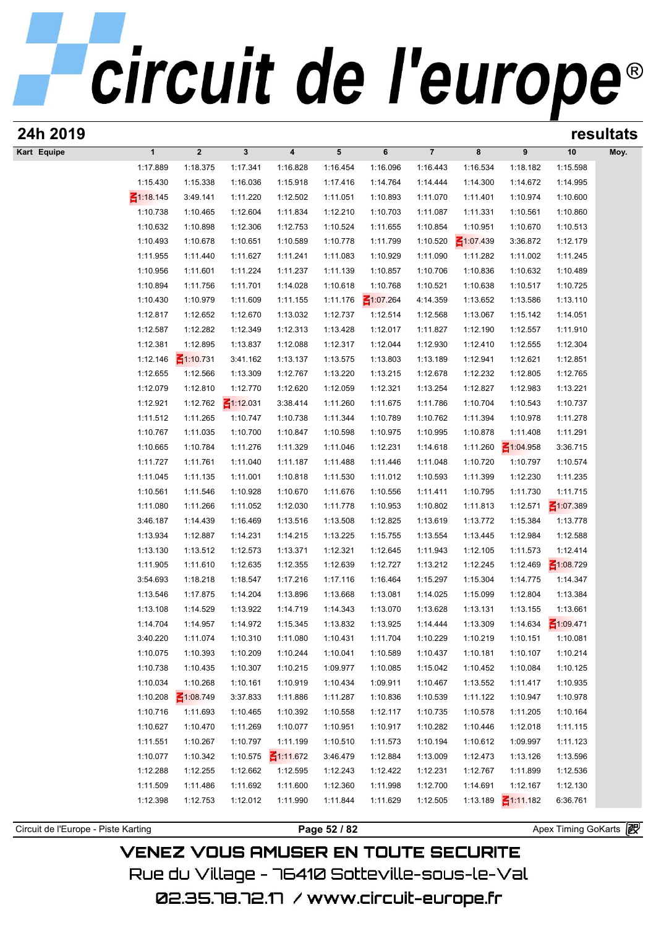# circuit de l'europe®

| 24h 2019                            |                 |                 |                 |                 | resultats    |                 |                |                 |                 |                       |      |
|-------------------------------------|-----------------|-----------------|-----------------|-----------------|--------------|-----------------|----------------|-----------------|-----------------|-----------------------|------|
| Kart Equipe                         | $\mathbf{1}$    | $\mathbf{2}$    | $\mathbf{3}$    | 4               | 5            | 6               | $\overline{7}$ | 8               | 9               | 10                    | Moy. |
|                                     | 1:17.889        | 1:18.375        | 1:17.341        | 1:16.828        | 1:16.454     | 1:16.096        | 1:16.443       | 1:16.534        | 1:18.182        | 1:15.598              |      |
|                                     | 1:15.430        | 1:15.338        | 1:16.036        | 1:15.918        | 1:17.416     | 1:14.764        | 1:14.444       | 1:14.300        | 1:14.672        | 1:14.995              |      |
|                                     | $\leq 1:18.145$ | 3:49.141        | 1:11.220        | 1:12.502        | 1:11.051     | 1:10.893        | 1:11.070       | 1:11.401        | 1:10.974        | 1:10.600              |      |
|                                     | 1:10.738        | 1:10.465        | 1:12.604        | 1:11.834        | 1:12.210     | 1:10.703        | 1:11.087       | 1:11.331        | 1:10.561        | 1:10.860              |      |
|                                     | 1:10.632        | 1:10.898        | 1:12.306        | 1:12.753        | 1:10.524     | 1:11.655        | 1:10.854       | 1:10.951        | 1:10.670        | 1:10.513              |      |
|                                     | 1:10.493        | 1:10.678        | 1:10.651        | 1:10.589        | 1:10.778     | 1:11.799        | 1:10.520       | $\leq 1:07.439$ | 3:36.872        | 1:12.179              |      |
|                                     | 1:11.955        | 1:11.440        | 1:11.627        | 1:11.241        | 1:11.083     | 1:10.929        | 1:11.090       | 1:11.282        | 1:11.002        | 1:11.245              |      |
|                                     | 1:10.956        | 1:11.601        | 1:11.224        | 1:11.237        | 1:11.139     | 1:10.857        | 1:10.706       | 1:10.836        | 1:10.632        | 1:10.489              |      |
|                                     | 1:10.894        | 1:11.756        | 1:11.701        | 1:14.028        | 1:10.618     | 1:10.768        | 1:10.521       | 1:10.638        | 1:10.517        | 1:10.725              |      |
|                                     | 1:10.430        | 1:10.979        | 1:11.609        | 1:11.155        | 1:11.176     | $\leq 1:07.264$ | 4:14.359       | 1:13.652        | 1:13.586        | 1:13.110              |      |
|                                     | 1:12.817        | 1:12.652        | 1:12.670        | 1:13.032        | 1:12.737     | 1:12.514        | 1:12.568       | 1:13.067        | 1:15.142        | 1:14.051              |      |
|                                     |                 |                 |                 |                 |              |                 |                |                 |                 |                       |      |
|                                     | 1:12.587        | 1:12.282        | 1:12.349        | 1:12.313        | 1:13.428     | 1:12.017        | 1:11.827       | 1:12.190        | 1:12.557        | 1:11.910              |      |
|                                     | 1:12.381        | 1:12.895        | 1:13.837        | 1:12.088        | 1:12.317     | 1:12.044        | 1:12.930       | 1:12.410        | 1:12.555        | 1:12.304              |      |
|                                     | 1:12.146        | $\leq 1:10.731$ | 3:41.162        | 1:13.137        | 1:13.575     | 1:13.803        | 1:13.189       | 1:12.941        | 1:12.621        | 1:12.851              |      |
|                                     | 1:12.655        | 1:12.566        | 1:13.309        | 1:12.767        | 1:13.220     | 1:13.215        | 1:12.678       | 1:12.232        | 1:12.805        | 1:12.765              |      |
|                                     | 1:12.079        | 1:12.810        | 1:12.770        | 1:12.620        | 1:12.059     | 1:12.321        | 1:13.254       | 1:12.827        | 1:12.983        | 1:13.221              |      |
|                                     | 1:12.921        | 1:12.762        | $\leq 1:12.031$ | 3:38.414        | 1:11.260     | 1:11.675        | 1:11.786       | 1:10.704        | 1:10.543        | 1:10.737              |      |
|                                     | 1:11.512        | 1:11.265        | 1:10.747        | 1:10.738        | 1:11.344     | 1:10.789        | 1:10.762       | 1:11.394        | 1:10.978        | 1:11.278              |      |
|                                     | 1:10.767        | 1:11.035        | 1:10.700        | 1:10.847        | 1:10.598     | 1:10.975        | 1:10.995       | 1:10.878        | 1:11.408        | 1:11.291              |      |
|                                     | 1:10.665        | 1:10.784        | 1:11.276        | 1:11.329        | 1:11.046     | 1:12.231        | 1:14.618       | 1:11.260        | $\leq 1:04.958$ | 3:36.715              |      |
|                                     | 1:11.727        | 1:11.761        | 1:11.040        | 1:11.187        | 1:11.488     | 1:11.446        | 1:11.048       | 1:10.720        | 1:10.797        | 1:10.574              |      |
|                                     | 1:11.045        | 1:11.135        | 1:11.001        | 1:10.818        | 1:11.530     | 1:11.012        | 1:10.593       | 1:11.399        | 1:12.230        | 1:11.235              |      |
|                                     | 1:10.561        | 1:11.546        | 1:10.928        | 1:10.670        | 1:11.676     | 1:10.556        | 1:11.411       | 1:10.795        | 1:11.730        | 1:11.715              |      |
|                                     | 1:11.080        | 1:11.266        | 1:11.052        | 1:12.030        | 1:11.778     | 1:10.953        | 1:10.802       | 1:11.813        | 1:12.571        | $\leq 1:07.389$       |      |
|                                     | 3:46.187        | 1:14.439        | 1:16.469        | 1:13.516        | 1:13.508     | 1:12.825        | 1:13.619       | 1:13.772        | 1:15.384        | 1:13.778              |      |
|                                     | 1:13.934        | 1:12.887        | 1:14.231        | 1:14.215        | 1:13.225     | 1:15.755        | 1:13.554       | 1:13.445        | 1:12.984        | 1:12.588              |      |
|                                     | 1:13.130        | 1:13.512        | 1:12.573        | 1:13.371        | 1:12.321     | 1:12.645        | 1:11.943       | 1:12.105        | 1:11.573        | 1:12.414              |      |
|                                     | 1:11.905        | 1:11.610        | 1:12.635        | 1:12.355        | 1:12.639     | 1:12.727        | 1:13.212       | 1:12.245        | 1:12.469        | $\leq 1:08.729$       |      |
|                                     | 3:54.693        | 1:18.218        | 1:18.547        | 1:17.216        | 1:17.116     | 1:16.464        | 1:15.297       | 1:15.304        | 1:14.775        | 1:14.347              |      |
|                                     | 1:13.546        | 1:17.875        | 1:14.204        | 1:13.896        | 1:13.668     | 1:13.081        | 1:14.025       | 1:15.099        | 1:12.804        | 1:13.384              |      |
|                                     | 1:13.108        | 1:14.529        | 1:13.922        | 1:14.719        | 1:14.343     | 1:13.070        | 1:13.628       | 1:13.131        | 1:13.155        | 1:13.661              |      |
|                                     | 1:14.704        | 1:14.957        | 1:14.972        | 1:15.345        | 1:13.832     | 1:13.925        | 1:14.444       | 1:13.309        | 1:14.634        | ₹1:09.471             |      |
|                                     | 3:40.220        | 1:11.074        | 1:10.310        | 1:11.080        | 1:10.431     | 1:11.704        | 1:10.229       | 1:10.219        | 1:10.151        | 1:10.081              |      |
|                                     | 1:10.075        | 1:10.393        | 1:10.209        | 1:10.244        | 1:10.041     | 1:10.589        | 1:10.437       | 1:10.181        | 1:10.107        | 1:10.214              |      |
|                                     | 1:10.738        | 1:10.435        | 1:10.307        | 1:10.215        | 1:09.977     | 1:10.085        | 1:15.042       | 1:10.452        | 1:10.084        | 1:10.125              |      |
|                                     | 1:10.034        |                 |                 |                 | 1:10.434     |                 | 1:10.467       |                 | 1:11.417        |                       |      |
|                                     |                 | 1:10.268        | 1:10.161        | 1:10.919        |              | 1:09.911        |                | 1:13.552        |                 | 1:10.935              |      |
|                                     | 1:10.208        | $\leq 1:08.749$ | 3:37.833        | 1:11.886        | 1:11.287     | 1:10.836        | 1:10.539       | 1:11.122        | 1:10.947        | 1:10.978              |      |
|                                     | 1:10.716        | 1:11.693        | 1:10.465        | 1:10.392        | 1:10.558     | 1:12.117        | 1:10.735       | 1:10.578        | 1:11.205        | 1:10.164              |      |
|                                     | 1:10.627        | 1:10.470        | 1:11.269        | 1:10.077        | 1:10.951     | 1:10.917        | 1:10.282       | 1:10.446        | 1:12.018        | 1:11.115              |      |
|                                     | 1:11.551        | 1:10.267        | 1:10.797        | 1:11.199        | 1:10.510     | 1:11.573        | 1:10.194       | 1:10.612        | 1:09.997        | 1:11.123              |      |
|                                     | 1:10.077        | 1:10.342        | 1:10.575        | $\leq 1:11.672$ | 3:46.479     | 1:12.884        | 1:13.009       | 1:12.473        | 1:13.126        | 1:13.596              |      |
|                                     | 1:12.288        | 1:12.255        | 1:12.662        | 1:12.595        | 1:12.243     | 1:12.422        | 1:12.231       | 1:12.767        | 1:11.899        | 1:12.536              |      |
|                                     | 1:11.509        | 1:11.486        | 1:11.692        | 1:11.600        | 1:12.360     | 1:11.998        | 1:12.700       | 1:14.691        | 1:12.167        | 1:12.130              |      |
|                                     | 1:12.398        | 1:12.753        | 1:12.012        | 1:11.990        | 1:11.844     | 1:11.629        | 1:12.505       | 1:13.189        | $\leq 1:11.182$ | 6:36.761              |      |
|                                     |                 |                 |                 |                 |              |                 |                |                 |                 |                       |      |
| Circuit de l'Europe - Piste Karting |                 |                 |                 |                 | Page 52 / 82 |                 |                |                 |                 | Apex Timing GoKarts 图 |      |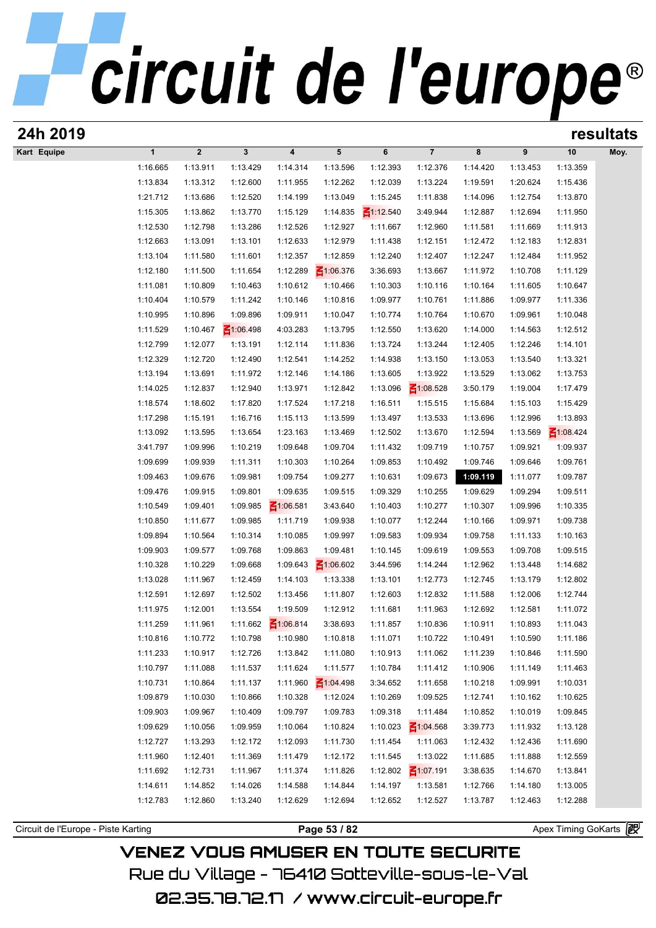# circuit de l'europe®

| 24h 2019    |                      | resultats      |                 |                   |                 |                 |                 |          |          |                 |      |
|-------------|----------------------|----------------|-----------------|-------------------|-----------------|-----------------|-----------------|----------|----------|-----------------|------|
| Kart Equipe | $\mathbf{1}$         | $\overline{2}$ | $\mathbf{3}$    | 4                 | 5               | 6               | $\overline{7}$  | 8        | 9        | 10              | Moy. |
|             | 1:16.665             | 1:13.911       | 1:13.429        | 1:14.314          | 1:13.596        | 1:12.393        | 1:12.376        | 1:14.420 | 1:13.453 | 1:13.359        |      |
|             | 1:13.834             | 1:13.312       | 1:12.600        | 1:11.955          | 1:12.262        | 1:12.039        | 1:13.224        | 1:19.591 | 1:20.624 | 1:15.436        |      |
|             | 1:21.712             | 1:13.686       | 1:12.520        | 1:14.199          | 1:13.049        | 1:15.245        | 1:11.838        | 1:14.096 | 1:12.754 | 1:13.870        |      |
|             | 1:15.305             | 1:13.862       | 1:13.770        | 1:15.129          | 1:14.835        | $\leq 1:12.540$ | 3:49.944        | 1:12.887 | 1:12.694 | 1:11.950        |      |
|             | 1:12.530             | 1:12.798       | 1:13.286        | 1:12.526          | 1:12.927        | 1:11.667        | 1:12.960        | 1:11.581 | 1:11.669 | 1:11.913        |      |
|             | 1:12.663             | 1:13.091       | 1:13.101        | 1:12.633          | 1:12.979        | 1:11.438        | 1:12.151        | 1:12.472 | 1:12.183 | 1:12.831        |      |
|             | 1:13.104             | 1:11.580       | 1:11.601        | 1:12.357          | 1:12.859        | 1:12.240        | 1:12.407        | 1:12.247 | 1:12.484 | 1:11.952        |      |
|             | 1:12.180             | 1:11.500       | 1:11.654        | 1:12.289          | $\leq 1:06.376$ | 3:36.693        | 1:13.667        | 1:11.972 | 1:10.708 | 1:11.129        |      |
|             | 1:11.081             | 1:10.809       | 1:10.463        | 1:10.612          | 1:10.466        | 1:10.303        | 1:10.116        | 1:10.164 | 1:11.605 | 1:10.647        |      |
|             | 1:10.404             | 1:10.579       | 1:11.242        | 1:10.146          | 1:10.816        | 1:09.977        | 1:10.761        | 1:11.886 | 1:09.977 | 1:11.336        |      |
|             | 1:10.995             | 1:10.896       | 1:09.896        | 1:09.911          | 1:10.047        | 1:10.774        | 1:10.764        | 1:10.670 | 1:09.961 | 1:10.048        |      |
|             | 1:11.529             | 1:10.467       | $\leq 1:06.498$ | 4:03.283          | 1:13.795        | 1:12.550        | 1:13.620        | 1:14.000 | 1:14.563 | 1:12.512        |      |
|             | 1:12.799             | 1:12.077       | 1:13.191        | 1:12.114          | 1:11.836        | 1:13.724        | 1:13.244        | 1:12.405 | 1:12.246 | 1:14.101        |      |
|             | 1:12.329             | 1:12.720       | 1:12.490        | 1:12.541          | 1:14.252        | 1:14.938        | 1:13.150        | 1:13.053 | 1:13.540 | 1:13.321        |      |
|             | 1:13.194             | 1:13.691       | 1:11.972        | 1:12.146          | 1:14.186        | 1:13.605        | 1:13.922        | 1:13.529 | 1:13.062 | 1:13.753        |      |
|             | 1:14.025             | 1:12.837       | 1:12.940        | 1:13.971          | 1:12.842        | 1:13.096        | $\leq 1:08.528$ | 3:50.179 | 1:19.004 | 1:17.479        |      |
|             | 1:18.574             | 1:18.602       | 1:17.820        | 1:17.524          | 1:17.218        | 1:16.511        | 1:15.515        | 1:15.684 | 1:15.103 | 1:15.429        |      |
|             | 1:17.298             | 1:15.191       | 1:16.716        | 1:15.113          | 1:13.599        | 1:13.497        | 1:13.533        | 1:13.696 | 1:12.996 | 1:13.893        |      |
|             | 1:13.092             | 1:13.595       | 1:13.654        | 1:23.163          | 1:13.469        | 1:12.502        | 1:13.670        | 1:12.594 | 1:13.569 | $\leq 1:08.424$ |      |
|             | 3:41.797             | 1:09.996       | 1:10.219        | 1:09.648          | 1:09.704        | 1:11.432        | 1:09.719        | 1:10.757 | 1:09.921 | 1:09.937        |      |
|             | 1:09.699             | 1:09.939       | 1:11.311        | 1:10.303          | 1:10.264        | 1:09.853        | 1:10.492        | 1:09.746 | 1:09.646 | 1:09.761        |      |
|             | 1:09.463             | 1:09.676       | 1:09.981        | 1:09.754          | 1:09.277        | 1:10.631        | 1:09.673        | 1:09.119 | 1:11.077 | 1:09.787        |      |
|             | 1:09.476             | 1:09.915       | 1:09.801        | 1:09.635          | 1:09.515        | 1:09.329        | 1:10.255        | 1:09.629 | 1:09.294 | 1:09.511        |      |
|             | 1:10.549             | 1:09.401       | 1:09.985        | $\leq 1:06.581$   | 3:43.640        | 1:10.403        | 1:10.277        | 1:10.307 | 1:09.996 | 1:10.335        |      |
|             | 1:10.850             | 1:11.677       | 1:09.985        | 1:11.719          | 1:09.938        | 1:10.077        | 1:12.244        | 1:10.166 | 1:09.971 | 1:09.738        |      |
|             | 1:09.894             | 1:10.564       | 1:10.314        | 1:10.085          | 1:09.997        | 1:09.583        | 1:09.934        | 1:09.758 | 1:11.133 | 1:10.163        |      |
|             | 1:09.903             | 1:09.577       | 1:09.768        | 1:09.863          | 1:09.481        | 1:10.145        | 1:09.619        | 1:09.553 | 1:09.708 | 1:09.515        |      |
|             | 1:10.328             | 1:10.229       | 1:09.668        | 1:09.643          | $\leq 1:06.602$ | 3:44.596        | 1:14.244        | 1:12.962 | 1:13.448 | 1:14.682        |      |
|             | 1:13.028             | 1:11.967       | 1:12.459        | 1:14.103          | 1:13.338        | 1:13.101        | 1:12.773        | 1:12.745 | 1:13.179 | 1:12.802        |      |
|             | 1:12.591             | 1:12.697       | 1:12.502        | 1:13.456          | 1:11.807        | 1:12.603        | 1:12.832        | 1:11.588 | 1:12.006 | 1:12.744        |      |
|             | 1:11.975             | 1:12.001       | 1:13.554        | 1:19.509          | 1:12.912        | 1:11.681        | 1:11.963        | 1:12.692 | 1:12.581 | 1:11.072        |      |
|             | 1:11.259             | 1:11.961       |                 | 1:11.662 1:06.814 | 3:38.693        | 1:11.857        | 1:10.836        | 1:10.911 | 1:10.893 | 1:11.043        |      |
|             | 1:10.816             | 1:10.772       | 1:10.798        | 1:10.980          | 1:10.818        | 1:11.071        | 1:10.722        | 1:10.491 | 1:10.590 | 1:11.186        |      |
|             | 1:11.233             | 1:10.917       | 1:12.726        | 1:13.842          | 1:11.080        | 1:10.913        | 1:11.062        | 1:11.239 | 1:10.846 | 1:11.590        |      |
|             | 1:10.797             | 1:11.088       | 1:11.537        | 1:11.624          | 1:11.577        | 1:10.784        | 1:11.412        | 1:10.906 | 1:11.149 | 1:11.463        |      |
|             | 1:10.731             | 1:10.864       | 1:11.137        | 1:11.960          | $\leq 1:04.498$ | 3:34.652        | 1:11.658        | 1:10.218 | 1:09.991 | 1:10.031        |      |
|             | 1:09.879             | 1:10.030       | 1:10.866        | 1:10.328          | 1:12.024        | 1:10.269        | 1:09.525        | 1:12.741 | 1:10.162 | 1:10.625        |      |
|             | 1:09.903             | 1:09.967       | 1:10.409        | 1:09.797          | 1:09.783        | 1:09.318        | 1:11.484        |          | 1:10.019 | 1:09.845        |      |
|             |                      |                |                 |                   |                 |                 |                 | 1:10.852 |          |                 |      |
|             | 1:09.629             | 1:10.056       | 1:09.959        | 1:10.064          | 1:10.824        | 1:10.023        | $\leq 1:04.568$ | 3:39.773 | 1:11.932 | 1:13.128        |      |
|             | 1:12.727<br>1:11.960 | 1:13.293       | 1:12.172        | 1:12.093          | 1:11.730        | 1:11.454        | 1:11.063        | 1:12.432 | 1:12.436 | 1:11.690        |      |
|             |                      | 1:12.401       | 1:11.369        | 1:11.479          | 1:12.172        | 1:11.545        | 1:13.022        | 1:11.685 | 1:11.888 | 1:12.559        |      |
|             | 1:11.692             | 1:12.731       | 1:11.967        | 1:11.374          | 1:11.826        | 1:12.802        | $\leq 1:07.191$ | 3:38.635 | 1:14.670 | 1:13.841        |      |
|             | 1:14.611             | 1:14.852       | 1:14.026        | 1:14.588          | 1:14.844        | 1:14.197        | 1:13.581        | 1:12.766 | 1:14.180 | 1:13.005        |      |
|             | 1:12.783             | 1:12.860       | 1:13.240        | 1:12.629          | 1:12.694        | 1:12.652        | 1:12.527        | 1:13.787 | 1:12.463 | 1:12.288        |      |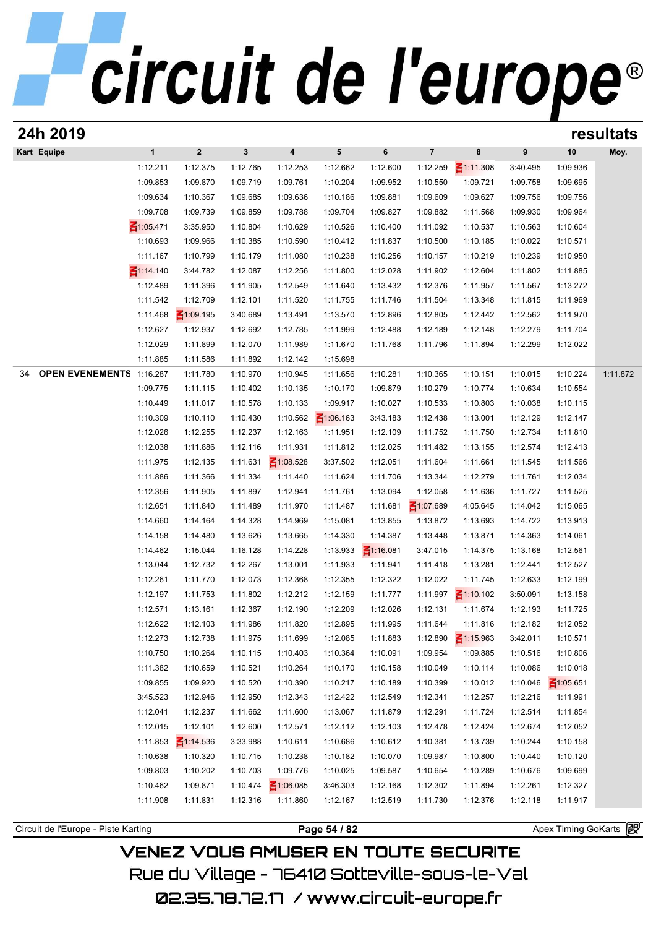| 24h 2019                            |                      |                      |                      |                         |                      |                       |                      |                      |                      |                      | resultats |
|-------------------------------------|----------------------|----------------------|----------------------|-------------------------|----------------------|-----------------------|----------------------|----------------------|----------------------|----------------------|-----------|
| Kart Equipe                         | $\mathbf{1}$         | $\boldsymbol{2}$     | $\mathbf{3}$         | $\overline{\mathbf{4}}$ | 5                    | 6                     | $\overline{7}$       | 8                    | 9                    | 10                   | Moy.      |
|                                     | 1:12.211             | 1:12.375             | 1:12.765             | 1:12.253                | 1:12.662             | 1:12.600              | 1:12.259             | $\leq$ 1:11.308      | 3:40.495             | 1:09.936             |           |
|                                     | 1:09.853             | 1:09.870             | 1:09.719             | 1:09.761                | 1:10.204             | 1:09.952              | 1:10.550             | 1:09.721             | 1:09.758             | 1:09.695             |           |
|                                     | 1:09.634             | 1:10.367             | 1:09.685             | 1:09.636                | 1:10.186             | 1:09.881              | 1:09.609             | 1:09.627             | 1:09.756             | 1:09.756             |           |
|                                     | 1:09.708             | 1:09.739             | 1:09.859             | 1:09.788                | 1:09.704             | 1:09.827              | 1:09.882             | 1:11.568             | 1:09.930             | 1:09.964             |           |
|                                     | $\leq 1:05.471$      | 3:35.950             | 1:10.804             | 1:10.629                | 1:10.526             | 1:10.400              | 1:11.092             | 1:10.537             | 1:10.563             | 1:10.604             |           |
|                                     | 1:10.693             | 1:09.966             | 1:10.385             | 1:10.590                | 1:10.412             | 1:11.837              | 1:10.500             | 1:10.185             | 1:10.022             | 1:10.571             |           |
|                                     | 1:11.167             | 1:10.799             | 1:10.179             | 1:11.080                | 1:10.238             | 1:10.256              | 1:10.157             | 1:10.219             | 1:10.239             | 1:10.950             |           |
|                                     | $\leq$ 1:14.140      | 3:44.782             | 1:12.087             | 1:12.256                | 1:11.800             | 1:12.028              | 1:11.902             | 1:12.604             | 1:11.802             | 1:11.885             |           |
|                                     | 1:12.489             | 1:11.396             | 1:11.905             | 1:12.549                | 1:11.640             | 1:13.432              | 1:12.376             | 1:11.957             | 1:11.567             | 1:13.272             |           |
|                                     | 1:11.542             | 1:12.709             | 1:12.101             | 1:11.520                | 1:11.755             | 1:11.746              | 1:11.504             | 1:13.348             | 1:11.815             | 1:11.969             |           |
|                                     | 1:11.468             | $\leq 1:09.195$      | 3:40.689             | 1:13.491                | 1:13.570             | 1:12.896              | 1:12.805             | 1:12.442             | 1:12.562             | 1:11.970             |           |
|                                     | 1:12.627             | 1:12.937             | 1:12.692             | 1:12.785                | 1:11.999             | 1:12.488              | 1:12.189             | 1:12.148             | 1:12.279             | 1:11.704             |           |
|                                     | 1:12.029             | 1:11.899             | 1:12.070             | 1:11.989                | 1:11.670             | 1:11.768              | 1:11.796             | 1:11.894             | 1:12.299             | 1:12.022             |           |
|                                     | 1:11.885             | 1:11.586             | 1:11.892             | 1:12.142                | 1:15.698             |                       |                      |                      |                      |                      |           |
| <b>OPEN EVENEMENTS</b><br>34        | 1:16.287             | 1:11.780             | 1:10.970             | 1:10.945                | 1:11.656             | 1:10.281              | 1:10.365             | 1:10.151             | 1:10.015             | 1:10.224             | 1:11.872  |
|                                     | 1:09.775             | 1:11.115             | 1:10.402             | 1:10.135                | 1:10.170             | 1:09.879              | 1:10.279             | 1:10.774             | 1:10.634             | 1:10.554             |           |
|                                     | 1:10.449             | 1:11.017             | 1:10.578             | 1:10.133                | 1:09.917             | 1:10.027              | 1:10.533             | 1:10.803             | 1:10.038             | 1:10.115             |           |
|                                     | 1:10.309             | 1:10.110             | 1:10.430             | 1:10.562                | $\leq 1:06.163$      | 3:43.183              | 1:12.438             | 1:13.001             | 1:12.129             | 1:12.147             |           |
|                                     | 1:12.026             | 1:12.255             | 1:12.237             | 1:12.163                | 1:11.951             | 1:12.109              | 1:11.752             | 1:11.750             | 1:12.734             | 1:11.810             |           |
|                                     | 1:12.038             | 1:11.886             | 1:12.116             | 1:11.931                | 1:11.812             | 1:12.025              | 1:11.482             | 1:13.155             | 1:12.574             | 1:12.413             |           |
|                                     | 1:11.975             | 1:12.135             | 1:11.631             | $\leq 1:08.528$         | 3:37.502             | 1:12.051              | 1:11.604             | 1:11.661             | 1:11.545             | 1:11.566             |           |
|                                     | 1:11.886             | 1:11.366             | 1:11.334             | 1:11.440                | 1:11.624             | 1:11.706              | 1:13.344             | 1:12.279             | 1:11.761             | 1:12.034             |           |
|                                     | 1:12.356             | 1:11.905             | 1:11.897             | 1:12.941                | 1:11.761             | 1:13.094              | 1:12.058             | 1:11.636             | 1:11.727             | 1:11.525             |           |
|                                     | 1:12.651<br>1:14.660 | 1:11.840<br>1:14.164 | 1:11.489             | 1:11.970<br>1:14.969    | 1:11.487             | 1:11.681<br>1:13.855  | $\leq 1:07.689$      | 4:05.645             | 1:14.042             | 1:15.065<br>1:13.913 |           |
|                                     | 1:14.158             | 1:14.480             | 1:14.328<br>1:13.626 | 1:13.665                | 1:15.081<br>1:14.330 | 1:14.387              | 1:13.872<br>1:13.448 | 1:13.693<br>1:13.871 | 1:14.722<br>1:14.363 | 1:14.061             |           |
|                                     | 1:14.462             | 1:15.044             | 1:16.128             | 1:14.228                | 1:13.933             | $\frac{2}{11.16.081}$ | 3:47.015             | 1:14.375             | 1:13.168             | 1:12.561             |           |
|                                     | 1:13.044             | 1:12.732             | 1:12.267             | 1:13.001                | 1:11.933             | 1:11.941              | 1:11.418             | 1:13.281             | 1:12.441             | 1:12.527             |           |
|                                     | 1:12.261             | 1:11.770             | 1:12.073             | 1:12.368                | 1:12.355             | 1:12.322              | 1:12.022             | 1:11.745             | 1:12.633             | 1:12.199             |           |
|                                     | 1:12.197             | 1:11.753             | 1:11.802             | 1:12.212                | 1:12.159             | 1:11.777              | 1:11.997             | $\leq 1:10.102$      | 3:50.091             | 1:13.158             |           |
|                                     | 1:12.571             | 1:13.161             | 1:12.367             | 1:12.190                | 1:12.209             | 1:12.026              | 1:12.131             | 1:11.674             | 1:12.193             | 1:11.725             |           |
|                                     | 1:12.622             | 1:12.103             | 1:11.986             | 1:11.820                | 1:12.895             | 1:11.995              | 1:11.644             | 1:11.816             | 1:12.182             | 1:12.052             |           |
|                                     | 1:12.273             | 1:12.738             | 1:11.975             | 1:11.699                | 1:12.085             | 1:11.883              | 1:12.890             | $\leq 1:15.963$      | 3:42.011             | 1:10.571             |           |
|                                     | 1:10.750             | 1:10.264             | 1:10.115             | 1:10.403                | 1:10.364             | 1:10.091              | 1:09.954             | 1:09.885             | 1:10.516             | 1:10.806             |           |
|                                     | 1:11.382             | 1:10.659             | 1:10.521             | 1:10.264                | 1:10.170             | 1:10.158              | 1:10.049             | 1:10.114             | 1:10.086             | 1:10.018             |           |
|                                     | 1:09.855             | 1:09.920             | 1:10.520             | 1:10.390                | 1:10.217             | 1:10.189              | 1:10.399             | 1:10.012             | 1:10.046             | $\leq 1:05.651$      |           |
|                                     | 3:45.523             | 1:12.946             | 1:12.950             | 1:12.343                | 1:12.422             | 1:12.549              | 1:12.341             | 1:12.257             | 1:12.216             | 1:11.991             |           |
|                                     | 1:12.041             | 1:12.237             | 1:11.662             | 1:11.600                | 1:13.067             | 1:11.879              | 1:12.291             | 1:11.724             | 1:12.514             | 1:11.854             |           |
|                                     | 1:12.015             | 1:12.101             | 1:12.600             | 1:12.571                | 1:12.112             | 1:12.103              | 1:12.478             | 1:12.424             | 1:12.674             | 1:12.052             |           |
|                                     | 1:11.853             | $\leq 1:14.536$      | 3:33.988             | 1:10.611                | 1:10.686             | 1:10.612              | 1:10.381             | 1:13.739             | 1:10.244             | 1:10.158             |           |
|                                     | 1:10.638             | 1:10.320             | 1:10.715             | 1:10.238                | 1:10.182             | 1:10.070              | 1:09.987             | 1:10.800             | 1:10.440             | 1:10.120             |           |
|                                     | 1:09.803             | 1:10.202             | 1:10.703             | 1:09.776                | 1:10.025             | 1:09.587              | 1:10.654             | 1:10.289             | 1:10.676             | 1:09.699             |           |
|                                     | 1:10.462             | 1:09.871             | 1:10.474             | $\leq 1:06.085$         | 3:46.303             | 1:12.168              | 1:12.302             | 1:11.894             | 1:12.261             | 1:12.327             |           |
|                                     | 1:11.908             | 1:11.831             | 1:12.316             | 1:11.860                | 1:12.167             | 1:12.519              | 1:11.730             | 1:12.376             | 1:12.118             | 1:11.917             |           |
|                                     |                      |                      |                      |                         |                      |                       |                      |                      |                      |                      |           |
| Circuit de l'Europe - Piste Karting |                      |                      |                      |                         | Page 54 / 82         |                       |                      |                      |                      | Apex Timing GoKarts  |           |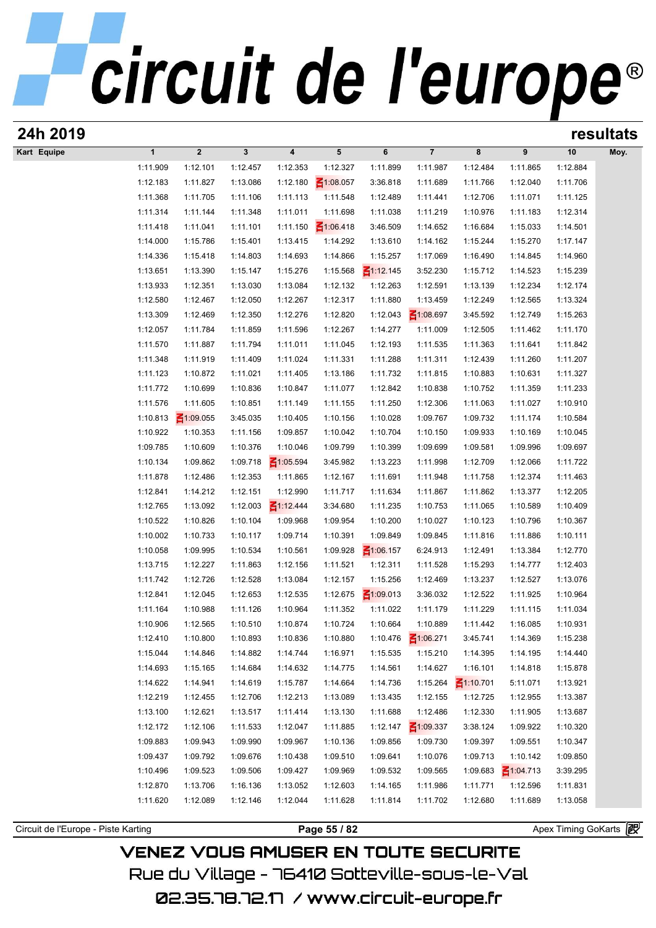| 24h 2019                            |                      |                      |                      |                      |                      |                      |                      |                      |                      |                       | resultats |
|-------------------------------------|----------------------|----------------------|----------------------|----------------------|----------------------|----------------------|----------------------|----------------------|----------------------|-----------------------|-----------|
| Kart Equipe                         | $\mathbf{1}$         | $\boldsymbol{2}$     | $\mathbf{3}$         | 4                    | 5                    | 6                    | $\overline{7}$       | 8                    | 9                    | 10                    | Moy.      |
|                                     | 1:11.909             | 1:12.101             | 1:12.457             | 1:12.353             | 1:12.327             | 1:11.899             | 1:11.987             | 1:12.484             | 1:11.865             | 1:12.884              |           |
|                                     | 1:12.183             | 1:11.827             | 1:13.086             | 1:12.180             | $\leq 1:08.057$      | 3:36.818             | 1:11.689             | 1:11.766             | 1:12.040             | 1:11.706              |           |
|                                     | 1:11.368             | 1:11.705             | 1:11.106             | 1:11.113             | 1:11.548             | 1:12.489             | 1:11.441             | 1:12.706             | 1:11.071             | 1:11.125              |           |
|                                     | 1:11.314             | 1:11.144             | 1:11.348             | 1:11.011             | 1:11.698             | 1:11.038             | 1:11.219             | 1:10.976             | 1:11.183             | 1:12.314              |           |
|                                     | 1:11.418             | 1:11.041             | 1:11.101             | 1:11.150             | $\leq 1:06.418$      | 3:46.509             | 1:14.652             | 1:16.684             | 1:15.033             | 1:14.501              |           |
|                                     | 1:14.000             | 1:15.786             | 1:15.401             | 1:13.415             | 1:14.292             | 1:13.610             | 1:14.162             | 1:15.244             | 1:15.270             | 1:17.147              |           |
|                                     | 1:14.336             | 1:15.418             | 1:14.803             | 1:14.693             | 1:14.866             | 1:15.257             | 1:17.069             | 1:16.490             | 1:14.845             | 1:14.960              |           |
|                                     | 1:13.651             | 1:13.390             | 1:15.147             | 1:15.276             | 1:15.568             | $\leq 1:12.145$      | 3:52.230             | 1:15.712             | 1:14.523             | 1:15.239              |           |
|                                     | 1:13.933             | 1:12.351             | 1:13.030             | 1:13.084             | 1:12.132             | 1:12.263             | 1:12.591             | 1:13.139             | 1:12.234             | 1:12.174              |           |
|                                     | 1:12.580             | 1:12.467             | 1:12.050             | 1:12.267             | 1:12.317             | 1:11.880             | 1:13.459             | 1:12.249             | 1:12.565             | 1:13.324              |           |
|                                     | 1:13.309             | 1:12.469             | 1:12.350             | 1:12.276             | 1:12.820             | 1:12.043             | $\leq 1:08.697$      | 3:45.592             | 1:12.749             | 1:15.263              |           |
|                                     | 1:12.057             | 1:11.784             | 1:11.859             | 1:11.596             | 1:12.267             | 1:14.277             | 1:11.009             | 1:12.505             | 1:11.462             | 1:11.170              |           |
|                                     | 1:11.570<br>1:11.348 | 1:11.887<br>1:11.919 | 1:11.794<br>1:11.409 | 1:11.011<br>1:11.024 | 1:11.045<br>1:11.331 | 1:12.193<br>1:11.288 | 1:11.535<br>1:11.311 | 1:11.363<br>1:12.439 | 1:11.641<br>1:11.260 | 1:11.842<br>1:11.207  |           |
|                                     | 1:11.123             | 1:10.872             | 1:11.021             | 1:11.405             | 1:13.186             | 1:11.732             | 1:11.815             | 1:10.883             | 1:10.631             | 1:11.327              |           |
|                                     | 1:11.772             | 1:10.699             | 1:10.836             | 1:10.847             | 1:11.077             | 1:12.842             | 1:10.838             | 1:10.752             | 1:11.359             | 1:11.233              |           |
|                                     | 1:11.576             | 1:11.605             | 1:10.851             | 1:11.149             | 1:11.155             | 1:11.250             | 1:12.306             | 1:11.063             | 1:11.027             | 1:10.910              |           |
|                                     | 1:10.813             | $\leq 1:09.055$      | 3:45.035             | 1:10.405             | 1:10.156             | 1:10.028             | 1:09.767             | 1:09.732             | 1:11.174             | 1:10.584              |           |
|                                     | 1:10.922             | 1:10.353             | 1:11.156             | 1:09.857             | 1:10.042             | 1:10.704             | 1:10.150             | 1:09.933             | 1:10.169             | 1:10.045              |           |
|                                     | 1:09.785             | 1:10.609             | 1:10.376             | 1:10.046             | 1:09.799             | 1:10.399             | 1:09.699             | 1:09.581             | 1:09.996             | 1:09.697              |           |
|                                     | 1:10.134             | 1:09.862             | 1:09.718             | $\leq 1:05.594$      | 3:45.982             | 1:13.223             | 1:11.998             | 1:12.709             | 1:12.066             | 1:11.722              |           |
|                                     | 1:11.878             | 1:12.486             | 1:12.353             | 1:11.865             | 1:12.167             | 1:11.691             | 1:11.948             | 1:11.758             | 1:12.374             | 1:11.463              |           |
|                                     | 1:12.841             | 1:14.212             | 1:12.151             | 1:12.990             | 1:11.717             | 1:11.634             | 1:11.867             | 1:11.862             | 1:13.377             | 1:12.205              |           |
|                                     | 1:12.765             | 1:13.092             | 1:12.003             | $\leq 1:12.444$      | 3:34.680             | 1:11.235             | 1:10.753             | 1:11.065             | 1:10.589             | 1:10.409              |           |
|                                     | 1:10.522             | 1:10.826             | 1:10.104             | 1:09.968             | 1:09.954             | 1:10.200             | 1:10.027             | 1:10.123             | 1:10.796             | 1:10.367              |           |
|                                     | 1:10.002             | 1:10.733             | 1:10.117             | 1:09.714             | 1:10.391             | 1:09.849             | 1:09.845             | 1:11.816             | 1:11.886             | 1:10.111              |           |
|                                     | 1:10.058             | 1:09.995             | 1:10.534             | 1:10.561             | 1:09.928             | $\leq 1:06.157$      | 6:24.913             | 1:12.491             | 1:13.384             | 1:12.770              |           |
|                                     | 1:13.715             | 1:12.227             | 1:11.863             | 1:12.156             | 1:11.521             | 1:12.311             | 1:11.528             | 1:15.293             | 1:14.777             | 1:12.403              |           |
|                                     | 1:11.742             | 1:12.726             | 1:12.528             | 1:13.084             | 1:12.157             | 1:15.256             | 1:12.469             | 1:13.237             | 1:12.527             | 1:13.076              |           |
|                                     | 1:12.841             | 1:12.045             | 1:12.653             | 1:12.535             | 1:12.675             | $\leq 1:09.013$      | 3:36.032             | 1:12.522             | 1:11.925             | 1:10.964              |           |
|                                     | 1:11.164             | 1:10.988             | 1:11.126             | 1:10.964             | 1:11.352             | 1:11.022             | 1:11.179             | 1:11.229             | 1:11.115             | 1:11.034              |           |
|                                     | 1:10.906             | 1:12.565             | 1:10.510             | 1:10.874             | 1:10.724             | 1:10.664             | 1:10.889             | 1:11.442             | 1:16.085             | 1:10.931              |           |
|                                     | 1:12.410             | 1:10.800             | 1:10.893             | 1:10.836             | 1:10.880             | 1:10.476             | $\leq 1:06.271$      | 3:45.741             | 1:14.369             | 1:15.238              |           |
|                                     | 1:15.044             | 1:14.846             | 1:14.882             | 1:14.744             | 1:16.971             | 1:15.535             | 1:15.210             | 1:14.395             | 1:14.195             | 1:14.440              |           |
|                                     | 1:14.693             | 1:15.165             | 1:14.684             | 1:14.632             | 1:14.775             | 1:14.561             | 1:14.627             | 1:16.101             | 1:14.818             | 1:15.878              |           |
|                                     | 1:14.622             | 1:14.941             | 1:14.619             | 1:15.787             | 1:14.664             | 1:14.736             | 1:15.264             | $\leq 1:10.701$      | 5:11.071             | 1:13.921              |           |
|                                     | 1:12.219             | 1:12.455             | 1:12.706             | 1:12.213             | 1:13.089             | 1:13.435             | 1:12.155             | 1:12.725             | 1:12.955             | 1:13.387              |           |
|                                     | 1:13.100             | 1:12.621             | 1:13.517             | 1:11.414             | 1:13.130             | 1:11.688             | 1:12.486             | 1:12.330             | 1:11.905             | 1:13.687              |           |
|                                     | 1:12.172             | 1:12.106             | 1:11.533             | 1:12.047             | 1:11.885             | 1:12.147             | $\leq 1:09.337$      | 3:38.124             | 1:09.922             | 1:10.320              |           |
|                                     | 1:09.883             | 1:09.943             | 1:09.990             | 1:09.967             | 1:10.136             | 1:09.856             | 1:09.730             | 1:09.397             | 1:09.551             | 1:10.347              |           |
|                                     | 1:09.437             | 1:09.792             | 1:09.676             | 1:10.438             | 1:09.510             | 1:09.641             | 1:10.076             | 1:09.713             | 1:10.142             | 1:09.850              |           |
|                                     | 1:10.496             | 1:09.523             | 1:09.506             | 1:09.427             | 1:09.969             | 1:09.532             | 1:09.565             | 1:09.683             | $\leq 1:04.713$      | 3:39.295              |           |
|                                     | 1:12.870             | 1:13.706             | 1:16.136             | 1:13.052             | 1:12.603             | 1:14.165             | 1:11.986             | 1:11.771             | 1:12.596             | 1:11.831              |           |
|                                     | 1:11.620             | 1:12.089             | 1:12.146             | 1:12.044             | 1:11.628             | 1:11.814             | 1:11.702             | 1:12.680             | 1:11.689             | 1:13.058              |           |
| Circuit de l'Europe - Piste Karting |                      |                      |                      |                      | Page 55 / 82         |                      |                      |                      |                      | Apex Timing GoKarts 图 |           |
|                                     |                      |                      |                      |                      |                      |                      |                      |                      |                      |                       |           |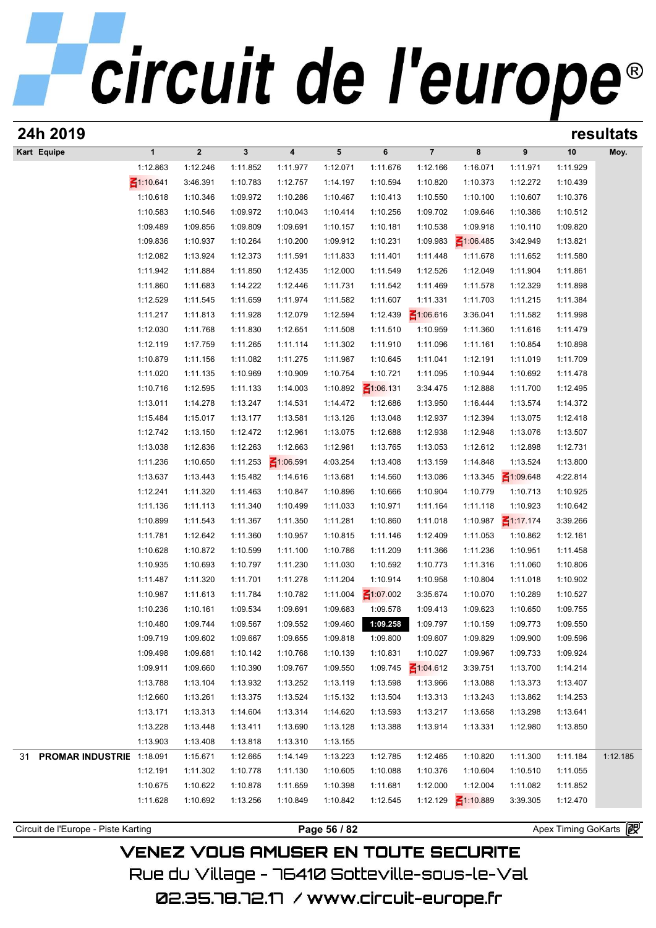# circuit de l'europe®

| 24h 2019                            |                 |                      |                      |                      |                      |                      |                      |                      |                      |                       | resultats |
|-------------------------------------|-----------------|----------------------|----------------------|----------------------|----------------------|----------------------|----------------------|----------------------|----------------------|-----------------------|-----------|
| Kart Equipe                         | $\mathbf{1}$    | $\overline{2}$       | $\mathbf{3}$         | 4                    | 5                    | 6                    | $\overline{7}$       | 8                    | 9                    | 10                    | Moy.      |
|                                     | 1:12.863        | 1:12.246             | 1:11.852             | 1:11.977             | 1:12.071             | 1:11.676             | 1:12.166             | 1:16.071             | 1:11.971             | 1:11.929              |           |
|                                     | $\leq 1:10.641$ | 3:46.391             | 1:10.783             | 1:12.757             | 1:14.197             | 1:10.594             | 1:10.820             | 1:10.373             | 1:12.272             | 1:10.439              |           |
|                                     | 1:10.618        | 1:10.346             | 1:09.972             | 1:10.286             | 1:10.467             | 1:10.413             | 1:10.550             | 1:10.100             | 1:10.607             | 1:10.376              |           |
|                                     | 1:10.583        | 1:10.546             | 1:09.972             | 1:10.043             | 1:10.414             | 1:10.256             | 1:09.702             | 1:09.646             | 1:10.386             | 1:10.512              |           |
|                                     | 1:09.489        | 1:09.856             | 1:09.809             | 1:09.691             | 1:10.157             | 1:10.181             | 1:10.538             | 1:09.918             | 1:10.110             | 1:09.820              |           |
|                                     | 1:09.836        | 1:10.937             | 1:10.264             | 1:10.200             | 1:09.912             | 1:10.231             | 1:09.983             | $\leq 1:06.485$      | 3:42.949             | 1:13.821              |           |
|                                     | 1:12.082        | 1:13.924             | 1:12.373             | 1:11.591             | 1:11.833             | 1:11.401             | 1:11.448             | 1:11.678             | 1:11.652             | 1:11.580              |           |
|                                     | 1:11.942        | 1:11.884             | 1:11.850             | 1:12.435             | 1:12.000             | 1:11.549             | 1:12.526             | 1:12.049             | 1:11.904             | 1:11.861              |           |
|                                     | 1:11.860        | 1:11.683             | 1:14.222             | 1:12.446             | 1:11.731             | 1:11.542             | 1:11.469             | 1:11.578             | 1:12.329             | 1:11.898              |           |
|                                     | 1:12.529        | 1:11.545             | 1:11.659             | 1:11.974             | 1:11.582             | 1:11.607             | 1:11.331             | 1:11.703             | 1:11.215             | 1:11.384              |           |
|                                     | 1:11.217        | 1:11.813             | 1:11.928             | 1:12.079             | 1:12.594             | 1:12.439             | $\leq 1:06.616$      | 3:36.041             | 1:11.582             | 1:11.998              |           |
|                                     | 1:12.030        | 1:11.768             | 1:11.830             | 1:12.651             | 1:11.508             | 1:11.510             | 1:10.959             | 1:11.360             | 1:11.616             | 1:11.479              |           |
|                                     | 1:12.119        | 1:17.759             | 1:11.265             | 1:11.114             | 1:11.302             | 1:11.910             | 1:11.096             | 1:11.161             | 1:10.854             | 1:10.898              |           |
|                                     | 1:10.879        | 1:11.156             | 1:11.082             | 1:11.275             | 1:11.987             | 1:10.645             | 1:11.041             | 1:12.191             | 1:11.019             | 1:11.709              |           |
|                                     | 1:11.020        | 1:11.135             | 1:10.969             | 1:10.909             | 1:10.754             | 1:10.721             | 1:11.095             | 1:10.944             | 1:10.692             | 1:11.478              |           |
|                                     | 1:10.716        | 1:12.595             | 1:11.133             | 1:14.003             | 1:10.892             | $\leq 1:06.131$      | 3:34.475             | 1:12.888             | 1:11.700             | 1:12.495              |           |
|                                     | 1:13.011        | 1:14.278             | 1:13.247             | 1:14.531             | 1:14.472             | 1:12.686             | 1:13.950             | 1:16.444             | 1:13.574             | 1:14.372              |           |
|                                     | 1:15.484        | 1:15.017             | 1:13.177             | 1:13.581             | 1:13.126             | 1:13.048             | 1:12.937             | 1:12.394             | 1:13.075             | 1:12.418              |           |
|                                     | 1:12.742        | 1:13.150             | 1:12.472             | 1:12.961             | 1:13.075             | 1:12.688             | 1:12.938             | 1:12.948             | 1:13.076             | 1:13.507              |           |
|                                     | 1:13.038        | 1:12.836             | 1:12.263             | 1:12.663             | 1:12.981             | 1:13.765             | 1:13.053             | 1:12.612             | 1:12.898             | 1:12.731              |           |
|                                     | 1:11.236        | 1:10.650             | 1:11.253             | $\leq 1:06.591$      | 4:03.254             | 1:13.408             | 1:13.159             | 1:14.848             | 1:13.524             | 1:13.800              |           |
|                                     | 1:13.637        | 1:13.443             | 1:15.482             | 1:14.616             | 1:13.681             | 1:14.560             | 1:13.086             | 1:13.345             | $\leq 1:09.648$      | 4:22.814              |           |
|                                     | 1:12.241        | 1:11.320             | 1:11.463             | 1:10.847             | 1:10.896             | 1:10.666             | 1:10.904             | 1:10.779             | 1:10.713             | 1:10.925              |           |
|                                     | 1:11.136        | 1:11.113             | 1:11.340             | 1:10.499             | 1:11.033             | 1:10.971             | 1:11.164             | 1:11.118             | 1:10.923             | 1:10.642              |           |
|                                     | 1:10.899        | 1:11.543             | 1:11.367             | 1:11.350             | 1:11.281             | 1:10.860             | 1:11.018             | 1:10.987             | $\leq 1:17.174$      | 3:39.266              |           |
|                                     | 1:11.781        | 1:12.642             | 1:11.360             | 1:10.957             | 1:10.815             | 1:11.146             | 1:12.409             | 1:11.053             | 1:10.862             | 1:12.161              |           |
|                                     | 1:10.628        | 1:10.872             | 1:10.599             | 1:11.100             | 1:10.786             | 1:11.209             | 1:11.366             | 1:11.236             | 1:10.951             | 1:11.458              |           |
|                                     | 1:10.935        | 1:10.693             | 1:10.797             | 1:11.230             | 1:11.030             | 1:10.592             | 1:10.773             | 1:11.316             | 1:11.060             | 1:10.806              |           |
|                                     | 1:11.487        | 1:11.320             | 1:11.701             | 1:11.278             | 1:11.204             | 1:10.914             | 1:10.958             | 1:10.804             | 1:11.018             | 1:10.902              |           |
|                                     | 1:10.987        | 1:11.613             | 1:11.784             | 1:10.782             | 1:11.004             | $\leq 1:07.002$      | 3:35.674             | 1:10.070             | 1:10.289             | 1:10.527              |           |
|                                     | 1:10.236        | 1:10.161             | 1:09.534             | 1:09.691             | 1:09.683             | 1:09.578             | 1:09.413             | 1:09.623             | 1:10.650             | 1:09.755              |           |
|                                     | 1:10.480        | 1:09.744             | 1:09.567             | 1:09.552             | 1:09.460             | 1:09.258             | 1:09.797             | 1:10.159             | 1:09.773             | 1:09.550              |           |
|                                     | 1:09.719        | 1:09.602             | 1:09.667             | 1:09.655             | 1:09.818             | 1:09.800             | 1:09.607             | 1:09.829             | 1:09.900             | 1:09.596              |           |
|                                     | 1:09.498        | 1:09.681             | 1:10.142             | 1:10.768             | 1:10.139             | 1:10.831             | 1:10.027             | 1:09.967             | 1:09.733             | 1:09.924              |           |
|                                     | 1:09.911        | 1:09.660             | 1:10.390             | 1:09.767             | 1:09.550             | 1:09.745             | $\leq 1:04.612$      | 3:39.751             | 1:13.700             | 1:14.214              |           |
|                                     | 1:13.788        | 1:13.104             | 1:13.932             | 1:13.252             | 1:13.119             | 1:13.598             | 1:13.966             | 1:13.088             | 1:13.373             | 1:13.407              |           |
|                                     | 1:12.660        | 1:13.261             | 1:13.375             | 1:13.524             | 1:15.132             | 1:13.504             | 1:13.313             | 1:13.243             | 1:13.862             | 1:14.253              |           |
|                                     | 1:13.171        | 1:13.313             | 1:14.604             | 1:13.314             | 1:14.620             | 1:13.593             | 1:13.217             | 1:13.658             | 1:13.298             | 1:13.641              |           |
|                                     | 1:13.228        | 1:13.448             | 1:13.411             | 1:13.690             | 1:13.128             | 1:13.388             | 1:13.914             | 1:13.331             | 1:12.980             | 1:13.850              |           |
|                                     |                 |                      |                      |                      |                      |                      |                      |                      |                      |                       |           |
| PROMAR INDUSTRIE 1:18.091           | 1:13.903        | 1:13.408             | 1:13.818             | 1:13.310             | 1:13.155             |                      |                      |                      |                      | 1:11.184              | 1:12.185  |
| 31                                  | 1:12.191        | 1:15.671<br>1:11.302 | 1:12.665<br>1:10.778 | 1:14.149<br>1:11.130 | 1:13.223<br>1:10.605 | 1:12.785<br>1:10.088 | 1:12.465<br>1:10.376 | 1:10.820<br>1:10.604 | 1:11.300<br>1:10.510 | 1:11.055              |           |
|                                     | 1:10.675        | 1:10.622             | 1:10.878             | 1:11.659             | 1:10.398             | 1:11.681             | 1:12.000             | 1:12.004             | 1:11.082             | 1:11.852              |           |
|                                     | 1:11.628        |                      | 1:13.256             |                      | 1:10.842             |                      | 1:12.129             |                      | 3:39.305             |                       |           |
|                                     |                 | 1:10.692             |                      | 1:10.849             |                      | 1:12.545             |                      | $\leq 1:10.889$      |                      | 1:12.470              |           |
|                                     |                 |                      |                      |                      |                      |                      |                      |                      |                      |                       |           |
| Circuit de l'Europe - Piste Karting |                 |                      |                      |                      | Page 56 / 82         |                      |                      |                      |                      | Apex Timing GoKarts 2 |           |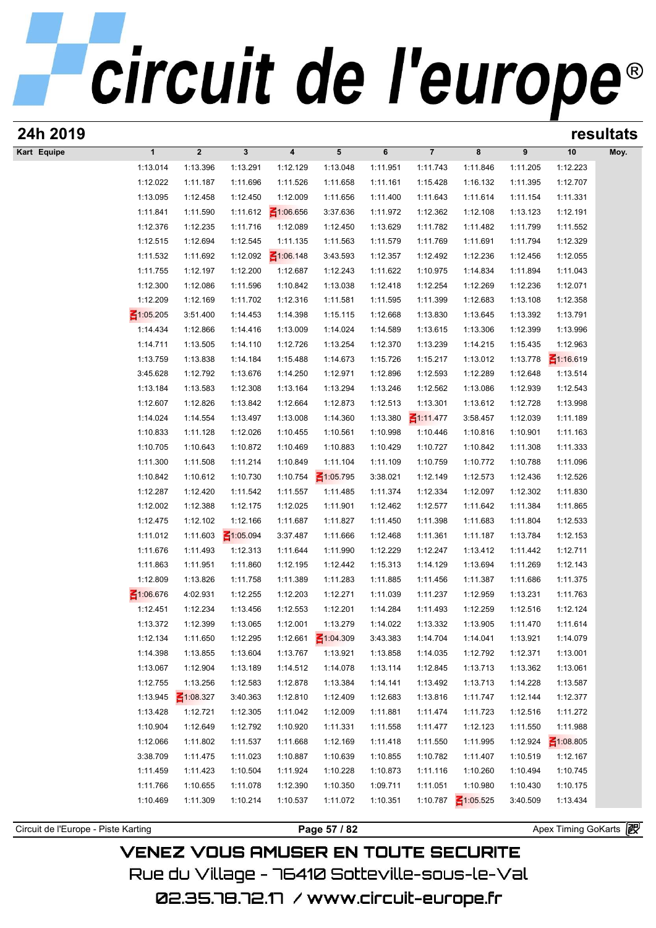| 24h 2019                            |                      |                      |                      |                         |                             |                      |                      |                      |                      |                       | resultats |
|-------------------------------------|----------------------|----------------------|----------------------|-------------------------|-----------------------------|----------------------|----------------------|----------------------|----------------------|-----------------------|-----------|
| Kart Equipe                         | $\mathbf{1}$         | $\boldsymbol{2}$     | $\mathbf{3}$         | $\overline{\mathbf{4}}$ | 5                           | 6                    | $\overline{7}$       | 8                    | 9                    | 10                    | Moy.      |
|                                     | 1:13.014             | 1:13.396             | 1:13.291             | 1:12.129                | 1:13.048                    | 1:11.951             | 1:11.743             | 1:11.846             | 1:11.205             | 1:12.223              |           |
|                                     | 1:12.022             | 1:11.187             | 1:11.696             | 1:11.526                | 1:11.658                    | 1:11.161             | 1:15.428             | 1:16.132             | 1:11.395             | 1:12.707              |           |
|                                     | 1:13.095             | 1:12.458             | 1:12.450             | 1:12.009                | 1:11.656                    | 1:11.400             | 1:11.643             | 1:11.614             | 1:11.154             | 1:11.331              |           |
|                                     | 1:11.841             | 1:11.590             | 1:11.612             | $\leq 1:06.656$         | 3:37.636                    | 1:11.972             | 1:12.362             | 1:12.108             | 1:13.123             | 1:12.191              |           |
|                                     | 1:12.376             | 1:12.235             | 1:11.716             | 1:12.089                | 1:12.450                    | 1:13.629             | 1:11.782             | 1:11.482             | 1:11.799             | 1:11.552              |           |
|                                     | 1:12.515             | 1:12.694             | 1:12.545             | 1:11.135                | 1:11.563                    | 1:11.579             | 1:11.769             | 1:11.691             | 1:11.794             | 1:12.329              |           |
|                                     | 1:11.532             | 1:11.692             | 1:12.092             | $\leq 1:06.148$         | 3:43.593                    | 1:12.357             | 1:12.492             | 1:12.236             | 1:12.456             | 1:12.055              |           |
|                                     | 1:11.755             | 1:12.197             | 1:12.200             | 1:12.687                | 1:12.243                    | 1:11.622             | 1:10.975             | 1:14.834             | 1:11.894             | 1:11.043              |           |
|                                     | 1:12.300<br>1:12.209 | 1:12.086<br>1:12.169 | 1:11.596<br>1:11.702 | 1:10.842<br>1:12.316    | 1:13.038<br>1:11.581        | 1:12.418<br>1:11.595 | 1:12.254<br>1:11.399 | 1:12.269             | 1:12.236<br>1:13.108 | 1:12.071              |           |
|                                     | $\leq 1:05.205$      | 3:51.400             | 1:14.453             | 1:14.398                | 1:15.115                    | 1:12.668             | 1:13.830             | 1:12.683<br>1:13.645 | 1:13.392             | 1:12.358<br>1:13.791  |           |
|                                     | 1:14.434             | 1:12.866             | 1:14.416             | 1:13.009                | 1:14.024                    | 1:14.589             | 1:13.615             | 1:13.306             | 1:12.399             | 1:13.996              |           |
|                                     | 1:14.711             | 1:13.505             | 1:14.110             | 1:12.726                | 1:13.254                    | 1:12.370             | 1:13.239             | 1:14.215             | 1:15.435             | 1:12.963              |           |
|                                     | 1:13.759             | 1:13.838             | 1:14.184             | 1:15.488                | 1:14.673                    | 1:15.726             | 1:15.217             | 1:13.012             | 1:13.778             | $\leq 1:16.619$       |           |
|                                     | 3:45.628             | 1:12.792             | 1:13.676             | 1:14.250                | 1:12.971                    | 1:12.896             | 1:12.593             | 1:12.289             | 1:12.648             | 1:13.514              |           |
|                                     | 1:13.184             | 1:13.583             | 1:12.308             | 1:13.164                | 1:13.294                    | 1:13.246             | 1:12.562             | 1:13.086             | 1:12.939             | 1:12.543              |           |
|                                     | 1:12.607             | 1:12.826             | 1:13.842             | 1:12.664                | 1:12.873                    | 1:12.513             | 1:13.301             | 1:13.612             | 1:12.728             | 1:13.998              |           |
|                                     | 1:14.024             | 1:14.554             | 1:13.497             | 1:13.008                | 1:14.360                    | 1:13.380             | $\leq 1:11.477$      | 3:58.457             | 1:12.039             | 1:11.189              |           |
|                                     | 1:10.833             | 1:11.128             | 1:12.026             | 1:10.455                | 1:10.561                    | 1:10.998             | 1:10.446             | 1:10.816             | 1:10.901             | 1:11.163              |           |
|                                     | 1:10.705             | 1:10.643             | 1:10.872             | 1:10.469                | 1:10.883                    | 1:10.429             | 1:10.727             | 1:10.842             | 1:11.308             | 1:11.333              |           |
|                                     | 1:11.300             | 1:11.508             | 1:11.214             | 1:10.849                | 1:11.104                    | 1:11.109             | 1:10.759             | 1:10.772             | 1:10.788             | 1:11.096              |           |
|                                     | 1:10.842             | 1:10.612             | 1:10.730             | 1:10.754                | $\leq 1:05.795$             | 3:38.021             | 1:12.149             | 1:12.573             | 1:12.436             | 1:12.526              |           |
|                                     | 1:12.287             | 1:12.420             | 1:11.542             | 1:11.557                | 1:11.485                    | 1:11.374             | 1:12.334             | 1:12.097             | 1:12.302             | 1:11.830              |           |
|                                     | 1:12.002             | 1:12.388             | 1:12.175             | 1:12.025                | 1:11.901                    | 1:12.462             | 1:12.577             | 1:11.642             | 1:11.384             | 1:11.865              |           |
|                                     | 1:12.475             | 1:12.102             | 1:12.166             | 1:11.687                | 1:11.827                    | 1:11.450             | 1:11.398             | 1:11.683             | 1:11.804             | 1:12.533              |           |
|                                     | 1:11.012             | 1:11.603             | $\leq 1:05.094$      | 3:37.487                | 1:11.666                    | 1:12.468             | 1:11.361             | 1:11.187             | 1:13.784             | 1:12.153              |           |
|                                     | 1:11.676             | 1:11.493             | 1:12.313             | 1:11.644                | 1:11.990                    | 1:12.229             | 1:12.247             | 1:13.412             | 1:11.442             | 1:12.711              |           |
|                                     | 1:11.863             | 1:11.951             | 1:11.860             | 1:12.195                | 1:12.442                    | 1:15.313             | 1:14.129             | 1:13.694             | 1:11.269             | 1:12.143              |           |
|                                     | 1:12.809             | 1:13.826             | 1:11.758             | 1:11.389                | 1:11.283                    | 1:11.885             | 1:11.456             | 1:11.387             | 1:11.686             | 1:11.375              |           |
|                                     | $\leq 1:06.676$      | 4:02.931             | 1:12.255             | 1:12.203                | 1:12.271                    | 1:11.039             | 1:11.237             | 1:12.959             | 1:13.231             | 1:11.763              |           |
|                                     | 1:12.451             | 1:12.234             | 1:13.456             | 1:12.553                | 1:12.201                    | 1:14.284             | 1:11.493             | 1:12.259             | 1:12.516             | 1:12.124              |           |
|                                     | 1:13.372             | 1:12.399             | 1:13.065             | 1:12.001                | 1:13.279                    | 1:14.022             | 1:13.332             | 1:13.905             | 1:11.470             | 1:11.614              |           |
|                                     | 1:12.134<br>1:14.398 | 1:11.650<br>1:13.855 | 1:12.295<br>1:13.604 | 1:12.661<br>1:13.767    | $\leq 1:04.309$<br>1:13.921 | 3:43.383<br>1:13.858 | 1:14.704<br>1:14.035 | 1:14.041<br>1:12.792 | 1:13.921<br>1:12.371 | 1:14.079<br>1:13.001  |           |
|                                     | 1:13.067             | 1:12.904             | 1:13.189             | 1:14.512                | 1:14.078                    | 1:13.114             | 1:12.845             | 1:13.713             | 1:13.362             | 1:13.061              |           |
|                                     | 1:12.755             | 1:13.256             | 1:12.583             | 1:12.878                | 1:13.384                    | 1:14.141             | 1:13.492             | 1:13.713             | 1:14.228             | 1:13.587              |           |
|                                     | 1:13.945             | $\leq 1:08.327$      | 3:40.363             | 1:12.810                | 1:12.409                    | 1:12.683             | 1:13.816             | 1:11.747             | 1:12.144             | 1:12.377              |           |
|                                     | 1:13.428             | 1:12.721             | 1:12.305             | 1:11.042                | 1:12.009                    | 1:11.881             | 1:11.474             | 1:11.723             | 1:12.516             | 1:11.272              |           |
|                                     | 1:10.904             | 1:12.649             | 1:12.792             | 1:10.920                | 1:11.331                    | 1:11.558             | 1:11.477             | 1:12.123             | 1:11.550             | 1:11.988              |           |
|                                     | 1:12.066             | 1:11.802             | 1:11.537             | 1:11.668                | 1:12.169                    | 1:11.418             | 1:11.550             | 1:11.995             | 1:12.924             | $\leq 1:08.805$       |           |
|                                     | 3:38.709             | 1:11.475             | 1:11.023             | 1:10.887                | 1:10.639                    | 1:10.855             | 1:10.782             | 1:11.407             | 1:10.519             | 1:12.167              |           |
|                                     | 1:11.459             | 1:11.423             | 1:10.504             | 1:11.924                | 1:10.228                    | 1:10.873             | 1:11.116             | 1:10.260             | 1:10.494             | 1:10.745              |           |
|                                     | 1:11.766             | 1:10.655             | 1:11.078             | 1:12.390                | 1:10.350                    | 1:09.711             | 1:11.051             | 1:10.980             | 1:10.430             | 1:10.175              |           |
|                                     | 1:10.469             | 1:11.309             | 1:10.214             | 1:10.537                | 1:11.072                    | 1:10.351             | 1:10.787             | $\leq 1:05.525$      | 3:40.509             | 1:13.434              |           |
|                                     |                      |                      |                      |                         |                             |                      |                      |                      |                      |                       |           |
| Circuit de l'Europe - Piste Karting |                      |                      |                      |                         | Page 57 / 82                |                      |                      |                      |                      | Apex Timing GoKarts 图 |           |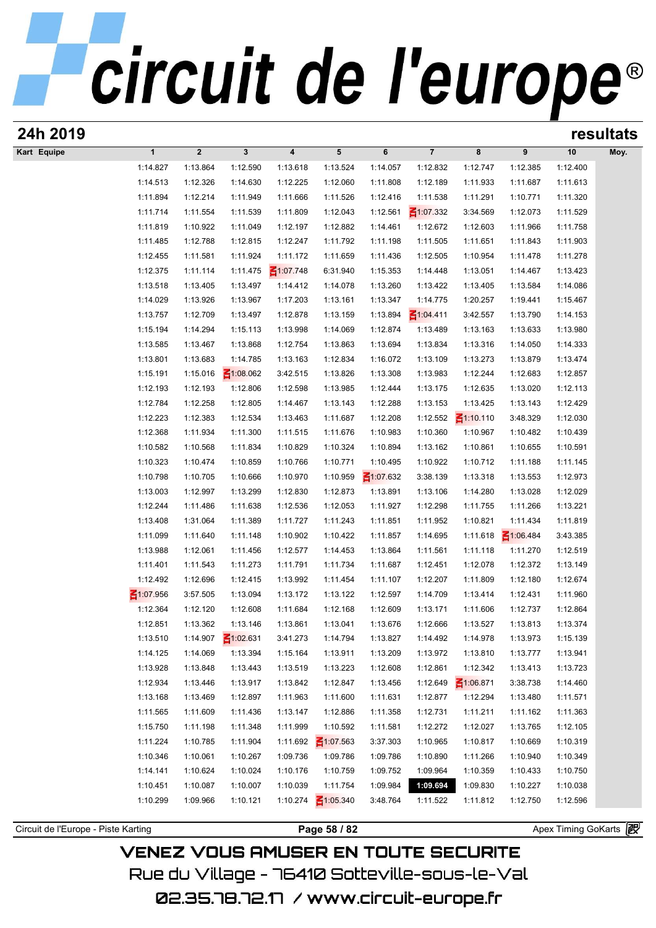| 24h 2019                            |                      |                      |                             |                         |                      |                      |                      |                      |                      |                       | resultats |
|-------------------------------------|----------------------|----------------------|-----------------------------|-------------------------|----------------------|----------------------|----------------------|----------------------|----------------------|-----------------------|-----------|
| Kart Equipe                         | $\mathbf{1}$         | $\boldsymbol{2}$     | $\mathbf{3}$                | $\overline{\mathbf{4}}$ | 5                    | 6                    | $\overline{7}$       | 8                    | 9                    | 10                    | Moy.      |
|                                     | 1:14.827             | 1:13.864             | 1:12.590                    | 1:13.618                | 1:13.524             | 1:14.057             | 1:12.832             | 1:12.747             | 1:12.385             | 1:12.400              |           |
|                                     | 1:14.513             | 1:12.326             | 1:14.630                    | 1:12.225                | 1:12.060             | 1:11.808             | 1:12.189             | 1:11.933             | 1:11.687             | 1:11.613              |           |
|                                     | 1:11.894             | 1:12.214             | 1:11.949                    | 1:11.666                | 1:11.526             | 1:12.416             | 1:11.538             | 1:11.291             | 1:10.771             | 1:11.320              |           |
|                                     | 1:11.714             | 1:11.554             | 1:11.539                    | 1:11.809                | 1:12.043             | 1:12.561             | $\leq 1:07.332$      | 3:34.569             | 1:12.073             | 1:11.529              |           |
|                                     | 1:11.819             | 1:10.922             | 1:11.049                    | 1:12.197                | 1:12.882             | 1:14.461             | 1:12.672             | 1:12.603             | 1:11.966             | 1:11.758              |           |
|                                     | 1:11.485             | 1:12.788             | 1:12.815                    | 1:12.247                | 1:11.792             | 1:11.198             | 1:11.505             | 1:11.651             | 1:11.843             | 1:11.903              |           |
|                                     | 1:12.455             | 1:11.581             | 1:11.924                    | 1:11.172                | 1:11.659             | 1:11.436             | 1:12.505             | 1:10.954             | 1:11.478             | 1:11.278              |           |
|                                     | 1:12.375             | 1:11.114             | 1:11.475                    | $\leq 1:07.748$         | 6:31.940             | 1:15.353             | 1:14.448             | 1:13.051             | 1:14.467             | 1:13.423              |           |
|                                     | 1:13.518             | 1:13.405             | 1:13.497                    | 1:14.412                | 1:14.078             | 1:13.260             | 1:13.422             | 1:13.405             | 1:13.584             | 1:14.086              |           |
|                                     | 1:14.029             | 1:13.926             | 1:13.967                    | 1:17.203                | 1:13.161             | 1:13.347             | 1:14.775             | 1:20.257             | 1:19.441             | 1:15.467              |           |
|                                     | 1:13.757             | 1:12.709             | 1:13.497                    | 1:12.878                | 1:13.159             | 1:13.894             | $\leq 1:04.411$      | 3:42.557             | 1:13.790             | 1:14.153              |           |
|                                     | 1:15.194             | 1:14.294             | 1:15.113                    | 1:13.998                | 1:14.069             | 1:12.874             | 1:13.489             | 1:13.163             | 1:13.633             | 1:13.980              |           |
|                                     | 1:13.585             | 1:13.467             | 1:13.868                    | 1:12.754                | 1:13.863             | 1:13.694             | 1:13.834             | 1:13.316             | 1:14.050             | 1:14.333              |           |
|                                     | 1:13.801<br>1:15.191 | 1:13.683<br>1:15.016 | 1:14.785<br>$\leq 1:08.062$ | 1:13.163<br>3:42.515    | 1:12.834<br>1:13.826 | 1:16.072<br>1:13.308 | 1:13.109<br>1:13.983 | 1:13.273<br>1:12.244 | 1:13.879<br>1:12.683 | 1:13.474<br>1:12.857  |           |
|                                     | 1:12.193             | 1:12.193             | 1:12.806                    | 1:12.598                | 1:13.985             | 1:12.444             | 1:13.175             | 1:12.635             | 1:13.020             | 1:12.113              |           |
|                                     | 1:12.784             | 1:12.258             | 1:12.805                    | 1:14.467                | 1:13.143             | 1:12.288             | 1:13.153             | 1:13.425             | 1:13.143             | 1:12.429              |           |
|                                     | 1:12.223             | 1:12.383             | 1:12.534                    | 1:13.463                | 1:11.687             | 1:12.208             | 1:12.552             | $\leq 1:10.110$      | 3:48.329             | 1:12.030              |           |
|                                     | 1:12.368             | 1:11.934             | 1:11.300                    | 1:11.515                | 1:11.676             | 1:10.983             | 1:10.360             | 1:10.967             | 1:10.482             | 1:10.439              |           |
|                                     | 1:10.582             | 1:10.568             | 1:11.834                    | 1:10.829                | 1:10.324             | 1:10.894             | 1:13.162             | 1:10.861             | 1:10.655             | 1:10.591              |           |
|                                     | 1:10.323             | 1:10.474             | 1:10.859                    | 1:10.766                | 1:10.771             | 1:10.495             | 1:10.922             | 1:10.712             | 1:11.188             | 1:11.145              |           |
|                                     | 1:10.798             | 1:10.705             | 1:10.666                    | 1:10.970                | 1:10.959             | $\leq 1:07.632$      | 3:38.139             | 1:13.318             | 1:13.553             | 1:12.973              |           |
|                                     | 1:13.003             | 1:12.997             | 1:13.299                    | 1:12.830                | 1:12.873             | 1:13.891             | 1:13.106             | 1:14.280             | 1:13.028             | 1:12.029              |           |
|                                     | 1:12.244             | 1:11.486             | 1:11.638                    | 1:12.536                | 1:12.053             | 1:11.927             | 1:12.298             | 1:11.755             | 1:11.266             | 1:13.221              |           |
|                                     | 1:13.408             | 1:31.064             | 1:11.389                    | 1:11.727                | 1:11.243             | 1:11.851             | 1:11.952             | 1:10.821             | 1:11.434             | 1:11.819              |           |
|                                     | 1:11.099             | 1:11.640             | 1:11.148                    | 1:10.902                | 1:10.422             | 1:11.857             | 1:14.695             | 1:11.618             | $\leq 1:06.484$      | 3:43.385              |           |
|                                     | 1:13.988             | 1:12.061             | 1:11.456                    | 1:12.577                | 1:14.453             | 1:13.864             | 1:11.561             | 1:11.118             | 1:11.270             | 1:12.519              |           |
|                                     | 1:11.401             | 1:11.543             | 1:11.273                    | 1:11.791                | 1:11.734             | 1:11.687             | 1:12.451             | 1:12.078             | 1:12.372             | 1:13.149              |           |
|                                     | 1:12.492             | 1:12.696             | 1:12.415                    | 1:13.992                | 1:11.454             | 1:11.107             | 1:12.207             | 1:11.809             | 1:12.180             | 1:12.674              |           |
|                                     | $\leq 1:07.956$      | 3:57.505             | 1:13.094                    | 1:13.172                | 1:13.122             | 1:12.597             | 1:14.709             | 1:13.414             | 1:12.431             | 1:11.960              |           |
|                                     | 1:12.364             | 1:12.120             | 1:12.608                    | 1:11.684                | 1:12.168             | 1:12.609             | 1:13.171             | 1:11.606             | 1:12.737             | 1:12.864              |           |
|                                     | 1:12.851             | 1:13.362             | 1:13.146                    | 1:13.861                | 1:13.041             | 1:13.676             | 1:12.666             | 1:13.527             | 1:13.813             | 1:13.374              |           |
|                                     | 1:13.510             | 1:14.907             | $\leq 1:02.631$             | 3:41.273                | 1:14.794             | 1:13.827             | 1:14.492             | 1:14.978             | 1:13.973             | 1:15.139              |           |
|                                     | 1:14.125             | 1:14.069             | 1:13.394                    | 1:15.164                | 1:13.911             | 1:13.209             | 1:13.972             | 1:13.810             | 1:13.777             | 1:13.941              |           |
|                                     | 1:13.928             | 1:13.848             | 1:13.443                    | 1:13.519                | 1:13.223             | 1:12.608             | 1:12.861             | 1:12.342             | 1:13.413             | 1:13.723              |           |
|                                     | 1:12.934             | 1:13.446             | 1:13.917                    | 1:13.842                | 1:12.847             | 1:13.456             | 1:12.649             | $\leq 1:06.871$      | 3:38.738             | 1:14.460              |           |
|                                     | 1:13.168             | 1:13.469             | 1:12.897                    | 1:11.963                | 1:11.600             | 1:11.631             | 1:12.877             | 1:12.294             | 1:13.480             | 1:11.571              |           |
|                                     | 1:11.565             | 1:11.609             | 1:11.436                    | 1:13.147                | 1:12.886             | 1:11.358             | 1:12.731             | 1:11.211             | 1:11.162             | 1:11.363              |           |
|                                     | 1:15.750             | 1:11.198             | 1:11.348                    | 1:11.999                | 1:10.592             | 1:11.581             | 1:12.272             | 1:12.027             | 1:13.765             | 1:12.105              |           |
|                                     | 1:11.224             | 1:10.785             | 1:11.904                    | 1:11.692                | $\leq 1:07.563$      | 3:37.303             | 1:10.965             | 1:10.817             | 1:10.669             | 1:10.319              |           |
|                                     | 1:10.346             | 1:10.061             | 1:10.267                    | 1:09.736                | 1:09.786             | 1:09.786             | 1:10.890             | 1:11.266             | 1:10.940             | 1:10.349              |           |
|                                     | 1:14.141             | 1:10.624             | 1:10.024                    | 1:10.176                | 1:10.759             | 1:09.752             | 1:09.964             | 1:10.359             | 1:10.433             | 1:10.750              |           |
|                                     | 1:10.451             | 1:10.087             | 1:10.007                    | 1:10.039                | 1:11.754             | 1:09.984             | 1:09.694             | 1:09.830             | 1:10.227             | 1:10.038              |           |
|                                     | 1:10.299             | 1:09.966             | 1:10.121                    | 1:10.274                | $\leq 1:05.340$      | 3:48.764             | 1:11.522             | 1:11.812             | 1:12.750             | 1:12.596              |           |
|                                     |                      |                      |                             |                         |                      |                      |                      |                      |                      | Apex Timing GoKarts 图 |           |
| Circuit de l'Europe - Piste Karting |                      |                      |                             |                         | Page 58 / 82         |                      |                      |                      |                      |                       |           |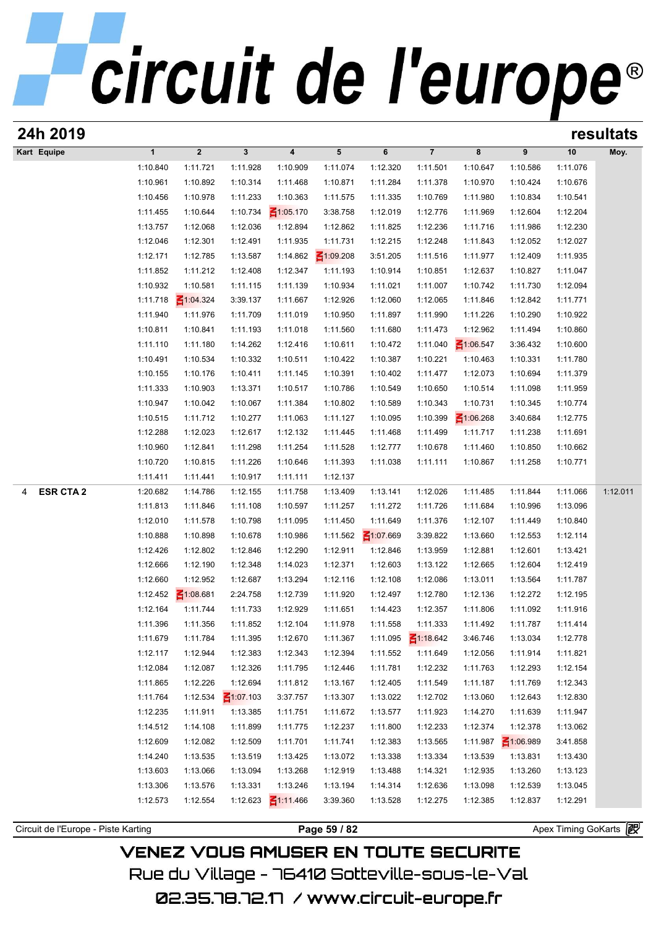| 24h 2019              |                      |                      |                      |                      |                      |                             |                      |                      |                      |                      | resultats |
|-----------------------|----------------------|----------------------|----------------------|----------------------|----------------------|-----------------------------|----------------------|----------------------|----------------------|----------------------|-----------|
| Kart Equipe           | $\mathbf{1}$         | $\mathbf 2$          | $\mathbf{3}$         | 4                    | 5                    | 6                           | $\overline{7}$       | 8                    | 9                    | 10                   | Moy.      |
|                       | 1:10.840             | 1:11.721             | 1:11.928             | 1:10.909             | 1:11.074             | 1:12.320                    | 1:11.501             | 1:10.647             | 1:10.586             | 1:11.076             |           |
|                       | 1:10.961             | 1:10.892             | 1:10.314             | 1:11.468             | 1:10.871             | 1:11.284                    | 1:11.378             | 1:10.970             | 1:10.424             | 1:10.676             |           |
|                       | 1:10.456             | 1:10.978             | 1:11.233             | 1:10.363             | 1:11.575             | 1:11.335                    | 1:10.769             | 1:11.980             | 1:10.834             | 1:10.541             |           |
|                       | 1:11.455             | 1:10.644             | 1:10.734             | $\leq 1:05.170$      | 3:38.758             | 1:12.019                    | 1:12.776             | 1:11.969             | 1:12.604             | 1:12.204             |           |
|                       | 1:13.757             | 1:12.068             | 1:12.036             | 1:12.894             | 1:12.862             | 1:11.825                    | 1:12.236             | 1:11.716             | 1:11.986             | 1:12.230             |           |
|                       | 1:12.046             | 1:12.301             | 1:12.491             | 1:11.935             | 1:11.731             | 1:12.215                    | 1:12.248             | 1:11.843             | 1:12.052             | 1:12.027             |           |
|                       | 1:12.171             | 1:12.785             | 1:13.587             | 1:14.862             | $\leq 1:09.208$      | 3:51.205                    | 1:11.516             | 1:11.977             | 1:12.409             | 1:11.935             |           |
|                       | 1:11.852             | 1:11.212             | 1:12.408             | 1:12.347             | 1:11.193             | 1:10.914                    | 1:10.851             | 1:12.637             | 1:10.827             | 1:11.047             |           |
|                       | 1:10.932             | 1:10.581             | 1:11.115             | 1:11.139             | 1:10.934             | 1:11.021                    | 1:11.007             | 1:10.742             | 1:11.730             | 1:12.094             |           |
|                       | 1:11.718             | $\leq 1:04.324$      | 3:39.137             | 1:11.667             | 1:12.926             | 1:12.060                    | 1:12.065             | 1:11.846             | 1:12.842             | 1:11.771             |           |
|                       | 1:11.940             | 1:11.976             | 1:11.709             | 1:11.019             | 1:10.950             | 1:11.897                    | 1:11.990             | 1:11.226             | 1:10.290             | 1:10.922             |           |
|                       | 1:10.811             | 1:10.841             | 1:11.193             | 1:11.018             | 1:11.560             | 1:11.680                    | 1:11.473             | 1:12.962             | 1:11.494             | 1:10.860             |           |
|                       | 1:11.110             | 1:11.180             | 1:14.262             | 1:12.416             | 1:10.611             | 1:10.472                    | 1:11.040             | $\leq 1:06.547$      | 3:36.432             | 1:10.600             |           |
|                       | 1:10.491             | 1:10.534             | 1:10.332             | 1:10.511             | 1:10.422             | 1:10.387                    | 1:10.221             | 1:10.463             | 1:10.331             | 1:11.780             |           |
|                       | 1:10.155             | 1:10.176             | 1:10.411             | 1:11.145             | 1:10.391             | 1:10.402                    | 1:11.477             | 1:12.073             | 1:10.694             | 1:11.379             |           |
|                       | 1:11.333             | 1:10.903             | 1:13.371             | 1:10.517             | 1:10.786             | 1:10.549                    | 1:10.650             | 1:10.514             | 1:11.098             | 1:11.959             |           |
|                       | 1:10.947             | 1:10.042             | 1:10.067             | 1:11.384             | 1:10.802             | 1:10.589                    | 1:10.343             | 1:10.731             | 1:10.345             | 1:10.774             |           |
|                       | 1:10.515             | 1:11.712             | 1:10.277             | 1:11.063             | 1:11.127             | 1:10.095                    | 1:10.399             | $\leq 1:06.268$      | 3:40.684             | 1:12.775             |           |
|                       | 1:12.288             | 1:12.023             | 1:12.617             | 1:12.132             | 1:11.445             | 1:11.468                    | 1:11.499             | 1:11.717             | 1:11.238             | 1:11.691             |           |
|                       | 1:10.960             | 1:12.841             | 1:11.298             | 1:11.254             | 1:11.528             | 1:12.777                    | 1:10.678             | 1:11.460             | 1:10.850             | 1:10.662             |           |
|                       | 1:10.720             | 1:10.815             | 1:11.226             | 1:10.646             | 1:11.393             | 1:11.038                    | 1:11.111             | 1:10.867             | 1:11.258             | 1:10.771             |           |
|                       | 1:11.411             | 1:11.441             | 1:10.917             | 1:11.111             | 1:12.137             |                             |                      |                      |                      |                      |           |
| <b>ESR CTA 2</b><br>4 | 1:20.682             | 1:14.786             | 1:12.155             | 1:11.758             | 1:13.409             | 1:13.141                    | 1:12.026             | 1:11.485             | 1:11.844             | 1:11.066             | 1:12.011  |
|                       | 1:11.813             | 1:11.846             | 1:11.108             | 1:10.597             | 1:11.257             | 1:11.272                    | 1:11.726             | 1:11.684             | 1:10.996             | 1:13.096             |           |
|                       | 1:12.010<br>1:10.888 | 1:11.578<br>1:10.898 | 1:10.798<br>1:10.678 | 1:11.095<br>1:10.986 | 1:11.450<br>1:11.562 | 1:11.649<br>$\leq 1:07.669$ | 1:11.376<br>3:39.822 | 1:12.107<br>1:13.660 | 1:11.449<br>1:12.553 | 1:10.840<br>1:12.114 |           |
|                       | 1:12.426             | 1:12.802             | 1:12.846             | 1:12.290             | 1:12.911             | 1:12.846                    | 1:13.959             | 1:12.881             | 1:12.601             | 1:13.421             |           |
|                       | 1:12.666             | 1:12.190             | 1:12.348             | 1:14.023             | 1:12.371             | 1:12.603                    | 1:13.122             | 1:12.665             | 1:12.604             | 1:12.419             |           |
|                       | 1:12.660             | 1:12.952             | 1:12.687             | 1:13.294             | 1:12.116             | 1:12.108                    | 1:12.086             | 1:13.011             | 1:13.564             | 1:11.787             |           |
|                       | 1:12.452             | $\leq 1:08.681$      | 2:24.758             | 1:12.739             | 1:11.920             | 1:12.497                    | 1:12.780             | 1:12.136             | 1:12.272             | 1:12.195             |           |
|                       | 1:12.164             | 1:11.744             | 1:11.733             | 1:12.929             | 1:11.651             | 1:14.423                    | 1:12.357             | 1:11.806             | 1:11.092             | 1:11.916             |           |
|                       | 1:11.396             | 1:11.356             | 1:11.852             | 1:12.104             | 1:11.978             | 1:11.558                    | 1:11.333             | 1:11.492             | 1:11.787             | 1:11.414             |           |
|                       | 1:11.679             | 1:11.784             | 1:11.395             | 1:12.670             | 1:11.367             | 1:11.095                    | $\leq 1:18.642$      | 3:46.746             | 1:13.034             | 1:12.778             |           |
|                       | 1:12.117             | 1:12.944             | 1:12.383             | 1:12.343             | 1:12.394             | 1:11.552                    | 1:11.649             | 1:12.056             | 1:11.914             | 1:11.821             |           |
|                       | 1:12.084             | 1:12.087             | 1:12.326             | 1:11.795             | 1:12.446             | 1:11.781                    | 1:12.232             | 1:11.763             | 1:12.293             | 1:12.154             |           |
|                       | 1:11.865             | 1:12.226             | 1:12.694             | 1:11.812             | 1:13.167             | 1:12.405                    | 1:11.549             | 1:11.187             | 1:11.769             | 1:12.343             |           |
|                       | 1:11.764             | 1:12.534             | $\leq 1:07.103$      | 3:37.757             | 1:13.307             | 1:13.022                    | 1:12.702             | 1:13.060             | 1:12.643             | 1:12.830             |           |
|                       | 1:12.235             | 1:11.911             | 1:13.385             | 1:11.751             | 1:11.672             | 1:13.577                    | 1:11.923             | 1:14.270             | 1:11.639             | 1:11.947             |           |
|                       | 1:14.512             | 1:14.108             | 1:11.899             | 1:11.775             | 1:12.237             | 1:11.800                    | 1:12.233             | 1:12.374             | 1:12.378             | 1:13.062             |           |
|                       | 1:12.609             | 1:12.082             | 1:12.509             | 1:11.701             | 1:11.741             | 1:12.383                    | 1:13.565             | 1:11.987             | ₹1:06.989            | 3:41.858             |           |
|                       |                      | 1:13.535             | 1:13.519             | 1:13.425             | 1:13.072             | 1:13.338                    | 1:13.334             | 1:13.539             | 1:13.831             | 1:13.430             |           |
|                       |                      |                      |                      |                      |                      |                             |                      |                      |                      |                      |           |
|                       | 1:14.240<br>1:13.603 | 1:13.066             | 1:13.094             |                      | 1:12.919             |                             | 1:14.321             |                      | 1:13.260             |                      |           |
|                       | 1:13.306             | 1:13.576             | 1:13.331             | 1:13.268<br>1:13.246 | 1:13.194             | 1:13.488<br>1:14.314        | 1:12.636             | 1:12.935<br>1:13.098 | 1:12.539             | 1:13.123             |           |
|                       | 1:12.573             | 1:12.554             | 1:12.623             | $\leq 1:11.466$      | 3:39.360             | 1:13.528                    | 1:12.275             | 1:12.385             | 1:12.837             | 1:13.045<br>1:12.291 |           |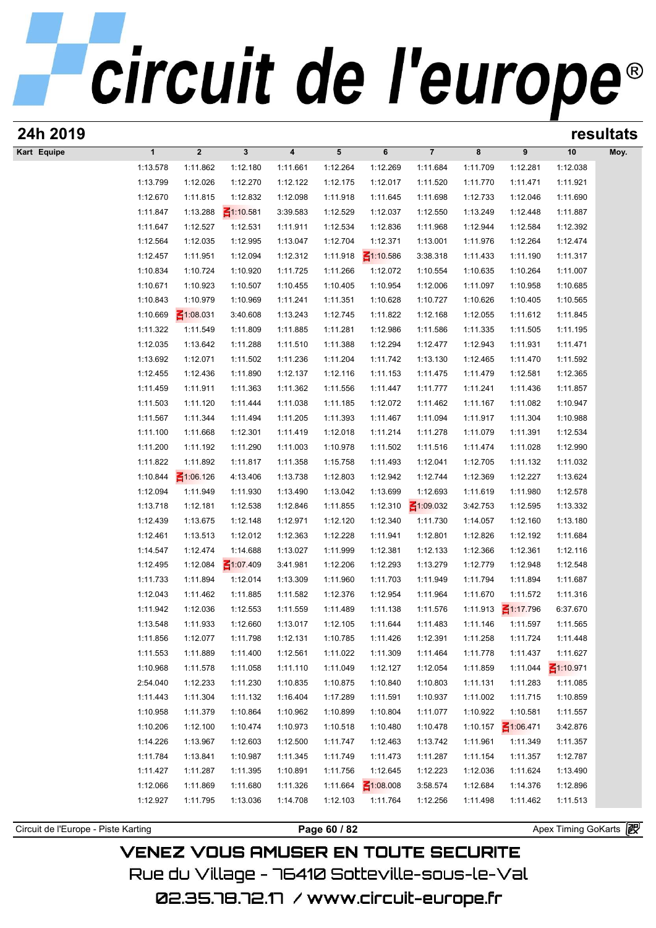|             |                      |                             |                      |                      |                      |                      |                      |                      |                      |                      | resultats |
|-------------|----------------------|-----------------------------|----------------------|----------------------|----------------------|----------------------|----------------------|----------------------|----------------------|----------------------|-----------|
| Kart Equipe | $\mathbf{1}$         | $\boldsymbol{2}$            | $\mathbf{3}$         | 4                    | $5\phantom{.0}$      | 6                    | $\overline{7}$       | 8                    | 9                    | 10                   | Moy.      |
|             | 1:13.578             | 1:11.862                    | 1:12.180             | 1:11.661             | 1:12.264             | 1:12.269             | 1:11.684             | 1:11.709             | 1:12.281             | 1:12.038             |           |
|             | 1:13.799             | 1:12.026                    | 1:12.270             | 1:12.122             | 1:12.175             | 1:12.017             | 1:11.520             | 1:11.770             | 1:11.471             | 1:11.921             |           |
|             | 1:12.670             | 1:11.815                    | 1:12.832             | 1:12.098             | 1:11.918             | 1:11.645             | 1:11.698             | 1:12.733             | 1:12.046             | 1:11.690             |           |
|             | 1:11.847             | 1:13.288                    | $\leq 1:10.581$      | 3:39.583             | 1:12.529             | 1:12.037             | 1:12.550             | 1:13.249             | 1:12.448             | 1:11.887             |           |
|             | 1:11.647             | 1:12.527                    | 1:12.531             | 1:11.911             | 1:12.534             | 1:12.836             | 1:11.968             | 1:12.944             | 1:12.584             | 1:12.392             |           |
|             | 1:12.564             | 1:12.035                    | 1:12.995             | 1:13.047             | 1:12.704             | 1:12.371             | 1:13.001             | 1:11.976             | 1:12.264             | 1:12.474             |           |
|             | 1:12.457             | 1:11.951                    | 1:12.094             | 1:12.312             | 1:11.918             | $\leq 1:10.586$      | 3:38.318             | 1:11.433             | 1:11.190             | 1:11.317             |           |
|             | 1:10.834             | 1:10.724                    | 1:10.920             | 1:11.725             | 1:11.266             | 1:12.072             | 1:10.554             | 1:10.635             | 1:10.264             | 1:11.007             |           |
|             | 1:10.671             | 1:10.923                    | 1:10.507             | 1:10.455             | 1:10.405             | 1:10.954             | 1:12.006             | 1:11.097             | 1:10.958             | 1:10.685             |           |
|             | 1:10.843<br>1:10.669 | 1:10.979<br>$\leq 1:08.031$ | 1:10.969<br>3:40.608 | 1:11.241<br>1:13.243 | 1:11.351<br>1:12.745 | 1:10.628<br>1:11.822 | 1:10.727<br>1:12.168 | 1:10.626<br>1:12.055 | 1:10.405<br>1:11.612 | 1:10.565<br>1:11.845 |           |
|             | 1:11.322             | 1:11.549                    | 1:11.809             | 1:11.885             | 1:11.281             | 1:12.986             | 1:11.586             | 1:11.335             | 1:11.505             | 1:11.195             |           |
|             | 1:12.035             | 1:13.642                    | 1:11.288             | 1:11.510             | 1:11.388             | 1:12.294             | 1:12.477             | 1:12.943             | 1:11.931             | 1:11.471             |           |
|             | 1:13.692             | 1:12.071                    | 1:11.502             | 1:11.236             | 1:11.204             | 1:11.742             | 1:13.130             | 1:12.465             | 1:11.470             | 1:11.592             |           |
|             | 1:12.455             | 1:12.436                    | 1:11.890             | 1:12.137             | 1:12.116             | 1:11.153             | 1:11.475             | 1:11.479             | 1:12.581             | 1:12.365             |           |
|             | 1:11.459             | 1:11.911                    | 1:11.363             | 1:11.362             | 1:11.556             | 1:11.447             | 1:11.777             | 1:11.241             | 1:11.436             | 1:11.857             |           |
|             | 1:11.503             | 1:11.120                    | 1:11.444             | 1:11.038             | 1:11.185             | 1:12.072             | 1:11.462             | 1:11.167             | 1:11.082             | 1:10.947             |           |
|             | 1:11.567             | 1:11.344                    | 1:11.494             | 1:11.205             | 1:11.393             | 1:11.467             | 1:11.094             | 1:11.917             | 1:11.304             | 1:10.988             |           |
|             | 1:11.100             | 1:11.668                    | 1:12.301             | 1:11.419             | 1:12.018             | 1:11.214             | 1:11.278             | 1:11.079             | 1:11.391             | 1:12.534             |           |
|             | 1:11.200             | 1:11.192                    | 1:11.290             | 1:11.003             | 1:10.978             | 1:11.502             | 1:11.516             | 1:11.474             | 1:11.028             | 1:12.990             |           |
|             | 1:11.822             | 1:11.892                    | 1:11.817             | 1:11.358             | 1:15.758             | 1:11.493             | 1:12.041             | 1:12.705             | 1:11.132             | 1:11.032             |           |
|             | 1:10.844             | $\leq 1:06.126$             | 4:13.406             | 1:13.738             | 1:12.803             | 1:12.942             | 1:12.744             | 1:12.369             | 1:12.227             | 1:13.624             |           |
|             | 1:12.094             | 1:11.949                    | 1:11.930             | 1:13.490             | 1:13.042             | 1:13.699             | 1:12.693             | 1:11.619             | 1:11.980             | 1:12.578             |           |
|             | 1:13.718             | 1:12.181                    | 1:12.538             | 1:12.846             | 1:11.855             | 1:12.310             | $\leq 1:09.032$      | 3:42.753             | 1:12.595             | 1:13.332             |           |
|             | 1:12.439             | 1:13.675                    | 1:12.148             | 1:12.971             | 1:12.120             | 1:12.340             | 1:11.730             | 1:14.057             | 1:12.160             | 1:13.180             |           |
|             | 1:12.461             | 1:13.513                    | 1:12.012             | 1:12.363             | 1:12.228             | 1:11.941             | 1:12.801             | 1:12.826             | 1:12.192             | 1:11.684             |           |
|             | 1:14.547             | 1:12.474                    | 1:14.688             | 1:13.027             | 1:11.999             | 1:12.381             | 1:12.133             | 1:12.366             | 1:12.361             | 1:12.116             |           |
|             | 1:12.495             | 1:12.084                    | $\leq 1:07.409$      | 3:41.981             | 1:12.206             | 1:12.293             | 1:13.279             | 1:12.779             | 1:12.948             | 1:12.548             |           |
|             | 1:11.733             | 1:11.894                    | 1:12.014             | 1:13.309             | 1:11.960             | 1:11.703             | 1:11.949             | 1:11.794             | 1:11.894             | 1:11.687             |           |
|             | 1:12.043             | 1:11.462                    | 1:11.885             | 1:11.582             | 1:12.376             | 1:12.954             | 1:11.964             | 1:11.670             | 1:11.572             | 1:11.316             |           |
|             | 1:11.942             | 1:12.036                    | 1:12.553             | 1:11.559             | 1:11.489             | 1:11.138             | 1:11.576             | 1:11.913             | $\leq$ 1:17.796      | 6:37.670             |           |
|             | 1:13.548             | 1:11.933                    | 1:12.660             | 1:13.017             | 1:12.105             | 1:11.644             | 1:11.483             | 1:11.146             | 1:11.597             | 1:11.565             |           |
|             | 1:11.856             | 1:12.077                    | 1:11.798             | 1:12.131             | 1:10.785             | 1:11.426             | 1:12.391             | 1:11.258             | 1:11.724             | 1:11.448             |           |
|             | 1:11.553             | 1:11.889                    | 1:11.400             | 1:12.561             | 1:11.022             | 1:11.309             | 1:11.464             | 1:11.778             | 1:11.437             | 1:11.627             |           |
|             | 1:10.968             | 1:11.578                    | 1:11.058             | 1:11.110             | 1:11.049             | 1:12.127             | 1:12.054             | 1:11.859             | 1:11.044             | $\leq 1:10.971$      |           |
|             | 2:54.040<br>1:11.443 | 1:12.233<br>1:11.304        | 1:11.230<br>1:11.132 | 1:10.835<br>1:16.404 | 1:10.875<br>1:17.289 | 1:10.840<br>1:11.591 | 1:10.803<br>1:10.937 | 1:11.131             | 1:11.283<br>1:11.715 | 1:11.085<br>1:10.859 |           |
|             | 1:10.958             | 1:11.379                    | 1:10.864             | 1:10.962             | 1:10.899             | 1:10.804             | 1:11.077             | 1:11.002<br>1:10.922 | 1:10.581             | 1:11.557             |           |
|             | 1:10.206             | 1:12.100                    |                      | 1:10.973             | 1:10.518             | 1:10.480             | 1:10.478             |                      | $\leq 1:06.471$      | 3:42.876             |           |
|             | 1:14.226             | 1:13.967                    | 1:10.474<br>1:12.603 | 1:12.500             | 1:11.747             | 1:12.463             | 1:13.742             | 1:10.157<br>1:11.961 | 1:11.349             | 1:11.357             |           |
|             | 1:11.784             | 1:13.841                    | 1:10.987             | 1:11.345             | 1:11.749             | 1:11.473             | 1:11.287             | 1:11.154             | 1:11.357             | 1:12.787             |           |
|             | 1:11.427             | 1:11.287                    | 1:11.395             | 1:10.891             | 1:11.756             | 1:12.645             | 1:12.223             | 1:12.036             | 1:11.624             | 1:13.490             |           |
|             | 1:12.066             | 1:11.869                    | 1:11.680             | 1:11.326             | 1:11.664             | $\leq 1:08.008$      | 3:58.574             | 1:12.684             | 1:14.376             | 1:12.896             |           |
|             | 1:12.927             | 1:11.795                    | 1:13.036             | 1:14.708             | 1:12.103             | 1:11.764             | 1:12.256             | 1:11.498             | 1:11.462             | 1:11.513             |           |
|             |                      |                             |                      |                      |                      |                      |                      |                      |                      |                      |           |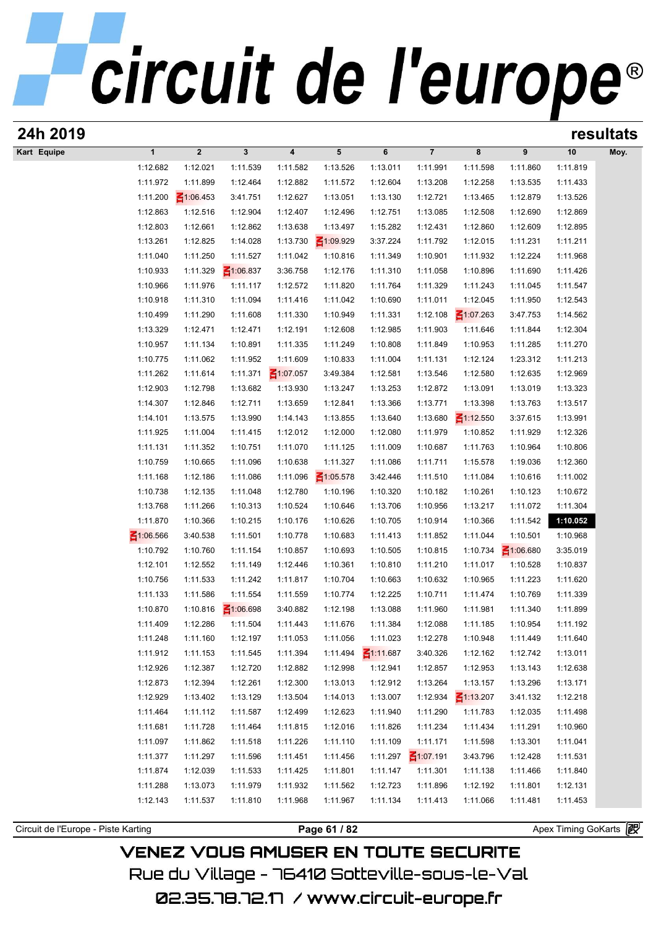| 24h 2019    |                 |                         |                 |                         |                 |                 |                        |                 |                 |          | resultats |
|-------------|-----------------|-------------------------|-----------------|-------------------------|-----------------|-----------------|------------------------|-----------------|-----------------|----------|-----------|
| Kart Equipe | $\mathbf{1}$    | $\overline{\mathbf{2}}$ | $\mathbf 3$     | $\overline{\mathbf{4}}$ | ${\bf 5}$       | $\bf 6$         | $\overline{7}$         | 8               | 9               | 10       | Moy.      |
|             | 1:12.682        | 1:12.021                | 1:11.539        | 1:11.582                | 1:13.526        | 1:13.011        | 1:11.991               | 1:11.598        | 1:11.860        | 1:11.819 |           |
|             | 1:11.972        | 1:11.899                | 1:12.464        | 1:12.882                | 1:11.572        | 1:12.604        | 1:13.208               | 1:12.258        | 1:13.535        | 1:11.433 |           |
|             | 1:11.200        | $\leq 1:06.453$         | 3:41.751        | 1:12.627                | 1:13.051        | 1:13.130        | 1:12.721               | 1:13.465        | 1:12.879        | 1:13.526 |           |
|             | 1:12.863        | 1:12.516                | 1:12.904        | 1:12.407                | 1:12.496        | 1:12.751        | 1:13.085               | 1:12.508        | 1:12.690        | 1:12.869 |           |
|             | 1:12.803        | 1:12.661                | 1:12.862        | 1:13.638                | 1:13.497        | 1:15.282        | 1:12.431               | 1:12.860        | 1:12.609        | 1:12.895 |           |
|             | 1:13.261        | 1:12.825                | 1:14.028        | 1:13.730                | $\leq 1:09.929$ | 3:37.224        | 1:11.792               | 1:12.015        | 1:11.231        | 1:11.211 |           |
|             | 1:11.040        | 1:11.250                | 1:11.527        | 1:11.042                | 1:10.816        | 1:11.349        | 1:10.901               | 1:11.932        | 1:12.224        | 1:11.968 |           |
|             | 1:10.933        | 1:11.329                | $\leq 1:06.837$ | 3:36.758                | 1:12.176        | 1:11.310        | 1:11.058               | 1:10.896        | 1:11.690        | 1:11.426 |           |
|             | 1:10.966        | 1:11.976                | 1:11.117        | 1:12.572                | 1:11.820        | 1:11.764        | 1:11.329               | 1:11.243        | 1:11.045        | 1:11.547 |           |
|             | 1:10.918        | 1:11.310                | 1:11.094        | 1:11.416                | 1:11.042        | 1:10.690        | 1:11.011               | 1:12.045        | 1:11.950        | 1:12.543 |           |
|             | 1:10.499        | 1:11.290                | 1:11.608        | 1:11.330                | 1:10.949        | 1:11.331        | 1:12.108               | $\leq 1:07.263$ | 3:47.753        | 1:14.562 |           |
|             | 1:13.329        | 1:12.471                | 1:12.471        | 1:12.191                | 1:12.608        | 1:12.985        | 1:11.903               | 1:11.646        | 1:11.844        | 1:12.304 |           |
|             | 1:10.957        | 1:11.134                | 1:10.891        | 1:11.335                | 1:11.249        | 1:10.808        | 1:11.849               | 1:10.953        | 1:11.285        | 1:11.270 |           |
|             | 1:10.775        | 1:11.062                | 1:11.952        | 1:11.609                | 1:10.833        | 1:11.004        | 1:11.131               | 1:12.124        | 1:23.312        | 1:11.213 |           |
|             | 1:11.262        | 1:11.614                | 1:11.371        | $\leq 1:07.057$         | 3:49.384        | 1:12.581        | 1:13.546               | 1:12.580        | 1:12.635        | 1:12.969 |           |
|             | 1:12.903        | 1:12.798                | 1:13.682        | 1:13.930                | 1:13.247        | 1:13.253        | 1:12.872               | 1:13.091        | 1:13.019        | 1:13.323 |           |
|             | 1:14.307        | 1:12.846                | 1:12.711        | 1:13.659                | 1:12.841        | 1:13.366        | 1:13.771               | 1:13.398        | 1:13.763        | 1:13.517 |           |
|             | 1:14.101        | 1:13.575                | 1:13.990        | 1:14.143                | 1:13.855        | 1:13.640        | 1:13.680               | $\leq$ 1:12.550 | 3:37.615        | 1:13.991 |           |
|             | 1:11.925        | 1:11.004                | 1:11.415        | 1:12.012                | 1:12.000        | 1:12.080        | 1:11.979               | 1:10.852        | 1:11.929        | 1:12.326 |           |
|             | 1:11.131        | 1:11.352                | 1:10.751        | 1:11.070                | 1:11.125        | 1:11.009        | 1:10.687               | 1:11.763        | 1:10.964        | 1:10.806 |           |
|             | 1:10.759        | 1:10.665                | 1:11.096        | 1:10.638                | 1:11.327        | 1:11.086        | 1:11.711               | 1:15.578        | 1:19.036        | 1:12.360 |           |
|             | 1:11.168        | 1:12.186                | 1:11.086        | 1:11.096                | $\leq 1:05.578$ | 3:42.446        | 1:11.510               | 1:11.084        | 1:10.616        | 1:11.002 |           |
|             | 1:10.738        | 1:12.135                | 1:11.048        | 1:12.780                | 1:10.196        | 1:10.320        | 1:10.182               | 1:10.261        | 1:10.123        | 1:10.672 |           |
|             | 1:13.768        | 1:11.266                | 1:10.313        | 1:10.524                | 1:10.646        | 1:13.706        | 1:10.956               | 1:13.217        | 1:11.072        | 1:11.304 |           |
|             | 1:11.870        | 1:10.366                | 1:10.215        | 1:10.176                | 1:10.626        | 1:10.705        | 1:10.914               | 1:10.366        | 1:11.542        | 1:10.052 |           |
|             | $\leq 1:06.566$ | 3:40.538                | 1:11.501        | 1:10.778                | 1:10.683        | 1:11.413        | 1:11.852               | 1:11.044        | 1:10.501        | 1:10.968 |           |
|             | 1:10.792        | 1:10.760                | 1:11.154        | 1:10.857                | 1:10.693        | 1:10.505        | 1:10.815               | 1:10.734        | $\leq 1:06.680$ | 3:35.019 |           |
|             | 1:12.101        | 1:12.552                | 1:11.149        | 1:12.446                | 1:10.361        | 1:10.810        | 1:11.210               | 1:11.017        | 1:10.528        | 1:10.837 |           |
|             | 1:10.756        | 1:11.533                | 1:11.242        | 1:11.817                | 1:10.704        | 1:10.663        | 1:10.632               | 1:10.965        | 1:11.223        | 1:11.620 |           |
|             | 1:11.133        | 1:11.586                | 1:11.554        | 1:11.559                | 1:10.774        | 1:12.225        | 1:10.711               | 1:11.474        | 1:10.769        | 1:11.339 |           |
|             | 1:10.870        | 1:10.816                | $\leq 1:06.698$ | 3:40.882                | 1:12.198        | 1:13.088        | 1:11.960               | 1:11.981        | 1:11.340        | 1:11.899 |           |
|             | 1:11.409        | 1:12.286                | 1:11.504        | 1:11.443                | 1:11.676        | 1:11.384        | 1:12.088               | 1:11.185        | 1:10.954        | 1:11.192 |           |
|             | 1:11.248        | 1:11.160                | 1:12.197        | 1:11.053                | 1:11.056        | 1:11.023        | 1:12.278               | 1:10.948        | 1:11.449        | 1:11.640 |           |
|             | 1:11.912        | 1:11.153                | 1:11.545        | 1:11.394                | 1:11.494        | $\leq 1:11.687$ | 3:40.326               | 1:12.162        | 1:12.742        | 1:13.011 |           |
|             | 1:12.926        | 1:12.387                | 1:12.720        | 1:12.882                | 1:12.998        | 1:12.941        | 1:12.857               | 1:12.953        | 1:13.143        | 1:12.638 |           |
|             | 1:12.873        | 1:12.394                | 1:12.261        | 1:12.300                | 1:13.013        | 1:12.912        | 1:13.264               | 1:13.157        | 1:13.296        | 1:13.171 |           |
|             | 1:12.929        | 1:13.402                | 1:13.129        | 1:13.504                | 1:14.013        | 1:13.007        | 1:12.934               | ₹1:13.207       | 3:41.132        | 1:12.218 |           |
|             | 1:11.464        | 1:11.112                | 1:11.587        | 1:12.499                | 1:12.623        | 1:11.940        | 1:11.290               | 1:11.783        | 1:12.035        | 1:11.498 |           |
|             | 1:11.681        | 1:11.728                | 1:11.464        | 1:11.815                | 1:12.016        | 1:11.826        | 1:11.234               | 1:11.434        | 1:11.291        | 1:10.960 |           |
|             | 1:11.097        | 1:11.862                | 1:11.518        | 1:11.226                | 1:11.110        | 1:11.109        | 1:11.171               | 1:11.598        | 1:13.301        | 1:11.041 |           |
|             | 1.11277         | 1.11.207                | 1.11 E0C        | 4.44 AE4                | 1.11 A EQ       |                 | $1.11 207$ $21.07 101$ | 2.12.70c        | 1.12.120        | 1.11E21  |           |

1:11.464 1:11.112 1:11.587 1:12.499 1:12.623 1:11.940 1:11.290 1:11.783 1:12.035 1:11.498<br>1:11.681 1:11.728 1:11.464 1:11.815 1:12.016 1:11.826 1:11.234 1:11.434 1:11.291 1:10.960<br>1:11.097 1:11.862 1:11.518 1:11.226 1:11. 1:11.681 1:11.728 1:11.464 1:11.815 1:12.016 1:11.826 1:11.234 1:11.434 1:11.291 1:10.960<br>1:11.097 1:11.862 1:11.518 1:11.226 1:11.110 1:11.109 1:11.171 1:11.598 1:13.301 1:11.041<br>1:11.377 1:11.297 1:11.596 1:11.451 1:11. 1:11.097 1:11.862 1:11.518 1:11.226 1:11.110 1:11.109 1:11.171 1:11.598 1:13.301 1:11.041<br>1:11.377 1:11.297 1:11.596 1:11.451 1:11.456 1:11.297  $\frac{2}{1107.191}$  3:43.796 1:12.428 1:11.531<br>1:11.874 1:12.039 1:11.533 1:11.4 1:11.377 1:11.297 1:11.596 1:11.451 1:11.456 1:11.297 1:11.297 1:11.301 1:11.138 1:12.428 1:11.840<br>1:11.874 1:12.039 1:11.533 1:11.425 1:11.801 1:11.147 1:11.301 1:11.138 1:11.466 1:11.840<br>1:11.288 1:13.073 1:11.979 1:11.

Circuit de l'Europe - Piste Karting **Page 61 / 82 Page 61 / 82** Apex Timing GoKarts **in**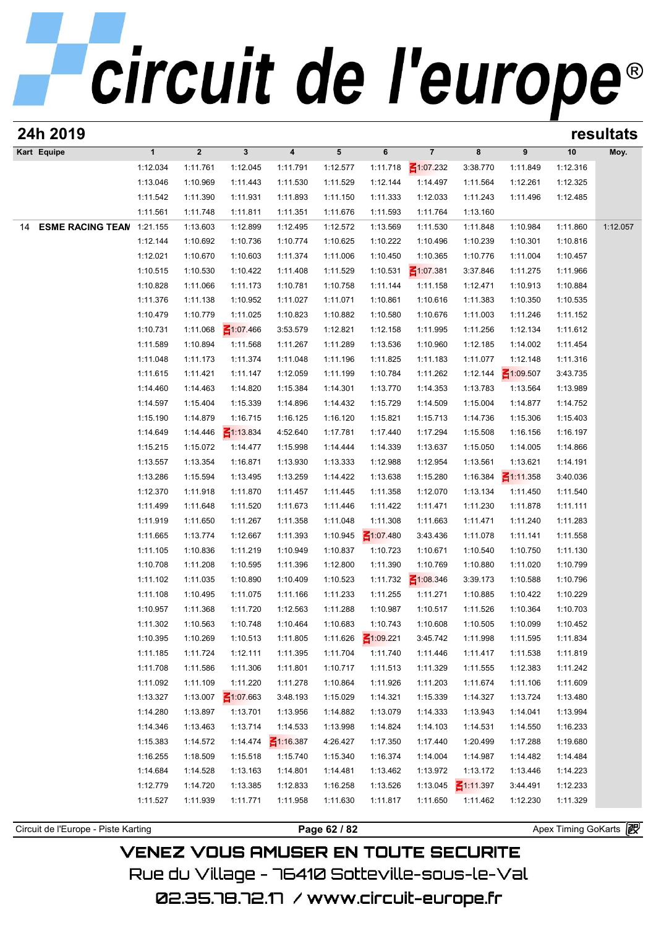| 24h 2019                            |              |              |                 |                         |              |                 |                 |                 |                 |                       | resultats |
|-------------------------------------|--------------|--------------|-----------------|-------------------------|--------------|-----------------|-----------------|-----------------|-----------------|-----------------------|-----------|
| Kart Equipe                         | $\mathbf{1}$ | $\mathbf{2}$ | $\mathbf{3}$    | $\overline{\mathbf{4}}$ | 5            | 6               | $\overline{7}$  | 8               | 9               | 10                    | Moy.      |
|                                     | 1:12.034     | 1:11.761     | 1:12.045        | 1:11.791                | 1:12.577     | 1:11.718        | $\leq 1:07.232$ | 3:38.770        | 1:11.849        | 1:12.316              |           |
|                                     | 1:13.046     | 1:10.969     | 1:11.443        | 1:11.530                | 1:11.529     | 1:12.144        | 1:14.497        | 1:11.564        | 1:12.261        | 1:12.325              |           |
|                                     | 1:11.542     | 1:11.390     | 1:11.931        | 1:11.893                | 1:11.150     | 1:11.333        | 1:12.033        | 1:11.243        | 1:11.496        | 1:12.485              |           |
|                                     | 1:11.561     | 1:11.748     | 1:11.811        | 1:11.351                | 1:11.676     | 1:11.593        | 1:11.764        | 1:13.160        |                 |                       |           |
| <b>ESME RACING TEAN</b><br>14       | 1:21.155     | 1:13.603     | 1:12.899        | 1:12.495                | 1:12.572     | 1:13.569        | 1:11.530        | 1:11.848        | 1:10.984        | 1:11.860              | 1:12.057  |
|                                     | 1:12.144     | 1:10.692     | 1:10.736        | 1:10.774                | 1:10.625     | 1:10.222        | 1:10.496        | 1:10.239        | 1:10.301        | 1:10.816              |           |
|                                     | 1:12.021     | 1:10.670     | 1:10.603        | 1:11.374                | 1:11.006     | 1:10.450        | 1:10.365        | 1:10.776        | 1:11.004        | 1:10.457              |           |
|                                     | 1:10.515     | 1:10.530     | 1:10.422        | 1:11.408                | 1:11.529     | 1:10.531        | $\leq 1:07.381$ | 3:37.846        | 1:11.275        | 1:11.966              |           |
|                                     | 1:10.828     | 1:11.066     | 1:11.173        | 1:10.781                | 1:10.758     | 1:11.144        | 1:11.158        | 1:12.471        | 1:10.913        | 1:10.884              |           |
|                                     | 1:11.376     | 1:11.138     | 1:10.952        | 1:11.027                | 1:11.071     | 1:10.861        | 1:10.616        | 1:11.383        | 1:10.350        | 1:10.535              |           |
|                                     | 1:10.479     | 1:10.779     | 1:11.025        | 1:10.823                | 1:10.882     | 1:10.580        | 1:10.676        | 1:11.003        | 1:11.246        | 1:11.152              |           |
|                                     | 1:10.731     | 1:11.068     | $\leq 1:07.466$ | 3:53.579                | 1:12.821     | 1:12.158        | 1:11.995        | 1:11.256        | 1:12.134        | 1:11.612              |           |
|                                     | 1:11.589     | 1:10.894     | 1:11.568        | 1:11.267                | 1:11.289     | 1:13.536        | 1:10.960        | 1:12.185        | 1:14.002        | 1:11.454              |           |
|                                     | 1:11.048     | 1:11.173     | 1:11.374        | 1:11.048                | 1:11.196     | 1:11.825        | 1:11.183        | 1:11.077        | 1:12.148        | 1:11.316              |           |
|                                     | 1:11.615     | 1:11.421     | 1:11.147        | 1:12.059                | 1:11.199     | 1:10.784        | 1:11.262        | 1:12.144        | $\leq 1:09.507$ | 3:43.735              |           |
|                                     | 1:14.460     | 1:14.463     | 1:14.820        | 1:15.384                | 1:14.301     | 1:13.770        | 1:14.353        | 1:13.783        | 1:13.564        | 1:13.989              |           |
|                                     | 1:14.597     | 1:15.404     | 1:15.339        | 1:14.896                | 1:14.432     | 1:15.729        | 1:14.509        | 1:15.004        | 1:14.877        | 1:14.752              |           |
|                                     | 1:15.190     | 1:14.879     | 1:16.715        | 1:16.125                | 1:16.120     | 1:15.821        | 1:15.713        | 1:14.736        | 1:15.306        | 1:15.403              |           |
|                                     | 1:14.649     | 1:14.446     | $\leq 1:13.834$ | 4:52.640                | 1:17.781     | 1:17.440        | 1:17.294        | 1:15.508        | 1:16.156        | 1:16.197              |           |
|                                     | 1:15.215     | 1:15.072     | 1:14.477        | 1:15.998                | 1:14.444     | 1:14.339        | 1:13.637        | 1:15.050        | 1:14.005        | 1:14.866              |           |
|                                     | 1:13.557     | 1:13.354     | 1:16.871        | 1:13.930                | 1:13.333     | 1:12.988        | 1:12.954        | 1:13.561        | 1:13.621        | 1:14.191              |           |
|                                     | 1:13.286     | 1:15.594     | 1:13.495        | 1:13.259                | 1:14.422     | 1:13.638        | 1:15.280        | 1:16.384        | $\leq$ 1:11.358 | 3:40.036              |           |
|                                     | 1:12.370     | 1:11.918     | 1:11.870        | 1:11.457                | 1:11.445     | 1:11.358        | 1:12.070        | 1:13.134        | 1:11.450        | 1:11.540              |           |
|                                     | 1:11.499     | 1:11.648     | 1:11.520        | 1:11.673                | 1:11.446     | 1:11.422        | 1:11.471        | 1:11.230        | 1:11.878        | 1:11.111              |           |
|                                     | 1:11.919     | 1:11.650     | 1:11.267        | 1:11.358                | 1:11.048     | 1:11.308        | 1:11.663        | 1:11.471        | 1:11.240        | 1:11.283              |           |
|                                     | 1:11.665     | 1:13.774     | 1:12.667        | 1:11.393                | 1:10.945     | $\leq 1:07.480$ | 3:43.436        | 1:11.078        | 1:11.141        | 1:11.558              |           |
|                                     | 1:11.105     | 1:10.836     | 1:11.219        | 1:10.949                | 1:10.837     | 1:10.723        | 1:10.671        | 1:10.540        | 1:10.750        | 1:11.130              |           |
|                                     | 1:10.708     | 1:11.208     | 1:10.595        | 1:11.396                | 1:12.800     | 1:11.390        | 1:10.769        | 1:10.880        | 1:11.020        | 1:10.799              |           |
|                                     | 1:11.102     | 1:11.035     | 1:10.890        | 1:10.409                | 1:10.523     | 1:11.732        | $\leq 1:08.346$ | 3:39.173        | 1:10.588        | 1:10.796              |           |
|                                     | 1:11.108     | 1:10.495     | 1:11.075        | 1:11.166                | 1:11.233     | 1:11.255        | 1:11.271        | 1:10.885        | 1:10.422        | 1:10.229              |           |
|                                     | 1:10.957     | 1:11.368     | 1:11.720        | 1:12.563                | 1:11.288     | 1:10.987        | 1:10.517        | 1:11.526        | 1:10.364        | 1:10.703              |           |
|                                     | 1:11.302     | 1:10.563     | 1:10.748        | 1:10.464                | 1:10.683     | 1:10.743        | 1:10.608        | 1:10.505        | 1:10.099        | 1:10.452              |           |
|                                     | 1:10.395     | 1:10.269     | 1:10.513        | 1:11.805                | 1:11.626     | $\leq 1:09.221$ | 3:45.742        | 1:11.998        | 1:11.595        | 1:11.834              |           |
|                                     | 1:11.185     | 1:11.724     | 1:12.111        | 1:11.395                | 1:11.704     | 1:11.740        | 1:11.446        | 1:11.417        | 1:11.538        | 1:11.819              |           |
|                                     | 1:11.708     | 1:11.586     | 1:11.306        | 1:11.801                | 1:10.717     | 1:11.513        | 1:11.329        | 1:11.555        | 1:12.383        | 1:11.242              |           |
|                                     | 1:11.092     | 1:11.109     | 1:11.220        | 1:11.278                | 1:10.864     | 1:11.926        | 1:11.203        | 1:11.674        | 1:11.106        | 1:11.609              |           |
|                                     | 1:13.327     | 1:13.007     | $\leq 1:07.663$ | 3:48.193                | 1:15.029     | 1:14.321        | 1:15.339        | 1:14.327        | 1:13.724        | 1:13.480              |           |
|                                     | 1:14.280     | 1:13.897     | 1:13.701        | 1:13.956                | 1:14.882     | 1:13.079        | 1:14.333        | 1:13.943        | 1:14.041        | 1:13.994              |           |
|                                     | 1:14.346     | 1:13.463     | 1:13.714        | 1:14.533                | 1:13.998     | 1:14.824        | 1:14.103        | 1:14.531        | 1:14.550        | 1:16.233              |           |
|                                     | 1:15.383     | 1:14.572     | 1:14.474        | $\frac{2}{1116.387}$    | 4:26.427     | 1:17.350        | 1:17.440        | 1:20.499        | 1:17.288        | 1:19.680              |           |
|                                     | 1:16.255     | 1:18.509     | 1:15.518        | 1:15.740                | 1:15.340     | 1:16.374        | 1:14.004        | 1:14.987        | 1:14.482        | 1:14.484              |           |
|                                     | 1:14.684     | 1:14.528     | 1:13.163        | 1:14.801                | 1:14.481     | 1:13.462        | 1:13.972        | 1:13.172        | 1:13.446        | 1:14.223              |           |
|                                     | 1:12.779     | 1:14.720     | 1:13.385        | 1:12.833                | 1:16.258     | 1:13.526        | 1:13.045        | $\leq 1:11.397$ | 3:44.491        | 1:12.233              |           |
|                                     | 1:11.527     | 1:11.939     | 1:11.771        | 1:11.958                | 1:11.630     | 1:11.817        | 1:11.650        | 1:11.462        | 1:12.230        | 1:11.329              |           |
|                                     |              |              |                 |                         |              |                 |                 |                 |                 |                       |           |
| Circuit de l'Europe - Piste Karting |              |              |                 |                         | Page 62 / 82 |                 |                 |                 |                 | Apex Timing GoKarts 图 |           |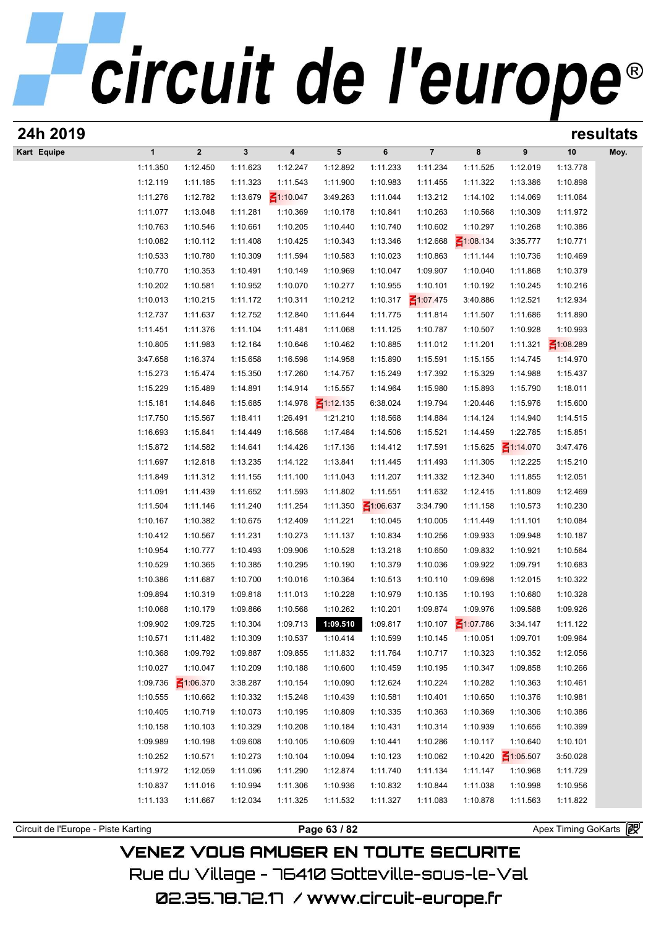| 24h 2019                            |                      |                       |                      |                         |                      |                      |                         |                      |                      |                      | resultats |
|-------------------------------------|----------------------|-----------------------|----------------------|-------------------------|----------------------|----------------------|-------------------------|----------------------|----------------------|----------------------|-----------|
| Kart Equipe                         | $\mathbf{1}$         | $\boldsymbol{2}$      | $\mathbf{3}$         | $\overline{\mathbf{4}}$ | 5                    | 6                    | $\overline{\mathbf{7}}$ | 8                    | 9                    | 10                   | Moy.      |
|                                     | 1:11.350             | 1:12.450              | 1:11.623             | 1:12.247                | 1:12.892             | 1:11.233             | 1:11.234                | 1:11.525             | 1:12.019             | 1:13.778             |           |
|                                     | 1:12.119             | 1:11.185              | 1:11.323             | 1:11.543                | 1:11.900             | 1:10.983             | 1:11.455                | 1:11.322             | 1:13.386             | 1:10.898             |           |
|                                     | 1:11.276             | 1:12.782              | 1:13.679             | $\leq 1:10.047$         | 3:49.263             | 1:11.044             | 1:13.212                | 1:14.102             | 1:14.069             | 1:11.064             |           |
|                                     | 1:11.077             | 1:13.048              | 1:11.281             | 1:10.369                | 1:10.178             | 1:10.841             | 1:10.263                | 1:10.568             | 1:10.309             | 1:11.972             |           |
|                                     | 1:10.763             | 1:10.546              | 1:10.661             | 1:10.205                | 1:10.440             | 1:10.740             | 1:10.602                | 1:10.297             | 1:10.268             | 1:10.386             |           |
|                                     | 1:10.082             | 1:10.112              | 1:11.408             | 1:10.425                | 1:10.343             | 1:13.346             | 1:12.668                | $\leq 1:08.134$      | 3:35.777             | 1:10.771             |           |
|                                     | 1:10.533             | 1:10.780              | 1:10.309             | 1:11.594                | 1:10.583             | 1:10.023             | 1:10.863                | 1:11.144             | 1:10.736             | 1:10.469             |           |
|                                     | 1:10.770             | 1:10.353              | 1:10.491             | 1:10.149                | 1:10.969             | 1:10.047             | 1:09.907                | 1:10.040             | 1:11.868             | 1:10.379             |           |
|                                     | 1:10.202             | 1:10.581              | 1:10.952             | 1:10.070                | 1:10.277             | 1:10.955             | 1:10.101                | 1:10.192             | 1:10.245             | 1:10.216             |           |
|                                     | 1:10.013             | 1:10.215              | 1:11.172             | 1:10.311                | 1:10.212             | 1:10.317             | $\leq 1:07.475$         | 3:40.886             | 1:12.521             | 1:12.934             |           |
|                                     | 1:12.737             | 1:11.637              | 1:12.752             | 1:12.840                | 1:11.644             | 1:11.775             | 1:11.814                | 1:11.507             | 1:11.686             | 1:11.890             |           |
|                                     | 1:11.451             | 1:11.376              | 1:11.104             | 1:11.481                | 1:11.068             | 1:11.125             | 1:10.787                | 1:10.507             | 1:10.928             | 1:10.993             |           |
|                                     | 1:10.805             | 1:11.983              | 1:12.164             | 1:10.646                | 1:10.462             | 1:10.885             | 1:11.012                | 1:11.201             | 1:11.321             | $\leq 1:08.289$      |           |
|                                     | 3:47.658             | 1:16.374              | 1:15.658             | 1:16.598                | 1:14.958             | 1:15.890             | 1:15.591                | 1:15.155             | 1:14.745             | 1:14.970             |           |
|                                     | 1:15.273             | 1:15.474              | 1:15.350             | 1:17.260                | 1:14.757             | 1:15.249             | 1:17.392                | 1:15.329             | 1:14.988             | 1:15.437             |           |
|                                     | 1:15.229             | 1:15.489              | 1:14.891             | 1:14.914                | 1:15.557             | 1:14.964             | 1:15.980                | 1:15.893             | 1:15.790             | 1:18.011             |           |
|                                     | 1:15.181             | 1:14.846              | 1:15.685             | 1:14.978                | $\leq 1:12.135$      | 6:38.024             | 1:19.794                | 1:20.446             | 1:15.976             | 1:15.600             |           |
|                                     | 1:17.750             | 1:15.567              | 1:18.411             | 1:26.491                | 1:21.210             | 1:18.568             | 1:14.884                | 1:14.124             | 1:14.940             | 1:14.515             |           |
|                                     | 1:16.693             | 1:15.841              | 1:14.449             | 1:16.568                | 1:17.484             | 1:14.506             | 1:15.521                | 1:14.459             | 1:22.785             | 1:15.851             |           |
|                                     | 1:15.872             | 1:14.582              | 1:14.641             | 1:14.426                | 1:17.136             | 1:14.412             | 1:17.591                | 1:15.625             | $\leq 1:14.070$      | 3:47.476             |           |
|                                     | 1:11.697             | 1:12.818              | 1:13.235             | 1:14.122                | 1:13.841             | 1:11.445             | 1:11.493                | 1:11.305             | 1:12.225             | 1:15.210             |           |
|                                     | 1:11.849             | 1:11.312              | 1:11.155             | 1:11.100                | 1:11.043             | 1:11.207             | 1:11.332                | 1:12.340             | 1:11.855             | 1:12.051             |           |
|                                     | 1:11.091             | 1:11.439              | 1:11.652             | 1:11.593                | 1:11.802             | 1:11.551             | 1:11.632                | 1:12.415             | 1:11.809             | 1:12.469             |           |
|                                     | 1:11.504             | 1:11.146              | 1:11.240             | 1:11.254                | 1:11.350             | $\leq 1:06.637$      | 3:34.790                | 1:11.158             | 1:10.573             | 1:10.230             |           |
|                                     | 1:10.167             | 1:10.382              | 1:10.675             | 1:12.409                | 1:11.221             | 1:10.045             | 1:10.005                | 1:11.449             | 1:11.101             | 1:10.084             |           |
|                                     | 1:10.412             | 1:10.567              | 1:11.231             | 1:10.273                | 1:11.137             | 1:10.834             | 1:10.256                | 1:09.933             | 1:09.948             | 1:10.187             |           |
|                                     | 1:10.954             | 1:10.777              | 1:10.493             | 1:09.906                | 1:10.528             | 1:13.218             | 1:10.650                | 1:09.832             | 1:10.921             | 1:10.564             |           |
|                                     | 1:10.529             | 1:10.365              | 1:10.385             | 1:10.295                | 1:10.190             | 1:10.379             | 1:10.036                | 1:09.922             | 1:09.791             | 1:10.683             |           |
|                                     | 1:10.386             | 1:11.687              | 1:10.700             | 1:10.016                | 1:10.364             | 1:10.513             | 1:10.110                | 1:09.698             | 1:12.015             | 1:10.322             |           |
|                                     | 1:09.894             | 1:10.319              | 1:09.818             | 1:11.013                | 1:10.228             | 1:10.979             | 1:10.135                | 1:10.193             | 1:10.680             | 1:10.328             |           |
|                                     | 1:10.068             | 1:10.179              | 1:09.866             | 1:10.568                | 1:10.262<br>1:09.510 | 1:10.201             | 1:09.874                | 1:09.976             | 1:09.588             | 1:09.926<br>1:11.122 |           |
|                                     | 1:09.902             | 1:09.725              | 1:10.304             | 1:09.713                |                      | 1:09.817             | 1:10.107                | ₹1:07.786            | 3:34.147             |                      |           |
|                                     | 1:10.571<br>1:10.368 | 1:11.482<br>1:09.792  | 1:10.309<br>1:09.887 | 1:10.537<br>1:09.855    | 1:10.414<br>1:11.832 | 1:10.599<br>1:11.764 | 1:10.145<br>1:10.717    | 1:10.051<br>1:10.323 | 1:09.701<br>1:10.352 | 1:09.964<br>1:12.056 |           |
|                                     |                      |                       |                      |                         |                      |                      |                         |                      | 1:09.858             | 1:10.266             |           |
|                                     | 1:10.027<br>1:09.736 | 1:10.047<br>₹1:06.370 | 1:10.209<br>3:38.287 | 1:10.188<br>1:10.154    | 1:10.600<br>1:10.090 | 1:10.459<br>1:12.624 | 1:10.195<br>1:10.224    | 1:10.347<br>1:10.282 | 1:10.363             | 1:10.461             |           |
|                                     | 1:10.555             | 1:10.662              | 1:10.332             | 1:15.248                | 1:10.439             | 1:10.581             | 1:10.401                | 1:10.650             | 1:10.376             | 1:10.981             |           |
|                                     | 1:10.405             | 1:10.719              | 1:10.073             | 1:10.195                | 1:10.809             | 1:10.335             | 1:10.363                | 1:10.369             | 1:10.306             | 1:10.386             |           |
|                                     | 1:10.158             | 1:10.103              | 1:10.329             | 1:10.208                | 1:10.184             | 1:10.431             | 1:10.314                | 1:10.939             | 1:10.656             | 1:10.399             |           |
|                                     | 1:09.989             | 1:10.198              | 1:09.608             | 1:10.105                | 1:10.609             | 1:10.441             | 1:10.286                | 1:10.117             | 1:10.640             | 1:10.101             |           |
|                                     | 1:10.252             | 1:10.571              | 1:10.273             | 1:10.104                | 1:10.094             | 1:10.123             | 1:10.062                | 1:10.420             | $\leq 1:05.507$      | 3:50.028             |           |
|                                     | 1:11.972             | 1:12.059              | 1:11.096             | 1:11.290                | 1:12.874             | 1:11.740             | 1:11.134                | 1:11.147             | 1:10.968             | 1:11.729             |           |
|                                     | 1:10.837             | 1:11.016              | 1:10.994             | 1:11.306                | 1:10.936             | 1:10.832             | 1:10.844                | 1:11.038             | 1:10.998             | 1:10.956             |           |
|                                     | 1:11.133             | 1:11.667              | 1:12.034             | 1:11.325                | 1:11.532             | 1:11.327             | 1:11.083                | 1:10.878             | 1:11.563             | 1:11.822             |           |
|                                     |                      |                       |                      |                         |                      |                      |                         |                      |                      |                      |           |
| Circuit de l'Europe - Piste Karting |                      |                       |                      |                         | Page 63 / 82         |                      |                         |                      |                      | Apex Timing GoKarts  |           |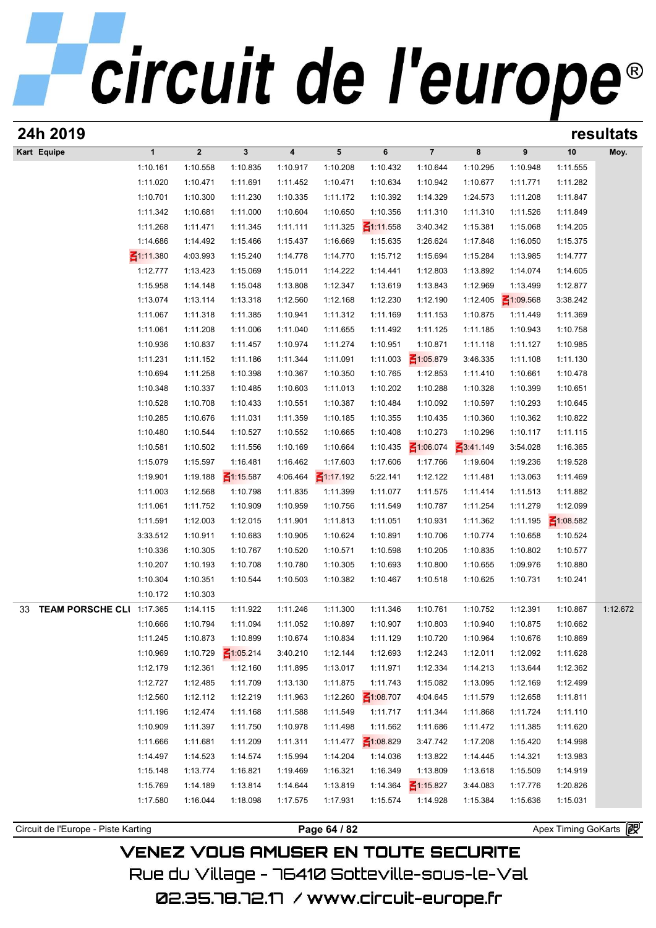| 24h 2019                            |                 |             |                 |          |                 |                 |                 |          |                 |                     | resultats |
|-------------------------------------|-----------------|-------------|-----------------|----------|-----------------|-----------------|-----------------|----------|-----------------|---------------------|-----------|
| Kart Equipe                         | $\mathbf{1}$    | $\mathbf 2$ | $\mathbf{3}$    | 4        | 5               | 6               | $\overline{7}$  | 8        | 9               | 10                  | Moy.      |
|                                     | 1:10.161        | 1:10.558    | 1:10.835        | 1:10.917 | 1:10.208        | 1:10.432        | 1:10.644        | 1:10.295 | 1:10.948        | 1:11.555            |           |
|                                     | 1:11.020        | 1:10.471    | 1:11.691        | 1:11.452 | 1:10.471        | 1:10.634        | 1:10.942        | 1:10.677 | 1:11.771        | 1:11.282            |           |
|                                     | 1:10.701        | 1:10.300    | 1:11.230        | 1:10.335 | 1:11.172        | 1:10.392        | 1:14.329        | 1:24.573 | 1:11.208        | 1:11.847            |           |
|                                     | 1:11.342        | 1:10.681    | 1:11.000        | 1:10.604 | 1:10.650        | 1:10.356        | 1:11.310        | 1:11.310 | 1:11.526        | 1:11.849            |           |
|                                     | 1:11.268        | 1:11.471    | 1:11.345        | 1:11.111 | 1:11.325        | $\leq 1:11.558$ | 3:40.342        | 1:15.381 | 1:15.068        | 1:14.205            |           |
|                                     | 1:14.686        | 1:14.492    | 1:15.466        | 1:15.437 | 1:16.669        | 1:15.635        | 1:26.624        | 1:17.848 | 1:16.050        | 1:15.375            |           |
|                                     | $\leq$ 1:11.380 | 4:03.993    | 1:15.240        | 1:14.778 | 1:14.770        | 1:15.712        | 1:15.694        | 1:15.284 | 1:13.985        | 1:14.777            |           |
|                                     | 1:12.777        | 1:13.423    | 1:15.069        | 1:15.011 | 1:14.222        | 1:14.441        | 1:12.803        | 1:13.892 | 1:14.074        | 1:14.605            |           |
|                                     | 1:15.958        | 1:14.148    | 1:15.048        | 1:13.808 | 1:12.347        | 1:13.619        | 1:13.843        | 1:12.969 | 1:13.499        | 1:12.877            |           |
|                                     | 1:13.074        | 1:13.114    | 1:13.318        | 1:12.560 | 1:12.168        | 1:12.230        | 1:12.190        | 1:12.405 | $\leq 1:09.568$ | 3:38.242            |           |
|                                     | 1:11.067        | 1:11.318    | 1:11.385        | 1:10.941 | 1:11.312        | 1:11.169        | 1:11.153        | 1:10.875 | 1:11.449        | 1:11.369            |           |
|                                     | 1:11.061        | 1:11.208    | 1:11.006        | 1:11.040 | 1:11.655        | 1:11.492        | 1:11.125        | 1:11.185 | 1:10.943        | 1:10.758            |           |
|                                     | 1:10.936        | 1:10.837    | 1:11.457        | 1:10.974 | 1:11.274        | 1:10.951        | 1:10.871        | 1:11.118 | 1:11.127        | 1:10.985            |           |
|                                     | 1:11.231        | 1:11.152    | 1:11.186        | 1:11.344 | 1:11.091        | 1:11.003        | $\leq 1:05.879$ | 3:46.335 | 1:11.108        | 1:11.130            |           |
|                                     | 1:10.694        | 1:11.258    | 1:10.398        | 1:10.367 | 1:10.350        | 1:10.765        | 1:12.853        | 1:11.410 | 1:10.661        | 1:10.478            |           |
|                                     | 1:10.348        | 1:10.337    | 1:10.485        | 1:10.603 | 1:11.013        | 1:10.202        | 1:10.288        | 1:10.328 | 1:10.399        | 1:10.651            |           |
|                                     | 1:10.528        | 1:10.708    | 1:10.433        | 1:10.551 | 1:10.387        | 1:10.484        | 1:10.092        | 1:10.597 | 1:10.293        | 1:10.645            |           |
|                                     | 1:10.285        | 1:10.676    | 1:11.031        | 1:11.359 | 1:10.185        | 1:10.355        | 1:10.435        | 1:10.360 | 1:10.362        | 1:10.822            |           |
|                                     | 1:10.480        | 1:10.544    | 1:10.527        | 1:10.552 | 1:10.665        | 1:10.408        | 1:10.273        | 1:10.296 | 1:10.117        | 1:11.115            |           |
|                                     | 1:10.581        | 1:10.502    | 1:11.556        | 1:10.169 | 1:10.664        | 1:10.435        | $\leq 1:06.074$ | 3:41.149 | 3:54.028        | 1:16.365            |           |
|                                     | 1:15.079        | 1:15.597    | 1:16.481        | 1:16.462 | 1:17.603        | 1:17.606        | 1:17.766        | 1:19.604 | 1:19.236        | 1:19.528            |           |
|                                     | 1:19.901        | 1:19.188    | $\leq 1:15.587$ | 4:06.464 | $\leq 1:17.192$ | 5:22.141        | 1:12.122        | 1:11.481 | 1:13.063        | 1:11.469            |           |
|                                     | 1:11.003        | 1:12.568    | 1:10.798        | 1:11.835 | 1:11.399        | 1:11.077        | 1:11.575        | 1:11.414 | 1:11.513        | 1:11.882            |           |
|                                     | 1:11.061        | 1:11.752    | 1:10.909        | 1:10.959 | 1:10.756        | 1:11.549        | 1:10.787        | 1:11.254 | 1:11.279        | 1:12.099            |           |
|                                     | 1:11.591        | 1:12.003    | 1:12.015        | 1:11.901 | 1:11.813        | 1:11.051        | 1:10.931        | 1:11.362 | 1:11.195        | $\leq 1:08.582$     |           |
|                                     | 3:33.512        | 1:10.911    | 1:10.683        | 1:10.905 | 1:10.624        | 1:10.891        | 1:10.706        | 1:10.774 | 1:10.658        | 1:10.524            |           |
|                                     | 1:10.336        | 1:10.305    | 1:10.767        | 1:10.520 | 1:10.571        | 1:10.598        | 1:10.205        | 1:10.835 | 1:10.802        | 1:10.577            |           |
|                                     | 1:10.207        | 1:10.193    | 1:10.708        | 1:10.780 | 1:10.305        | 1:10.693        | 1:10.800        | 1:10.655 | 1:09.976        | 1:10.880            |           |
|                                     | 1:10.304        | 1:10.351    | 1:10.544        | 1:10.503 | 1:10.382        | 1:10.467        | 1:10.518        | 1:10.625 | 1:10.731        | 1:10.241            |           |
|                                     | 1:10.172        | 1:10.303    |                 |          |                 |                 |                 |          |                 |                     |           |
| TEAM PORSCHE CLI 1:17.365<br>33     |                 | 1:14.115    | 1:11.922        | 1:11.246 | 1:11.300        | 1:11.346        | 1:10.761        | 1:10.752 | 1:12.391        | 1:10.867            | 1:12.672  |
|                                     | 1:10.666        | 1:10.794    | 1:11.094        | 1:11.052 | 1:10.897        | 1:10.907        | 1:10.803        | 1:10.940 | 1:10.875        | 1:10.662            |           |
|                                     | 1:11.245        | 1:10.873    | 1:10.899        | 1:10.674 | 1:10.834        | 1:11.129        | 1:10.720        | 1:10.964 | 1:10.676        | 1:10.869            |           |
|                                     | 1:10.969        | 1:10.729    | $\leq 1:05.214$ | 3:40.210 | 1:12.144        | 1:12.693        | 1:12.243        | 1:12.011 | 1:12.092        | 1:11.628            |           |
|                                     | 1:12.179        | 1:12.361    | 1:12.160        | 1:11.895 | 1:13.017        | 1:11.971        | 1:12.334        | 1:14.213 | 1:13.644        | 1:12.362            |           |
|                                     | 1:12.727        | 1:12.485    | 1:11.709        | 1:13.130 | 1:11.875        | 1:11.743        | 1:15.082        | 1:13.095 | 1:12.169        | 1:12.499            |           |
|                                     | 1:12.560        | 1:12.112    | 1:12.219        | 1:11.963 | 1:12.260        | $\leq 1:08.707$ | 4:04.645        | 1:11.579 | 1:12.658        | 1:11.811            |           |
|                                     | 1:11.196        | 1:12.474    | 1:11.168        | 1:11.588 | 1:11.549        | 1:11.717        | 1:11.344        | 1:11.868 | 1:11.724        | 1:11.110            |           |
|                                     | 1:10.909        | 1:11.397    | 1:11.750        | 1:10.978 | 1:11.498        | 1:11.562        | 1:11.686        | 1:11.472 | 1:11.385        | 1:11.620            |           |
|                                     | 1:11.666        | 1:11.681    | 1:11.209        | 1:11.311 | 1:11.477        | $\leq 1:08.829$ | 3:47.742        | 1:17.208 | 1:15.420        | 1:14.998            |           |
|                                     | 1:14.497        | 1:14.523    | 1:14.574        | 1:15.994 | 1:14.204        | 1:14.036        | 1:13.822        | 1:14.445 | 1:14.321        | 1:13.983            |           |
|                                     | 1:15.148        | 1:13.774    | 1:16.821        | 1:19.469 | 1:16.321        | 1:16.349        | 1:13.809        | 1:13.618 | 1:15.509        | 1:14.919            |           |
|                                     | 1:15.769        | 1:14.189    | 1:13.814        | 1:14.644 | 1:13.819        | 1:14.364        | $\leq 1:15.827$ | 3:44.083 | 1:17.776        | 1:20.826            |           |
|                                     | 1:17.580        | 1:16.044    | 1:18.098        | 1:17.575 | 1:17.931        | 1:15.574        | 1:14.928        | 1:15.384 | 1:15.636        | 1:15.031            |           |
|                                     |                 |             |                 |          |                 |                 |                 |          |                 |                     |           |
| Circuit de l'Europe - Piste Karting |                 |             |                 |          | Page 64 / 82    |                 |                 |          |                 | Apex Timing GoKarts |           |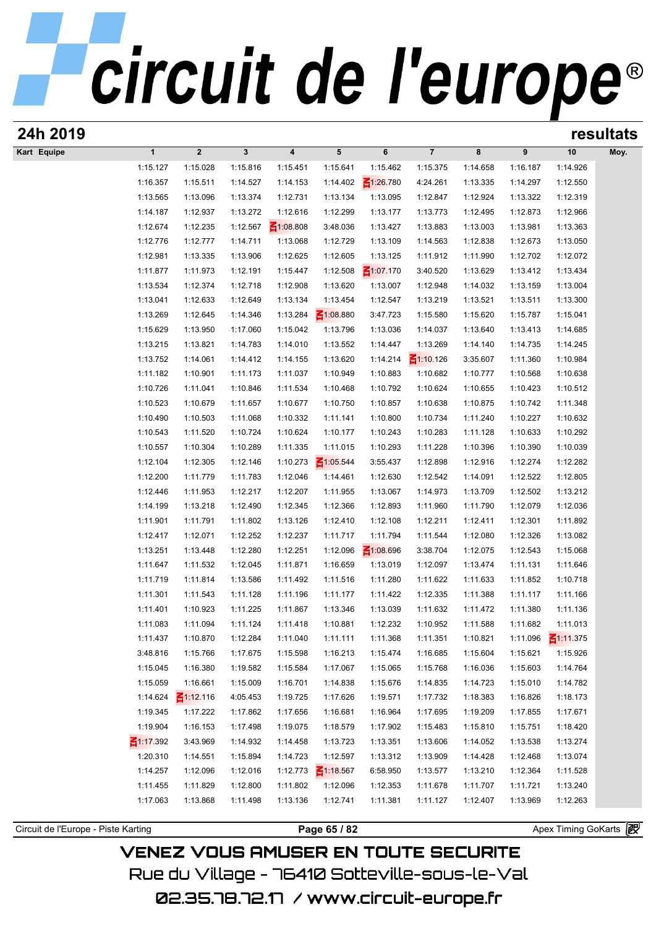# circuit de l'europe®

| 24h 2019    |                 |                 |              |                 |                 |                 |                 |          |          |                 | resultats |
|-------------|-----------------|-----------------|--------------|-----------------|-----------------|-----------------|-----------------|----------|----------|-----------------|-----------|
| Kart Equipe | $\mathbf{1}$    | $\mathbf{2}$    | $\mathbf{3}$ | 4               | 5               | 6               | $\overline{7}$  | 8        | 9        | 10              | Moy.      |
|             | 1:15.127        | 1:15.028        | 1:15.816     | 1:15.451        | 1:15.641        | 1:15.462        | 1:15.375        | 1:14.658 | 1:16.187 | 1:14.926        |           |
|             | 1:16.357        | 1:15.511        | 1:14.527     | 1:14.153        | 1:14.402        | $\leq 1:26.780$ | 4:24.261        | 1:13.335 | 1:14.297 | 1:12.550        |           |
|             | 1:13.565        | 1:13.096        | 1:13.374     | 1:12.731        | 1:13.134        | 1:13.095        | 1:12.847        | 1:12.924 | 1:13.322 | 1:12.319        |           |
|             | 1:14.187        | 1:12.937        | 1:13.272     | 1:12.616        | 1:12.299        | 1:13.177        | 1:13.773        | 1:12.495 | 1:12.873 | 1:12.966        |           |
|             | 1:12.674        | 1:12.235        | 1:12.567     | $\leq 1:08.808$ | 3:48.036        | 1:13.427        | 1:13.883        | 1:13.003 | 1:13.981 | 1:13.363        |           |
|             | 1:12.776        | 1:12.777        | 1:14.711     | 1:13.068        | 1:12.729        | 1:13.109        | 1:14.563        | 1:12.838 | 1:12.673 | 1:13.050        |           |
|             | 1:12.981        | 1:13.335        | 1:13.906     | 1:12.625        | 1:12.605        | 1:13.125        | 1:11.912        | 1:11.990 | 1:12.702 | 1:12.072        |           |
|             | 1:11.877        | 1:11.973        | 1:12.191     | 1:15.447        | 1:12.508        | $\leq 1:07.170$ | 3:40.520        | 1:13.629 | 1:13.412 | 1:13.434        |           |
|             | 1:13.534        | 1:12.374        | 1:12.718     | 1:12.908        | 1:13.620        | 1:13.007        | 1:12.948        | 1:14.032 | 1:13.159 | 1:13.004        |           |
|             | 1:13.041        | 1:12.633        | 1:12.649     | 1:13.134        | 1:13.454        | 1:12.547        | 1:13.219        | 1:13.521 | 1:13.511 | 1:13.300        |           |
|             | 1:13.269        | 1:12.645        | 1:14.346     | 1:13.284        | $\leq 1:08.880$ | 3:47.723        | 1:15.580        | 1:15.620 | 1:15.787 | 1:15.041        |           |
|             | 1:15.629        | 1:13.950        | 1:17.060     | 1:15.042        | 1:13.796        | 1:13.036        | 1:14.037        | 1:13.640 | 1:13.413 | 1:14.685        |           |
|             | 1:13.215        | 1:13.821        | 1:14.783     | 1:14.010        | 1:13.552        | 1:14.447        | 1:13.269        | 1:14.140 | 1:14.735 | 1:14.245        |           |
|             | 1:13.752        | 1:14.061        | 1:14.412     | 1:14.155        | 1:13.620        | 1:14.214        | $\leq 1:10.126$ | 3:35.607 | 1:11.360 | 1:10.984        |           |
|             | 1:11.182        | 1:10.901        | 1:11.173     | 1:11.037        | 1:10.949        | 1:10.883        | 1:10.682        | 1:10.777 | 1:10.568 | 1:10.638        |           |
|             | 1:10.726        | 1:11.041        | 1:10.846     | 1:11.534        | 1:10.468        | 1:10.792        | 1:10.624        | 1:10.655 | 1:10.423 | 1:10.512        |           |
|             | 1:10.523        | 1:10.679        | 1:11.657     | 1:10.677        | 1:10.750        | 1:10.857        | 1:10.638        | 1:10.875 | 1:10.742 | 1:11.348        |           |
|             | 1:10.490        | 1:10.503        | 1:11.068     | 1:10.332        | 1:11.141        | 1:10.800        | 1:10.734        | 1:11.240 | 1:10.227 | 1:10.632        |           |
|             | 1:10.543        | 1:11.520        | 1:10.724     | 1:10.624        | 1:10.177        | 1:10.243        | 1:10.283        | 1:11.128 | 1:10.633 | 1:10.292        |           |
|             | 1:10.557        | 1:10.304        | 1:10.289     | 1:11.335        | 1:11.015        | 1:10.293        | 1:11.228        | 1:10.396 | 1:10.390 | 1:10.039        |           |
|             | 1:12.104        | 1:12.305        | 1:12.146     | 1:10.273        | $\leq 1:05.544$ | 3:55.437        | 1:12.898        | 1:12.916 | 1:12.274 | 1:12.282        |           |
|             | 1:12.200        | 1:11.779        | 1:11.783     | 1:12.046        | 1:14.461        | 1:12.630        | 1:12.542        | 1:14.091 | 1:12.522 | 1:12.805        |           |
|             | 1:12.446        | 1:11.953        | 1:12.217     | 1:12.207        | 1:11.955        | 1:13.067        | 1:14.973        | 1:13.709 | 1:12.502 | 1:13.212        |           |
|             | 1:14.199        | 1:13.218        | 1:12.490     | 1:12.345        | 1:12.366        | 1:12.893        | 1:11.960        | 1:11.790 | 1:12.079 | 1:12.036        |           |
|             | 1:11.901        | 1:11.791        | 1:11.802     | 1:13.126        | 1:12.410        | 1:12.108        | 1:12.211        | 1:12.411 | 1:12.301 | 1:11.892        |           |
|             | 1:12.417        | 1:12.071        | 1:12.252     | 1:12.237        | 1:11.717        | 1:11.794        | 1:11.544        | 1:12.080 | 1:12.326 | 1:13.082        |           |
|             | 1:13.251        | 1:13.448        | 1:12.280     | 1:12.251        | 1:12.096        | $\leq 1:08.696$ | 3:38.704        | 1:12.075 | 1:12.543 | 1:15.068        |           |
|             | 1:11.647        | 1:11.532        | 1:12.045     | 1:11.871        | 1:16.659        | 1:13.019        | 1:12.097        | 1:13.474 | 1:11.131 | 1:11.646        |           |
|             | 1:11.719        | 1:11.814        | 1:13.586     | 1:11.492        | 1:11.516        | 1:11.280        | 1:11.622        | 1:11.633 | 1:11.852 | 1:10.718        |           |
|             | 1:11.301        | 1:11.543        | 1:11.128     | 1:11.196        | 1:11.177        | 1:11.422        | 1:12.335        | 1:11.388 | 1:11.117 | 1:11.166        |           |
|             | 1:11.401        | 1:10.923        | 1:11.225     | 1:11.867        | 1:13.346        | 1:13.039        | 1:11.632        | 1:11.472 | 1:11.380 | 1:11.136        |           |
|             | 1:11.083        | 1:11.094        | 1:11.124     | 1:11.418        | 1:10.881        | 1:12.232        | 1:10.952        | 1:11.588 | 1:11.682 | 1:11.013        |           |
|             | 1:11.437        | 1:10.870        | 1:12.284     | 1:11.040        | 1:11.111        | 1:11.368        | 1:11.351        | 1:10.821 | 1:11.096 | $\leq 1:11.375$ |           |
|             | 3:48.816        | 1:15.766        | 1:17.675     | 1:15.598        | 1:16.213        | 1:15.474        | 1:16.685        | 1:15.604 | 1:15.621 | 1:15.926        |           |
|             | 1:15.045        | 1:16.380        | 1:19.582     | 1:15.584        | 1:17.067        | 1:15.065        | 1:15.768        | 1:16.036 | 1:15.603 | 1:14.764        |           |
|             | 1:15.059        | 1:16.661        | 1:15.009     | 1:16.701        | 1:14.838        | 1:15.676        | 1:14.835        | 1:14.723 | 1:15.010 | 1:14.782        |           |
|             | 1:14.624        | $\leq 1:12.116$ | 4:05.453     | 1:19.725        | 1:17.626        | 1:19.571        | 1:17.732        | 1:18.383 | 1:16.826 | 1:18.173        |           |
|             | 1:19.345        | 1:17.222        | 1:17.862     | 1:17.656        | 1:16.681        | 1:16.964        | 1:17.695        | 1:19.209 | 1:17.855 | 1:17.671        |           |
|             | 1:19.904        | 1:16.153        | 1:17.498     | 1:19.075        | 1:18.579        | 1:17.902        | 1:15.483        | 1:15.810 | 1:15.751 | 1:18.420        |           |
|             | $\leq$ 1:17.392 | 3:43.969        | 1:14.932     | 1:14.458        | 1:13.723        | 1:13.351        | 1:13.606        | 1:14.052 | 1:13.538 | 1:13.274        |           |
|             | 1:20.310        | 1:14.551        | 1:15.894     | 1:14.723        | 1:12.597        | 1:13.312        | 1:13.909        | 1:14.428 | 1:12.468 | 1:13.074        |           |
|             | 1:14.257        | 1:12.096        | 1:12.016     | 1:12.773        | $\leq 1:18.567$ | 6:58.950        | 1:13.577        | 1:13.210 | 1:12.364 | 1:11.528        |           |
|             | 1:11.455        | 1:11.829        | 1:12.800     | 1:11.802        | 1:12.096        | 1:12.353        | 1:11.678        | 1:11.707 | 1:11.721 | 1:13.240        |           |
|             | 1:17.063        | 1:13.868        | 1:11.498     | 1:13.136        | 1:12.741        | 1:11.381        | 1:11.127        | 1:12.407 | 1:13.969 | 1:12.263        |           |
|             |                 |                 |              |                 |                 |                 |                 |          |          |                 |           |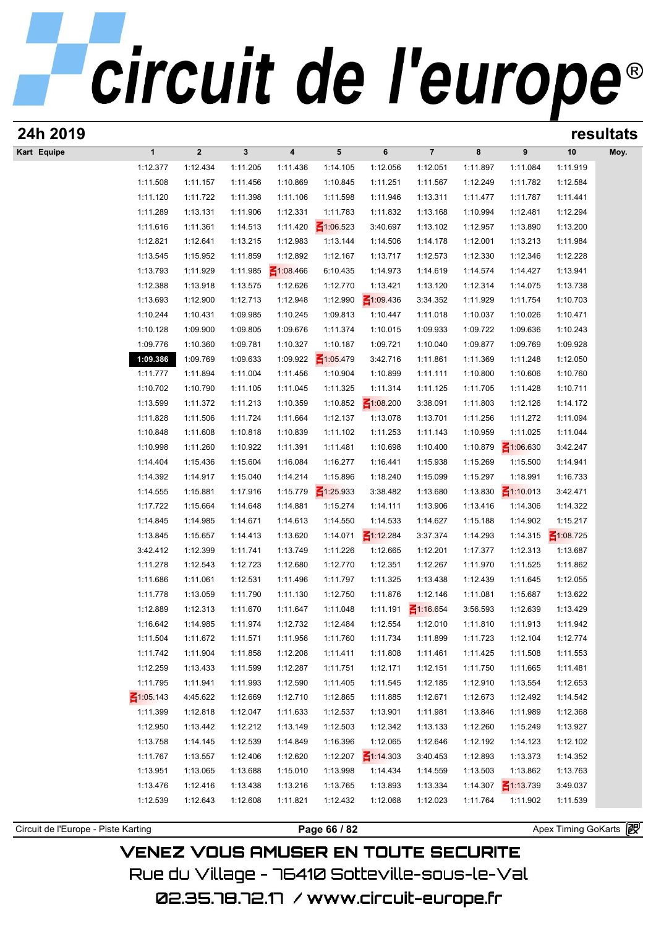| 24h 2019                            |                      |                      |                      |                      |                      |                      |                      |                      |                      |                       | resultats |
|-------------------------------------|----------------------|----------------------|----------------------|----------------------|----------------------|----------------------|----------------------|----------------------|----------------------|-----------------------|-----------|
| Kart Equipe                         | $\mathbf{1}$         | $\boldsymbol{2}$     | $\mathbf{3}$         | 4                    | 5                    | 6                    | $\overline{7}$       | 8                    | 9                    | 10                    | Moy.      |
|                                     | 1:12.377             | 1:12.434             | 1:11.205             | 1:11.436             | 1:14.105             | 1:12.056             | 1:12.051             | 1:11.897             | 1:11.084             | 1:11.919              |           |
|                                     | 1:11.508             | 1:11.157             | 1:11.456             | 1:10.869             | 1:10.845             | 1:11.251             | 1:11.567             | 1:12.249             | 1:11.782             | 1:12.584              |           |
|                                     | 1:11.120             | 1:11.722             | 1:11.398             | 1:11.106             | 1:11.598             | 1:11.946             | 1:13.311             | 1:11.477             | 1:11.787             | 1:11.441              |           |
|                                     | 1:11.289             | 1:13.131             | 1:11.906             | 1:12.331             | 1:11.783             | 1:11.832             | 1:13.168             | 1:10.994             | 1:12.481             | 1:12.294              |           |
|                                     | 1:11.616             | 1:11.361             | 1:14.513             | 1:11.420             | $\leq 1:06.523$      | 3:40.697             | 1:13.102             | 1:12.957             | 1:13.890             | 1:13.200              |           |
|                                     | 1:12.821             | 1:12.641             | 1:13.215             | 1:12.983             | 1:13.144             | 1:14.506             | 1:14.178             | 1:12.001             | 1:13.213             | 1:11.984              |           |
|                                     | 1:13.545             | 1:15.952             | 1:11.859             | 1:12.892             | 1:12.167             | 1:13.717             | 1:12.573             | 1:12.330             | 1:12.346             | 1:12.228              |           |
|                                     | 1:13.793             | 1:11.929             | 1:11.985             | $\leq 1:08.466$      | 6:10.435             | 1:14.973             | 1:14.619             | 1:14.574             | 1:14.427             | 1:13.941              |           |
|                                     | 1:12.388             | 1:13.918             | 1:13.575             | 1:12.626             | 1:12.770             | 1:13.421             | 1:13.120             | 1:12.314             | 1:14.075             | 1:13.738              |           |
|                                     | 1:13.693             | 1:12.900             | 1:12.713             | 1:12.948             | 1:12.990             | $\leq 1:09.436$      | 3:34.352             | 1:11.929             | 1:11.754             | 1:10.703              |           |
|                                     | 1:10.244             | 1:10.431             | 1:09.985             | 1:10.245             | 1:09.813             | 1:10.447             | 1:11.018             | 1:10.037             | 1:10.026             | 1:10.471              |           |
|                                     | 1:10.128             | 1:09.900             | 1:09.805             | 1:09.676             | 1:11.374             | 1:10.015             | 1:09.933             | 1:09.722             | 1:09.636             | 1:10.243              |           |
|                                     | 1:09.776             | 1:10.360             | 1:09.781             | 1:10.327             | 1:10.187             | 1:09.721             | 1:10.040             | 1:09.877             | 1:09.769             | 1:09.928              |           |
|                                     | 1:09.386             | 1:09.769             | 1:09.633             | 1:09.922             | $\leq 1:05.479$      | 3:42.716             | 1:11.861             | 1:11.369             | 1:11.248             | 1:12.050              |           |
|                                     | 1:11.777             | 1:11.894             | 1:11.004             | 1:11.456             | 1:10.904             | 1:10.899             | 1:11.111             | 1:10.800             | 1:10.606             | 1:10.760              |           |
|                                     | 1:10.702             | 1:10.790             | 1:11.105             | 1:11.045             | 1:11.325             | 1:11.314             | 1:11.125             | 1:11.705             | 1:11.428             | 1:10.711              |           |
|                                     | 1:13.599             | 1:11.372             | 1:11.213             | 1:10.359             | 1:10.852             | $\leq 1:08.200$      | 3:38.091             | 1:11.803             | 1:12.126             | 1:14.172              |           |
|                                     | 1:11.828             | 1:11.506             | 1:11.724             | 1:11.664             | 1:12.137             | 1:13.078             | 1:13.701             | 1:11.256             | 1:11.272             | 1:11.094              |           |
|                                     | 1:10.848             | 1:11.608             | 1:10.818             | 1:10.839             | 1:11.102             | 1:11.253             | 1:11.143             | 1:10.959             | 1:11.025             | 1:11.044              |           |
|                                     | 1:10.998             | 1:11.260             | 1:10.922             | 1:11.391             | 1:11.481             | 1:10.698             | 1:10.400             | 1:10.879             | $\leq 1:06.630$      | 3:42.247              |           |
|                                     | 1:14.404             | 1:15.436             | 1:15.604             | 1:16.084             | 1:16.277             | 1:16.441             | 1:15.938             | 1:15.269             | 1:15.500             | 1:14.941              |           |
|                                     | 1:14.392             | 1:14.917             | 1:15.040             | 1:14.214             | 1:15.896             | 1:18.240             | 1:15.099             | 1:15.297             | 1:18.991             | 1:16.733              |           |
|                                     | 1:14.555             | 1:15.881             | 1:17.916             | 1:15.779             | $\leq 1:25.933$      | 3:38.482             | 1:13.680             | 1:13.830             | $\leq 1:10.013$      | 3:42.471              |           |
|                                     | 1:17.722             | 1:15.664             | 1:14.648             | 1:14.881             | 1:15.274             | 1:14.111             | 1:13.906             | 1:13.416             | 1:14.306             | 1:14.322              |           |
|                                     | 1:14.845             | 1:14.985             | 1:14.671             | 1:14.613             | 1:14.550             | 1:14.533             | 1:14.627             | 1:15.188             | 1:14.902             | 1:15.217              |           |
|                                     | 1:13.845             | 1:15.657             | 1:14.413             | 1:13.620             | 1:14.071             | $\leq 1:12.284$      | 3:37.374             | 1:14.293             | 1:14.315             | $\leq 1:08.725$       |           |
|                                     | 3:42.412             | 1:12.399             | 1:11.741             | 1:13.749             | 1:11.226             | 1:12.665             | 1:12.201             | 1:17.377             | 1:12.313             | 1:13.687              |           |
|                                     | 1:11.278<br>1:11.686 | 1:12.543<br>1:11.061 | 1:12.723             | 1:12.680             | 1:12.770             | 1:12.351<br>1:11.325 | 1:12.267             | 1:11.970             | 1:11.525<br>1:11.645 | 1:11.862<br>1:12.055  |           |
|                                     |                      | 1:13.059             | 1:12.531             | 1:11.496             | 1:11.797             |                      | 1:13.438<br>1:12.146 | 1:12.439             |                      |                       |           |
|                                     | 1:11.778<br>1:12.889 | 1:12.313             | 1:11.790<br>1:11.670 | 1:11.130<br>1:11.647 | 1:12.750<br>1:11.048 | 1:11.876<br>1:11.191 | $\leq 1:16.654$      | 1:11.081<br>3:56.593 | 1:15.687<br>1:12.639 | 1:13.622<br>1:13.429  |           |
|                                     | 1:16.642             | 1:14.985             | 1:11.974             | 1:12.732             | 1:12.484             | 1:12.554             | 1:12.010             | 1:11.810             | 1:11.913             | 1:11.942              |           |
|                                     | 1:11.504             | 1:11.672             | 1:11.571             | 1:11.956             | 1:11.760             | 1:11.734             | 1:11.899             | 1:11.723             | 1:12.104             | 1:12.774              |           |
|                                     | 1:11.742             | 1:11.904             | 1:11.858             | 1:12.208             | 1:11.411             | 1:11.808             | 1:11.461             | 1:11.425             | 1:11.508             | 1:11.553              |           |
|                                     | 1:12.259             | 1:13.433             | 1:11.599             | 1:12.287             | 1:11.751             | 1:12.171             | 1:12.151             | 1:11.750             | 1:11.665             | 1:11.481              |           |
|                                     | 1:11.795             | 1:11.941             | 1:11.993             | 1:12.590             | 1:11.405             | 1:11.545             | 1:12.185             | 1:12.910             | 1:13.554             | 1:12.653              |           |
|                                     | $\leq 1:05.143$      | 4:45.622             | 1:12.669             | 1:12.710             | 1:12.865             | 1:11.885             | 1:12.671             | 1:12.673             | 1:12.492             | 1:14.542              |           |
|                                     | 1:11.399             | 1:12.818             | 1:12.047             | 1:11.633             | 1:12.537             | 1:13.901             | 1:11.981             | 1:13.846             | 1:11.989             | 1:12.368              |           |
|                                     | 1:12.950             | 1:13.442             | 1:12.212             | 1:13.149             | 1:12.503             | 1:12.342             | 1:13.133             | 1:12.260             | 1:15.249             | 1:13.927              |           |
|                                     | 1:13.758             | 1:14.145             | 1:12.539             | 1:14.849             | 1:16.396             | 1:12.065             | 1:12.646             | 1:12.192             | 1:14.123             | 1:12.102              |           |
|                                     | 1:11.767             | 1:13.557             | 1:12.406             | 1:12.620             | 1:12.207             | $\leq 1:14.303$      | 3:40.453             | 1:12.893             | 1:13.373             | 1:14.352              |           |
|                                     | 1:13.951             | 1:13.065             | 1:13.688             | 1:15.010             | 1:13.998             | 1:14.434             | 1:14.559             | 1:13.503             | 1:13.862             | 1:13.763              |           |
|                                     | 1:13.476             | 1:12.416             | 1:13.438             | 1:13.216             | 1:13.765             | 1:13.893             | 1:13.334             | 1:14.307             | $\leq 1:13.739$      | 3:49.037              |           |
|                                     | 1:12.539             | 1:12.643             | 1:12.608             | 1:11.821             | 1:12.432             | 1:12.068             | 1:12.023             | 1:11.764             | 1:11.902             | 1:11.539              |           |
|                                     |                      |                      |                      |                      |                      |                      |                      |                      |                      |                       |           |
| Circuit de l'Europe - Piste Karting |                      |                      |                      |                      | Page 66 / 82         |                      |                      |                      |                      | Apex Timing GoKarts 图 |           |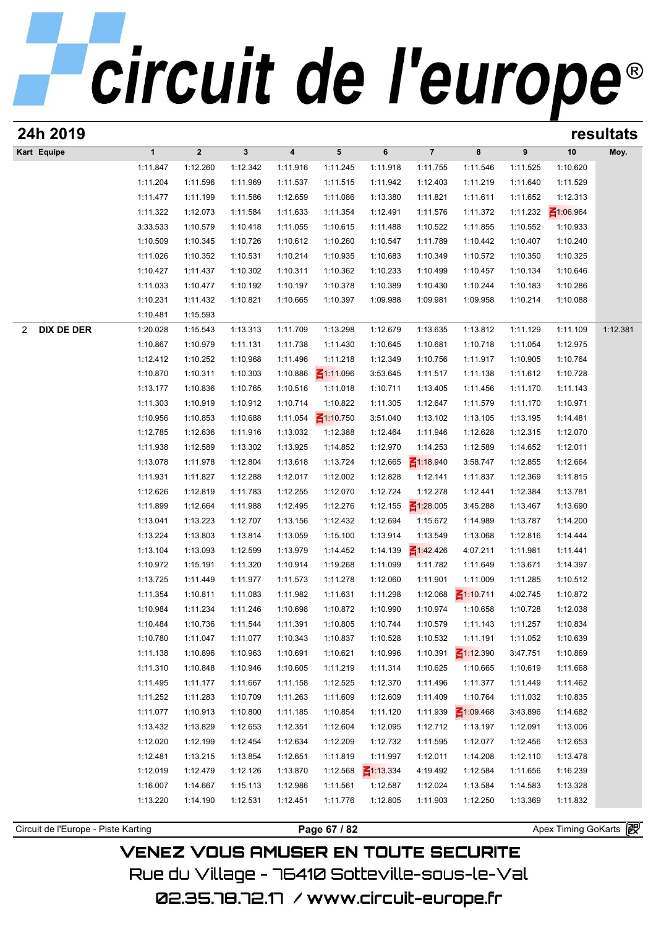| 24h 2019                            |              |             |              |          |                 |                 |                 |                 |          |                     | resultats |
|-------------------------------------|--------------|-------------|--------------|----------|-----------------|-----------------|-----------------|-----------------|----------|---------------------|-----------|
| Kart Equipe                         | $\mathbf{1}$ | $\mathbf 2$ | $\mathbf{3}$ | 4        | 5               | 6               | $\overline{7}$  | 8               | 9        | 10                  | Moy.      |
|                                     | 1:11.847     | 1:12.260    | 1:12.342     | 1:11.916 | 1:11.245        | 1:11.918        | 1:11.755        | 1:11.546        | 1:11.525 | 1:10.620            |           |
|                                     | 1:11.204     | 1:11.596    | 1:11.969     | 1:11.537 | 1:11.515        | 1:11.942        | 1:12.403        | 1:11.219        | 1:11.640 | 1:11.529            |           |
|                                     | 1:11.477     | 1:11.199    | 1:11.586     | 1:12.659 | 1:11.086        | 1:13.380        | 1:11.821        | 1:11.611        | 1:11.652 | 1:12.313            |           |
|                                     | 1:11.322     | 1:12.073    | 1:11.584     | 1:11.633 | 1:11.354        | 1:12.491        | 1:11.576        | 1:11.372        | 1:11.232 | $\leq 1:06.964$     |           |
|                                     | 3:33.533     | 1:10.579    | 1:10.418     | 1:11.055 | 1:10.615        | 1:11.488        | 1:10.522        | 1:11.855        | 1:10.552 | 1:10.933            |           |
|                                     | 1:10.509     | 1:10.345    | 1:10.726     | 1:10.612 | 1:10.260        | 1:10.547        | 1:11.789        | 1:10.442        | 1:10.407 | 1:10.240            |           |
|                                     | 1:11.026     | 1:10.352    | 1:10.531     | 1:10.214 | 1:10.935        | 1:10.683        | 1:10.349        | 1:10.572        | 1:10.350 | 1:10.325            |           |
|                                     | 1:10.427     | 1:11.437    | 1:10.302     | 1:10.311 | 1:10.362        | 1:10.233        | 1:10.499        | 1:10.457        | 1:10.134 | 1:10.646            |           |
|                                     | 1:11.033     | 1:10.477    | 1:10.192     | 1:10.197 | 1:10.378        | 1:10.389        | 1:10.430        | 1:10.244        | 1:10.183 | 1:10.286            |           |
|                                     | 1:10.231     | 1:11.432    | 1:10.821     | 1:10.665 | 1:10.397        | 1:09.988        | 1:09.981        | 1:09.958        | 1:10.214 | 1:10.088            |           |
|                                     | 1:10.481     | 1:15.593    |              |          |                 |                 |                 |                 |          |                     |           |
| <b>DIX DE DER</b><br>2              | 1:20.028     | 1:15.543    | 1:13.313     | 1:11.709 | 1:13.298        | 1:12.679        | 1:13.635        | 1:13.812        | 1:11.129 | 1:11.109            | 1:12.381  |
|                                     | 1:10.867     | 1:10.979    | 1:11.131     | 1:11.738 | 1:11.430        | 1:10.645        | 1:10.681        | 1:10.718        | 1:11.054 | 1:12.975            |           |
|                                     | 1:12.412     | 1:10.252    | 1:10.968     | 1:11.496 | 1:11.218        | 1:12.349        | 1:10.756        | 1:11.917        | 1:10.905 | 1:10.764            |           |
|                                     | 1:10.870     | 1:10.311    | 1:10.303     | 1:10.886 | $\leq 1:11.096$ | 3:53.645        | 1:11.517        | 1:11.138        | 1:11.612 | 1:10.728            |           |
|                                     | 1:13.177     | 1:10.836    | 1:10.765     | 1:10.516 | 1:11.018        | 1:10.711        | 1:13.405        | 1:11.456        | 1:11.170 | 1:11.143            |           |
|                                     | 1:11.303     | 1:10.919    | 1:10.912     | 1:10.714 | 1:10.822        | 1:11.305        | 1:12.647        | 1:11.579        | 1:11.170 | 1:10.971            |           |
|                                     | 1:10.956     | 1:10.853    | 1:10.688     | 1:11.054 | $\leq 1:10.750$ | 3:51.040        | 1:13.102        | 1:13.105        | 1:13.195 | 1:14.481            |           |
|                                     | 1:12.785     | 1:12.636    | 1:11.916     | 1:13.032 | 1:12.388        | 1:12.464        | 1:11.946        | 1:12.628        | 1:12.315 | 1:12.070            |           |
|                                     | 1:11.938     | 1:12.589    | 1:13.302     | 1:13.925 | 1:14.852        | 1:12.970        | 1:14.253        | 1:12.589        | 1:14.652 | 1:12.011            |           |
|                                     | 1:13.078     | 1:11.978    | 1:12.804     | 1:13.618 | 1:13.724        | 1:12.665        | $\leq 1:18.940$ | 3:58.747        | 1:12.855 | 1:12.664            |           |
|                                     | 1:11.931     | 1:11.827    | 1:12.288     | 1:12.017 | 1:12.002        | 1:12.828        | 1:12.141        | 1:11.837        | 1:12.369 | 1:11.815            |           |
|                                     | 1:12.626     | 1:12.819    | 1:11.783     | 1:12.255 | 1:12.070        | 1:12.724        | 1:12.278        | 1:12.441        | 1:12.384 | 1:13.781            |           |
|                                     | 1:11.899     | 1:12.664    | 1:11.988     | 1:12.495 | 1:12.276        | 1:12.155        | $\leq 1:28.005$ | 3:45.288        | 1:13.467 | 1:13.690            |           |
|                                     | 1:13.041     | 1:13.223    | 1:12.707     | 1:13.156 | 1:12.432        | 1:12.694        | 1:15.672        | 1:14.989        | 1:13.787 | 1:14.200            |           |
|                                     | 1:13.224     | 1:13.803    | 1:13.814     | 1:13.059 | 1:15.100        | 1:13.914        | 1:13.549        | 1:13.068        | 1:12.816 | 1:14.444            |           |
|                                     | 1:13.104     | 1:13.093    | 1:12.599     | 1:13.979 | 1:14.452        | 1:14.139        | $\leq 1:42.426$ | 4:07.211        | 1:11.981 | 1:11.441            |           |
|                                     | 1:10.972     | 1:15.191    | 1:11.320     | 1:10.914 | 1:19.268        | 1:11.099        | 1:11.782        | 1:11.649        | 1:13.671 | 1:14.397            |           |
|                                     | 1:13.725     | 1:11.449    | 1:11.977     | 1:11.573 | 1:11.278        | 1:12.060        | 1:11.901        | 1:11.009        | 1:11.285 | 1:10.512            |           |
|                                     | 1:11.354     | 1:10.811    | 1:11.083     | 1:11.982 | 1:11.631        | 1:11.298        | 1:12.068        | $\leq 1:10.711$ | 4:02.745 | 1:10.872            |           |
|                                     | 1:10.984     | 1:11.234    | 1:11.246     | 1:10.698 | 1:10.872        | 1:10.990        | 1:10.974        | 1:10.658        | 1:10.728 | 1:12.038            |           |
|                                     | 1:10.484     | 1:10.736    | 1:11.544     | 1:11.391 | 1:10.805        | 1:10.744        | 1:10.579        | 1:11.143        | 1:11.257 | 1:10.834            |           |
|                                     | 1:10.780     | 1:11.047    | 1:11.077     | 1:10.343 | 1:10.837        | 1:10.528        | 1:10.532        | 1:11.191        | 1:11.052 | 1:10.639            |           |
|                                     | 1:11.138     | 1:10.896    | 1:10.963     | 1:10.691 | 1:10.621        | 1:10.996        | 1:10.391        | $\leq 1:12.390$ | 3:47.751 | 1:10.869            |           |
|                                     | 1:11.310     | 1:10.848    | 1:10.946     | 1:10.605 | 1:11.219        | 1:11.314        | 1:10.625        | 1:10.665        | 1:10.619 | 1:11.668            |           |
|                                     | 1:11.495     | 1:11.177    | 1:11.667     | 1:11.158 | 1:12.525        | 1:12.370        | 1:11.496        | 1:11.377        | 1:11.449 | 1:11.462            |           |
|                                     | 1:11.252     | 1:11.283    | 1:10.709     | 1:11.263 | 1:11.609        | 1:12.609        | 1:11.409        | 1:10.764        | 1:11.032 | 1:10.835            |           |
|                                     | 1:11.077     | 1:10.913    | 1:10.800     | 1:11.185 | 1:10.854        | 1:11.120        | 1:11.939        | $\leq 1:09.468$ | 3:43.896 | 1:14.682            |           |
|                                     | 1:13.432     | 1:13.829    | 1:12.653     | 1:12.351 | 1:12.604        | 1:12.095        | 1:12.712        | 1:13.197        | 1:12.091 | 1:13.006            |           |
|                                     | 1:12.020     | 1:12.199    | 1:12.454     | 1:12.634 | 1:12.209        | 1:12.732        | 1:11.595        | 1:12.077        | 1:12.456 | 1:12.653            |           |
|                                     | 1:12.481     | 1:13.215    | 1:13.854     | 1:12.651 | 1:11.819        | 1:11.997        | 1:12.011        | 1:14.208        | 1:12.110 | 1:13.478            |           |
|                                     | 1:12.019     | 1:12.479    | 1:12.126     | 1:13.870 | 1:12.568        | $\leq$ 1:13.334 | 4:19.492        | 1:12.584        | 1:11.656 | 1:16.239            |           |
|                                     | 1:16.007     | 1:14.667    | 1:15.113     | 1:12.986 | 1:11.561        | 1:12.587        | 1:12.024        | 1:13.584        | 1:14.583 | 1:13.328            |           |
|                                     | 1:13.220     | 1:14.190    | 1:12.531     | 1:12.451 | 1:11.776        | 1:12.805        | 1:11.903        | 1:12.250        | 1:13.369 | 1:11.832            |           |
|                                     |              |             |              |          |                 |                 |                 |                 |          |                     |           |
| Circuit de l'Europe - Piste Karting |              |             |              |          | Page 67 / 82    |                 |                 |                 |          | Apex Timing GoKarts |           |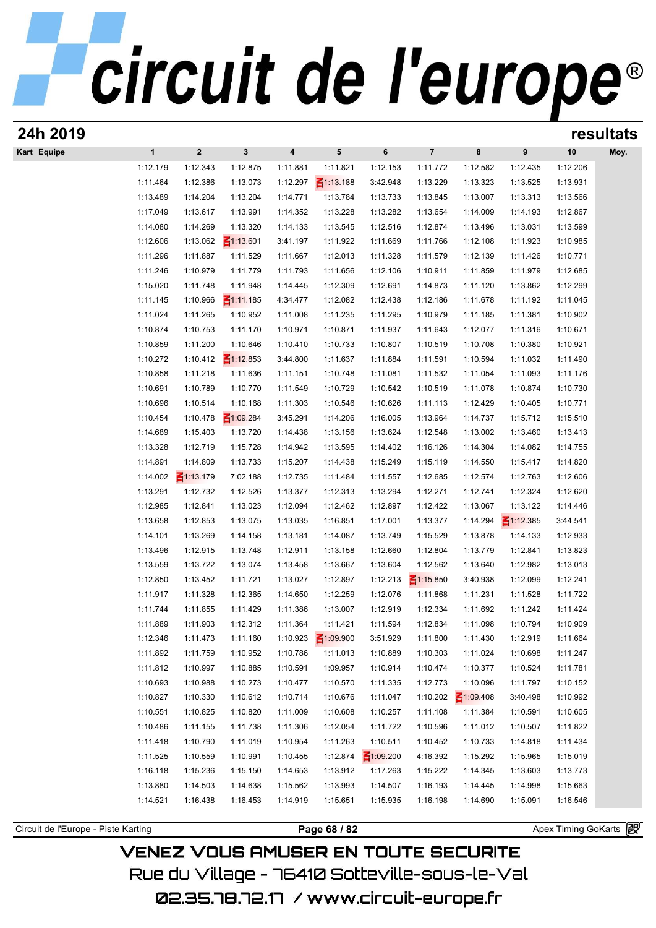| 24h 2019                            |                      |                      |                             |                      |                      |                      |                      |                      |                      |                       | resultats |
|-------------------------------------|----------------------|----------------------|-----------------------------|----------------------|----------------------|----------------------|----------------------|----------------------|----------------------|-----------------------|-----------|
| Kart Equipe                         | $\mathbf{1}$         | $\boldsymbol{2}$     | $\mathbf{3}$                | 4                    | 5                    | 6                    | $\overline{7}$       | 8                    | 9                    | 10                    | Moy.      |
|                                     | 1:12.179             | 1:12.343             | 1:12.875                    | 1:11.881             | 1:11.821             | 1:12.153             | 1:11.772             | 1:12.582             | 1:12.435             | 1:12.206              |           |
|                                     | 1:11.464             | 1:12.386             | 1:13.073                    | 1:12.297             | $\leq 1:13.188$      | 3:42.948             | 1:13.229             | 1:13.323             | 1:13.525             | 1:13.931              |           |
|                                     | 1:13.489             | 1:14.204             | 1:13.204                    | 1:14.771             | 1:13.784             | 1:13.733             | 1:13.845             | 1:13.007             | 1:13.313             | 1:13.566              |           |
|                                     | 1:17.049             | 1:13.617             | 1:13.991                    | 1:14.352             | 1:13.228             | 1:13.282             | 1:13.654             | 1:14.009             | 1:14.193             | 1:12.867              |           |
|                                     | 1:14.080             | 1:14.269             | 1:13.320                    | 1:14.133             | 1:13.545             | 1:12.516             | 1:12.874             | 1:13.496             | 1:13.031             | 1:13.599              |           |
|                                     | 1:12.606             | 1:13.062             | $\leq 1:13.601$             | 3:41.197             | 1:11.922             | 1:11.669             | 1:11.766             | 1:12.108             | 1:11.923             | 1:10.985              |           |
|                                     | 1:11.296             | 1:11.887             | 1:11.529                    | 1:11.667             | 1:12.013             | 1:11.328             | 1:11.579             | 1:12.139             | 1:11.426             | 1:10.771              |           |
|                                     | 1:11.246             | 1:10.979             | 1:11.779                    | 1:11.793             | 1:11.656             | 1:12.106             | 1:10.911             | 1:11.859             | 1:11.979             | 1:12.685              |           |
|                                     | 1:15.020             | 1:11.748             | 1:11.948                    | 1:14.445             | 1:12.309             | 1:12.691             | 1:14.873             | 1:11.120             | 1:13.862             | 1:12.299              |           |
|                                     | 1:11.145             | 1:10.966             | $\leq 1:11.185$             | 4:34.477             | 1:12.082             | 1:12.438             | 1:12.186             | 1:11.678             | 1:11.192             | 1:11.045              |           |
|                                     | 1:11.024             | 1:11.265             | 1:10.952                    | 1:11.008             | 1:11.235             | 1:11.295             | 1:10.979             | 1:11.185             | 1:11.381             | 1:10.902              |           |
|                                     | 1:10.874             | 1:10.753             | 1:11.170                    | 1:10.971             | 1:10.871             | 1:11.937             | 1:11.643             | 1:12.077             | 1:11.316             | 1:10.671              |           |
|                                     | 1:10.859             | 1:11.200<br>1:10.412 | 1:10.646<br>$\leq$ 1:12.853 | 1:10.410             | 1:10.733             | 1:10.807<br>1:11.884 | 1:10.519<br>1:11.591 | 1:10.708<br>1:10.594 | 1:10.380<br>1:11.032 | 1:10.921<br>1:11.490  |           |
|                                     | 1:10.272<br>1:10.858 | 1:11.218             | 1:11.636                    | 3:44.800<br>1:11.151 | 1:11.637<br>1:10.748 | 1:11.081             | 1:11.532             | 1:11.054             | 1:11.093             | 1:11.176              |           |
|                                     | 1:10.691             | 1:10.789             | 1:10.770                    | 1:11.549             | 1:10.729             | 1:10.542             | 1:10.519             | 1:11.078             | 1:10.874             | 1:10.730              |           |
|                                     | 1:10.696             | 1:10.514             | 1:10.168                    | 1:11.303             | 1:10.546             | 1:10.626             | 1:11.113             | 1:12.429             | 1:10.405             | 1:10.771              |           |
|                                     | 1:10.454             | 1:10.478             | $\leq 1:09.284$             | 3:45.291             | 1:14.206             | 1:16.005             | 1:13.964             | 1:14.737             | 1:15.712             | 1:15.510              |           |
|                                     | 1:14.689             | 1:15.403             | 1:13.720                    | 1:14.438             | 1:13.156             | 1:13.624             | 1:12.548             | 1:13.002             | 1:13.460             | 1:13.413              |           |
|                                     | 1:13.328             | 1:12.719             | 1:15.728                    | 1:14.942             | 1:13.595             | 1:14.402             | 1:16.126             | 1:14.304             | 1:14.082             | 1:14.755              |           |
|                                     | 1:14.891             | 1:14.809             | 1:13.733                    | 1:15.207             | 1:14.438             | 1:15.249             | 1:15.119             | 1:14.550             | 1:15.417             | 1:14.820              |           |
|                                     | 1:14.002             | $\leq 1:13.179$      | 7:02.188                    | 1:12.735             | 1:11.484             | 1:11.557             | 1:12.685             | 1:12.574             | 1:12.763             | 1:12.606              |           |
|                                     | 1:13.291             | 1:12.732             | 1:12.526                    | 1:13.377             | 1:12.313             | 1:13.294             | 1:12.271             | 1:12.741             | 1:12.324             | 1:12.620              |           |
|                                     | 1:12.985             | 1:12.841             | 1:13.023                    | 1:12.094             | 1:12.462             | 1:12.897             | 1:12.422             | 1:13.067             | 1:13.122             | 1:14.446              |           |
|                                     | 1:13.658             | 1:12.853             | 1:13.075                    | 1:13.035             | 1:16.851             | 1:17.001             | 1:13.377             | 1:14.294             | $\leq 1:12.385$      | 3:44.541              |           |
|                                     | 1:14.101             | 1:13.269             | 1:14.158                    | 1:13.181             | 1:14.087             | 1:13.749             | 1:15.529             | 1:13.878             | 1:14.133             | 1:12.933              |           |
|                                     | 1:13.496             | 1:12.915             | 1:13.748                    | 1:12.911             | 1:13.158             | 1:12.660             | 1:12.804             | 1:13.779             | 1:12.841             | 1:13.823              |           |
|                                     | 1:13.559             | 1:13.722             | 1:13.074                    | 1:13.458             | 1:13.667             | 1:13.604             | 1:12.562             | 1:13.640             | 1:12.982             | 1:13.013              |           |
|                                     | 1:12.850             | 1:13.452             | 1:11.721                    | 1:13.027             | 1:12.897             | 1:12.213             | $\leq 1:15.850$      | 3:40.938             | 1:12.099             | 1:12.241              |           |
|                                     | 1:11.917             | 1:11.328             | 1:12.365                    | 1:14.650             | 1:12.259             | 1:12.076             | 1:11.868             | 1:11.231             | 1:11.528             | 1:11.722              |           |
|                                     | 1:11.744             | 1:11.855             | 1:11.429                    | 1:11.386             | 1:13.007             | 1:12.919             | 1:12.334             | 1:11.692             | 1:11.242             | 1:11.424              |           |
|                                     | 1:11.889             | 1:11.903             | 1:12.312                    | 1:11.364             | 1:11.421             | 1:11.594             | 1:12.834             | 1:11.098             | 1:10.794             | 1:10.909              |           |
|                                     | 1:12.346             | 1:11.473             | 1:11.160                    | 1:10.923             | $\leq 1:09.900$      | 3:51.929             | 1:11.800             | 1:11.430             | 1:12.919             | 1:11.664              |           |
|                                     | 1:11.892             | 1:11.759             | 1:10.952                    | 1:10.786             | 1:11.013             | 1:10.889             | 1:10.303             | 1:11.024             | 1:10.698             | 1:11.247              |           |
|                                     | 1:11.812             | 1:10.997             | 1:10.885                    | 1:10.591             | 1:09.957             | 1:10.914             | 1:10.474             | 1:10.377             | 1:10.524             | 1:11.781              |           |
|                                     | 1:10.693             | 1:10.988             | 1:10.273                    | 1:10.477             | 1:10.570             | 1:11.335             | 1:12.773             | 1:10.096             | 1:11.797             | 1:10.152              |           |
|                                     | 1:10.827             | 1:10.330             | 1:10.612                    | 1:10.714             | 1:10.676             | 1:11.047             | 1:10.202             | $\leq 1:09.408$      | 3:40.498             | 1:10.992              |           |
|                                     | 1:10.551             | 1:10.825             | 1:10.820                    | 1:11.009             | 1:10.608             | 1:10.257             | 1:11.108             | 1:11.384             | 1:10.591             | 1:10.605              |           |
|                                     | 1:10.486             | 1:11.155             | 1:11.738                    | 1:11.306             | 1:12.054             | 1:11.722             | 1:10.596             | 1:11.012             | 1:10.507             | 1:11.822              |           |
|                                     | 1:11.418             | 1:10.790             | 1:11.019                    | 1:10.954             | 1:11.263             | 1:10.511             | 1:10.452             | 1:10.733             | 1:14.818             | 1:11.434              |           |
|                                     | 1:11.525             | 1:10.559             | 1:10.991                    | 1:10.455             | 1:12.874             | $\leq 1:09.200$      | 4:16.392             | 1:15.292             | 1:15.965             | 1:15.019              |           |
|                                     | 1:16.118             | 1:15.236             | 1:15.150                    | 1:14.653             | 1:13.912             | 1:17.263             | 1:15.222             | 1:14.345             | 1:13.603             | 1:13.773              |           |
|                                     | 1:13.880             | 1:14.503             | 1:14.638                    | 1:15.562             | 1:13.993             | 1:14.507             | 1:16.193             | 1:14.445             | 1:14.998             | 1:15.663              |           |
|                                     | 1:14.521             | 1:16.438             | 1:16.453                    | 1:14.919             | 1:15.651             | 1:15.935             | 1:16.198             | 1:14.690             | 1:15.091             | 1:16.546              |           |
| Circuit de l'Europe - Piste Karting |                      |                      |                             |                      | Page 68 / 82         |                      |                      |                      |                      | Apex Timing GoKarts 图 |           |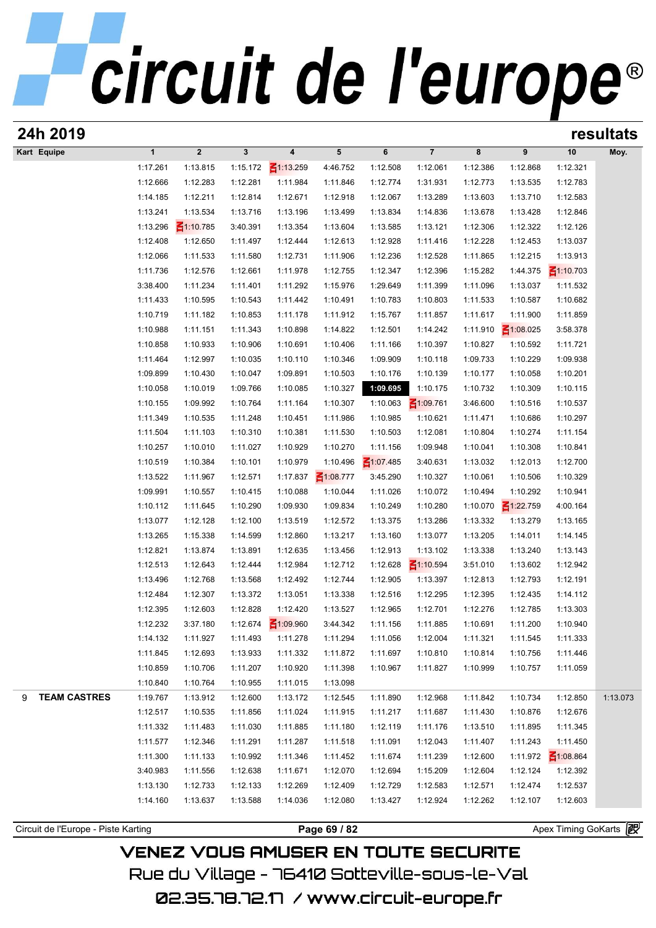# circuit de l'europe®

| 24h 2019                 |              |                      |              |                 |                 |                 |                 |          |                 |                 | resultats |
|--------------------------|--------------|----------------------|--------------|-----------------|-----------------|-----------------|-----------------|----------|-----------------|-----------------|-----------|
| Kart Equipe              | $\mathbf{1}$ | $\overline{2}$       | $\mathbf{3}$ | 4               | 5               | 6               | $\overline{7}$  | 8        | 9               | 10              | Moy.      |
|                          | 1:17.261     | 1:13.815             | 1:15.172     | $\leq$ 1:13.259 | 4:46.752        | 1:12.508        | 1:12.061        | 1:12.386 | 1:12.868        | 1:12.321        |           |
|                          | 1:12.666     | 1:12.283             | 1:12.281     | 1:11.984        | 1:11.846        | 1:12.774        | 1:31.931        | 1:12.773 | 1:13.535        | 1:12.783        |           |
|                          | 1:14.185     | 1:12.211             | 1:12.814     | 1:12.671        | 1:12.918        | 1:12.067        | 1:13.289        | 1:13.603 | 1:13.710        | 1:12.583        |           |
|                          | 1:13.241     | 1:13.534             | 1:13.716     | 1:13.196        | 1:13.499        | 1:13.834        | 1:14.836        | 1:13.678 | 1:13.428        | 1:12.846        |           |
|                          | 1:13.296     | $\frac{2}{1110.785}$ | 3:40.391     | 1:13.354        | 1:13.604        | 1:13.585        | 1:13.121        | 1:12.306 | 1:12.322        | 1:12.126        |           |
|                          | 1:12.408     | 1:12.650             | 1:11.497     | 1:12.444        | 1:12.613        | 1:12.928        | 1:11.416        | 1:12.228 | 1:12.453        | 1:13.037        |           |
|                          | 1:12.066     | 1:11.533             | 1:11.580     | 1:12.731        | 1:11.906        | 1:12.236        | 1:12.528        | 1:11.865 | 1:12.215        | 1:13.913        |           |
|                          | 1:11.736     | 1:12.576             | 1:12.661     | 1:11.978        | 1:12.755        | 1:12.347        | 1:12.396        | 1:15.282 | 1:44.375        | $\leq 1:10.703$ |           |
|                          | 3:38.400     | 1:11.234             | 1:11.401     | 1:11.292        | 1:15.976        | 1:29.649        | 1:11.399        | 1:11.096 | 1:13.037        | 1:11.532        |           |
|                          | 1:11.433     | 1:10.595             | 1:10.543     | 1:11.442        | 1:10.491        | 1:10.783        | 1:10.803        | 1:11.533 | 1:10.587        | 1:10.682        |           |
|                          | 1:10.719     | 1:11.182             | 1:10.853     | 1:11.178        | 1:11.912        | 1:15.767        | 1:11.857        | 1:11.617 | 1:11.900        | 1:11.859        |           |
|                          | 1:10.988     | 1:11.151             | 1:11.343     | 1:10.898        | 1:14.822        | 1:12.501        | 1:14.242        | 1:11.910 | $\leq 1:08.025$ | 3:58.378        |           |
|                          | 1:10.858     | 1:10.933             | 1:10.906     | 1:10.691        | 1:10.406        | 1:11.166        | 1:10.397        | 1:10.827 | 1:10.592        | 1:11.721        |           |
|                          | 1:11.464     | 1:12.997             | 1:10.035     | 1:10.110        | 1:10.346        | 1:09.909        | 1:10.118        | 1:09.733 | 1:10.229        | 1:09.938        |           |
|                          | 1:09.899     | 1:10.430             | 1:10.047     | 1:09.891        | 1:10.503        | 1:10.176        | 1:10.139        | 1:10.177 | 1:10.058        | 1:10.201        |           |
|                          | 1:10.058     | 1:10.019             | 1:09.766     | 1:10.085        | 1:10.327        | 1:09.695        | 1:10.175        | 1:10.732 | 1:10.309        | 1:10.115        |           |
|                          | 1:10.155     | 1:09.992             | 1:10.764     | 1:11.164        | 1:10.307        | 1:10.063        | $\leq 1:09.761$ | 3:46.600 | 1:10.516        | 1:10.537        |           |
|                          | 1:11.349     | 1:10.535             | 1:11.248     | 1:10.451        | 1:11.986        | 1:10.985        | 1:10.621        | 1:11.471 | 1:10.686        | 1:10.297        |           |
|                          | 1:11.504     | 1:11.103             | 1:10.310     | 1:10.381        | 1:11.530        | 1:10.503        | 1:12.081        | 1:10.804 | 1:10.274        | 1:11.154        |           |
|                          | 1:10.257     | 1:10.010             | 1:11.027     | 1:10.929        | 1:10.270        | 1:11.156        | 1:09.948        | 1:10.041 | 1:10.308        | 1:10.841        |           |
|                          | 1:10.519     | 1:10.384             | 1:10.101     | 1:10.979        | 1:10.496        | $\leq 1:07.485$ | 3:40.631        | 1:13.032 | 1:12.013        | 1:12.700        |           |
|                          | 1:13.522     | 1:11.967             | 1:12.571     | 1:17.837        | $\leq 1:08.777$ | 3:45.290        | 1:10.327        | 1:10.061 | 1:10.506        | 1:10.329        |           |
|                          | 1:09.991     | 1:10.557             | 1:10.415     | 1:10.088        | 1:10.044        | 1:11.026        | 1:10.072        | 1:10.494 | 1:10.292        | 1:10.941        |           |
|                          | 1:10.112     | 1:11.645             | 1:10.290     | 1:09.930        | 1:09.834        | 1:10.249        | 1:10.280        | 1:10.070 | $\leq 1:22.759$ | 4:00.164        |           |
|                          | 1:13.077     | 1:12.128             | 1:12.100     | 1:13.519        | 1:12.572        | 1:13.375        | 1:13.286        | 1:13.332 | 1:13.279        | 1:13.165        |           |
|                          | 1:13.265     | 1:15.338             | 1:14.599     | 1:12.860        | 1:13.217        | 1:13.160        | 1:13.077        | 1:13.205 | 1:14.011        | 1:14.145        |           |
|                          | 1:12.821     | 1:13.874             | 1:13.891     | 1:12.635        | 1:13.456        | 1:12.913        | 1:13.102        | 1:13.338 | 1:13.240        | 1:13.143        |           |
|                          | 1:12.513     | 1:12.643             | 1:12.444     | 1:12.984        | 1:12.712        | 1:12.628        | $\leq 1:10.594$ | 3:51.010 | 1:13.602        | 1:12.942        |           |
|                          | 1:13.496     | 1:12.768             | 1:13.568     | 1:12.492        | 1:12.744        | 1:12.905        | 1:13.397        | 1:12.813 | 1:12.793        | 1:12.191        |           |
|                          | 1:12.484     | 1:12.307             | 1:13.372     | 1:13.051        | 1:13.338        | 1:12.516        | 1:12.295        | 1:12.395 | 1:12.435        | 1:14.112        |           |
|                          | 1:12.395     | 1:12.603             | 1:12.828     | 1:12.420        | 1:13.527        | 1:12.965        | 1:12.701        | 1:12.276 | 1:12.785        | 1:13.303        |           |
|                          | 1:12.232     | 3:37.180             | 1:12.674     | $\leq 1:09.960$ | 3:44.342        | 1:11.156        | 1:11.885        | 1:10.691 | 1:11.200        | 1:10.940        |           |
|                          | 1:14.132     | 1:11.927             | 1:11.493     | 1:11.278        | 1:11.294        | 1:11.056        | 1:12.004        | 1:11.321 | 1:11.545        | 1:11.333        |           |
|                          | 1:11.845     | 1:12.693             | 1:13.933     | 1:11.332        | 1:11.872        | 1:11.697        | 1:10.810        | 1:10.814 | 1:10.756        | 1:11.446        |           |
|                          | 1:10.859     | 1:10.706             | 1:11.207     | 1:10.920        | 1:11.398        | 1:10.967        | 1:11.827        | 1:10.999 | 1:10.757        | 1:11.059        |           |
|                          | 1:10.840     | 1:10.764             | 1:10.955     | 1:11.015        | 1:13.098        |                 |                 |          |                 |                 |           |
| <b>TEAM CASTRES</b><br>9 | 1:19.767     | 1:13.912             | 1:12.600     | 1:13.172        | 1:12.545        | 1:11.890        | 1:12.968        | 1:11.842 | 1:10.734        | 1:12.850        | 1:13.073  |
|                          | 1:12.517     | 1:10.535             | 1:11.856     | 1:11.024        | 1:11.915        | 1:11.217        | 1:11.687        | 1:11.430 | 1:10.876        | 1:12.676        |           |
|                          | 1:11.332     | 1:11.483             | 1:11.030     | 1:11.885        | 1:11.180        | 1:12.119        | 1:11.176        | 1:13.510 | 1:11.895        | 1:11.345        |           |
|                          | 1:11.577     | 1:12.346             | 1:11.291     | 1:11.287        | 1:11.518        | 1:11.091        | 1:12.043        | 1:11.407 | 1:11.243        | 1:11.450        |           |
|                          | 1:11.300     | 1:11.133             | 1:10.992     | 1:11.346        | 1:11.452        | 1:11.674        | 1:11.239        | 1:12.600 | 1:11.972        | $\leq 1:08.864$ |           |
|                          | 3:40.983     | 1:11.556             | 1:12.638     | 1:11.671        | 1:12.070        | 1:12.694        | 1:15.209        | 1:12.604 | 1:12.124        | 1:12.392        |           |
|                          | 1:13.130     | 1:12.733             | 1:12.133     | 1:12.269        | 1:12.409        | 1:12.729        | 1:12.583        | 1:12.571 | 1:12.474        | 1:12.537        |           |
|                          | 1:14.160     | 1:13.637             | 1:13.588     | 1:14.036        | 1:12.080        | 1:13.427        | 1:12.924        | 1:12.262 | 1:12.107        | 1:12.603        |           |
|                          |              |                      |              |                 |                 |                 |                 |          |                 |                 |           |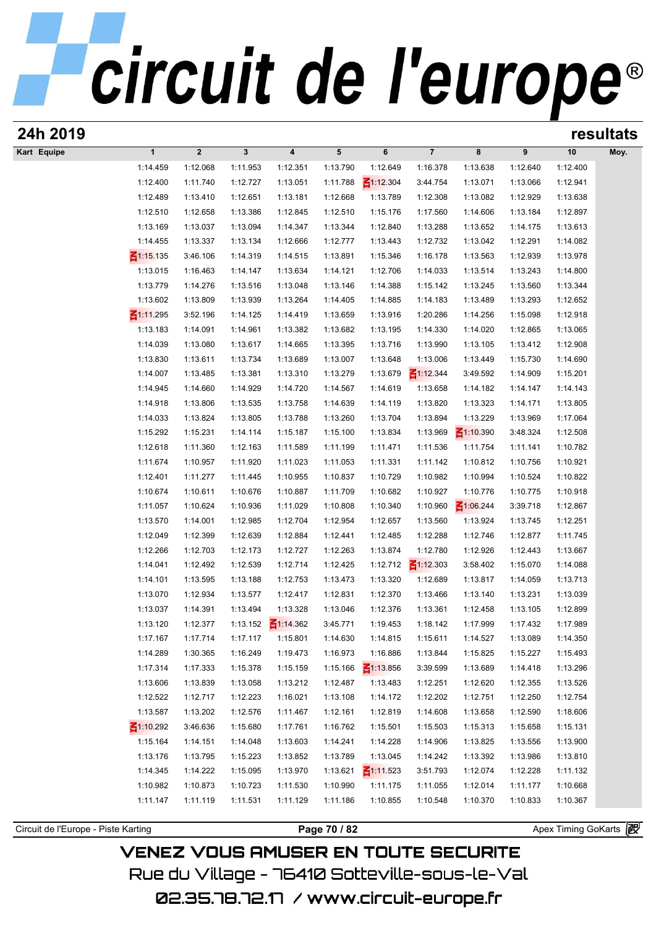| 24h 2019                            |                       |                      |                      |                         |                      |                      |                      |                      |                      |                      | resultats |
|-------------------------------------|-----------------------|----------------------|----------------------|-------------------------|----------------------|----------------------|----------------------|----------------------|----------------------|----------------------|-----------|
| Kart Equipe                         | $\mathbf{1}$          | $\boldsymbol{2}$     | $\mathbf{3}$         | $\overline{\mathbf{4}}$ | $5\phantom{.0}$      | 6                    | $\overline{7}$       | 8                    | 9                    | 10                   | Moy.      |
|                                     | 1:14.459              | 1:12.068             | 1:11.953             | 1:12.351                | 1:13.790             | 1:12.649             | 1:16.378             | 1:13.638             | 1:12.640             | 1:12.400             |           |
|                                     | 1:12.400              | 1:11.740             | 1:12.727             | 1:13.051                | 1:11.788             | $\leq 1:12.304$      | 3:44.754             | 1:13.071             | 1:13.066             | 1:12.941             |           |
|                                     | 1:12.489              | 1:13.410             | 1:12.651             | 1:13.181                | 1:12.668             | 1:13.789             | 1:12.308             | 1:13.082             | 1:12.929             | 1:13.638             |           |
|                                     | 1:12.510              | 1:12.658             | 1:13.386             | 1:12.845                | 1:12.510             | 1:15.176             | 1:17.560             | 1:14.606             | 1:13.184             | 1:12.897             |           |
|                                     | 1:13.169              | 1:13.037             | 1:13.094             | 1:14.347                | 1:13.344             | 1:12.840             | 1:13.288             | 1:13.652             | 1:14.175             | 1:13.613             |           |
|                                     | 1:14.455              | 1:13.337             | 1:13.134             | 1:12.666                | 1:12.777             | 1:13.443             | 1:12.732             | 1:13.042             | 1:12.291             | 1:14.082             |           |
|                                     | $\frac{2}{1115.135}$  | 3:46.106             | 1:14.319             | 1:14.515                | 1:13.891             | 1:15.346             | 1:16.178             | 1:13.563             | 1:12.939             | 1:13.978             |           |
|                                     | 1:13.015              | 1:16.463             | 1:14.147             | 1:13.634                | 1:14.121             | 1:12.706             | 1:14.033             | 1:13.514             | 1:13.243             | 1:14.800             |           |
|                                     | 1:13.779              | 1:14.276             | 1:13.516             | 1:13.048                | 1:13.146             | 1:14.388             | 1:15.142             | 1:13.245             | 1:13.560             | 1:13.344             |           |
|                                     | 1:13.602              | 1:13.809             | 1:13.939             | 1:13.264                | 1:14.405             | 1:14.885             | 1:14.183             | 1:13.489             | 1:13.293             | 1:12.652             |           |
|                                     | ₹1:11.295<br>1:13.183 | 3:52.196<br>1:14.091 | 1:14.125<br>1:14.961 | 1:14.419<br>1:13.382    | 1:13.659<br>1:13.682 | 1:13.916             | 1:20.286             | 1:14.256             | 1:15.098<br>1:12.865 | 1:12.918<br>1:13.065 |           |
|                                     | 1:14.039              | 1:13.080             | 1:13.617             | 1:14.665                | 1:13.395             | 1:13.195<br>1:13.716 | 1:14.330<br>1:13.990 | 1:14.020<br>1:13.105 | 1:13.412             | 1:12.908             |           |
|                                     | 1:13.830              | 1:13.611             | 1:13.734             | 1:13.689                | 1:13.007             | 1:13.648             | 1:13.006             | 1:13.449             | 1:15.730             | 1:14.690             |           |
|                                     | 1:14.007              | 1:13.485             | 1:13.381             | 1:13.310                | 1:13.279             | 1:13.679             | $\leq$ 1:12.344      | 3:49.592             | 1:14.909             | 1:15.201             |           |
|                                     | 1:14.945              | 1:14.660             | 1:14.929             | 1:14.720                | 1:14.567             | 1:14.619             | 1:13.658             | 1:14.182             | 1:14.147             | 1:14.143             |           |
|                                     | 1:14.918              | 1:13.806             | 1:13.535             | 1:13.758                | 1:14.639             | 1:14.119             | 1:13.820             | 1:13.323             | 1:14.171             | 1:13.805             |           |
|                                     | 1:14.033              | 1:13.824             | 1:13.805             | 1:13.788                | 1:13.260             | 1:13.704             | 1:13.894             | 1:13.229             | 1:13.969             | 1:17.064             |           |
|                                     | 1:15.292              | 1:15.231             | 1:14.114             | 1:15.187                | 1:15.100             | 1:13.834             | 1:13.969             | ₹1:10.390            | 3:48.324             | 1:12.508             |           |
|                                     | 1:12.618              | 1:11.360             | 1:12.163             | 1:11.589                | 1:11.199             | 1:11.471             | 1:11.536             | 1:11.754             | 1:11.141             | 1:10.782             |           |
|                                     | 1:11.674              | 1:10.957             | 1:11.920             | 1:11.023                | 1:11.053             | 1:11.331             | 1:11.142             | 1:10.812             | 1:10.756             | 1:10.921             |           |
|                                     | 1:12.401              | 1:11.277             | 1:11.445             | 1:10.955                | 1:10.837             | 1:10.729             | 1:10.982             | 1:10.994             | 1:10.524             | 1:10.822             |           |
|                                     | 1:10.674              | 1:10.611             | 1:10.676             | 1:10.887                | 1:11.709             | 1:10.682             | 1:10.927             | 1:10.776             | 1:10.775             | 1:10.918             |           |
|                                     | 1:11.057              | 1:10.624             | 1:10.936             | 1:11.029                | 1:10.808             | 1:10.340             | 1:10.960             | $\leq 1:06.244$      | 3:39.718             | 1:12.867             |           |
|                                     | 1:13.570              | 1:14.001             | 1:12.985             | 1:12.704                | 1:12.954             | 1:12.657             | 1:13.560             | 1:13.924             | 1:13.745             | 1:12.251             |           |
|                                     | 1:12.049              | 1:12.399             | 1:12.639             | 1:12.884                | 1:12.441             | 1:12.485             | 1:12.288             | 1:12.746             | 1:12.877             | 1:11.745             |           |
|                                     | 1:12.266              | 1:12.703             | 1:12.173             | 1:12.727                | 1:12.263             | 1:13.874             | 1:12.780             | 1:12.926             | 1:12.443             | 1:13.667             |           |
|                                     | 1:14.041              | 1:12.492             | 1:12.539             | 1:12.714                | 1:12.425             | 1:12.712             | $\leq 1:12.303$      | 3:58.402             | 1:15.070             | 1:14.088             |           |
|                                     | 1:14.101              | 1:13.595             | 1:13.188             | 1:12.753                | 1:13.473             | 1:13.320             | 1:12.689             | 1:13.817             | 1:14.059             | 1:13.713             |           |
|                                     | 1:13.070              | 1:12.934             | 1:13.577             | 1:12.417                | 1:12.831             | 1:12.370             | 1:13.466             | 1:13.140             | 1:13.231             | 1:13.039             |           |
|                                     | 1:13.037              | 1:14.391             | 1:13.494             | 1:13.328                | 1:13.046             | 1:12.376             | 1:13.361             | 1:12.458             | 1:13.105             | 1:12.899             |           |
|                                     | 1:13.120              | 1:12.377             | 1:13.152             | $\leq 1:14.362$         | 3:45.771             | 1:19.453             | 1:18.142             | 1:17.999             | 1:17.432             | 1:17.989             |           |
|                                     | 1:17.167              | 1:17.714             | 1:17.117             | 1:15.801                | 1:14.630             | 1:14.815             | 1:15.611             | 1:14.527             | 1:13.089             | 1:14.350             |           |
|                                     | 1:14.289              | 1:30.365             | 1:16.249             | 1:19.473                | 1:16.973             | 1:16.886             | 1:13.844             | 1:15.825             | 1:15.227             | 1:15.493             |           |
|                                     | 1:17.314              | 1:17.333             | 1:15.378             | 1:15.159                | 1:15.166             | $\leq 1:13.856$      | 3:39.599             | 1:13.689             | 1:14.418             | 1:13.296             |           |
|                                     | 1:13.606<br>1:12.522  | 1:13.839<br>1:12.717 | 1:13.058<br>1:12.223 | 1:13.212<br>1:16.021    | 1:12.487<br>1:13.108 | 1:13.483<br>1:14.172 | 1:12.251<br>1:12.202 | 1:12.620<br>1:12.751 | 1:12.355<br>1:12.250 | 1:13.526<br>1:12.754 |           |
|                                     | 1:13.587              | 1:13.202             | 1:12.576             | 1:11.467                | 1:12.161             | 1:12.819             | 1:14.608             | 1:13.658             | 1:12.590             | 1:18.606             |           |
|                                     | $\leq 1:10.292$       | 3:46.636             | 1:15.680             | 1:17.761                | 1:16.762             | 1:15.501             | 1:15.503             | 1:15.313             | 1:15.658             | 1:15.131             |           |
|                                     | 1:15.164              | 1:14.151             | 1:14.048             | 1:13.603                | 1:14.241             | 1:14.228             | 1:14.906             | 1:13.825             | 1:13.556             | 1:13.900             |           |
|                                     | 1:13.176              | 1:13.795             | 1:15.223             | 1:13.852                | 1:13.789             | 1:13.045             | 1:14.242             | 1:13.392             | 1:13.986             | 1:13.810             |           |
|                                     | 1:14.345              | 1:14.222             | 1:15.095             | 1:13.970                | 1:13.621             | $\leq 1:11.523$      | 3:51.793             | 1:12.074             | 1:12.228             | 1:11.132             |           |
|                                     | 1:10.982              | 1:10.873             | 1:10.723             | 1:11.530                | 1:10.990             | 1:11.175             | 1:11.055             | 1:12.014             | 1:11.177             | 1:10.668             |           |
|                                     | 1:11.147              | 1:11.119             | 1:11.531             | 1:11.129                | 1:11.186             | 1:10.855             | 1:10.548             | 1:10.370             | 1:10.833             | 1:10.367             |           |
|                                     |                       |                      |                      |                         |                      |                      |                      |                      |                      |                      |           |
| Circuit de l'Europe - Piste Karting |                       |                      |                      |                         | Page 70 / 82         |                      |                      |                      |                      | Apex Timing GoKarts  |           |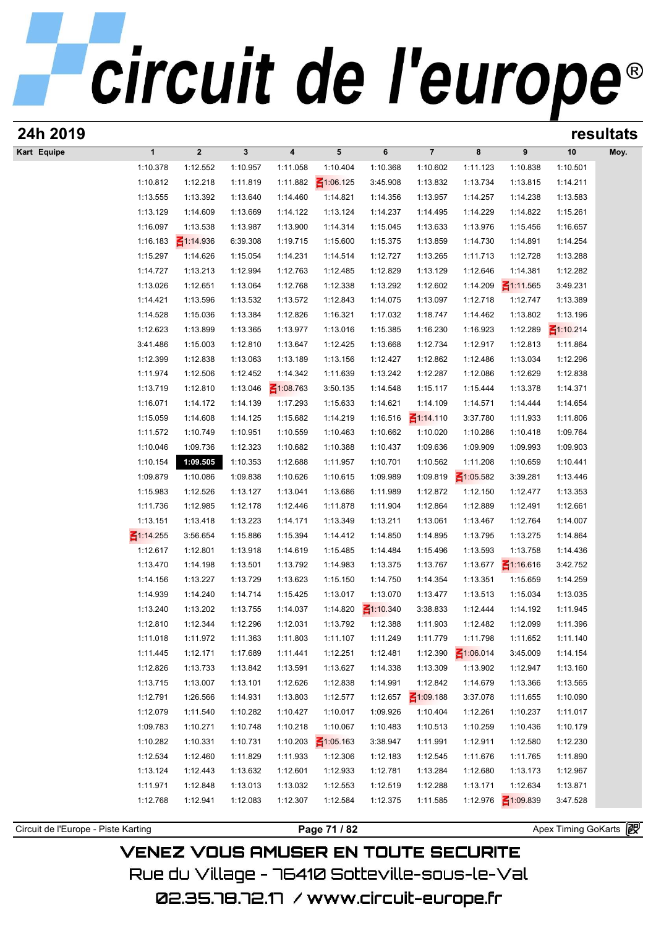| 24h 2019                            |                             |                      |                      |                      |                      |                      |                      |                      |                      |                      | resultats |
|-------------------------------------|-----------------------------|----------------------|----------------------|----------------------|----------------------|----------------------|----------------------|----------------------|----------------------|----------------------|-----------|
| Kart Equipe                         | $\mathbf{1}$                | $\boldsymbol{2}$     | $\mathbf{3}$         | 4                    | 5                    | 6                    | $\overline{7}$       | 8                    | 9                    | 10                   | Moy.      |
|                                     | 1:10.378                    | 1:12.552             | 1:10.957             | 1:11.058             | 1:10.404             | 1:10.368             | 1:10.602             | 1:11.123             | 1:10.838             | 1:10.501             |           |
|                                     | 1:10.812                    | 1:12.218             | 1:11.819             | 1:11.882             | $\leq 1:06.125$      | 3:45.908             | 1:13.832             | 1:13.734             | 1:13.815             | 1:14.211             |           |
|                                     | 1:13.555                    | 1:13.392             | 1:13.640             | 1:14.460             | 1:14.821             | 1:14.356             | 1:13.957             | 1:14.257             | 1:14.238             | 1:13.583             |           |
|                                     | 1:13.129                    | 1:14.609             | 1:13.669             | 1:14.122             | 1:13.124             | 1:14.237             | 1:14.495             | 1:14.229             | 1:14.822             | 1:15.261             |           |
|                                     | 1:16.097                    | 1:13.538             | 1:13.987             | 1:13.900             | 1:14.314             | 1:15.045             | 1:13.633             | 1:13.976             | 1:15.456             | 1:16.657             |           |
|                                     | 1:16.183                    | $\leq 1:14.936$      | 6:39.308             | 1:19.715             | 1:15.600             | 1:15.375             | 1:13.859             | 1:14.730             | 1:14.891             | 1:14.254             |           |
|                                     | 1:15.297                    | 1:14.626             | 1:15.054             | 1:14.231             | 1:14.514             | 1:12.727             | 1:13.265             | 1:11.713             | 1:12.728             | 1:13.288             |           |
|                                     | 1:14.727                    | 1:13.213             | 1:12.994             | 1:12.763             | 1:12.485             | 1:12.829             | 1:13.129             | 1:12.646             | 1:14.381             | 1:12.282             |           |
|                                     | 1:13.026                    | 1:12.651             | 1:13.064             | 1:12.768             | 1:12.338             | 1:13.292             | 1:12.602             | 1:14.209             | $\leq 1:11.565$      | 3:49.231             |           |
|                                     | 1:14.421                    | 1:13.596             | 1:13.532             | 1:13.572             | 1:12.843             | 1:14.075             | 1:13.097             | 1:12.718             | 1:12.747             | 1:13.389             |           |
|                                     | 1:14.528                    | 1:15.036             | 1:13.384             | 1:12.826             | 1:16.321             | 1:17.032             | 1:18.747             | 1:14.462             | 1:13.802             | 1:13.196             |           |
|                                     | 1:12.623                    | 1:13.899             | 1:13.365             | 1:13.977             | 1:13.016             | 1:15.385             | 1:16.230             | 1:16.923             | 1:12.289             | $\leq 1:10.214$      |           |
|                                     | 3:41.486                    | 1:15.003             | 1:12.810             | 1:13.647             | 1:12.425             | 1:13.668             | 1:12.734             | 1:12.917             | 1:12.813             | 1:11.864             |           |
|                                     | 1:12.399                    | 1:12.838             | 1:13.063             | 1:13.189             | 1:13.156             | 1:12.427             | 1:12.862             | 1:12.486             | 1:13.034             | 1:12.296             |           |
|                                     | 1:11.974                    | 1:12.506             | 1:12.452             | 1:14.342             | 1:11.639             | 1:13.242             | 1:12.287             | 1:12.086             | 1:12.629             | 1:12.838             |           |
|                                     | 1:13.719                    | 1:12.810             | 1:13.046             | $\leq 1:08.763$      | 3:50.135             | 1:14.548             | 1:15.117             | 1:15.444             | 1:13.378             | 1:14.371             |           |
|                                     | 1:16.071                    | 1:14.172             | 1:14.139             | 1:17.293             | 1:15.633             | 1:14.621             | 1:14.109             | 1:14.571             | 1:14.444             | 1:14.654             |           |
|                                     | 1:15.059                    | 1:14.608             | 1:14.125             | 1:15.682             | 1:14.219             | 1:16.516             | $\leq 1:14.110$      | 3:37.780             | 1:11.933             | 1:11.806             |           |
|                                     | 1:11.572                    | 1:10.749             | 1:10.951             | 1:10.559             | 1:10.463             | 1:10.662             | 1:10.020             | 1:10.286             | 1:10.418             | 1:09.764             |           |
|                                     | 1:10.046                    | 1:09.736             | 1:12.323             | 1:10.682             | 1:10.388             | 1:10.437             | 1:09.636             | 1:09.909             | 1:09.993             | 1:09.903             |           |
|                                     | 1:10.154                    | 1:09.505             | 1:10.353             | 1:12.688             | 1:11.957             | 1:10.701             | 1:10.562             | 1:11.208             | 1:10.659             | 1:10.441             |           |
|                                     | 1:09.879                    | 1:10.086             | 1:09.838             | 1:10.626             | 1:10.615             | 1:09.989             | 1:09.819             | $\leq 1:05.582$      | 3:39.281             | 1:13.446             |           |
|                                     | 1:15.983                    | 1:12.526             | 1:13.127             | 1:13.041             | 1:13.686             | 1:11.989             | 1:12.872             | 1:12.150             | 1:12.477             | 1:13.353             |           |
|                                     | 1:11.736                    | 1:12.985             | 1:12.178             | 1:12.446             | 1:11.878             | 1:11.904             | 1:12.864             | 1:12.889             | 1:12.491             | 1:12.661             |           |
|                                     | 1:13.151                    | 1:13.418             | 1:13.223             | 1:14.171             | 1:13.349             | 1:13.211             | 1:13.061             | 1:13.467             | 1:12.764             | 1:14.007             |           |
|                                     | $\leq$ 1:14.255<br>1:12.617 | 3:56.654<br>1:12.801 | 1:15.886             | 1:15.394             | 1:14.412             | 1:14.850             | 1:14.895<br>1:15.496 | 1:13.795<br>1:13.593 | 1:13.275<br>1:13.758 | 1:14.864<br>1:14.436 |           |
|                                     | 1:13.470                    |                      | 1:13.918             | 1:14.619             | 1:15.485             | 1:14.484<br>1:13.375 | 1:13.767             | 1:13.677             | $\leq 1:16.616$      | 3:42.752             |           |
|                                     | 1:14.156                    | 1:14.198<br>1:13.227 | 1:13.501<br>1:13.729 | 1:13.792<br>1:13.623 | 1:14.983<br>1:15.150 | 1:14.750             | 1:14.354             | 1:13.351             | 1:15.659             | 1:14.259             |           |
|                                     | 1:14.939                    | 1:14.240             | 1:14.714             | 1:15.425             | 1:13.017             | 1:13.070             | 1:13.477             | 1:13.513             | 1:15.034             | 1:13.035             |           |
|                                     | 1:13.240                    | 1:13.202             | 1:13.755             | 1:14.037             | 1:14.820             | ₹1:10.340            | 3:38.833             | 1:12.444             | 1:14.192             | 1:11.945             |           |
|                                     | 1:12.810                    | 1:12.344             | 1:12.296             | 1:12.031             | 1:13.792             | 1:12.388             | 1:11.903             | 1:12.482             | 1:12.099             | 1:11.396             |           |
|                                     | 1:11.018                    | 1:11.972             | 1:11.363             | 1:11.803             | 1:11.107             | 1:11.249             | 1:11.779             | 1:11.798             | 1:11.652             | 1:11.140             |           |
|                                     | 1:11.445                    | 1:12.171             | 1:17.689             | 1:11.441             | 1:12.251             | 1:12.481             | 1:12.390             | $\leq 1:06.014$      | 3:45.009             | 1:14.154             |           |
|                                     | 1:12.826                    | 1:13.733             | 1:13.842             | 1:13.591             | 1:13.627             | 1:14.338             | 1:13.309             | 1:13.902             | 1:12.947             | 1:13.160             |           |
|                                     | 1:13.715                    | 1:13.007             | 1:13.101             | 1:12.626             | 1:12.838             | 1:14.991             | 1:12.842             | 1:14.679             | 1:13.366             | 1:13.565             |           |
|                                     | 1:12.791                    | 1:26.566             | 1:14.931             | 1:13.803             | 1:12.577             | 1:12.657             | $\leq 1:09.188$      | 3:37.078             | 1:11.655             | 1:10.090             |           |
|                                     | 1:12.079                    | 1:11.540             | 1:10.282             | 1:10.427             | 1:10.017             | 1:09.926             | 1:10.404             | 1:12.261             | 1:10.237             | 1:11.017             |           |
|                                     | 1:09.783                    | 1:10.271             | 1:10.748             | 1:10.218             | 1:10.067             | 1:10.483             | 1:10.513             | 1:10.259             | 1:10.436             | 1:10.179             |           |
|                                     | 1:10.282                    | 1:10.331             | 1:10.731             | 1:10.203             | $\leq 1:05.163$      | 3:38.947             | 1:11.991             | 1:12.911             | 1:12.580             | 1:12.230             |           |
|                                     | 1:12.534                    | 1:12.460             | 1:11.829             | 1:11.933             | 1:12.306             | 1:12.183             | 1:12.545             | 1:11.676             | 1:11.765             | 1:11.890             |           |
|                                     | 1:13.124                    | 1:12.443             | 1:13.632             | 1:12.601             | 1:12.933             | 1:12.781             | 1:13.284             | 1:12.680             | 1:13.173             | 1:12.967             |           |
|                                     | 1:11.971                    | 1:12.848             | 1:13.013             | 1:13.032             | 1:12.553             | 1:12.519             | 1:12.288             | 1:13.171             | 1:12.634             | 1:13.871             |           |
|                                     | 1:12.768                    | 1:12.941             | 1:12.083             | 1:12.307             | 1:12.584             | 1:12.375             | 1:11.585             | 1:12.976             | $\leq 1:09.839$      | 3:47.528             |           |
|                                     |                             |                      |                      |                      |                      |                      |                      |                      |                      |                      |           |
| Circuit de l'Europe - Piste Karting |                             |                      |                      |                      | Page 71 / 82         |                      |                      |                      |                      | Apex Timing GoKarts  |           |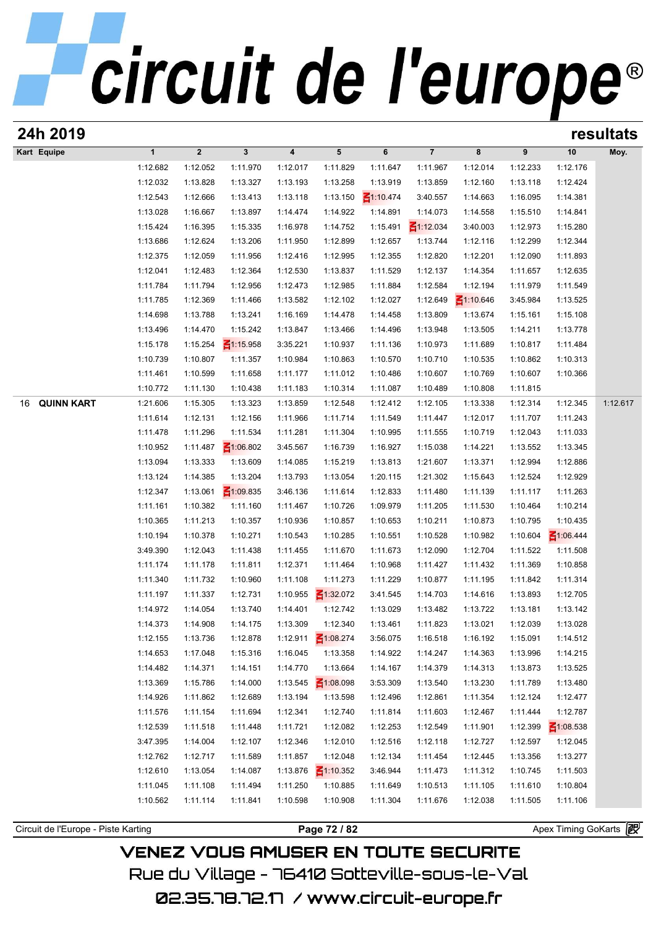| 24h 2019                            |                      |                      |                             |                      |                      |                      |                      |                      |                      |                      | resultats |
|-------------------------------------|----------------------|----------------------|-----------------------------|----------------------|----------------------|----------------------|----------------------|----------------------|----------------------|----------------------|-----------|
| Kart Equipe                         | $\mathbf{1}$         | $\boldsymbol{2}$     | $\mathbf{3}$                | 4                    | 5                    | 6                    | $\overline{7}$       | 8                    | 9                    | 10                   | Moy.      |
|                                     | 1:12.682             | 1:12.052             | 1:11.970                    | 1:12.017             | 1:11.829             | 1:11.647             | 1:11.967             | 1:12.014             | 1:12.233             | 1:12.176             |           |
|                                     | 1:12.032             | 1:13.828             | 1:13.327                    | 1:13.193             | 1:13.258             | 1:13.919             | 1:13.859             | 1:12.160             | 1:13.118             | 1:12.424             |           |
|                                     | 1:12.543             | 1:12.666             | 1:13.413                    | 1:13.118             | 1:13.150             | $\leq 1:10.474$      | 3:40.557             | 1:14.663             | 1:16.095             | 1:14.381             |           |
|                                     | 1:13.028             | 1:16.667             | 1:13.897                    | 1:14.474             | 1:14.922             | 1:14.891             | 1:14.073             | 1:14.558             | 1:15.510             | 1:14.841             |           |
|                                     | 1:15.424             | 1:16.395             | 1:15.335                    | 1:16.978             | 1:14.752             | 1:15.491             | $\leq 1:12.034$      | 3:40.003             | 1:12.973             | 1:15.280             |           |
|                                     | 1:13.686             | 1:12.624             | 1:13.206                    | 1:11.950             | 1:12.899             | 1:12.657             | 1:13.744             | 1:12.116             | 1:12.299             | 1:12.344             |           |
|                                     | 1:12.375             | 1:12.059             | 1:11.956                    | 1:12.416             | 1:12.995             | 1:12.355             | 1:12.820             | 1:12.201             | 1:12.090             | 1:11.893             |           |
|                                     | 1:12.041             | 1:12.483             | 1:12.364                    | 1:12.530             | 1:13.837             | 1:11.529             | 1:12.137             | 1:14.354             | 1:11.657             | 1:12.635             |           |
|                                     | 1:11.784             | 1:11.794             | 1:12.956                    | 1:12.473             | 1:12.985             | 1:11.884             | 1:12.584             | 1:12.194             | 1:11.979             | 1:11.549             |           |
|                                     | 1:11.785             | 1:12.369             | 1:11.466                    | 1:13.582             | 1:12.102             | 1:12.027             | 1:12.649             | $\leq 1:10.646$      | 3:45.984             | 1:13.525             |           |
|                                     | 1:14.698             | 1:13.788             | 1:13.241                    | 1:16.169             | 1:14.478             | 1:14.458             | 1:13.809             | 1:13.674             | 1:15.161             | 1:15.108             |           |
|                                     | 1:13.496             | 1:14.470             | 1:15.242                    | 1:13.847             | 1:13.466             | 1:14.496             | 1:13.948             | 1:13.505             | 1:14.211             | 1:13.778             |           |
|                                     | 1:15.178             | 1:15.254             | $\leq 1:15.958$             | 3:35.221             | 1:10.937             | 1:11.136             | 1:10.973             | 1:11.689             | 1:10.817             | 1:11.484             |           |
|                                     | 1:10.739             | 1:10.807             | 1:11.357                    | 1:10.984             | 1:10.863             | 1:10.570             | 1:10.710             | 1:10.535             | 1:10.862             | 1:10.313             |           |
|                                     | 1:11.461             | 1:10.599             | 1:11.658                    | 1:11.177             | 1:11.012             | 1:10.486             | 1:10.607             | 1:10.769             | 1:10.607             | 1:10.366             |           |
|                                     | 1:10.772             | 1:11.130             | 1:10.438                    | 1:11.183             | 1:10.314             | 1:11.087             | 1:10.489             | 1:10.808             | 1:11.815             |                      |           |
| <b>QUINN KART</b><br>16             | 1:21.606             | 1:15.305             | 1:13.323                    | 1:13.859             | 1:12.548             | 1:12.412             | 1:12.105             | 1:13.338             | 1:12.314             | 1:12.345             | 1:12.617  |
|                                     | 1:11.614             | 1:12.131             | 1:12.156                    | 1:11.966             | 1:11.714             | 1:11.549             | 1:11.447             | 1:12.017             | 1:11.707             | 1:11.243             |           |
|                                     | 1:11.478             | 1:11.296             | 1:11.534                    | 1:11.281             | 1:11.304             | 1:10.995             | 1:11.555             | 1:10.719             | 1:12.043             | 1:11.033             |           |
|                                     | 1:10.952             | 1:11.487             | $\leq 1:06.802$             | 3:45.567             | 1:16.739             | 1:16.927             | 1:15.038             | 1:14.221             | 1:13.552             | 1:13.345             |           |
|                                     | 1:13.094             | 1:13.333             | 1:13.609                    | 1:14.085             | 1:15.219             | 1:13.813             | 1:21.607             | 1:13.371             | 1:12.994             | 1:12.886             |           |
|                                     | 1:13.124             | 1:14.385             | 1:13.204                    | 1:13.793             | 1:13.054             | 1:20.115             | 1:21.302             | 1:15.643             | 1:12.524             | 1:12.929             |           |
|                                     | 1:12.347<br>1:11.161 | 1:13.061<br>1:10.382 | $\leq 1:09.835$<br>1:11.160 | 3:46.136<br>1:11.467 | 1:11.614<br>1:10.726 | 1:12.833<br>1:09.979 | 1:11.480<br>1:11.205 | 1:11.139<br>1:11.530 | 1:11.117<br>1:10.464 | 1:11.263<br>1:10.214 |           |
|                                     | 1:10.365             | 1:11.213             | 1:10.357                    | 1:10.936             | 1:10.857             | 1:10.653             | 1:10.211             | 1:10.873             | 1:10.795             | 1:10.435             |           |
|                                     | 1:10.194             | 1:10.378             | 1:10.271                    | 1:10.543             | 1:10.285             | 1:10.551             | 1:10.528             | 1:10.982             | 1:10.604             | $\leq 1:06.444$      |           |
|                                     | 3:49.390             | 1:12.043             | 1:11.438                    | 1:11.455             | 1:11.670             | 1:11.673             | 1:12.090             | 1:12.704             | 1:11.522             | 1:11.508             |           |
|                                     | 1:11.174             | 1:11.178             | 1:11.811                    | 1:12.371             | 1:11.464             | 1:10.968             | 1:11.427             | 1:11.432             | 1:11.369             | 1:10.858             |           |
|                                     | 1:11.340             | 1:11.732             | 1:10.960                    | 1:11.108             | 1:11.273             | 1:11.229             | 1:10.877             | 1:11.195             | 1:11.842             | 1:11.314             |           |
|                                     | 1:11.197             | 1:11.337             | 1:12.731                    | 1:10.955             | $\leq 1:32.072$      | 3:41.545             | 1:14.703             | 1:14.616             | 1:13.893             | 1:12.705             |           |
|                                     | 1:14.972             | 1:14.054             | 1:13.740                    | 1:14.401             | 1:12.742             | 1:13.029             | 1:13.482             | 1:13.722             | 1:13.181             | 1:13.142             |           |
|                                     | 1:14.373             | 1:14.908             | 1:14.175                    | 1:13.309             | 1:12.340             | 1:13.461             | 1:11.823             | 1:13.021             | 1:12.039             | 1:13.028             |           |
|                                     | 1:12.155             | 1:13.736             | 1:12.878                    | 1:12.911             | $\leq 1:08.274$      | 3:56.075             | 1:16.518             | 1:16.192             | 1:15.091             | 1:14.512             |           |
|                                     | 1:14.653             | 1:17.048             | 1:15.316                    | 1:16.045             | 1:13.358             | 1:14.922             | 1:14.247             | 1:14.363             | 1:13.996             | 1:14.215             |           |
|                                     | 1:14.482             | 1:14.371             | 1:14.151                    | 1:14.770             | 1:13.664             | 1:14.167             | 1:14.379             | 1:14.313             | 1:13.873             | 1:13.525             |           |
|                                     | 1:13.369             | 1:15.786             | 1:14.000                    | 1:13.545             | $\leq 1:08.098$      | 3:53.309             | 1:13.540             | 1:13.230             | 1:11.789             | 1:13.480             |           |
|                                     | 1:14.926             | 1:11.862             | 1:12.689                    | 1:13.194             | 1:13.598             | 1:12.496             | 1:12.861             | 1:11.354             | 1:12.124             | 1:12.477             |           |
|                                     | 1:11.576             | 1:11.154             | 1:11.694                    | 1:12.341             | 1:12.740             | 1:11.814             | 1:11.603             | 1:12.467             | 1:11.444             | 1:12.787             |           |
|                                     | 1:12.539             | 1:11.518             | 1:11.448                    | 1:11.721             | 1:12.082             | 1:12.253             | 1:12.549             | 1:11.901             | 1:12.399             | $\leq 1:08.538$      |           |
|                                     | 3:47.395             | 1:14.004             | 1:12.107                    | 1:12.346             | 1:12.010             | 1:12.516             | 1:12.118             | 1:12.727             | 1:12.597             | 1:12.045             |           |
|                                     | 1:12.762             | 1:12.717             | 1:11.589                    | 1:11.857             | 1:12.048             | 1:12.134             | 1:11.454             | 1:12.445             | 1:13.356             | 1:13.277             |           |
|                                     | 1:12.610             | 1:13.054             | 1:14.087                    | 1:13.876             | $\leq 1:10.352$      | 3:46.944             | 1:11.473             | 1:11.312             | 1:10.745             | 1:11.503             |           |
|                                     | 1:11.045             | 1:11.108             | 1:11.494                    | 1:11.250             | 1:10.885             | 1:11.649             | 1:10.513             | 1:11.105             | 1:11.610             | 1:10.804             |           |
|                                     | 1:10.562             | 1:11.114             | 1:11.841                    | 1:10.598             | 1:10.908             | 1:11.304             | 1:11.676             | 1:12.038             | 1:11.505             | 1:11.106             |           |
|                                     |                      |                      |                             |                      |                      |                      |                      |                      |                      |                      |           |
| Circuit de l'Europe - Piste Karting |                      |                      |                             |                      | Page 72 / 82         |                      |                      |                      |                      | Apex Timing GoKarts  |           |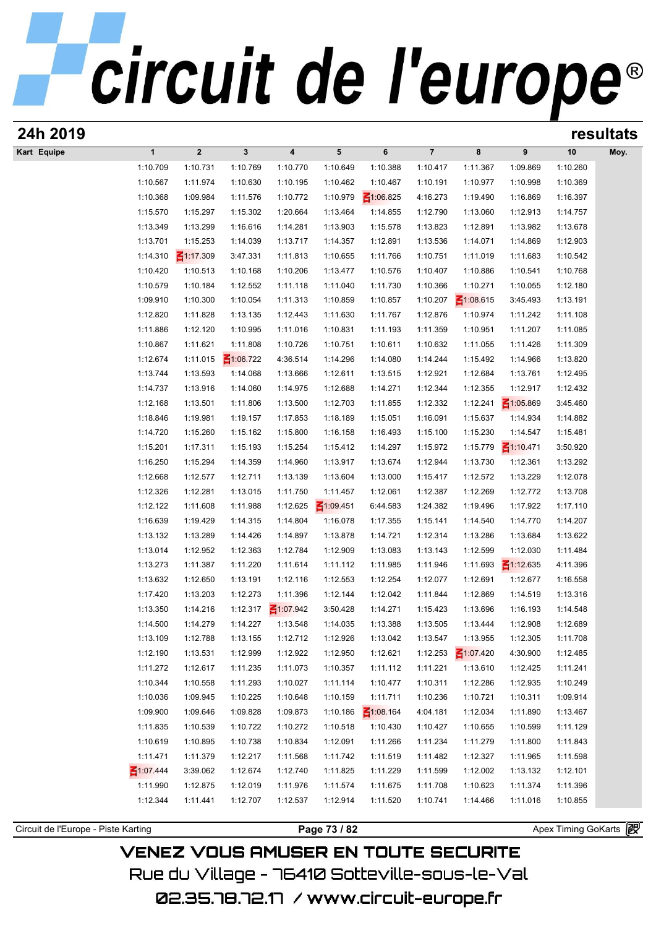| 24h 2019                            |                      |                      |                      |                      |                      |                      |                      |                      |                      | resultats             |      |  |
|-------------------------------------|----------------------|----------------------|----------------------|----------------------|----------------------|----------------------|----------------------|----------------------|----------------------|-----------------------|------|--|
| Kart Equipe                         | $\mathbf{1}$         | $\boldsymbol{2}$     | $\mathbf{3}$         | 4                    | 5                    | 6                    | $\overline{7}$       | 8                    | 9                    | 10                    | Moy. |  |
|                                     | 1:10.709             | 1:10.731             | 1:10.769             | 1:10.770             | 1:10.649             | 1:10.388             | 1:10.417             | 1:11.367             | 1:09.869             | 1:10.260              |      |  |
|                                     | 1:10.567             | 1:11.974             | 1:10.630             | 1:10.195             | 1:10.462             | 1:10.467             | 1:10.191             | 1:10.977             | 1:10.998             | 1:10.369              |      |  |
|                                     | 1:10.368             | 1:09.984             | 1:11.576             | 1:10.772             | 1:10.979             | $\leq 1:06.825$      | 4:16.273             | 1:19.490             | 1:16.869             | 1:16.397              |      |  |
|                                     | 1:15.570             | 1:15.297             | 1:15.302             | 1:20.664             | 1:13.464             | 1:14.855             | 1:12.790             | 1:13.060             | 1:12.913             | 1:14.757              |      |  |
|                                     | 1:13.349             | 1:13.299             | 1:16.616             | 1:14.281             | 1:13.903             | 1:15.578             | 1:13.823             | 1:12.891             | 1:13.982             | 1:13.678              |      |  |
|                                     | 1:13.701             | 1:15.253             | 1:14.039             | 1:13.717             | 1:14.357             | 1:12.891             | 1:13.536             | 1:14.071             | 1:14.869             | 1:12.903              |      |  |
|                                     | 1:14.310             | $\leq 1:17.309$      | 3:47.331             | 1:11.813             | 1:10.655             | 1:11.766             | 1:10.751             | 1:11.019             | 1:11.683             | 1:10.542              |      |  |
|                                     | 1:10.420             | 1:10.513             | 1:10.168             | 1:10.206             | 1:13.477             | 1:10.576             | 1:10.407             | 1:10.886             | 1:10.541             | 1:10.768              |      |  |
|                                     | 1:10.579             | 1:10.184             | 1:12.552             | 1:11.118             | 1:11.040             | 1:11.730             | 1:10.366             | 1:10.271             | 1:10.055             | 1:12.180              |      |  |
|                                     | 1:09.910             | 1:10.300             | 1:10.054             | 1:11.313             | 1:10.859             | 1:10.857             | 1:10.207             | $\leq 1:08.615$      | 3:45.493             | 1:13.191              |      |  |
|                                     | 1:12.820             | 1:11.828             | 1:13.135             | 1:12.443             | 1:11.630             | 1:11.767             | 1:12.876             | 1:10.974             | 1:11.242             | 1:11.108              |      |  |
|                                     | 1:11.886             | 1:12.120             | 1:10.995             | 1:11.016             | 1:10.831             | 1:11.193             | 1:11.359             | 1:10.951             | 1:11.207             | 1:11.085              |      |  |
|                                     | 1:10.867             | 1:11.621             | 1:11.808             | 1:10.726             | 1:10.751             | 1:10.611             | 1:10.632             | 1:11.055             | 1:11.426             | 1:11.309              |      |  |
|                                     | 1:12.674             | 1:11.015             | $\leq 1:06.722$      | 4:36.514             | 1:14.296             | 1:14.080             | 1:14.244             | 1:15.492             | 1:14.966             | 1:13.820              |      |  |
|                                     | 1:13.744             | 1:13.593             | 1:14.068             | 1:13.666             | 1:12.611             | 1:13.515             | 1:12.921             | 1:12.684             | 1:13.761             | 1:12.495              |      |  |
|                                     | 1:14.737             | 1:13.916             | 1:14.060             | 1:14.975             | 1:12.688             | 1:14.271             | 1:12.344             | 1:12.355             | 1:12.917             | 1:12.432              |      |  |
|                                     | 1:12.168             | 1:13.501             | 1:11.806             | 1:13.500             | 1:12.703             | 1:11.855             | 1:12.332             | 1:12.241             | $\leq 1:05.869$      | 3:45.460              |      |  |
|                                     | 1:18.846             | 1:19.981             | 1:19.157             | 1:17.853             | 1:18.189             | 1:15.051             | 1:16.091             | 1:15.637             | 1:14.934             | 1:14.882              |      |  |
|                                     | 1:14.720             | 1:15.260             | 1:15.162             | 1:15.800             | 1:16.158             | 1:16.493             | 1:15.100             | 1:15.230             | 1:14.547             | 1:15.481              |      |  |
|                                     | 1:15.201             | 1:17.311             | 1:15.193             | 1:15.254             | 1:15.412             | 1:14.297             | 1:15.972             | 1:15.779             | $\leq 1:10.471$      | 3:50.920              |      |  |
|                                     | 1:16.250             | 1:15.294<br>1:12.577 | 1:14.359             | 1:14.960             | 1:13.917             | 1:13.674             | 1:12.944             | 1:13.730             | 1:12.361<br>1:13.229 | 1:13.292<br>1:12.078  |      |  |
|                                     | 1:12.668<br>1:12.326 | 1:12.281             | 1:12.711<br>1:13.015 | 1:13.139<br>1:11.750 | 1:13.604<br>1:11.457 | 1:13.000<br>1:12.061 | 1:15.417<br>1:12.387 | 1:12.572<br>1:12.269 | 1:12.772             | 1:13.708              |      |  |
|                                     | 1:12.122             | 1:11.608             | 1:11.988             | 1:12.625             | $\leq 1:09.451$      | 6:44.583             | 1:24.382             | 1:19.496             | 1:17.922             | 1:17.110              |      |  |
|                                     | 1:16.639             | 1:19.429             | 1:14.315             | 1:14.804             | 1:16.078             | 1:17.355             | 1:15.141             | 1:14.540             | 1:14.770             | 1:14.207              |      |  |
|                                     | 1:13.132             | 1:13.289             | 1:14.426             | 1:14.897             | 1:13.878             | 1:14.721             | 1:12.314             | 1:13.286             | 1:13.684             | 1:13.622              |      |  |
|                                     | 1:13.014             | 1:12.952             | 1:12.363             | 1:12.784             | 1:12.909             | 1:13.083             | 1:13.143             | 1:12.599             | 1:12.030             | 1:11.484              |      |  |
|                                     | 1:13.273             | 1:11.387             | 1:11.220             | 1:11.614             | 1:11.112             | 1:11.985             | 1:11.946             | 1:11.693             | $\leq 1:12.635$      | 4:11.396              |      |  |
|                                     | 1:13.632             | 1:12.650             | 1:13.191             | 1:12.116             | 1:12.553             | 1:12.254             | 1:12.077             | 1:12.691             | 1:12.677             | 1:16.558              |      |  |
|                                     | 1:17.420             | 1:13.203             | 1:12.273             | 1:11.396             | 1:12.144             | 1:12.042             | 1:11.844             | 1:12.869             | 1:14.519             | 1:13.316              |      |  |
|                                     | 1:13.350             | 1:14.216             | 1:12.317             | $\leq 1:07.942$      | 3:50.428             | 1:14.271             | 1:15.423             | 1:13.696             | 1:16.193             | 1:14.548              |      |  |
|                                     | 1:14.500             | 1:14.279             | 1:14.227             | 1:13.548             | 1:14.035             | 1:13.388             | 1:13.505             | 1:13.444             | 1:12.908             | 1:12.689              |      |  |
|                                     | 1:13.109             | 1:12.788             | 1:13.155             | 1:12.712             | 1:12.926             | 1:13.042             | 1:13.547             | 1:13.955             | 1:12.305             | 1:11.708              |      |  |
|                                     | 1:12.190             | 1:13.531             | 1:12.999             | 1:12.922             | 1:12.950             | 1:12.621             | 1:12.253             | $\leq 1:07.420$      | 4:30.900             | 1:12.485              |      |  |
|                                     | 1:11.272             | 1:12.617             | 1:11.235             | 1:11.073             | 1:10.357             | 1:11.112             | 1:11.221             | 1:13.610             | 1:12.425             | 1:11.241              |      |  |
|                                     | 1:10.344             | 1:10.558             | 1:11.293             | 1:10.027             | 1:11.114             | 1:10.477             | 1:10.311             | 1:12.286             | 1:12.935             | 1:10.249              |      |  |
|                                     | 1:10.036             | 1:09.945             | 1:10.225             | 1:10.648             | 1:10.159             | 1:11.711             | 1:10.236             | 1:10.721             | 1:10.311             | 1:09.914              |      |  |
|                                     | 1:09.900             | 1:09.646             | 1:09.828             | 1:09.873             | 1:10.186             | $\leq 1:08.164$      | 4:04.181             | 1:12.034             | 1:11.890             | 1:13.467              |      |  |
|                                     | 1:11.835             | 1:10.539             | 1:10.722             | 1:10.272             | 1:10.518             | 1:10.430             | 1:10.427             | 1:10.655             | 1:10.599             | 1:11.129              |      |  |
|                                     | 1:10.619             | 1:10.895             | 1:10.738             | 1:10.834             | 1:12.091             | 1:11.266             | 1:11.234             | 1:11.279             | 1:11.800             | 1:11.843              |      |  |
|                                     | 1:11.471             | 1:11.379             | 1:12.217             | 1:11.568             | 1:11.742             | 1:11.519             | 1:11.482             | 1:12.327             | 1:11.965             | 1:11.598              |      |  |
|                                     | ₹1:07.444            | 3:39.062             | 1:12.674             | 1:12.740             | 1:11.825             | 1:11.229             | 1:11.599             | 1:12.002             | 1:13.132             | 1:12.101              |      |  |
|                                     | 1:11.990             | 1:12.875             | 1:12.019             | 1:11.976             | 1:11.574             | 1:11.675             | 1:11.708             | 1:10.623             | 1:11.374             | 1:11.396              |      |  |
|                                     | 1:12.344             | 1:11.441             | 1:12.707             | 1:12.537             | 1:12.914             | 1:11.520             | 1:10.741             | 1:14.466             | 1:11.016             | 1:10.855              |      |  |
|                                     |                      |                      |                      |                      |                      |                      |                      |                      |                      |                       |      |  |
| Circuit de l'Europe - Piste Karting |                      |                      |                      |                      | Page 73 / 82         |                      |                      |                      |                      | Apex Timing GoKarts 图 |      |  |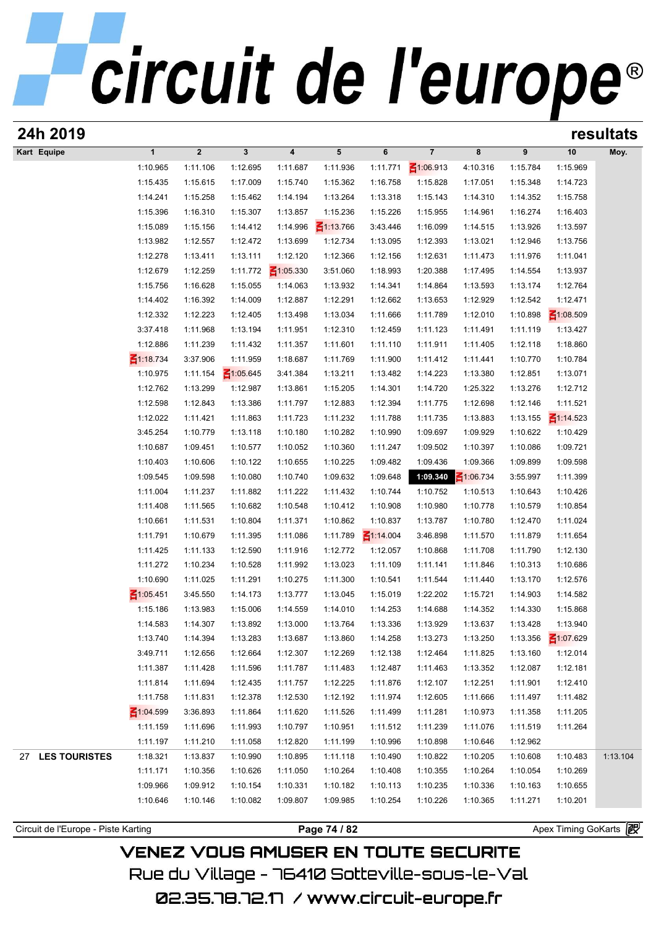| 24h 2019                            |                 |             |                 |                 |                 |                 |                |             |          | resultats           |          |  |
|-------------------------------------|-----------------|-------------|-----------------|-----------------|-----------------|-----------------|----------------|-------------|----------|---------------------|----------|--|
| Kart Equipe                         | $\mathbf{1}$    | $\mathbf 2$ | $\mathbf{3}$    | 4               | 5               | 6               | $\overline{7}$ | 8           | 9        | 10                  | Moy.     |  |
|                                     | 1:10.965        | 1:11.106    | 1:12.695        | 1:11.687        | 1:11.936        | 1:11.771        | ₹1:06.913      | 4:10.316    | 1:15.784 | 1:15.969            |          |  |
|                                     | 1:15.435        | 1:15.615    | 1:17.009        | 1:15.740        | 1:15.362        | 1:16.758        | 1:15.828       | 1:17.051    | 1:15.348 | 1:14.723            |          |  |
|                                     | 1:14.241        | 1:15.258    | 1:15.462        | 1:14.194        | 1:13.264        | 1:13.318        | 1:15.143       | 1:14.310    | 1:14.352 | 1:15.758            |          |  |
|                                     | 1:15.396        | 1:16.310    | 1:15.307        | 1:13.857        | 1:15.236        | 1:15.226        | 1:15.955       | 1:14.961    | 1:16.274 | 1:16.403            |          |  |
|                                     | 1:15.089        | 1:15.156    | 1:14.412        | 1:14.996        | $\leq 1:13.766$ | 3:43.446        | 1:16.099       | 1:14.515    | 1:13.926 | 1:13.597            |          |  |
|                                     | 1:13.982        | 1:12.557    | 1:12.472        | 1:13.699        | 1:12.734        | 1:13.095        | 1:12.393       | 1:13.021    | 1:12.946 | 1:13.756            |          |  |
|                                     | 1:12.278        | 1:13.411    | 1:13.111        | 1:12.120        | 1:12.366        | 1:12.156        | 1:12.631       | 1:11.473    | 1:11.976 | 1:11.041            |          |  |
|                                     | 1:12.679        | 1:12.259    | 1:11.772        | $\leq 1:05.330$ | 3:51.060        | 1:18.993        | 1:20.388       | 1:17.495    | 1:14.554 | 1:13.937            |          |  |
|                                     | 1:15.756        | 1:16.628    | 1:15.055        | 1:14.063        | 1:13.932        | 1:14.341        | 1:14.864       | 1:13.593    | 1:13.174 | 1:12.764            |          |  |
|                                     | 1:14.402        | 1:16.392    | 1:14.009        | 1:12.887        | 1:12.291        | 1:12.662        | 1:13.653       | 1:12.929    | 1:12.542 | 1:12.471            |          |  |
|                                     | 1:12.332        | 1:12.223    | 1:12.405        | 1:13.498        | 1:13.034        | 1:11.666        | 1:11.789       | 1:12.010    | 1:10.898 | $\leq 1:08.509$     |          |  |
|                                     | 3:37.418        | 1:11.968    | 1:13.194        | 1:11.951        | 1:12.310        | 1:12.459        | 1:11.123       | 1:11.491    | 1:11.119 | 1:13.427            |          |  |
|                                     | 1:12.886        | 1:11.239    | 1:11.432        | 1:11.357        | 1:11.601        | 1:11.110        | 1:11.911       | 1:11.405    | 1:12.118 | 1:18.860            |          |  |
|                                     | ₹1:18.734       | 3:37.906    | 1:11.959        | 1:18.687        | 1:11.769        | 1:11.900        | 1:11.412       | 1:11.441    | 1:10.770 | 1:10.784            |          |  |
|                                     | 1:10.975        | 1:11.154    | $\leq 1:05.645$ | 3:41.384        | 1:13.211        | 1:13.482        | 1:14.223       | 1:13.380    | 1:12.851 | 1:13.071            |          |  |
|                                     | 1:12.762        | 1:13.299    | 1:12.987        | 1:13.861        | 1:15.205        | 1:14.301        | 1:14.720       | 1:25.322    | 1:13.276 | 1:12.712            |          |  |
|                                     | 1:12.598        | 1:12.843    | 1:13.386        | 1:11.797        | 1:12.883        | 1:12.394        | 1:11.775       | 1:12.698    | 1:12.146 | 1:11.521            |          |  |
|                                     | 1:12.022        | 1:11.421    | 1:11.863        | 1:11.723        | 1:11.232        | 1:11.788        | 1:11.735       | 1:13.883    | 1:13.155 | $\leq 1:14.523$     |          |  |
|                                     | 3:45.254        | 1:10.779    | 1:13.118        | 1:10.180        | 1:10.282        | 1:10.990        | 1:09.697       | 1:09.929    | 1:10.622 | 1:10.429            |          |  |
|                                     | 1:10.687        | 1:09.451    | 1:10.577        | 1:10.052        | 1:10.360        | 1:11.247        | 1:09.502       | 1:10.397    | 1:10.086 | 1:09.721            |          |  |
|                                     | 1:10.403        | 1:10.606    | 1:10.122        | 1:10.655        | 1:10.225        | 1:09.482        | 1:09.436       | 1:09.366    | 1:09.899 | 1:09.598            |          |  |
|                                     | 1:09.545        | 1:09.598    | 1:10.080        | 1:10.740        | 1:09.632        | 1:09.648        | 1:09.340       | $-1:06.734$ | 3:55.997 | 1:11.399            |          |  |
|                                     | 1:11.004        | 1:11.237    | 1:11.882        | 1:11.222        | 1:11.432        | 1:10.744        | 1:10.752       | 1:10.513    | 1:10.643 | 1:10.426            |          |  |
|                                     | 1:11.408        | 1:11.565    | 1:10.682        | 1:10.548        | 1:10.412        | 1:10.908        | 1:10.980       | 1:10.778    | 1:10.579 | 1:10.854            |          |  |
|                                     | 1:10.661        | 1:11.531    | 1:10.804        | 1:11.371        | 1:10.862        | 1:10.837        | 1:13.787       | 1:10.780    | 1:12.470 | 1:11.024            |          |  |
|                                     | 1:11.791        | 1:10.679    | 1:11.395        | 1:11.086        | 1:11.789        | $\leq 1:14.004$ | 3:46.898       | 1:11.570    | 1:11.879 | 1:11.654            |          |  |
|                                     | 1:11.425        | 1:11.133    | 1:12.590        | 1:11.916        | 1:12.772        | 1:12.057        | 1:10.868       | 1:11.708    | 1:11.790 | 1:12.130            |          |  |
|                                     | 1:11.272        | 1:10.234    | 1:10.528        | 1:11.992        | 1:13.023        | 1:11.109        | 1:11.141       | 1:11.846    | 1:10.313 | 1:10.686            |          |  |
|                                     | 1:10.690        | 1:11.025    | 1:11.291        | 1:10.275        | 1:11.300        | 1:10.541        | 1:11.544       | 1:11.440    | 1:13.170 | 1:12.576            |          |  |
|                                     | $\leq 1:05.451$ | 3:45.550    | 1:14.173        | 1:13.777        | 1:13.045        | 1:15.019        | 1:22.202       | 1:15.721    | 1:14.903 | 1:14.582            |          |  |
|                                     | 1:15.186        | 1:13.983    | 1:15.006        | 1:14.559        | 1:14.010        | 1:14.253        | 1:14.688       | 1:14.352    | 1:14.330 | 1:15.868            |          |  |
|                                     | 1:14.583        | 1:14.307    | 1:13.892        | 1:13.000        | 1:13.764        | 1:13.336        | 1:13.929       | 1:13.637    | 1:13.428 | 1:13.940            |          |  |
|                                     | 1:13.740        | 1:14.394    | 1:13.283        | 1:13.687        | 1:13.860        | 1:14.258        | 1:13.273       | 1:13.250    | 1:13.356 | ₹1:07.629           |          |  |
|                                     | 3:49.711        | 1:12.656    | 1:12.664        | 1:12.307        | 1:12.269        | 1:12.138        | 1:12.464       | 1:11.825    | 1:13.160 | 1:12.014            |          |  |
|                                     | 1:11.387        | 1:11.428    | 1:11.596        | 1:11.787        | 1:11.483        | 1:12.487        | 1:11.463       | 1:13.352    | 1:12.087 | 1:12.181            |          |  |
|                                     | 1:11.814        | 1:11.694    | 1:12.435        | 1:11.757        | 1:12.225        | 1:11.876        | 1:12.107       | 1:12.251    | 1:11.901 | 1:12.410            |          |  |
|                                     | 1:11.758        | 1:11.831    | 1:12.378        | 1:12.530        | 1:12.192        | 1:11.974        | 1:12.605       | 1:11.666    | 1:11.497 | 1:11.482            |          |  |
|                                     | $\leq 1:04.599$ | 3:36.893    | 1:11.864        | 1:11.620        | 1:11.526        | 1:11.499        | 1:11.281       | 1:10.973    | 1:11.358 | 1:11.205            |          |  |
|                                     | 1:11.159        | 1:11.696    | 1:11.993        | 1:10.797        | 1:10.951        | 1:11.512        | 1:11.239       | 1:11.076    | 1:11.519 | 1:11.264            |          |  |
|                                     | 1:11.197        | 1:11.210    | 1:11.058        | 1:12.820        | 1:11.199        | 1:10.996        | 1:10.898       | 1:10.646    | 1:12.962 |                     |          |  |
| <b>LES TOURISTES</b><br>27          | 1:18.321        | 1:13.837    | 1:10.990        | 1:10.895        | 1:11.118        | 1:10.490        | 1:10.822       | 1:10.205    | 1:10.608 | 1:10.483            | 1:13.104 |  |
|                                     | 1:11.171        | 1:10.356    | 1:10.626        | 1:11.050        | 1:10.264        | 1:10.408        | 1:10.355       | 1:10.264    | 1:10.054 | 1:10.269            |          |  |
|                                     | 1:09.966        | 1:09.912    | 1:10.154        | 1:10.331        | 1:10.182        | 1:10.113        | 1:10.235       | 1:10.336    | 1:10.163 | 1:10.655            |          |  |
|                                     | 1:10.646        | 1:10.146    | 1:10.082        | 1:09.807        | 1:09.985        | 1:10.254        | 1:10.226       | 1:10.365    | 1:11.271 | 1:10.201            |          |  |
|                                     |                 |             |                 |                 |                 |                 |                |             |          |                     |          |  |
| Circuit de l'Europe - Piste Karting |                 |             |                 |                 | Page 74 / 82    |                 |                |             |          | Apex Timing GoKarts | 霞        |  |
|                                     |                 |             |                 |                 |                 |                 |                |             |          |                     |          |  |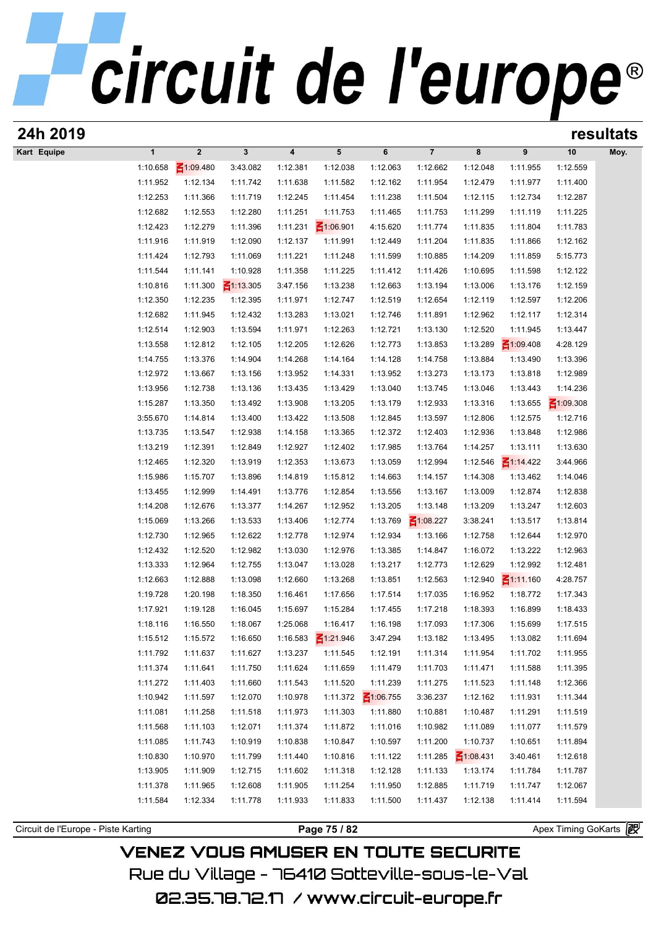| 24h 2019                            |                      |                      |                      |                      |                      |                      |                      |                      |                      | resultats             |      |  |
|-------------------------------------|----------------------|----------------------|----------------------|----------------------|----------------------|----------------------|----------------------|----------------------|----------------------|-----------------------|------|--|
| Kart Equipe                         | $\mathbf{1}$         | $\mathbf 2$          | $\mathbf{3}$         | 4                    | 5                    | 6                    | $\overline{7}$       | 8                    | 9                    | 10                    | Moy. |  |
|                                     | 1:10.658             | ₹1:09.480            | 3:43.082             | 1:12.381             | 1:12.038             | 1:12.063             | 1:12.662             | 1:12.048             | 1:11.955             | 1:12.559              |      |  |
|                                     | 1:11.952             | 1:12.134             | 1:11.742             | 1:11.638             | 1:11.582             | 1:12.162             | 1:11.954             | 1:12.479             | 1:11.977             | 1:11.400              |      |  |
|                                     | 1:12.253             | 1:11.366             | 1:11.719             | 1:12.245             | 1:11.454             | 1:11.238             | 1:11.504             | 1:12.115             | 1:12.734             | 1:12.287              |      |  |
|                                     | 1:12.682             | 1:12.553             | 1:12.280             | 1:11.251             | 1:11.753             | 1:11.465             | 1:11.753             | 1:11.299             | 1:11.119             | 1:11.225              |      |  |
|                                     | 1:12.423             | 1:12.279             | 1:11.396             | 1:11.231             | $\leq 1:06.901$      | 4:15.620             | 1:11.774             | 1:11.835             | 1:11.804             | 1:11.783              |      |  |
|                                     | 1:11.916             | 1:11.919             | 1:12.090             | 1:12.137             | 1:11.991             | 1:12.449             | 1:11.204             | 1:11.835             | 1:11.866             | 1:12.162              |      |  |
|                                     | 1:11.424             | 1:12.793             | 1:11.069             | 1:11.221             | 1:11.248             | 1:11.599             | 1:10.885             | 1:14.209             | 1:11.859             | 5:15.773              |      |  |
|                                     | 1:11.544             | 1:11.141             | 1:10.928             | 1:11.358             | 1:11.225             | 1:11.412             | 1:11.426             | 1:10.695             | 1:11.598             | 1:12.122              |      |  |
|                                     | 1:10.816             | 1:11.300             | $\leq$ 1:13.305      | 3:47.156             | 1:13.238             | 1:12.663             | 1:13.194             | 1:13.006             | 1:13.176             | 1:12.159              |      |  |
|                                     | 1:12.350<br>1:12.682 | 1:12.235<br>1:11.945 | 1:12.395<br>1:12.432 | 1:11.971<br>1:13.283 | 1:12.747<br>1:13.021 | 1:12.519<br>1:12.746 | 1:12.654<br>1:11.891 | 1:12.119<br>1:12.962 | 1:12.597<br>1:12.117 | 1:12.206<br>1:12.314  |      |  |
|                                     | 1:12.514             | 1:12.903             | 1:13.594             | 1:11.971             | 1:12.263             | 1:12.721             | 1:13.130             | 1:12.520             | 1:11.945             | 1:13.447              |      |  |
|                                     | 1:13.558             | 1:12.812             | 1:12.105             | 1:12.205             | 1:12.626             | 1:12.773             | 1:13.853             | 1:13.289             | $\leq 1:09.408$      | 4:28.129              |      |  |
|                                     | 1:14.755             | 1:13.376             | 1:14.904             | 1:14.268             | 1:14.164             | 1:14.128             | 1:14.758             | 1:13.884             | 1:13.490             | 1:13.396              |      |  |
|                                     | 1:12.972             | 1:13.667             | 1:13.156             | 1:13.952             | 1:14.331             | 1:13.952             | 1:13.273             | 1:13.173             | 1:13.818             | 1:12.989              |      |  |
|                                     | 1:13.956             | 1:12.738             | 1:13.136             | 1:13.435             | 1:13.429             | 1:13.040             | 1:13.745             | 1:13.046             | 1:13.443             | 1:14.236              |      |  |
|                                     | 1:15.287             | 1:13.350             | 1:13.492             | 1:13.908             | 1:13.205             | 1:13.179             | 1:12.933             | 1:13.316             | 1:13.655             | $\leq 1:09.308$       |      |  |
|                                     | 3:55.670             | 1:14.814             | 1:13.400             | 1:13.422             | 1:13.508             | 1:12.845             | 1:13.597             | 1:12.806             | 1:12.575             | 1:12.716              |      |  |
|                                     | 1:13.735             | 1:13.547             | 1:12.938             | 1:14.158             | 1:13.365             | 1:12.372             | 1:12.403             | 1:12.936             | 1:13.848             | 1:12.986              |      |  |
|                                     | 1:13.219             | 1:12.391             | 1:12.849             | 1:12.927             | 1:12.402             | 1:17.985             | 1:13.764             | 1:14.257             | 1:13.111             | 1:13.630              |      |  |
|                                     | 1:12.465             | 1:12.320             | 1:13.919             | 1:12.353             | 1:13.673             | 1:13.059             | 1:12.994             | 1:12.546             | $\leq 1:14.422$      | 3:44.966              |      |  |
|                                     | 1:15.986             | 1:15.707             | 1:13.896             | 1:14.819             | 1:15.812             | 1:14.663             | 1:14.157             | 1:14.308             | 1:13.462             | 1:14.046              |      |  |
|                                     | 1:13.455             | 1:12.999             | 1:14.491             | 1:13.776             | 1:12.854             | 1:13.556             | 1:13.167             | 1:13.009             | 1:12.874             | 1:12.838              |      |  |
|                                     | 1:14.208             | 1:12.676             | 1:13.377             | 1:14.267             | 1:12.952             | 1:13.205             | 1:13.148             | 1:13.209             | 1:13.247             | 1:12.603              |      |  |
|                                     | 1:15.069             | 1:13.266             | 1:13.533             | 1:13.406             | 1:12.774             | 1:13.769             | $\leq 1:08.227$      | 3:38.241             | 1:13.517             | 1:13.814              |      |  |
|                                     | 1:12.730             | 1:12.965             | 1:12.622             | 1:12.778             | 1:12.974             | 1:12.934             | 1:13.166             | 1:12.758             | 1:12.644             | 1:12.970              |      |  |
|                                     | 1:12.432             | 1:12.520             | 1:12.982             | 1:13.030             | 1:12.976             | 1:13.385             | 1:14.847             | 1:16.072             | 1:13.222             | 1:12.963              |      |  |
|                                     | 1:13.333             | 1:12.964             | 1:12.755             | 1:13.047             | 1:13.028             | 1:13.217             | 1:12.773             | 1:12.629             | 1:12.992             | 1:12.481              |      |  |
|                                     | 1:12.663             | 1:12.888             | 1:13.098             | 1:12.660             | 1:13.268             | 1:13.851             | 1:12.563             | 1:12.940             | $\leq 1:11.160$      | 4:28.757              |      |  |
|                                     | 1:19.728             | 1:20.198             | 1:18.350             | 1:16.461             | 1:17.656             | 1:17.514             | 1:17.035             | 1:16.952             | 1:18.772             | 1:17.343              |      |  |
|                                     | 1:17.921             | 1:19.128             | 1:16.045             | 1:15.697             | 1:15.284             | 1:17.455             | 1:17.218             | 1:18.393             | 1:16.899             | 1:18.433              |      |  |
|                                     | 1:18.116             | 1:16.550             | 1:18.067             | 1:25.068             | 1:16.417             | 1:16.198             | 1:17.093             | 1:17.306             | 1:15.699             | 1:17.515              |      |  |
|                                     | 1:15.512             | 1:15.572             | 1:16.650             | 1:16.583<br>1:13.237 | $\leq 1:21.946$      | 3:47.294             | 1:13.182             | 1:13.495             | 1:13.082             | 1:11.694              |      |  |
|                                     | 1:11.792             | 1:11.637             | 1:11.627             |                      | 1:11.545             | 1:12.191<br>1:11.479 | 1:11.314             | 1:11.954             | 1:11.702             | 1:11.955              |      |  |
|                                     | 1:11.374<br>1:11.272 | 1:11.641<br>1:11.403 | 1:11.750<br>1:11.660 | 1:11.624<br>1:11.543 | 1:11.659<br>1:11.520 | 1:11.239             | 1:11.703<br>1:11.275 | 1:11.471<br>1:11.523 | 1:11.588<br>1:11.148 | 1:11.395<br>1:12.366  |      |  |
|                                     | 1:10.942             | 1:11.597             | 1:12.070             | 1:10.978             | 1:11.372             | $\leq 1:06.755$      | 3:36.237             | 1:12.162             | 1:11.931             | 1:11.344              |      |  |
|                                     | 1:11.081             | 1:11.258             | 1:11.518             | 1:11.973             | 1:11.303             | 1:11.880             | 1:10.881             | 1:10.487             | 1:11.291             | 1:11.519              |      |  |
|                                     | 1:11.568             | 1:11.103             | 1:12.071             | 1:11.374             | 1:11.872             | 1:11.016             | 1:10.982             | 1:11.089             | 1:11.077             | 1:11.579              |      |  |
|                                     | 1:11.085             | 1:11.743             | 1:10.919             | 1:10.838             | 1:10.847             | 1:10.597             | 1:11.200             | 1:10.737             | 1:10.651             | 1:11.894              |      |  |
|                                     | 1:10.830             | 1:10.970             | 1:11.799             | 1:11.440             | 1:10.816             | 1:11.122             | 1:11.285             | $\leq 1:08.431$      | 3:40.461             | 1:12.618              |      |  |
|                                     | 1:13.905             | 1:11.909             | 1:12.715             | 1:11.602             | 1:11.318             | 1:12.128             | 1:11.133             | 1:13.174             | 1:11.784             | 1:11.787              |      |  |
|                                     | 1:11.378             | 1:11.965             | 1:12.608             | 1:11.905             | 1:11.254             | 1:11.950             | 1:12.885             | 1:11.719             | 1:11.747             | 1:12.067              |      |  |
|                                     | 1:11.584             | 1:12.334             | 1:11.778             | 1:11.933             | 1:11.833             | 1:11.500             | 1:11.437             | 1:12.138             | 1:11.414             | 1:11.594              |      |  |
|                                     |                      |                      |                      |                      |                      |                      |                      |                      |                      |                       |      |  |
| Circuit de l'Europe - Piste Karting |                      |                      |                      |                      | Page 75 / 82         |                      |                      |                      |                      | Apex Timing GoKarts 图 |      |  |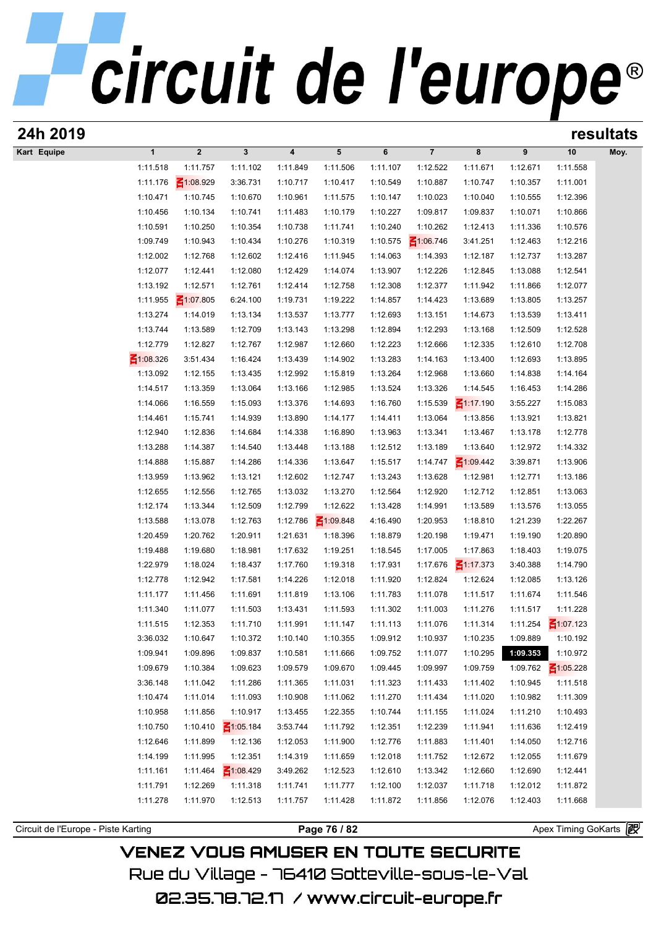| 24h 2019                            |                      |                      |                      |                         |                      |                      |                      |                      |                      | resultats             |      |  |
|-------------------------------------|----------------------|----------------------|----------------------|-------------------------|----------------------|----------------------|----------------------|----------------------|----------------------|-----------------------|------|--|
| Kart Equipe                         | $\mathbf{1}$         | $\boldsymbol{2}$     | $\mathbf 3$          | $\overline{\mathbf{4}}$ | $5\phantom{.0}$      | 6                    | $\overline{7}$       | 8                    | 9                    | 10                    | Moy. |  |
|                                     | 1:11.518             | 1:11.757             | 1:11.102             | 1:11.849                | 1:11.506             | 1:11.107             | 1:12.522             | 1:11.671             | 1:12.671             | 1:11.558              |      |  |
|                                     | 1:11.176             | $-1:08.929$          | 3:36.731             | 1:10.717                | 1:10.417             | 1:10.549             | 1:10.887             | 1:10.747             | 1:10.357             | 1:11.001              |      |  |
|                                     | 1:10.471             | 1:10.745             | 1:10.670             | 1:10.961                | 1:11.575             | 1:10.147             | 1:10.023             | 1:10.040             | 1:10.555             | 1:12.396              |      |  |
|                                     | 1:10.456             | 1:10.134             | 1:10.741             | 1:11.483                | 1:10.179             | 1:10.227             | 1:09.817             | 1:09.837             | 1:10.071             | 1:10.866              |      |  |
|                                     | 1:10.591             | 1:10.250             | 1:10.354             | 1:10.738                | 1:11.741             | 1:10.240             | 1:10.262             | 1:12.413             | 1:11.336             | 1:10.576              |      |  |
|                                     | 1:09.749             | 1:10.943             | 1:10.434             | 1:10.276                | 1:10.319             | 1:10.575             | $\leq 1:06.746$      | 3:41.251             | 1:12.463             | 1:12.216              |      |  |
|                                     | 1:12.002             | 1:12.768             | 1:12.602             | 1:12.416                | 1:11.945             | 1:14.063             | 1:14.393             | 1:12.187             | 1:12.737             | 1:13.287              |      |  |
|                                     | 1:12.077             | 1:12.441             | 1:12.080             | 1:12.429                | 1:14.074             | 1:13.907             | 1:12.226             | 1:12.845             | 1:13.088             | 1:12.541              |      |  |
|                                     | 1:13.192             | 1:12.571             | 1:12.761             | 1:12.414                | 1:12.758             | 1:12.308             | 1:12.377             | 1:11.942             | 1:11.866             | 1:12.077              |      |  |
|                                     | 1:11.955             | $\leq 1:07.805$      | 6:24.100             | 1:19.731                | 1:19.222             | 1:14.857             | 1:14.423             | 1:13.689             | 1:13.805             | 1:13.257              |      |  |
|                                     | 1:13.274             | 1:14.019             | 1:13.134             | 1:13.537                | 1:13.777             | 1:12.693             | 1:13.151             | 1:14.673             | 1:13.539             | 1:13.411              |      |  |
|                                     | 1:13.744             | 1:13.589             | 1:12.709             | 1:13.143                | 1:13.298             | 1:12.894             | 1:12.293             | 1:13.168             | 1:12.509             | 1:12.528              |      |  |
|                                     | 1:12.779             | 1:12.827             | 1:12.767             | 1:12.987                | 1:12.660             | 1:12.223             | 1:12.666             | 1:12.335             | 1:12.610             | 1:12.708              |      |  |
|                                     | $\leq 1:08.326$      | 3:51.434             | 1:16.424             | 1:13.439                | 1:14.902             | 1:13.283             | 1:14.163             | 1:13.400             | 1:12.693             | 1:13.895              |      |  |
|                                     | 1:13.092             | 1:12.155             | 1:13.435             | 1:12.992                | 1:15.819             | 1:13.264             | 1:12.968             | 1:13.660             | 1:14.838             | 1:14.164              |      |  |
|                                     | 1:14.517             | 1:13.359             | 1:13.064             | 1:13.166                | 1:12.985             | 1:13.524             | 1:13.326             | 1:14.545             | 1:16.453             | 1:14.286              |      |  |
|                                     | 1:14.066             | 1:16.559             | 1:15.093             | 1:13.376                | 1:14.693             | 1:16.760             | 1:15.539             | ■1:17.190            | 3:55.227             | 1:15.083              |      |  |
|                                     | 1:14.461             | 1:15.741             | 1:14.939             | 1:13.890                | 1:14.177             | 1:14.411             | 1:13.064             | 1:13.856             | 1:13.921             | 1:13.821              |      |  |
|                                     | 1:12.940             | 1:12.836             | 1:14.684             | 1:14.338                | 1:16.890             | 1:13.963             | 1:13.341             | 1:13.467             | 1:13.178             | 1:12.778              |      |  |
|                                     | 1:13.288             | 1:14.387             | 1:14.540             | 1:13.448                | 1:13.188             | 1:12.512             | 1:13.189             | 1:13.640             | 1:12.972             | 1:14.332              |      |  |
|                                     | 1:14.888             | 1:15.887             | 1:14.286             | 1:14.336                | 1:13.647             | 1:15.517             | 1:14.747             | $\leq 1:09.442$      | 3:39.871             | 1:13.906              |      |  |
|                                     | 1:13.959<br>1:12.655 | 1:13.962<br>1:12.556 | 1:13.121<br>1:12.765 | 1:12.602<br>1:13.032    | 1:12.747<br>1:13.270 | 1:13.243             | 1:13.628<br>1:12.920 | 1:12.981             | 1:12.771<br>1:12.851 | 1:13.186<br>1:13.063  |      |  |
|                                     | 1:12.174             | 1:13.344             | 1:12.509             | 1:12.799                | 1:12.622             | 1:12.564<br>1:13.428 | 1:14.991             | 1:12.712<br>1:13.589 | 1:13.576             | 1:13.055              |      |  |
|                                     | 1:13.588             | 1:13.078             | 1:12.763             | 1:12.786                | $\leq 1:09.848$      | 4:16.490             | 1:20.953             | 1:18.810             | 1:21.239             | 1:22.267              |      |  |
|                                     | 1:20.459             | 1:20.762             | 1:20.911             | 1:21.631                | 1:18.396             | 1:18.879             | 1:20.198             | 1:19.471             | 1:19.190             | 1:20.890              |      |  |
|                                     | 1:19.488             | 1:19.680             | 1:18.981             | 1:17.632                | 1:19.251             | 1:18.545             | 1:17.005             | 1:17.863             | 1:18.403             | 1:19.075              |      |  |
|                                     | 1:22.979             | 1:18.024             | 1:18.437             | 1:17.760                | 1:19.318             | 1:17.931             | 1:17.676             | $\leq 1:17.373$      | 3:40.388             | 1:14.790              |      |  |
|                                     | 1:12.778             | 1:12.942             | 1:17.581             | 1:14.226                | 1:12.018             | 1:11.920             | 1:12.824             | 1:12.624             | 1:12.085             | 1:13.126              |      |  |
|                                     | 1:11.177             | 1:11.456             | 1:11.691             | 1:11.819                | 1:13.106             | 1:11.783             | 1:11.078             | 1:11.517             | 1:11.674             | 1:11.546              |      |  |
|                                     | 1:11.340             | 1:11.077             | 1:11.503             | 1:13.431                | 1:11.593             | 1:11.302             | 1:11.003             | 1:11.276             | 1:11.517             | 1:11.228              |      |  |
|                                     | 1:11.515             | 1:12.353             | 1:11.710             | 1:11.991                | 1:11.147             | 1:11.113             | 1:11.076             | 1:11.314             | 1:11.254             | ₹1:07.123             |      |  |
|                                     | 3:36.032             | 1:10.647             | 1:10.372             | 1:10.140                | 1:10.355             | 1:09.912             | 1:10.937             | 1:10.235             | 1:09.889             | 1:10.192              |      |  |
|                                     | 1:09.941             | 1:09.896             | 1:09.837             | 1:10.581                | 1:11.666             | 1:09.752             | 1:11.077             | 1:10.295             | 1:09.353             | 1:10.972              |      |  |
|                                     | 1:09.679             | 1:10.384             | 1:09.623             | 1:09.579                | 1:09.670             | 1:09.445             | 1:09.997             | 1:09.759             | 1:09.762             | $\leq 1:05.228$       |      |  |
|                                     | 3:36.148             | 1:11.042             | 1:11.286             | 1:11.365                | 1:11.031             | 1:11.323             | 1:11.433             | 1:11.402             | 1:10.945             | 1:11.518              |      |  |
|                                     | 1:10.474             | 1:11.014             | 1:11.093             | 1:10.908                | 1:11.062             | 1:11.270             | 1:11.434             | 1:11.020             | 1:10.982             | 1:11.309              |      |  |
|                                     | 1:10.958             | 1:11.856             | 1:10.917             | 1:13.455                | 1:22.355             | 1:10.744             | 1:11.155             | 1:11.024             | 1:11.210             | 1:10.493              |      |  |
|                                     | 1:10.750             | 1:10.410             | $\leq 1:05.184$      | 3:53.744                | 1:11.792             | 1:12.351             | 1:12.239             | 1:11.941             | 1:11.636             | 1:12.419              |      |  |
|                                     | 1:12.646             | 1:11.899             | 1:12.136             | 1:12.053                | 1:11.900             | 1:12.776             | 1:11.883             | 1:11.401             | 1:14.050             | 1:12.716              |      |  |
|                                     | 1:14.199             | 1:11.995             | 1:12.351             | 1:14.319                | 1:11.659             | 1:12.018             | 1:11.752             | 1:12.672             | 1:12.055             | 1:11.679              |      |  |
|                                     | 1:11.161             | 1:11.464             | $\leq 1:08.429$      | 3:49.262                | 1:12.523             | 1:12.610             | 1:13.342             | 1:12.660             | 1:12.690             | 1:12.441              |      |  |
|                                     | 1:11.791             | 1:12.269             | 1:11.318             | 1:11.741                | 1:11.777             | 1:12.100             | 1:12.037             | 1:11.718             | 1:12.012             | 1:11.872              |      |  |
|                                     | 1:11.278             | 1:11.970             | 1:12.513             | 1:11.757                | 1:11.428             | 1:11.872             | 1:11.856             | 1:12.076             | 1:12.403             | 1:11.668              |      |  |
|                                     |                      |                      |                      |                         |                      |                      |                      |                      |                      |                       |      |  |
| Circuit de l'Europe - Piste Karting |                      |                      |                      |                         | Page 76 / 82         |                      |                      |                      |                      | Apex Timing GoKarts 图 |      |  |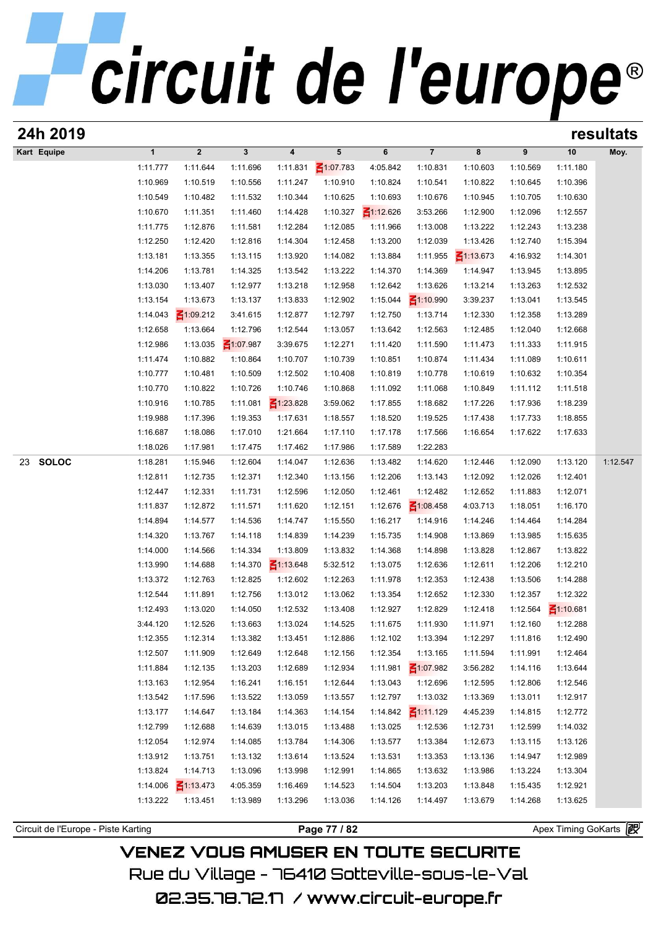| 24h 2019                            |                      |                      |                             |                         |                      |                      |                      |                      |                      | resultats            |          |  |
|-------------------------------------|----------------------|----------------------|-----------------------------|-------------------------|----------------------|----------------------|----------------------|----------------------|----------------------|----------------------|----------|--|
| Kart Equipe                         | $\mathbf{1}$         | $\boldsymbol{2}$     | $\mathbf{3}$                | $\overline{\mathbf{4}}$ | $5\phantom{.0}$      | 6                    | $\overline{7}$       | 8                    | 9                    | 10                   | Moy.     |  |
|                                     | 1:11.777             | 1:11.644             | 1:11.696                    | 1:11.831                | ₹1:07.783            | 4:05.842             | 1:10.831             | 1:10.603             | 1:10.569             | 1:11.180             |          |  |
|                                     | 1:10.969             | 1:10.519             | 1:10.556                    | 1:11.247                | 1:10.910             | 1:10.824             | 1:10.541             | 1:10.822             | 1:10.645             | 1:10.396             |          |  |
|                                     | 1:10.549             | 1:10.482             | 1:11.532                    | 1:10.344                | 1:10.625             | 1:10.693             | 1:10.676             | 1:10.945             | 1:10.705             | 1:10.630             |          |  |
|                                     | 1:10.670             | 1:11.351             | 1:11.460                    | 1:14.428                | 1:10.327             | $\leq 1:12.626$      | 3:53.266             | 1:12.900             | 1:12.096             | 1:12.557             |          |  |
|                                     | 1:11.775             | 1:12.876             | 1:11.581                    | 1:12.284                | 1:12.085             | 1:11.966             | 1:13.008             | 1:13.222             | 1:12.243             | 1:13.238             |          |  |
|                                     | 1:12.250             | 1:12.420             | 1:12.816                    | 1:14.304                | 1:12.458             | 1:13.200             | 1:12.039             | 1:13.426             | 1:12.740             | 1:15.394             |          |  |
|                                     | 1:13.181             | 1:13.355             | 1:13.115                    | 1:13.920                | 1:14.082             | 1:13.884             | 1:11.955             | $\leq 1:13.673$      | 4:16.932             | 1:14.301             |          |  |
|                                     | 1:14.206             | 1:13.781             | 1:14.325                    | 1:13.542                | 1:13.222             | 1:14.370             | 1:14.369             | 1:14.947             | 1:13.945             | 1:13.895             |          |  |
|                                     | 1:13.030             | 1:13.407             | 1:12.977                    | 1:13.218                | 1:12.958             | 1:12.642             | 1:13.626             | 1:13.214             | 1:13.263             | 1:12.532             |          |  |
|                                     | 1:13.154             | 1:13.673             | 1:13.137                    | 1:13.833                | 1:12.902             | 1:15.044             | $\leq 1:10.990$      | 3:39.237             | 1:13.041             | 1:13.545             |          |  |
|                                     | 1:14.043             | $\leq 1:09.212$      | 3:41.615                    | 1:12.877                | 1:12.797             | 1:12.750             | 1:13.714             | 1:12.330             | 1:12.358             | 1:13.289             |          |  |
|                                     | 1:12.658             | 1:13.664             | 1:12.796                    | 1:12.544                | 1:13.057             | 1:13.642             | 1:12.563             | 1:12.485             | 1:12.040             | 1:12.668<br>1:11.915 |          |  |
|                                     | 1:12.986<br>1:11.474 | 1:13.035<br>1:10.882 | $\leq 1:07.987$<br>1:10.864 | 3:39.675<br>1:10.707    | 1:12.271<br>1:10.739 | 1:11.420<br>1:10.851 | 1:11.590<br>1:10.874 | 1:11.473<br>1:11.434 | 1:11.333<br>1:11.089 | 1:10.611             |          |  |
|                                     | 1:10.777             | 1:10.481             | 1:10.509                    | 1:12.502                | 1:10.408             | 1:10.819             | 1:10.778             | 1:10.619             | 1:10.632             | 1:10.354             |          |  |
|                                     | 1:10.770             | 1:10.822             | 1:10.726                    | 1:10.746                | 1:10.868             | 1:11.092             | 1:11.068             | 1:10.849             | 1:11.112             | 1:11.518             |          |  |
|                                     | 1:10.916             | 1:10.785             | 1:11.081                    | $\leq 1:23.828$         | 3:59.062             | 1:17.855             | 1:18.682             | 1:17.226             | 1:17.936             | 1:18.239             |          |  |
|                                     | 1:19.988             | 1:17.396             | 1:19.353                    | 1:17.631                | 1:18.557             | 1:18.520             | 1:19.525             | 1:17.438             | 1:17.733             | 1:18.855             |          |  |
|                                     | 1:16.687             | 1:18.086             | 1:17.010                    | 1:21.664                | 1:17.110             | 1:17.178             | 1:17.566             | 1:16.654             | 1:17.622             | 1:17.633             |          |  |
|                                     | 1:18.026             | 1:17.981             | 1:17.475                    | 1:17.462                | 1:17.986             | 1:17.589             | 1:22.283             |                      |                      |                      |          |  |
| <b>SOLOC</b><br>23                  | 1:18.281             | 1:15.946             | 1:12.604                    | 1:14.047                | 1:12.636             | 1:13.482             | 1:14.620             | 1:12.446             | 1:12.090             | 1:13.120             | 1:12.547 |  |
|                                     | 1:12.811             | 1:12.735             | 1:12.371                    | 1:12.340                | 1:13.156             | 1:12.206             | 1:13.143             | 1:12.092             | 1:12.026             | 1:12.401             |          |  |
|                                     | 1:12.447             | 1:12.331             | 1:11.731                    | 1:12.596                | 1:12.050             | 1:12.461             | 1:12.482             | 1:12.652             | 1:11.883             | 1:12.071             |          |  |
|                                     | 1:11.837             | 1:12.872             | 1:11.571                    | 1:11.620                | 1:12.151             | 1:12.676             | $\leq 1:08.458$      | 4:03.713             | 1:18.051             | 1:16.170             |          |  |
|                                     | 1:14.894             | 1:14.577             | 1:14.536                    | 1:14.747                | 1:15.550             | 1:16.217             | 1:14.916             | 1:14.246             | 1:14.464             | 1:14.284             |          |  |
|                                     | 1:14.320             | 1:13.767             | 1:14.118                    | 1:14.839                | 1:14.239             | 1:15.735             | 1:14.908             | 1:13.869             | 1:13.985             | 1:15.635             |          |  |
|                                     | 1:14.000             | 1:14.566             | 1:14.334                    | 1:13.809                | 1:13.832             | 1:14.368             | 1:14.898             | 1:13.828             | 1:12.867             | 1:13.822             |          |  |
|                                     | 1:13.990             | 1:14.688             | 1:14.370                    | $\leq 1:13.648$         | 5:32.512             | 1:13.075             | 1:12.636             | 1:12.611             | 1:12.206             | 1:12.210             |          |  |
|                                     | 1:13.372             | 1:12.763             | 1:12.825                    | 1:12.602                | 1:12.263             | 1:11.978             | 1:12.353             | 1:12.438             | 1:13.506             | 1:14.288             |          |  |
|                                     | 1:12.544             | 1:11.891             | 1:12.756                    | 1:13.012                | 1:13.062             | 1:13.354             | 1:12.652             | 1:12.330             | 1:12.357             | 1:12.322             |          |  |
|                                     | 1:12.493             | 1:13.020             | 1:14.050                    | 1:12.532                | 1:13.408             | 1:12.927             | 1:12.829             | 1:12.418             | 1:12.564             | $\leq 1:10.681$      |          |  |
|                                     | 3:44.120             | 1:12.526             | 1:13.663                    | 1:13.024                | 1:14.525             | 1:11.675             | 1:11.930             | 1:11.971             | 1:12.160             | 1:12.288             |          |  |
|                                     | 1:12.355             | 1:12.314             | 1:13.382                    | 1:13.451                | 1:12.886             | 1:12.102             | 1:13.394             | 1:12.297             | 1:11.816             | 1:12.490             |          |  |
|                                     | 1:12.507             | 1:11.909             | 1:12.649                    | 1:12.648                | 1:12.156             | 1:12.354             | 1:13.165             | 1:11.594             | 1:11.991             | 1:12.464             |          |  |
|                                     | 1:11.884             | 1:12.135             | 1:13.203                    | 1:12.689                | 1:12.934             | 1:11.981             | $\leq 1:07.982$      | 3:56.282             | 1:14.116             | 1:13.644             |          |  |
|                                     | 1:13.163             | 1:12.954             | 1:16.241                    | 1:16.151                | 1:12.644             | 1:13.043             | 1:12.696             | 1:12.595             | 1:12.806             | 1:12.546             |          |  |
|                                     | 1:13.542             | 1:17.596             | 1:13.522                    | 1:13.059                | 1:13.557             | 1:12.797             | 1:13.032             | 1:13.369             | 1:13.011             | 1:12.917             |          |  |
|                                     | 1:13.177             | 1:14.647             | 1:13.184                    | 1:14.363                | 1:14.154             | 1:14.842             | $\leq$ 1:11.129      | 4:45.239             | 1:14.815             | 1:12.772             |          |  |
|                                     | 1:12.799             | 1:12.688             | 1:14.639                    | 1:13.015                | 1:13.488             | 1:13.025             | 1:12.536             | 1:12.731             | 1:12.599             | 1:14.032             |          |  |
|                                     | 1:12.054             | 1:12.974             | 1:14.085                    | 1:13.784                | 1:14.306             | 1:13.577             | 1:13.384             | 1:12.673             | 1:13.115             | 1:13.126             |          |  |
|                                     | 1:13.912<br>1:13.824 | 1:13.751<br>1:14.713 | 1:13.132<br>1:13.096        | 1:13.614                | 1:13.524             | 1:13.531             | 1:13.353<br>1:13.632 | 1:13.136             | 1:14.947<br>1:13.224 | 1:12.989             |          |  |
|                                     | 1:14.006             | $\leq 1:13.473$      | 4:05.359                    | 1:13.998<br>1:16.469    | 1:12.991<br>1:14.523 | 1:14.865<br>1:14.504 | 1:13.203             | 1:13.986<br>1:13.848 | 1:15.435             | 1:13.304<br>1:12.921 |          |  |
|                                     | 1:13.222             | 1:13.451             | 1:13.989                    | 1:13.296                | 1:13.036             | 1:14.126             | 1:14.497             | 1:13.679             | 1:14.268             | 1:13.625             |          |  |
|                                     |                      |                      |                             |                         |                      |                      |                      |                      |                      |                      |          |  |
| Circuit de l'Europe - Piste Karting |                      |                      |                             |                         | Page 77 / 82         |                      |                      |                      |                      | Apex Timing GoKarts  |          |  |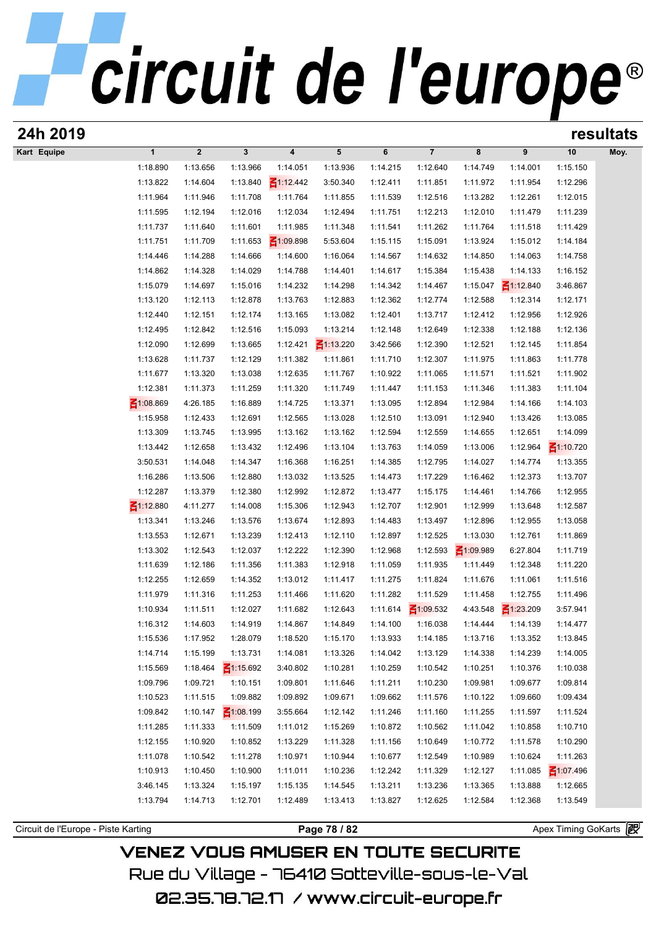| 24h 2019                            |                         |                      |                      |                      |                      |                      |                      |                      |                      |                      | resultats |
|-------------------------------------|-------------------------|----------------------|----------------------|----------------------|----------------------|----------------------|----------------------|----------------------|----------------------|----------------------|-----------|
| Kart Equipe                         | $\mathbf{1}$            | $\mathbf 2$          | $\mathbf{3}$         | 4                    | $5\phantom{.0}$      | 6                    | $\overline{7}$       | 8                    | 9                    | 10                   | Moy.      |
|                                     | 1:18.890                | 1:13.656             | 1:13.966             | 1:14.051             | 1:13.936             | 1:14.215             | 1:12.640             | 1:14.749             | 1:14.001             | 1:15.150             |           |
|                                     | 1:13.822                | 1:14.604             | 1:13.840             | $\leq 1:12.442$      | 3:50.340             | 1:12.411             | 1:11.851             | 1:11.972             | 1:11.954             | 1:12.296             |           |
|                                     | 1:11.964                | 1:11.946             | 1:11.708             | 1:11.764             | 1:11.855             | 1:11.539             | 1:12.516             | 1:13.282             | 1:12.261             | 1:12.015             |           |
|                                     | 1:11.595                | 1:12.194             | 1:12.016             | 1:12.034             | 1:12.494             | 1:11.751             | 1:12.213             | 1:12.010             | 1:11.479             | 1:11.239             |           |
|                                     | 1:11.737                | 1:11.640             | 1:11.601             | 1:11.985             | 1:11.348             | 1:11.541             | 1:11.262             | 1:11.764             | 1:11.518             | 1:11.429             |           |
|                                     | 1:11.751                | 1:11.709             | 1:11.653             | $\leq 1:09.898$      | 5:53.604             | 1:15.115             | 1:15.091             | 1:13.924             | 1:15.012             | 1:14.184             |           |
|                                     | 1:14.446                | 1:14.288             | 1:14.666             | 1:14.600             | 1:16.064             | 1:14.567             | 1:14.632             | 1:14.850             | 1:14.063             | 1:14.758             |           |
|                                     | 1:14.862                | 1:14.328             | 1:14.029             | 1:14.788             | 1:14.401             | 1:14.617             | 1:15.384             | 1:15.438             | 1:14.133             | 1:16.152             |           |
|                                     | 1:15.079                | 1:14.697             | 1:15.016             | 1:14.232             | 1:14.298             | 1:14.342             | 1:14.467             | 1:15.047             | $\leq$ 1:12.840      | 3:46.867             |           |
|                                     | 1:13.120                | 1:12.113             | 1:12.878             | 1:13.763             | 1:12.883             | 1:12.362             | 1:12.774             | 1:12.588             | 1:12.314             | 1:12.171             |           |
|                                     | 1:12.440                | 1:12.151             | 1:12.174             | 1:13.165             | 1:13.082             | 1:12.401             | 1:13.717             | 1:12.412             | 1:12.956             | 1:12.926             |           |
|                                     | 1:12.495                | 1:12.842             | 1:12.516             | 1:15.093             | 1:13.214             | 1:12.148             | 1:12.649             | 1:12.338             | 1:12.188             | 1:12.136             |           |
|                                     | 1:12.090                | 1:12.699             | 1:13.665             | 1:12.421             | $\leq 1:13.220$      | 3:42.566             | 1:12.390             | 1:12.521             | 1:12.145             | 1:11.854             |           |
|                                     | 1:13.628                | 1:11.737             | 1:12.129             | 1:11.382             | 1:11.861             | 1:11.710             | 1:12.307             | 1:11.975             | 1:11.863             | 1:11.778             |           |
|                                     | 1:11.677                | 1:13.320             | 1:13.038             | 1:12.635             | 1:11.767             | 1:10.922             | 1:11.065             | 1:11.571             | 1:11.521             | 1:11.902             |           |
|                                     | 1:12.381                | 1:11.373             | 1:11.259             | 1:11.320             | 1:11.749             | 1:11.447             | 1:11.153             | 1:11.346             | 1:11.383             | 1:11.104             |           |
|                                     | $-1:08.869$<br>1:15.958 | 4:26.185             | 1:16.889<br>1:12.691 | 1:14.725             | 1:13.371             | 1:13.095             | 1:12.894<br>1:13.091 | 1:12.984             | 1:14.166<br>1:13.426 | 1:14.103             |           |
|                                     | 1:13.309                | 1:12.433<br>1:13.745 | 1:13.995             | 1:12.565<br>1:13.162 | 1:13.028<br>1:13.162 | 1:12.510<br>1:12.594 | 1:12.559             | 1:12.940<br>1:14.655 | 1:12.651             | 1:13.085<br>1:14.099 |           |
|                                     | 1:13.442                | 1:12.658             | 1:13.432             | 1:12.496             | 1:13.104             | 1:13.763             | 1:14.059             | 1:13.006             | 1:12.964             | $\leq 1:10.720$      |           |
|                                     | 3:50.531                | 1:14.048             | 1:14.347             | 1:16.368             | 1:16.251             | 1:14.385             | 1:12.795             | 1:14.027             | 1:14.774             | 1:13.355             |           |
|                                     | 1:16.286                | 1:13.506             | 1:12.880             | 1:13.032             | 1:13.525             | 1:14.473             | 1:17.229             | 1:16.462             | 1:12.373             | 1:13.707             |           |
|                                     | 1:12.287                | 1:13.379             | 1:12.380             | 1:12.992             | 1:12.872             | 1:13.477             | 1:15.175             | 1:14.461             | 1:14.766             | 1:12.955             |           |
|                                     | $\leq 1:12.880$         | 4:11.277             | 1:14.008             | 1:15.306             | 1:12.943             | 1:12.707             | 1:12.901             | 1:12.999             | 1:13.648             | 1:12.587             |           |
|                                     | 1:13.341                | 1:13.246             | 1:13.576             | 1:13.674             | 1:12.893             | 1:14.483             | 1:13.497             | 1:12.896             | 1:12.955             | 1:13.058             |           |
|                                     | 1:13.553                | 1:12.671             | 1:13.239             | 1:12.413             | 1:12.110             | 1:12.897             | 1:12.525             | 1:13.030             | 1:12.761             | 1:11.869             |           |
|                                     | 1:13.302                | 1:12.543             | 1:12.037             | 1:12.222             | 1:12.390             | 1:12.968             | 1:12.593             | $\leq 1:09.989$      | 6:27.804             | 1:11.719             |           |
|                                     | 1:11.639                | 1:12.186             | 1:11.356             | 1:11.383             | 1:12.918             | 1:11.059             | 1:11.935             | 1:11.449             | 1:12.348             | 1:11.220             |           |
|                                     | 1:12.255                | 1:12.659             | 1:14.352             | 1:13.012             | 1:11.417             | 1:11.275             | 1:11.824             | 1:11.676             | 1:11.061             | 1:11.516             |           |
|                                     | 1:11.979                | 1:11.316             | 1:11.253             | 1:11.466             | 1:11.620             | 1:11.282             | 1:11.529             | 1:11.458             | 1:12.755             | 1:11.496             |           |
|                                     | 1:10.934                | 1:11.511             | 1:12.027             | 1:11.682             | 1:12.643             | 1:11.614             | $\leq 1:09.532$      | 4:43.548             | $\leq 1:23.209$      | 3:57.941             |           |
|                                     | 1:16.312                | 1:14.603             | 1:14.919             | 1:14.867             | 1:14.849             | 1:14.100             | 1:16.038             | 1:14.444             | 1:14.139             | 1:14.477             |           |
|                                     | 1:15.536                | 1:17.952             | 1:28.079             | 1:18.520             | 1:15.170             | 1:13.933             | 1:14.185             | 1:13.716             | 1:13.352             | 1:13.845             |           |
|                                     | 1:14.714                | 1:15.199             | 1:13.731             | 1:14.081             | 1:13.326             | 1:14.042             | 1:13.129             | 1:14.338             | 1:14.239             | 1:14.005             |           |
|                                     | 1:15.569                | 1:18.464             | $\leq 1:15.692$      | 3:40.802             | 1:10.281             | 1:10.259             | 1:10.542             | 1:10.251             | 1:10.376             | 1:10.038             |           |
|                                     | 1:09.796                | 1:09.721             | 1:10.151             | 1:09.801             | 1:11.646             | 1:11.211             | 1:10.230             | 1:09.981             | 1:09.677             | 1:09.814             |           |
|                                     | 1:10.523                | 1:11.515             | 1:09.882             | 1:09.892             | 1:09.671             | 1:09.662             | 1:11.576             | 1:10.122             | 1:09.660             | 1:09.434             |           |
|                                     | 1:09.842                | 1:10.147             | $\leq 1:08.199$      | 3:55.664             | 1:12.142             | 1:11.246             | 1:11.160             | 1:11.255             | 1:11.597             | 1:11.524             |           |
|                                     | 1:11.285                | 1:11.333             | 1:11.509             | 1:11.012             | 1:15.269             | 1:10.872             | 1:10.562             | 1:11.042             | 1:10.858             | 1:10.710             |           |
|                                     | 1:12.155                | 1:10.920             | 1:10.852             | 1:13.229             | 1:11.328             | 1:11.156             | 1:10.649             | 1:10.772             | 1:11.578             | 1:10.290             |           |
|                                     | 1:11.078                | 1:10.542             | 1:11.278             | 1:10.971             | 1:10.944             | 1:10.677             | 1:12.549             | 1:10.989             | 1:10.624             | 1:11.263             |           |
|                                     | 1:10.913                | 1:10.450             | 1:10.900             | 1:11.011             | 1:10.236             | 1:12.242             | 1:11.329             | 1:12.127             | 1:11.085             | $\leq 1:07.496$      |           |
|                                     | 3:46.145                | 1:13.324             | 1:15.197             | 1:15.135             | 1:14.545             | 1:13.211             | 1:13.236             | 1:13.365             | 1:13.888             | 1:12.665             |           |
|                                     | 1:13.794                | 1:14.713             | 1:12.701             | 1:12.489             | 1:13.413             | 1:13.827             | 1:12.625             | 1:12.584             | 1:12.368             | 1:13.549             |           |
|                                     |                         |                      |                      |                      |                      |                      |                      |                      |                      |                      |           |
| Circuit de l'Europe - Piste Karting |                         |                      |                      |                      | Page 78 / 82         |                      |                      |                      |                      | Apex Timing GoKarts  |           |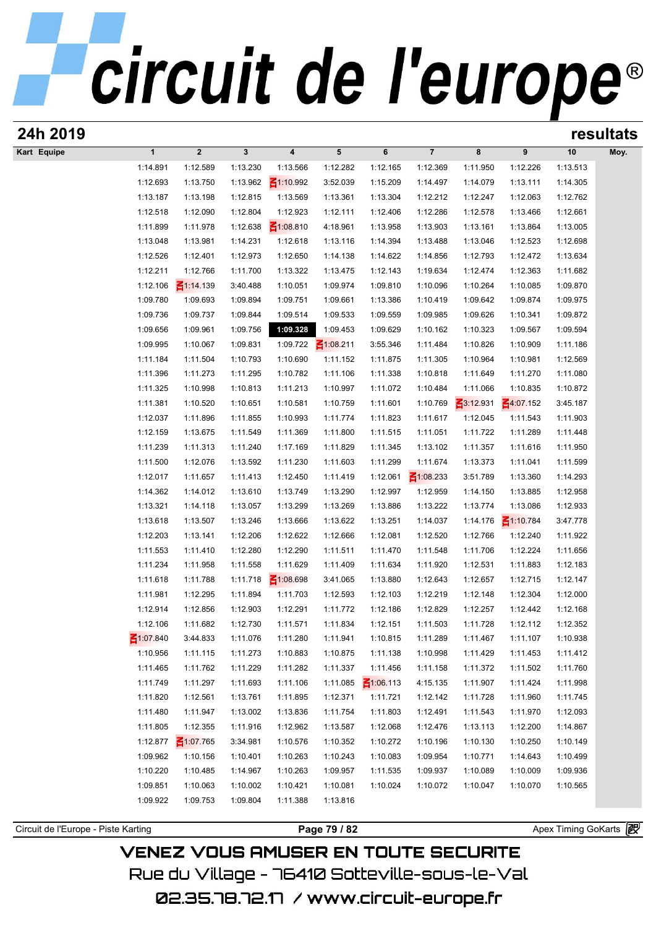|                                     |                      |                         |                      |                      |                      |                      |                         |                      |                      |                      | resultats |
|-------------------------------------|----------------------|-------------------------|----------------------|----------------------|----------------------|----------------------|-------------------------|----------------------|----------------------|----------------------|-----------|
| Kart Equipe                         | $\mathbf{1}$         | $\overline{\mathbf{2}}$ | $\mathbf{3}$         | $\pmb{4}$            | 5                    | 6                    | $\overline{\mathbf{7}}$ | 8                    | $\pmb{9}$            | 10                   | Moy.      |
|                                     | 1:14.891             | 1:12.589                | 1:13.230             | 1:13.566             | 1:12.282             | 1:12.165             | 1:12.369                | 1:11.950             | 1:12.226             | 1:13.513             |           |
|                                     | 1:12.693             | 1:13.750                | 1:13.962             | $\leq 1:10.992$      | 3:52.039             | 1:15.209             | 1:14.497                | 1:14.079             | 1:13.111             | 1:14.305             |           |
|                                     | 1:13.187             | 1:13.198                | 1:12.815             | 1:13.569             | 1:13.361             | 1:13.304             | 1:12.212                | 1:12.247             | 1:12.063             | 1:12.762             |           |
|                                     | 1:12.518             | 1:12.090                | 1:12.804             | 1:12.923             | 1:12.111             | 1:12.406             | 1:12.286                | 1:12.578             | 1:13.466             | 1:12.661             |           |
|                                     | 1:11.899             | 1:11.978                | 1:12.638             | $\leq 1:08.810$      | 4:18.961             | 1:13.958             | 1:13.903                | 1:13.161             | 1:13.864             | 1:13.005             |           |
|                                     | 1:13.048             | 1:13.981                | 1:14.231             | 1:12.618             | 1:13.116             | 1:14.394             | 1:13.488                | 1:13.046             | 1:12.523             | 1:12.698             |           |
|                                     | 1:12.526             | 1:12.401                | 1:12.973             | 1:12.650             | 1:14.138             | 1:14.622             | 1:14.856                | 1:12.793             | 1:12.472             | 1:13.634             |           |
|                                     | 1:12.211             | 1:12.766                | 1:11.700             | 1:13.322             | 1:13.475             | 1:12.143             | 1:19.634                | 1:12.474             | 1:12.363             | 1:11.682             |           |
|                                     | 1:12.106             | $\leq 1:14.139$         | 3:40.488             | 1:10.051             | 1:09.974             | 1:09.810             | 1:10.096                | 1:10.264             | 1:10.085             | 1:09.870             |           |
|                                     | 1:09.780             | 1:09.693                | 1:09.894             | 1:09.751             | 1:09.661             | 1:13.386             | 1:10.419                | 1:09.642             | 1:09.874             | 1:09.975             |           |
|                                     | 1:09.736             | 1:09.737                | 1:09.844             | 1:09.514             | 1:09.533             | 1:09.559             | 1:09.985                | 1:09.626             | 1:10.341             | 1:09.872             |           |
|                                     | 1:09.656             | 1:09.961                | 1:09.756             | 1:09.328             | 1:09.453             | 1:09.629             | 1:10.162                | 1:10.323             | 1:09.567             | 1:09.594             |           |
|                                     | 1:09.995             | 1:10.067                | 1:09.831             | 1:09.722             | $\leq 1:08.211$      | 3:55.346             | 1:11.484                | 1:10.826             | 1:10.909             | 1:11.186             |           |
|                                     | 1:11.184             | 1:11.504                | 1:10.793             | 1:10.690             | 1:11.152             | 1:11.875             | 1:11.305                | 1:10.964             | 1:10.981             | 1:12.569             |           |
|                                     | 1:11.396<br>1:11.325 | 1:11.273<br>1:10.998    | 1:11.295<br>1:10.813 | 1:10.782<br>1:11.213 | 1:11.106<br>1:10.997 | 1:11.338<br>1:11.072 | 1:10.818<br>1:10.484    | 1:11.649<br>1:11.066 | 1:11.270<br>1:10.835 | 1:11.080<br>1:10.872 |           |
|                                     | 1:11.381             | 1:10.520                | 1:10.651             | 1:10.581             | 1:10.759             | 1:11.601             | 1:10.769                | $-3:12.931$          | $-4:07.152$          | 3:45.187             |           |
|                                     | 1:12.037             | 1:11.896                | 1:11.855             | 1:10.993             | 1:11.774             | 1:11.823             | 1:11.617                | 1:12.045             | 1:11.543             | 1:11.903             |           |
|                                     | 1:12.159             | 1:13.675                | 1:11.549             | 1:11.369             | 1:11.800             | 1:11.515             | 1:11.051                | 1:11.722             | 1:11.289             | 1:11.448             |           |
|                                     | 1:11.239             | 1:11.313                | 1:11.240             | 1:17.169             | 1:11.829             | 1:11.345             | 1:13.102                | 1:11.357             | 1:11.616             | 1:11.950             |           |
|                                     | 1:11.500             | 1:12.076                | 1:13.592             | 1:11.230             | 1:11.603             | 1:11.299             | 1:11.674                | 1:13.373             | 1:11.041             | 1:11.599             |           |
|                                     | 1:12.017             | 1:11.657                | 1:11.413             | 1:12.450             | 1:11.419             | 1:12.061             | $\leq 1:08.233$         | 3:51.789             | 1:13.360             | 1:14.293             |           |
|                                     | 1:14.362             | 1:14.012                | 1:13.610             | 1:13.749             | 1:13.290             | 1:12.997             | 1:12.959                | 1:14.150             | 1:13.885             | 1:12.958             |           |
|                                     | 1:13.321             | 1:14.118                | 1:13.057             | 1:13.299             | 1:13.269             | 1:13.886             | 1:13.222                | 1:13.774             | 1:13.086             | 1:12.933             |           |
|                                     | 1:13.618             | 1:13.507                | 1:13.246             | 1:13.666             | 1:13.622             | 1:13.251             | 1:14.037                | 1:14.176             | $\leq 1:10.784$      | 3:47.778             |           |
|                                     | 1:12.203             | 1:13.141                | 1:12.206             | 1:12.622             | 1:12.666             | 1:12.081             | 1:12.520                | 1:12.766             | 1:12.240             | 1:11.922             |           |
|                                     | 1:11.553             | 1:11.410                | 1:12.280             | 1:12.290             | 1:11.511             | 1:11.470             | 1:11.548                | 1:11.706             | 1:12.224             | 1:11.656             |           |
|                                     | 1:11.234             | 1:11.958                | 1:11.558             | 1:11.629             | 1:11.409             | 1:11.634             | 1:11.920                | 1:12.531             | 1:11.883             | 1:12.183             |           |
|                                     | 1:11.618             | 1:11.788                | 1:11.718             | $\leq 1:08.698$      | 3:41.065             | 1:13.880             | 1:12.643                | 1:12.657             | 1:12.715             | 1:12.147             |           |
|                                     | 1:11.981             | 1:12.295                | 1:11.894             | 1:11.703             | 1:12.593             | 1:12.103             | 1:12.219                | 1:12.148             | 1:12.304             | 1:12.000             |           |
|                                     | 1:12.914             | 1:12.856                | 1:12.903             | 1:12.291             | 1:11.772             | 1:12.186             | 1:12.829                | 1:12.257             | 1:12.442             | 1:12.168             |           |
|                                     | 1:12.106             | 1:11.682                | 1:12.730             | 1:11.571             | 1:11.834             | 1:12.151             | 1:11.503                | 1:11.728             | 1:12.112             | 1:12.352             |           |
|                                     | ₹1:07.840            | 3:44.833                | 1:11.076             | 1:11.280             | 1:11.941             | 1:10.815             | 1:11.289                | 1:11.467             | 1:11.107             | 1:10.938             |           |
|                                     | 1:10.956             | 1:11.115                | 1:11.273             | 1:10.883             | 1:10.875             | 1:11.138             | 1:10.998                | 1:11.429             | 1:11.453             | 1:11.412             |           |
|                                     | 1:11.465             | 1:11.762                | 1:11.229             | 1:11.282             | 1:11.337             | 1:11.456             | 1:11.158                | 1:11.372             | 1:11.502             | 1:11.760             |           |
|                                     | 1:11.749             | 1:11.297                | 1:11.693             | 1:11.106             | 1:11.085             | $\leq 1:06.113$      | 4:15.135                | 1:11.907             | 1:11.424             | 1:11.998             |           |
|                                     | 1:11.820             | 1:12.561                | 1:13.761             | 1:11.895             | 1:12.371             | 1:11.721             | 1:12.142                | 1:11.728             | 1:11.960             | 1:11.745             |           |
|                                     | 1:11.480             | 1:11.947                | 1:13.002             | 1:13.836             | 1:11.754             | 1:11.803             | 1:12.491                | 1:11.543             | 1:11.970             | 1:12.093             |           |
|                                     | 1:11.805             | 1:12.355                | 1:11.916             | 1:12.962             | 1:13.587             | 1:12.068             | 1:12.476                | 1:13.113             | 1:12.200             | 1:14.867             |           |
|                                     | 1:12.877             | $\leq 1:07.765$         | 3:34.981             | 1:10.576             | 1:10.352             | 1:10.272             | 1:10.196                | 1:10.130             | 1:10.250             | 1:10.149             |           |
|                                     | 1:09.962             | 1:10.156                | 1:10.401             | 1:10.263             | 1:10.243             | 1:10.083             | 1:09.954                | 1:10.771             | 1:14.643             | 1:10.499             |           |
|                                     | 1:10.220             | 1:10.485                | 1:14.967             | 1:10.263             | 1:09.957             | 1:11.535             | 1:09.937                | 1:10.089             | 1:10.009             | 1:09.936             |           |
|                                     | 1:09.851             | 1:10.063                | 1:10.002             | 1:10.421             | 1:10.081             | 1:10.024             | 1:10.072                | 1:10.047             | 1:10.070             | 1:10.565             |           |
|                                     | 1:09.922             | 1:09.753                | 1:09.804             | 1:11.388             | 1:13.816             |                      |                         |                      |                      |                      |           |
| Circuit de l'Europe - Piste Karting |                      |                         |                      |                      | Page 79 / 82         |                      |                         |                      |                      | Apex Timing GoKarts  |           |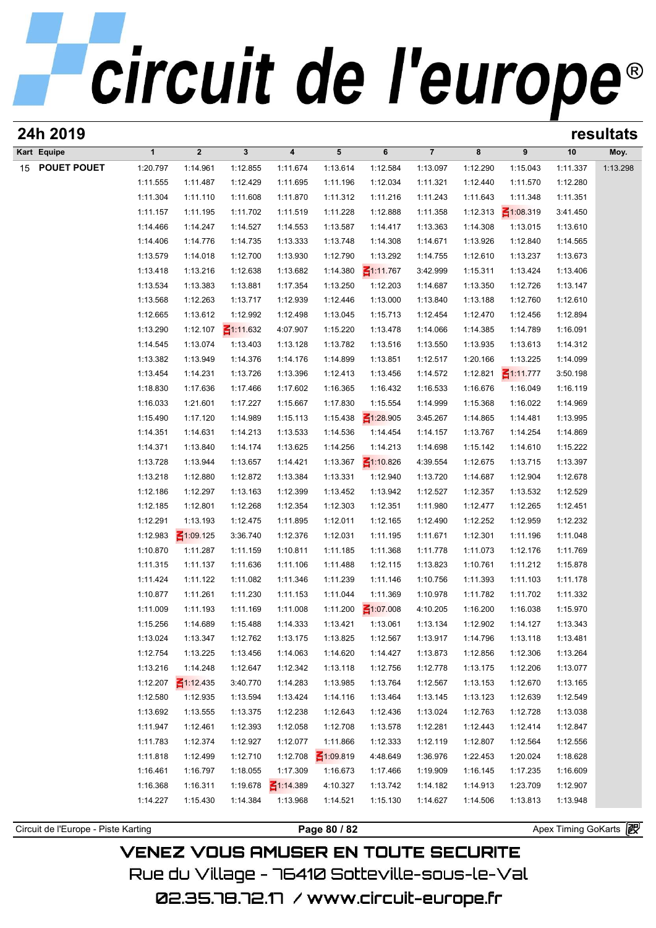# circuit de l'europe®

| 24h 2019       |                      |                      |                 |                 |                 |                             |                |          |                 | resultats |          |  |
|----------------|----------------------|----------------------|-----------------|-----------------|-----------------|-----------------------------|----------------|----------|-----------------|-----------|----------|--|
| Kart Equipe    | $\mathbf{1}$         | $\overline{2}$       | $\mathbf{3}$    | 4               | $5\phantom{.0}$ | 6                           | $\overline{7}$ | 8        | 9               | 10        | Moy.     |  |
| 15 POUET POUET | 1:20.797             | 1:14.961             | 1:12.855        | 1:11.674        | 1:13.614        | 1:12.584                    | 1:13.097       | 1:12.290 | 1:15.043        | 1:11.337  | 1:13.298 |  |
|                | 1:11.555             | 1:11.487             | 1:12.429        | 1:11.695        | 1:11.196        | 1:12.034                    | 1:11.321       | 1:12.440 | 1:11.570        | 1:12.280  |          |  |
|                | 1:11.304             | 1:11.110             | 1:11.608        | 1:11.870        | 1:11.312        | 1:11.216                    | 1:11.243       | 1:11.643 | 1:11.348        | 1:11.351  |          |  |
|                | 1:11.157             | 1:11.195             | 1:11.702        | 1:11.519        | 1:11.228        | 1:12.888                    | 1:11.358       | 1:12.313 | $\leq 1:08.319$ | 3:41.450  |          |  |
|                | 1:14.466             | 1:14.247             | 1:14.527        | 1:14.553        | 1:13.587        | 1:14.417                    | 1:13.363       | 1:14.308 | 1:13.015        | 1:13.610  |          |  |
|                | 1:14.406             | 1:14.776             | 1:14.735        | 1:13.333        | 1:13.748        | 1:14.308                    | 1:14.671       | 1:13.926 | 1:12.840        | 1:14.565  |          |  |
|                | 1:13.579             | 1:14.018             | 1:12.700        | 1:13.930        | 1:12.790        | 1:13.292                    | 1:14.755       | 1:12.610 | 1:13.237        | 1:13.673  |          |  |
|                | 1:13.418             | 1:13.216             | 1:12.638        | 1:13.682        | 1:14.380        | $\leq 1:11.767$             | 3:42.999       | 1:15.311 | 1:13.424        | 1:13.406  |          |  |
|                | 1:13.534             | 1:13.383             | 1:13.881        | 1:17.354        | 1:13.250        | 1:12.203                    | 1:14.687       | 1:13.350 | 1:12.726        | 1:13.147  |          |  |
|                | 1:13.568             | 1:12.263             | 1:13.717        | 1:12.939        | 1:12.446        | 1:13.000                    | 1:13.840       | 1:13.188 | 1:12.760        | 1:12.610  |          |  |
|                | 1:12.665             | 1:13.612             | 1:12.992        | 1:12.498        | 1:13.045        | 1:15.713                    | 1:12.454       | 1:12.470 | 1:12.456        | 1:12.894  |          |  |
|                | 1:13.290             | 1:12.107             | $\leq$ 1:11.632 | 4:07.907        | 1:15.220        | 1:13.478                    | 1:14.066       | 1:14.385 | 1:14.789        | 1:16.091  |          |  |
|                | 1:14.545             | 1:13.074             | 1:13.403        | 1:13.128        | 1:13.782        | 1:13.516                    | 1:13.550       | 1:13.935 | 1:13.613        | 1:14.312  |          |  |
|                | 1:13.382             | 1:13.949             | 1:14.376        | 1:14.176        | 1:14.899        | 1:13.851                    | 1:12.517       | 1:20.166 | 1:13.225        | 1:14.099  |          |  |
|                | 1:13.454             | 1:14.231             | 1:13.726        | 1:13.396        | 1:12.413        | 1:13.456                    | 1:14.572       | 1:12.821 | $\leq 1:11.777$ | 3:50.198  |          |  |
|                | 1:18.830             | 1:17.636             | 1:17.466        | 1:17.602        | 1:16.365        | 1:16.432                    | 1:16.533       | 1:16.676 | 1:16.049        | 1:16.119  |          |  |
|                | 1:16.033             | 1:21.601             | 1:17.227        | 1:15.667        | 1:17.830        | 1:15.554                    | 1:14.999       | 1:15.368 | 1:16.022        | 1:14.969  |          |  |
|                | 1:15.490             | 1:17.120             | 1:14.989        | 1:15.113        | 1:15.438        | $\leq 1:28.905$             | 3:45.267       | 1:14.865 | 1:14.481        | 1:13.995  |          |  |
|                | 1:14.351             | 1:14.631             | 1:14.213        | 1:13.533        | 1:14.536        | 1:14.454                    | 1:14.157       | 1:13.767 | 1:14.254        | 1:14.869  |          |  |
|                |                      |                      |                 | 1:13.625        |                 |                             |                | 1:15.142 | 1:14.610        |           |          |  |
|                | 1:14.371<br>1:13.728 | 1:13.840<br>1:13.944 | 1:14.174        |                 | 1:14.256        | 1:14.213<br>$\leq 1:10.826$ | 1:14.698       | 1:12.675 | 1:13.715        | 1:15.222  |          |  |
|                |                      |                      | 1:13.657        | 1:14.421        | 1:13.367        |                             | 4:39.554       |          |                 | 1:13.397  |          |  |
|                | 1:13.218             | 1:12.880             | 1:12.872        | 1:13.384        | 1:13.331        | 1:12.940                    | 1:13.720       | 1:14.687 | 1:12.904        | 1:12.678  |          |  |
|                | 1:12.186             | 1:12.297             | 1:13.163        | 1:12.399        | 1:13.452        | 1:13.942                    | 1:12.527       | 1:12.357 | 1:13.532        | 1:12.529  |          |  |
|                | 1:12.185             | 1:12.801             | 1:12.268        | 1:12.354        | 1:12.303        | 1:12.351                    | 1:11.980       | 1:12.477 | 1:12.265        | 1:12.451  |          |  |
|                | 1:12.291             | 1:13.193             | 1:12.475        | 1:11.895        | 1:12.011        | 1:12.165                    | 1:12.490       | 1:12.252 | 1:12.959        | 1:12.232  |          |  |
|                | 1:12.983             | $\leq 1:09.125$      | 3:36.740        | 1:12.376        | 1:12.031        | 1:11.195                    | 1:11.671       | 1:12.301 | 1:11.196        | 1:11.048  |          |  |
|                | 1:10.870             | 1:11.287             | 1:11.159        | 1:10.811        | 1:11.185        | 1:11.368                    | 1:11.778       | 1:11.073 | 1:12.176        | 1:11.769  |          |  |
|                | 1:11.315             | 1:11.137             | 1:11.636        | 1:11.106        | 1:11.488        | 1:12.115                    | 1:13.823       | 1:10.761 | 1:11.212        | 1:15.878  |          |  |
|                | 1:11.424             | 1:11.122             | 1:11.082        | 1:11.346        | 1:11.239        | 1:11.146                    | 1:10.756       | 1:11.393 | 1:11.103        | 1:11.178  |          |  |
|                | 1:10.877             | 1:11.261             | 1:11.230        | 1:11.153        | 1:11.044        | 1:11.369                    | 1:10.978       | 1:11.782 | 1:11.702        | 1:11.332  |          |  |
|                | 1:11.009             | 1:11.193             | 1:11.169        | 1:11.008        | 1:11.200        | $\leq 1:07.008$             | 4:10.205       | 1:16.200 | 1:16.038        | 1:15.970  |          |  |
|                | 1:15.256             | 1:14.689             | 1:15.488        | 1:14.333        | 1:13.421        | 1:13.061                    | 1:13.134       | 1:12.902 | 1:14.127        | 1:13.343  |          |  |
|                | 1:13.024             | 1:13.347             | 1:12.762        | 1:13.175        | 1:13.825        | 1:12.567                    | 1:13.917       | 1:14.796 | 1:13.118        | 1:13.481  |          |  |
|                | 1:12.754             | 1:13.225             | 1:13.456        | 1:14.063        | 1:14.620        | 1:14.427                    | 1:13.873       | 1:12.856 | 1:12.306        | 1:13.264  |          |  |
|                | 1:13.216             | 1:14.248             | 1:12.647        | 1:12.342        | 1:13.118        | 1:12.756                    | 1:12.778       | 1:13.175 | 1:12.206        | 1:13.077  |          |  |
|                | 1:12.207             | $\leq 1:12.435$      | 3:40.770        | 1:14.283        | 1:13.985        | 1:13.764                    | 1:12.567       | 1:13.153 | 1:12.670        | 1:13.165  |          |  |
|                | 1:12.580             | 1:12.935             | 1:13.594        | 1:13.424        | 1:14.116        | 1:13.464                    | 1:13.145       | 1:13.123 | 1:12.639        | 1:12.549  |          |  |
|                | 1:13.692             | 1:13.555             | 1:13.375        | 1:12.238        | 1:12.643        | 1:12.436                    | 1:13.024       | 1:12.763 | 1:12.728        | 1:13.038  |          |  |
|                | 1:11.947             | 1:12.461             | 1:12.393        | 1:12.058        | 1:12.708        | 1:13.578                    | 1:12.281       | 1:12.443 | 1:12.414        | 1:12.847  |          |  |
|                | 1:11.783             | 1:12.374             | 1:12.927        | 1:12.077        | 1:11.866        | 1:12.333                    | 1:12.119       | 1:12.807 | 1:12.564        | 1:12.556  |          |  |
|                | 1:11.818             | 1:12.499             | 1:12.710        | 1:12.708        | $\leq 1:09.819$ | 4:48.649                    | 1:36.976       | 1:22.453 | 1:20.024        | 1:18.628  |          |  |
|                | 1:16.461             | 1:16.797             | 1:18.055        | 1:17.309        | 1:16.673        | 1:17.466                    | 1:19.909       | 1:16.145 | 1:17.235        | 1:16.609  |          |  |
|                | 1:16.368             | 1:16.311             | 1:19.678        | $\leq 1:14.389$ | 4:10.327        | 1:13.742                    | 1:14.182       | 1:14.913 | 1:23.709        | 1:12.907  |          |  |
|                | 1:14.227             | 1:15.430             | 1:14.384        | 1:13.968        | 1:14.521        | 1:15.130                    | 1:14.627       | 1:14.506 | 1:13.813        | 1:13.948  |          |  |
|                |                      |                      |                 |                 |                 |                             |                |          |                 |           |          |  |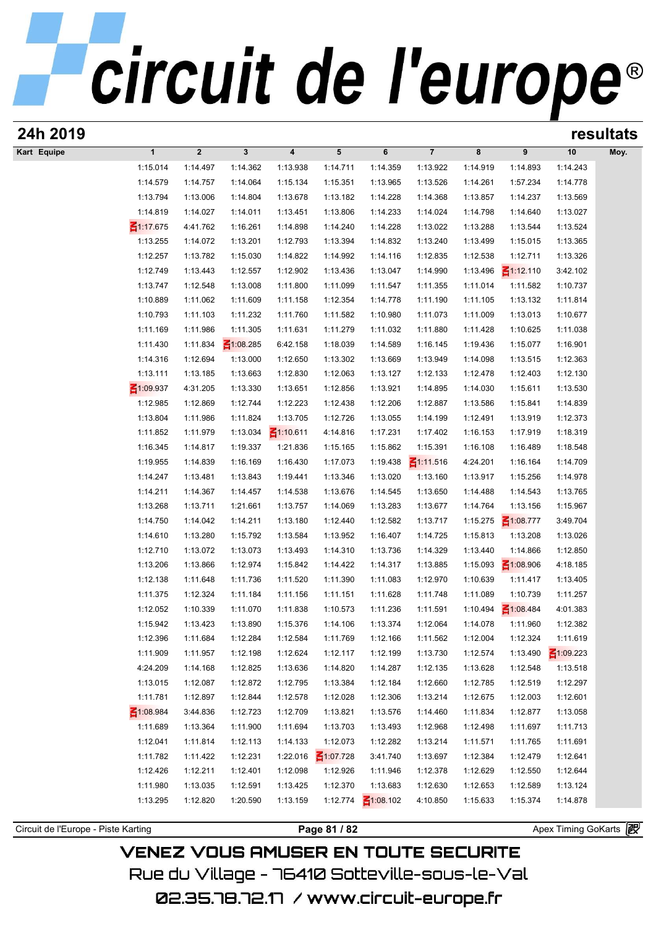| 24h 2019                            |                 |                  |                 |                         |                 |                 |                 |          |                 | resultats             |      |  |
|-------------------------------------|-----------------|------------------|-----------------|-------------------------|-----------------|-----------------|-----------------|----------|-----------------|-----------------------|------|--|
| Kart Equipe                         | $\mathbf{1}$    | $\boldsymbol{2}$ | $\mathbf{3}$    | $\overline{\mathbf{4}}$ | $5\phantom{.0}$ | 6               | $\overline{7}$  | 8        | 9               | 10                    | Moy. |  |
|                                     | 1:15.014        | 1:14.497         | 1:14.362        | 1:13.938                | 1:14.711        | 1:14.359        | 1:13.922        | 1:14.919 | 1:14.893        | 1:14.243              |      |  |
|                                     | 1:14.579        | 1:14.757         | 1:14.064        | 1:15.134                | 1:15.351        | 1:13.965        | 1:13.526        | 1:14.261 | 1:57.234        | 1:14.778              |      |  |
|                                     | 1:13.794        | 1:13.006         | 1:14.804        | 1:13.678                | 1:13.182        | 1:14.228        | 1:14.368        | 1:13.857 | 1:14.237        | 1:13.569              |      |  |
|                                     | 1:14.819        | 1:14.027         | 1:14.011        | 1:13.451                | 1:13.806        | 1:14.233        | 1:14.024        | 1:14.798 | 1:14.640        | 1:13.027              |      |  |
|                                     | $\leq 1:17.675$ | 4:41.762         | 1:16.261        | 1:14.898                | 1:14.240        | 1:14.228        | 1:13.022        | 1:13.288 | 1:13.544        | 1:13.524              |      |  |
|                                     | 1:13.255        | 1:14.072         | 1:13.201        | 1:12.793                | 1:13.394        | 1:14.832        | 1:13.240        | 1:13.499 | 1:15.015        | 1:13.365              |      |  |
|                                     | 1:12.257        | 1:13.782         | 1:15.030        | 1:14.822                | 1:14.992        | 1:14.116        | 1:12.835        | 1:12.538 | 1:12.711        | 1:13.326              |      |  |
|                                     | 1:12.749        | 1:13.443         | 1:12.557        | 1:12.902                | 1:13.436        | 1:13.047        | 1:14.990        | 1:13.496 | $\leq 1:12.110$ | 3:42.102              |      |  |
|                                     | 1:13.747        | 1:12.548         | 1:13.008        | 1:11.800                | 1:11.099        | 1:11.547        | 1:11.355        | 1:11.014 | 1:11.582        | 1:10.737              |      |  |
|                                     | 1:10.889        | 1:11.062         | 1:11.609        | 1:11.158                | 1:12.354        | 1:14.778        | 1:11.190        | 1:11.105 | 1:13.132        | 1:11.814              |      |  |
|                                     | 1:10.793        | 1:11.103         | 1:11.232        | 1:11.760                | 1:11.582        | 1:10.980        | 1:11.073        | 1:11.009 | 1:13.013        | 1:10.677              |      |  |
|                                     | 1:11.169        | 1:11.986         | 1:11.305        | 1:11.631                | 1:11.279        | 1:11.032        | 1:11.880        | 1:11.428 | 1:10.625        | 1:11.038              |      |  |
|                                     | 1:11.430        | 1:11.834         | $\leq 1:08.285$ | 6:42.158                | 1:18.039        | 1:14.589        | 1:16.145        | 1:19.436 | 1:15.077        | 1:16.901              |      |  |
|                                     | 1:14.316        | 1:12.694         | 1:13.000        | 1:12.650                | 1:13.302        | 1:13.669        | 1:13.949        | 1:14.098 | 1:13.515        | 1:12.363              |      |  |
|                                     | 1:13.111        | 1:13.185         | 1:13.663        | 1:12.830                | 1:12.063        | 1:13.127        | 1:12.133        | 1:12.478 | 1:12.403        | 1:12.130              |      |  |
|                                     | ₹1:09.937       | 4:31.205         | 1:13.330        | 1:13.651                | 1:12.856        | 1:13.921        | 1:14.895        | 1:14.030 | 1:15.611        | 1:13.530              |      |  |
|                                     | 1:12.985        | 1:12.869         | 1:12.744        | 1:12.223                | 1:12.438        | 1:12.206        | 1:12.887        | 1:13.586 | 1:15.841        | 1:14.839              |      |  |
|                                     | 1:13.804        | 1:11.986         | 1:11.824        | 1:13.705                | 1:12.726        | 1:13.055        | 1:14.199        | 1:12.491 | 1:13.919        | 1:12.373              |      |  |
|                                     | 1:11.852        | 1:11.979         | 1:13.034        | $\leq 1:10.611$         | 4:14.816        | 1:17.231        | 1:17.402        | 1:16.153 | 1:17.919        | 1:18.319              |      |  |
|                                     | 1:16.345        | 1:14.817         | 1:19.337        | 1:21.836                | 1:15.165        | 1:15.862        | 1:15.391        | 1:16.108 | 1:16.489        | 1:18.548              |      |  |
|                                     | 1:19.955        | 1:14.839         | 1:16.169        | 1:16.430                | 1:17.073        | 1:19.438        | $\leq 1:11.516$ | 4:24.201 | 1:16.164        | 1:14.709              |      |  |
|                                     | 1:14.247        | 1:13.481         | 1:13.843        | 1:19.441                | 1:13.346        | 1:13.020        | 1:13.160        | 1:13.917 | 1:15.256        | 1:14.978              |      |  |
|                                     | 1:14.211        | 1:14.367         | 1:14.457        | 1:14.538                | 1:13.676        | 1:14.545        | 1:13.650        | 1:14.488 | 1:14.543        | 1:13.765              |      |  |
|                                     | 1:13.268        | 1:13.711         | 1:21.661        | 1:13.757                | 1:14.069        | 1:13.283        | 1:13.677        | 1:14.764 | 1:13.156        | 1:15.967              |      |  |
|                                     | 1:14.750        | 1:14.042         | 1:14.211        | 1:13.180                | 1:12.440        | 1:12.582        | 1:13.717        | 1:15.275 | $\leq 1:08.777$ | 3:49.704              |      |  |
|                                     | 1:14.610        | 1:13.280         | 1:15.792        | 1:13.584                | 1:13.952        | 1:16.407        | 1:14.725        | 1:15.813 | 1:13.208        | 1:13.026              |      |  |
|                                     | 1:12.710        | 1:13.072         | 1:13.073        | 1:13.493                | 1:14.310        | 1:13.736        | 1:14.329        | 1:13.440 | 1:14.866        | 1:12.850              |      |  |
|                                     | 1:13.206        | 1:13.866         | 1:12.974        | 1:15.842                | 1:14.422        | 1:14.317        | 1:13.885        | 1:15.093 | $\leq 1:08.906$ | 4:18.185              |      |  |
|                                     | 1:12.138        | 1:11.648         | 1:11.736        | 1:11.520                | 1:11.390        | 1:11.083        | 1:12.970        | 1:10.639 | 1:11.417        | 1:13.405              |      |  |
|                                     | 1:11.375        | 1:12.324         | 1:11.184        | 1:11.156                | 1:11.151        | 1:11.628        | 1:11.748        | 1:11.089 | 1:10.739        | 1:11.257              |      |  |
|                                     | 1:12.052        | 1:10.339         | 1:11.070        | 1:11.838                | 1:10.573        | 1:11.236        | 1:11.591        | 1:10.494 | $\leq 1:08.484$ | 4:01.383              |      |  |
|                                     | 1:15.942        | 1:13.423         | 1:13.890        | 1:15.376                | 1:14.106        | 1:13.374        | 1:12.064        | 1:14.078 | 1:11.960        | 1:12.382              |      |  |
|                                     | 1:12.396        | 1:11.684         | 1:12.284        | 1:12.584                | 1:11.769        | 1:12.166        | 1:11.562        | 1:12.004 | 1:12.324        | 1:11.619              |      |  |
|                                     | 1:11.909        | 1:11.957         | 1:12.198        | 1:12.624                | 1:12.117        | 1:12.199        | 1:13.730        | 1:12.574 | 1:13.490        | $\leq 1:09.223$       |      |  |
|                                     | 4:24.209        | 1:14.168         | 1:12.825        | 1:13.636                | 1:14.820        | 1:14.287        | 1:12.135        | 1:13.628 | 1:12.548        | 1:13.518              |      |  |
|                                     | 1:13.015        | 1:12.087         | 1:12.872        | 1:12.795                | 1:13.384        | 1:12.184        | 1:12.660        | 1:12.785 | 1:12.519        | 1:12.297              |      |  |
|                                     | 1:11.781        | 1:12.897         | 1:12.844        | 1:12.578                | 1:12.028        | 1:12.306        | 1:13.214        | 1:12.675 | 1:12.003        | 1:12.601              |      |  |
|                                     | ₹1:08.984       | 3:44.836         | 1:12.723        | 1:12.709                | 1:13.821        | 1:13.576        | 1:14.460        | 1:11.834 | 1:12.877        | 1:13.058              |      |  |
|                                     | 1:11.689        | 1:13.364         | 1:11.900        | 1:11.694                | 1:13.703        | 1:13.493        | 1:12.968        | 1:12.498 | 1:11.697        | 1:11.713              |      |  |
|                                     | 1:12.041        | 1:11.814         | 1:12.113        | 1:14.133                | 1:12.073        | 1:12.282        | 1:13.214        | 1:11.571 | 1:11.765        | 1:11.691              |      |  |
|                                     | 1:11.782        | 1:11.422         | 1:12.231        | 1:22.016                | $\leq 1:07.728$ | 3:41.740        | 1:13.697        | 1:12.384 | 1:12.479        | 1:12.641              |      |  |
|                                     | 1:12.426        | 1:12.211         | 1:12.401        | 1:12.098                | 1:12.926        | 1:11.946        | 1:12.378        | 1:12.629 | 1:12.550        | 1:12.644              |      |  |
|                                     | 1:11.980        | 1:13.035         | 1:12.591        | 1:13.425                | 1:12.370        | 1:13.683        | 1:12.630        | 1:12.653 | 1:12.589        | 1:13.124              |      |  |
|                                     | 1:13.295        | 1:12.820         | 1:20.590        | 1:13.159                | 1:12.774        | $\leq 1:08.102$ | 4:10.850        | 1:15.633 | 1:15.374        | 1:14.878              |      |  |
|                                     |                 |                  |                 |                         |                 |                 |                 |          |                 |                       |      |  |
| Circuit de l'Europe - Piste Karting |                 |                  |                 |                         | Page 81 / 82    |                 |                 |          |                 | Apex Timing GoKarts 2 |      |  |